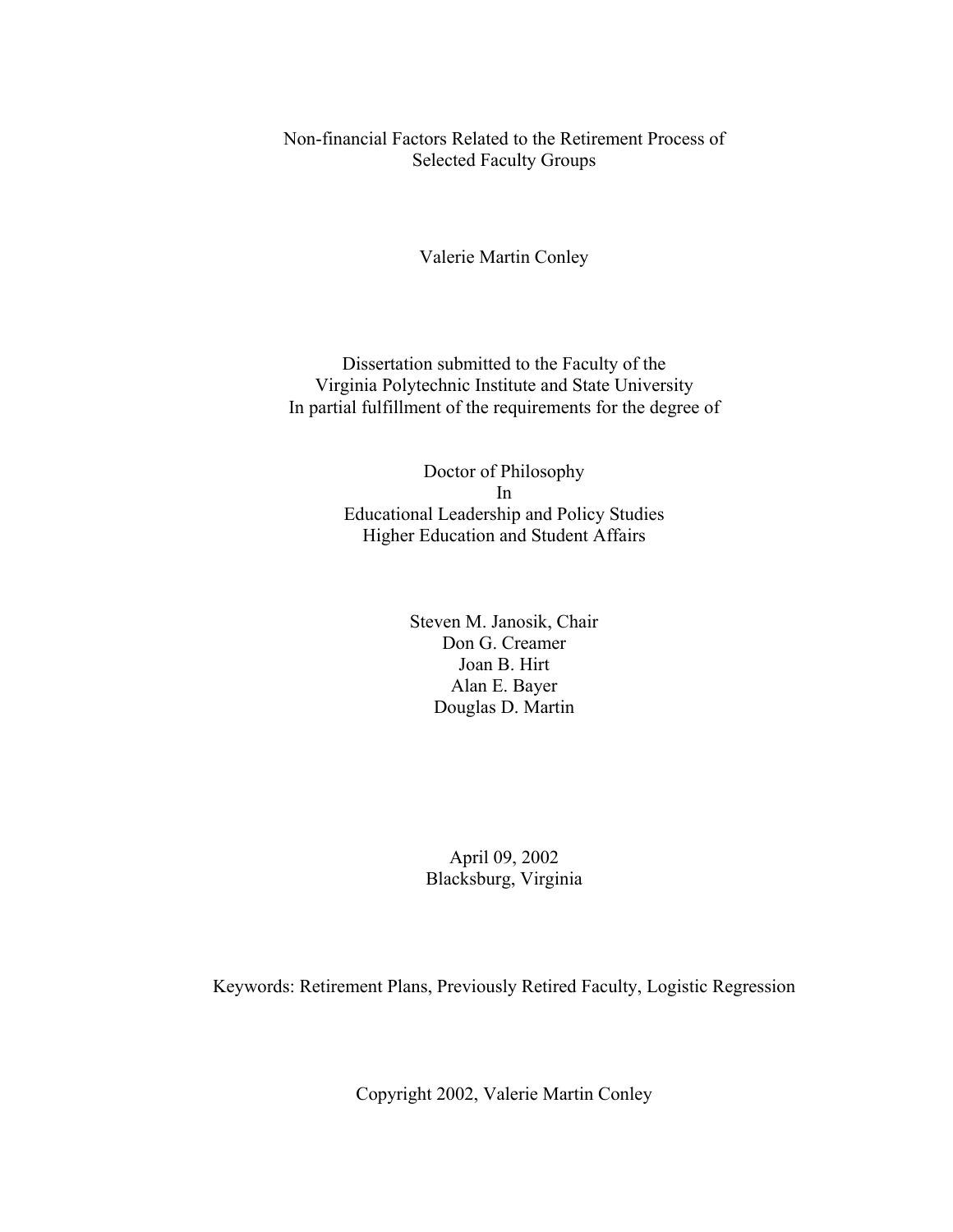Non-financial Factors Related to the Retirement Process of Selected Faculty Groups

Valerie Martin Conley

Dissertation submitted to the Faculty of the Virginia Polytechnic Institute and State University In partial fulfillment of the requirements for the degree of

> Doctor of Philosophy In Educational Leadership and Policy Studies Higher Education and Student Affairs

> > Steven M. Janosik, Chair Don G. Creamer Joan B. Hirt Alan E. Bayer Douglas D. Martin

April 09, 2002 Blacksburg, Virginia

Keywords: Retirement Plans, Previously Retired Faculty, Logistic Regression

Copyright 2002, Valerie Martin Conley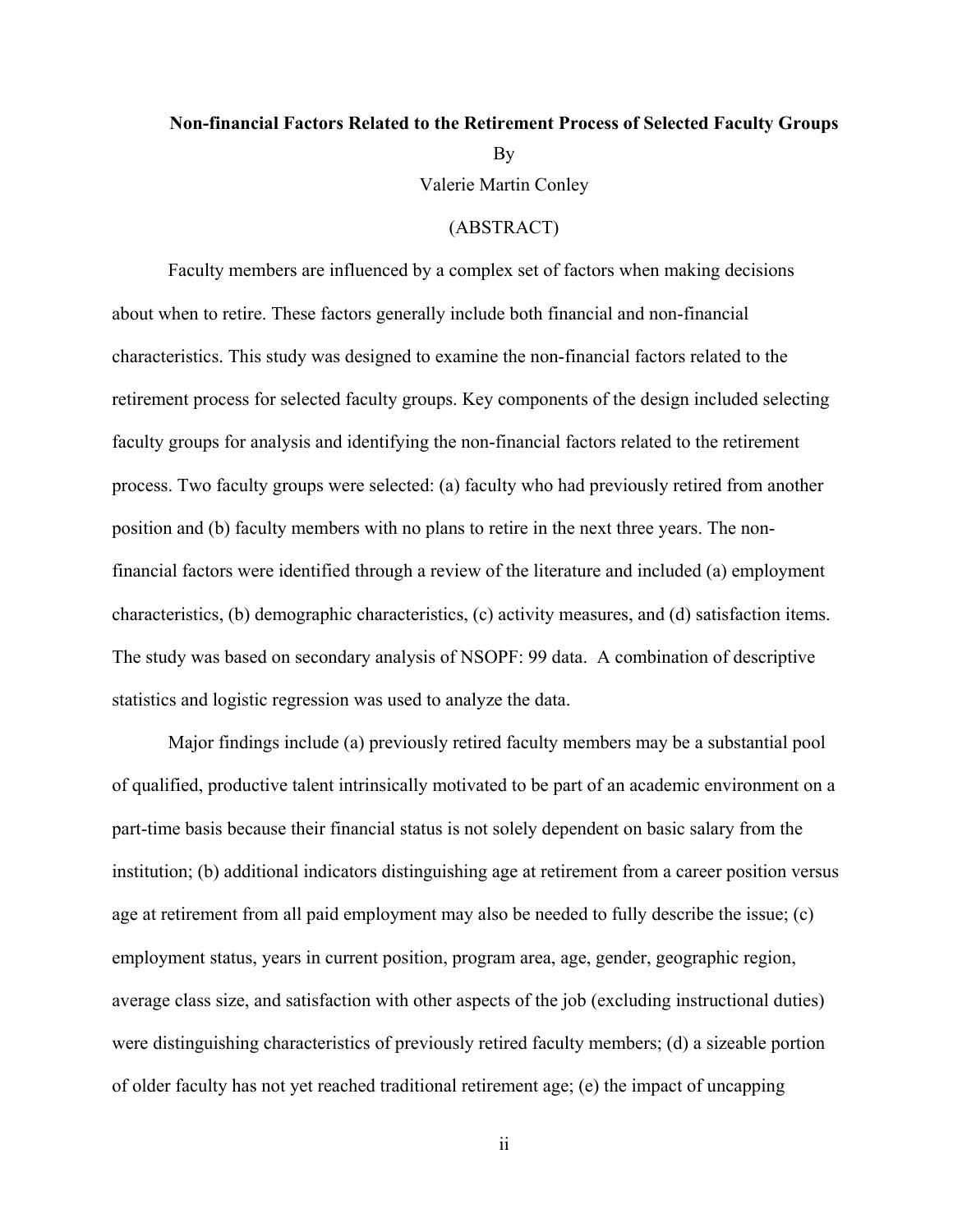# <span id="page-1-0"></span>**Non-financial Factors Related to the Retirement Process of Selected Faculty Groups**  By Valerie Martin Conley

# (ABSTRACT)

Faculty members are influenced by a complex set of factors when making decisions about when to retire. These factors generally include both financial and non-financial characteristics. This study was designed to examine the non-financial factors related to the retirement process for selected faculty groups. Key components of the design included selecting faculty groups for analysis and identifying the non-financial factors related to the retirement process. Two faculty groups were selected: (a) faculty who had previously retired from another position and (b) faculty members with no plans to retire in the next three years. The nonfinancial factors were identified through a review of the literature and included (a) employment characteristics, (b) demographic characteristics, (c) activity measures, and (d) satisfaction items. The study was based on secondary analysis of NSOPF: 99 data. A combination of descriptive statistics and logistic regression was used to analyze the data.

Major findings include (a) previously retired faculty members may be a substantial pool of qualified, productive talent intrinsically motivated to be part of an academic environment on a part-time basis because their financial status is not solely dependent on basic salary from the institution; (b) additional indicators distinguishing age at retirement from a career position versus age at retirement from all paid employment may also be needed to fully describe the issue; (c) employment status, years in current position, program area, age, gender, geographic region, average class size, and satisfaction with other aspects of the job (excluding instructional duties) were distinguishing characteristics of previously retired faculty members; (d) a sizeable portion of older faculty has not yet reached traditional retirement age; (e) the impact of uncapping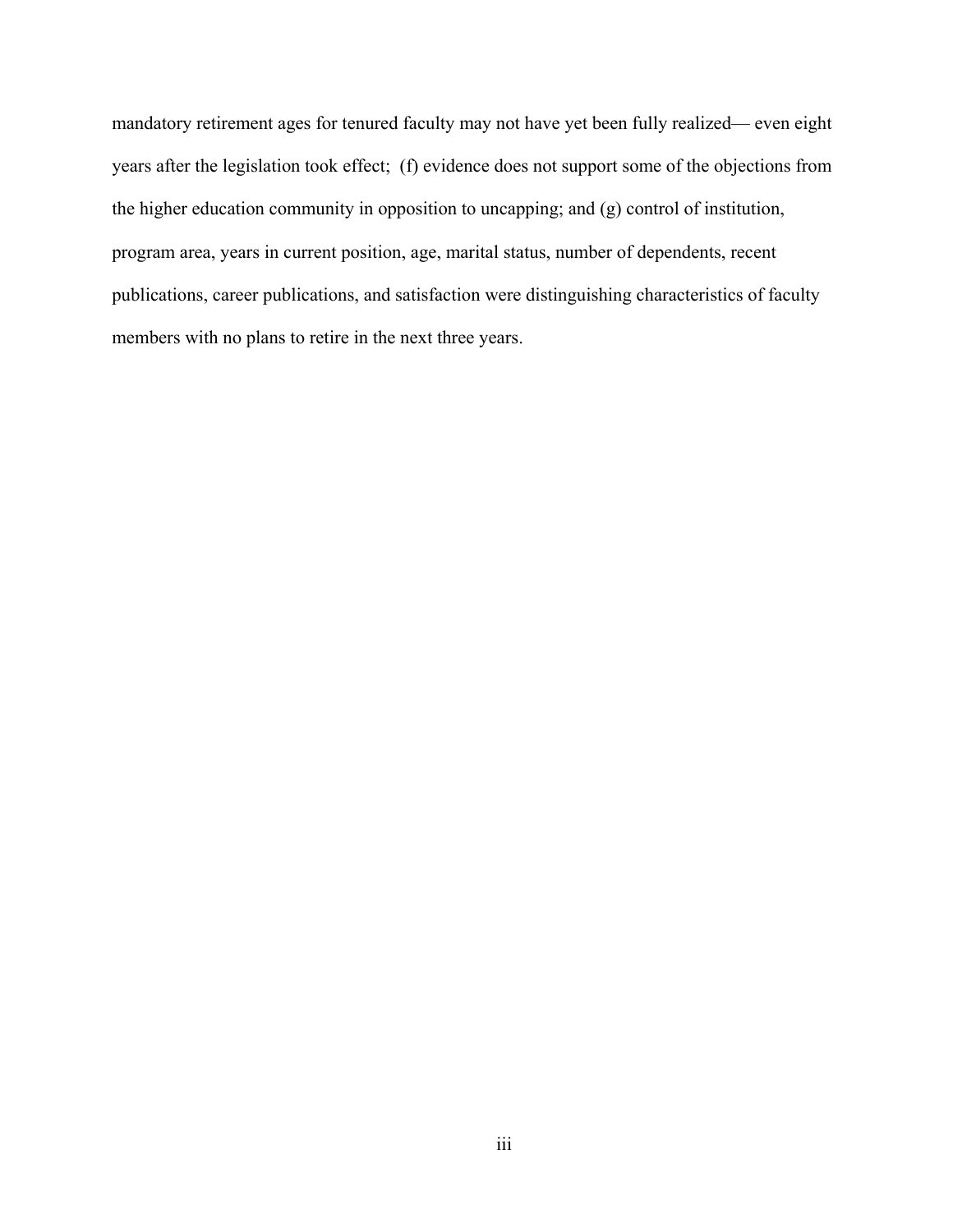mandatory retirement ages for tenured faculty may not have yet been fully realized— even eight years after the legislation took effect; (f) evidence does not support some of the objections from the higher education community in opposition to uncapping; and (g) control of institution, program area, years in current position, age, marital status, number of dependents, recent publications, career publications, and satisfaction were distinguishing characteristics of faculty members with no plans to retire in the next three years.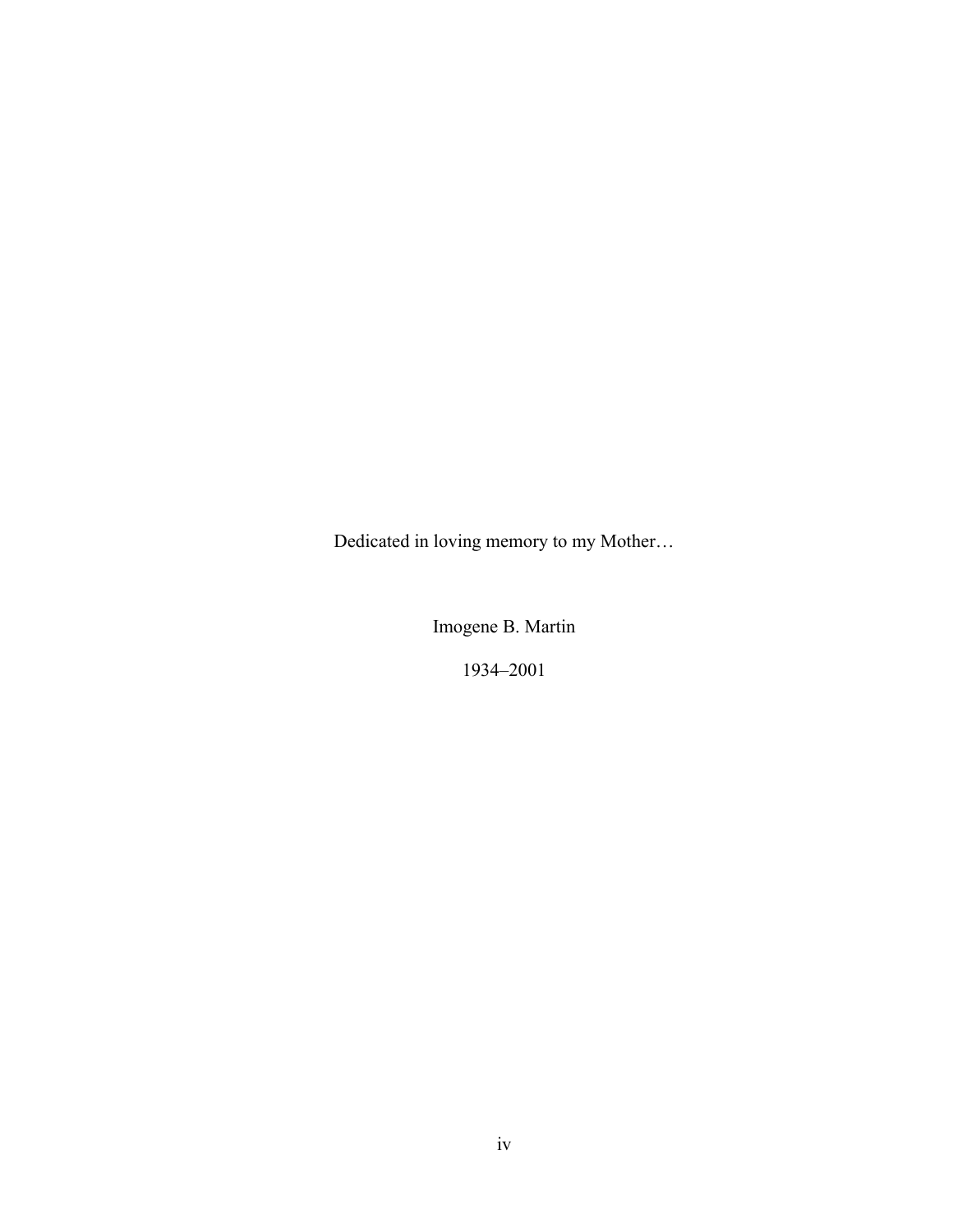<span id="page-3-0"></span>Dedicated in loving memory to my Mother…

Imogene B. Martin

1934–2001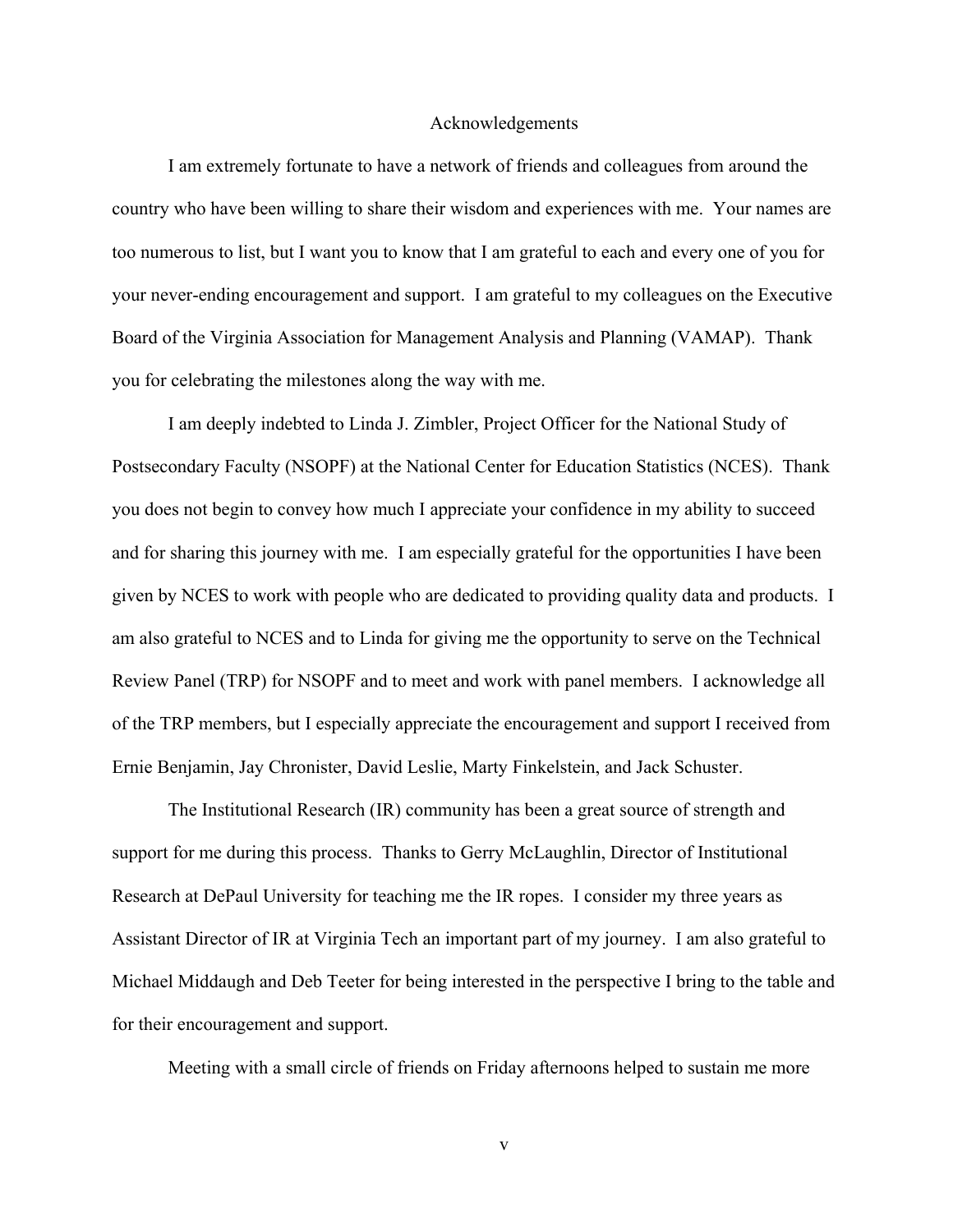#### Acknowledgements

<span id="page-4-0"></span>I am extremely fortunate to have a network of friends and colleagues from around the country who have been willing to share their wisdom and experiences with me. Your names are too numerous to list, but I want you to know that I am grateful to each and every one of you for your never-ending encouragement and support. I am grateful to my colleagues on the Executive Board of the Virginia Association for Management Analysis and Planning (VAMAP). Thank you for celebrating the milestones along the way with me.

I am deeply indebted to Linda J. Zimbler, Project Officer for the National Study of Postsecondary Faculty (NSOPF) at the National Center for Education Statistics (NCES). Thank you does not begin to convey how much I appreciate your confidence in my ability to succeed and for sharing this journey with me. I am especially grateful for the opportunities I have been given by NCES to work with people who are dedicated to providing quality data and products. I am also grateful to NCES and to Linda for giving me the opportunity to serve on the Technical Review Panel (TRP) for NSOPF and to meet and work with panel members. I acknowledge all of the TRP members, but I especially appreciate the encouragement and support I received from Ernie Benjamin, Jay Chronister, David Leslie, Marty Finkelstein, and Jack Schuster.

The Institutional Research (IR) community has been a great source of strength and support for me during this process. Thanks to Gerry McLaughlin, Director of Institutional Research at DePaul University for teaching me the IR ropes. I consider my three years as Assistant Director of IR at Virginia Tech an important part of my journey. I am also grateful to Michael Middaugh and Deb Teeter for being interested in the perspective I bring to the table and for their encouragement and support.

Meeting with a small circle of friends on Friday afternoons helped to sustain me more

v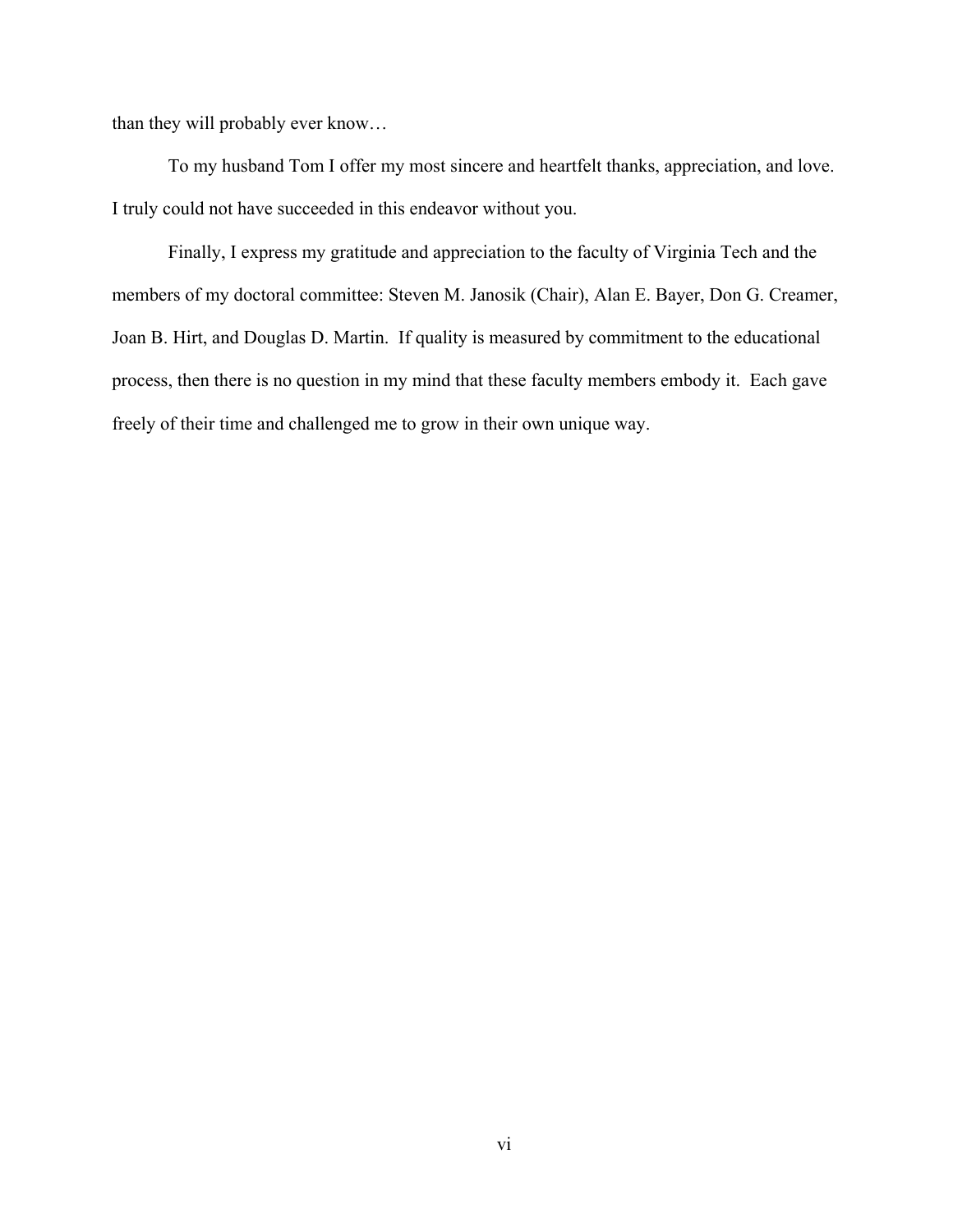than they will probably ever know…

To my husband Tom I offer my most sincere and heartfelt thanks, appreciation, and love. I truly could not have succeeded in this endeavor without you.

Finally, I express my gratitude and appreciation to the faculty of Virginia Tech and the members of my doctoral committee: Steven M. Janosik (Chair), Alan E. Bayer, Don G. Creamer, Joan B. Hirt, and Douglas D. Martin. If quality is measured by commitment to the educational process, then there is no question in my mind that these faculty members embody it. Each gave freely of their time and challenged me to grow in their own unique way.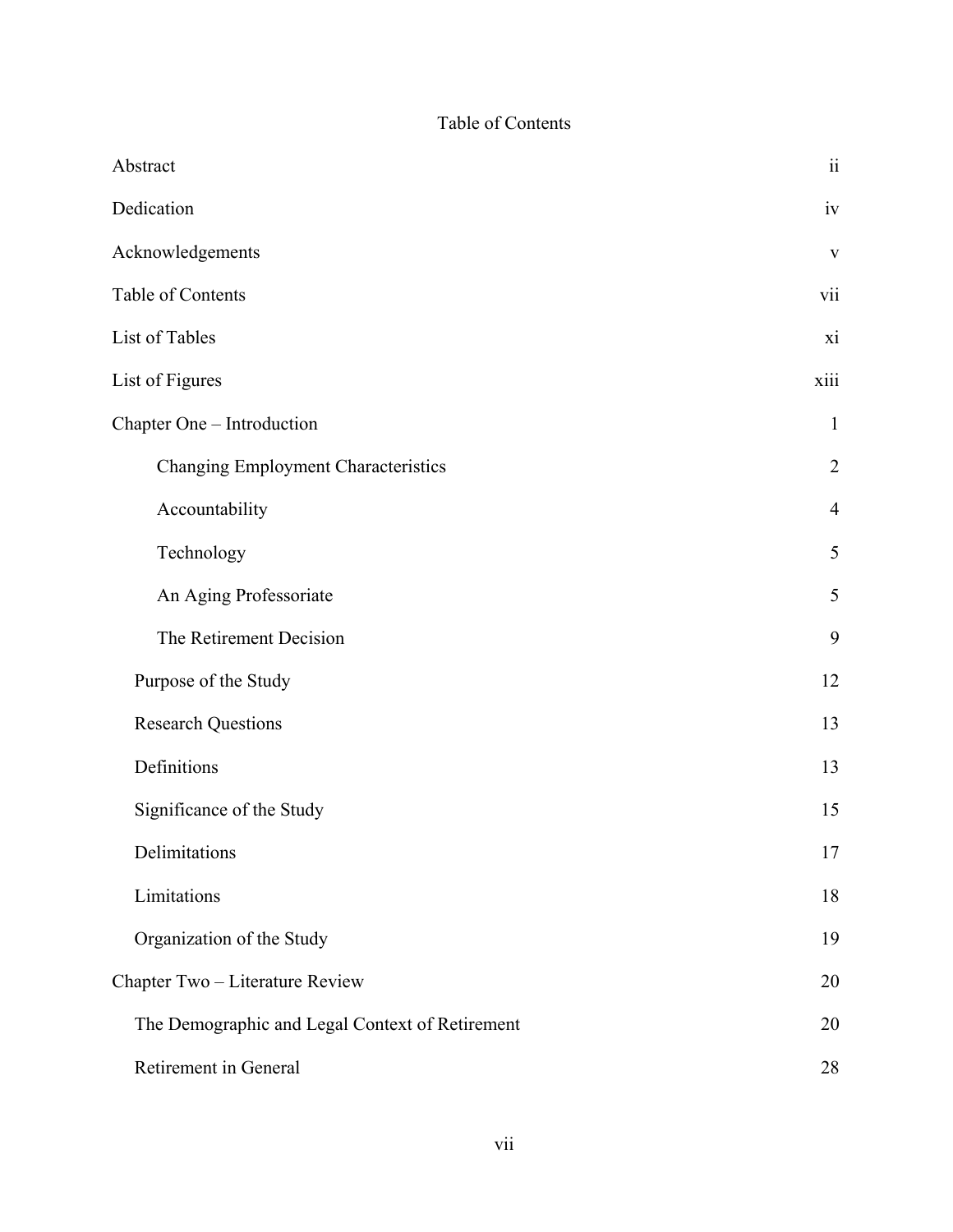# Table of Contents

<span id="page-6-0"></span>

| Abstract                                        | $\rm ii$       |
|-------------------------------------------------|----------------|
| Dedication                                      | iv             |
| Acknowledgements                                | $\mathbf{V}$   |
| Table of Contents                               | vii            |
| List of Tables                                  | xi             |
| List of Figures                                 | xiii           |
| Chapter One - Introduction                      | $\mathbf{1}$   |
| <b>Changing Employment Characteristics</b>      | $\overline{2}$ |
| Accountability                                  | $\overline{4}$ |
| Technology                                      | 5              |
| An Aging Professoriate                          | 5              |
| The Retirement Decision                         | 9              |
| Purpose of the Study                            | 12             |
| <b>Research Questions</b>                       | 13             |
| Definitions                                     | 13             |
| Significance of the Study                       | 15             |
| Delimitations                                   | 17             |
| Limitations                                     | 18             |
| Organization of the Study                       | 19             |
| Chapter Two - Literature Review                 | 20             |
| The Demographic and Legal Context of Retirement | 20             |
| Retirement in General                           | 28             |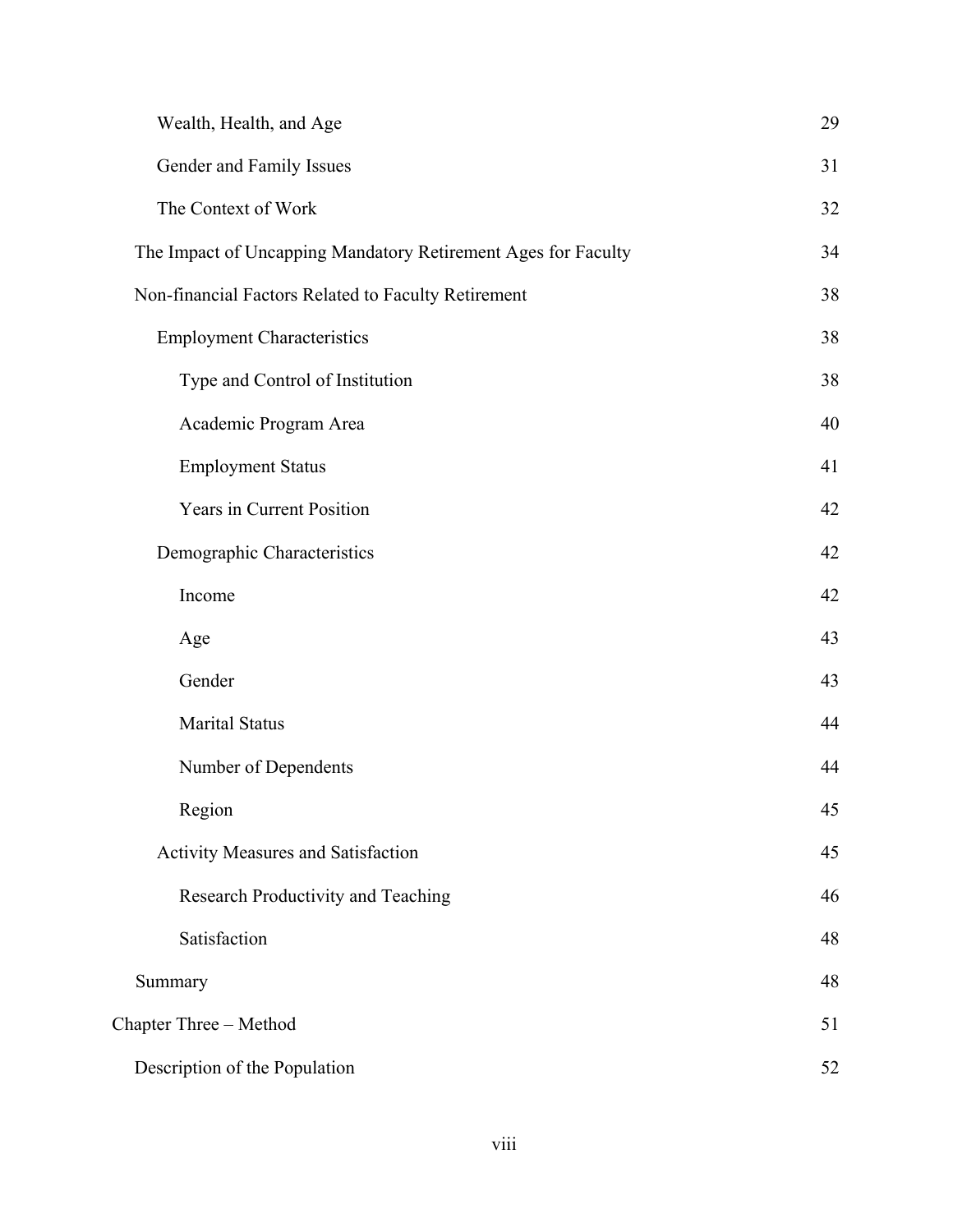| Wealth, Health, and Age                                       | 29 |
|---------------------------------------------------------------|----|
| Gender and Family Issues                                      | 31 |
| The Context of Work                                           | 32 |
| The Impact of Uncapping Mandatory Retirement Ages for Faculty | 34 |
| Non-financial Factors Related to Faculty Retirement           | 38 |
| <b>Employment Characteristics</b>                             | 38 |
| Type and Control of Institution                               | 38 |
| Academic Program Area                                         | 40 |
| <b>Employment Status</b>                                      | 41 |
| Years in Current Position                                     | 42 |
| Demographic Characteristics                                   | 42 |
| Income                                                        | 42 |
| Age                                                           | 43 |
| Gender                                                        | 43 |
| <b>Marital Status</b>                                         | 44 |
| Number of Dependents                                          | 44 |
| Region                                                        | 45 |
| Activity Measures and Satisfaction                            | 45 |
| Research Productivity and Teaching                            | 46 |
| Satisfaction                                                  | 48 |
| Summary                                                       | 48 |
| Chapter Three - Method                                        | 51 |
| Description of the Population                                 | 52 |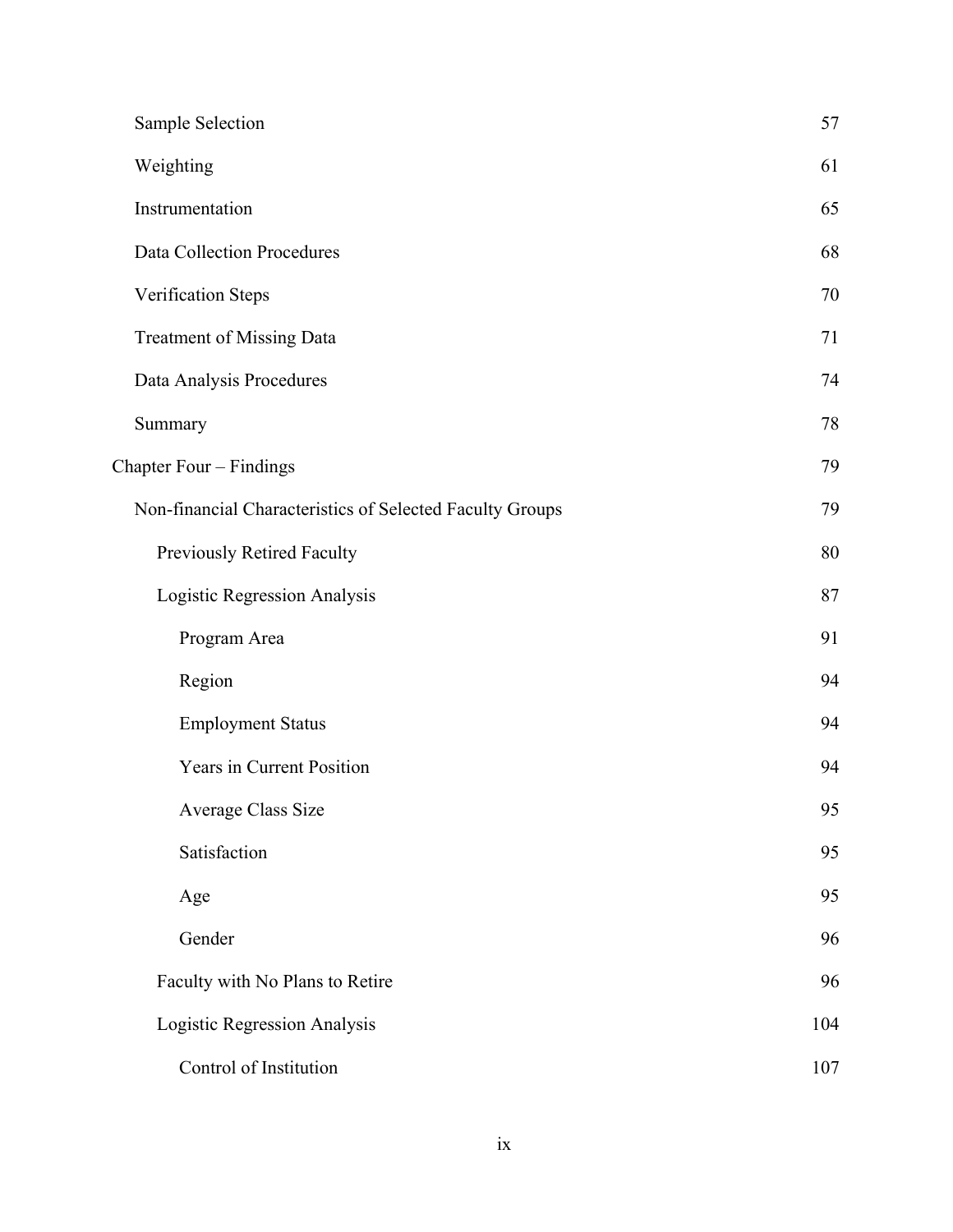| Sample Selection                                         | 57  |
|----------------------------------------------------------|-----|
| Weighting                                                | 61  |
| Instrumentation                                          | 65  |
| Data Collection Procedures                               | 68  |
| Verification Steps                                       | 70  |
| <b>Treatment of Missing Data</b>                         | 71  |
| Data Analysis Procedures                                 | 74  |
| Summary                                                  | 78  |
| Chapter Four - Findings                                  | 79  |
| Non-financial Characteristics of Selected Faculty Groups | 79  |
| Previously Retired Faculty                               | 80  |
| Logistic Regression Analysis                             | 87  |
| Program Area                                             | 91  |
| Region                                                   | 94  |
| <b>Employment Status</b>                                 | 94  |
| Years in Current Position                                | 94  |
| Average Class Size                                       | 95  |
| Satisfaction                                             | 95  |
| Age                                                      | 95  |
| Gender                                                   | 96  |
| Faculty with No Plans to Retire                          | 96  |
| Logistic Regression Analysis                             | 104 |
| Control of Institution                                   | 107 |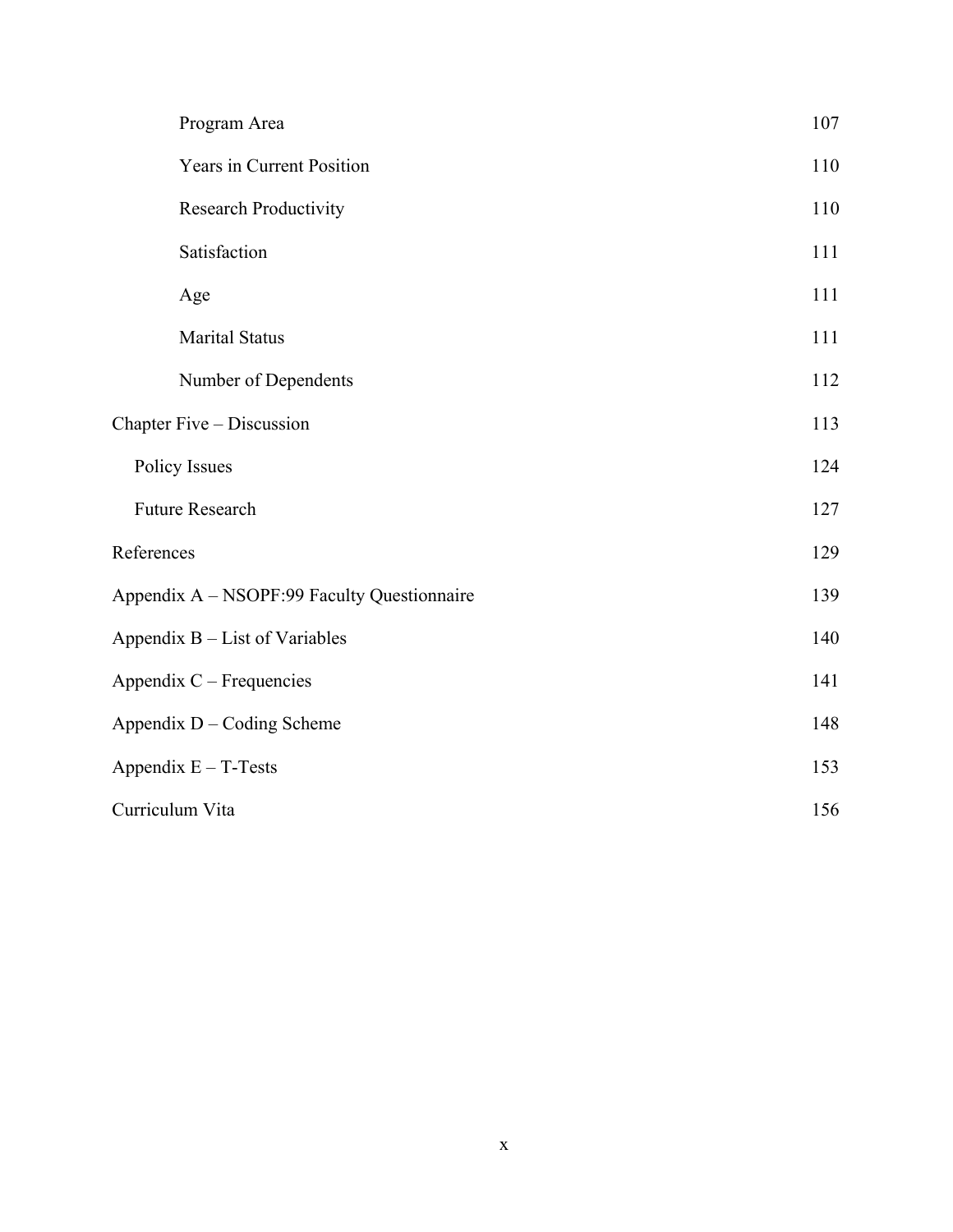|                            | Program Area                                | 107 |
|----------------------------|---------------------------------------------|-----|
|                            | Years in Current Position                   | 110 |
|                            | <b>Research Productivity</b>                | 110 |
|                            | Satisfaction                                | 111 |
|                            | Age                                         | 111 |
|                            | <b>Marital Status</b>                       | 111 |
|                            | Number of Dependents                        | 112 |
|                            | Chapter Five – Discussion                   | 113 |
|                            | <b>Policy Issues</b>                        | 124 |
|                            | Future Research                             | 127 |
| References                 |                                             | 129 |
|                            | Appendix A - NSOPF:99 Faculty Questionnaire | 139 |
|                            | Appendix B – List of Variables              |     |
| Appendix C – Frequencies   |                                             | 141 |
| Appendix D - Coding Scheme |                                             | 148 |
| Appendix $E - T$ -Tests    |                                             | 153 |
| Curriculum Vita            |                                             | 156 |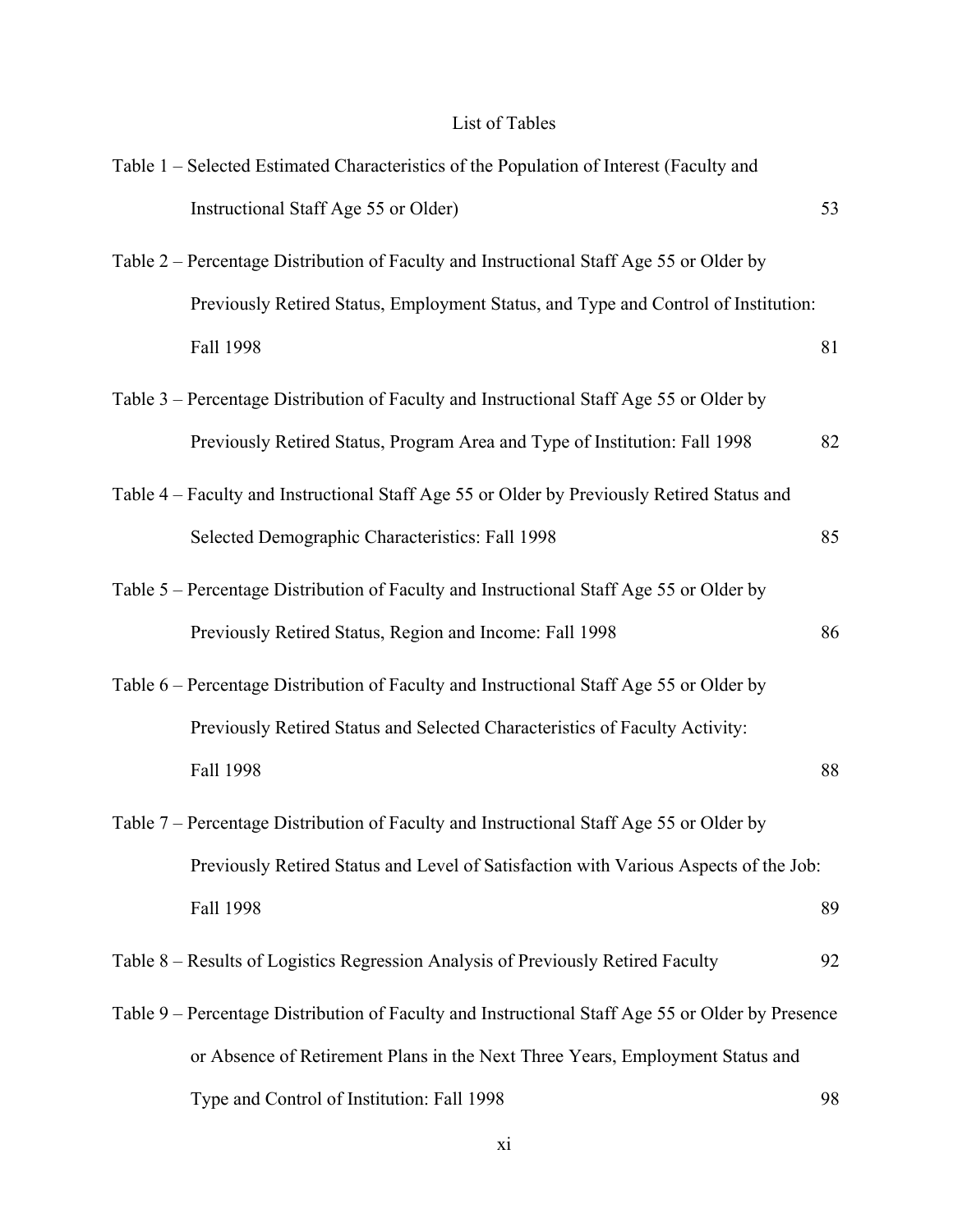# List of Tables

<span id="page-10-0"></span>

| Table 1 – Selected Estimated Characteristics of the Population of Interest (Faculty and          |    |
|--------------------------------------------------------------------------------------------------|----|
| Instructional Staff Age 55 or Older)                                                             | 53 |
| Table 2 - Percentage Distribution of Faculty and Instructional Staff Age 55 or Older by          |    |
| Previously Retired Status, Employment Status, and Type and Control of Institution:               |    |
| Fall 1998                                                                                        | 81 |
| Table 3 – Percentage Distribution of Faculty and Instructional Staff Age 55 or Older by          |    |
| Previously Retired Status, Program Area and Type of Institution: Fall 1998                       | 82 |
| Table 4 – Faculty and Instructional Staff Age 55 or Older by Previously Retired Status and       |    |
| Selected Demographic Characteristics: Fall 1998                                                  | 85 |
| Table 5 – Percentage Distribution of Faculty and Instructional Staff Age 55 or Older by          |    |
| Previously Retired Status, Region and Income: Fall 1998                                          | 86 |
| Table 6 – Percentage Distribution of Faculty and Instructional Staff Age 55 or Older by          |    |
| Previously Retired Status and Selected Characteristics of Faculty Activity:                      |    |
| Fall 1998                                                                                        | 88 |
| Table 7 – Percentage Distribution of Faculty and Instructional Staff Age 55 or Older by          |    |
| Previously Retired Status and Level of Satisfaction with Various Aspects of the Job:             |    |
| Fall 1998                                                                                        | 89 |
| Table 8 – Results of Logistics Regression Analysis of Previously Retired Faculty                 | 92 |
| Table 9 – Percentage Distribution of Faculty and Instructional Staff Age 55 or Older by Presence |    |
| or Absence of Retirement Plans in the Next Three Years, Employment Status and                    |    |
| Type and Control of Institution: Fall 1998                                                       | 98 |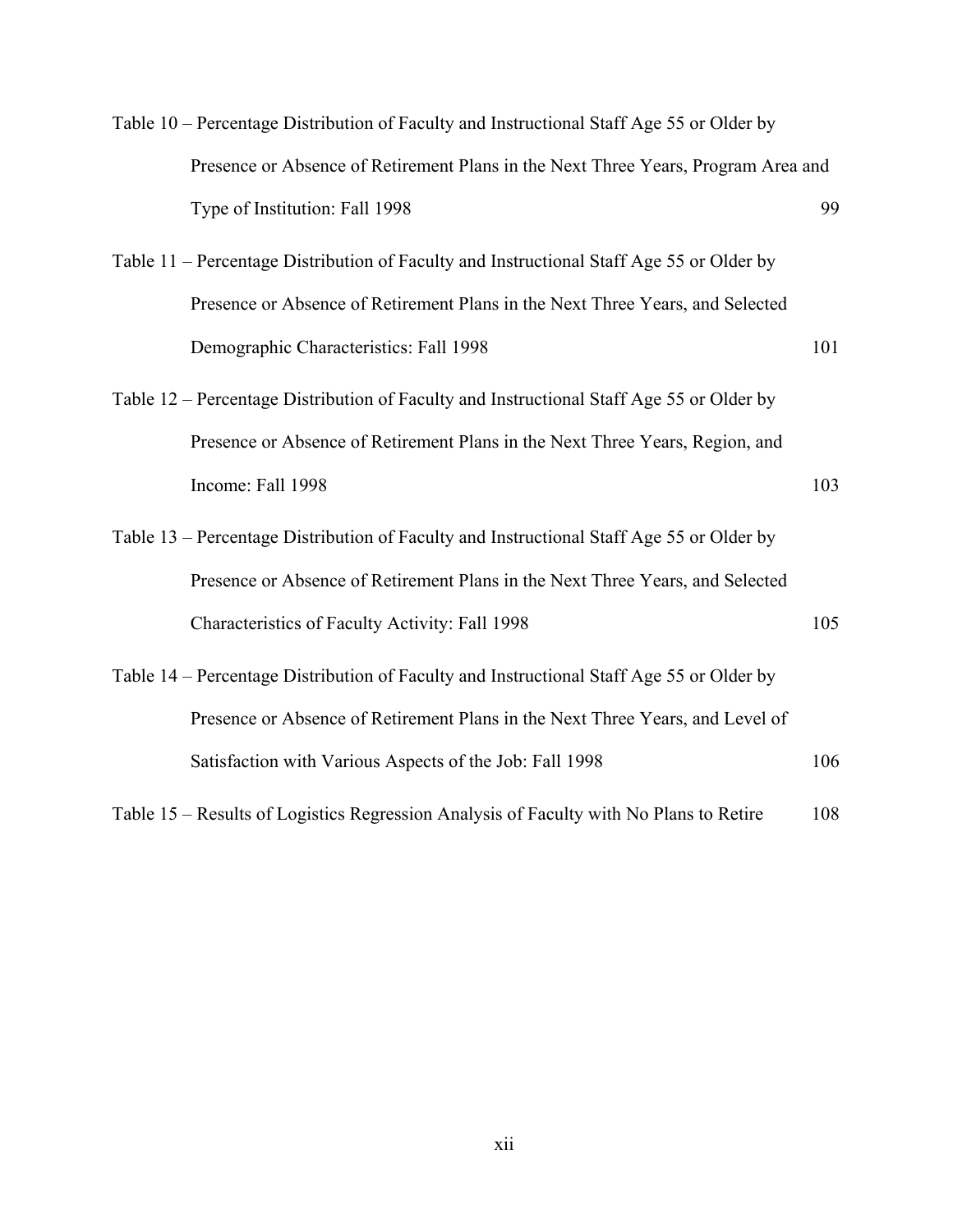| Table 10 – Percentage Distribution of Faculty and Instructional Staff Age 55 or Older by |     |
|------------------------------------------------------------------------------------------|-----|
| Presence or Absence of Retirement Plans in the Next Three Years, Program Area and        |     |
| Type of Institution: Fall 1998                                                           | 99  |
| Table 11 – Percentage Distribution of Faculty and Instructional Staff Age 55 or Older by |     |
| Presence or Absence of Retirement Plans in the Next Three Years, and Selected            |     |
| Demographic Characteristics: Fall 1998                                                   | 101 |
| Table 12 – Percentage Distribution of Faculty and Instructional Staff Age 55 or Older by |     |
| Presence or Absence of Retirement Plans in the Next Three Years, Region, and             |     |
| Income: Fall 1998                                                                        | 103 |
| Table 13 – Percentage Distribution of Faculty and Instructional Staff Age 55 or Older by |     |
| Presence or Absence of Retirement Plans in the Next Three Years, and Selected            |     |
| Characteristics of Faculty Activity: Fall 1998                                           | 105 |
| Table 14 – Percentage Distribution of Faculty and Instructional Staff Age 55 or Older by |     |
| Presence or Absence of Retirement Plans in the Next Three Years, and Level of            |     |
| Satisfaction with Various Aspects of the Job: Fall 1998                                  | 106 |
| Table 15 – Results of Logistics Regression Analysis of Faculty with No Plans to Retire   | 108 |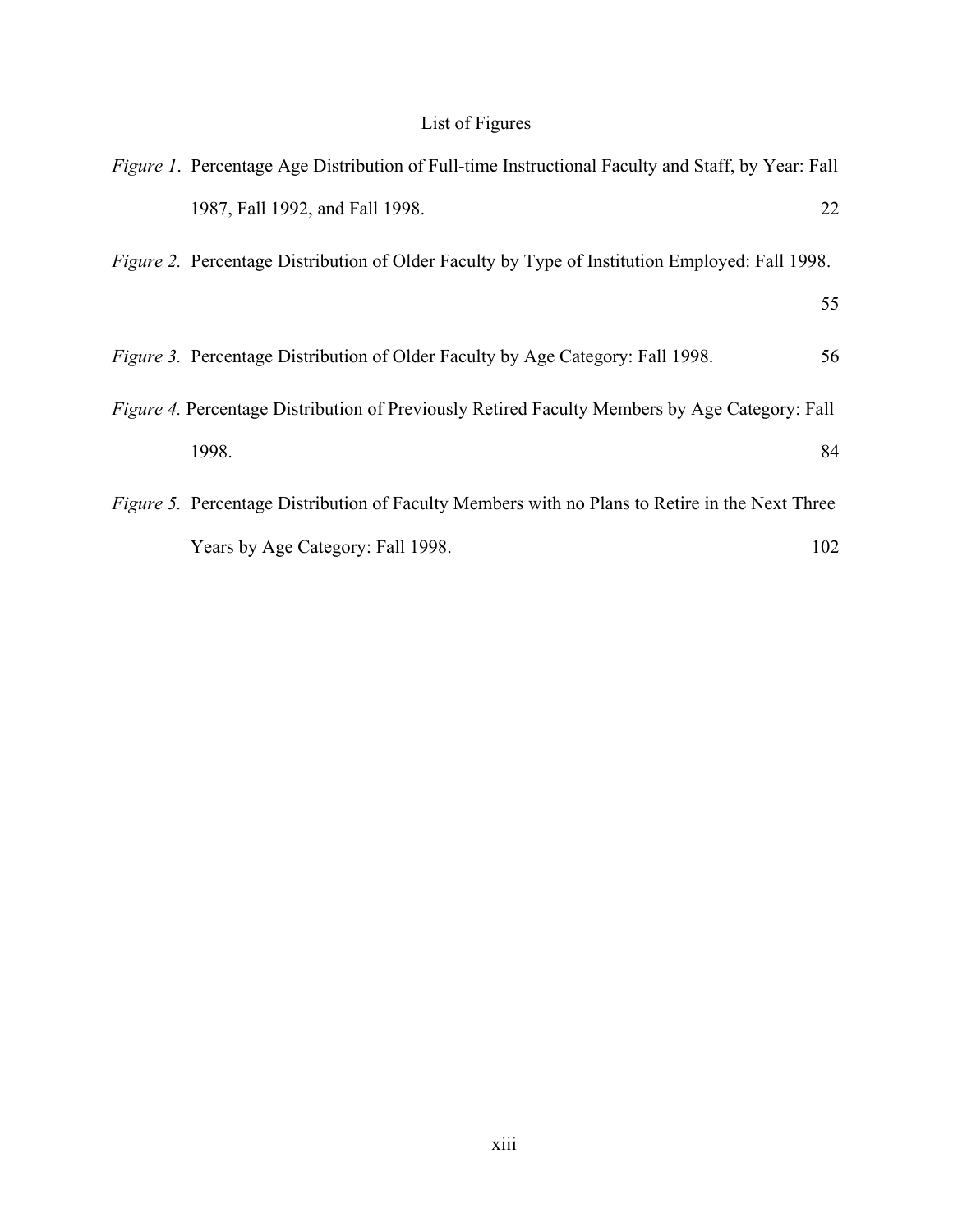# List of Figures

<span id="page-12-0"></span>

| <i>Figure 1.</i> Percentage Age Distribution of Full-time Instructional Faculty and Staff, by Year: Fall |     |
|----------------------------------------------------------------------------------------------------------|-----|
| 1987, Fall 1992, and Fall 1998.                                                                          | 22  |
| Figure 2. Percentage Distribution of Older Faculty by Type of Institution Employed: Fall 1998.           |     |
|                                                                                                          | 55  |
| <i>Figure 3.</i> Percentage Distribution of Older Faculty by Age Category: Fall 1998.                    | 56  |
| Figure 4. Percentage Distribution of Previously Retired Faculty Members by Age Category: Fall            |     |
| 1998.                                                                                                    | 84  |
| <i>Figure 5.</i> Percentage Distribution of Faculty Members with no Plans to Retire in the Next Three    |     |
| Years by Age Category: Fall 1998.                                                                        | 102 |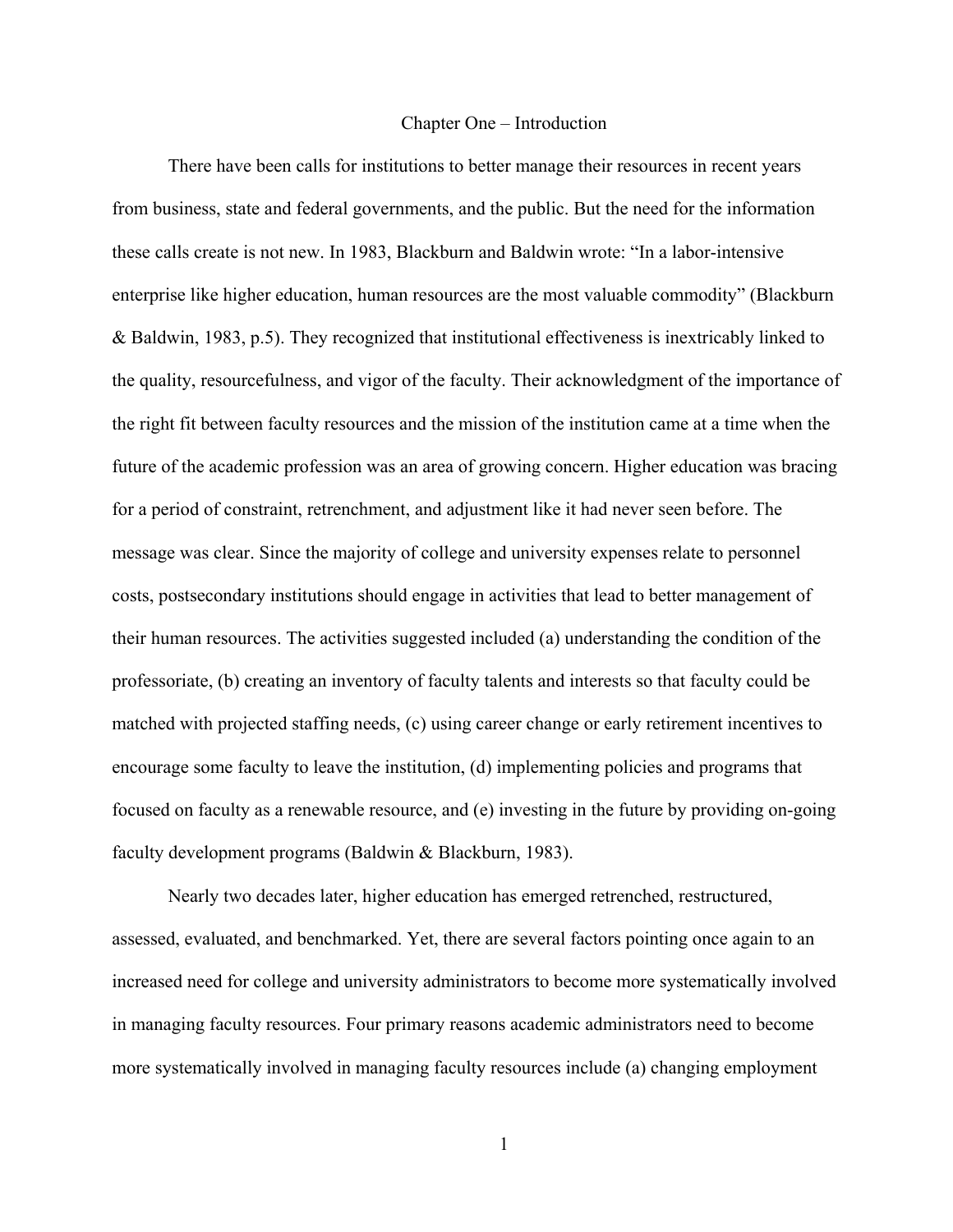#### Chapter One – Introduction

<span id="page-13-0"></span>There have been calls for institutions to better manage their resources in recent years from business, state and federal governments, and the public. But the need for the information these calls create is not new. In 1983, Blackburn and Baldwin wrote: "In a labor-intensive enterprise like higher education, human resources are the most valuable commodity" (Blackburn & Baldwin, 1983, p.5). They recognized that institutional effectiveness is inextricably linked to the quality, resourcefulness, and vigor of the faculty. Their acknowledgment of the importance of the right fit between faculty resources and the mission of the institution came at a time when the future of the academic profession was an area of growing concern. Higher education was bracing for a period of constraint, retrenchment, and adjustment like it had never seen before. The message was clear. Since the majority of college and university expenses relate to personnel costs, postsecondary institutions should engage in activities that lead to better management of their human resources. The activities suggested included (a) understanding the condition of the professoriate, (b) creating an inventory of faculty talents and interests so that faculty could be matched with projected staffing needs, (c) using career change or early retirement incentives to encourage some faculty to leave the institution, (d) implementing policies and programs that focused on faculty as a renewable resource, and (e) investing in the future by providing on-going faculty development programs (Baldwin & Blackburn, 1983).

Nearly two decades later, higher education has emerged retrenched, restructured, assessed, evaluated, and benchmarked. Yet, there are several factors pointing once again to an increased need for college and university administrators to become more systematically involved in managing faculty resources. Four primary reasons academic administrators need to become more systematically involved in managing faculty resources include (a) changing employment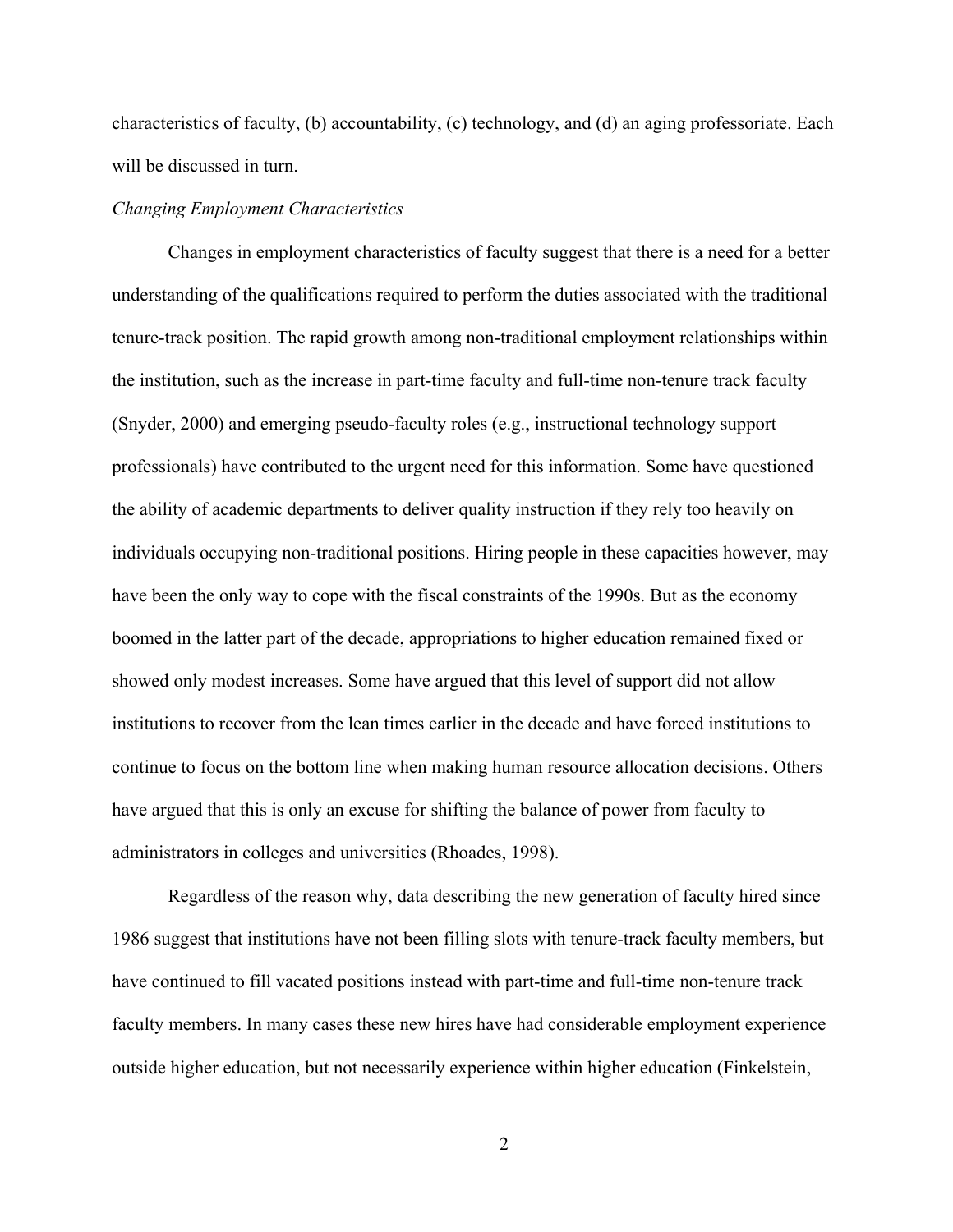<span id="page-14-0"></span>characteristics of faculty, (b) accountability, (c) technology, and (d) an aging professoriate. Each will be discussed in turn.

# *Changing Employment Characteristics*

Changes in employment characteristics of faculty suggest that there is a need for a better understanding of the qualifications required to perform the duties associated with the traditional tenure-track position. The rapid growth among non-traditional employment relationships within the institution, such as the increase in part-time faculty and full-time non-tenure track faculty (Snyder, 2000) and emerging pseudo-faculty roles (e.g., instructional technology support professionals) have contributed to the urgent need for this information. Some have questioned the ability of academic departments to deliver quality instruction if they rely too heavily on individuals occupying non-traditional positions. Hiring people in these capacities however, may have been the only way to cope with the fiscal constraints of the 1990s. But as the economy boomed in the latter part of the decade, appropriations to higher education remained fixed or showed only modest increases. Some have argued that this level of support did not allow institutions to recover from the lean times earlier in the decade and have forced institutions to continue to focus on the bottom line when making human resource allocation decisions. Others have argued that this is only an excuse for shifting the balance of power from faculty to administrators in colleges and universities (Rhoades, 1998).

Regardless of the reason why, data describing the new generation of faculty hired since 1986 suggest that institutions have not been filling slots with tenure-track faculty members, but have continued to fill vacated positions instead with part-time and full-time non-tenure track faculty members. In many cases these new hires have had considerable employment experience outside higher education, but not necessarily experience within higher education (Finkelstein,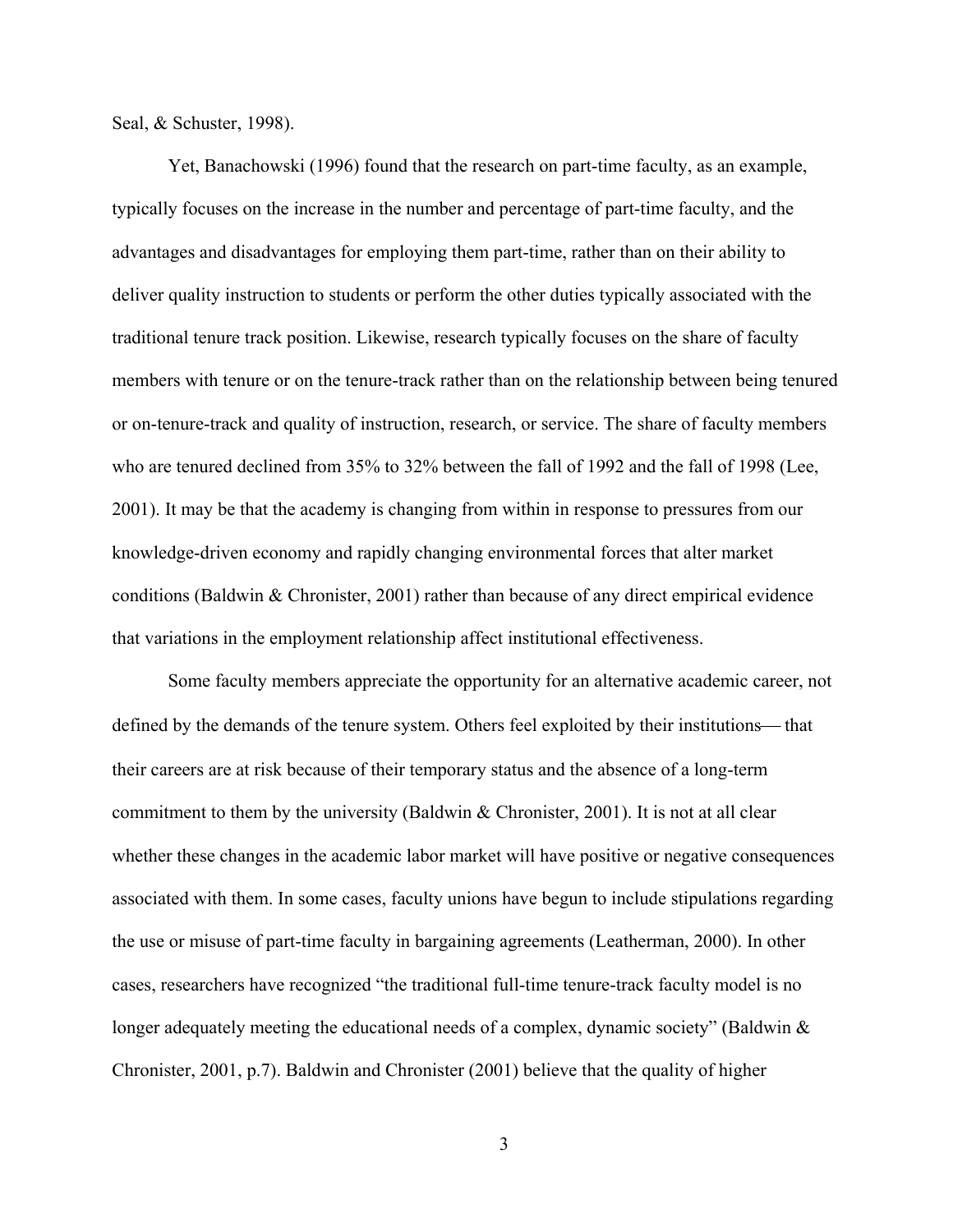Seal, & Schuster, 1998).

Yet, Banachowski (1996) found that the research on part-time faculty, as an example, typically focuses on the increase in the number and percentage of part-time faculty, and the advantages and disadvantages for employing them part-time, rather than on their ability to deliver quality instruction to students or perform the other duties typically associated with the traditional tenure track position. Likewise, research typically focuses on the share of faculty members with tenure or on the tenure-track rather than on the relationship between being tenured or on-tenure-track and quality of instruction, research, or service. The share of faculty members who are tenured declined from 35% to 32% between the fall of 1992 and the fall of 1998 (Lee, 2001). It may be that the academy is changing from within in response to pressures from our knowledge-driven economy and rapidly changing environmental forces that alter market conditions (Baldwin & Chronister, 2001) rather than because of any direct empirical evidence that variations in the employment relationship affect institutional effectiveness.

Some faculty members appreciate the opportunity for an alternative academic career, not defined by the demands of the tenure system. Others feel exploited by their institutions— that their careers are at risk because of their temporary status and the absence of a long-term commitment to them by the university (Baldwin & Chronister, 2001). It is not at all clear whether these changes in the academic labor market will have positive or negative consequences associated with them. In some cases, faculty unions have begun to include stipulations regarding the use or misuse of part-time faculty in bargaining agreements (Leatherman, 2000). In other cases, researchers have recognized "the traditional full-time tenure-track faculty model is no longer adequately meeting the educational needs of a complex, dynamic society" (Baldwin & Chronister, 2001, p.7). Baldwin and Chronister (2001) believe that the quality of higher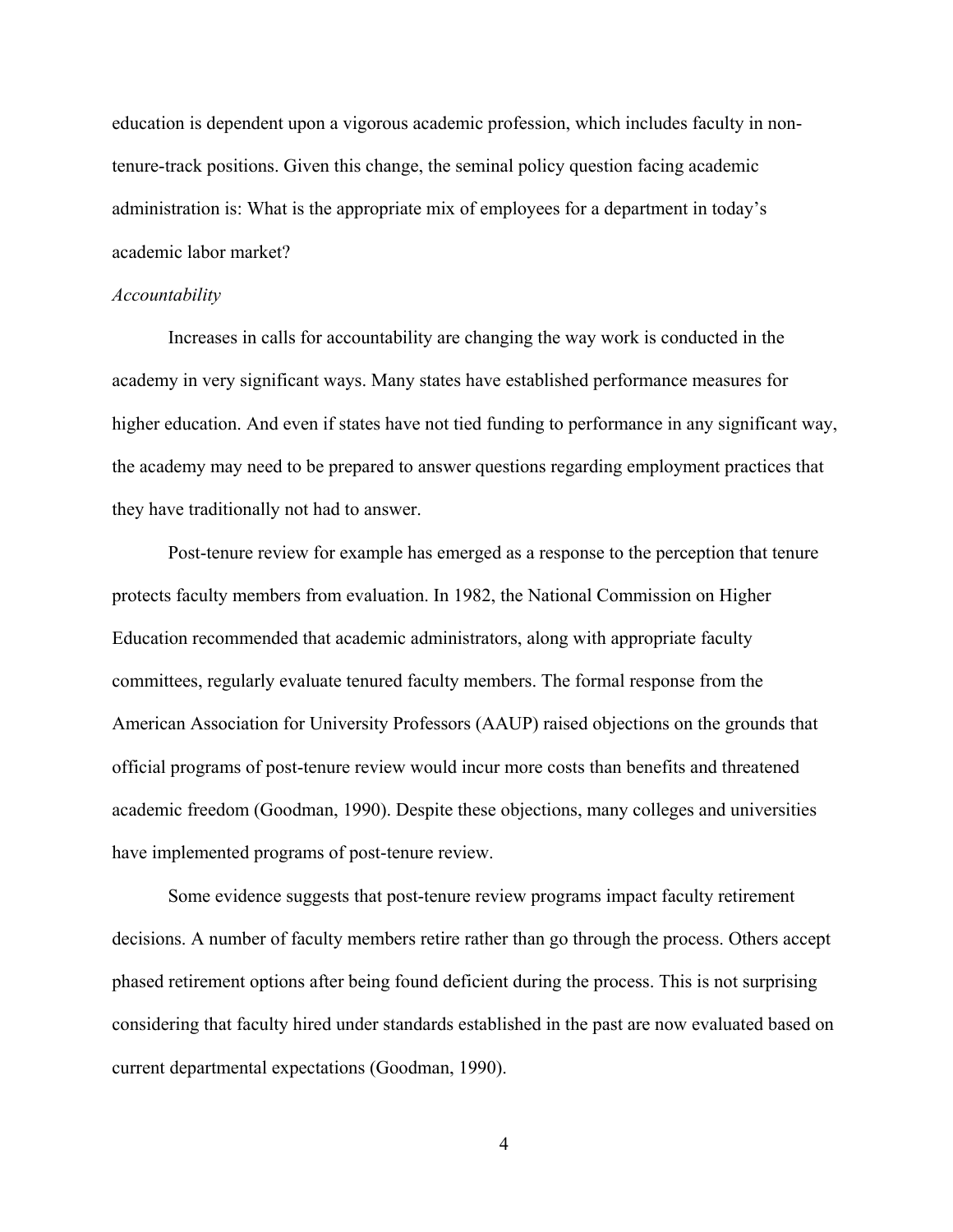<span id="page-16-0"></span>education is dependent upon a vigorous academic profession, which includes faculty in nontenure-track positions. Given this change, the seminal policy question facing academic administration is: What is the appropriate mix of employees for a department in today's academic labor market?

### *Accountability*

Increases in calls for accountability are changing the way work is conducted in the academy in very significant ways. Many states have established performance measures for higher education. And even if states have not tied funding to performance in any significant way, the academy may need to be prepared to answer questions regarding employment practices that they have traditionally not had to answer.

Post-tenure review for example has emerged as a response to the perception that tenure protects faculty members from evaluation. In 1982, the National Commission on Higher Education recommended that academic administrators, along with appropriate faculty committees, regularly evaluate tenured faculty members. The formal response from the American Association for University Professors (AAUP) raised objections on the grounds that official programs of post-tenure review would incur more costs than benefits and threatened academic freedom (Goodman, 1990). Despite these objections, many colleges and universities have implemented programs of post-tenure review.

Some evidence suggests that post-tenure review programs impact faculty retirement decisions. A number of faculty members retire rather than go through the process. Others accept phased retirement options after being found deficient during the process. This is not surprising considering that faculty hired under standards established in the past are now evaluated based on current departmental expectations (Goodman, 1990).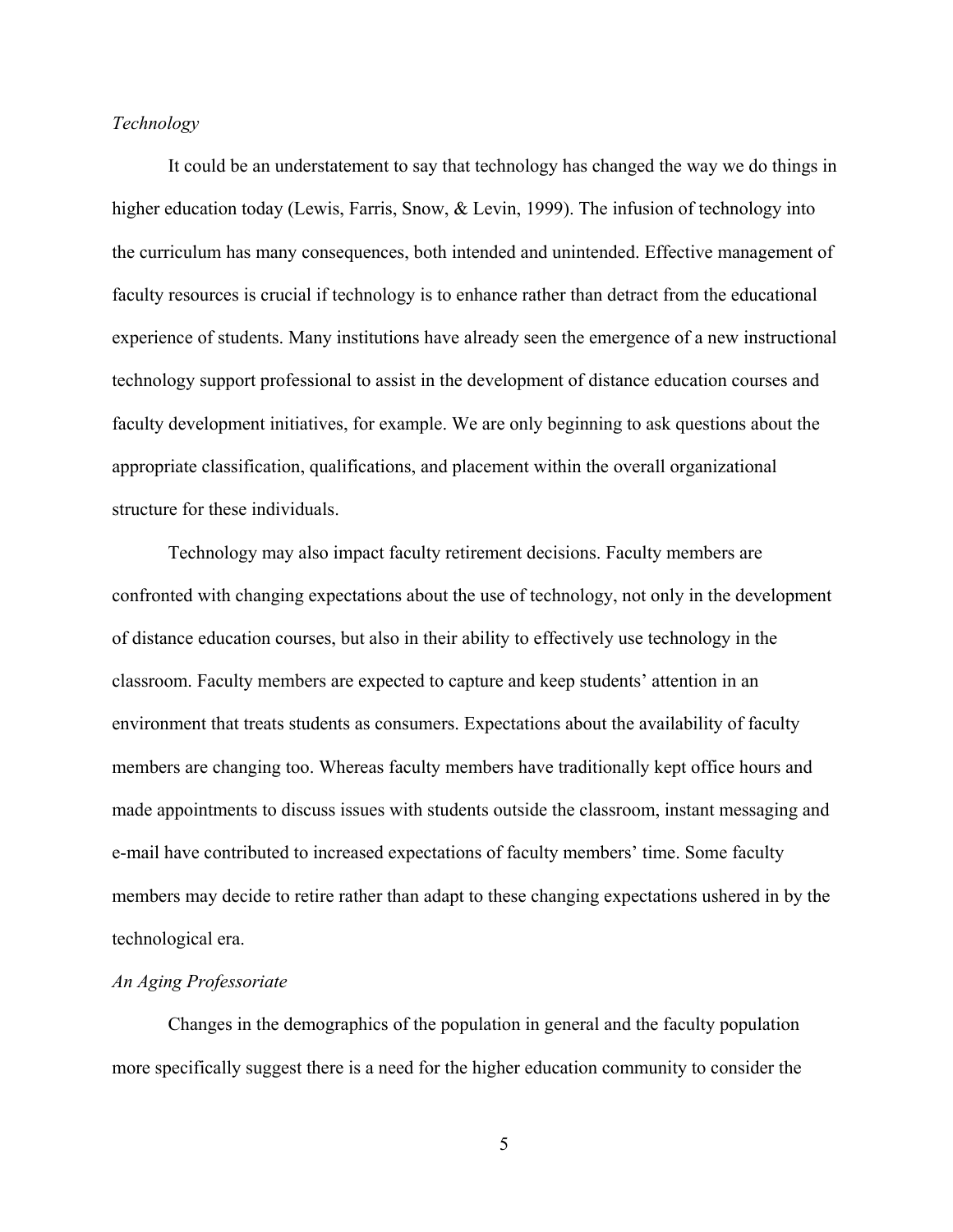# <span id="page-17-0"></span>*Technology*

It could be an understatement to say that technology has changed the way we do things in higher education today (Lewis, Farris, Snow, & Levin, 1999). The infusion of technology into the curriculum has many consequences, both intended and unintended. Effective management of faculty resources is crucial if technology is to enhance rather than detract from the educational experience of students. Many institutions have already seen the emergence of a new instructional technology support professional to assist in the development of distance education courses and faculty development initiatives, for example. We are only beginning to ask questions about the appropriate classification, qualifications, and placement within the overall organizational structure for these individuals.

Technology may also impact faculty retirement decisions. Faculty members are confronted with changing expectations about the use of technology, not only in the development of distance education courses, but also in their ability to effectively use technology in the classroom. Faculty members are expected to capture and keep students' attention in an environment that treats students as consumers. Expectations about the availability of faculty members are changing too. Whereas faculty members have traditionally kept office hours and made appointments to discuss issues with students outside the classroom, instant messaging and e-mail have contributed to increased expectations of faculty members' time. Some faculty members may decide to retire rather than adapt to these changing expectations ushered in by the technological era.

# *An Aging Professoriate*

Changes in the demographics of the population in general and the faculty population more specifically suggest there is a need for the higher education community to consider the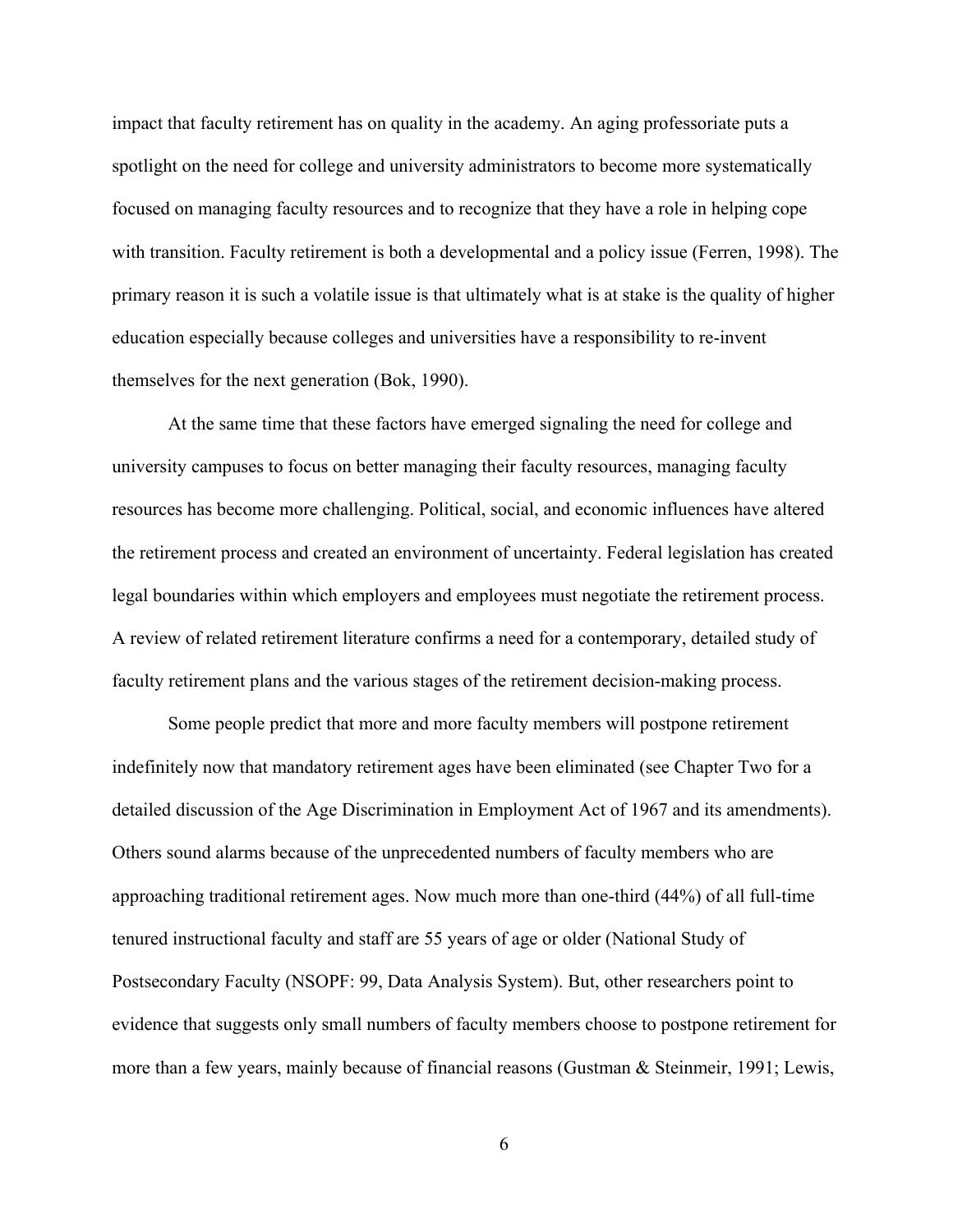impact that faculty retirement has on quality in the academy. An aging professoriate puts a spotlight on the need for college and university administrators to become more systematically focused on managing faculty resources and to recognize that they have a role in helping cope with transition. Faculty retirement is both a developmental and a policy issue (Ferren, 1998). The primary reason it is such a volatile issue is that ultimately what is at stake is the quality of higher education especially because colleges and universities have a responsibility to re-invent themselves for the next generation (Bok, 1990).

At the same time that these factors have emerged signaling the need for college and university campuses to focus on better managing their faculty resources, managing faculty resources has become more challenging. Political, social, and economic influences have altered the retirement process and created an environment of uncertainty. Federal legislation has created legal boundaries within which employers and employees must negotiate the retirement process. A review of related retirement literature confirms a need for a contemporary, detailed study of faculty retirement plans and the various stages of the retirement decision-making process.

Some people predict that more and more faculty members will postpone retirement indefinitely now that mandatory retirement ages have been eliminated (see Chapter Two for a detailed discussion of the Age Discrimination in Employment Act of 1967 and its amendments). Others sound alarms because of the unprecedented numbers of faculty members who are approaching traditional retirement ages. Now much more than one-third (44%) of all full-time tenured instructional faculty and staff are 55 years of age or older (National Study of Postsecondary Faculty (NSOPF: 99, Data Analysis System). But, other researchers point to evidence that suggests only small numbers of faculty members choose to postpone retirement for more than a few years, mainly because of financial reasons (Gustman & Steinmeir, 1991; Lewis,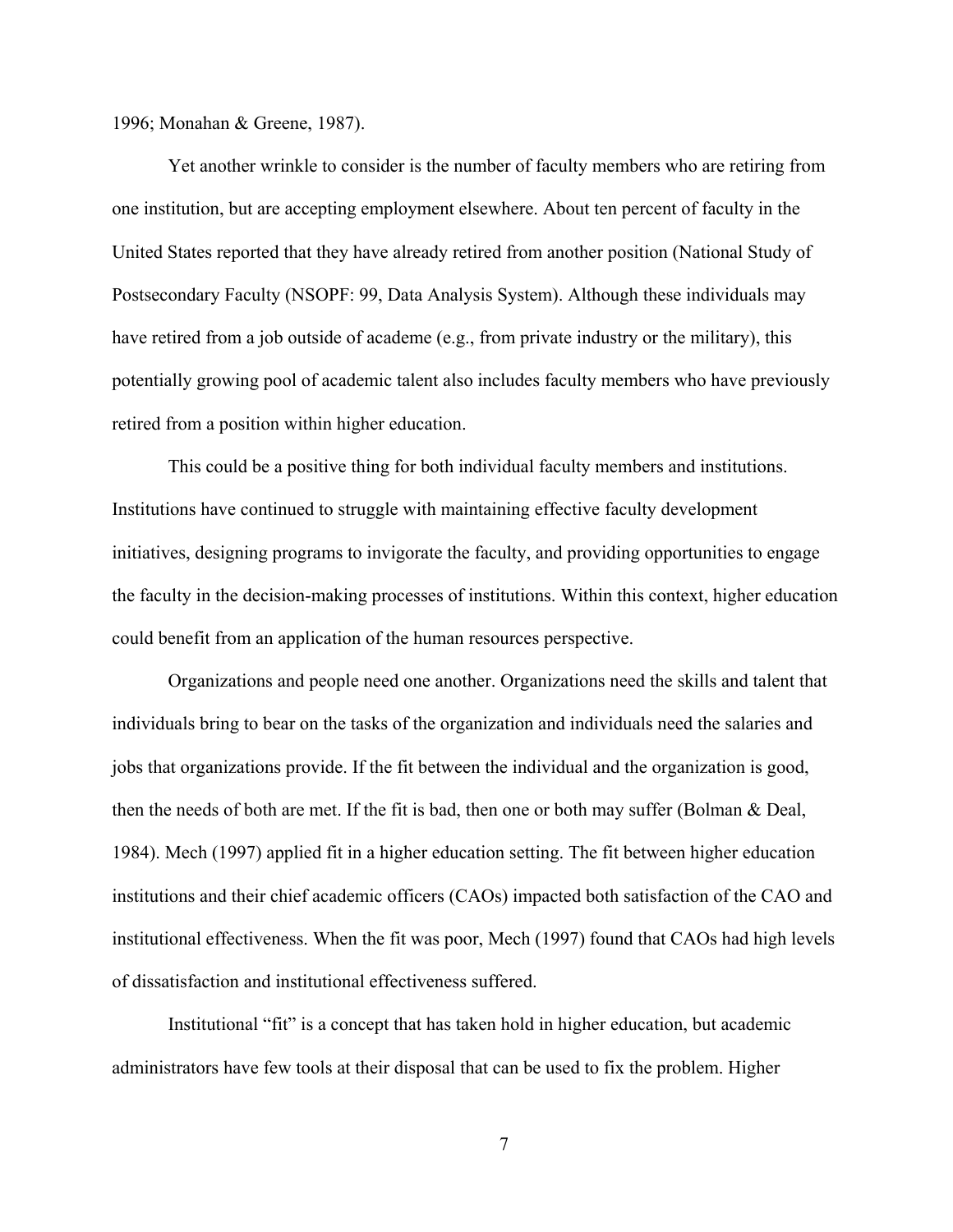1996; Monahan & Greene, 1987).

Yet another wrinkle to consider is the number of faculty members who are retiring from one institution, but are accepting employment elsewhere. About ten percent of faculty in the United States reported that they have already retired from another position (National Study of Postsecondary Faculty (NSOPF: 99, Data Analysis System). Although these individuals may have retired from a job outside of academe (e.g., from private industry or the military), this potentially growing pool of academic talent also includes faculty members who have previously retired from a position within higher education.

This could be a positive thing for both individual faculty members and institutions. Institutions have continued to struggle with maintaining effective faculty development initiatives, designing programs to invigorate the faculty, and providing opportunities to engage the faculty in the decision-making processes of institutions. Within this context, higher education could benefit from an application of the human resources perspective.

Organizations and people need one another. Organizations need the skills and talent that individuals bring to bear on the tasks of the organization and individuals need the salaries and jobs that organizations provide. If the fit between the individual and the organization is good, then the needs of both are met. If the fit is bad, then one or both may suffer (Bolman & Deal, 1984). Mech (1997) applied fit in a higher education setting. The fit between higher education institutions and their chief academic officers (CAOs) impacted both satisfaction of the CAO and institutional effectiveness. When the fit was poor, Mech (1997) found that CAOs had high levels of dissatisfaction and institutional effectiveness suffered.

Institutional "fit" is a concept that has taken hold in higher education, but academic administrators have few tools at their disposal that can be used to fix the problem. Higher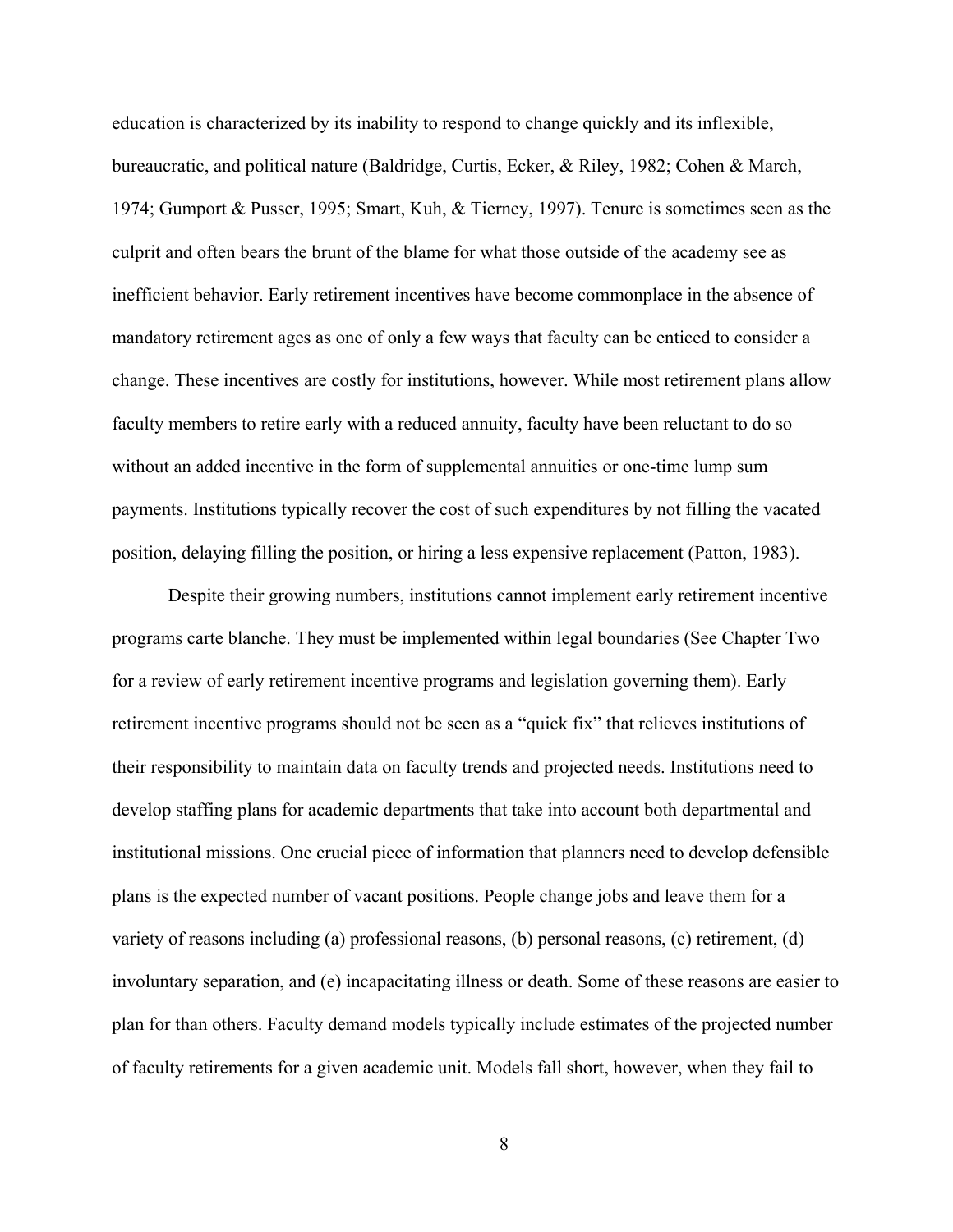education is characterized by its inability to respond to change quickly and its inflexible, bureaucratic, and political nature (Baldridge, Curtis, Ecker, & Riley, 1982; Cohen & March, 1974; Gumport & Pusser, 1995; Smart, Kuh, & Tierney, 1997). Tenure is sometimes seen as the culprit and often bears the brunt of the blame for what those outside of the academy see as inefficient behavior. Early retirement incentives have become commonplace in the absence of mandatory retirement ages as one of only a few ways that faculty can be enticed to consider a change. These incentives are costly for institutions, however. While most retirement plans allow faculty members to retire early with a reduced annuity, faculty have been reluctant to do so without an added incentive in the form of supplemental annuities or one-time lump sum payments. Institutions typically recover the cost of such expenditures by not filling the vacated position, delaying filling the position, or hiring a less expensive replacement (Patton, 1983).

Despite their growing numbers, institutions cannot implement early retirement incentive programs carte blanche. They must be implemented within legal boundaries (See Chapter Two for a review of early retirement incentive programs and legislation governing them). Early retirement incentive programs should not be seen as a "quick fix" that relieves institutions of their responsibility to maintain data on faculty trends and projected needs. Institutions need to develop staffing plans for academic departments that take into account both departmental and institutional missions. One crucial piece of information that planners need to develop defensible plans is the expected number of vacant positions. People change jobs and leave them for a variety of reasons including (a) professional reasons, (b) personal reasons, (c) retirement, (d) involuntary separation, and (e) incapacitating illness or death. Some of these reasons are easier to plan for than others. Faculty demand models typically include estimates of the projected number of faculty retirements for a given academic unit. Models fall short, however, when they fail to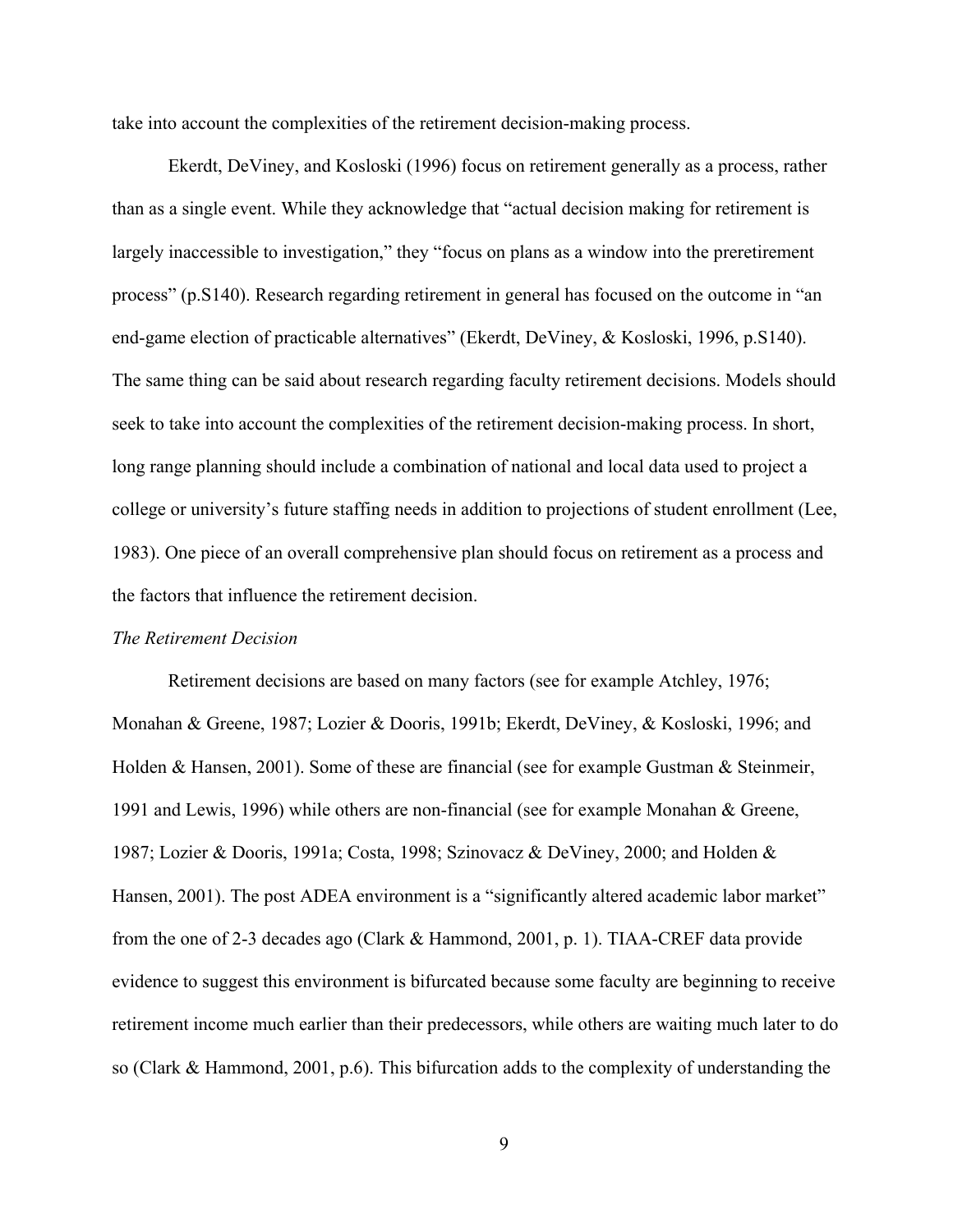<span id="page-21-0"></span>take into account the complexities of the retirement decision-making process.

Ekerdt, DeViney, and Kosloski (1996) focus on retirement generally as a process, rather than as a single event. While they acknowledge that "actual decision making for retirement is largely inaccessible to investigation," they "focus on plans as a window into the preretirement process" (p.S140). Research regarding retirement in general has focused on the outcome in "an end-game election of practicable alternatives" (Ekerdt, DeViney, & Kosloski, 1996, p.S140). The same thing can be said about research regarding faculty retirement decisions. Models should seek to take into account the complexities of the retirement decision-making process. In short, long range planning should include a combination of national and local data used to project a college or university's future staffing needs in addition to projections of student enrollment (Lee, 1983). One piece of an overall comprehensive plan should focus on retirement as a process and the factors that influence the retirement decision.

#### *The Retirement Decision*

Retirement decisions are based on many factors (see for example Atchley, 1976; Monahan & Greene, 1987; Lozier & Dooris, 1991b; Ekerdt, DeViney, & Kosloski, 1996; and Holden & Hansen, 2001). Some of these are financial (see for example Gustman & Steinmeir, 1991 and Lewis, 1996) while others are non-financial (see for example Monahan & Greene, 1987; Lozier & Dooris, 1991a; Costa, 1998; Szinovacz & DeViney, 2000; and Holden & Hansen, 2001). The post ADEA environment is a "significantly altered academic labor market" from the one of 2-3 decades ago (Clark & Hammond, 2001, p. 1). TIAA-CREF data provide evidence to suggest this environment is bifurcated because some faculty are beginning to receive retirement income much earlier than their predecessors, while others are waiting much later to do so (Clark & Hammond, 2001, p.6). This bifurcation adds to the complexity of understanding the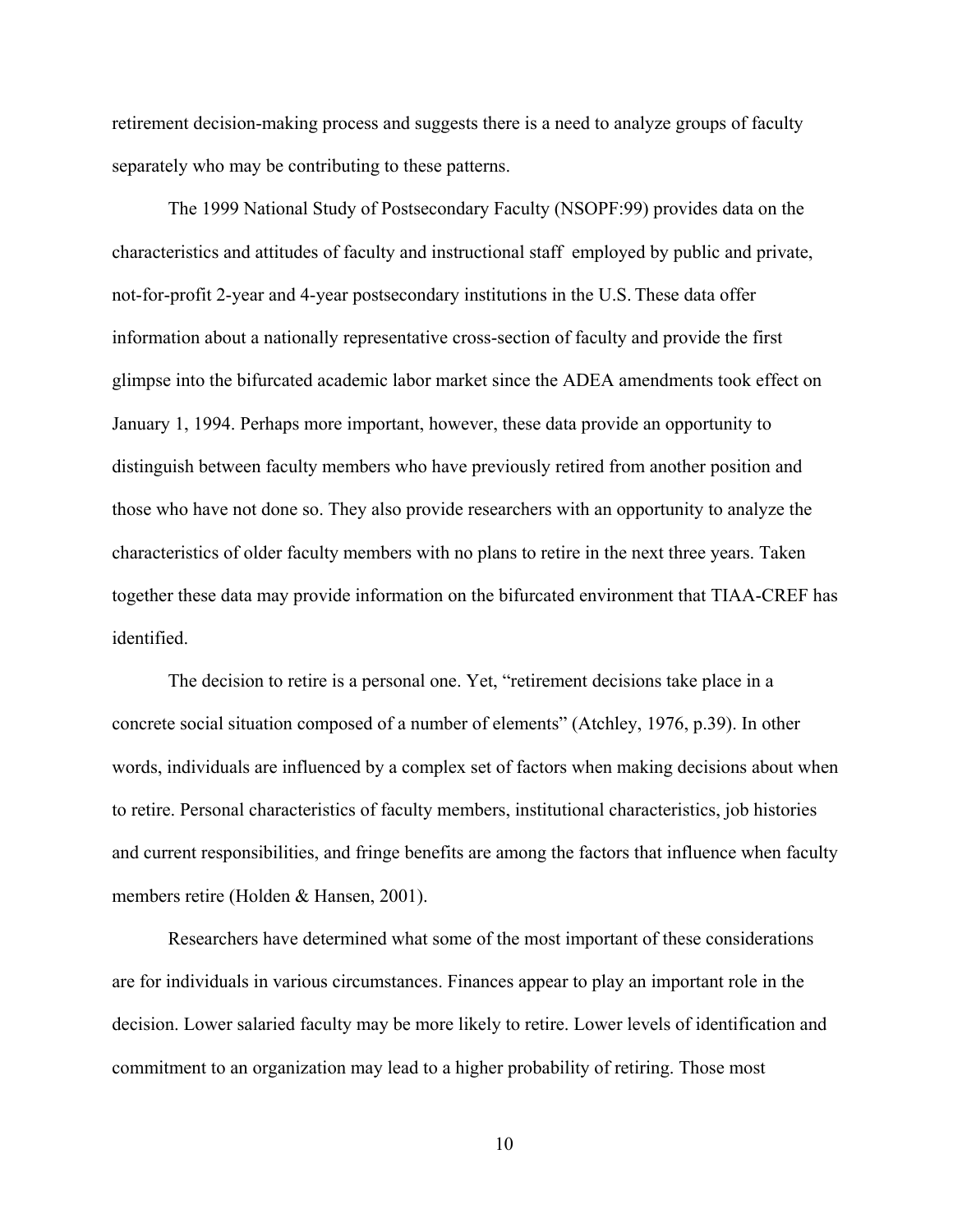retirement decision-making process and suggests there is a need to analyze groups of faculty separately who may be contributing to these patterns.

The 1999 National Study of Postsecondary Faculty (NSOPF:99) provides data on the characteristics and attitudes of faculty and instructional staff employed by public and private, not-for-profit 2-year and 4-year postsecondary institutions in the U.S. These data offer information about a nationally representative cross-section of faculty and provide the first glimpse into the bifurcated academic labor market since the ADEA amendments took effect on January 1, 1994. Perhaps more important, however, these data provide an opportunity to distinguish between faculty members who have previously retired from another position and those who have not done so. They also provide researchers with an opportunity to analyze the characteristics of older faculty members with no plans to retire in the next three years. Taken together these data may provide information on the bifurcated environment that TIAA-CREF has identified.

The decision to retire is a personal one. Yet, "retirement decisions take place in a concrete social situation composed of a number of elements" (Atchley, 1976, p.39). In other words, individuals are influenced by a complex set of factors when making decisions about when to retire. Personal characteristics of faculty members, institutional characteristics, job histories and current responsibilities, and fringe benefits are among the factors that influence when faculty members retire (Holden & Hansen, 2001).

Researchers have determined what some of the most important of these considerations are for individuals in various circumstances. Finances appear to play an important role in the decision. Lower salaried faculty may be more likely to retire. Lower levels of identification and commitment to an organization may lead to a higher probability of retiring. Those most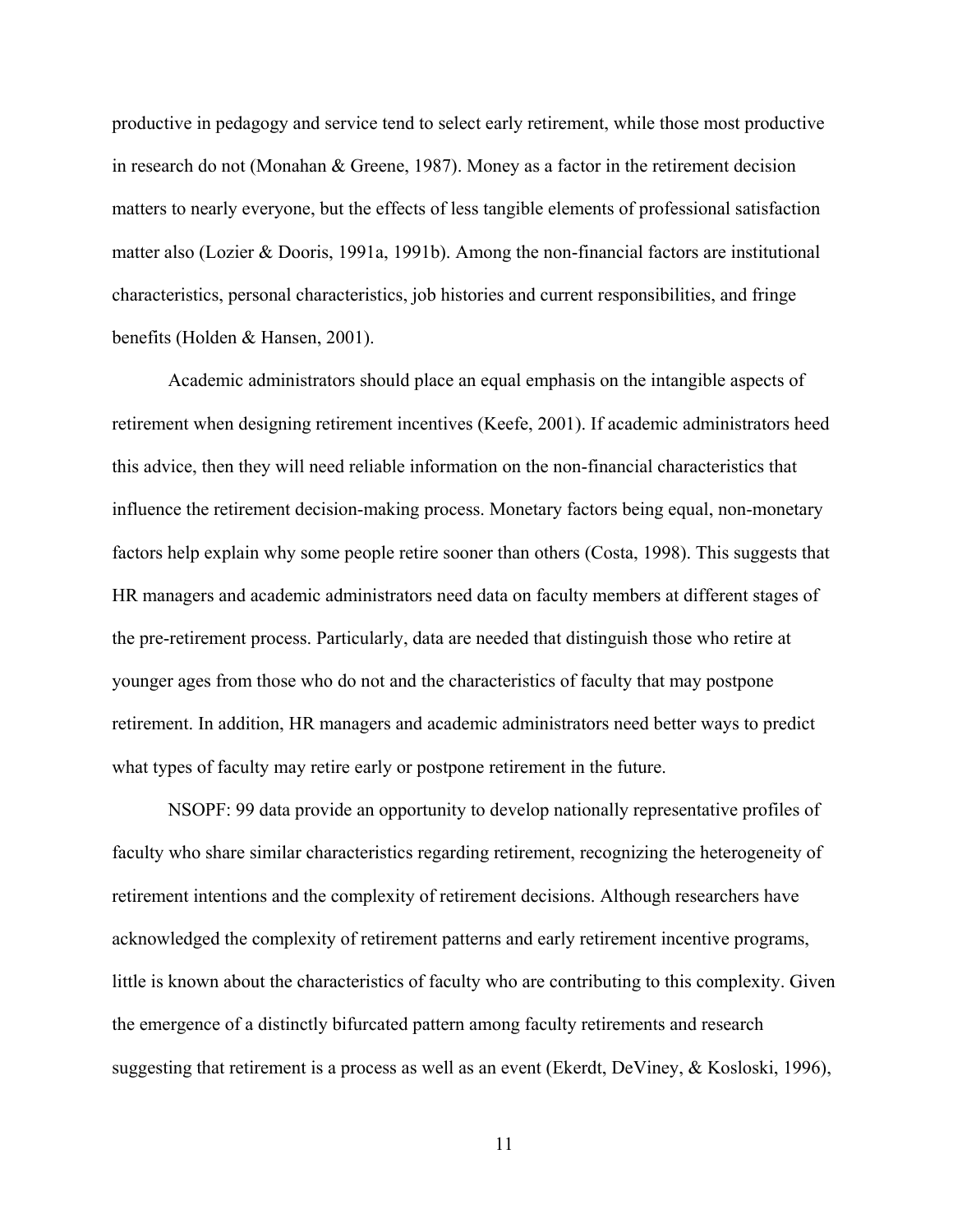productive in pedagogy and service tend to select early retirement, while those most productive in research do not (Monahan & Greene, 1987). Money as a factor in the retirement decision matters to nearly everyone, but the effects of less tangible elements of professional satisfaction matter also (Lozier & Dooris, 1991a, 1991b). Among the non-financial factors are institutional characteristics, personal characteristics, job histories and current responsibilities, and fringe benefits (Holden & Hansen, 2001).

Academic administrators should place an equal emphasis on the intangible aspects of retirement when designing retirement incentives (Keefe, 2001). If academic administrators heed this advice, then they will need reliable information on the non-financial characteristics that influence the retirement decision-making process. Monetary factors being equal, non-monetary factors help explain why some people retire sooner than others (Costa, 1998). This suggests that HR managers and academic administrators need data on faculty members at different stages of the pre-retirement process. Particularly, data are needed that distinguish those who retire at younger ages from those who do not and the characteristics of faculty that may postpone retirement. In addition, HR managers and academic administrators need better ways to predict what types of faculty may retire early or postpone retirement in the future.

NSOPF: 99 data provide an opportunity to develop nationally representative profiles of faculty who share similar characteristics regarding retirement, recognizing the heterogeneity of retirement intentions and the complexity of retirement decisions. Although researchers have acknowledged the complexity of retirement patterns and early retirement incentive programs, little is known about the characteristics of faculty who are contributing to this complexity. Given the emergence of a distinctly bifurcated pattern among faculty retirements and research suggesting that retirement is a process as well as an event (Ekerdt, DeViney, & Kosloski, 1996),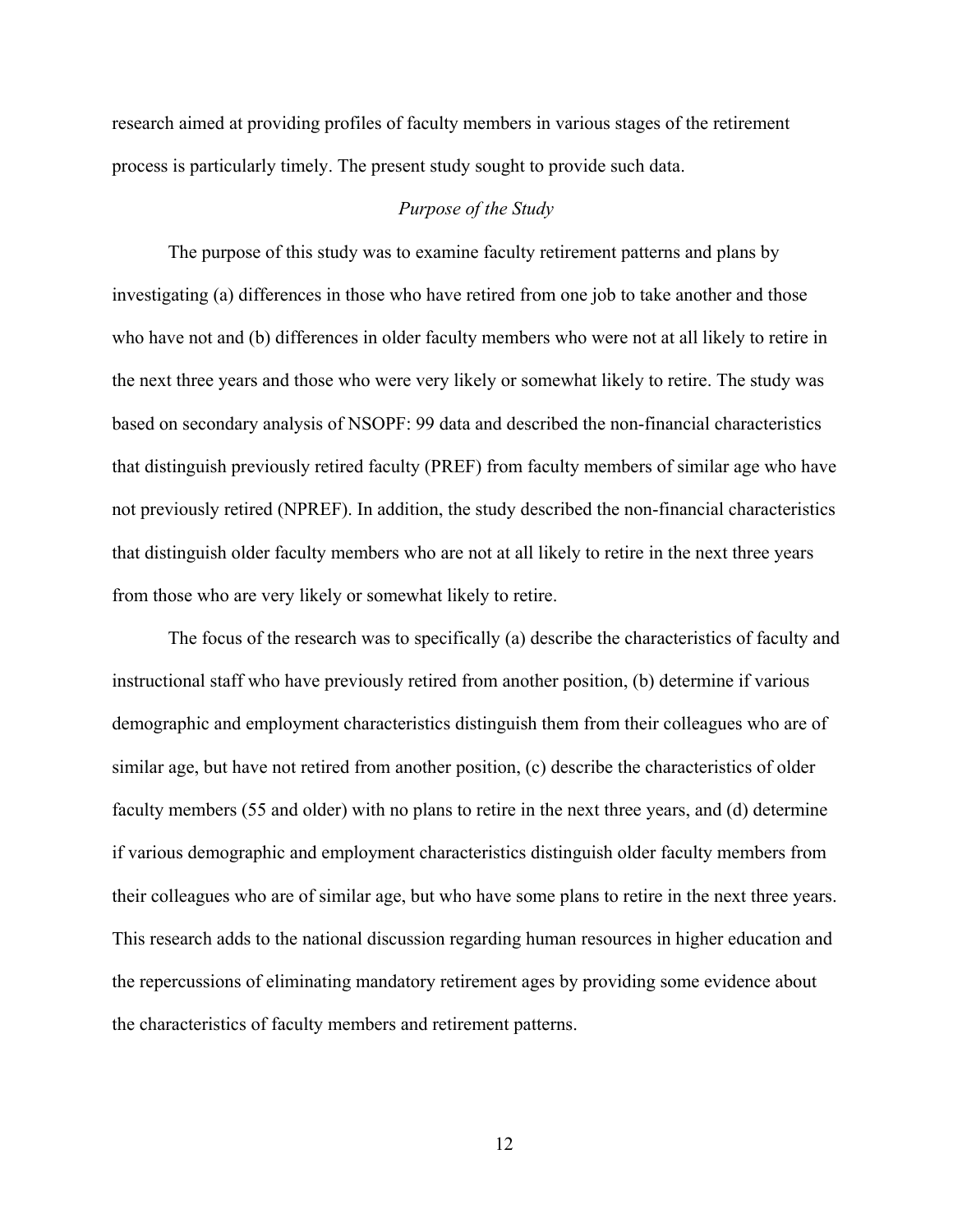<span id="page-24-0"></span>research aimed at providing profiles of faculty members in various stages of the retirement process is particularly timely. The present study sought to provide such data.

# *Purpose of the Study*

The purpose of this study was to examine faculty retirement patterns and plans by investigating (a) differences in those who have retired from one job to take another and those who have not and (b) differences in older faculty members who were not at all likely to retire in the next three years and those who were very likely or somewhat likely to retire. The study was based on secondary analysis of NSOPF: 99 data and described the non-financial characteristics that distinguish previously retired faculty (PREF) from faculty members of similar age who have not previously retired (NPREF). In addition, the study described the non-financial characteristics that distinguish older faculty members who are not at all likely to retire in the next three years from those who are very likely or somewhat likely to retire.

The focus of the research was to specifically (a) describe the characteristics of faculty and instructional staff who have previously retired from another position, (b) determine if various demographic and employment characteristics distinguish them from their colleagues who are of similar age, but have not retired from another position, (c) describe the characteristics of older faculty members (55 and older) with no plans to retire in the next three years, and (d) determine if various demographic and employment characteristics distinguish older faculty members from their colleagues who are of similar age, but who have some plans to retire in the next three years. This research adds to the national discussion regarding human resources in higher education and the repercussions of eliminating mandatory retirement ages by providing some evidence about the characteristics of faculty members and retirement patterns.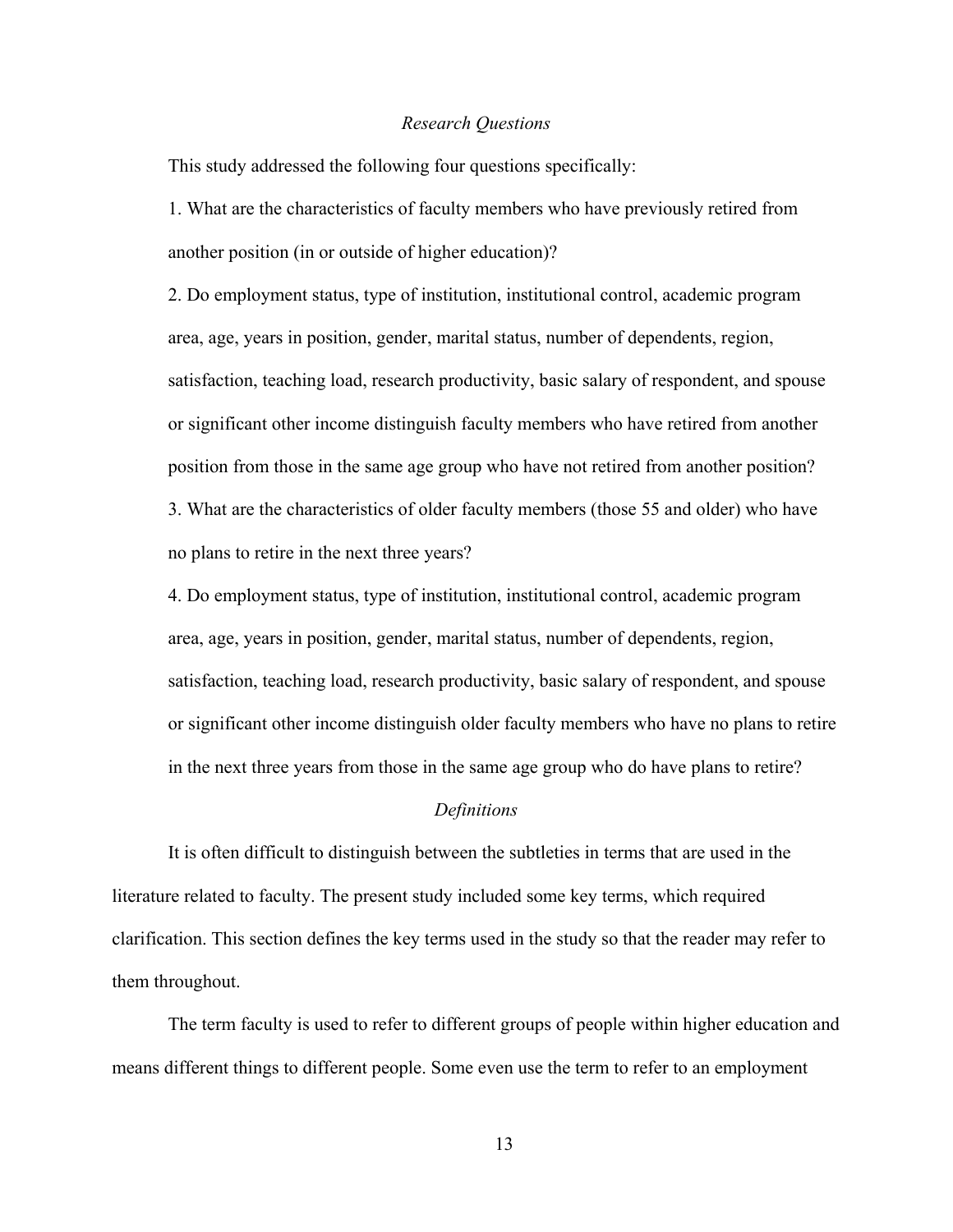#### *Research Questions*

<span id="page-25-0"></span>This study addressed the following four questions specifically:

1. What are the characteristics of faculty members who have previously retired from another position (in or outside of higher education)?

2. Do employment status, type of institution, institutional control, academic program area, age, years in position, gender, marital status, number of dependents, region, satisfaction, teaching load, research productivity, basic salary of respondent, and spouse or significant other income distinguish faculty members who have retired from another position from those in the same age group who have not retired from another position? 3. What are the characteristics of older faculty members (those 55 and older) who have no plans to retire in the next three years?

4. Do employment status, type of institution, institutional control, academic program area, age, years in position, gender, marital status, number of dependents, region, satisfaction, teaching load, research productivity, basic salary of respondent, and spouse or significant other income distinguish older faculty members who have no plans to retire in the next three years from those in the same age group who do have plans to retire?

#### *Definitions*

It is often difficult to distinguish between the subtleties in terms that are used in the literature related to faculty. The present study included some key terms, which required clarification. This section defines the key terms used in the study so that the reader may refer to them throughout.

The term faculty is used to refer to different groups of people within higher education and means different things to different people. Some even use the term to refer to an employment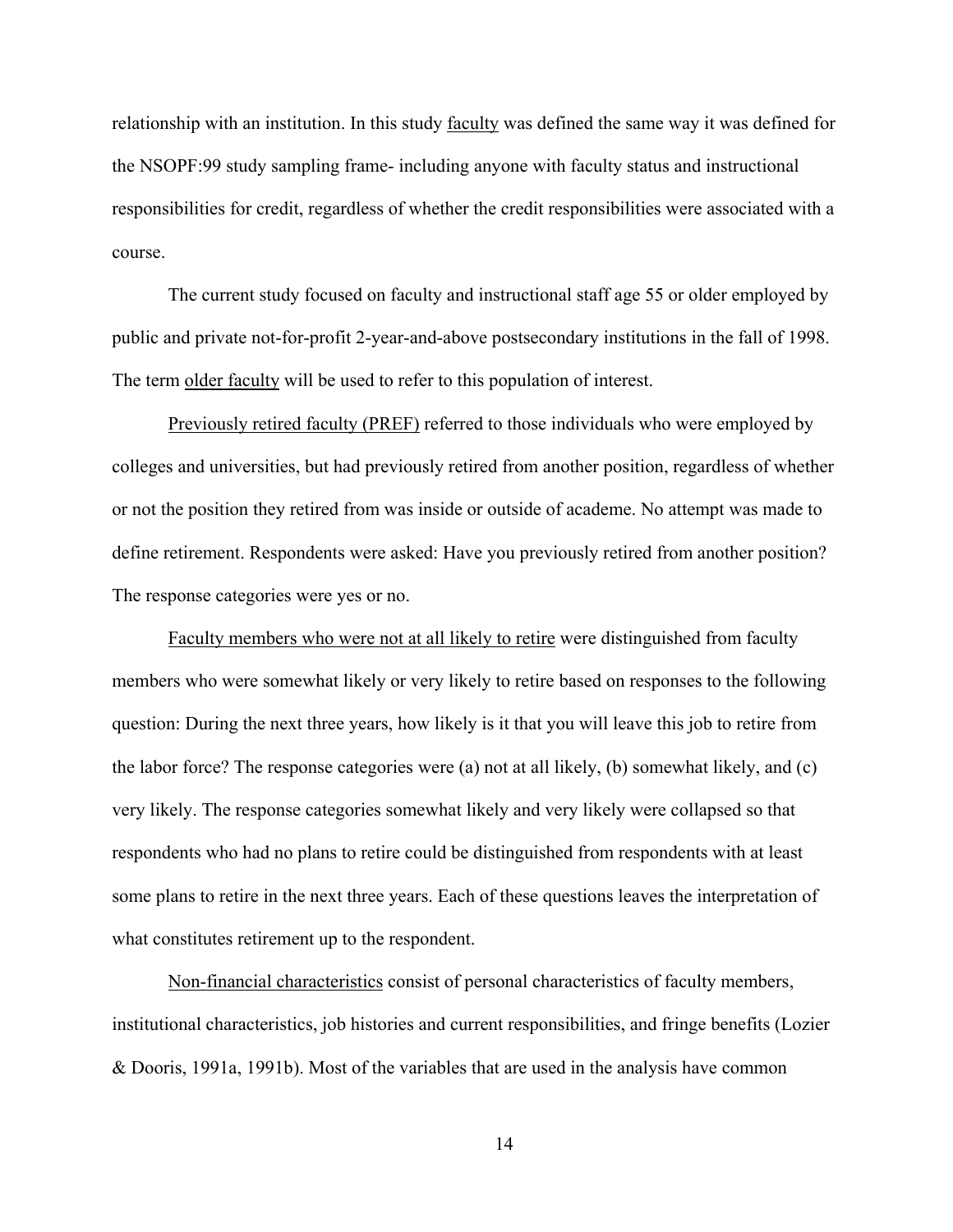relationship with an institution. In this study faculty was defined the same way it was defined for the NSOPF:99 study sampling frame- including anyone with faculty status and instructional responsibilities for credit, regardless of whether the credit responsibilities were associated with a course.

The current study focused on faculty and instructional staff age 55 or older employed by public and private not-for-profit 2-year-and-above postsecondary institutions in the fall of 1998. The term older faculty will be used to refer to this population of interest.

Previously retired faculty (PREF) referred to those individuals who were employed by colleges and universities, but had previously retired from another position, regardless of whether or not the position they retired from was inside or outside of academe. No attempt was made to define retirement. Respondents were asked: Have you previously retired from another position? The response categories were yes or no.

Faculty members who were not at all likely to retire were distinguished from faculty members who were somewhat likely or very likely to retire based on responses to the following question: During the next three years, how likely is it that you will leave this job to retire from the labor force? The response categories were (a) not at all likely, (b) somewhat likely, and (c) very likely. The response categories somewhat likely and very likely were collapsed so that respondents who had no plans to retire could be distinguished from respondents with at least some plans to retire in the next three years. Each of these questions leaves the interpretation of what constitutes retirement up to the respondent.

Non-financial characteristics consist of personal characteristics of faculty members, institutional characteristics, job histories and current responsibilities, and fringe benefits (Lozier & Dooris, 1991a, 1991b). Most of the variables that are used in the analysis have common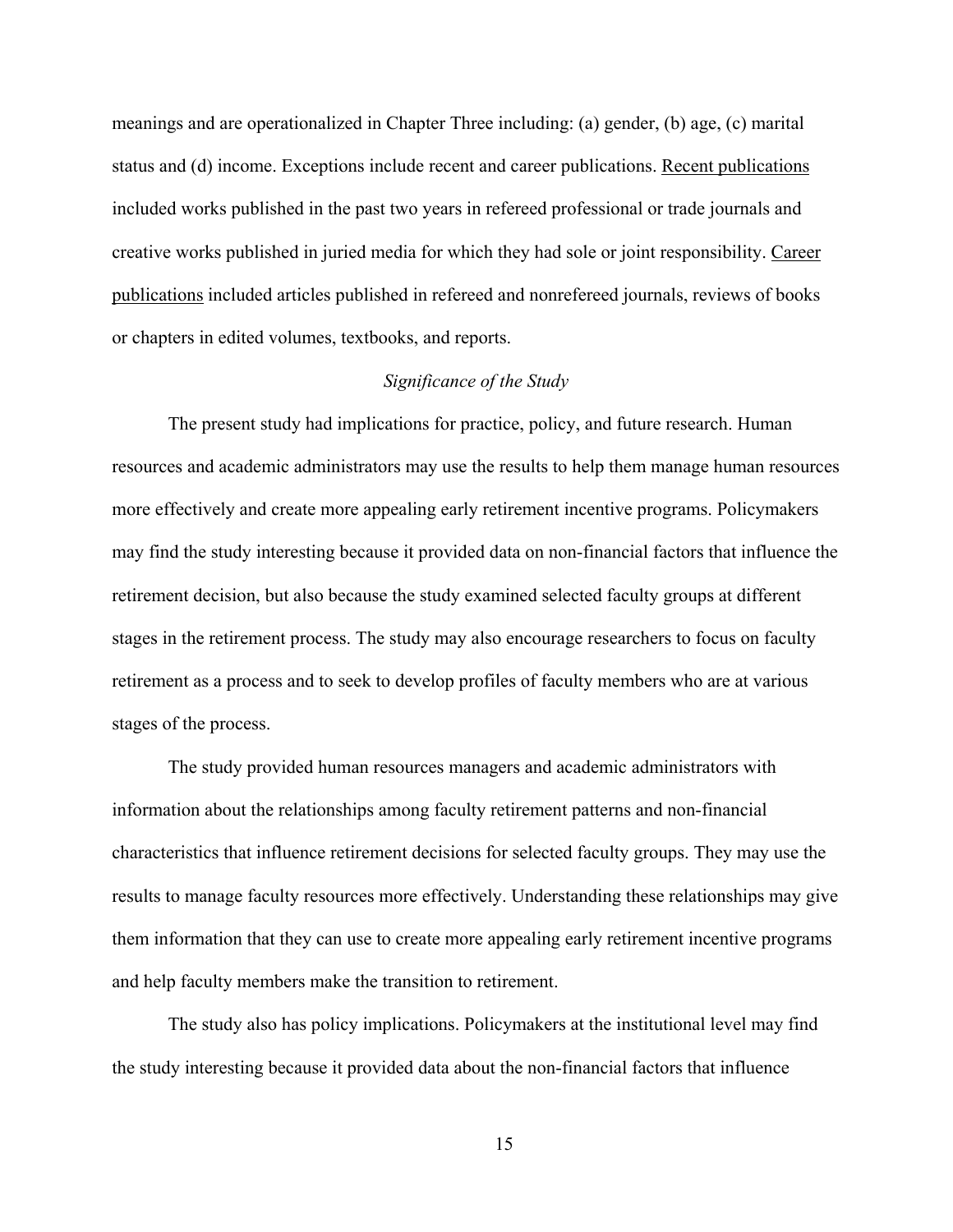<span id="page-27-0"></span>meanings and are operationalized in Chapter Three including: (a) gender, (b) age, (c) marital status and (d) income. Exceptions include recent and career publications. Recent publications included works published in the past two years in refereed professional or trade journals and creative works published in juried media for which they had sole or joint responsibility. Career publications included articles published in refereed and nonrefereed journals, reviews of books or chapters in edited volumes, textbooks, and reports.

# *Significance of the Study*

The present study had implications for practice, policy, and future research. Human resources and academic administrators may use the results to help them manage human resources more effectively and create more appealing early retirement incentive programs. Policymakers may find the study interesting because it provided data on non-financial factors that influence the retirement decision, but also because the study examined selected faculty groups at different stages in the retirement process. The study may also encourage researchers to focus on faculty retirement as a process and to seek to develop profiles of faculty members who are at various stages of the process.

The study provided human resources managers and academic administrators with information about the relationships among faculty retirement patterns and non-financial characteristics that influence retirement decisions for selected faculty groups. They may use the results to manage faculty resources more effectively. Understanding these relationships may give them information that they can use to create more appealing early retirement incentive programs and help faculty members make the transition to retirement.

The study also has policy implications. Policymakers at the institutional level may find the study interesting because it provided data about the non-financial factors that influence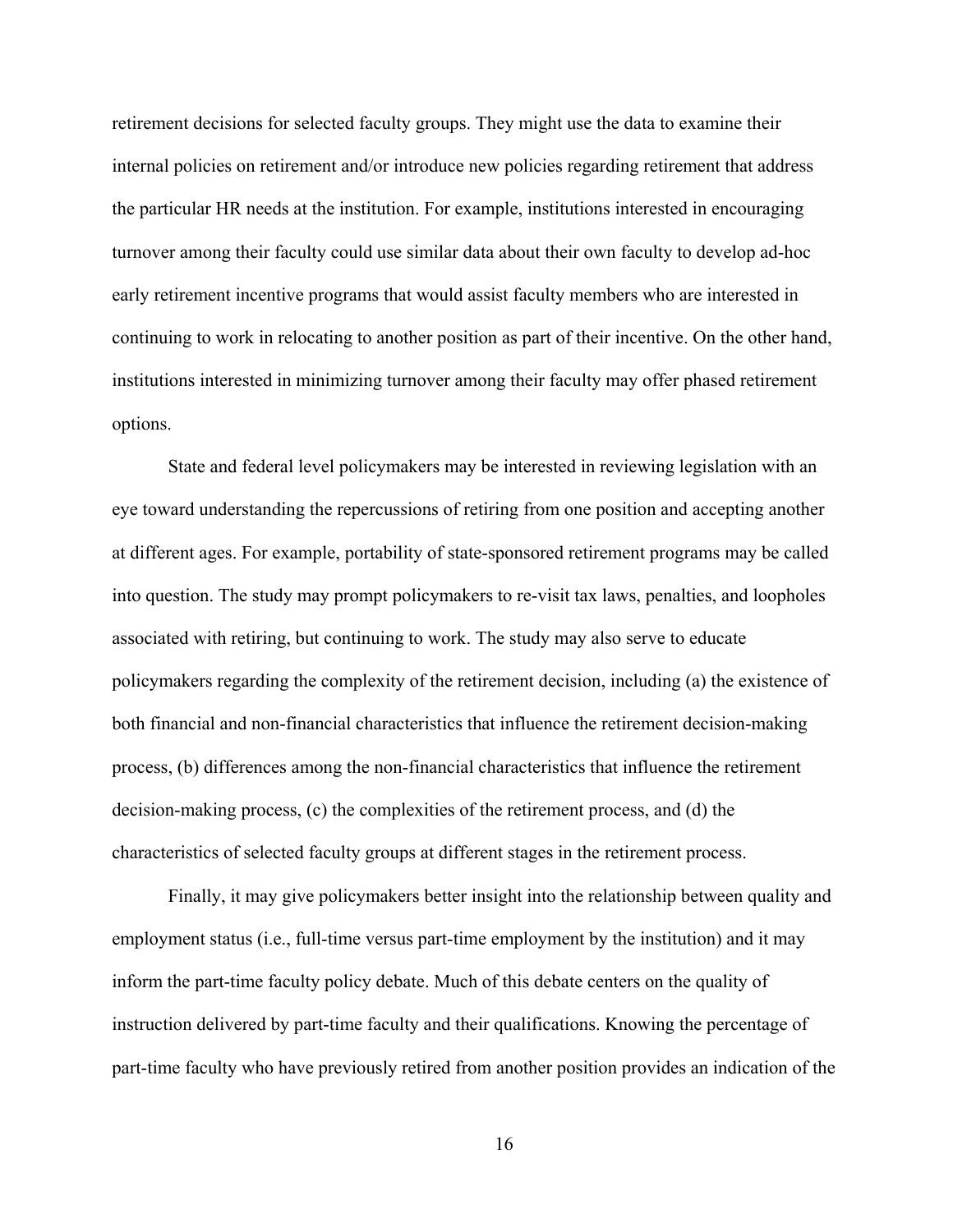retirement decisions for selected faculty groups. They might use the data to examine their internal policies on retirement and/or introduce new policies regarding retirement that address the particular HR needs at the institution. For example, institutions interested in encouraging turnover among their faculty could use similar data about their own faculty to develop ad-hoc early retirement incentive programs that would assist faculty members who are interested in continuing to work in relocating to another position as part of their incentive. On the other hand, institutions interested in minimizing turnover among their faculty may offer phased retirement options.

State and federal level policymakers may be interested in reviewing legislation with an eye toward understanding the repercussions of retiring from one position and accepting another at different ages. For example, portability of state-sponsored retirement programs may be called into question. The study may prompt policymakers to re-visit tax laws, penalties, and loopholes associated with retiring, but continuing to work. The study may also serve to educate policymakers regarding the complexity of the retirement decision, including (a) the existence of both financial and non-financial characteristics that influence the retirement decision-making process, (b) differences among the non-financial characteristics that influence the retirement decision-making process, (c) the complexities of the retirement process, and (d) the characteristics of selected faculty groups at different stages in the retirement process.

Finally, it may give policymakers better insight into the relationship between quality and employment status (i.e., full-time versus part-time employment by the institution) and it may inform the part-time faculty policy debate. Much of this debate centers on the quality of instruction delivered by part-time faculty and their qualifications. Knowing the percentage of part-time faculty who have previously retired from another position provides an indication of the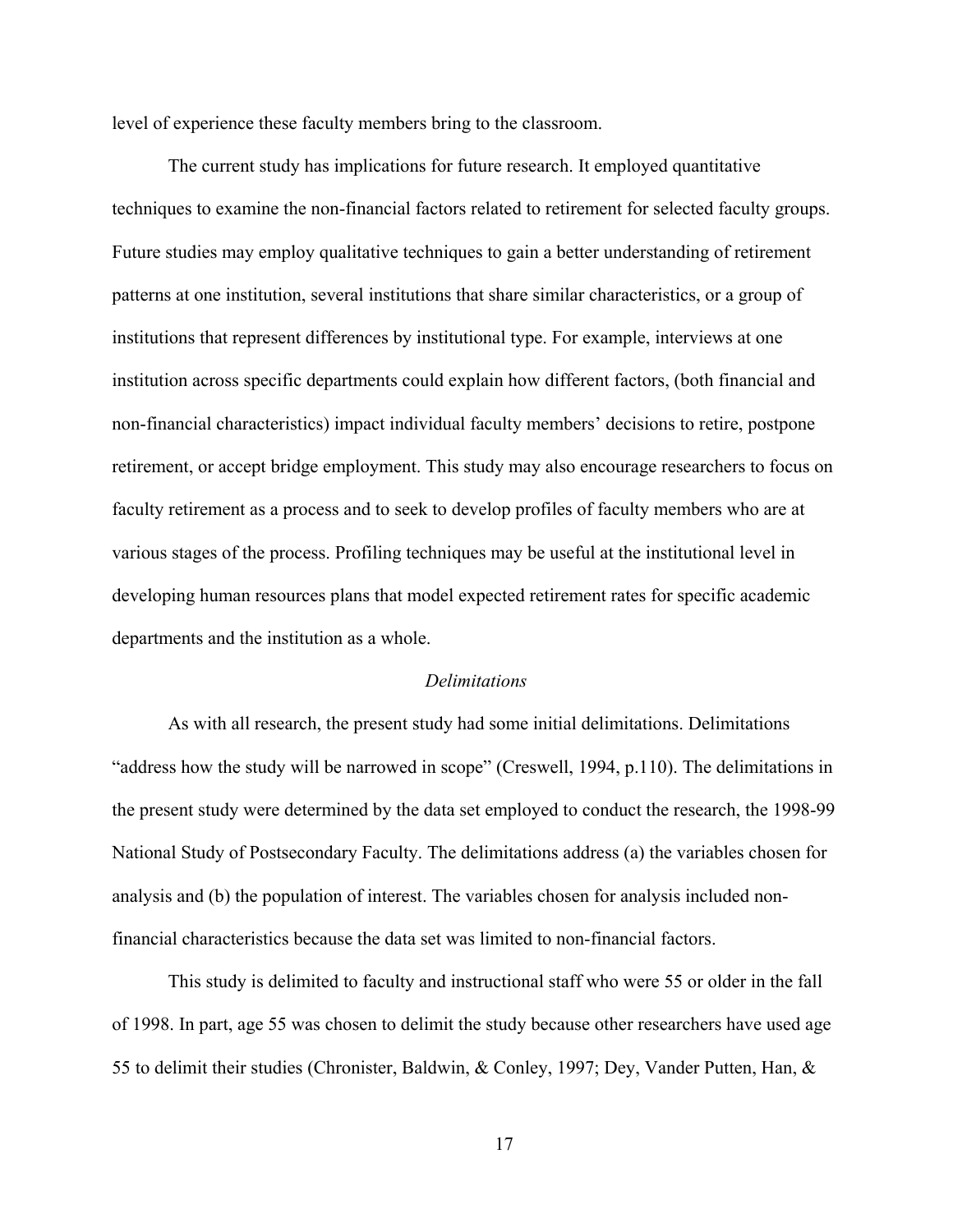<span id="page-29-0"></span>level of experience these faculty members bring to the classroom.

The current study has implications for future research. It employed quantitative techniques to examine the non-financial factors related to retirement for selected faculty groups. Future studies may employ qualitative techniques to gain a better understanding of retirement patterns at one institution, several institutions that share similar characteristics, or a group of institutions that represent differences by institutional type. For example, interviews at one institution across specific departments could explain how different factors, (both financial and non-financial characteristics) impact individual faculty members' decisions to retire, postpone retirement, or accept bridge employment. This study may also encourage researchers to focus on faculty retirement as a process and to seek to develop profiles of faculty members who are at various stages of the process. Profiling techniques may be useful at the institutional level in developing human resources plans that model expected retirement rates for specific academic departments and the institution as a whole.

#### *Delimitations*

As with all research, the present study had some initial delimitations. Delimitations "address how the study will be narrowed in scope" (Creswell, 1994, p.110). The delimitations in the present study were determined by the data set employed to conduct the research, the 1998-99 National Study of Postsecondary Faculty. The delimitations address (a) the variables chosen for analysis and (b) the population of interest. The variables chosen for analysis included nonfinancial characteristics because the data set was limited to non-financial factors.

This study is delimited to faculty and instructional staff who were 55 or older in the fall of 1998. In part, age 55 was chosen to delimit the study because other researchers have used age 55 to delimit their studies (Chronister, Baldwin, & Conley, 1997; Dey, Vander Putten, Han, &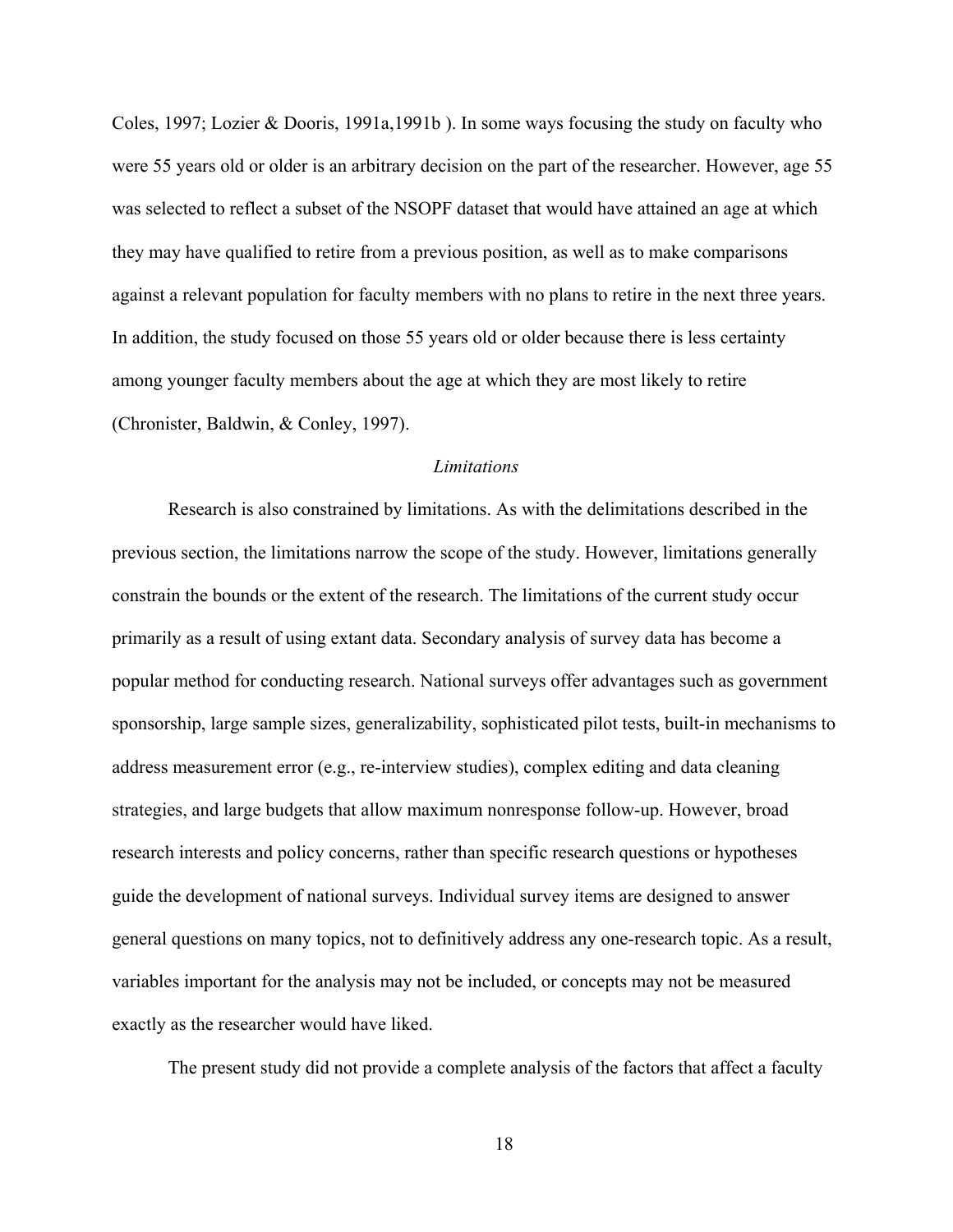<span id="page-30-0"></span>Coles, 1997; Lozier & Dooris, 1991a,1991b ). In some ways focusing the study on faculty who were 55 years old or older is an arbitrary decision on the part of the researcher. However, age 55 was selected to reflect a subset of the NSOPF dataset that would have attained an age at which they may have qualified to retire from a previous position, as well as to make comparisons against a relevant population for faculty members with no plans to retire in the next three years. In addition, the study focused on those 55 years old or older because there is less certainty among younger faculty members about the age at which they are most likely to retire (Chronister, Baldwin, & Conley, 1997).

### *Limitations*

Research is also constrained by limitations. As with the delimitations described in the previous section, the limitations narrow the scope of the study. However, limitations generally constrain the bounds or the extent of the research. The limitations of the current study occur primarily as a result of using extant data. Secondary analysis of survey data has become a popular method for conducting research. National surveys offer advantages such as government sponsorship, large sample sizes, generalizability, sophisticated pilot tests, built-in mechanisms to address measurement error (e.g., re-interview studies), complex editing and data cleaning strategies, and large budgets that allow maximum nonresponse follow-up. However, broad research interests and policy concerns, rather than specific research questions or hypotheses guide the development of national surveys. Individual survey items are designed to answer general questions on many topics, not to definitively address any one-research topic. As a result, variables important for the analysis may not be included, or concepts may not be measured exactly as the researcher would have liked.

The present study did not provide a complete analysis of the factors that affect a faculty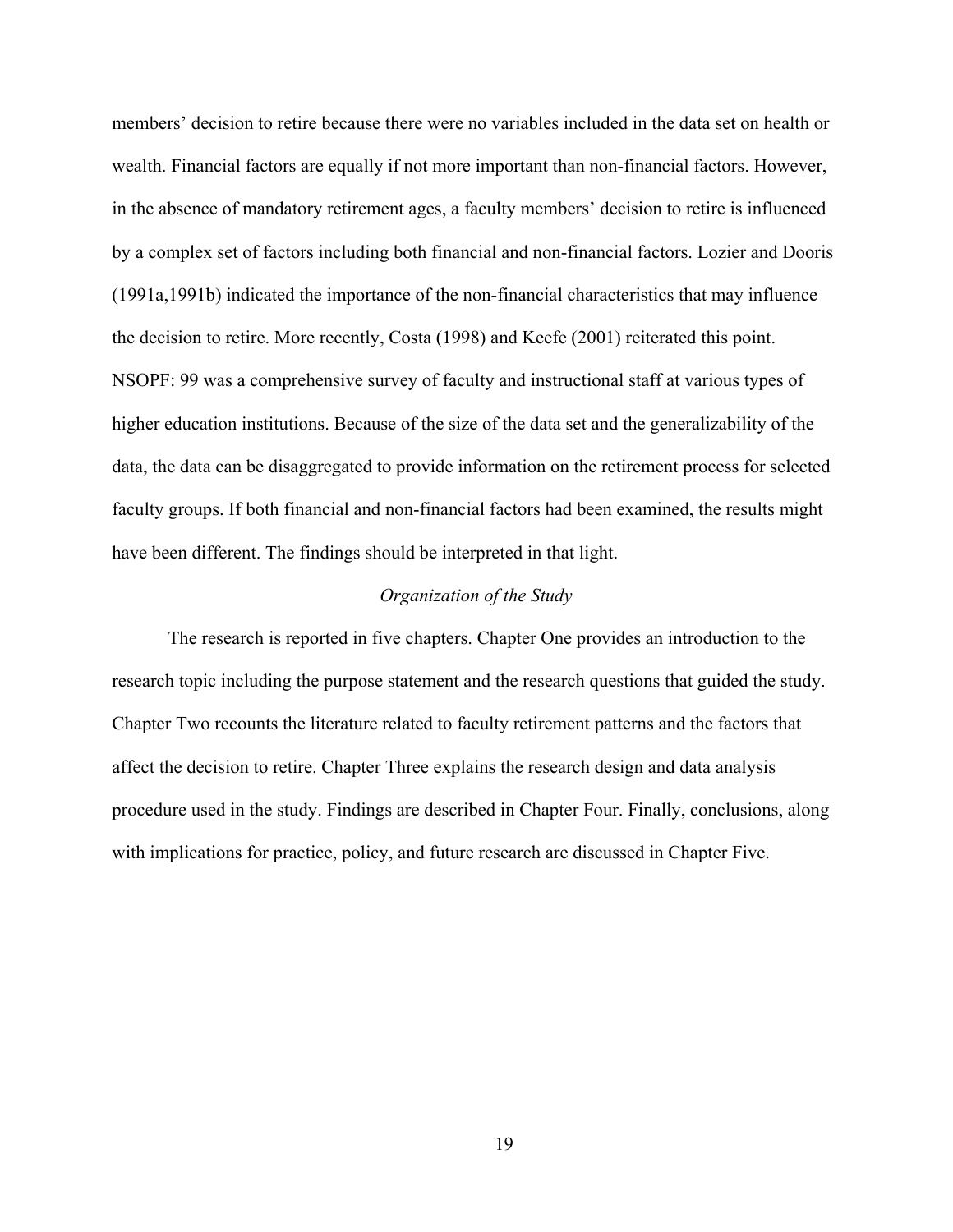<span id="page-31-0"></span>members' decision to retire because there were no variables included in the data set on health or wealth. Financial factors are equally if not more important than non-financial factors. However, in the absence of mandatory retirement ages, a faculty members' decision to retire is influenced by a complex set of factors including both financial and non-financial factors. Lozier and Dooris (1991a,1991b) indicated the importance of the non-financial characteristics that may influence the decision to retire. More recently, Costa (1998) and Keefe (2001) reiterated this point. NSOPF: 99 was a comprehensive survey of faculty and instructional staff at various types of higher education institutions. Because of the size of the data set and the generalizability of the data, the data can be disaggregated to provide information on the retirement process for selected faculty groups. If both financial and non-financial factors had been examined, the results might have been different. The findings should be interpreted in that light.

# *Organization of the Study*

The research is reported in five chapters. Chapter One provides an introduction to the research topic including the purpose statement and the research questions that guided the study. Chapter Two recounts the literature related to faculty retirement patterns and the factors that affect the decision to retire. Chapter Three explains the research design and data analysis procedure used in the study. Findings are described in Chapter Four. Finally, conclusions, along with implications for practice, policy, and future research are discussed in Chapter Five.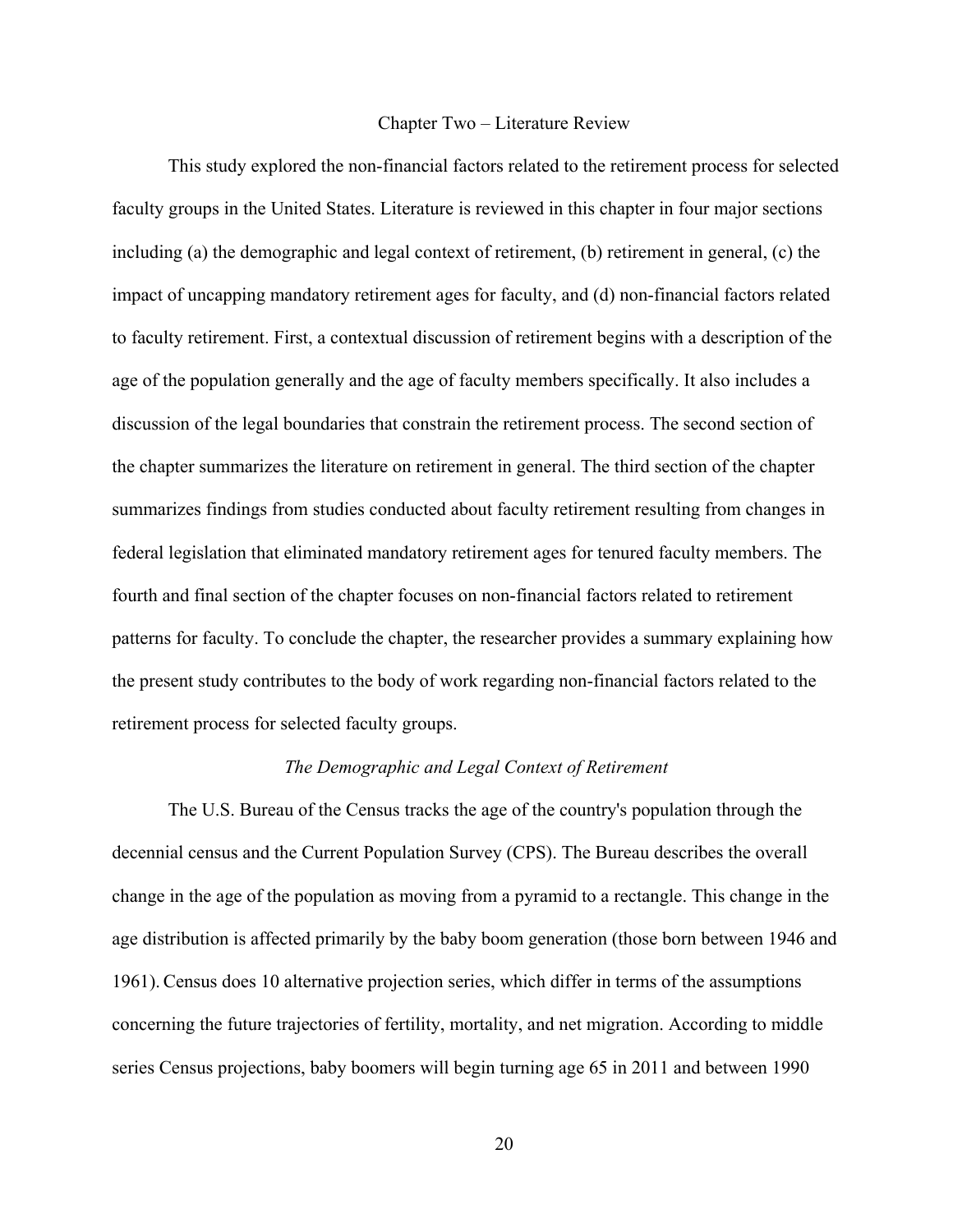#### Chapter Two – Literature Review

<span id="page-32-0"></span>This study explored the non-financial factors related to the retirement process for selected faculty groups in the United States. Literature is reviewed in this chapter in four major sections including (a) the demographic and legal context of retirement, (b) retirement in general, (c) the impact of uncapping mandatory retirement ages for faculty, and (d) non-financial factors related to faculty retirement. First, a contextual discussion of retirement begins with a description of the age of the population generally and the age of faculty members specifically. It also includes a discussion of the legal boundaries that constrain the retirement process. The second section of the chapter summarizes the literature on retirement in general. The third section of the chapter summarizes findings from studies conducted about faculty retirement resulting from changes in federal legislation that eliminated mandatory retirement ages for tenured faculty members. The fourth and final section of the chapter focuses on non-financial factors related to retirement patterns for faculty. To conclude the chapter, the researcher provides a summary explaining how the present study contributes to the body of work regarding non-financial factors related to the retirement process for selected faculty groups.

### *The Demographic and Legal Context of Retirement*

The U.S. Bureau of the Census tracks the age of the country's population through the decennial census and the Current Population Survey (CPS). The Bureau describes the overall change in the age of the population as moving from a pyramid to a rectangle. This change in the age distribution is affected primarily by the baby boom generation (those born between 1946 and 1961).Census does 10 alternative projection series, which differ in terms of the assumptions concerning the future trajectories of fertility, mortality, and net migration. According to middle series Census projections, baby boomers will begin turning age 65 in 2011 and between 1990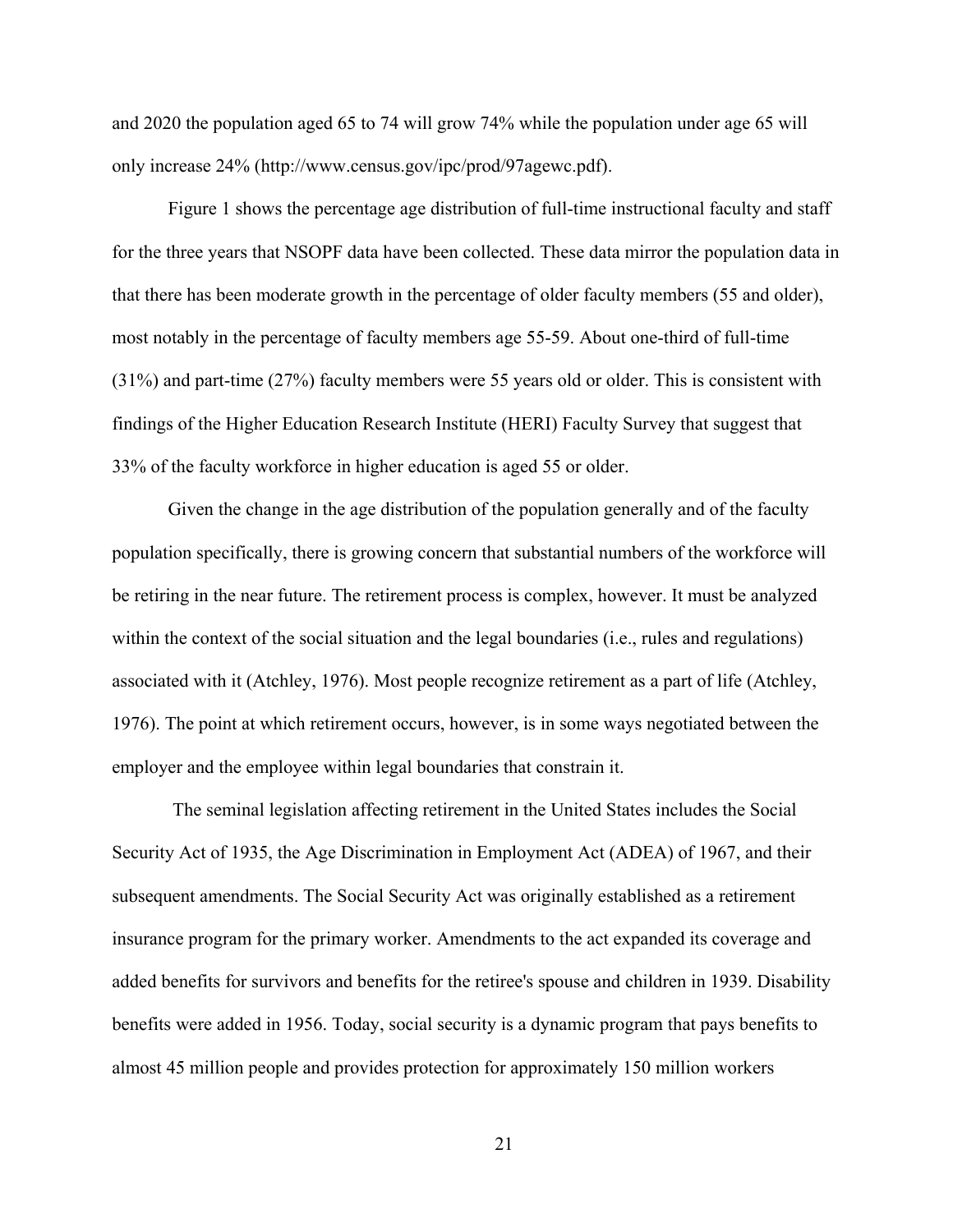and 2020 the population aged 65 to 74 will grow 74% while the population under age 65 will only increase 24% (http://www.census.gov/ipc/prod/97agewc.pdf).

Figure 1 shows the percentage age distribution of full-time instructional faculty and staff for the three years that NSOPF data have been collected. These data mirror the population data in that there has been moderate growth in the percentage of older faculty members (55 and older), most notably in the percentage of faculty members age 55-59. About one-third of full-time (31%) and part-time (27%) faculty members were 55 years old or older. This is consistent with findings of the Higher Education Research Institute (HERI) Faculty Survey that suggest that 33% of the faculty workforce in higher education is aged 55 or older.

Given the change in the age distribution of the population generally and of the faculty population specifically, there is growing concern that substantial numbers of the workforce will be retiring in the near future. The retirement process is complex, however. It must be analyzed within the context of the social situation and the legal boundaries (i.e., rules and regulations) associated with it (Atchley, 1976). Most people recognize retirement as a part of life (Atchley, 1976). The point at which retirement occurs, however, is in some ways negotiated between the employer and the employee within legal boundaries that constrain it.

 The seminal legislation affecting retirement in the United States includes the Social Security Act of 1935, the Age Discrimination in Employment Act (ADEA) of 1967, and their subsequent amendments. The Social Security Act was originally established as a retirement insurance program for the primary worker. Amendments to the act expanded its coverage and added benefits for survivors and benefits for the retiree's spouse and children in 1939. Disability benefits were added in 1956. Today, social security is a dynamic program that pays benefits to almost 45 million people and provides protection for approximately 150 million workers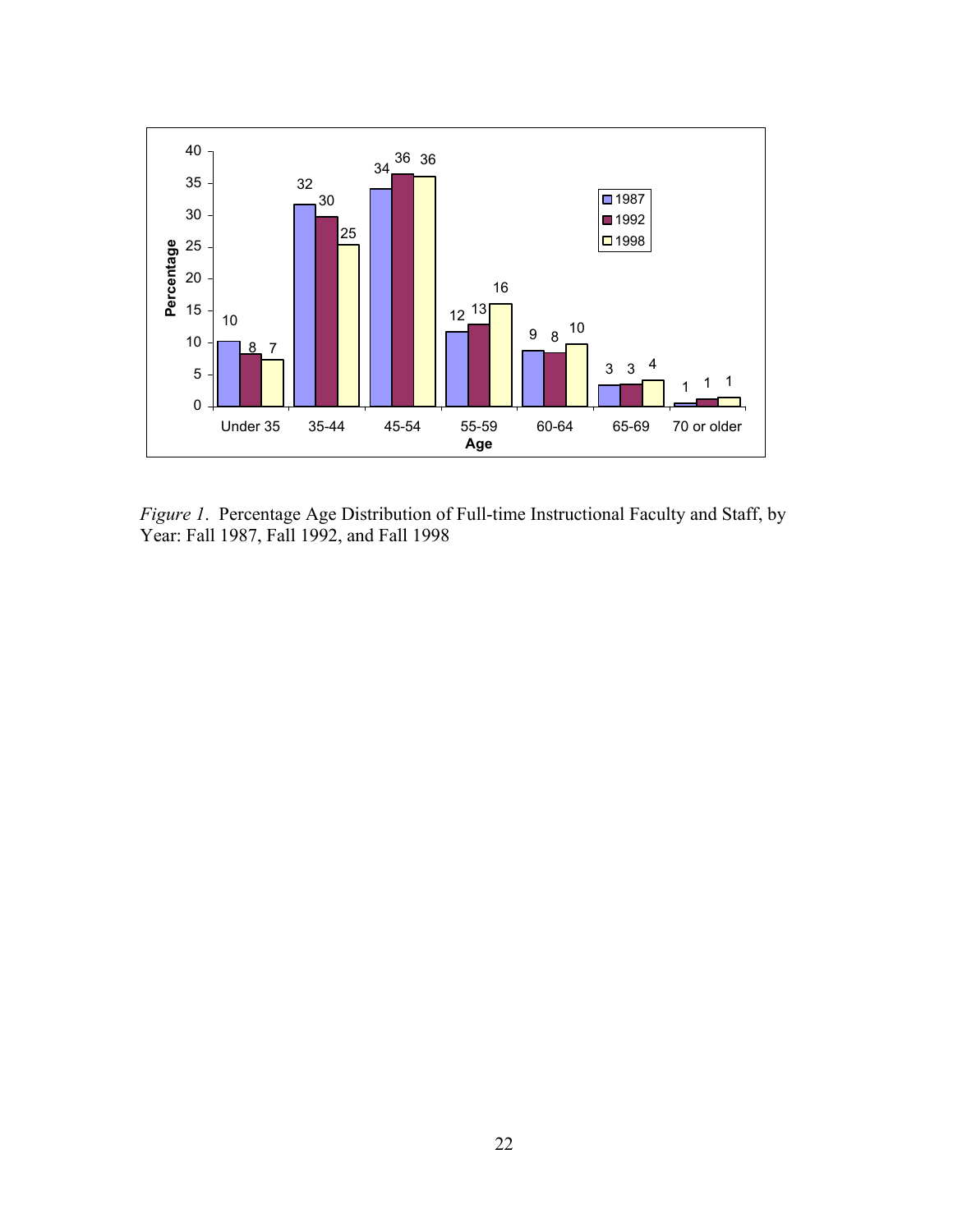<span id="page-34-0"></span>

*Figure 1*. Percentage Age Distribution of Full-time Instructional Faculty and Staff, by Year: Fall 1987, Fall 1992, and Fall 1998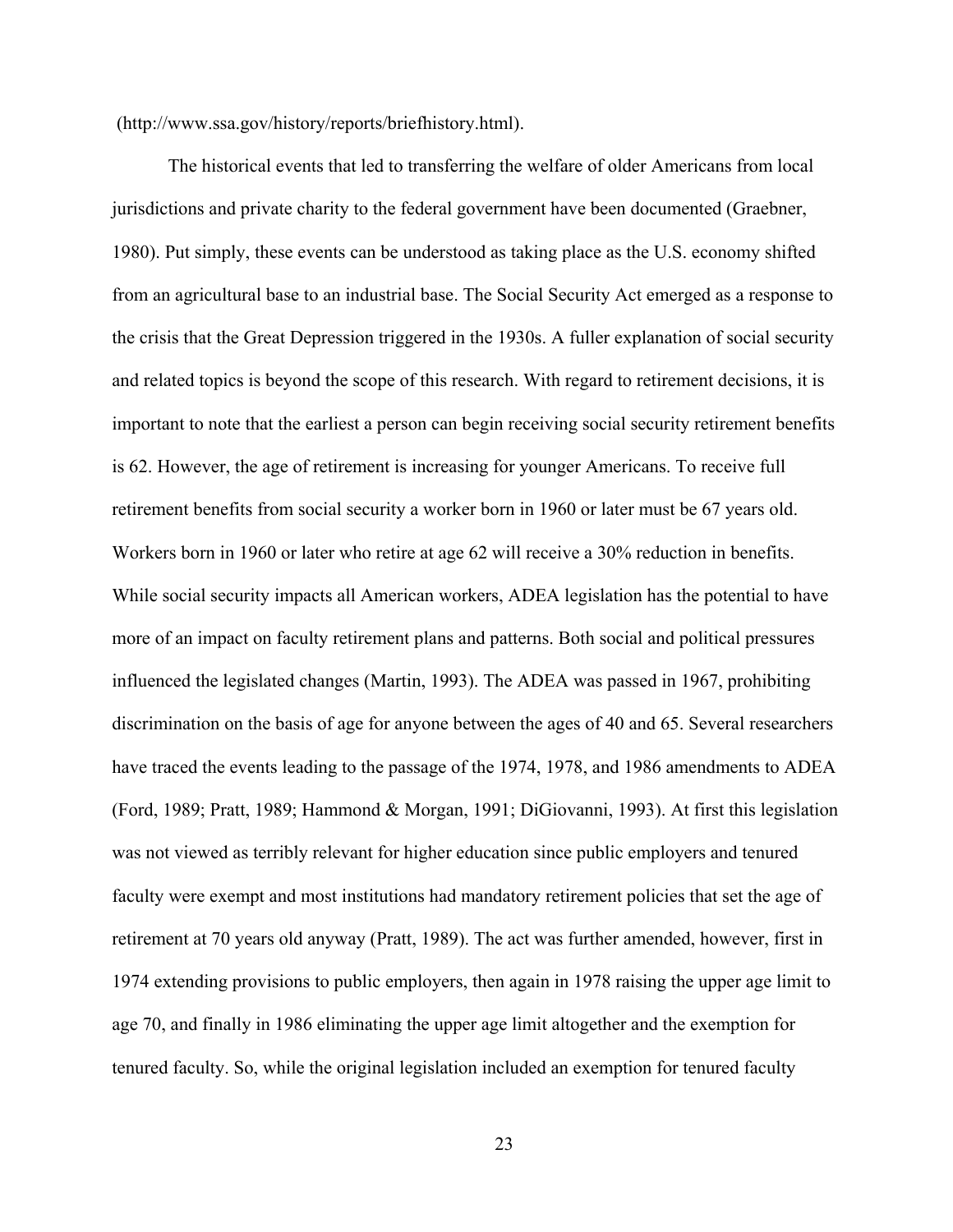(http://www.ssa.gov/history/reports/briefhistory.html).

The historical events that led to transferring the welfare of older Americans from local jurisdictions and private charity to the federal government have been documented (Graebner, 1980). Put simply, these events can be understood as taking place as the U.S. economy shifted from an agricultural base to an industrial base. The Social Security Act emerged as a response to the crisis that the Great Depression triggered in the 1930s. A fuller explanation of social security and related topics is beyond the scope of this research. With regard to retirement decisions, it is important to note that the earliest a person can begin receiving social security retirement benefits is 62. However, the age of retirement is increasing for younger Americans. To receive full retirement benefits from social security a worker born in 1960 or later must be 67 years old. Workers born in 1960 or later who retire at age 62 will receive a 30% reduction in benefits. While social security impacts all American workers, ADEA legislation has the potential to have more of an impact on faculty retirement plans and patterns. Both social and political pressures influenced the legislated changes (Martin, 1993). The ADEA was passed in 1967, prohibiting discrimination on the basis of age for anyone between the ages of 40 and 65. Several researchers have traced the events leading to the passage of the 1974, 1978, and 1986 amendments to ADEA (Ford, 1989; Pratt, 1989; Hammond & Morgan, 1991; DiGiovanni, 1993). At first this legislation was not viewed as terribly relevant for higher education since public employers and tenured faculty were exempt and most institutions had mandatory retirement policies that set the age of retirement at 70 years old anyway (Pratt, 1989). The act was further amended, however, first in 1974 extending provisions to public employers, then again in 1978 raising the upper age limit to age 70, and finally in 1986 eliminating the upper age limit altogether and the exemption for tenured faculty. So, while the original legislation included an exemption for tenured faculty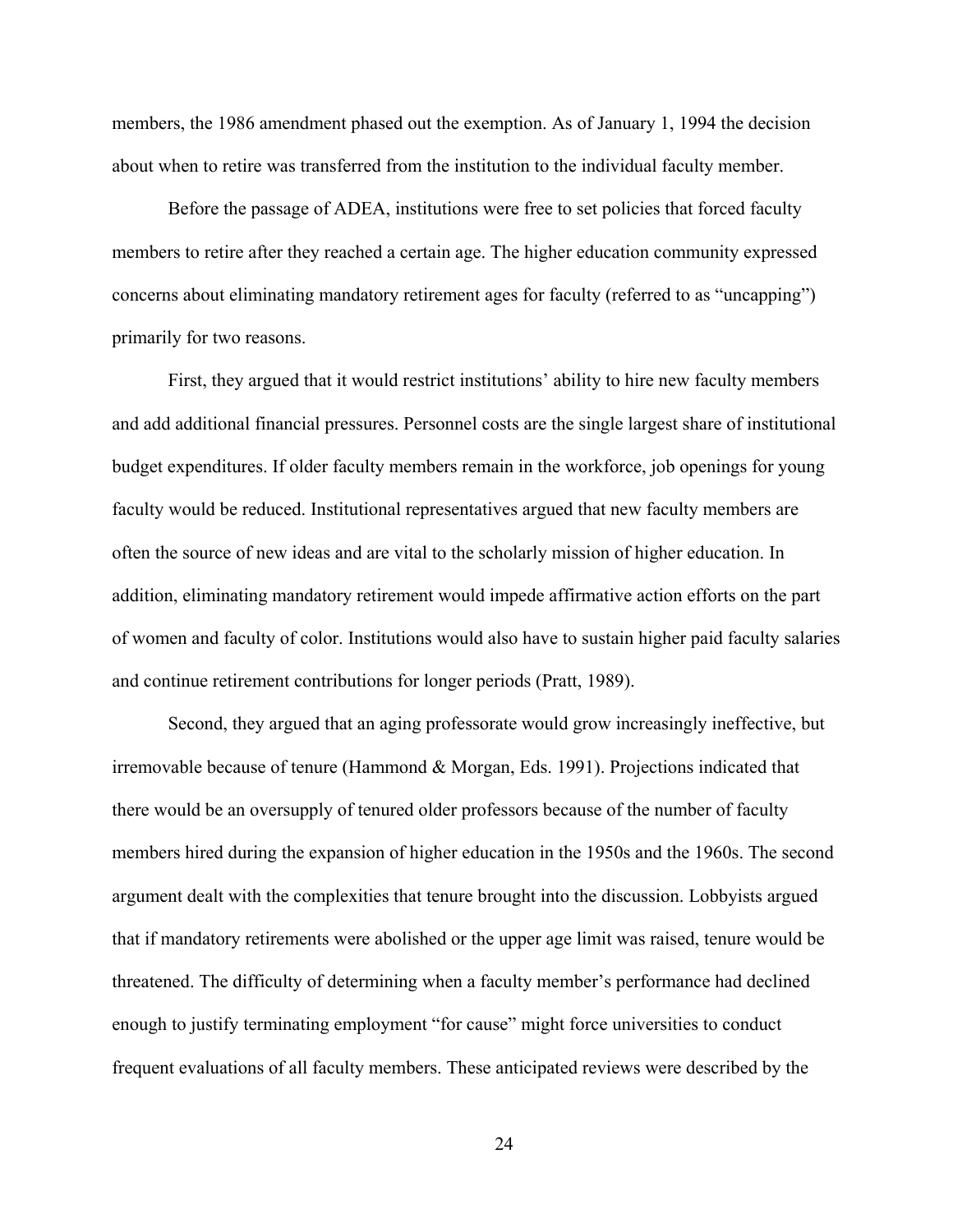members, the 1986 amendment phased out the exemption. As of January 1, 1994 the decision about when to retire was transferred from the institution to the individual faculty member.

Before the passage of ADEA, institutions were free to set policies that forced faculty members to retire after they reached a certain age. The higher education community expressed concerns about eliminating mandatory retirement ages for faculty (referred to as "uncapping") primarily for two reasons.

First, they argued that it would restrict institutions' ability to hire new faculty members and add additional financial pressures. Personnel costs are the single largest share of institutional budget expenditures. If older faculty members remain in the workforce, job openings for young faculty would be reduced. Institutional representatives argued that new faculty members are often the source of new ideas and are vital to the scholarly mission of higher education. In addition, eliminating mandatory retirement would impede affirmative action efforts on the part of women and faculty of color. Institutions would also have to sustain higher paid faculty salaries and continue retirement contributions for longer periods (Pratt, 1989).

Second, they argued that an aging professorate would grow increasingly ineffective, but irremovable because of tenure (Hammond & Morgan, Eds. 1991). Projections indicated that there would be an oversupply of tenured older professors because of the number of faculty members hired during the expansion of higher education in the 1950s and the 1960s. The second argument dealt with the complexities that tenure brought into the discussion. Lobbyists argued that if mandatory retirements were abolished or the upper age limit was raised, tenure would be threatened. The difficulty of determining when a faculty member's performance had declined enough to justify terminating employment "for cause" might force universities to conduct frequent evaluations of all faculty members. These anticipated reviews were described by the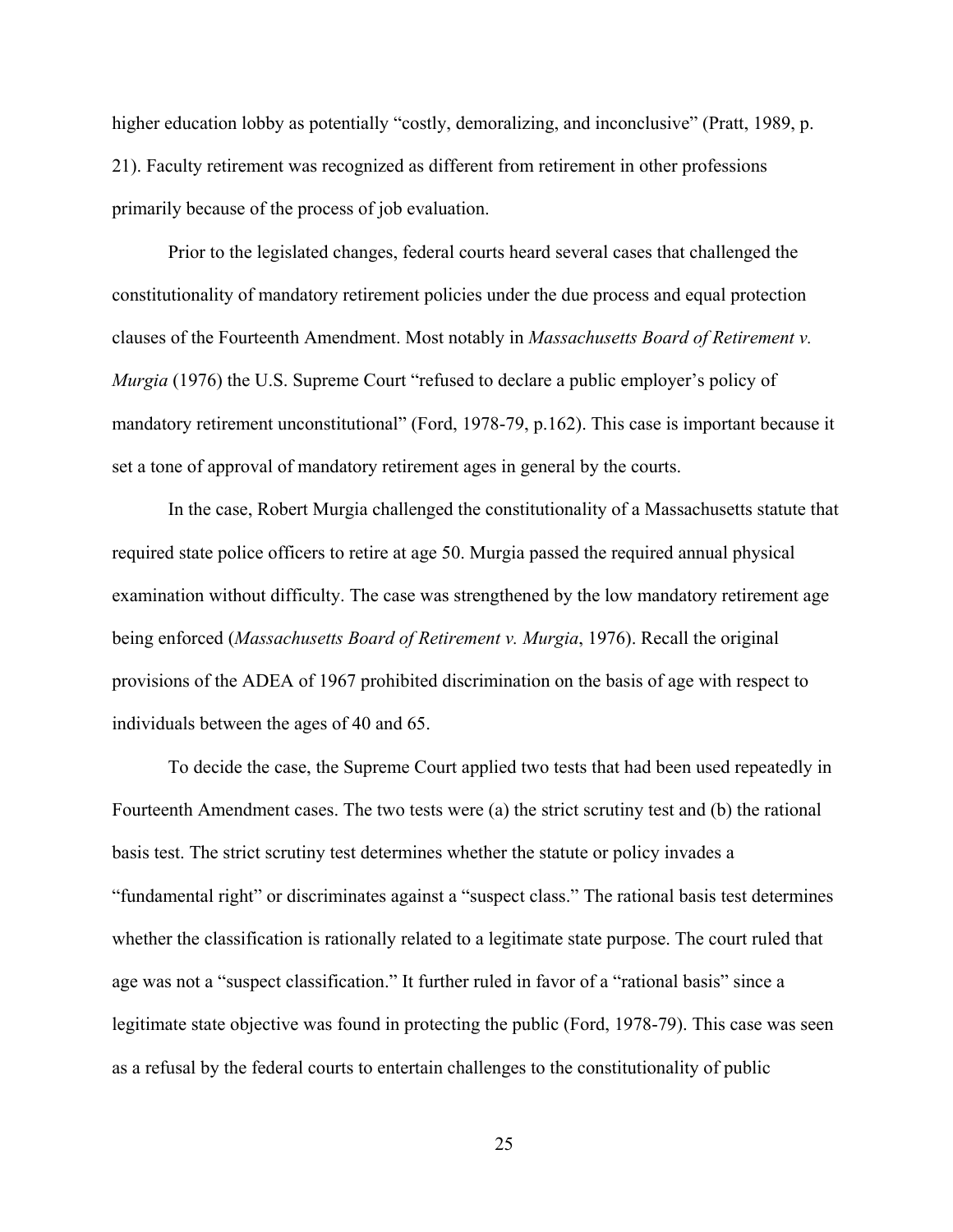higher education lobby as potentially "costly, demoralizing, and inconclusive" (Pratt, 1989, p. 21). Faculty retirement was recognized as different from retirement in other professions primarily because of the process of job evaluation.

Prior to the legislated changes, federal courts heard several cases that challenged the constitutionality of mandatory retirement policies under the due process and equal protection clauses of the Fourteenth Amendment. Most notably in *Massachusetts Board of Retirement v. Murgia* (1976) the U.S. Supreme Court "refused to declare a public employer's policy of mandatory retirement unconstitutional" (Ford, 1978-79, p.162). This case is important because it set a tone of approval of mandatory retirement ages in general by the courts.

In the case, Robert Murgia challenged the constitutionality of a Massachusetts statute that required state police officers to retire at age 50. Murgia passed the required annual physical examination without difficulty. The case was strengthened by the low mandatory retirement age being enforced (*Massachusetts Board of Retirement v. Murgia*, 1976). Recall the original provisions of the ADEA of 1967 prohibited discrimination on the basis of age with respect to individuals between the ages of 40 and 65.

To decide the case, the Supreme Court applied two tests that had been used repeatedly in Fourteenth Amendment cases. The two tests were (a) the strict scrutiny test and (b) the rational basis test. The strict scrutiny test determines whether the statute or policy invades a "fundamental right" or discriminates against a "suspect class." The rational basis test determines whether the classification is rationally related to a legitimate state purpose. The court ruled that age was not a "suspect classification." It further ruled in favor of a "rational basis" since a legitimate state objective was found in protecting the public (Ford, 1978-79). This case was seen as a refusal by the federal courts to entertain challenges to the constitutionality of public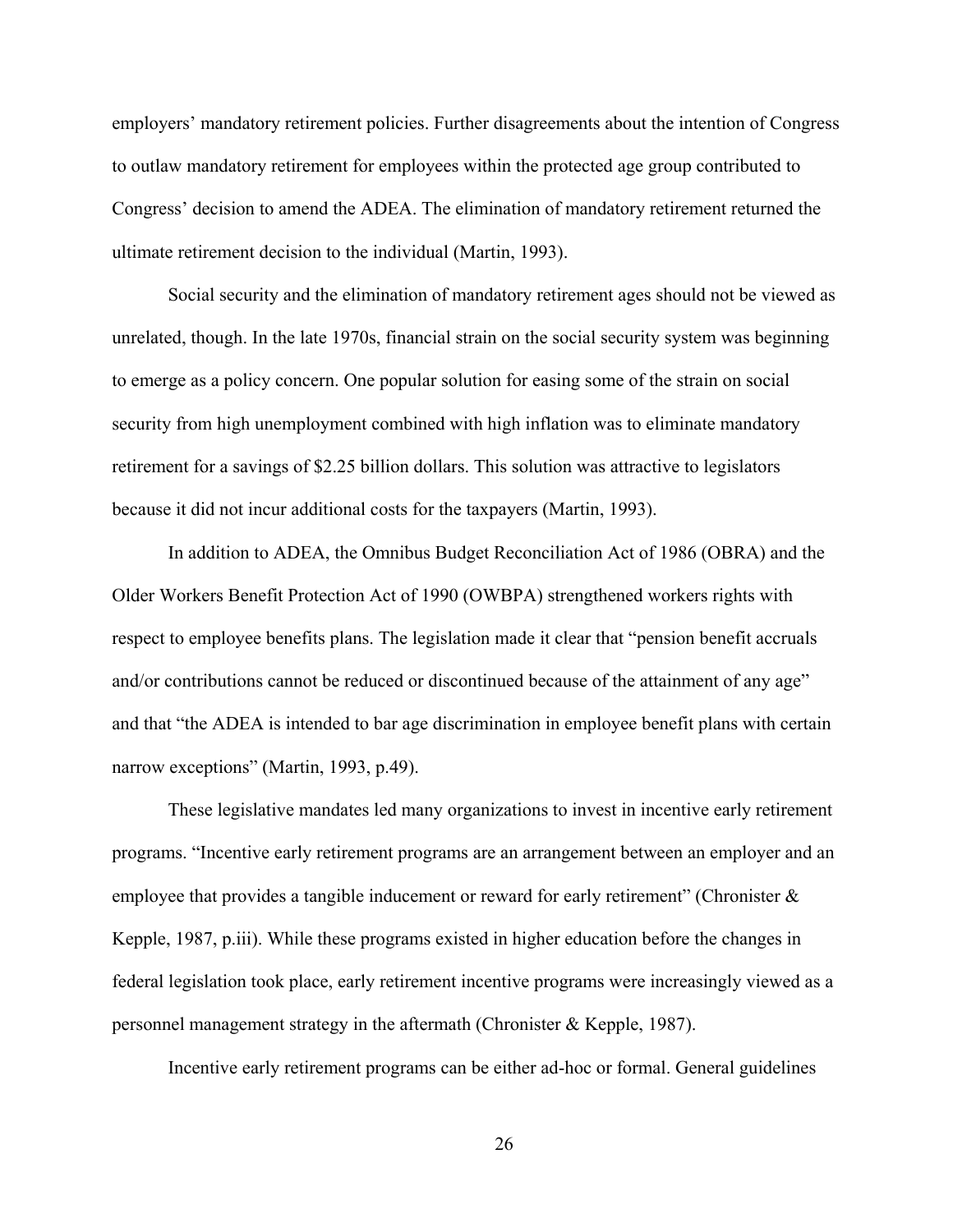employers' mandatory retirement policies. Further disagreements about the intention of Congress to outlaw mandatory retirement for employees within the protected age group contributed to Congress' decision to amend the ADEA. The elimination of mandatory retirement returned the ultimate retirement decision to the individual (Martin, 1993).

Social security and the elimination of mandatory retirement ages should not be viewed as unrelated, though. In the late 1970s, financial strain on the social security system was beginning to emerge as a policy concern. One popular solution for easing some of the strain on social security from high unemployment combined with high inflation was to eliminate mandatory retirement for a savings of \$2.25 billion dollars. This solution was attractive to legislators because it did not incur additional costs for the taxpayers (Martin, 1993).

In addition to ADEA, the Omnibus Budget Reconciliation Act of 1986 (OBRA) and the Older Workers Benefit Protection Act of 1990 (OWBPA) strengthened workers rights with respect to employee benefits plans. The legislation made it clear that "pension benefit accruals and/or contributions cannot be reduced or discontinued because of the attainment of any age" and that "the ADEA is intended to bar age discrimination in employee benefit plans with certain narrow exceptions" (Martin, 1993, p.49).

These legislative mandates led many organizations to invest in incentive early retirement programs. "Incentive early retirement programs are an arrangement between an employer and an employee that provides a tangible inducement or reward for early retirement" (Chronister & Kepple, 1987, p.iii). While these programs existed in higher education before the changes in federal legislation took place, early retirement incentive programs were increasingly viewed as a personnel management strategy in the aftermath (Chronister & Kepple, 1987).

Incentive early retirement programs can be either ad-hoc or formal. General guidelines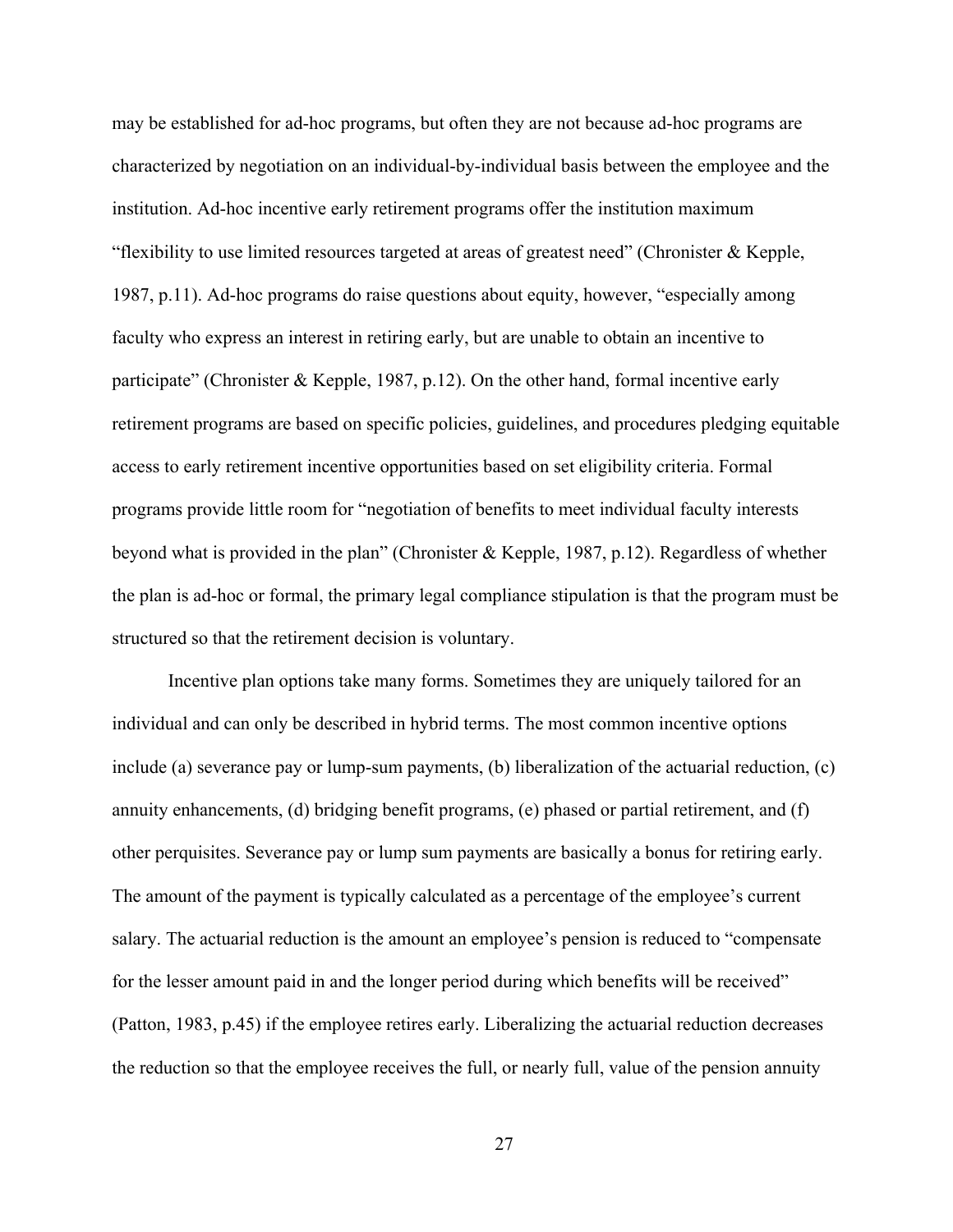may be established for ad-hoc programs, but often they are not because ad-hoc programs are characterized by negotiation on an individual-by-individual basis between the employee and the institution. Ad-hoc incentive early retirement programs offer the institution maximum "flexibility to use limited resources targeted at areas of greatest need" (Chronister & Kepple, 1987, p.11). Ad-hoc programs do raise questions about equity, however, "especially among faculty who express an interest in retiring early, but are unable to obtain an incentive to participate" (Chronister & Kepple, 1987, p.12). On the other hand, formal incentive early retirement programs are based on specific policies, guidelines, and procedures pledging equitable access to early retirement incentive opportunities based on set eligibility criteria. Formal programs provide little room for "negotiation of benefits to meet individual faculty interests beyond what is provided in the plan" (Chronister & Kepple, 1987, p.12). Regardless of whether the plan is ad-hoc or formal, the primary legal compliance stipulation is that the program must be structured so that the retirement decision is voluntary.

Incentive plan options take many forms. Sometimes they are uniquely tailored for an individual and can only be described in hybrid terms. The most common incentive options include (a) severance pay or lump-sum payments, (b) liberalization of the actuarial reduction, (c) annuity enhancements, (d) bridging benefit programs, (e) phased or partial retirement, and (f) other perquisites. Severance pay or lump sum payments are basically a bonus for retiring early. The amount of the payment is typically calculated as a percentage of the employee's current salary. The actuarial reduction is the amount an employee's pension is reduced to "compensate for the lesser amount paid in and the longer period during which benefits will be received" (Patton, 1983, p.45) if the employee retires early. Liberalizing the actuarial reduction decreases the reduction so that the employee receives the full, or nearly full, value of the pension annuity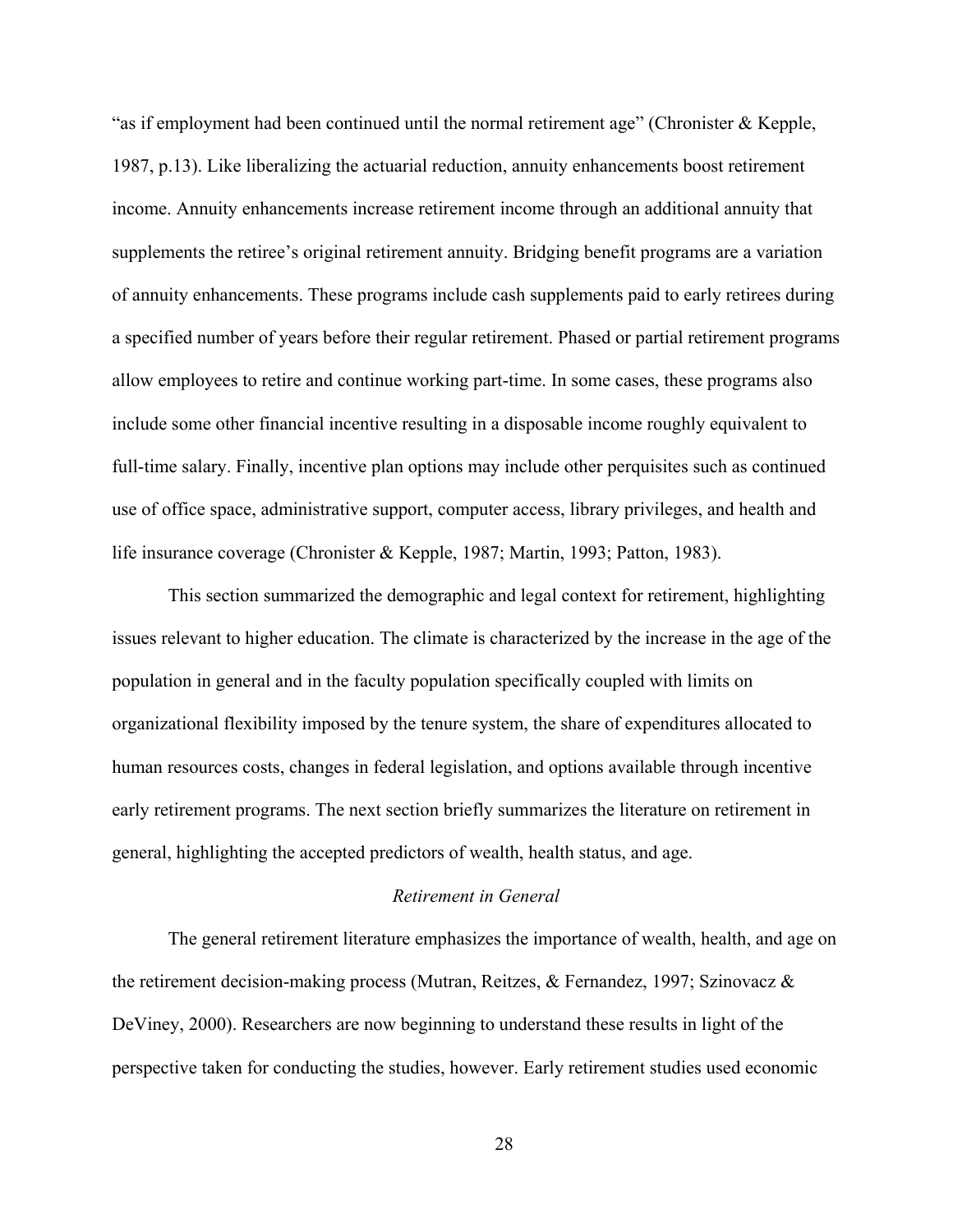"as if employment had been continued until the normal retirement age" (Chronister & Kepple, 1987, p.13). Like liberalizing the actuarial reduction, annuity enhancements boost retirement income. Annuity enhancements increase retirement income through an additional annuity that supplements the retiree's original retirement annuity. Bridging benefit programs are a variation of annuity enhancements. These programs include cash supplements paid to early retirees during a specified number of years before their regular retirement. Phased or partial retirement programs allow employees to retire and continue working part-time. In some cases, these programs also include some other financial incentive resulting in a disposable income roughly equivalent to full-time salary. Finally, incentive plan options may include other perquisites such as continued use of office space, administrative support, computer access, library privileges, and health and life insurance coverage (Chronister & Kepple, 1987; Martin, 1993; Patton, 1983).

This section summarized the demographic and legal context for retirement, highlighting issues relevant to higher education. The climate is characterized by the increase in the age of the population in general and in the faculty population specifically coupled with limits on organizational flexibility imposed by the tenure system, the share of expenditures allocated to human resources costs, changes in federal legislation, and options available through incentive early retirement programs. The next section briefly summarizes the literature on retirement in general, highlighting the accepted predictors of wealth, health status, and age.

#### *Retirement in General*

The general retirement literature emphasizes the importance of wealth, health, and age on the retirement decision-making process (Mutran, Reitzes, & Fernandez, 1997; Szinovacz & DeViney, 2000). Researchers are now beginning to understand these results in light of the perspective taken for conducting the studies, however. Early retirement studies used economic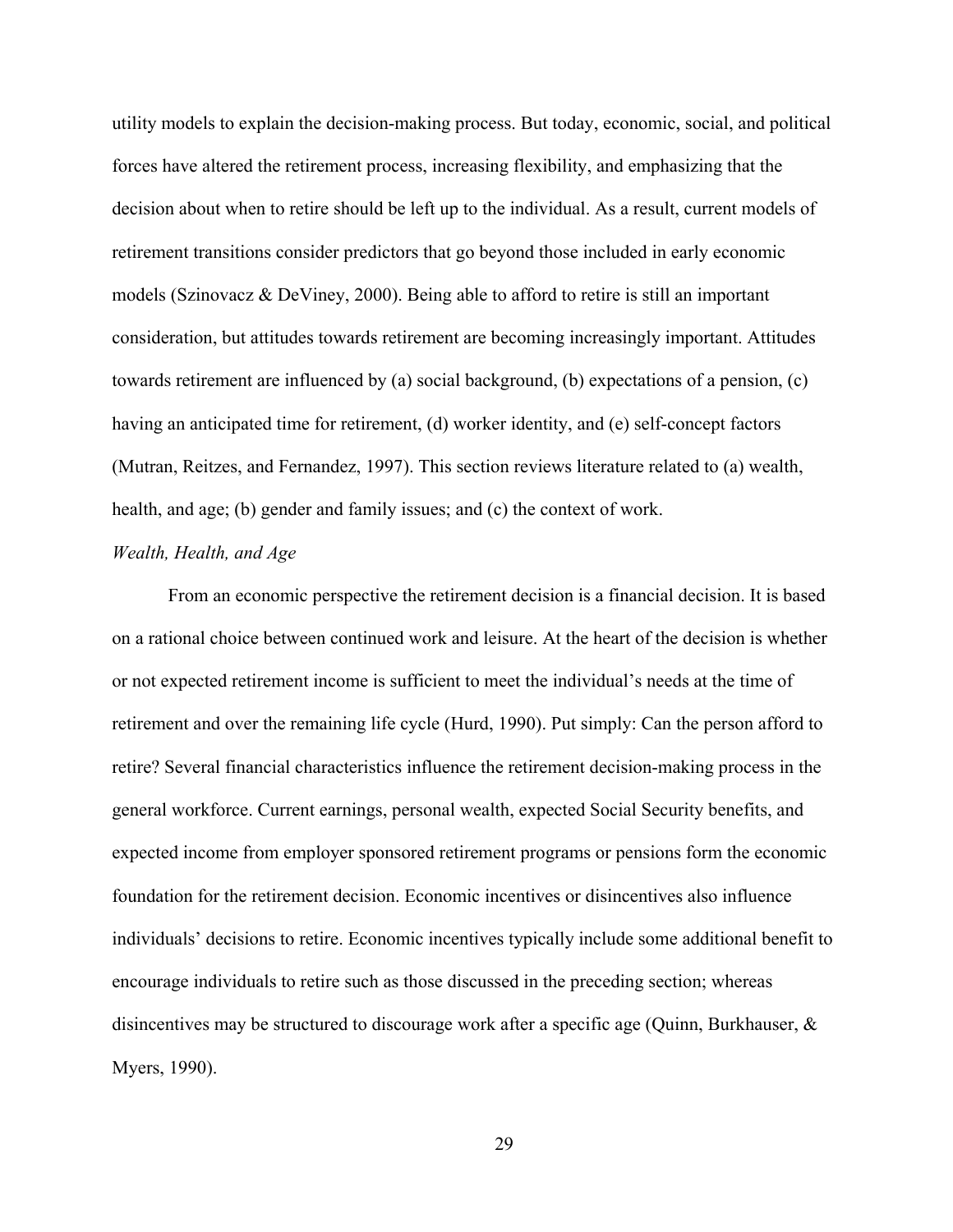utility models to explain the decision-making process. But today, economic, social, and political forces have altered the retirement process, increasing flexibility, and emphasizing that the decision about when to retire should be left up to the individual. As a result, current models of retirement transitions consider predictors that go beyond those included in early economic models (Szinovacz  $\&$  DeViney, 2000). Being able to afford to retire is still an important consideration, but attitudes towards retirement are becoming increasingly important. Attitudes towards retirement are influenced by (a) social background, (b) expectations of a pension, (c) having an anticipated time for retirement, (d) worker identity, and (e) self-concept factors (Mutran, Reitzes, and Fernandez, 1997). This section reviews literature related to (a) wealth, health, and age; (b) gender and family issues; and (c) the context of work.

### *Wealth, Health, and Age*

From an economic perspective the retirement decision is a financial decision. It is based on a rational choice between continued work and leisure. At the heart of the decision is whether or not expected retirement income is sufficient to meet the individual's needs at the time of retirement and over the remaining life cycle (Hurd, 1990). Put simply: Can the person afford to retire? Several financial characteristics influence the retirement decision-making process in the general workforce. Current earnings, personal wealth, expected Social Security benefits, and expected income from employer sponsored retirement programs or pensions form the economic foundation for the retirement decision. Economic incentives or disincentives also influence individuals' decisions to retire. Economic incentives typically include some additional benefit to encourage individuals to retire such as those discussed in the preceding section; whereas disincentives may be structured to discourage work after a specific age (Quinn, Burkhauser, & Myers, 1990).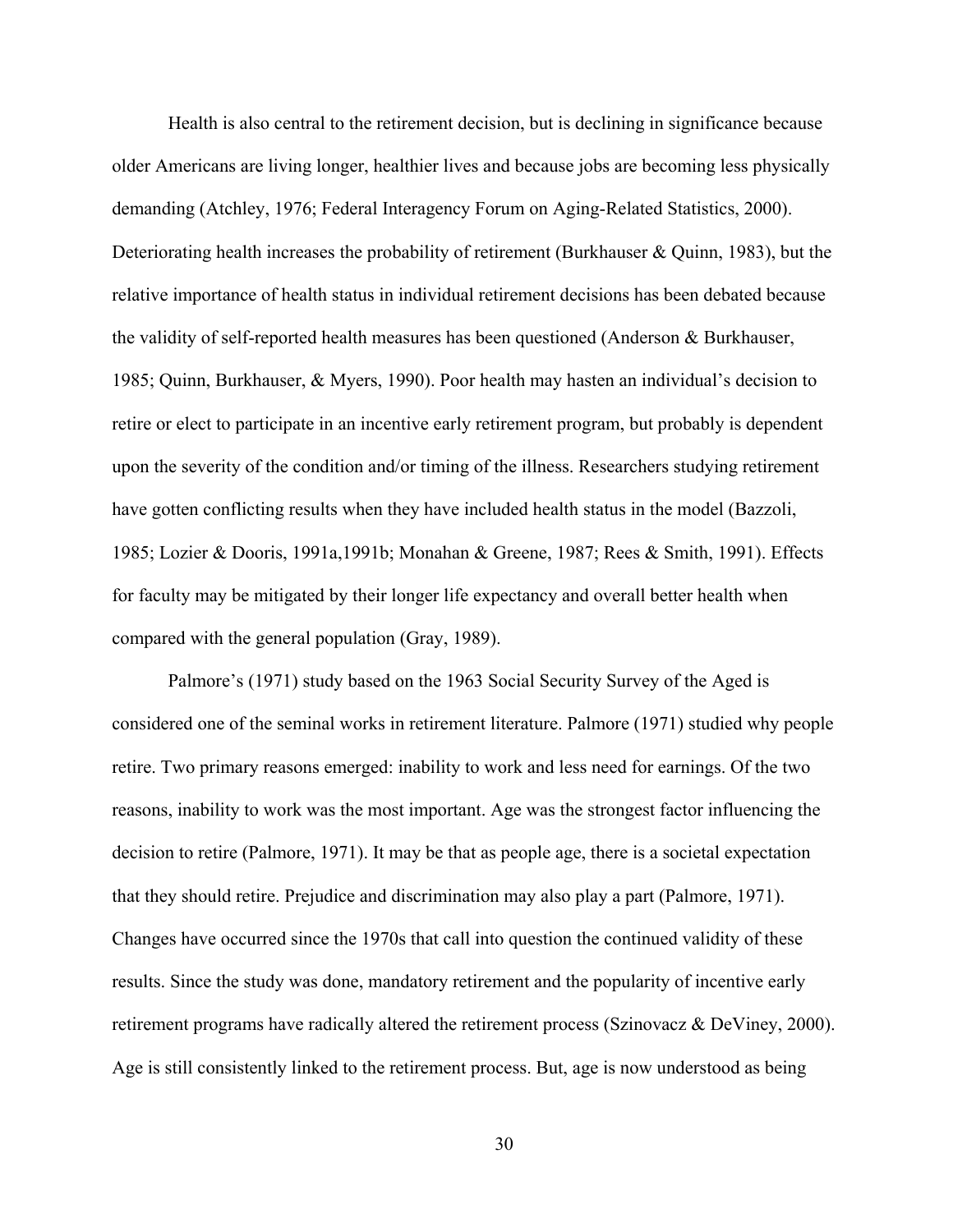Health is also central to the retirement decision, but is declining in significance because older Americans are living longer, healthier lives and because jobs are becoming less physically demanding (Atchley, 1976; Federal Interagency Forum on Aging-Related Statistics, 2000). Deteriorating health increases the probability of retirement (Burkhauser & Quinn, 1983), but the relative importance of health status in individual retirement decisions has been debated because the validity of self-reported health measures has been questioned (Anderson & Burkhauser, 1985; Quinn, Burkhauser, & Myers, 1990). Poor health may hasten an individual's decision to retire or elect to participate in an incentive early retirement program, but probably is dependent upon the severity of the condition and/or timing of the illness. Researchers studying retirement have gotten conflicting results when they have included health status in the model (Bazzoli, 1985; Lozier & Dooris, 1991a,1991b; Monahan & Greene, 1987; Rees & Smith, 1991). Effects for faculty may be mitigated by their longer life expectancy and overall better health when compared with the general population (Gray, 1989).

Palmore's (1971) study based on the 1963 Social Security Survey of the Aged is considered one of the seminal works in retirement literature. Palmore (1971) studied why people retire. Two primary reasons emerged: inability to work and less need for earnings. Of the two reasons, inability to work was the most important. Age was the strongest factor influencing the decision to retire (Palmore, 1971). It may be that as people age, there is a societal expectation that they should retire. Prejudice and discrimination may also play a part (Palmore, 1971). Changes have occurred since the 1970s that call into question the continued validity of these results. Since the study was done, mandatory retirement and the popularity of incentive early retirement programs have radically altered the retirement process (Szinovacz & DeViney, 2000). Age is still consistently linked to the retirement process. But, age is now understood as being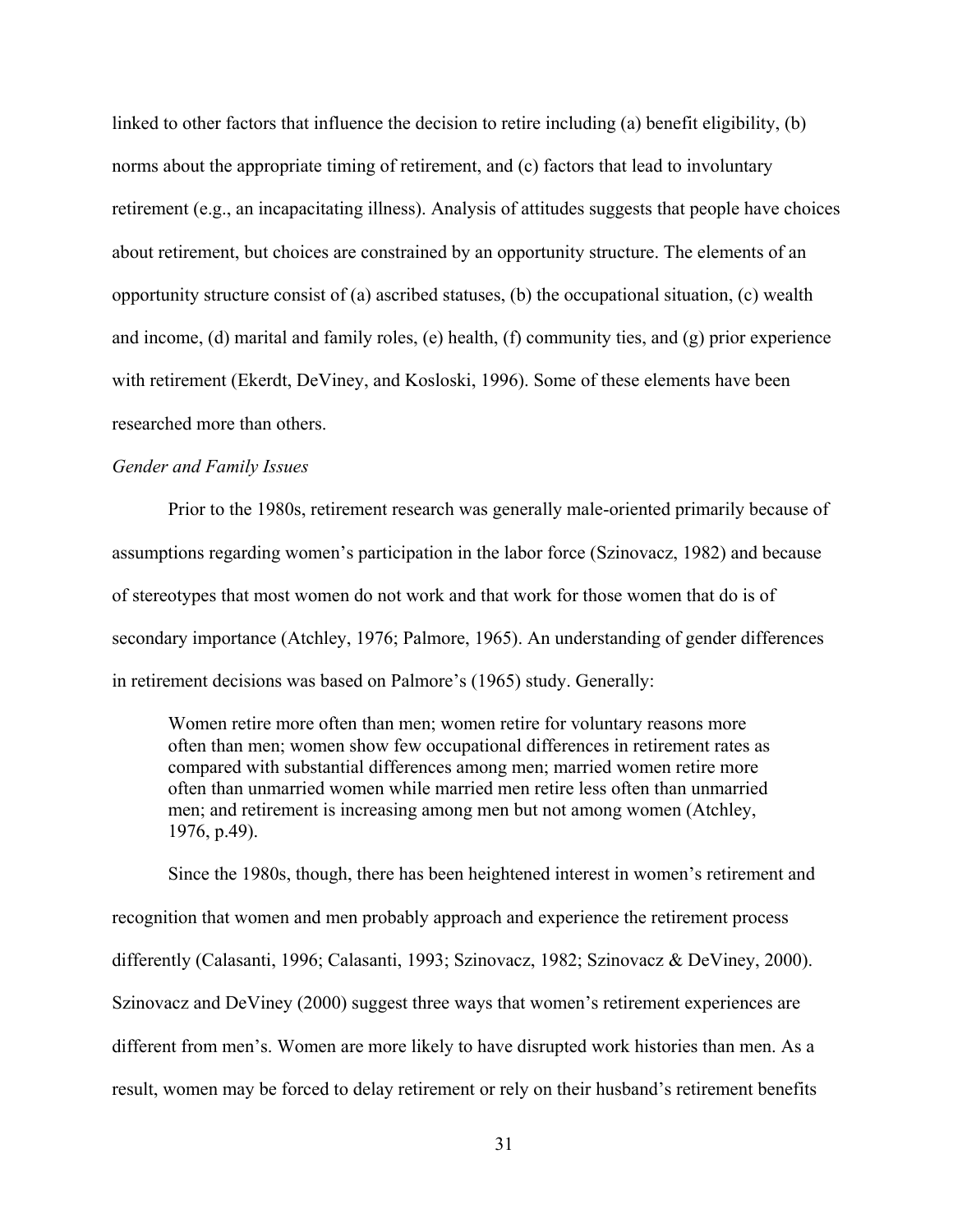linked to other factors that influence the decision to retire including (a) benefit eligibility, (b) norms about the appropriate timing of retirement, and (c) factors that lead to involuntary retirement (e.g., an incapacitating illness). Analysis of attitudes suggests that people have choices about retirement, but choices are constrained by an opportunity structure. The elements of an opportunity structure consist of (a) ascribed statuses, (b) the occupational situation, (c) wealth and income, (d) marital and family roles, (e) health, (f) community ties, and (g) prior experience with retirement (Ekerdt, DeViney, and Kosloski, 1996). Some of these elements have been researched more than others.

# *Gender and Family Issues*

Prior to the 1980s, retirement research was generally male-oriented primarily because of assumptions regarding women's participation in the labor force (Szinovacz, 1982) and because of stereotypes that most women do not work and that work for those women that do is of secondary importance (Atchley, 1976; Palmore, 1965). An understanding of gender differences in retirement decisions was based on Palmore's (1965) study. Generally:

Women retire more often than men; women retire for voluntary reasons more often than men; women show few occupational differences in retirement rates as compared with substantial differences among men; married women retire more often than unmarried women while married men retire less often than unmarried men; and retirement is increasing among men but not among women (Atchley, 1976, p.49).

Since the 1980s, though, there has been heightened interest in women's retirement and recognition that women and men probably approach and experience the retirement process differently (Calasanti, 1996; Calasanti, 1993; Szinovacz, 1982; Szinovacz & DeViney, 2000). Szinovacz and DeViney (2000) suggest three ways that women's retirement experiences are different from men's. Women are more likely to have disrupted work histories than men. As a result, women may be forced to delay retirement or rely on their husband's retirement benefits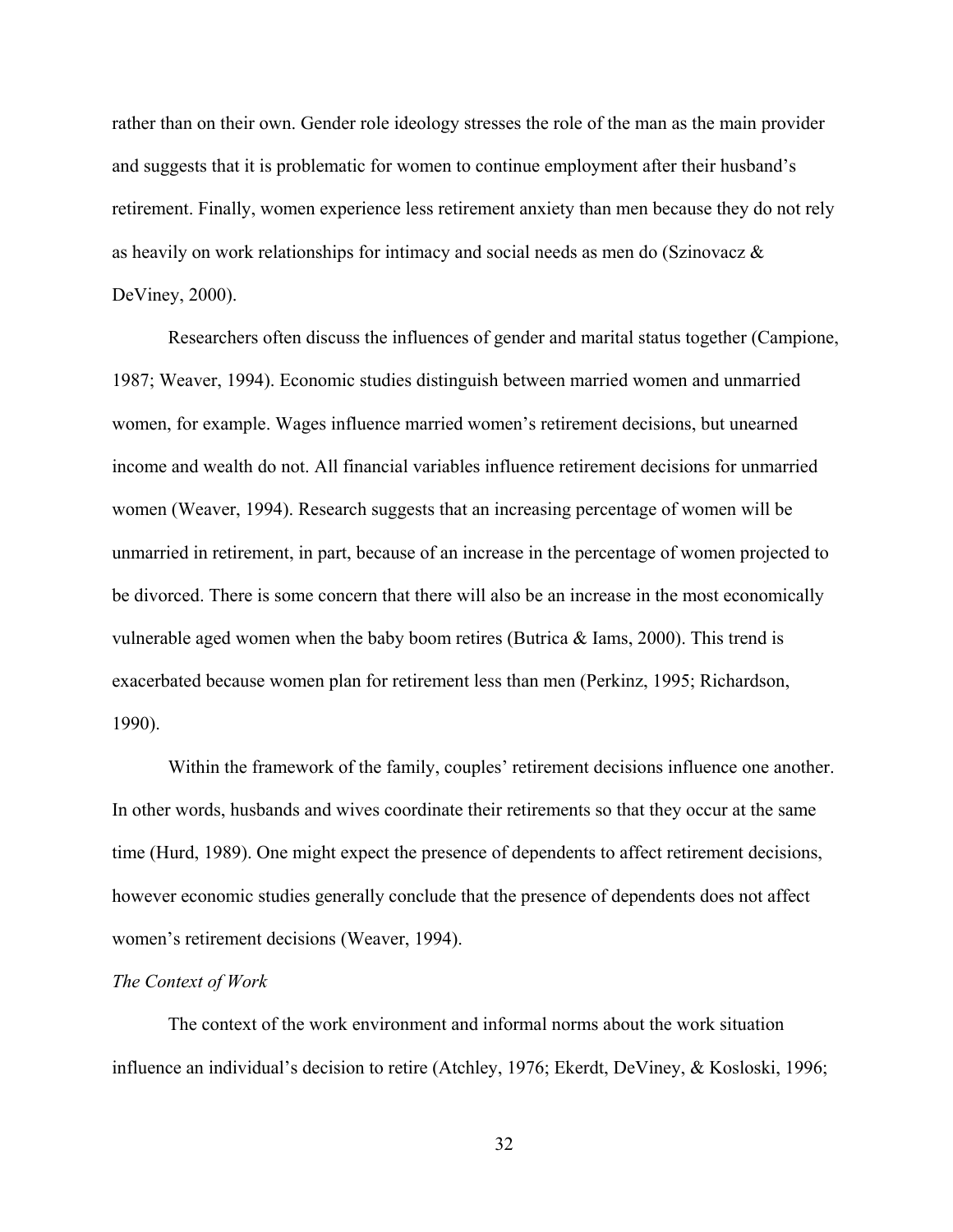rather than on their own. Gender role ideology stresses the role of the man as the main provider and suggests that it is problematic for women to continue employment after their husband's retirement. Finally, women experience less retirement anxiety than men because they do not rely as heavily on work relationships for intimacy and social needs as men do (Szinovacz & DeViney, 2000).

Researchers often discuss the influences of gender and marital status together (Campione, 1987; Weaver, 1994). Economic studies distinguish between married women and unmarried women, for example. Wages influence married women's retirement decisions, but unearned income and wealth do not. All financial variables influence retirement decisions for unmarried women (Weaver, 1994). Research suggests that an increasing percentage of women will be unmarried in retirement, in part, because of an increase in the percentage of women projected to be divorced. There is some concern that there will also be an increase in the most economically vulnerable aged women when the baby boom retires (Butrica & Iams, 2000). This trend is exacerbated because women plan for retirement less than men (Perkinz, 1995; Richardson, 1990).

Within the framework of the family, couples' retirement decisions influence one another. In other words, husbands and wives coordinate their retirements so that they occur at the same time (Hurd, 1989). One might expect the presence of dependents to affect retirement decisions, however economic studies generally conclude that the presence of dependents does not affect women's retirement decisions (Weaver, 1994).

#### *The Context of Work*

The context of the work environment and informal norms about the work situation influence an individual's decision to retire (Atchley, 1976; Ekerdt, DeViney, & Kosloski, 1996;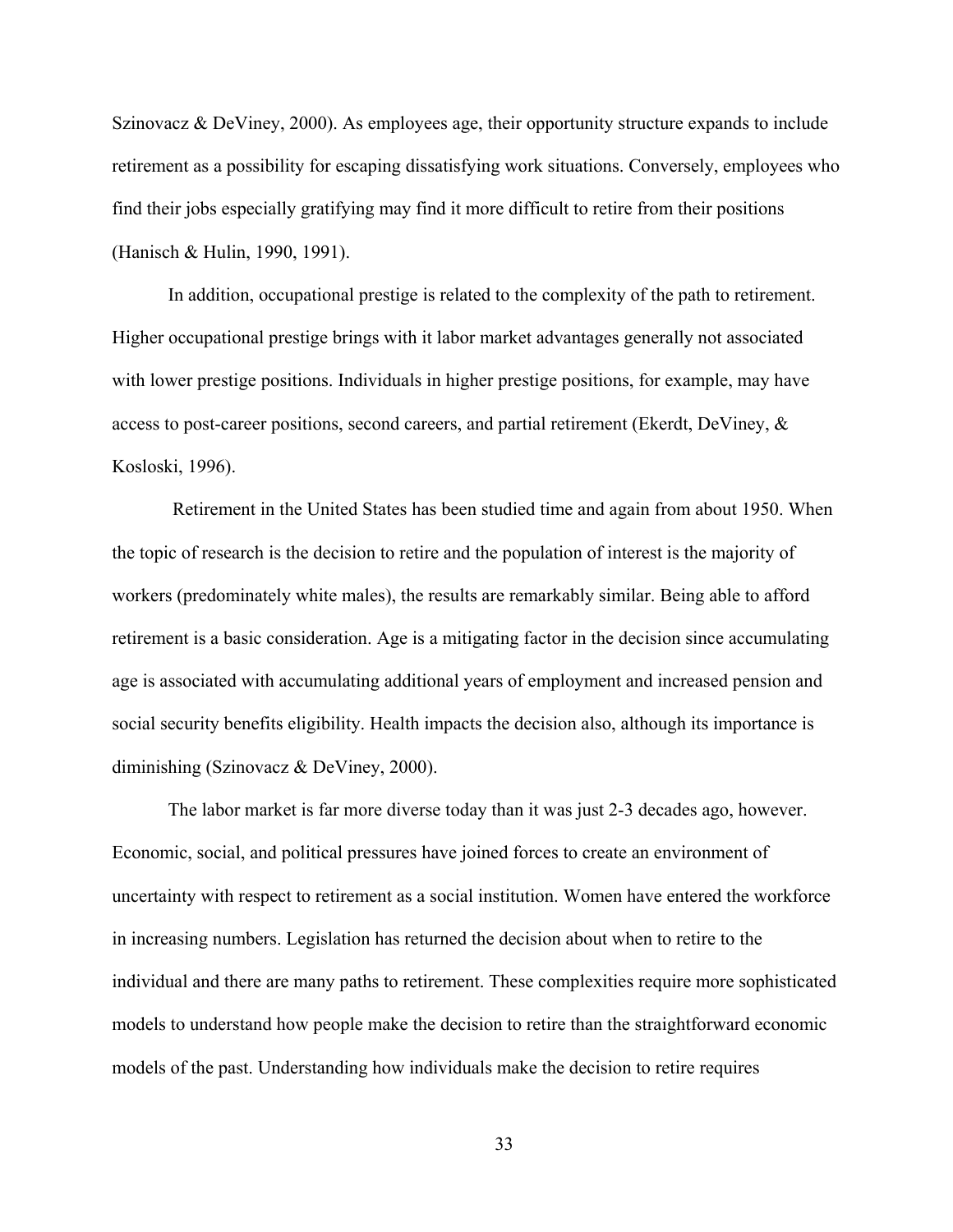Szinovacz & DeViney, 2000). As employees age, their opportunity structure expands to include retirement as a possibility for escaping dissatisfying work situations. Conversely, employees who find their jobs especially gratifying may find it more difficult to retire from their positions (Hanisch & Hulin, 1990, 1991).

In addition, occupational prestige is related to the complexity of the path to retirement. Higher occupational prestige brings with it labor market advantages generally not associated with lower prestige positions. Individuals in higher prestige positions, for example, may have access to post-career positions, second careers, and partial retirement (Ekerdt, DeViney, & Kosloski, 1996).

 Retirement in the United States has been studied time and again from about 1950. When the topic of research is the decision to retire and the population of interest is the majority of workers (predominately white males), the results are remarkably similar. Being able to afford retirement is a basic consideration. Age is a mitigating factor in the decision since accumulating age is associated with accumulating additional years of employment and increased pension and social security benefits eligibility. Health impacts the decision also, although its importance is diminishing (Szinovacz & DeViney, 2000).

The labor market is far more diverse today than it was just 2-3 decades ago, however. Economic, social, and political pressures have joined forces to create an environment of uncertainty with respect to retirement as a social institution. Women have entered the workforce in increasing numbers. Legislation has returned the decision about when to retire to the individual and there are many paths to retirement. These complexities require more sophisticated models to understand how people make the decision to retire than the straightforward economic models of the past. Understanding how individuals make the decision to retire requires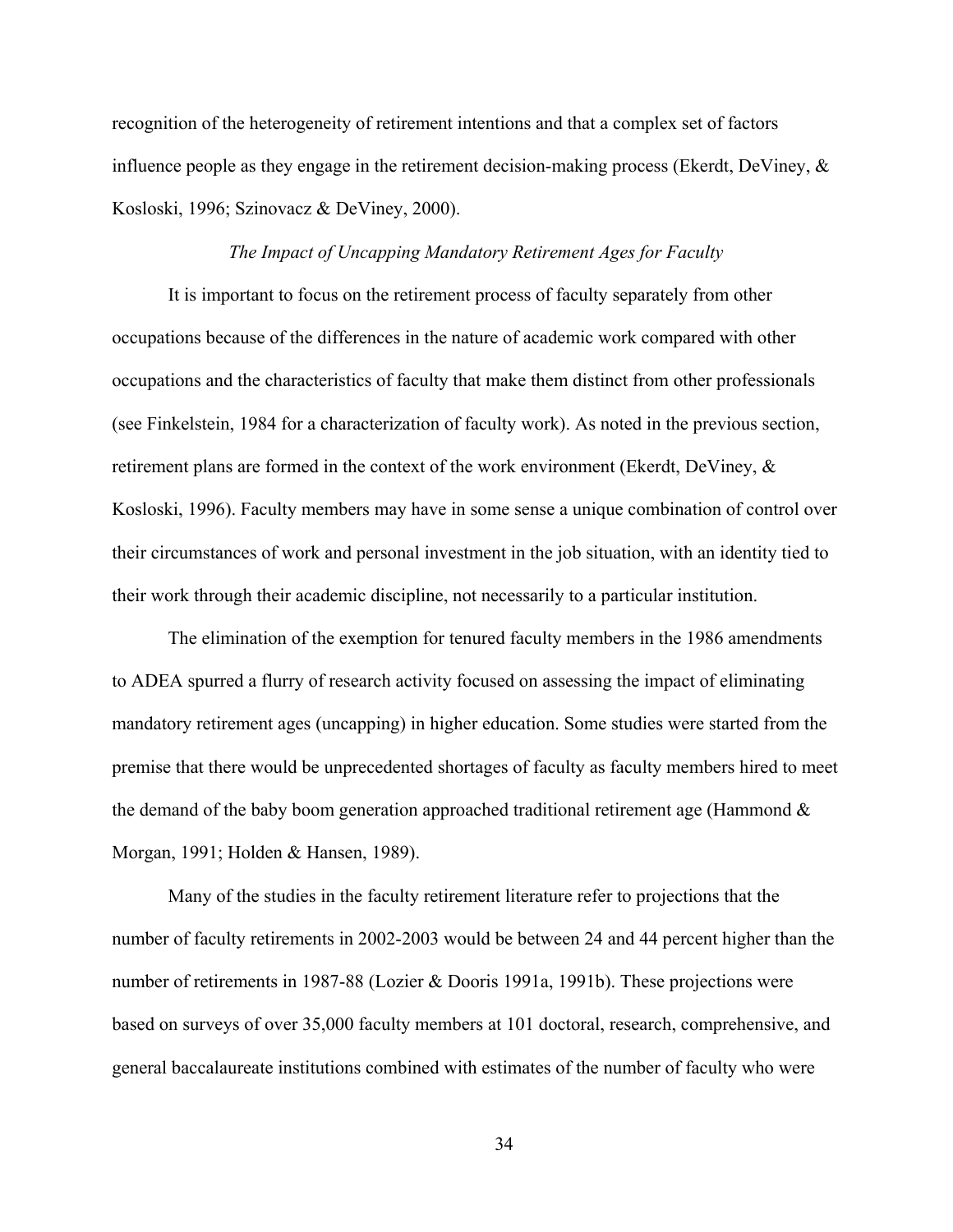recognition of the heterogeneity of retirement intentions and that a complex set of factors influence people as they engage in the retirement decision-making process (Ekerdt, DeViney,  $\&$ Kosloski, 1996; Szinovacz & DeViney, 2000).

### *The Impact of Uncapping Mandatory Retirement Ages for Faculty*

It is important to focus on the retirement process of faculty separately from other occupations because of the differences in the nature of academic work compared with other occupations and the characteristics of faculty that make them distinct from other professionals (see Finkelstein, 1984 for a characterization of faculty work). As noted in the previous section, retirement plans are formed in the context of the work environment (Ekerdt, DeViney, & Kosloski, 1996). Faculty members may have in some sense a unique combination of control over their circumstances of work and personal investment in the job situation, with an identity tied to their work through their academic discipline, not necessarily to a particular institution.

The elimination of the exemption for tenured faculty members in the 1986 amendments to ADEA spurred a flurry of research activity focused on assessing the impact of eliminating mandatory retirement ages (uncapping) in higher education. Some studies were started from the premise that there would be unprecedented shortages of faculty as faculty members hired to meet the demand of the baby boom generation approached traditional retirement age (Hammond  $\&$ Morgan, 1991; Holden & Hansen, 1989).

Many of the studies in the faculty retirement literature refer to projections that the number of faculty retirements in 2002-2003 would be between 24 and 44 percent higher than the number of retirements in 1987-88 (Lozier & Dooris 1991a, 1991b). These projections were based on surveys of over 35,000 faculty members at 101 doctoral, research, comprehensive, and general baccalaureate institutions combined with estimates of the number of faculty who were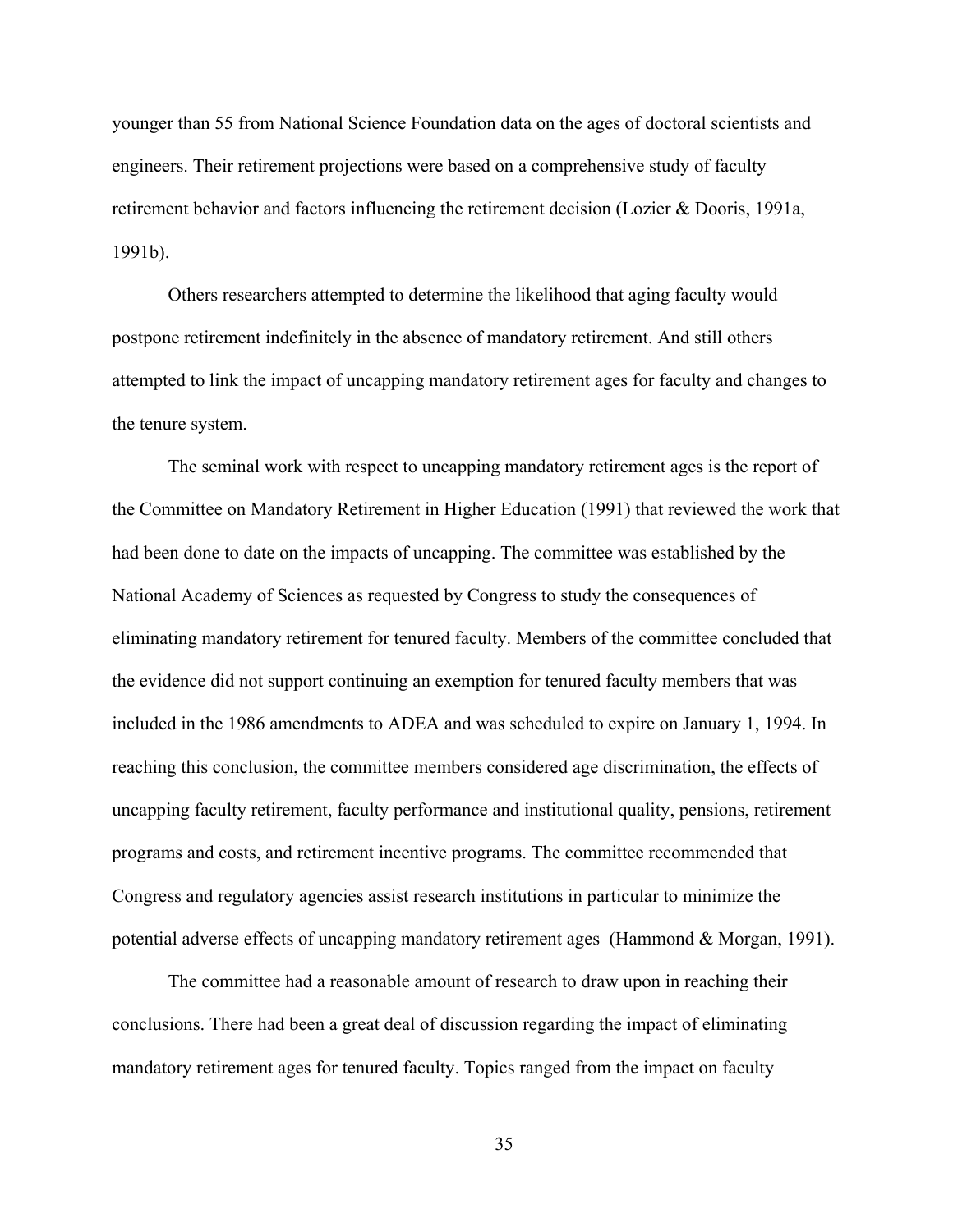younger than 55 from National Science Foundation data on the ages of doctoral scientists and engineers. Their retirement projections were based on a comprehensive study of faculty retirement behavior and factors influencing the retirement decision (Lozier & Dooris, 1991a, 1991b).

Others researchers attempted to determine the likelihood that aging faculty would postpone retirement indefinitely in the absence of mandatory retirement. And still others attempted to link the impact of uncapping mandatory retirement ages for faculty and changes to the tenure system.

The seminal work with respect to uncapping mandatory retirement ages is the report of the Committee on Mandatory Retirement in Higher Education (1991) that reviewed the work that had been done to date on the impacts of uncapping. The committee was established by the National Academy of Sciences as requested by Congress to study the consequences of eliminating mandatory retirement for tenured faculty. Members of the committee concluded that the evidence did not support continuing an exemption for tenured faculty members that was included in the 1986 amendments to ADEA and was scheduled to expire on January 1, 1994. In reaching this conclusion, the committee members considered age discrimination, the effects of uncapping faculty retirement, faculty performance and institutional quality, pensions, retirement programs and costs, and retirement incentive programs. The committee recommended that Congress and regulatory agencies assist research institutions in particular to minimize the potential adverse effects of uncapping mandatory retirement ages (Hammond & Morgan, 1991).

The committee had a reasonable amount of research to draw upon in reaching their conclusions. There had been a great deal of discussion regarding the impact of eliminating mandatory retirement ages for tenured faculty. Topics ranged from the impact on faculty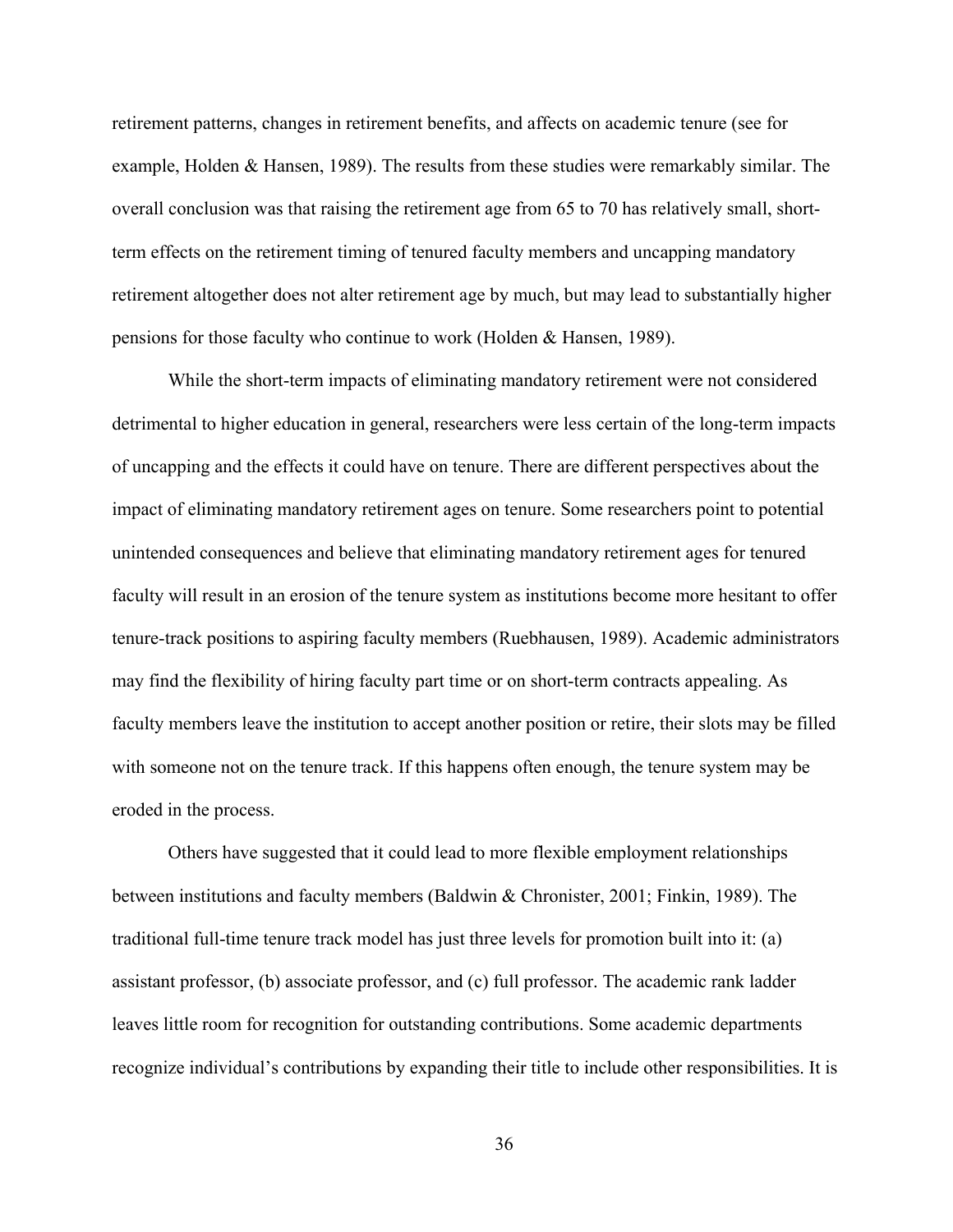retirement patterns, changes in retirement benefits, and affects on academic tenure (see for example, Holden & Hansen, 1989). The results from these studies were remarkably similar. The overall conclusion was that raising the retirement age from 65 to 70 has relatively small, shortterm effects on the retirement timing of tenured faculty members and uncapping mandatory retirement altogether does not alter retirement age by much, but may lead to substantially higher pensions for those faculty who continue to work (Holden & Hansen, 1989).

While the short-term impacts of eliminating mandatory retirement were not considered detrimental to higher education in general, researchers were less certain of the long-term impacts of uncapping and the effects it could have on tenure. There are different perspectives about the impact of eliminating mandatory retirement ages on tenure. Some researchers point to potential unintended consequences and believe that eliminating mandatory retirement ages for tenured faculty will result in an erosion of the tenure system as institutions become more hesitant to offer tenure-track positions to aspiring faculty members (Ruebhausen, 1989). Academic administrators may find the flexibility of hiring faculty part time or on short-term contracts appealing. As faculty members leave the institution to accept another position or retire, their slots may be filled with someone not on the tenure track. If this happens often enough, the tenure system may be eroded in the process.

Others have suggested that it could lead to more flexible employment relationships between institutions and faculty members (Baldwin & Chronister, 2001; Finkin, 1989). The traditional full-time tenure track model has just three levels for promotion built into it: (a) assistant professor, (b) associate professor, and (c) full professor. The academic rank ladder leaves little room for recognition for outstanding contributions. Some academic departments recognize individual's contributions by expanding their title to include other responsibilities. It is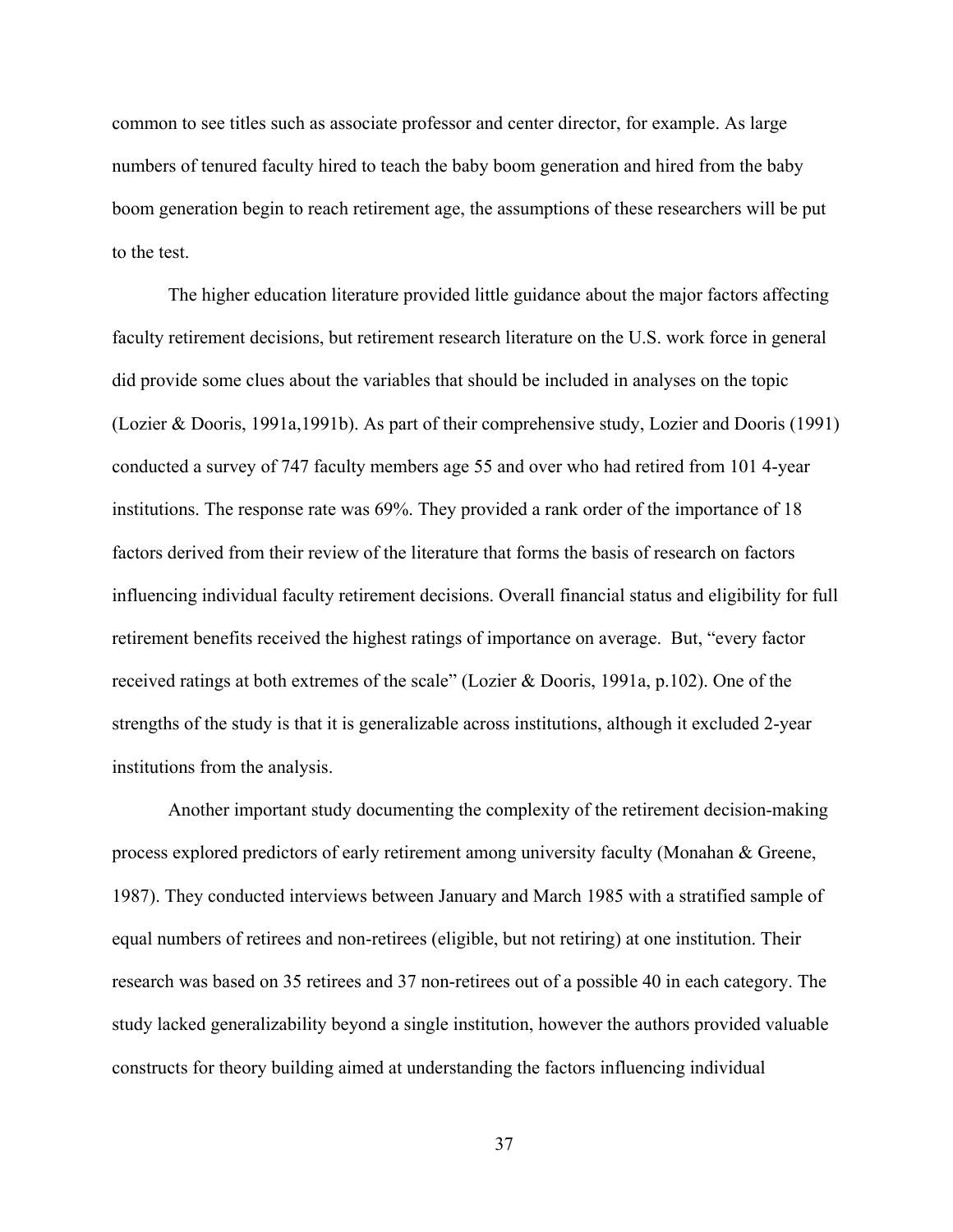common to see titles such as associate professor and center director, for example. As large numbers of tenured faculty hired to teach the baby boom generation and hired from the baby boom generation begin to reach retirement age, the assumptions of these researchers will be put to the test.

The higher education literature provided little guidance about the major factors affecting faculty retirement decisions, but retirement research literature on the U.S. work force in general did provide some clues about the variables that should be included in analyses on the topic (Lozier & Dooris, 1991a,1991b). As part of their comprehensive study, Lozier and Dooris (1991) conducted a survey of 747 faculty members age 55 and over who had retired from 101 4-year institutions. The response rate was 69%. They provided a rank order of the importance of 18 factors derived from their review of the literature that forms the basis of research on factors influencing individual faculty retirement decisions. Overall financial status and eligibility for full retirement benefits received the highest ratings of importance on average. But, "every factor received ratings at both extremes of the scale" (Lozier & Dooris, 1991a, p.102). One of the strengths of the study is that it is generalizable across institutions, although it excluded 2-year institutions from the analysis.

Another important study documenting the complexity of the retirement decision-making process explored predictors of early retirement among university faculty (Monahan & Greene, 1987). They conducted interviews between January and March 1985 with a stratified sample of equal numbers of retirees and non-retirees (eligible, but not retiring) at one institution. Their research was based on 35 retirees and 37 non-retirees out of a possible 40 in each category. The study lacked generalizability beyond a single institution, however the authors provided valuable constructs for theory building aimed at understanding the factors influencing individual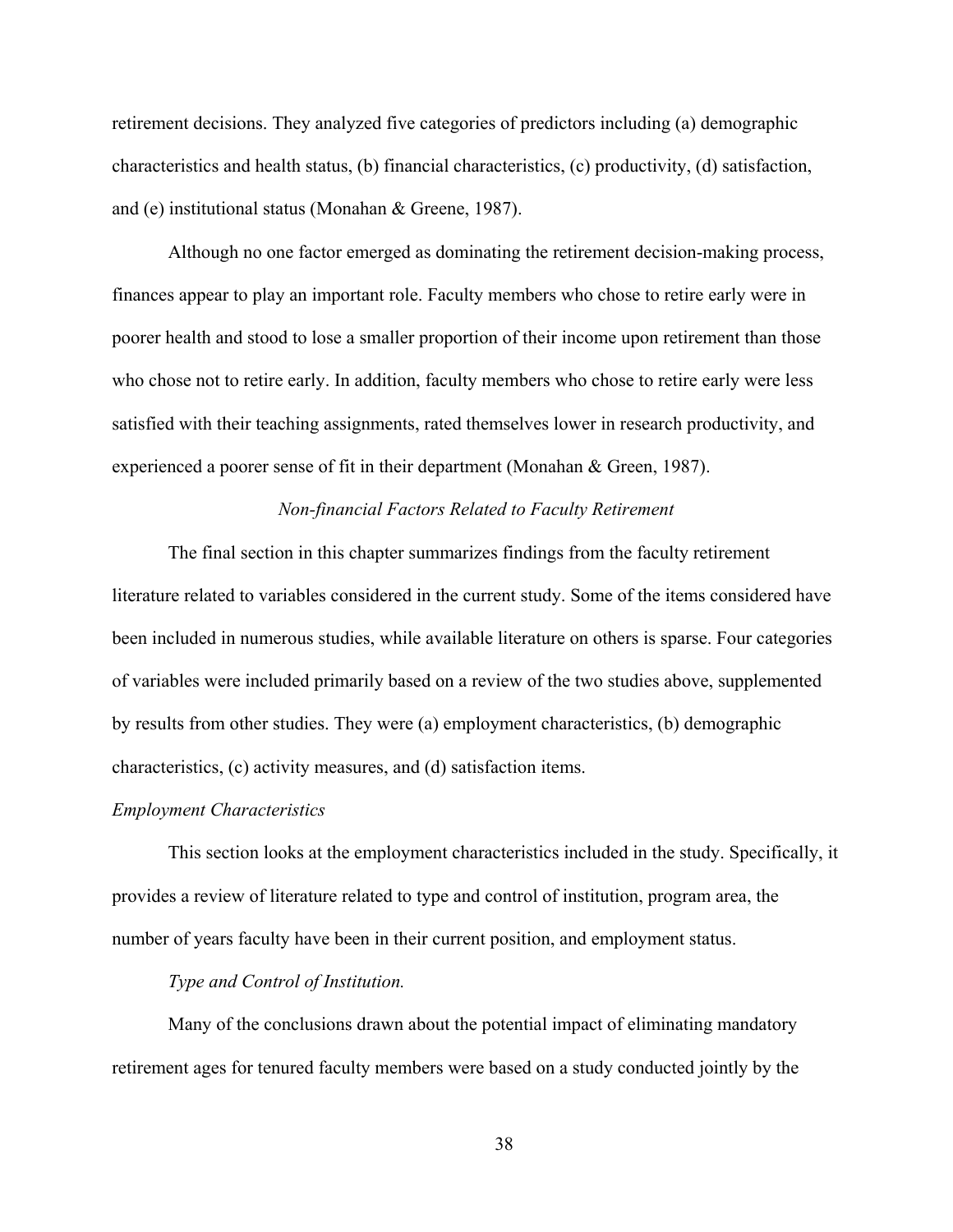retirement decisions. They analyzed five categories of predictors including (a) demographic characteristics and health status, (b) financial characteristics, (c) productivity, (d) satisfaction, and (e) institutional status (Monahan & Greene, 1987).

Although no one factor emerged as dominating the retirement decision-making process, finances appear to play an important role. Faculty members who chose to retire early were in poorer health and stood to lose a smaller proportion of their income upon retirement than those who chose not to retire early. In addition, faculty members who chose to retire early were less satisfied with their teaching assignments, rated themselves lower in research productivity, and experienced a poorer sense of fit in their department (Monahan & Green, 1987).

# *Non-financial Factors Related to Faculty Retirement*

The final section in this chapter summarizes findings from the faculty retirement literature related to variables considered in the current study. Some of the items considered have been included in numerous studies, while available literature on others is sparse. Four categories of variables were included primarily based on a review of the two studies above, supplemented by results from other studies. They were (a) employment characteristics, (b) demographic characteristics, (c) activity measures, and (d) satisfaction items.

### *Employment Characteristics*

This section looks at the employment characteristics included in the study. Specifically, it provides a review of literature related to type and control of institution, program area, the number of years faculty have been in their current position, and employment status.

# *Type and Control of Institution.*

Many of the conclusions drawn about the potential impact of eliminating mandatory retirement ages for tenured faculty members were based on a study conducted jointly by the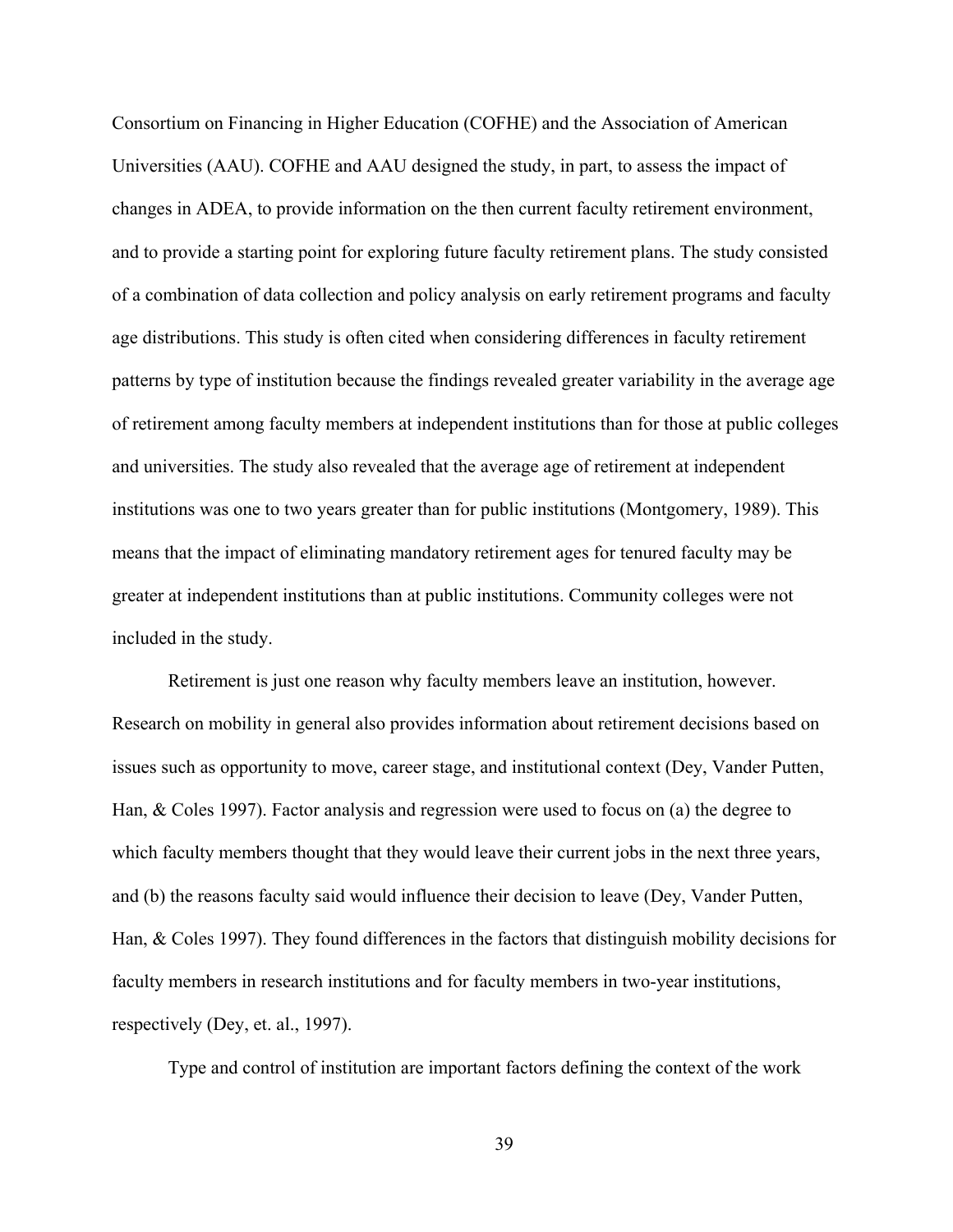Consortium on Financing in Higher Education (COFHE) and the Association of American Universities (AAU). COFHE and AAU designed the study, in part, to assess the impact of changes in ADEA, to provide information on the then current faculty retirement environment, and to provide a starting point for exploring future faculty retirement plans. The study consisted of a combination of data collection and policy analysis on early retirement programs and faculty age distributions. This study is often cited when considering differences in faculty retirement patterns by type of institution because the findings revealed greater variability in the average age of retirement among faculty members at independent institutions than for those at public colleges and universities. The study also revealed that the average age of retirement at independent institutions was one to two years greater than for public institutions (Montgomery, 1989). This means that the impact of eliminating mandatory retirement ages for tenured faculty may be greater at independent institutions than at public institutions. Community colleges were not included in the study.

Retirement is just one reason why faculty members leave an institution, however. Research on mobility in general also provides information about retirement decisions based on issues such as opportunity to move, career stage, and institutional context (Dey, Vander Putten, Han, & Coles 1997). Factor analysis and regression were used to focus on (a) the degree to which faculty members thought that they would leave their current jobs in the next three years, and (b) the reasons faculty said would influence their decision to leave (Dey, Vander Putten, Han, & Coles 1997). They found differences in the factors that distinguish mobility decisions for faculty members in research institutions and for faculty members in two-year institutions, respectively (Dey, et. al., 1997).

Type and control of institution are important factors defining the context of the work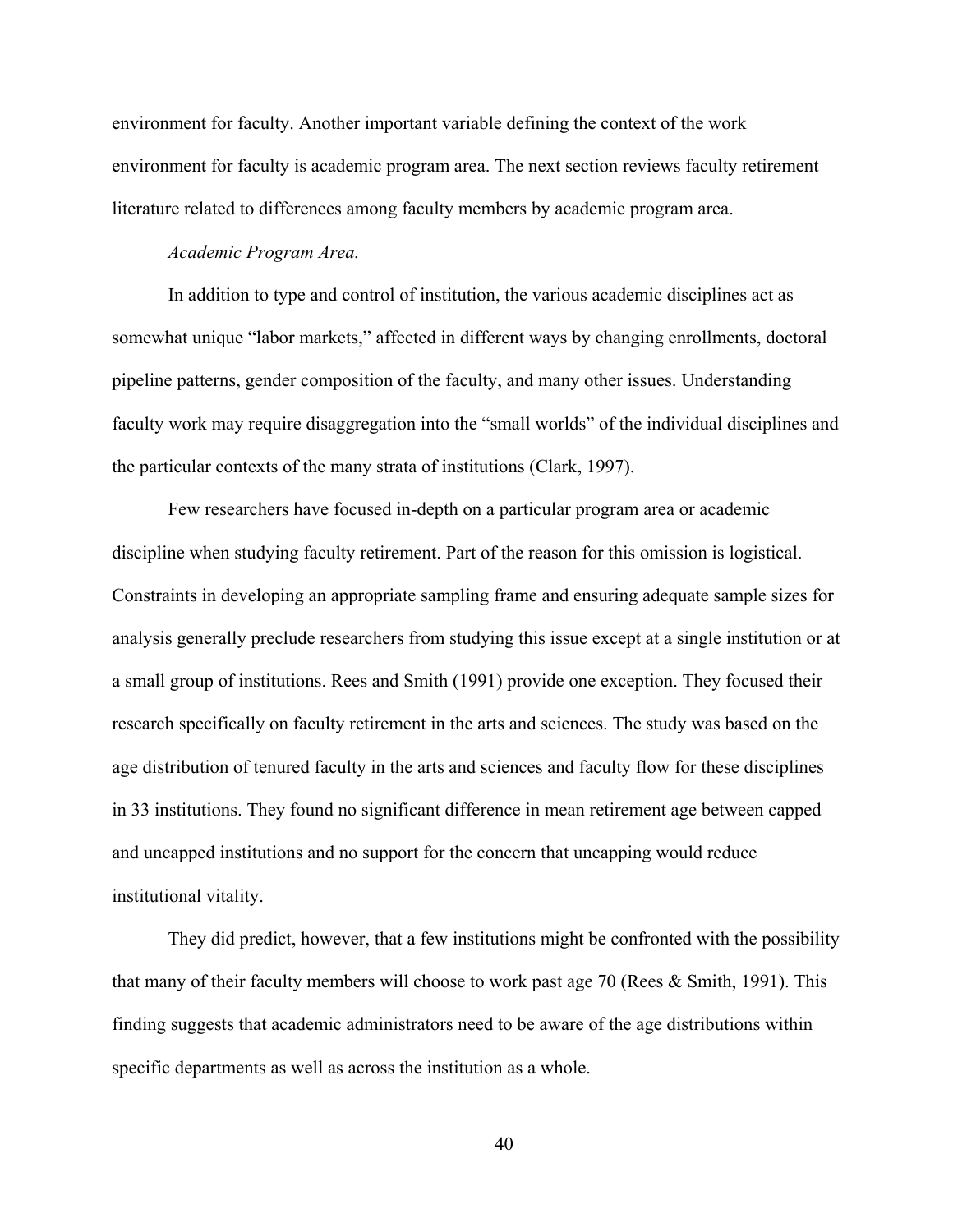environment for faculty. Another important variable defining the context of the work environment for faculty is academic program area. The next section reviews faculty retirement literature related to differences among faculty members by academic program area.

# *Academic Program Area.*

In addition to type and control of institution, the various academic disciplines act as somewhat unique "labor markets," affected in different ways by changing enrollments, doctoral pipeline patterns, gender composition of the faculty, and many other issues. Understanding faculty work may require disaggregation into the "small worlds" of the individual disciplines and the particular contexts of the many strata of institutions (Clark, 1997).

Few researchers have focused in-depth on a particular program area or academic discipline when studying faculty retirement. Part of the reason for this omission is logistical. Constraints in developing an appropriate sampling frame and ensuring adequate sample sizes for analysis generally preclude researchers from studying this issue except at a single institution or at a small group of institutions. Rees and Smith (1991) provide one exception. They focused their research specifically on faculty retirement in the arts and sciences. The study was based on the age distribution of tenured faculty in the arts and sciences and faculty flow for these disciplines in 33 institutions. They found no significant difference in mean retirement age between capped and uncapped institutions and no support for the concern that uncapping would reduce institutional vitality.

They did predict, however, that a few institutions might be confronted with the possibility that many of their faculty members will choose to work past age 70 (Rees & Smith, 1991). This finding suggests that academic administrators need to be aware of the age distributions within specific departments as well as across the institution as a whole.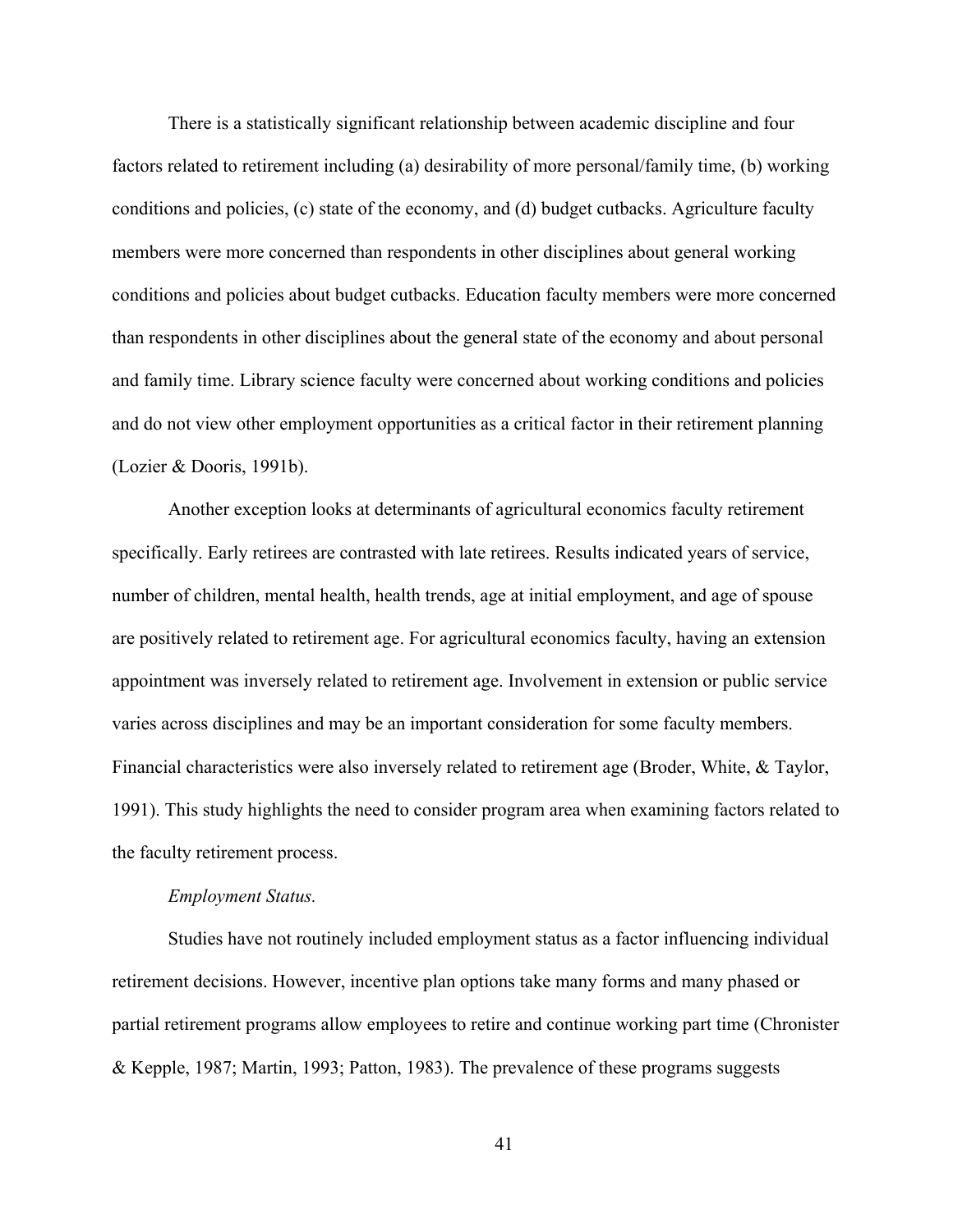There is a statistically significant relationship between academic discipline and four factors related to retirement including (a) desirability of more personal/family time, (b) working conditions and policies, (c) state of the economy, and (d) budget cutbacks. Agriculture faculty members were more concerned than respondents in other disciplines about general working conditions and policies about budget cutbacks. Education faculty members were more concerned than respondents in other disciplines about the general state of the economy and about personal and family time. Library science faculty were concerned about working conditions and policies and do not view other employment opportunities as a critical factor in their retirement planning (Lozier & Dooris, 1991b).

Another exception looks at determinants of agricultural economics faculty retirement specifically. Early retirees are contrasted with late retirees. Results indicated years of service, number of children, mental health, health trends, age at initial employment, and age of spouse are positively related to retirement age. For agricultural economics faculty, having an extension appointment was inversely related to retirement age. Involvement in extension or public service varies across disciplines and may be an important consideration for some faculty members. Financial characteristics were also inversely related to retirement age (Broder, White, & Taylor, 1991). This study highlights the need to consider program area when examining factors related to the faculty retirement process.

#### *Employment Status.*

Studies have not routinely included employment status as a factor influencing individual retirement decisions. However, incentive plan options take many forms and many phased or partial retirement programs allow employees to retire and continue working part time (Chronister & Kepple, 1987; Martin, 1993; Patton, 1983). The prevalence of these programs suggests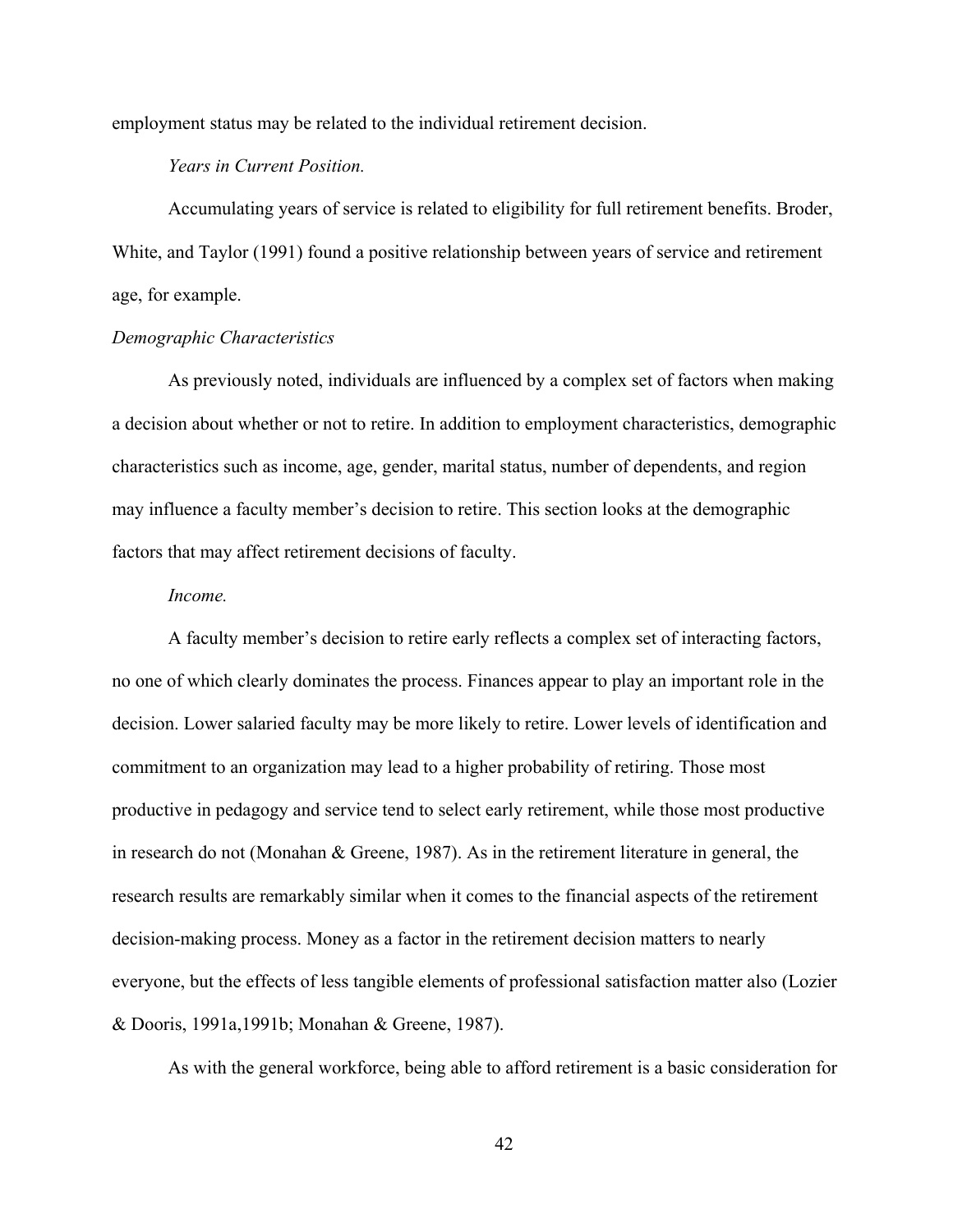employment status may be related to the individual retirement decision.

# *Years in Current Position.*

Accumulating years of service is related to eligibility for full retirement benefits. Broder, White, and Taylor (1991) found a positive relationship between years of service and retirement age, for example.

# *Demographic Characteristics*

As previously noted, individuals are influenced by a complex set of factors when making a decision about whether or not to retire. In addition to employment characteristics, demographic characteristics such as income, age, gender, marital status, number of dependents, and region may influence a faculty member's decision to retire. This section looks at the demographic factors that may affect retirement decisions of faculty.

#### *Income.*

A faculty member's decision to retire early reflects a complex set of interacting factors, no one of which clearly dominates the process. Finances appear to play an important role in the decision. Lower salaried faculty may be more likely to retire. Lower levels of identification and commitment to an organization may lead to a higher probability of retiring. Those most productive in pedagogy and service tend to select early retirement, while those most productive in research do not (Monahan & Greene, 1987). As in the retirement literature in general, the research results are remarkably similar when it comes to the financial aspects of the retirement decision-making process. Money as a factor in the retirement decision matters to nearly everyone, but the effects of less tangible elements of professional satisfaction matter also (Lozier & Dooris, 1991a,1991b; Monahan & Greene, 1987).

As with the general workforce, being able to afford retirement is a basic consideration for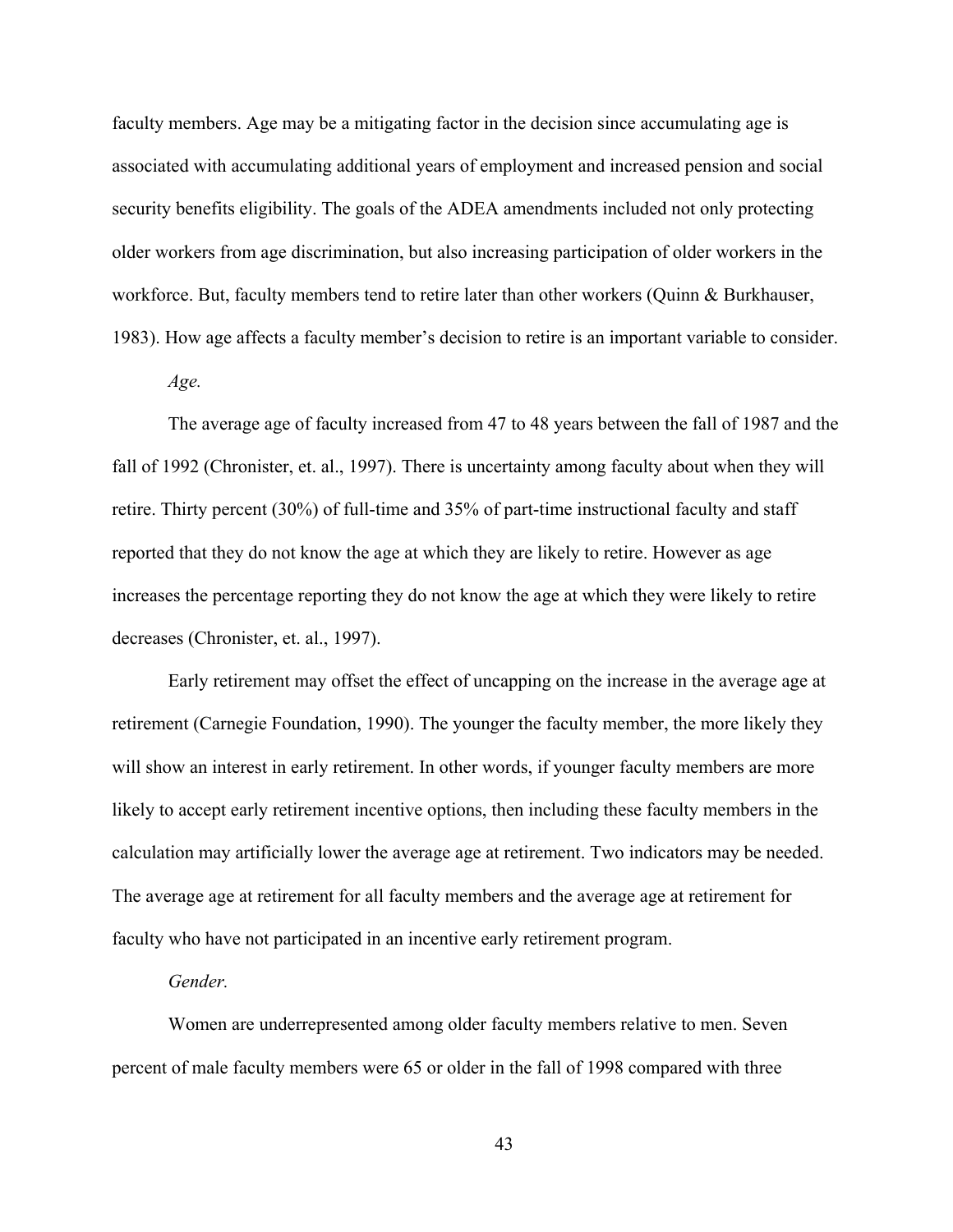faculty members. Age may be a mitigating factor in the decision since accumulating age is associated with accumulating additional years of employment and increased pension and social security benefits eligibility. The goals of the ADEA amendments included not only protecting older workers from age discrimination, but also increasing participation of older workers in the workforce. But, faculty members tend to retire later than other workers (Quinn & Burkhauser, 1983). How age affects a faculty member's decision to retire is an important variable to consider.

*Age.* 

The average age of faculty increased from 47 to 48 years between the fall of 1987 and the fall of 1992 (Chronister, et. al., 1997). There is uncertainty among faculty about when they will retire. Thirty percent (30%) of full-time and 35% of part-time instructional faculty and staff reported that they do not know the age at which they are likely to retire. However as age increases the percentage reporting they do not know the age at which they were likely to retire decreases (Chronister, et. al., 1997).

Early retirement may offset the effect of uncapping on the increase in the average age at retirement (Carnegie Foundation, 1990). The younger the faculty member, the more likely they will show an interest in early retirement. In other words, if younger faculty members are more likely to accept early retirement incentive options, then including these faculty members in the calculation may artificially lower the average age at retirement. Two indicators may be needed. The average age at retirement for all faculty members and the average age at retirement for faculty who have not participated in an incentive early retirement program.

### *Gender.*

Women are underrepresented among older faculty members relative to men. Seven percent of male faculty members were 65 or older in the fall of 1998 compared with three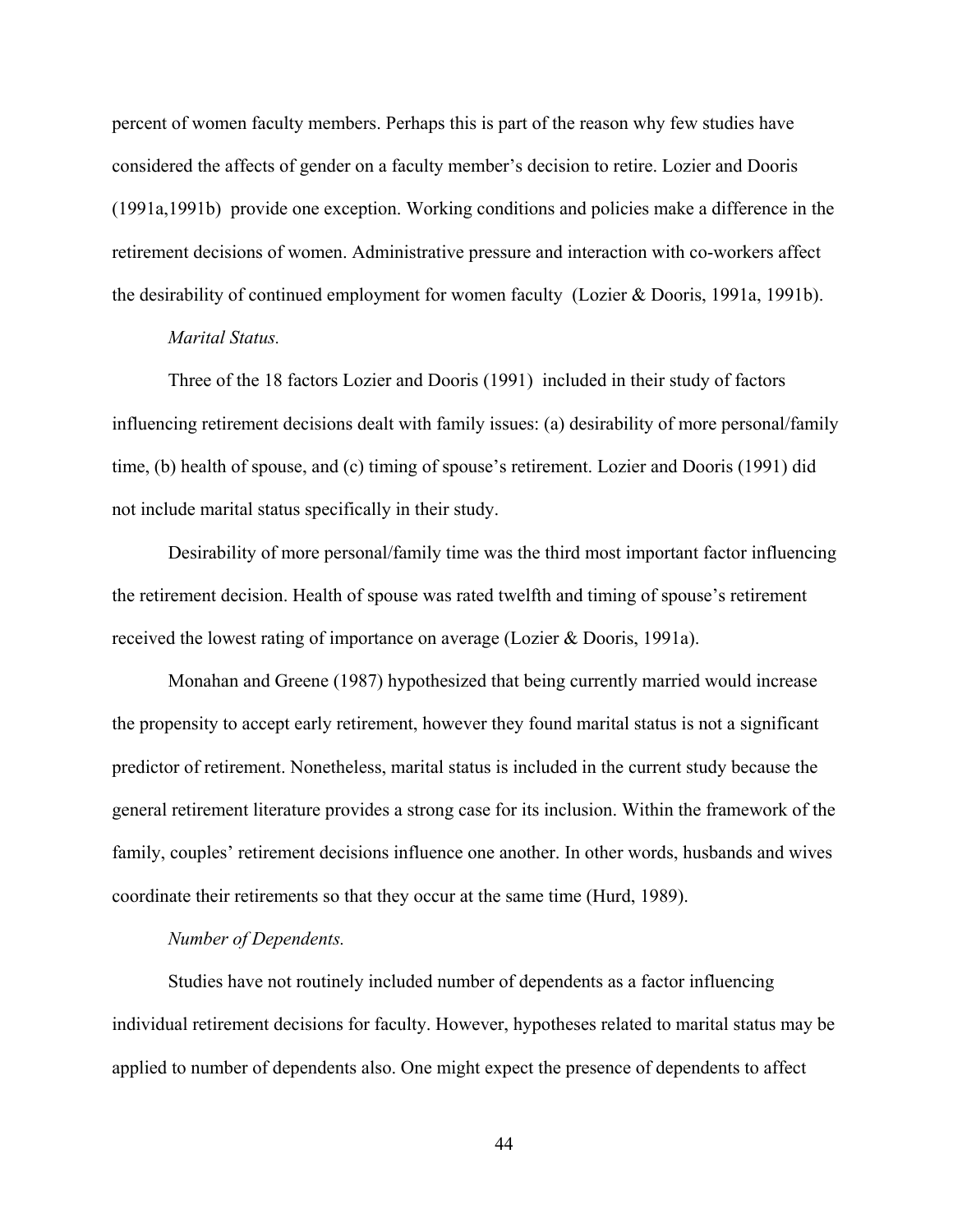percent of women faculty members. Perhaps this is part of the reason why few studies have considered the affects of gender on a faculty member's decision to retire. Lozier and Dooris (1991a,1991b) provide one exception. Working conditions and policies make a difference in the retirement decisions of women. Administrative pressure and interaction with co-workers affect the desirability of continued employment for women faculty (Lozier & Dooris, 1991a, 1991b).

# *Marital Status.*

Three of the 18 factors Lozier and Dooris (1991) included in their study of factors influencing retirement decisions dealt with family issues: (a) desirability of more personal/family time, (b) health of spouse, and (c) timing of spouse's retirement. Lozier and Dooris (1991) did not include marital status specifically in their study.

Desirability of more personal/family time was the third most important factor influencing the retirement decision. Health of spouse was rated twelfth and timing of spouse's retirement received the lowest rating of importance on average (Lozier & Dooris, 1991a).

Monahan and Greene (1987) hypothesized that being currently married would increase the propensity to accept early retirement, however they found marital status is not a significant predictor of retirement. Nonetheless, marital status is included in the current study because the general retirement literature provides a strong case for its inclusion. Within the framework of the family, couples' retirement decisions influence one another. In other words, husbands and wives coordinate their retirements so that they occur at the same time (Hurd, 1989).

# *Number of Dependents.*

Studies have not routinely included number of dependents as a factor influencing individual retirement decisions for faculty. However, hypotheses related to marital status may be applied to number of dependents also. One might expect the presence of dependents to affect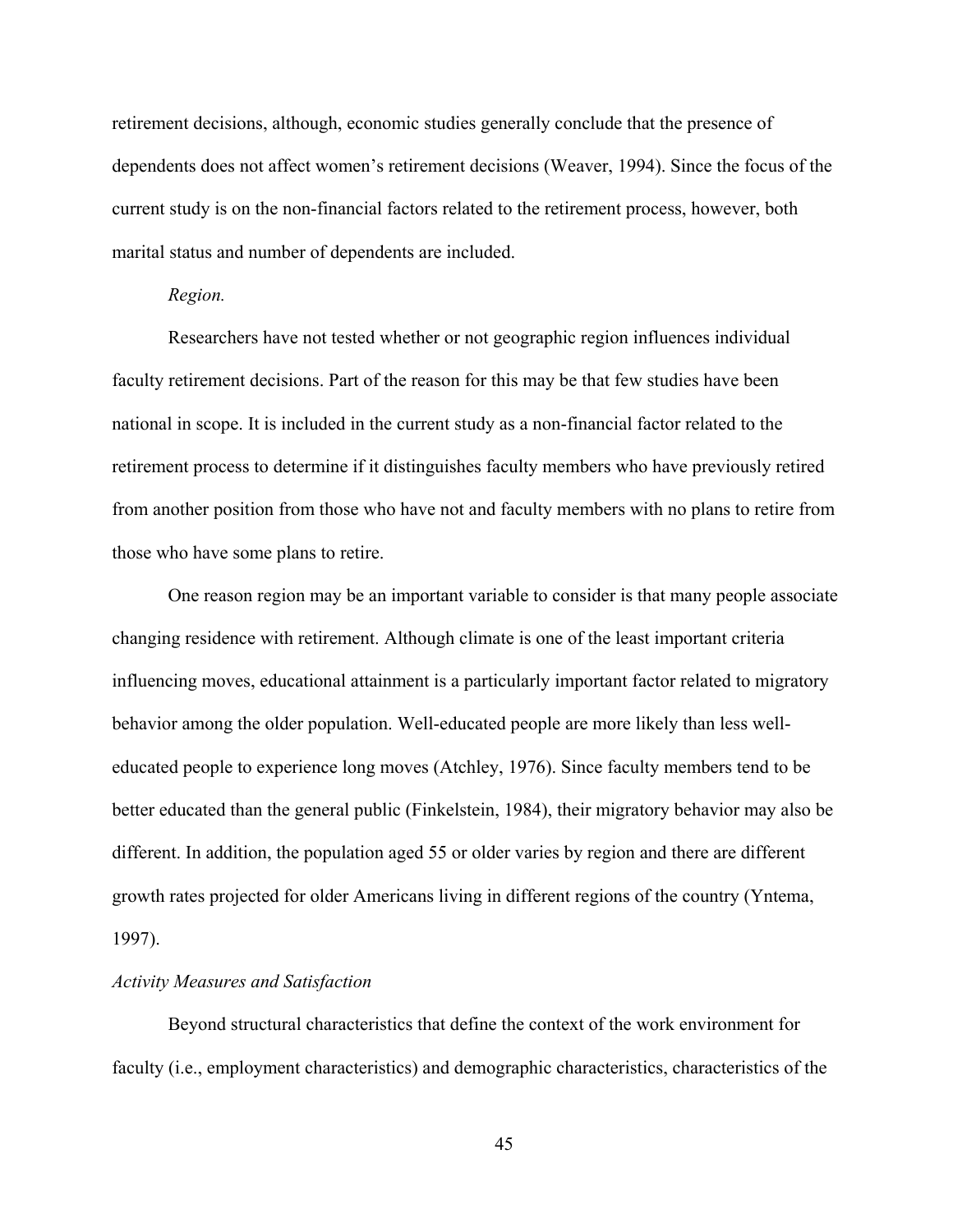retirement decisions, although, economic studies generally conclude that the presence of dependents does not affect women's retirement decisions (Weaver, 1994). Since the focus of the current study is on the non-financial factors related to the retirement process, however, both marital status and number of dependents are included.

### *Region.*

Researchers have not tested whether or not geographic region influences individual faculty retirement decisions. Part of the reason for this may be that few studies have been national in scope. It is included in the current study as a non-financial factor related to the retirement process to determine if it distinguishes faculty members who have previously retired from another position from those who have not and faculty members with no plans to retire from those who have some plans to retire.

One reason region may be an important variable to consider is that many people associate changing residence with retirement. Although climate is one of the least important criteria influencing moves, educational attainment is a particularly important factor related to migratory behavior among the older population. Well-educated people are more likely than less welleducated people to experience long moves (Atchley, 1976). Since faculty members tend to be better educated than the general public (Finkelstein, 1984), their migratory behavior may also be different. In addition, the population aged 55 or older varies by region and there are different growth rates projected for older Americans living in different regions of the country (Yntema, 1997).

### *Activity Measures and Satisfaction*

Beyond structural characteristics that define the context of the work environment for faculty (i.e., employment characteristics) and demographic characteristics, characteristics of the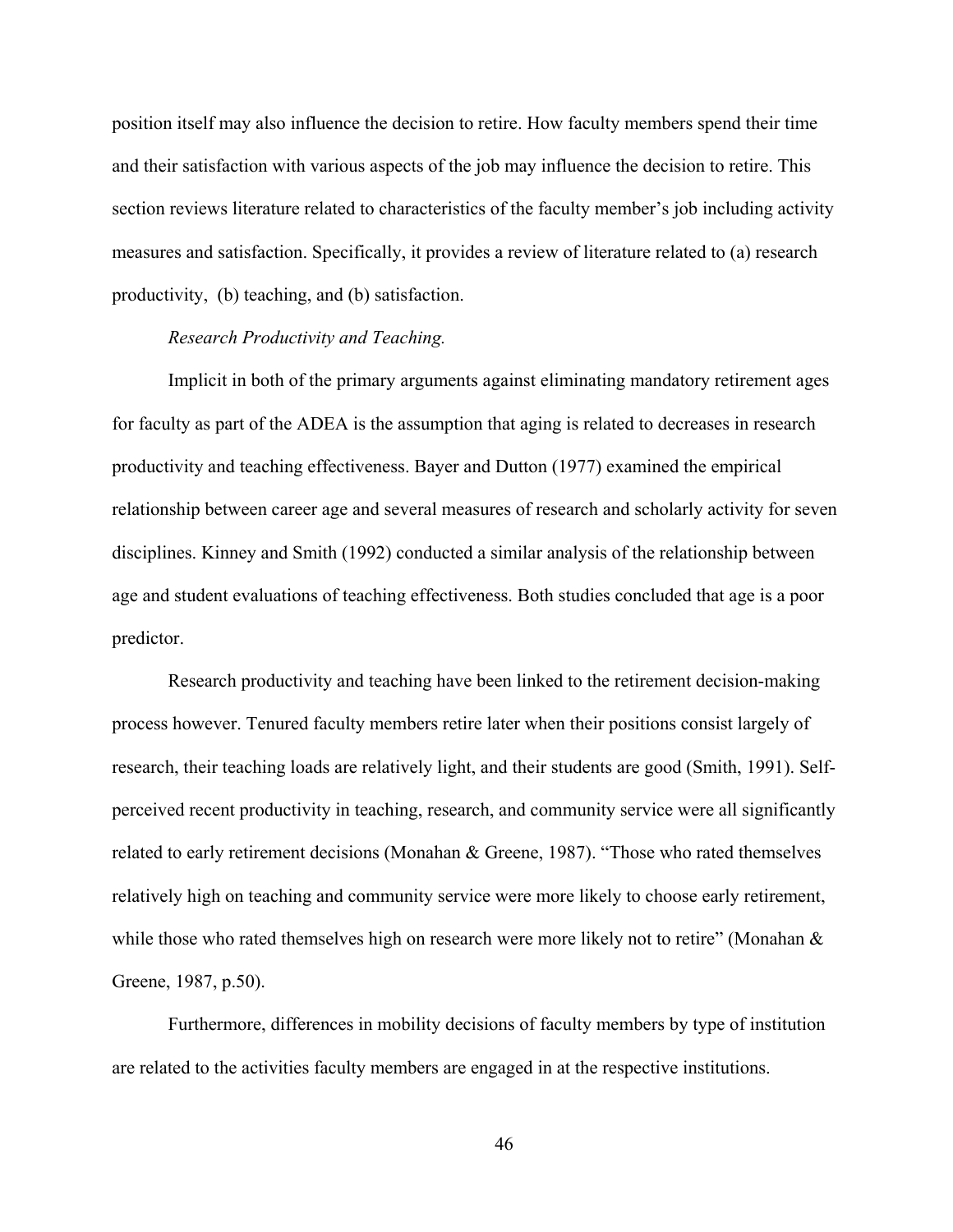position itself may also influence the decision to retire. How faculty members spend their time and their satisfaction with various aspects of the job may influence the decision to retire. This section reviews literature related to characteristics of the faculty member's job including activity measures and satisfaction. Specifically, it provides a review of literature related to (a) research productivity, (b) teaching, and (b) satisfaction.

# *Research Productivity and Teaching.*

Implicit in both of the primary arguments against eliminating mandatory retirement ages for faculty as part of the ADEA is the assumption that aging is related to decreases in research productivity and teaching effectiveness. Bayer and Dutton (1977) examined the empirical relationship between career age and several measures of research and scholarly activity for seven disciplines. Kinney and Smith (1992) conducted a similar analysis of the relationship between age and student evaluations of teaching effectiveness. Both studies concluded that age is a poor predictor.

Research productivity and teaching have been linked to the retirement decision-making process however. Tenured faculty members retire later when their positions consist largely of research, their teaching loads are relatively light, and their students are good (Smith, 1991). Selfperceived recent productivity in teaching, research, and community service were all significantly related to early retirement decisions (Monahan & Greene, 1987). "Those who rated themselves relatively high on teaching and community service were more likely to choose early retirement, while those who rated themselves high on research were more likely not to retire" (Monahan & Greene, 1987, p.50).

Furthermore, differences in mobility decisions of faculty members by type of institution are related to the activities faculty members are engaged in at the respective institutions.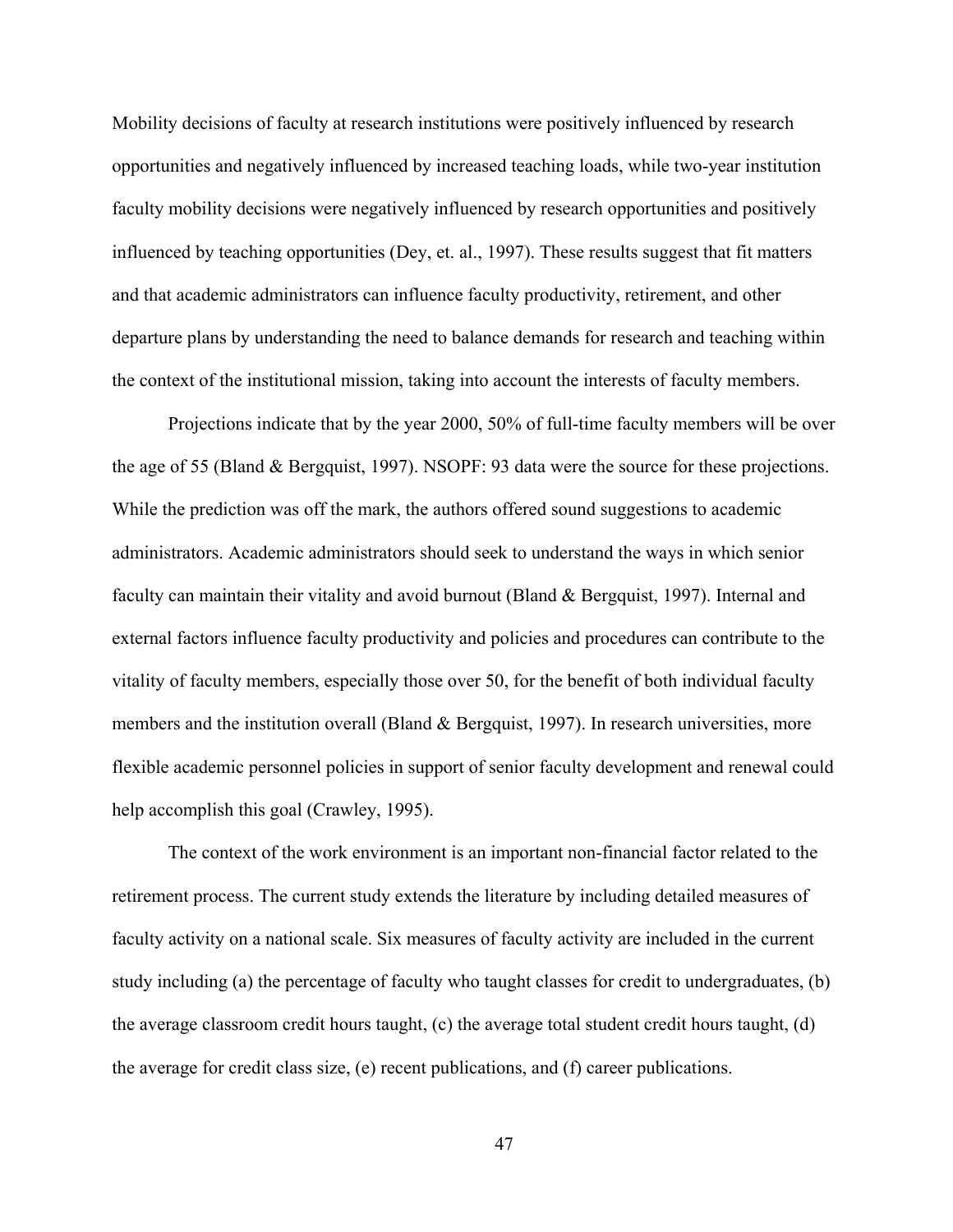Mobility decisions of faculty at research institutions were positively influenced by research opportunities and negatively influenced by increased teaching loads, while two-year institution faculty mobility decisions were negatively influenced by research opportunities and positively influenced by teaching opportunities (Dey, et. al., 1997). These results suggest that fit matters and that academic administrators can influence faculty productivity, retirement, and other departure plans by understanding the need to balance demands for research and teaching within the context of the institutional mission, taking into account the interests of faculty members.

Projections indicate that by the year 2000, 50% of full-time faculty members will be over the age of 55 (Bland & Bergquist, 1997). NSOPF: 93 data were the source for these projections. While the prediction was off the mark, the authors offered sound suggestions to academic administrators. Academic administrators should seek to understand the ways in which senior faculty can maintain their vitality and avoid burnout (Bland & Bergquist, 1997). Internal and external factors influence faculty productivity and policies and procedures can contribute to the vitality of faculty members, especially those over 50, for the benefit of both individual faculty members and the institution overall (Bland & Bergquist, 1997). In research universities, more flexible academic personnel policies in support of senior faculty development and renewal could help accomplish this goal (Crawley, 1995).

The context of the work environment is an important non-financial factor related to the retirement process. The current study extends the literature by including detailed measures of faculty activity on a national scale. Six measures of faculty activity are included in the current study including (a) the percentage of faculty who taught classes for credit to undergraduates, (b) the average classroom credit hours taught, (c) the average total student credit hours taught, (d) the average for credit class size, (e) recent publications, and (f) career publications.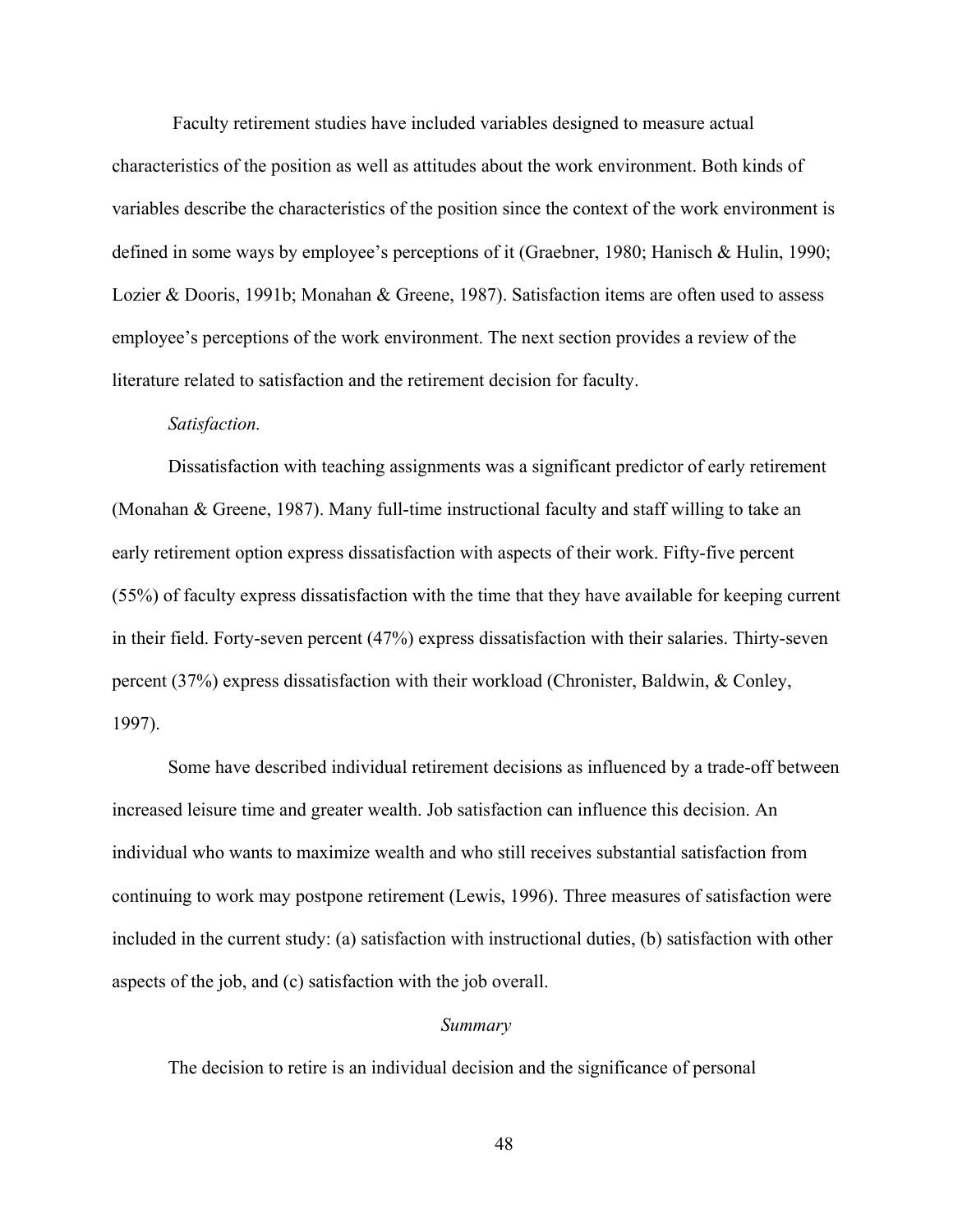Faculty retirement studies have included variables designed to measure actual characteristics of the position as well as attitudes about the work environment. Both kinds of variables describe the characteristics of the position since the context of the work environment is defined in some ways by employee's perceptions of it (Graebner, 1980; Hanisch & Hulin, 1990; Lozier & Dooris, 1991b; Monahan & Greene, 1987). Satisfaction items are often used to assess employee's perceptions of the work environment. The next section provides a review of the literature related to satisfaction and the retirement decision for faculty.

#### *Satisfaction.*

Dissatisfaction with teaching assignments was a significant predictor of early retirement (Monahan & Greene, 1987). Many full-time instructional faculty and staff willing to take an early retirement option express dissatisfaction with aspects of their work. Fifty-five percent (55%) of faculty express dissatisfaction with the time that they have available for keeping current in their field. Forty-seven percent (47%) express dissatisfaction with their salaries. Thirty-seven percent (37%) express dissatisfaction with their workload (Chronister, Baldwin, & Conley, 1997).

Some have described individual retirement decisions as influenced by a trade-off between increased leisure time and greater wealth. Job satisfaction can influence this decision. An individual who wants to maximize wealth and who still receives substantial satisfaction from continuing to work may postpone retirement (Lewis, 1996). Three measures of satisfaction were included in the current study: (a) satisfaction with instructional duties, (b) satisfaction with other aspects of the job, and (c) satisfaction with the job overall.

# *Summary*

The decision to retire is an individual decision and the significance of personal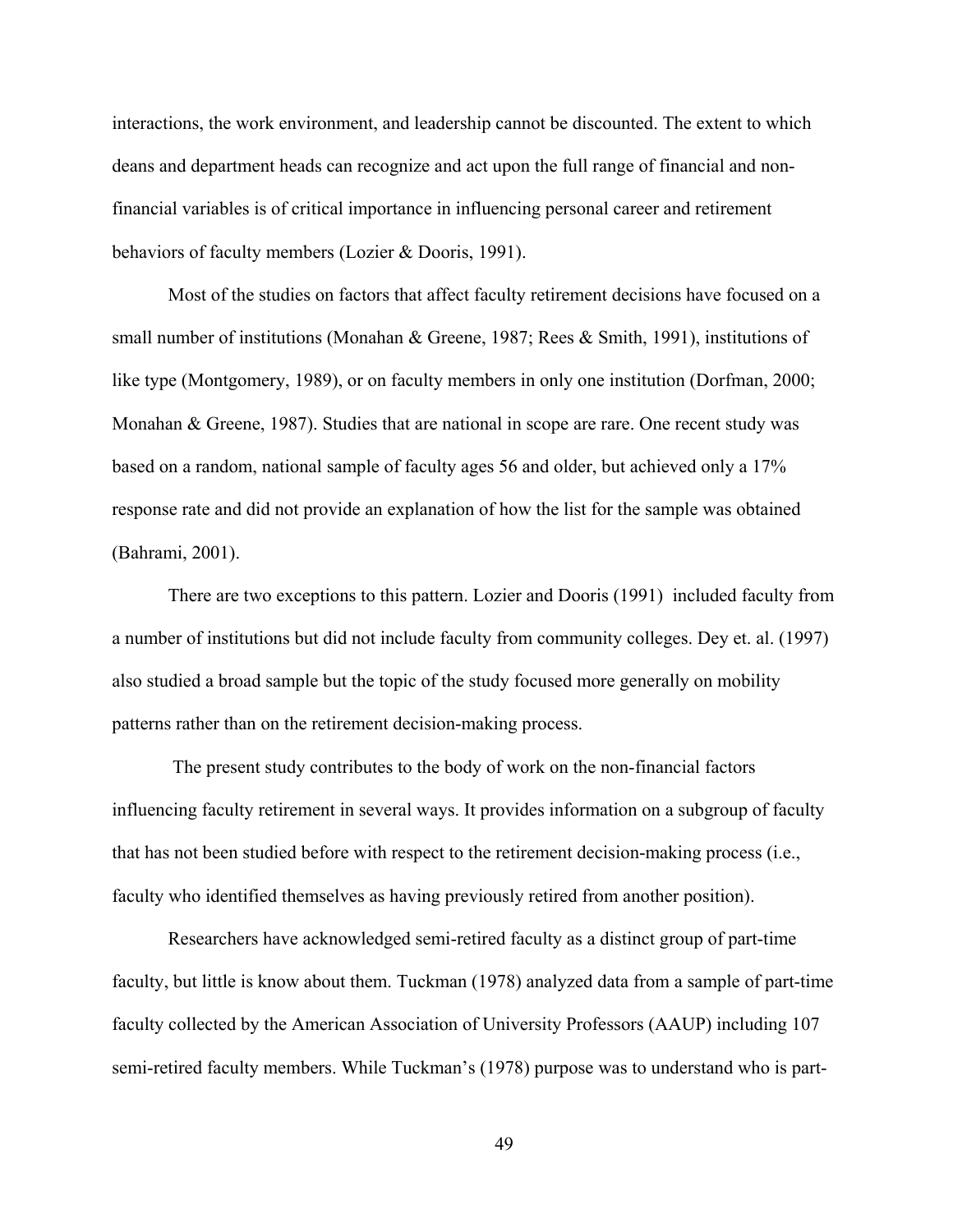interactions, the work environment, and leadership cannot be discounted. The extent to which deans and department heads can recognize and act upon the full range of financial and nonfinancial variables is of critical importance in influencing personal career and retirement behaviors of faculty members (Lozier & Dooris, 1991).

Most of the studies on factors that affect faculty retirement decisions have focused on a small number of institutions (Monahan & Greene, 1987; Rees & Smith, 1991), institutions of like type (Montgomery, 1989), or on faculty members in only one institution (Dorfman, 2000; Monahan & Greene, 1987). Studies that are national in scope are rare. One recent study was based on a random, national sample of faculty ages 56 and older, but achieved only a 17% response rate and did not provide an explanation of how the list for the sample was obtained (Bahrami, 2001).

There are two exceptions to this pattern. Lozier and Dooris (1991) included faculty from a number of institutions but did not include faculty from community colleges. Dey et. al. (1997) also studied a broad sample but the topic of the study focused more generally on mobility patterns rather than on the retirement decision-making process.

 The present study contributes to the body of work on the non-financial factors influencing faculty retirement in several ways. It provides information on a subgroup of faculty that has not been studied before with respect to the retirement decision-making process (i.e., faculty who identified themselves as having previously retired from another position).

Researchers have acknowledged semi-retired faculty as a distinct group of part-time faculty, but little is know about them. Tuckman (1978) analyzed data from a sample of part-time faculty collected by the American Association of University Professors (AAUP) including 107 semi-retired faculty members. While Tuckman's (1978) purpose was to understand who is part-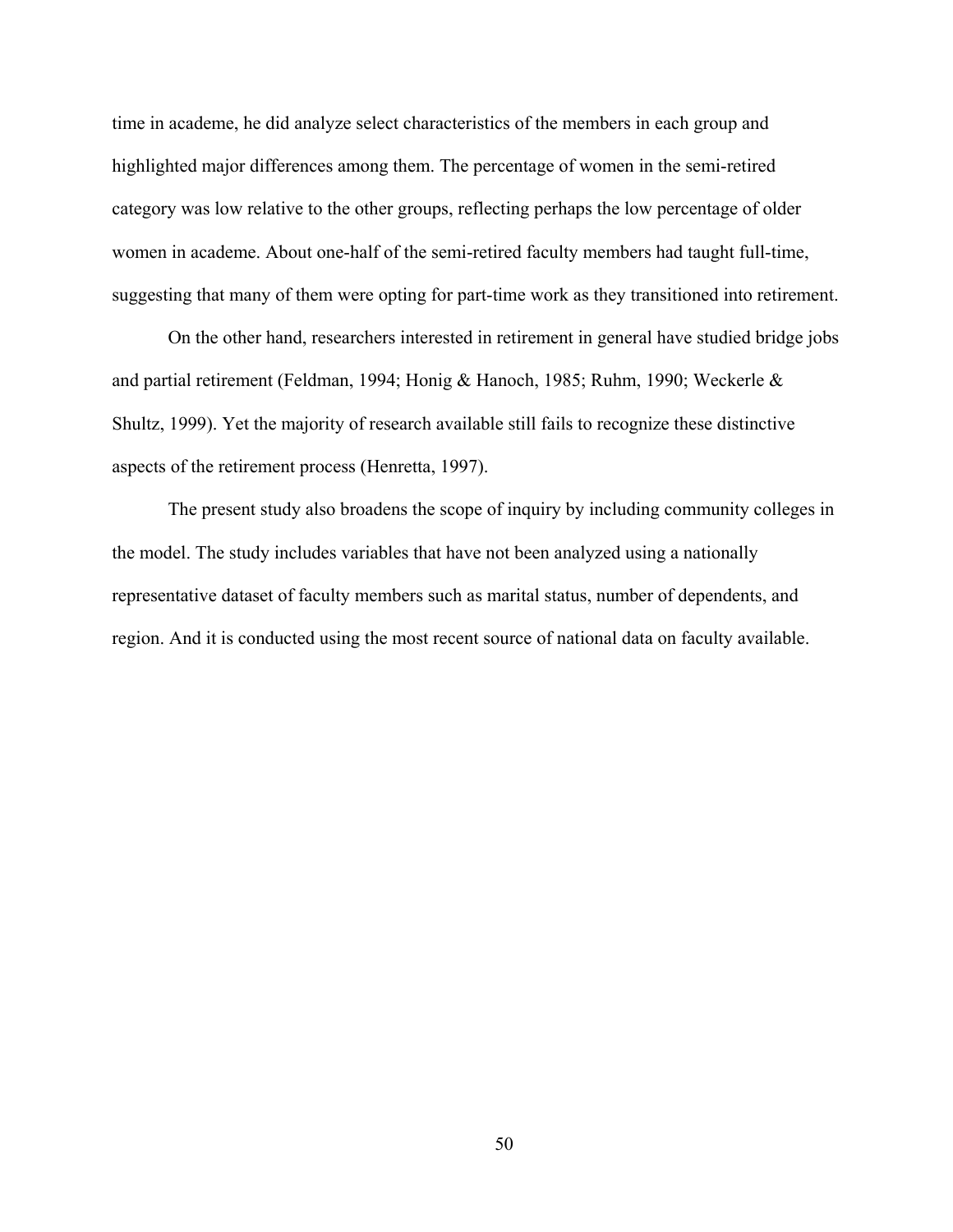time in academe, he did analyze select characteristics of the members in each group and highlighted major differences among them. The percentage of women in the semi-retired category was low relative to the other groups, reflecting perhaps the low percentage of older women in academe. About one-half of the semi-retired faculty members had taught full-time, suggesting that many of them were opting for part-time work as they transitioned into retirement.

On the other hand, researchers interested in retirement in general have studied bridge jobs and partial retirement (Feldman, 1994; Honig & Hanoch, 1985; Ruhm, 1990; Weckerle & Shultz, 1999). Yet the majority of research available still fails to recognize these distinctive aspects of the retirement process (Henretta, 1997).

The present study also broadens the scope of inquiry by including community colleges in the model. The study includes variables that have not been analyzed using a nationally representative dataset of faculty members such as marital status, number of dependents, and region. And it is conducted using the most recent source of national data on faculty available.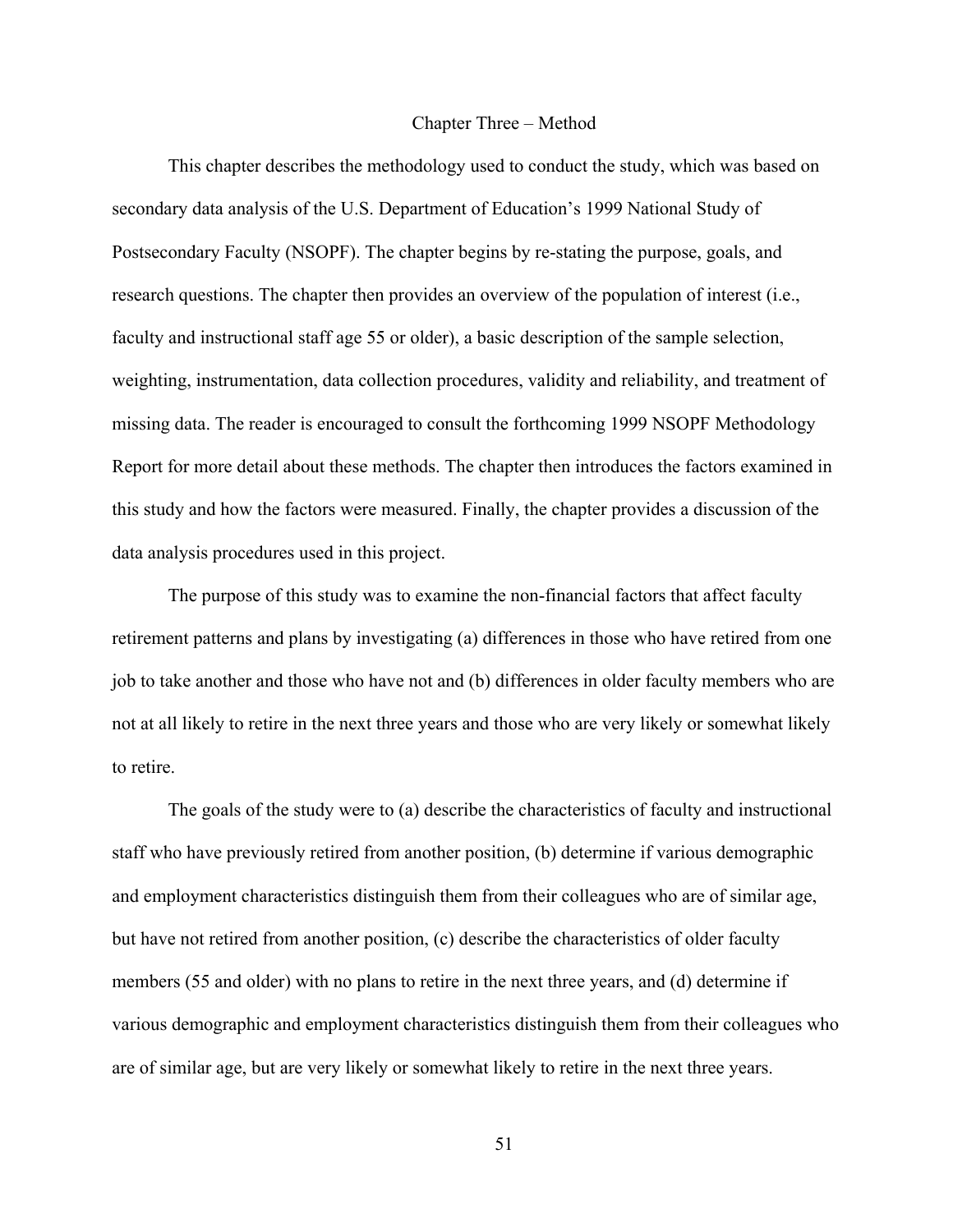#### Chapter Three – Method

This chapter describes the methodology used to conduct the study, which was based on secondary data analysis of the U.S. Department of Education's 1999 National Study of Postsecondary Faculty (NSOPF). The chapter begins by re-stating the purpose, goals, and research questions. The chapter then provides an overview of the population of interest (i.e., faculty and instructional staff age 55 or older), a basic description of the sample selection, weighting, instrumentation, data collection procedures, validity and reliability, and treatment of missing data. The reader is encouraged to consult the forthcoming 1999 NSOPF Methodology Report for more detail about these methods. The chapter then introduces the factors examined in this study and how the factors were measured. Finally, the chapter provides a discussion of the data analysis procedures used in this project.

The purpose of this study was to examine the non-financial factors that affect faculty retirement patterns and plans by investigating (a) differences in those who have retired from one job to take another and those who have not and (b) differences in older faculty members who are not at all likely to retire in the next three years and those who are very likely or somewhat likely to retire.

The goals of the study were to (a) describe the characteristics of faculty and instructional staff who have previously retired from another position, (b) determine if various demographic and employment characteristics distinguish them from their colleagues who are of similar age, but have not retired from another position, (c) describe the characteristics of older faculty members (55 and older) with no plans to retire in the next three years, and (d) determine if various demographic and employment characteristics distinguish them from their colleagues who are of similar age, but are very likely or somewhat likely to retire in the next three years.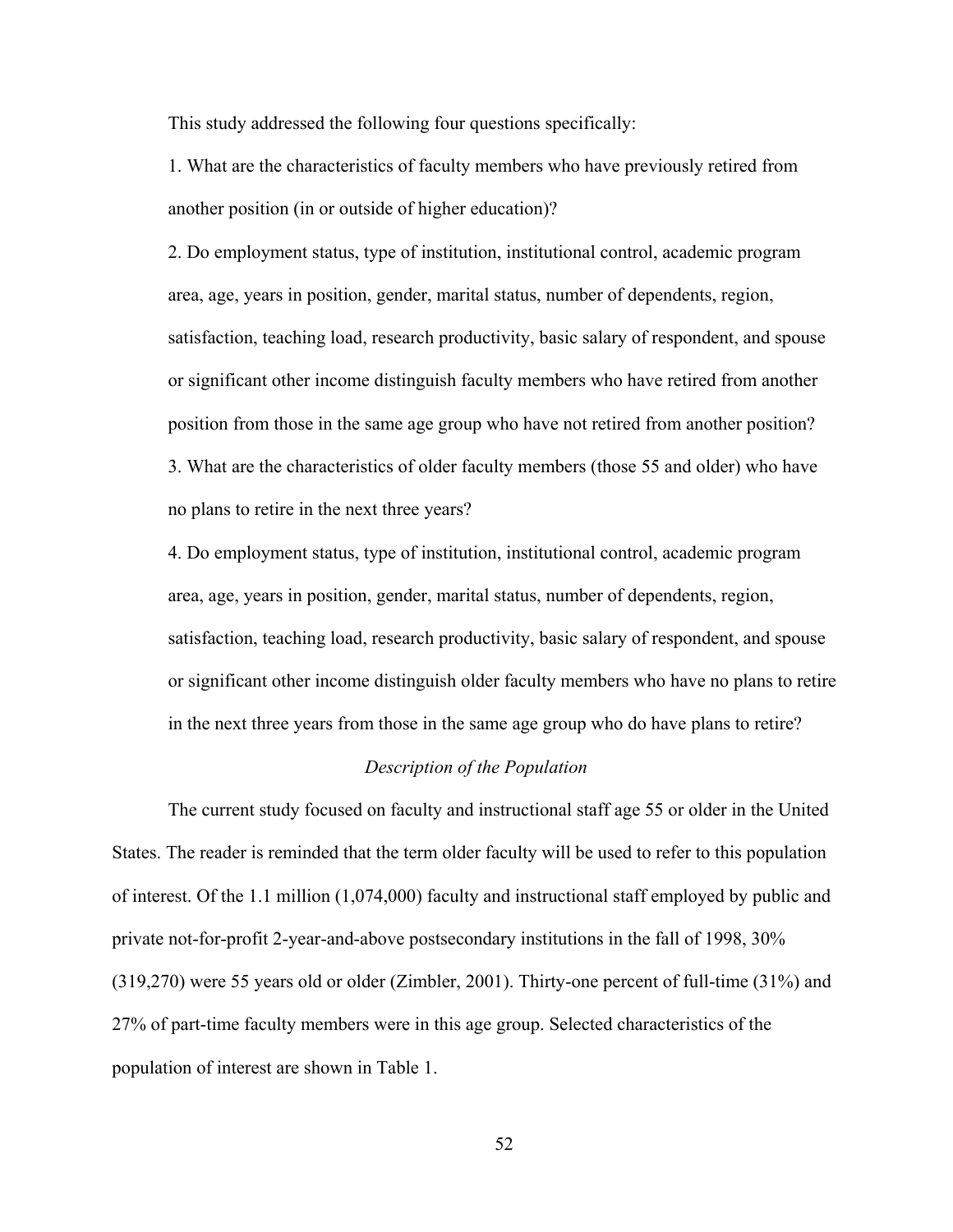This study addressed the following four questions specifically:

1. What are the characteristics of faculty members who have previously retired from another position (in or outside of higher education)?

2. Do employment status, type of institution, institutional control, academic program area, age, years in position, gender, marital status, number of dependents, region, satisfaction, teaching load, research productivity, basic salary of respondent, and spouse or significant other income distinguish faculty members who have retired from another position from those in the same age group who have not retired from another position? 3. What are the characteristics of older faculty members (those 55 and older) who have no plans to retire in the next three years?

4. Do employment status, type of institution, institutional control, academic program area, age, years in position, gender, marital status, number of dependents, region, satisfaction, teaching load, research productivity, basic salary of respondent, and spouse or significant other income distinguish older faculty members who have no plans to retire in the next three years from those in the same age group who do have plans to retire?

# *Description of the Population*

The current study focused on faculty and instructional staff age 55 or older in the United States. The reader is reminded that the term older faculty will be used to refer to this population of interest. Of the 1.1 million (1,074,000) faculty and instructional staff employed by public and private not-for-profit 2-year-and-above postsecondary institutions in the fall of 1998, 30% (319,270) were 55 years old or older (Zimbler, 2001). Thirty-one percent of full-time (31%) and 27% of part-time faculty members were in this age group. Selected characteristics of the population of interest are shown in Table 1.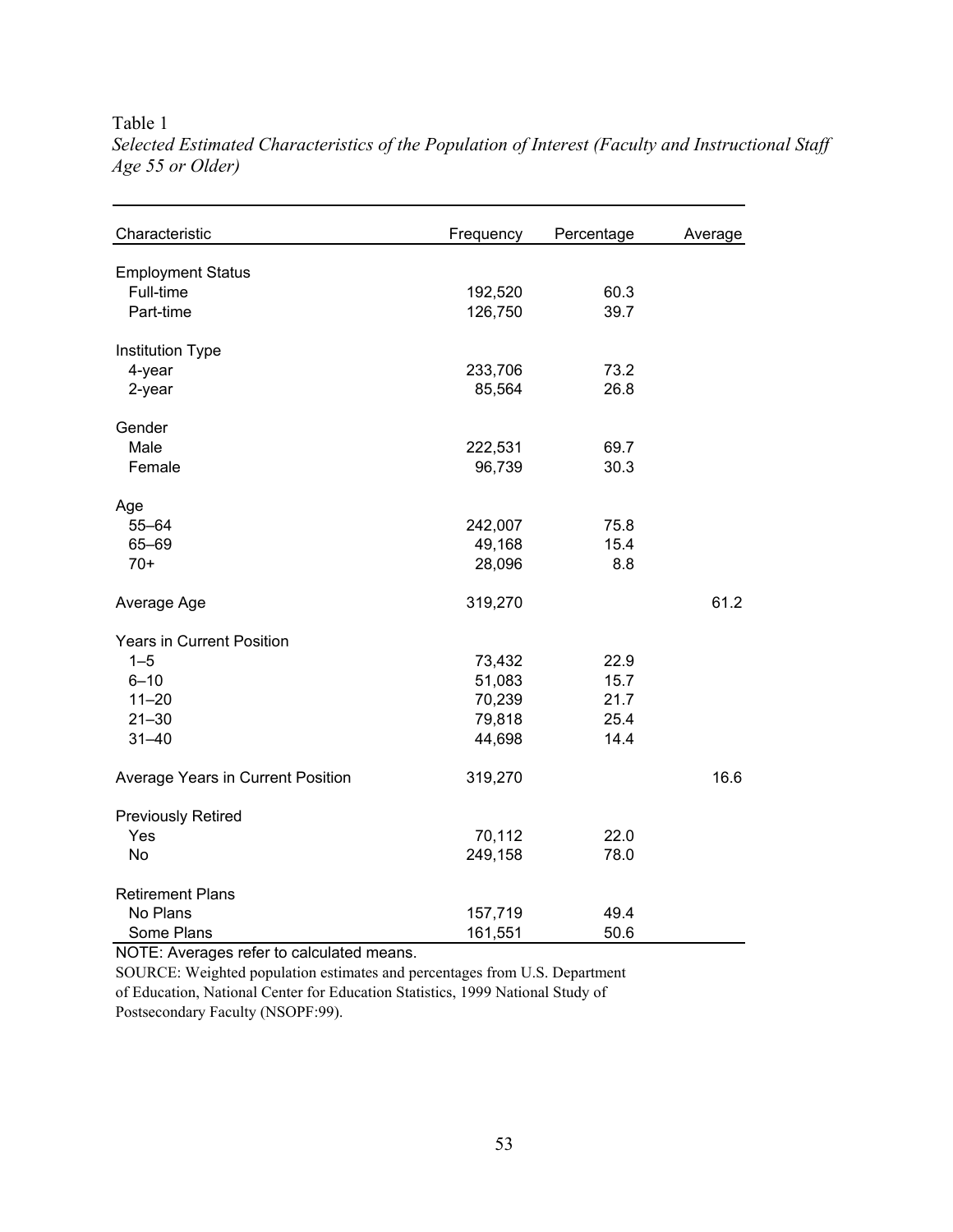# Table 1

| Characteristic                    | Frequency | Percentage | Average |
|-----------------------------------|-----------|------------|---------|
| <b>Employment Status</b>          |           |            |         |
| Full-time                         | 192,520   | 60.3       |         |
| Part-time                         | 126,750   | 39.7       |         |
| Institution Type                  |           |            |         |
| 4-year                            | 233,706   | 73.2       |         |
| 2-year                            | 85,564    | 26.8       |         |
| Gender                            |           |            |         |
| Male                              | 222,531   | 69.7       |         |
| Female                            | 96,739    | 30.3       |         |
| Age                               |           |            |         |
| $55 - 64$                         | 242,007   | 75.8       |         |
| 65-69                             | 49,168    | 15.4       |         |
| $70+$                             | 28,096    | 8.8        |         |
| Average Age                       | 319,270   |            | 61.2    |
| <b>Years in Current Position</b>  |           |            |         |
| $1 - 5$                           | 73,432    | 22.9       |         |
| $6 - 10$                          | 51,083    | 15.7       |         |
| $11 - 20$                         | 70,239    | 21.7       |         |
| $21 - 30$                         | 79,818    | 25.4       |         |
| $31 - 40$                         | 44,698    | 14.4       |         |
| Average Years in Current Position | 319,270   |            | 16.6    |
| <b>Previously Retired</b>         |           |            |         |
| Yes                               | 70,112    | 22.0       |         |
| No                                | 249,158   | 78.0       |         |
| <b>Retirement Plans</b>           |           |            |         |
| No Plans                          | 157,719   | 49.4       |         |
| Some Plans                        | 161,551   | 50.6       |         |

*Selected Estimated Characteristics of the Population of Interest (Faculty and Instructional Staff Age 55 or Older)*

NOTE: Averages refer to calculated means.

SOURCE: Weighted population estimates and percentages from U.S. Department of Education, National Center for Education Statistics, 1999 National Study of Postsecondary Faculty (NSOPF:99).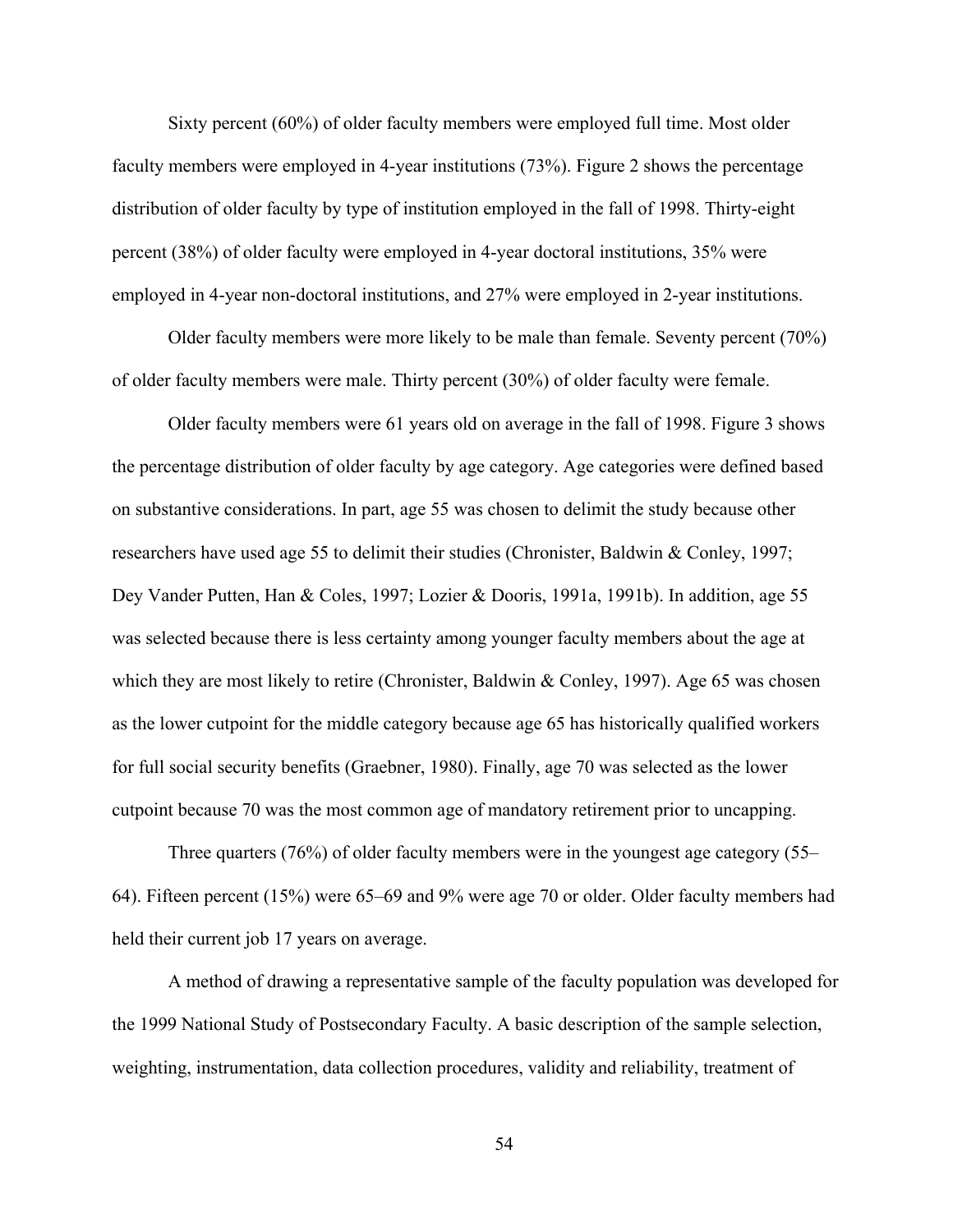Sixty percent (60%) of older faculty members were employed full time. Most older faculty members were employed in 4-year institutions (73%). Figure 2 shows the percentage distribution of older faculty by type of institution employed in the fall of 1998. Thirty-eight percent (38%) of older faculty were employed in 4-year doctoral institutions, 35% were employed in 4-year non-doctoral institutions, and 27% were employed in 2-year institutions.

Older faculty members were more likely to be male than female. Seventy percent (70%) of older faculty members were male. Thirty percent (30%) of older faculty were female.

Older faculty members were 61 years old on average in the fall of 1998. Figure 3 shows the percentage distribution of older faculty by age category. Age categories were defined based on substantive considerations. In part, age 55 was chosen to delimit the study because other researchers have used age 55 to delimit their studies (Chronister, Baldwin & Conley, 1997; Dey Vander Putten, Han & Coles, 1997; Lozier & Dooris, 1991a, 1991b). In addition, age 55 was selected because there is less certainty among younger faculty members about the age at which they are most likely to retire (Chronister, Baldwin & Conley, 1997). Age 65 was chosen as the lower cutpoint for the middle category because age 65 has historically qualified workers for full social security benefits (Graebner, 1980). Finally, age 70 was selected as the lower cutpoint because 70 was the most common age of mandatory retirement prior to uncapping.

Three quarters (76%) of older faculty members were in the youngest age category (55– 64). Fifteen percent (15%) were 65–69 and 9% were age 70 or older. Older faculty members had held their current job 17 years on average.

A method of drawing a representative sample of the faculty population was developed for the 1999 National Study of Postsecondary Faculty. A basic description of the sample selection, weighting, instrumentation, data collection procedures, validity and reliability, treatment of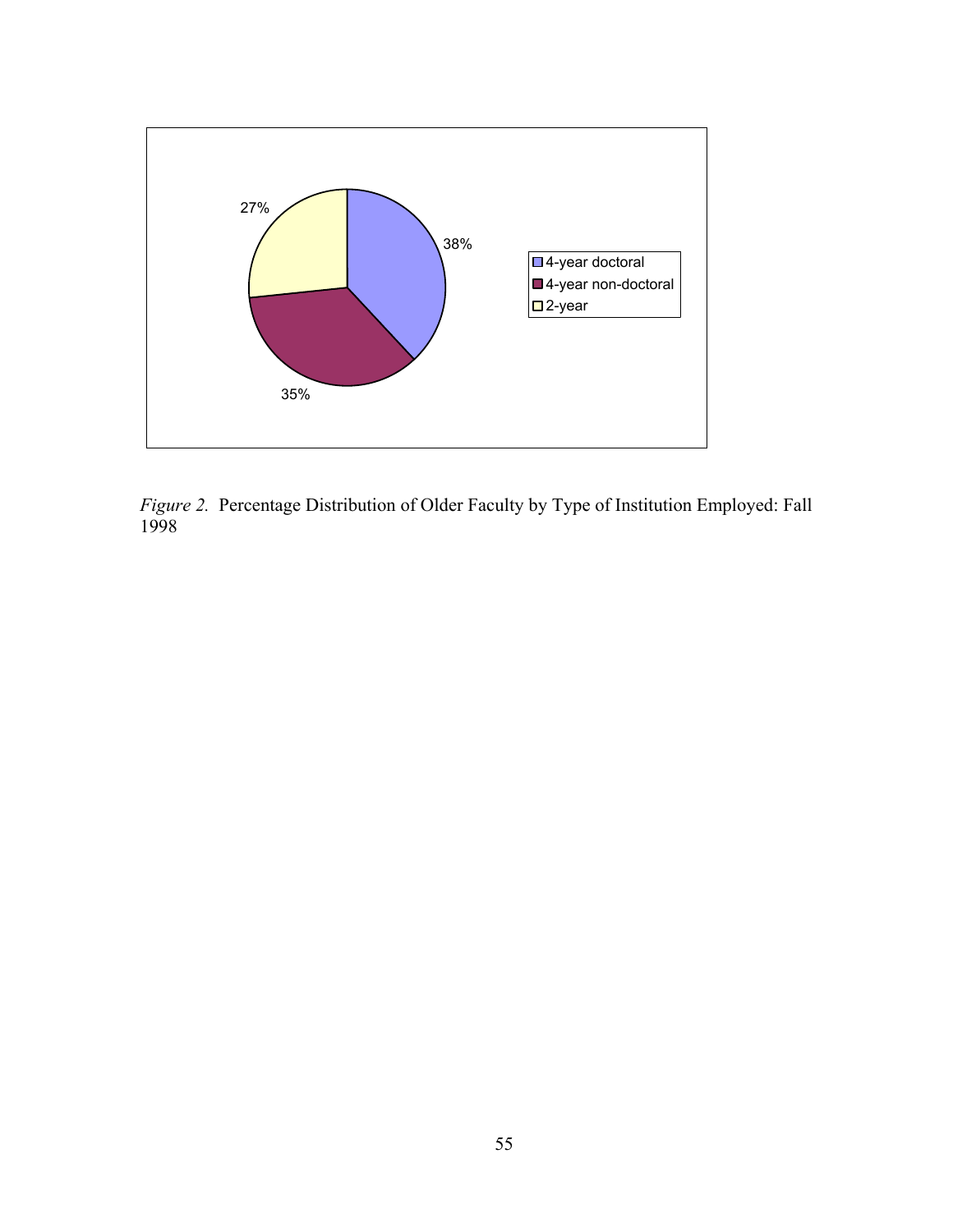

*Figure 2.*Percentage Distribution of Older Faculty by Type of Institution Employed: Fall 1998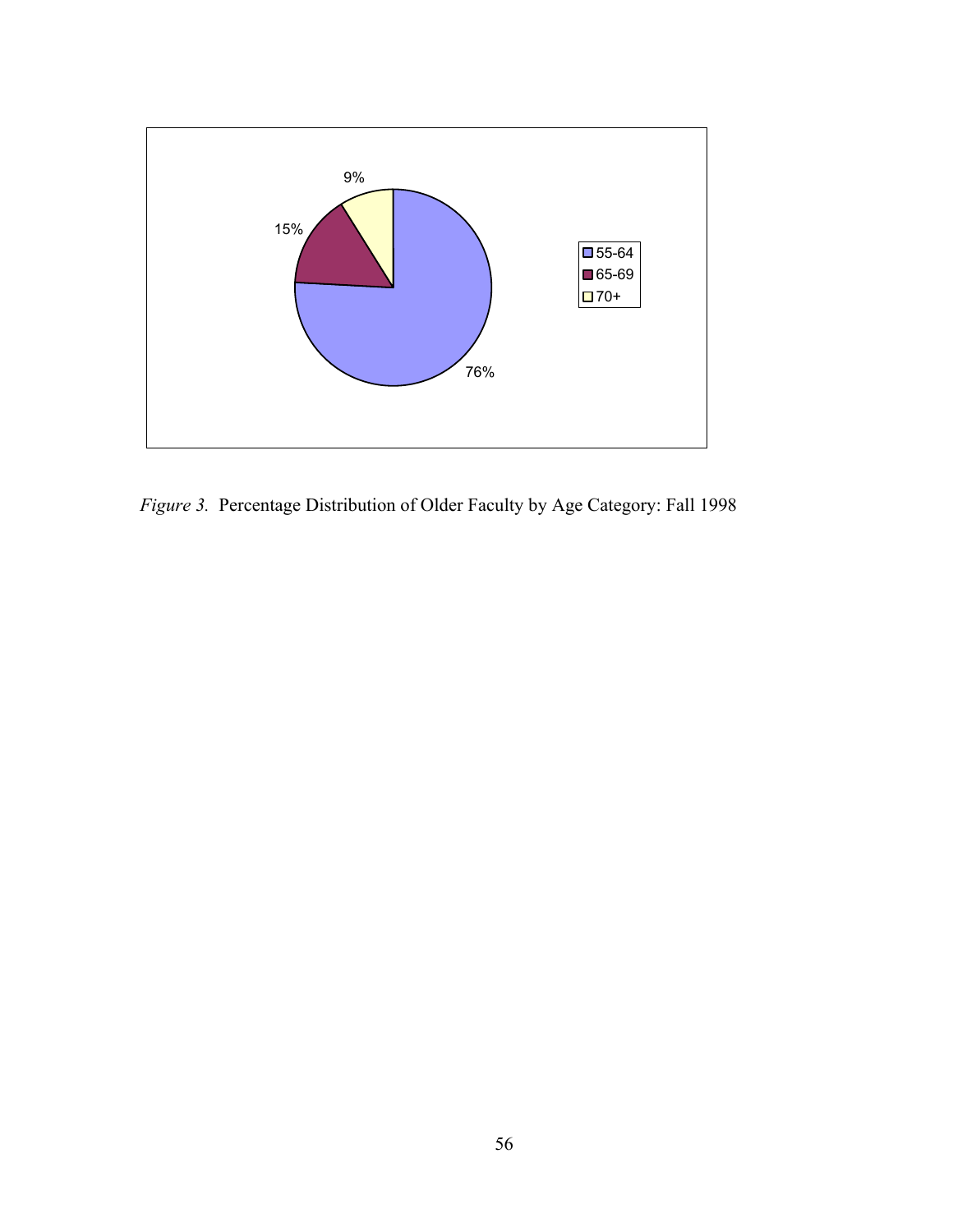

*Figure 3.* Percentage Distribution of Older Faculty by Age Category: Fall 1998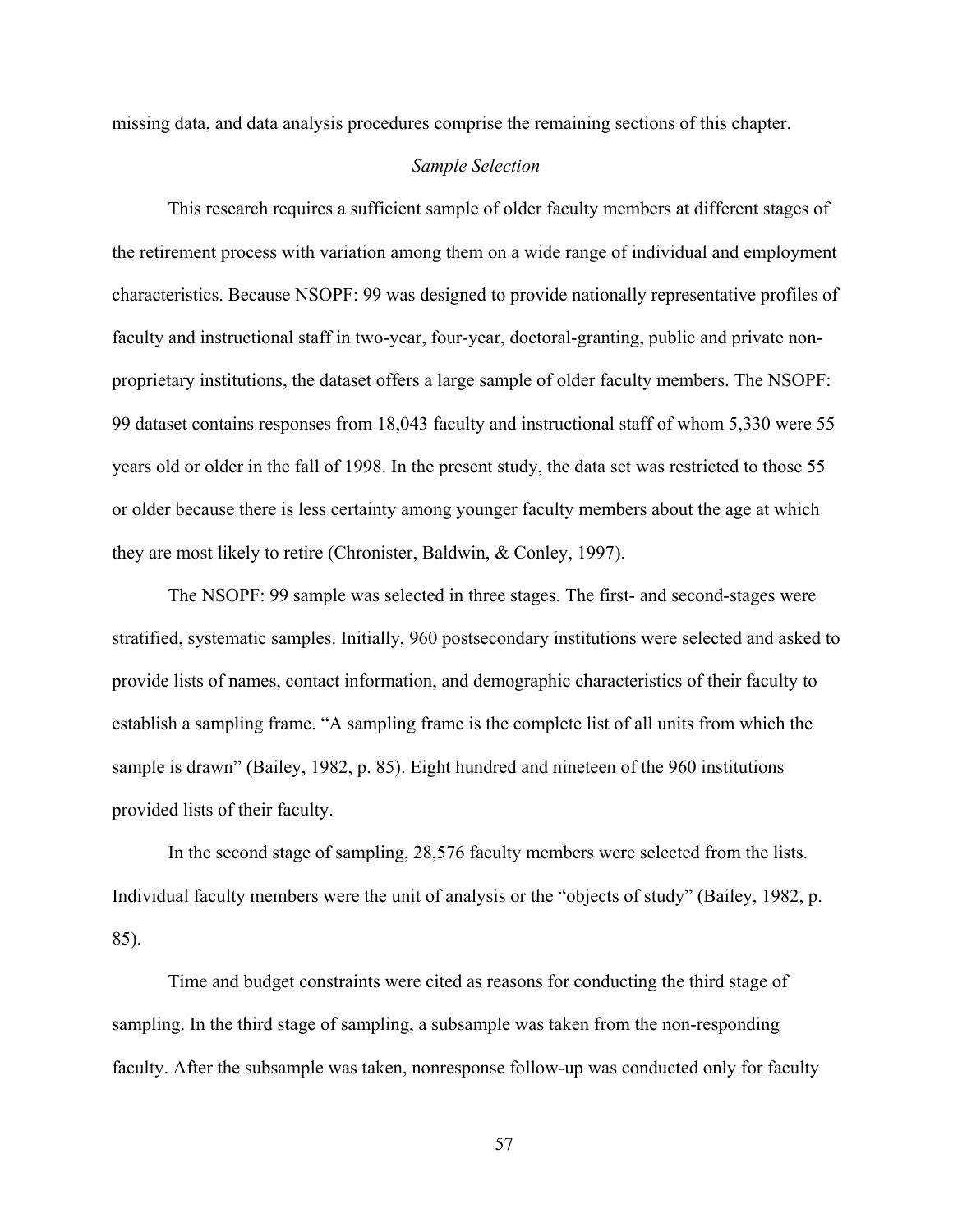missing data, and data analysis procedures comprise the remaining sections of this chapter.

### *Sample Selection*

This research requires a sufficient sample of older faculty members at different stages of the retirement process with variation among them on a wide range of individual and employment characteristics. Because NSOPF: 99 was designed to provide nationally representative profiles of faculty and instructional staff in two-year, four-year, doctoral-granting, public and private nonproprietary institutions, the dataset offers a large sample of older faculty members. The NSOPF: 99 dataset contains responses from 18,043 faculty and instructional staff of whom 5,330 were 55 years old or older in the fall of 1998. In the present study, the data set was restricted to those 55 or older because there is less certainty among younger faculty members about the age at which they are most likely to retire (Chronister, Baldwin, & Conley, 1997).

The NSOPF: 99 sample was selected in three stages. The first- and second-stages were stratified, systematic samples. Initially, 960 postsecondary institutions were selected and asked to provide lists of names, contact information, and demographic characteristics of their faculty to establish a sampling frame. "A sampling frame is the complete list of all units from which the sample is drawn" (Bailey, 1982, p. 85). Eight hundred and nineteen of the 960 institutions provided lists of their faculty.

In the second stage of sampling, 28,576 faculty members were selected from the lists. Individual faculty members were the unit of analysis or the "objects of study" (Bailey, 1982, p. 85).

Time and budget constraints were cited as reasons for conducting the third stage of sampling. In the third stage of sampling, a subsample was taken from the non-responding faculty. After the subsample was taken, nonresponse follow-up was conducted only for faculty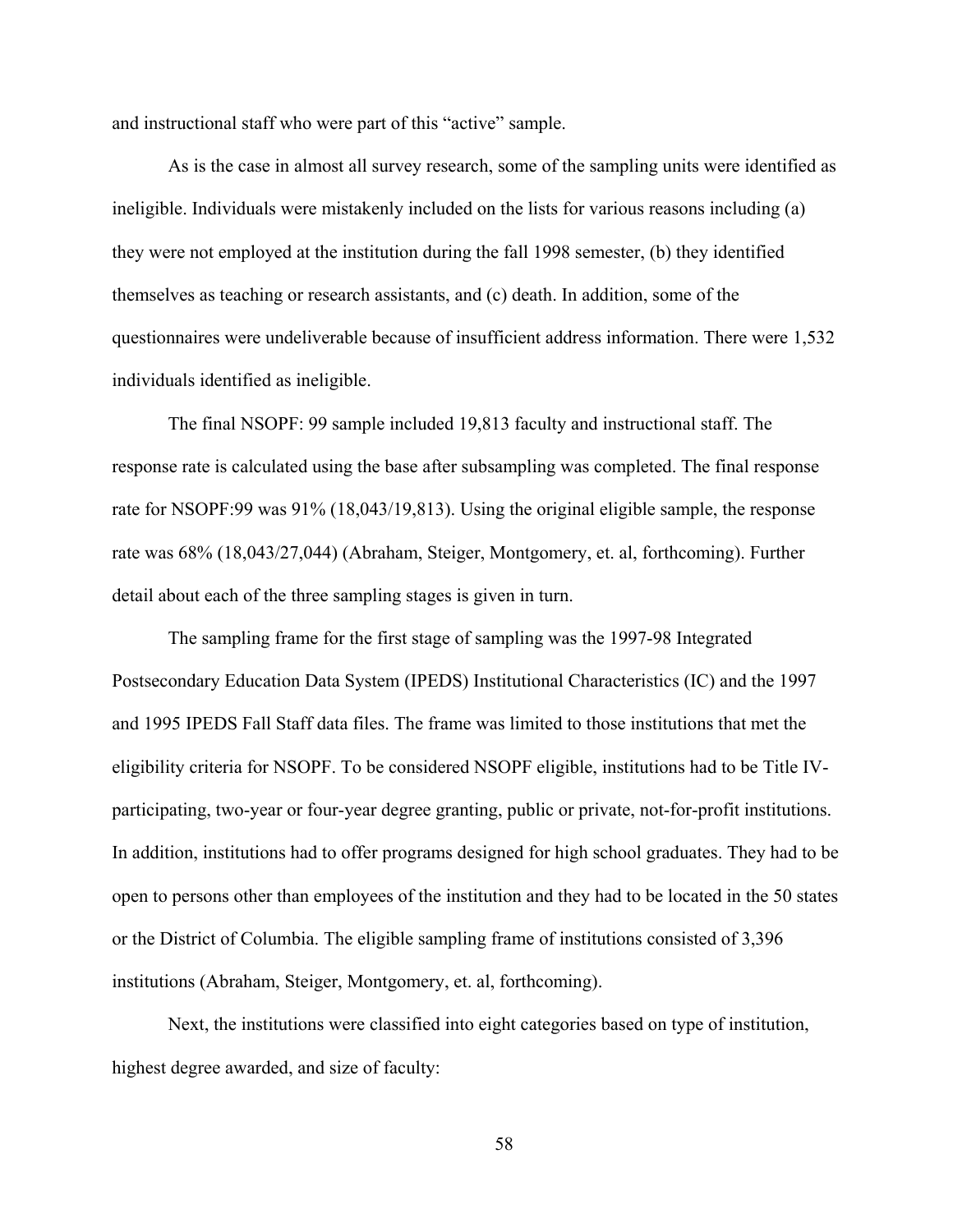and instructional staff who were part of this "active" sample.

As is the case in almost all survey research, some of the sampling units were identified as ineligible. Individuals were mistakenly included on the lists for various reasons including (a) they were not employed at the institution during the fall 1998 semester, (b) they identified themselves as teaching or research assistants, and (c) death. In addition, some of the questionnaires were undeliverable because of insufficient address information. There were 1,532 individuals identified as ineligible.

The final NSOPF: 99 sample included 19,813 faculty and instructional staff. The response rate is calculated using the base after subsampling was completed. The final response rate for NSOPF:99 was 91% (18,043/19,813). Using the original eligible sample, the response rate was 68% (18,043/27,044) (Abraham, Steiger, Montgomery, et. al, forthcoming). Further detail about each of the three sampling stages is given in turn.

The sampling frame for the first stage of sampling was the 1997-98 Integrated Postsecondary Education Data System (IPEDS) Institutional Characteristics (IC) and the 1997 and 1995 IPEDS Fall Staff data files. The frame was limited to those institutions that met the eligibility criteria for NSOPF. To be considered NSOPF eligible, institutions had to be Title IVparticipating, two-year or four-year degree granting, public or private, not-for-profit institutions. In addition, institutions had to offer programs designed for high school graduates. They had to be open to persons other than employees of the institution and they had to be located in the 50 states or the District of Columbia. The eligible sampling frame of institutions consisted of 3,396 institutions (Abraham, Steiger, Montgomery, et. al, forthcoming).

Next, the institutions were classified into eight categories based on type of institution, highest degree awarded, and size of faculty: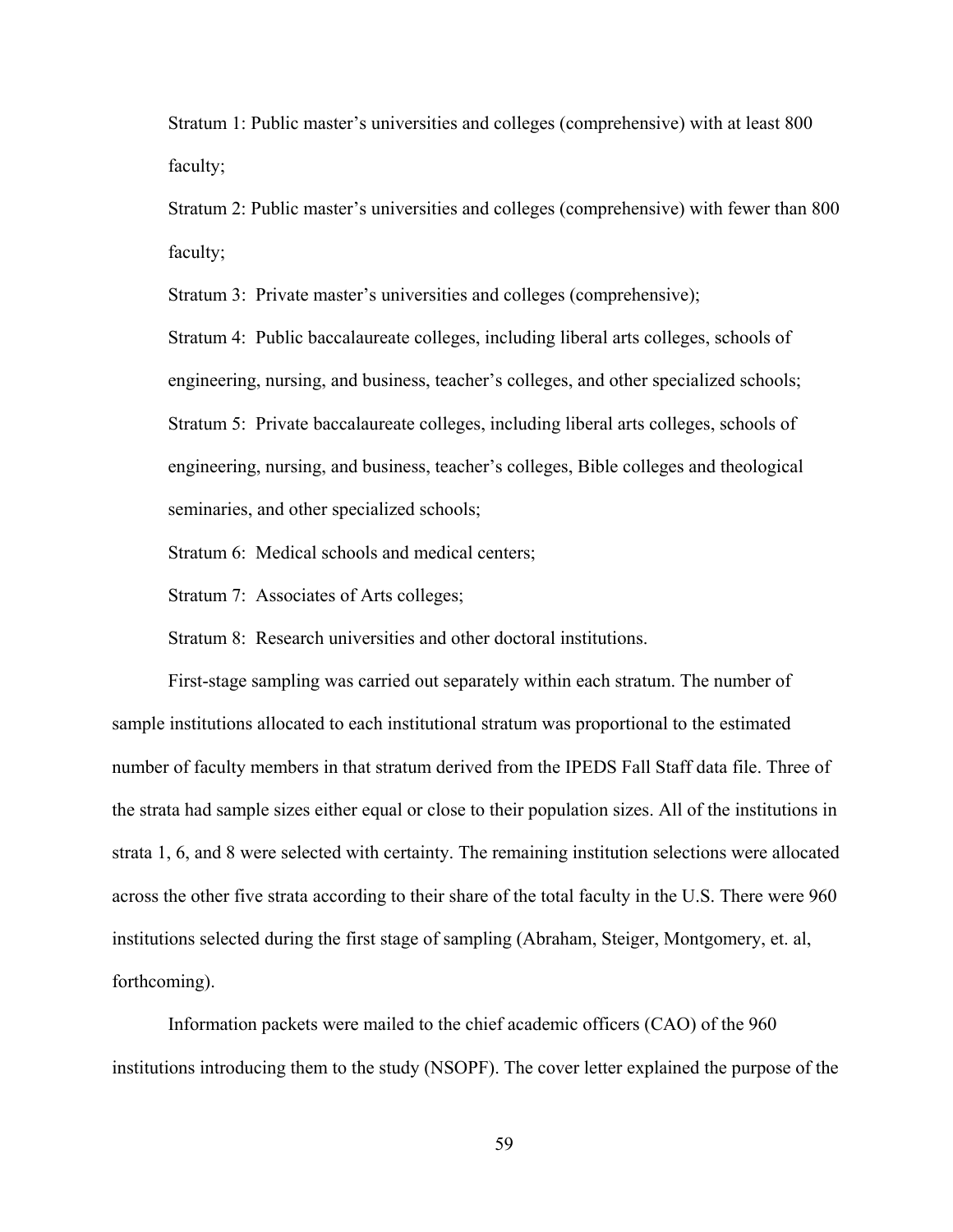Stratum 1: Public master's universities and colleges (comprehensive) with at least 800 faculty;

Stratum 2: Public master's universities and colleges (comprehensive) with fewer than 800 faculty;

Stratum 3: Private master's universities and colleges (comprehensive);

Stratum 4: Public baccalaureate colleges, including liberal arts colleges, schools of engineering, nursing, and business, teacher's colleges, and other specialized schools; Stratum 5: Private baccalaureate colleges, including liberal arts colleges, schools of engineering, nursing, and business, teacher's colleges, Bible colleges and theological seminaries, and other specialized schools;

Stratum 6: Medical schools and medical centers;

Stratum 7: Associates of Arts colleges;

Stratum 8: Research universities and other doctoral institutions.

First-stage sampling was carried out separately within each stratum. The number of sample institutions allocated to each institutional stratum was proportional to the estimated number of faculty members in that stratum derived from the IPEDS Fall Staff data file. Three of the strata had sample sizes either equal or close to their population sizes. All of the institutions in strata 1, 6, and 8 were selected with certainty. The remaining institution selections were allocated across the other five strata according to their share of the total faculty in the U.S. There were 960 institutions selected during the first stage of sampling (Abraham, Steiger, Montgomery, et. al, forthcoming).

Information packets were mailed to the chief academic officers (CAO) of the 960 institutions introducing them to the study (NSOPF). The cover letter explained the purpose of the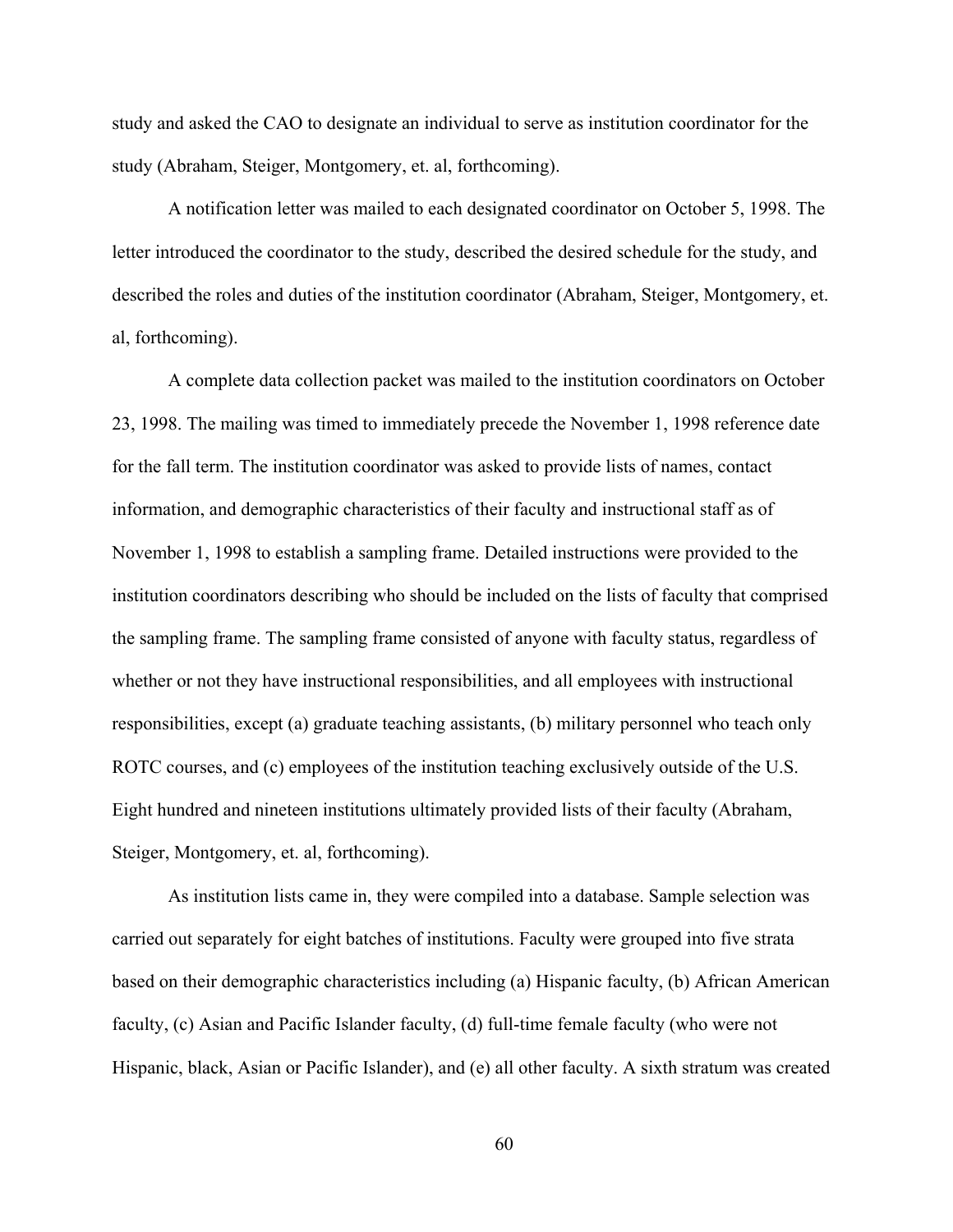study and asked the CAO to designate an individual to serve as institution coordinator for the study (Abraham, Steiger, Montgomery, et. al, forthcoming).

A notification letter was mailed to each designated coordinator on October 5, 1998. The letter introduced the coordinator to the study, described the desired schedule for the study, and described the roles and duties of the institution coordinator (Abraham, Steiger, Montgomery, et. al, forthcoming).

A complete data collection packet was mailed to the institution coordinators on October 23, 1998. The mailing was timed to immediately precede the November 1, 1998 reference date for the fall term. The institution coordinator was asked to provide lists of names, contact information, and demographic characteristics of their faculty and instructional staff as of November 1, 1998 to establish a sampling frame. Detailed instructions were provided to the institution coordinators describing who should be included on the lists of faculty that comprised the sampling frame. The sampling frame consisted of anyone with faculty status, regardless of whether or not they have instructional responsibilities, and all employees with instructional responsibilities, except (a) graduate teaching assistants, (b) military personnel who teach only ROTC courses, and (c) employees of the institution teaching exclusively outside of the U.S. Eight hundred and nineteen institutions ultimately provided lists of their faculty (Abraham, Steiger, Montgomery, et. al, forthcoming).

As institution lists came in, they were compiled into a database. Sample selection was carried out separately for eight batches of institutions. Faculty were grouped into five strata based on their demographic characteristics including (a) Hispanic faculty, (b) African American faculty, (c) Asian and Pacific Islander faculty, (d) full-time female faculty (who were not Hispanic, black, Asian or Pacific Islander), and (e) all other faculty. A sixth stratum was created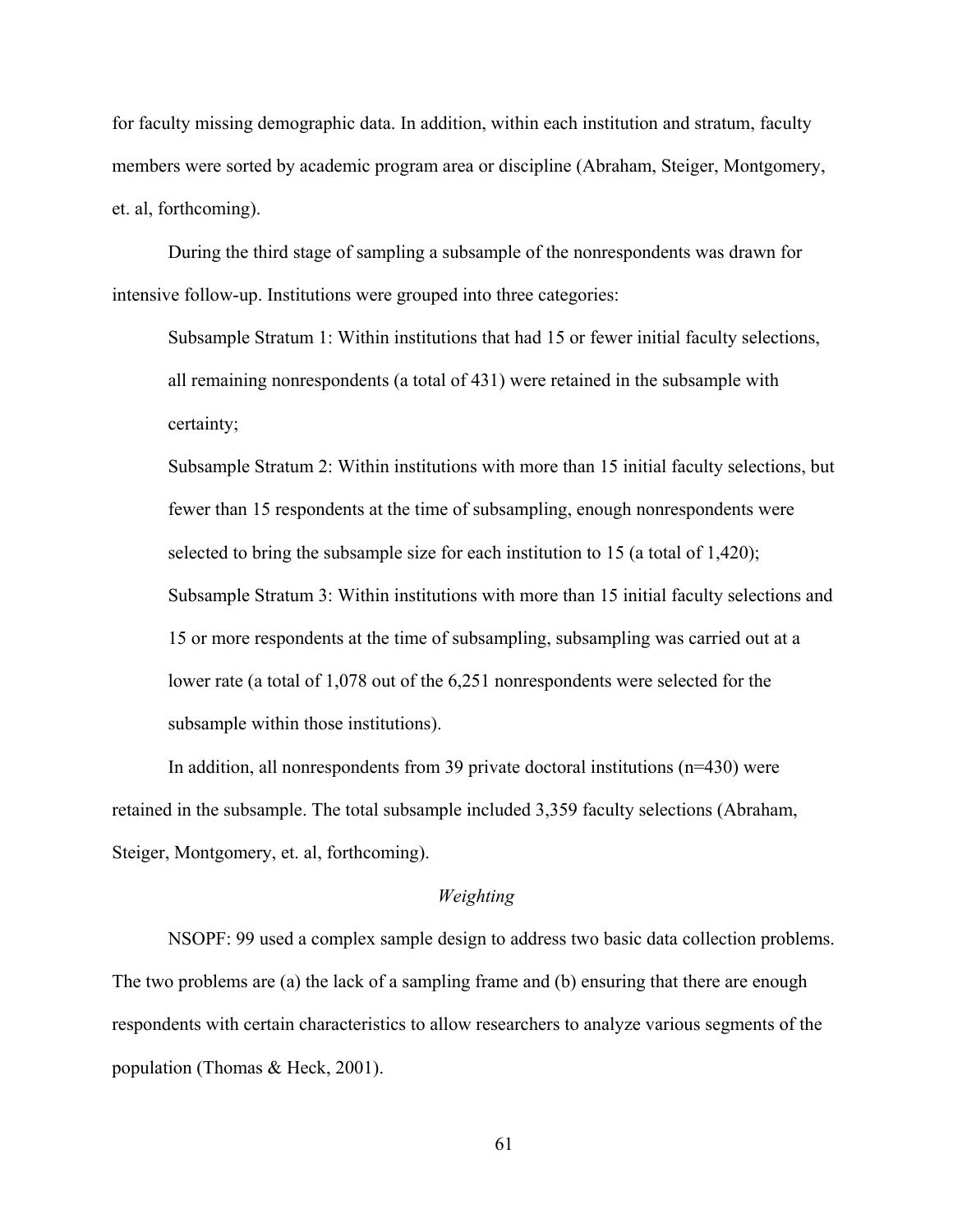for faculty missing demographic data. In addition, within each institution and stratum, faculty members were sorted by academic program area or discipline (Abraham, Steiger, Montgomery, et. al, forthcoming).

During the third stage of sampling a subsample of the nonrespondents was drawn for intensive follow-up. Institutions were grouped into three categories:

Subsample Stratum 1: Within institutions that had 15 or fewer initial faculty selections, all remaining nonrespondents (a total of 431) were retained in the subsample with certainty;

Subsample Stratum 2: Within institutions with more than 15 initial faculty selections, but fewer than 15 respondents at the time of subsampling, enough nonrespondents were selected to bring the subsample size for each institution to 15 (a total of 1,420); Subsample Stratum 3: Within institutions with more than 15 initial faculty selections and 15 or more respondents at the time of subsampling, subsampling was carried out at a lower rate (a total of 1,078 out of the 6,251 nonrespondents were selected for the subsample within those institutions).

In addition, all nonrespondents from 39 private doctoral institutions (n=430) were retained in the subsample. The total subsample included 3,359 faculty selections (Abraham, Steiger, Montgomery, et. al, forthcoming).

#### *Weighting*

NSOPF: 99 used a complex sample design to address two basic data collection problems. The two problems are (a) the lack of a sampling frame and (b) ensuring that there are enough respondents with certain characteristics to allow researchers to analyze various segments of the population (Thomas & Heck, 2001).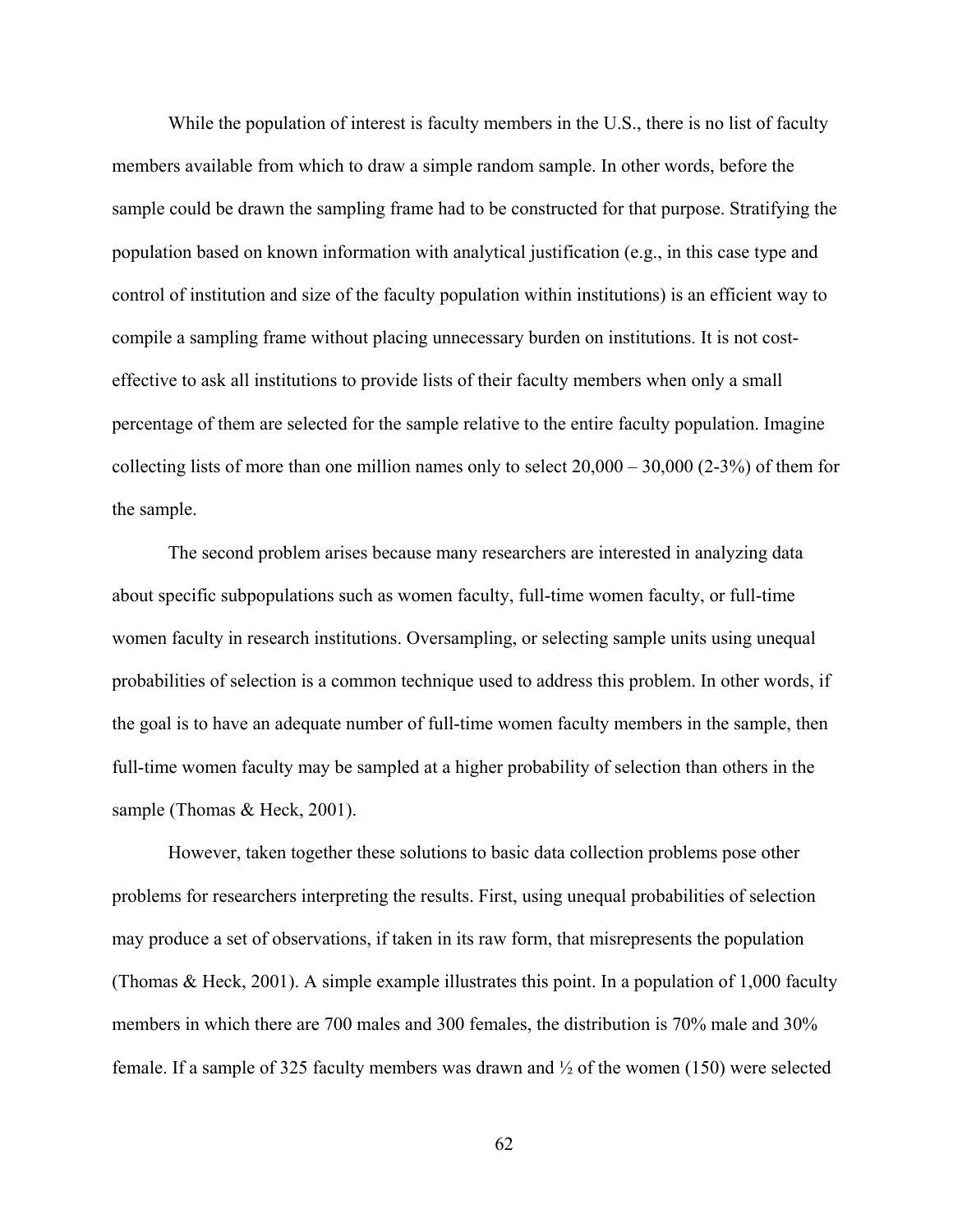While the population of interest is faculty members in the U.S., there is no list of faculty members available from which to draw a simple random sample. In other words, before the sample could be drawn the sampling frame had to be constructed for that purpose. Stratifying the population based on known information with analytical justification (e.g., in this case type and control of institution and size of the faculty population within institutions) is an efficient way to compile a sampling frame without placing unnecessary burden on institutions. It is not costeffective to ask all institutions to provide lists of their faculty members when only a small percentage of them are selected for the sample relative to the entire faculty population. Imagine collecting lists of more than one million names only to select  $20,000 - 30,000 (2-3%)$  of them for the sample.

The second problem arises because many researchers are interested in analyzing data about specific subpopulations such as women faculty, full-time women faculty, or full-time women faculty in research institutions. Oversampling, or selecting sample units using unequal probabilities of selection is a common technique used to address this problem. In other words, if the goal is to have an adequate number of full-time women faculty members in the sample, then full-time women faculty may be sampled at a higher probability of selection than others in the sample (Thomas & Heck, 2001).

However, taken together these solutions to basic data collection problems pose other problems for researchers interpreting the results. First, using unequal probabilities of selection may produce a set of observations, if taken in its raw form, that misrepresents the population (Thomas & Heck, 2001). A simple example illustrates this point. In a population of 1,000 faculty members in which there are 700 males and 300 females, the distribution is 70% male and 30% female. If a sample of 325 faculty members was drawn and  $\frac{1}{2}$  of the women (150) were selected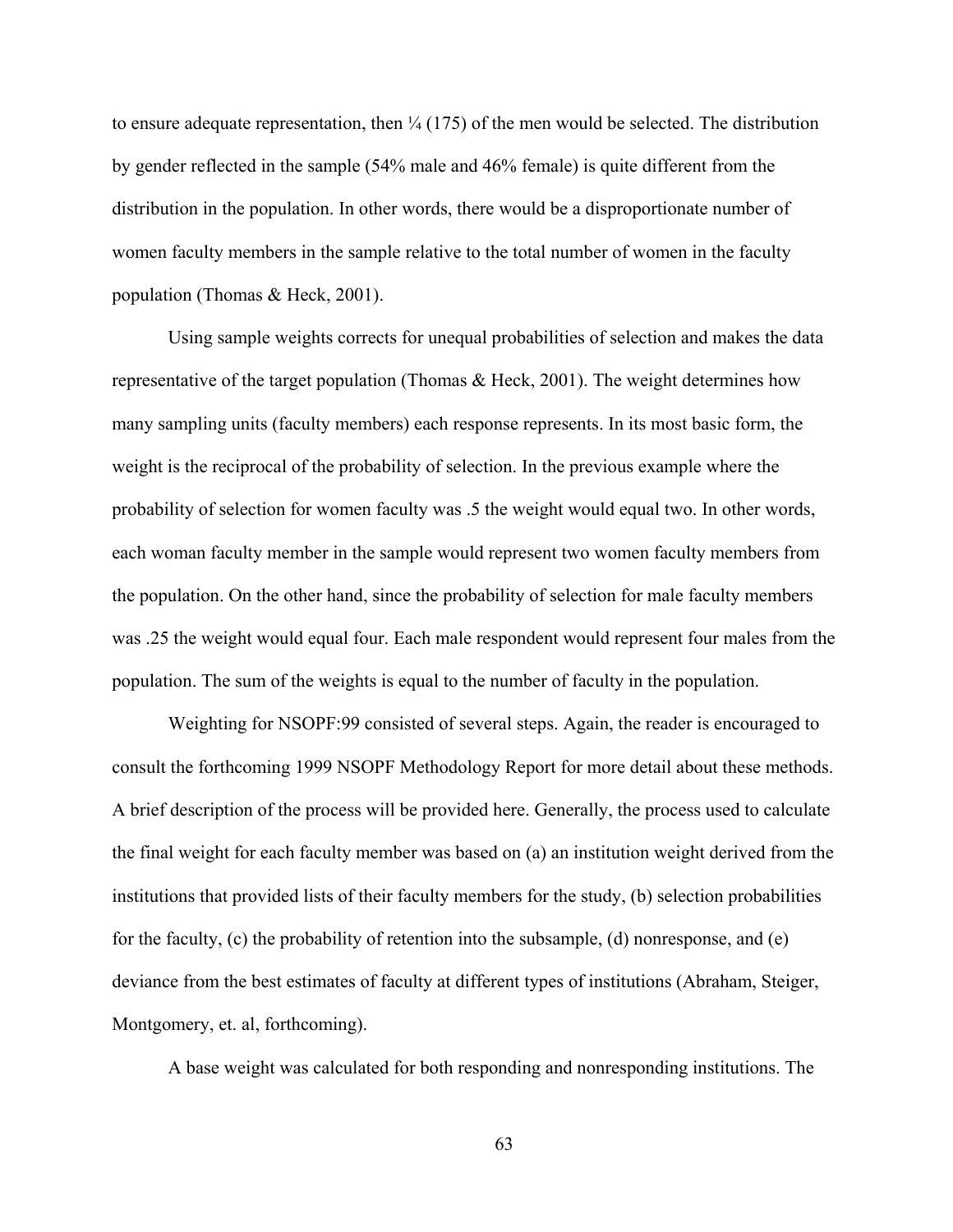to ensure adequate representation, then  $\frac{1}{4}$  (175) of the men would be selected. The distribution by gender reflected in the sample (54% male and 46% female) is quite different from the distribution in the population. In other words, there would be a disproportionate number of women faculty members in the sample relative to the total number of women in the faculty population (Thomas & Heck, 2001).

Using sample weights corrects for unequal probabilities of selection and makes the data representative of the target population (Thomas & Heck, 2001). The weight determines how many sampling units (faculty members) each response represents. In its most basic form, the weight is the reciprocal of the probability of selection. In the previous example where the probability of selection for women faculty was .5 the weight would equal two. In other words, each woman faculty member in the sample would represent two women faculty members from the population. On the other hand, since the probability of selection for male faculty members was .25 the weight would equal four. Each male respondent would represent four males from the population. The sum of the weights is equal to the number of faculty in the population.

Weighting for NSOPF:99 consisted of several steps. Again, the reader is encouraged to consult the forthcoming 1999 NSOPF Methodology Report for more detail about these methods. A brief description of the process will be provided here. Generally, the process used to calculate the final weight for each faculty member was based on (a) an institution weight derived from the institutions that provided lists of their faculty members for the study, (b) selection probabilities for the faculty, (c) the probability of retention into the subsample, (d) nonresponse, and (e) deviance from the best estimates of faculty at different types of institutions (Abraham, Steiger, Montgomery, et. al, forthcoming).

A base weight was calculated for both responding and nonresponding institutions. The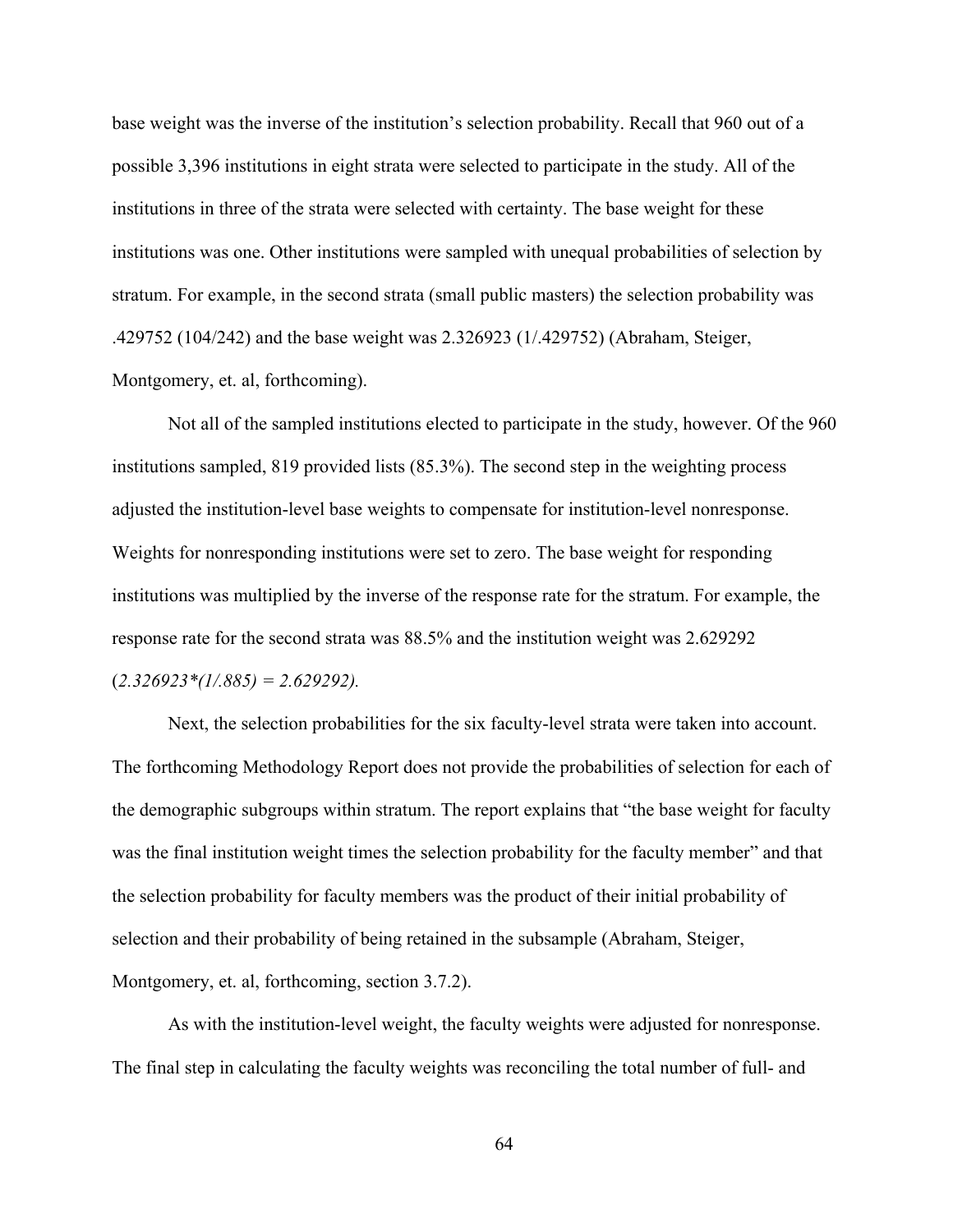base weight was the inverse of the institution's selection probability. Recall that 960 out of a possible 3,396 institutions in eight strata were selected to participate in the study. All of the institutions in three of the strata were selected with certainty. The base weight for these institutions was one. Other institutions were sampled with unequal probabilities of selection by stratum. For example, in the second strata (small public masters) the selection probability was .429752 (104/242) and the base weight was 2.326923 (1/.429752) (Abraham, Steiger, Montgomery, et. al, forthcoming).

Not all of the sampled institutions elected to participate in the study, however. Of the 960 institutions sampled, 819 provided lists (85.3%). The second step in the weighting process adjusted the institution-level base weights to compensate for institution-level nonresponse. Weights for nonresponding institutions were set to zero. The base weight for responding institutions was multiplied by the inverse of the response rate for the stratum. For example, the response rate for the second strata was 88.5% and the institution weight was 2.629292 (*2.326923\*(1/.885) = 2.629292).*

Next, the selection probabilities for the six faculty-level strata were taken into account. The forthcoming Methodology Report does not provide the probabilities of selection for each of the demographic subgroups within stratum. The report explains that "the base weight for faculty was the final institution weight times the selection probability for the faculty member" and that the selection probability for faculty members was the product of their initial probability of selection and their probability of being retained in the subsample (Abraham, Steiger, Montgomery, et. al, forthcoming, section 3.7.2).

As with the institution-level weight, the faculty weights were adjusted for nonresponse. The final step in calculating the faculty weights was reconciling the total number of full- and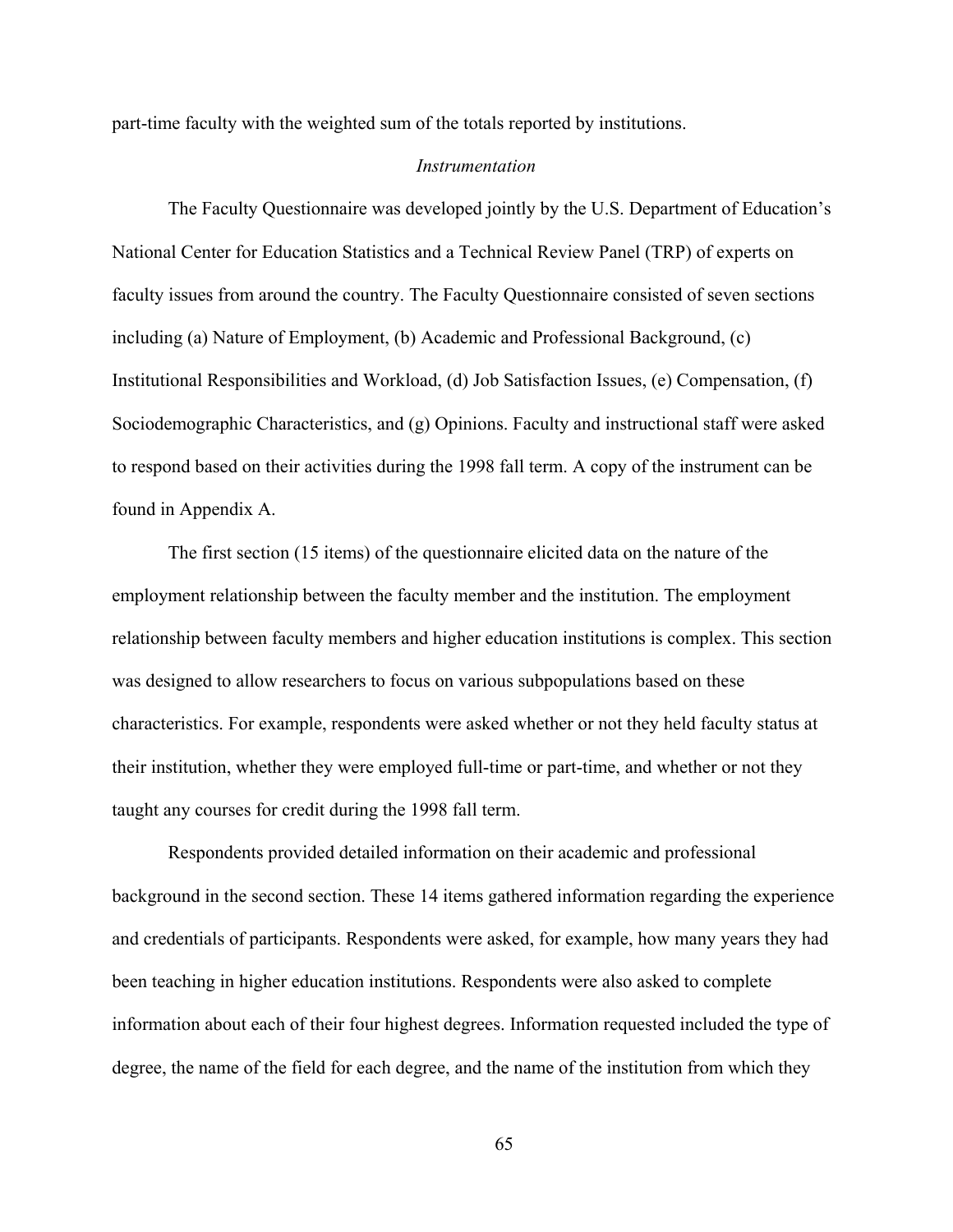part-time faculty with the weighted sum of the totals reported by institutions.

#### *Instrumentation*

The Faculty Questionnaire was developed jointly by the U.S. Department of Education's National Center for Education Statistics and a Technical Review Panel (TRP) of experts on faculty issues from around the country. The Faculty Questionnaire consisted of seven sections including (a) Nature of Employment, (b) Academic and Professional Background, (c) Institutional Responsibilities and Workload, (d) Job Satisfaction Issues, (e) Compensation, (f) Sociodemographic Characteristics, and (g) Opinions. Faculty and instructional staff were asked to respond based on their activities during the 1998 fall term. A copy of the instrument can be found in Appendix A.

The first section (15 items) of the questionnaire elicited data on the nature of the employment relationship between the faculty member and the institution. The employment relationship between faculty members and higher education institutions is complex. This section was designed to allow researchers to focus on various subpopulations based on these characteristics. For example, respondents were asked whether or not they held faculty status at their institution, whether they were employed full-time or part-time, and whether or not they taught any courses for credit during the 1998 fall term.

Respondents provided detailed information on their academic and professional background in the second section. These 14 items gathered information regarding the experience and credentials of participants. Respondents were asked, for example, how many years they had been teaching in higher education institutions. Respondents were also asked to complete information about each of their four highest degrees. Information requested included the type of degree, the name of the field for each degree, and the name of the institution from which they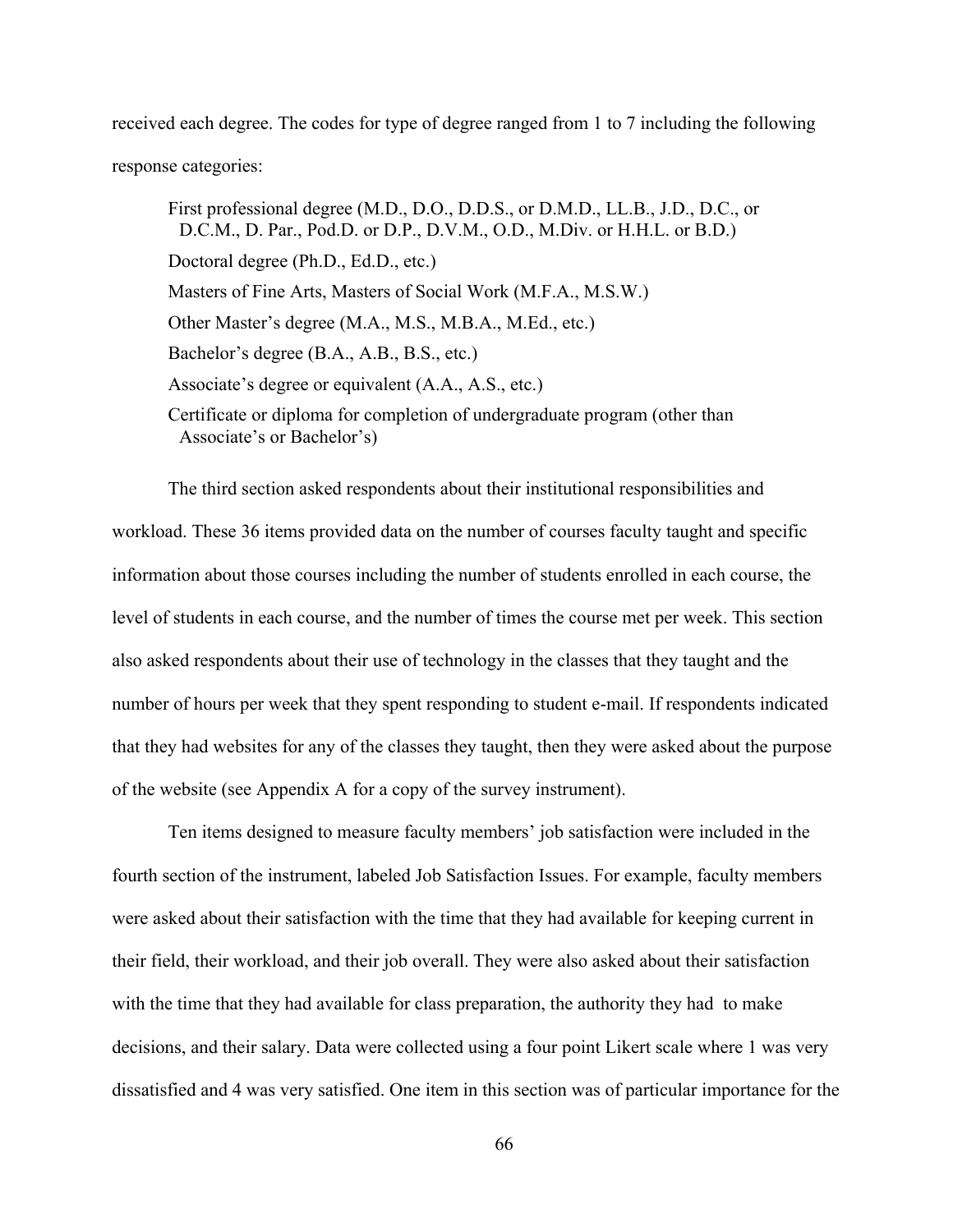received each degree. The codes for type of degree ranged from 1 to 7 including the following response categories:

First professional degree (M.D., D.O., D.D.S., or D.M.D., LL.B., J.D., D.C., or D.C.M., D. Par., Pod.D. or D.P., D.V.M., O.D., M.Div. or H.H.L. or B.D.) Doctoral degree (Ph.D., Ed.D., etc.) Masters of Fine Arts, Masters of Social Work (M.F.A., M.S.W.) Other Master's degree (M.A., M.S., M.B.A., M.Ed., etc.) Bachelor's degree (B.A., A.B., B.S., etc.) Associate's degree or equivalent (A.A., A.S., etc.) Certificate or diploma for completion of undergraduate program (other than Associate's or Bachelor's)

The third section asked respondents about their institutional responsibilities and workload. These 36 items provided data on the number of courses faculty taught and specific information about those courses including the number of students enrolled in each course, the level of students in each course, and the number of times the course met per week. This section also asked respondents about their use of technology in the classes that they taught and the number of hours per week that they spent responding to student e-mail. If respondents indicated that they had websites for any of the classes they taught, then they were asked about the purpose of the website (see Appendix A for a copy of the survey instrument).

Ten items designed to measure faculty members' job satisfaction were included in the fourth section of the instrument, labeled Job Satisfaction Issues. For example, faculty members were asked about their satisfaction with the time that they had available for keeping current in their field, their workload, and their job overall. They were also asked about their satisfaction with the time that they had available for class preparation, the authority they had to make decisions, and their salary. Data were collected using a four point Likert scale where 1 was very dissatisfied and 4 was very satisfied. One item in this section was of particular importance for the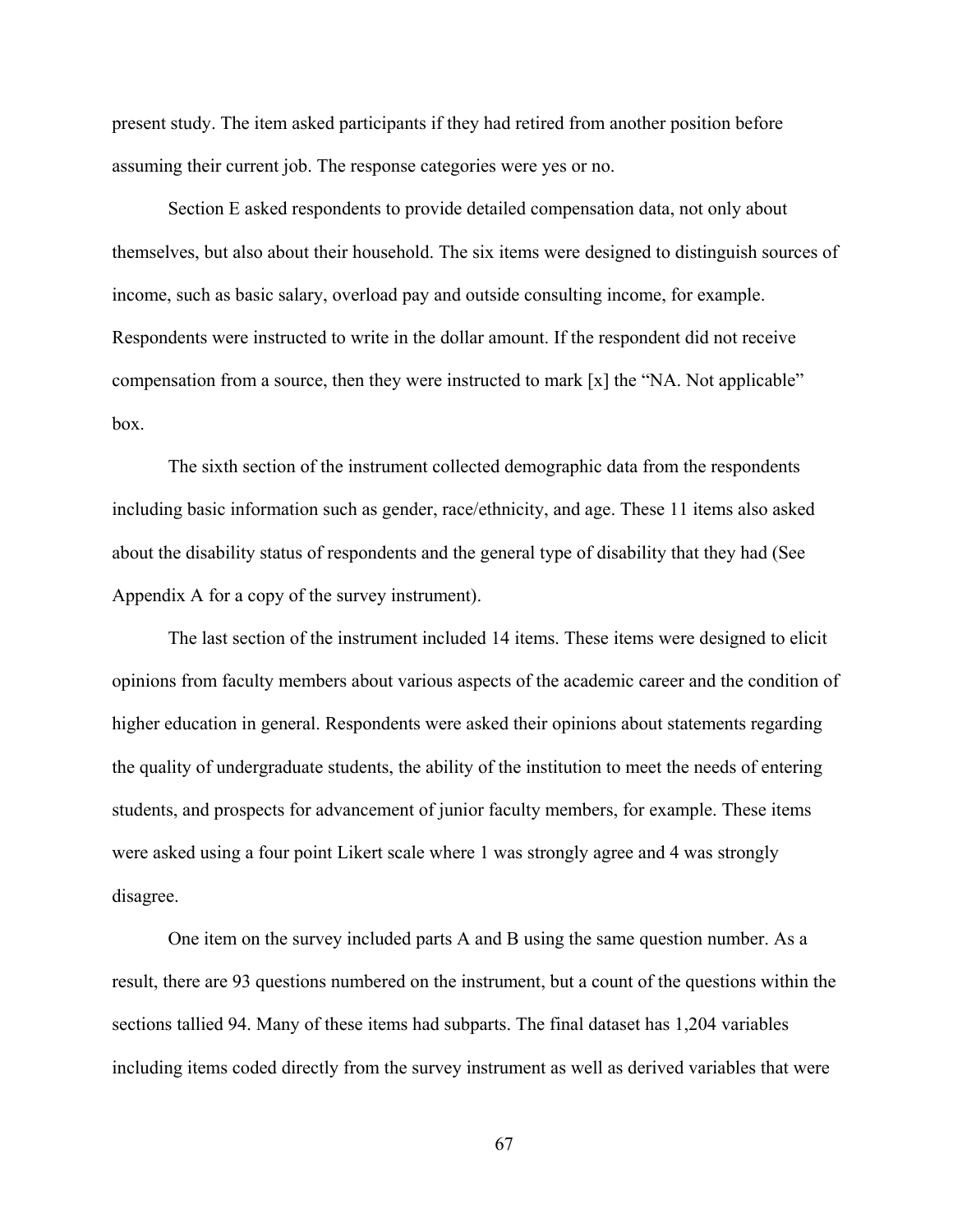present study. The item asked participants if they had retired from another position before assuming their current job. The response categories were yes or no.

Section E asked respondents to provide detailed compensation data, not only about themselves, but also about their household. The six items were designed to distinguish sources of income, such as basic salary, overload pay and outside consulting income, for example. Respondents were instructed to write in the dollar amount. If the respondent did not receive compensation from a source, then they were instructed to mark [x] the "NA. Not applicable" box.

The sixth section of the instrument collected demographic data from the respondents including basic information such as gender, race/ethnicity, and age. These 11 items also asked about the disability status of respondents and the general type of disability that they had (See Appendix A for a copy of the survey instrument).

The last section of the instrument included 14 items. These items were designed to elicit opinions from faculty members about various aspects of the academic career and the condition of higher education in general. Respondents were asked their opinions about statements regarding the quality of undergraduate students, the ability of the institution to meet the needs of entering students, and prospects for advancement of junior faculty members, for example. These items were asked using a four point Likert scale where 1 was strongly agree and 4 was strongly disagree.

One item on the survey included parts A and B using the same question number. As a result, there are 93 questions numbered on the instrument, but a count of the questions within the sections tallied 94. Many of these items had subparts. The final dataset has 1,204 variables including items coded directly from the survey instrument as well as derived variables that were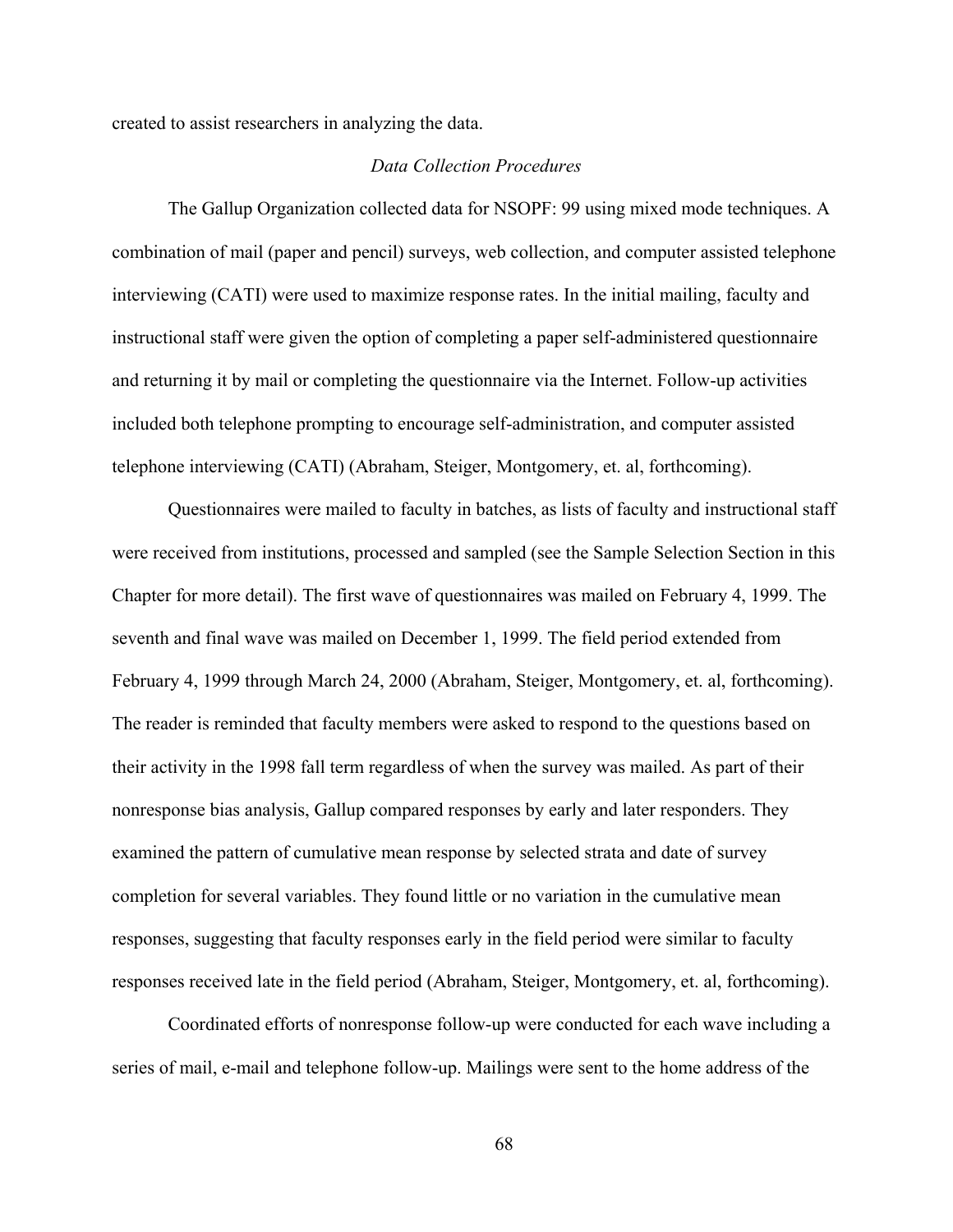created to assist researchers in analyzing the data.

#### *Data Collection Procedures*

The Gallup Organization collected data for NSOPF: 99 using mixed mode techniques. A combination of mail (paper and pencil) surveys, web collection, and computer assisted telephone interviewing (CATI) were used to maximize response rates. In the initial mailing, faculty and instructional staff were given the option of completing a paper self-administered questionnaire and returning it by mail or completing the questionnaire via the Internet. Follow-up activities included both telephone prompting to encourage self-administration, and computer assisted telephone interviewing (CATI) (Abraham, Steiger, Montgomery, et. al, forthcoming).

Questionnaires were mailed to faculty in batches, as lists of faculty and instructional staff were received from institutions, processed and sampled (see the Sample Selection Section in this Chapter for more detail). The first wave of questionnaires was mailed on February 4, 1999. The seventh and final wave was mailed on December 1, 1999. The field period extended from February 4, 1999 through March 24, 2000 (Abraham, Steiger, Montgomery, et. al, forthcoming). The reader is reminded that faculty members were asked to respond to the questions based on their activity in the 1998 fall term regardless of when the survey was mailed. As part of their nonresponse bias analysis, Gallup compared responses by early and later responders. They examined the pattern of cumulative mean response by selected strata and date of survey completion for several variables. They found little or no variation in the cumulative mean responses, suggesting that faculty responses early in the field period were similar to faculty responses received late in the field period (Abraham, Steiger, Montgomery, et. al, forthcoming).

Coordinated efforts of nonresponse follow-up were conducted for each wave including a series of mail, e-mail and telephone follow-up. Mailings were sent to the home address of the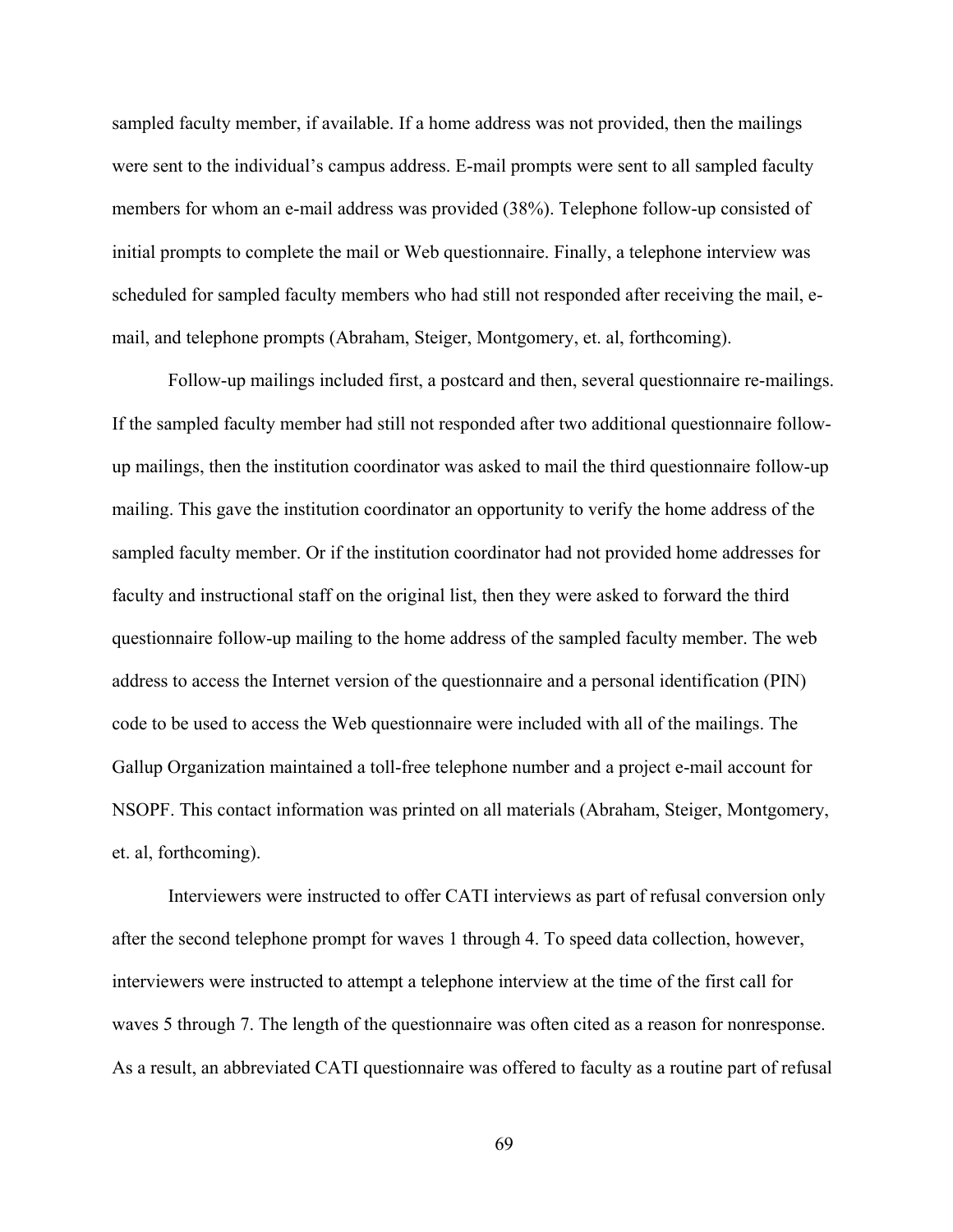sampled faculty member, if available. If a home address was not provided, then the mailings were sent to the individual's campus address. E-mail prompts were sent to all sampled faculty members for whom an e-mail address was provided (38%). Telephone follow-up consisted of initial prompts to complete the mail or Web questionnaire. Finally, a telephone interview was scheduled for sampled faculty members who had still not responded after receiving the mail, email, and telephone prompts (Abraham, Steiger, Montgomery, et. al, forthcoming).

Follow-up mailings included first, a postcard and then, several questionnaire re-mailings. If the sampled faculty member had still not responded after two additional questionnaire followup mailings, then the institution coordinator was asked to mail the third questionnaire follow-up mailing. This gave the institution coordinator an opportunity to verify the home address of the sampled faculty member. Or if the institution coordinator had not provided home addresses for faculty and instructional staff on the original list, then they were asked to forward the third questionnaire follow-up mailing to the home address of the sampled faculty member. The web address to access the Internet version of the questionnaire and a personal identification (PIN) code to be used to access the Web questionnaire were included with all of the mailings. The Gallup Organization maintained a toll-free telephone number and a project e-mail account for NSOPF. This contact information was printed on all materials (Abraham, Steiger, Montgomery, et. al, forthcoming).

Interviewers were instructed to offer CATI interviews as part of refusal conversion only after the second telephone prompt for waves 1 through 4. To speed data collection, however, interviewers were instructed to attempt a telephone interview at the time of the first call for waves 5 through 7. The length of the questionnaire was often cited as a reason for nonresponse. As a result, an abbreviated CATI questionnaire was offered to faculty as a routine part of refusal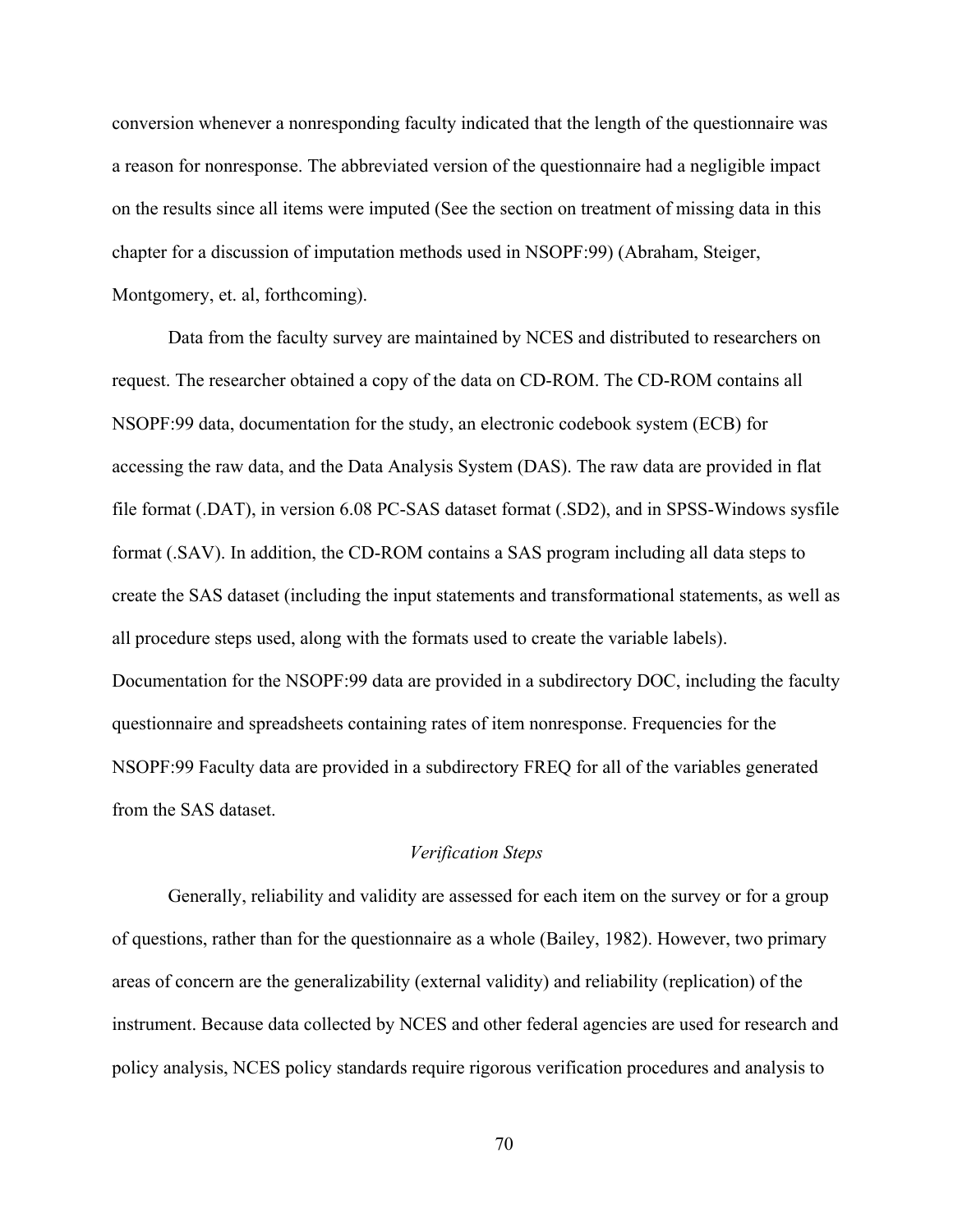conversion whenever a nonresponding faculty indicated that the length of the questionnaire was a reason for nonresponse. The abbreviated version of the questionnaire had a negligible impact on the results since all items were imputed (See the section on treatment of missing data in this chapter for a discussion of imputation methods used in NSOPF:99) (Abraham, Steiger, Montgomery, et. al, forthcoming).

Data from the faculty survey are maintained by NCES and distributed to researchers on request. The researcher obtained a copy of the data on CD-ROM. The CD-ROM contains all NSOPF:99 data, documentation for the study, an electronic codebook system (ECB) for accessing the raw data, and the Data Analysis System (DAS). The raw data are provided in flat file format (.DAT), in version 6.08 PC-SAS dataset format (.SD2), and in SPSS-Windows sysfile format (.SAV). In addition, the CD-ROM contains a SAS program including all data steps to create the SAS dataset (including the input statements and transformational statements, as well as all procedure steps used, along with the formats used to create the variable labels). Documentation for the NSOPF:99 data are provided in a subdirectory DOC, including the faculty questionnaire and spreadsheets containing rates of item nonresponse. Frequencies for the NSOPF:99 Faculty data are provided in a subdirectory FREQ for all of the variables generated from the SAS dataset.

### *Verification Steps*

Generally, reliability and validity are assessed for each item on the survey or for a group of questions, rather than for the questionnaire as a whole (Bailey, 1982). However, two primary areas of concern are the generalizability (external validity) and reliability (replication) of the instrument. Because data collected by NCES and other federal agencies are used for research and policy analysis, NCES policy standards require rigorous verification procedures and analysis to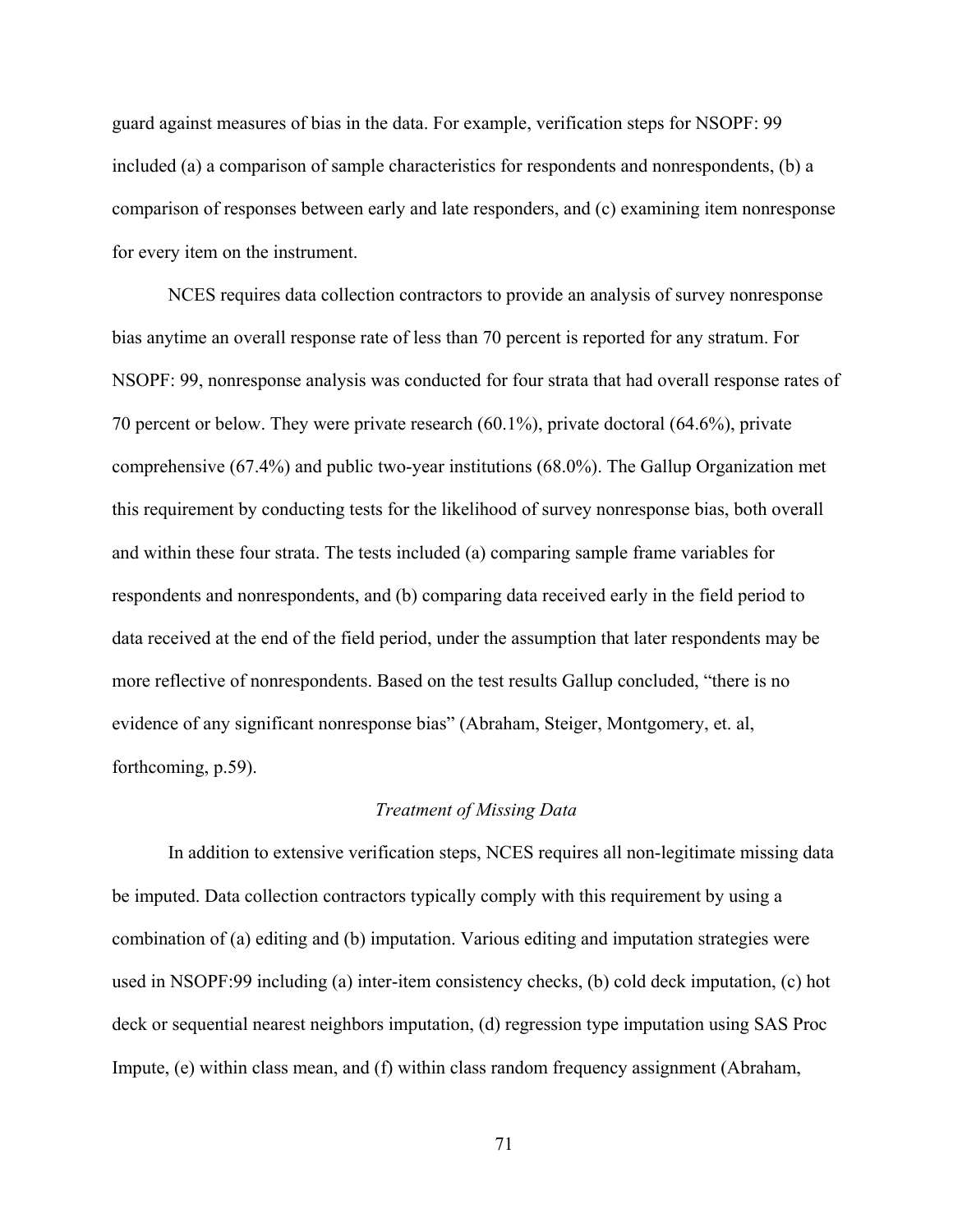guard against measures of bias in the data. For example, verification steps for NSOPF: 99 included (a) a comparison of sample characteristics for respondents and nonrespondents, (b) a comparison of responses between early and late responders, and (c) examining item nonresponse for every item on the instrument.

NCES requires data collection contractors to provide an analysis of survey nonresponse bias anytime an overall response rate of less than 70 percent is reported for any stratum. For NSOPF: 99, nonresponse analysis was conducted for four strata that had overall response rates of 70 percent or below. They were private research (60.1%), private doctoral (64.6%), private comprehensive (67.4%) and public two-year institutions (68.0%). The Gallup Organization met this requirement by conducting tests for the likelihood of survey nonresponse bias, both overall and within these four strata. The tests included (a) comparing sample frame variables for respondents and nonrespondents, and (b) comparing data received early in the field period to data received at the end of the field period, under the assumption that later respondents may be more reflective of nonrespondents. Based on the test results Gallup concluded, "there is no evidence of any significant nonresponse bias" (Abraham, Steiger, Montgomery, et. al, forthcoming, p.59).

#### *Treatment of Missing Data*

In addition to extensive verification steps, NCES requires all non-legitimate missing data be imputed. Data collection contractors typically comply with this requirement by using a combination of (a) editing and (b) imputation. Various editing and imputation strategies were used in NSOPF:99 including (a) inter-item consistency checks, (b) cold deck imputation, (c) hot deck or sequential nearest neighbors imputation, (d) regression type imputation using SAS Proc Impute, (e) within class mean, and (f) within class random frequency assignment (Abraham,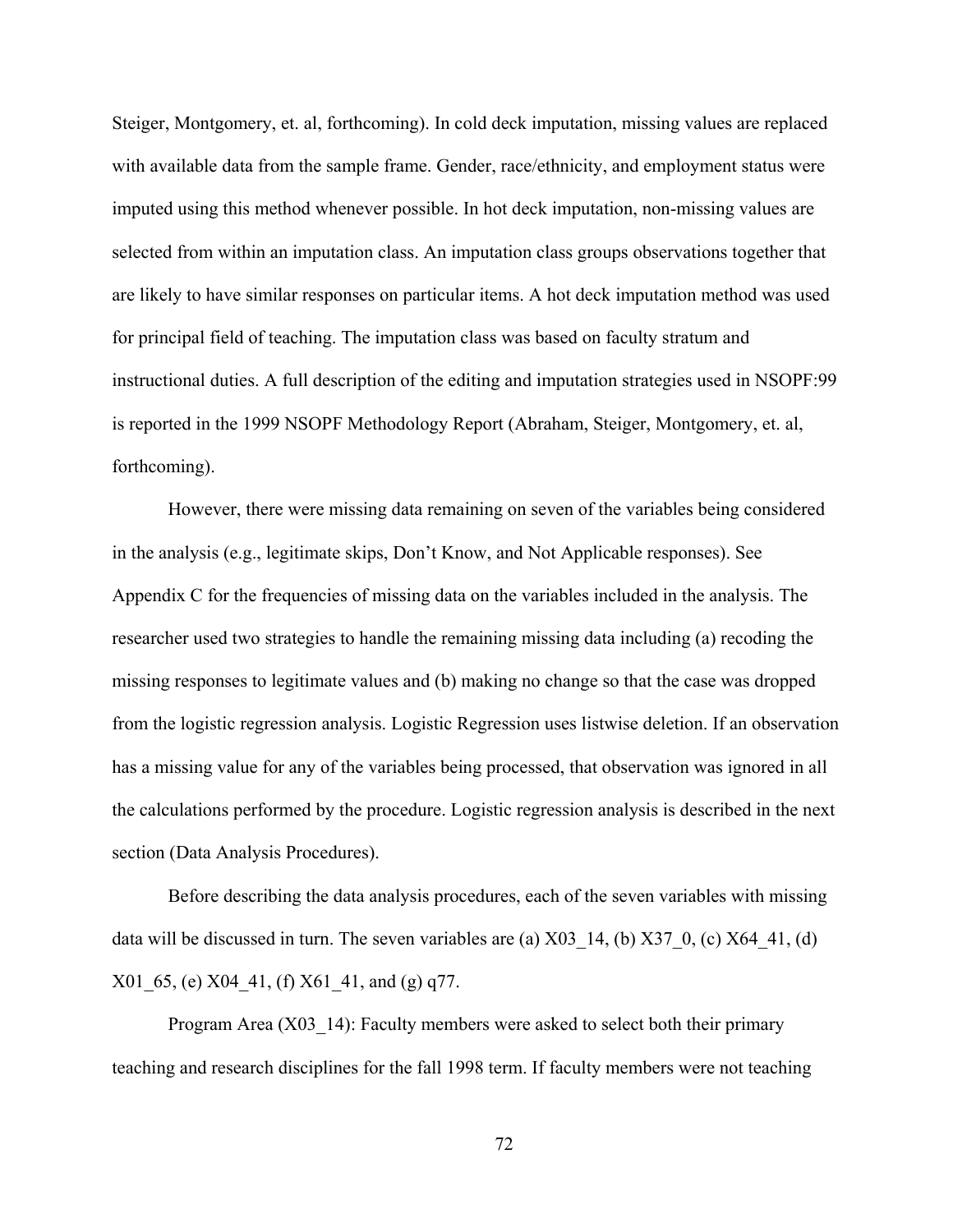Steiger, Montgomery, et. al, forthcoming). In cold deck imputation, missing values are replaced with available data from the sample frame. Gender, race/ethnicity, and employment status were imputed using this method whenever possible. In hot deck imputation, non-missing values are selected from within an imputation class. An imputation class groups observations together that are likely to have similar responses on particular items. A hot deck imputation method was used for principal field of teaching. The imputation class was based on faculty stratum and instructional duties. A full description of the editing and imputation strategies used in NSOPF:99 is reported in the 1999 NSOPF Methodology Report (Abraham, Steiger, Montgomery, et. al, forthcoming).

However, there were missing data remaining on seven of the variables being considered in the analysis (e.g., legitimate skips, Don't Know, and Not Applicable responses). See Appendix C for the frequencies of missing data on the variables included in the analysis. The researcher used two strategies to handle the remaining missing data including (a) recoding the missing responses to legitimate values and (b) making no change so that the case was dropped from the logistic regression analysis. Logistic Regression uses listwise deletion. If an observation has a missing value for any of the variables being processed, that observation was ignored in all the calculations performed by the procedure. Logistic regression analysis is described in the next section (Data Analysis Procedures).

Before describing the data analysis procedures, each of the seven variables with missing data will be discussed in turn. The seven variables are (a)  $X03\,14$ , (b)  $X37\,0$ , (c)  $X64\,41$ , (d) X01\_65, (e) X04\_41, (f) X61\_41, and (g) q77.

Program Area (X03–14): Faculty members were asked to select both their primary teaching and research disciplines for the fall 1998 term. If faculty members were not teaching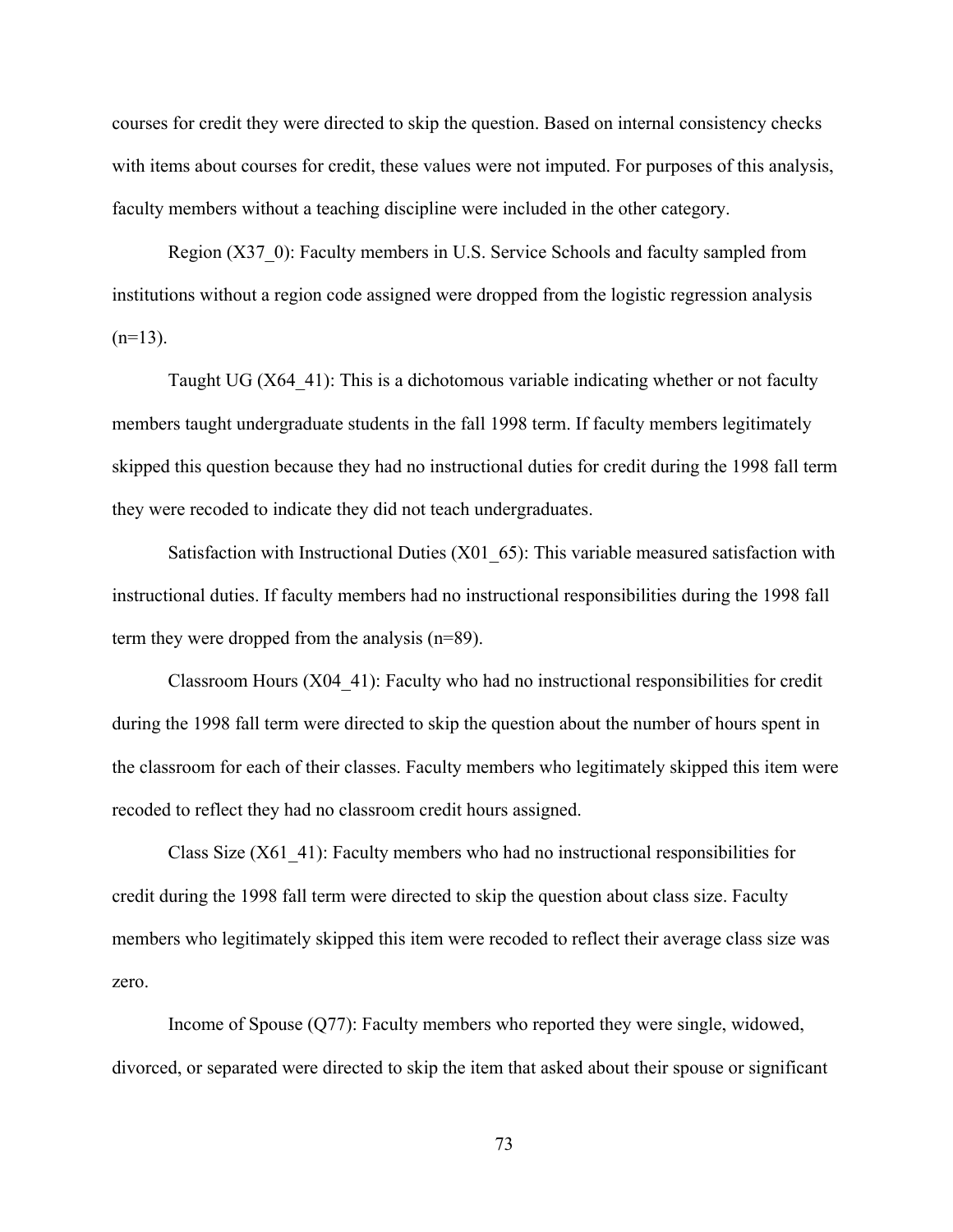courses for credit they were directed to skip the question. Based on internal consistency checks with items about courses for credit, these values were not imputed. For purposes of this analysis, faculty members without a teaching discipline were included in the other category.

Region (X37–0): Faculty members in U.S. Service Schools and faculty sampled from institutions without a region code assigned were dropped from the logistic regression analysis  $(n=13)$ .

Taught UG (X64\_41): This is a dichotomous variable indicating whether or not faculty members taught undergraduate students in the fall 1998 term. If faculty members legitimately skipped this question because they had no instructional duties for credit during the 1998 fall term they were recoded to indicate they did not teach undergraduates.

Satisfaction with Instructional Duties (X01\_65): This variable measured satisfaction with instructional duties. If faculty members had no instructional responsibilities during the 1998 fall term they were dropped from the analysis (n=89).

Classroom Hours (X04\_41): Faculty who had no instructional responsibilities for credit during the 1998 fall term were directed to skip the question about the number of hours spent in the classroom for each of their classes. Faculty members who legitimately skipped this item were recoded to reflect they had no classroom credit hours assigned.

Class Size (X61\_41): Faculty members who had no instructional responsibilities for credit during the 1998 fall term were directed to skip the question about class size. Faculty members who legitimately skipped this item were recoded to reflect their average class size was zero.

Income of Spouse (Q77): Faculty members who reported they were single, widowed, divorced, or separated were directed to skip the item that asked about their spouse or significant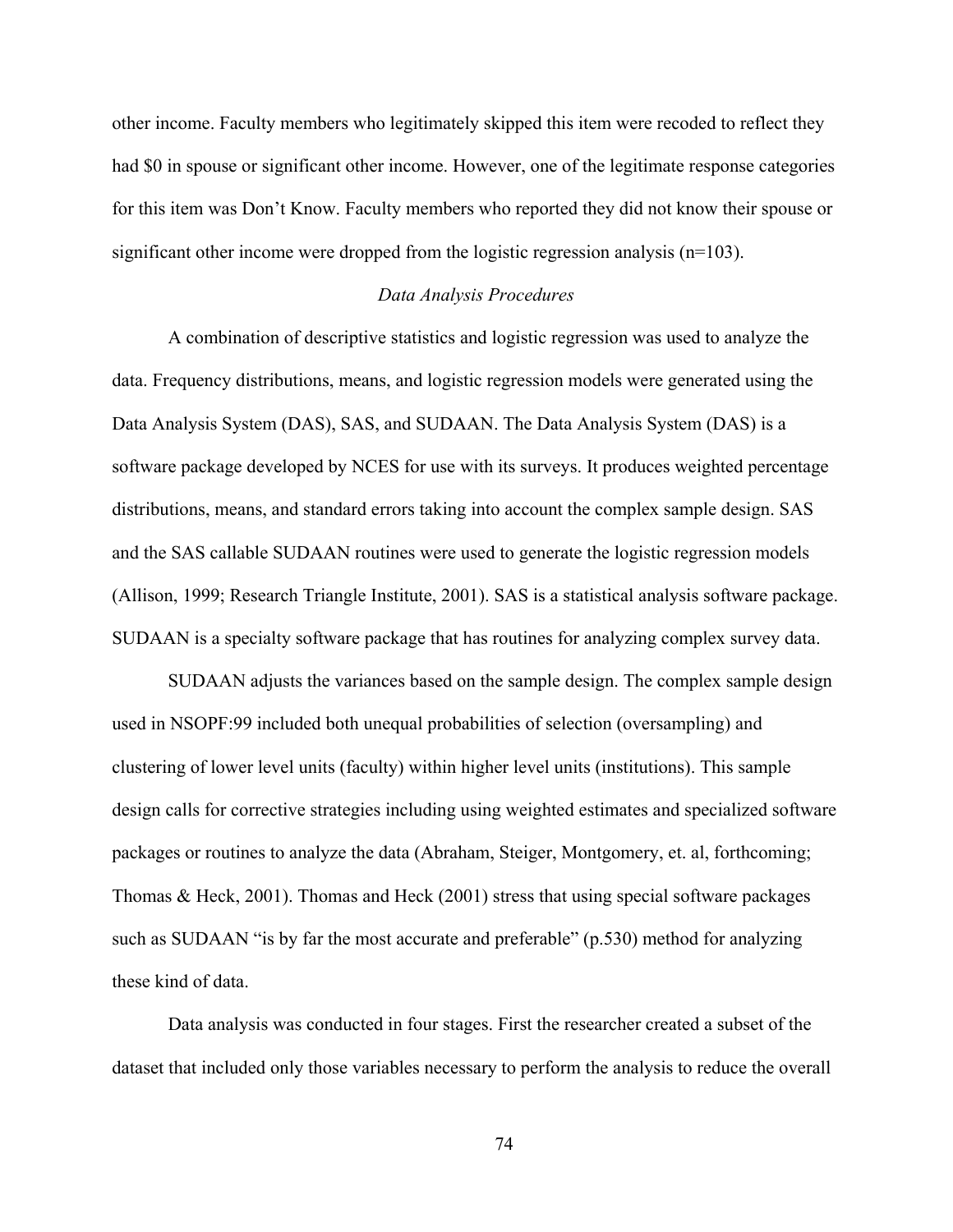other income. Faculty members who legitimately skipped this item were recoded to reflect they had \$0 in spouse or significant other income. However, one of the legitimate response categories for this item was Don't Know. Faculty members who reported they did not know their spouse or significant other income were dropped from the logistic regression analysis (n=103).

### *Data Analysis Procedures*

A combination of descriptive statistics and logistic regression was used to analyze the data. Frequency distributions, means, and logistic regression models were generated using the Data Analysis System (DAS), SAS, and SUDAAN. The Data Analysis System (DAS) is a software package developed by NCES for use with its surveys. It produces weighted percentage distributions, means, and standard errors taking into account the complex sample design. SAS and the SAS callable SUDAAN routines were used to generate the logistic regression models (Allison, 1999; Research Triangle Institute, 2001). SAS is a statistical analysis software package. SUDAAN is a specialty software package that has routines for analyzing complex survey data.

SUDAAN adjusts the variances based on the sample design. The complex sample design used in NSOPF:99 included both unequal probabilities of selection (oversampling) and clustering of lower level units (faculty) within higher level units (institutions). This sample design calls for corrective strategies including using weighted estimates and specialized software packages or routines to analyze the data (Abraham, Steiger, Montgomery, et. al, forthcoming; Thomas & Heck, 2001). Thomas and Heck (2001) stress that using special software packages such as SUDAAN "is by far the most accurate and preferable" (p.530) method for analyzing these kind of data.

Data analysis was conducted in four stages. First the researcher created a subset of the dataset that included only those variables necessary to perform the analysis to reduce the overall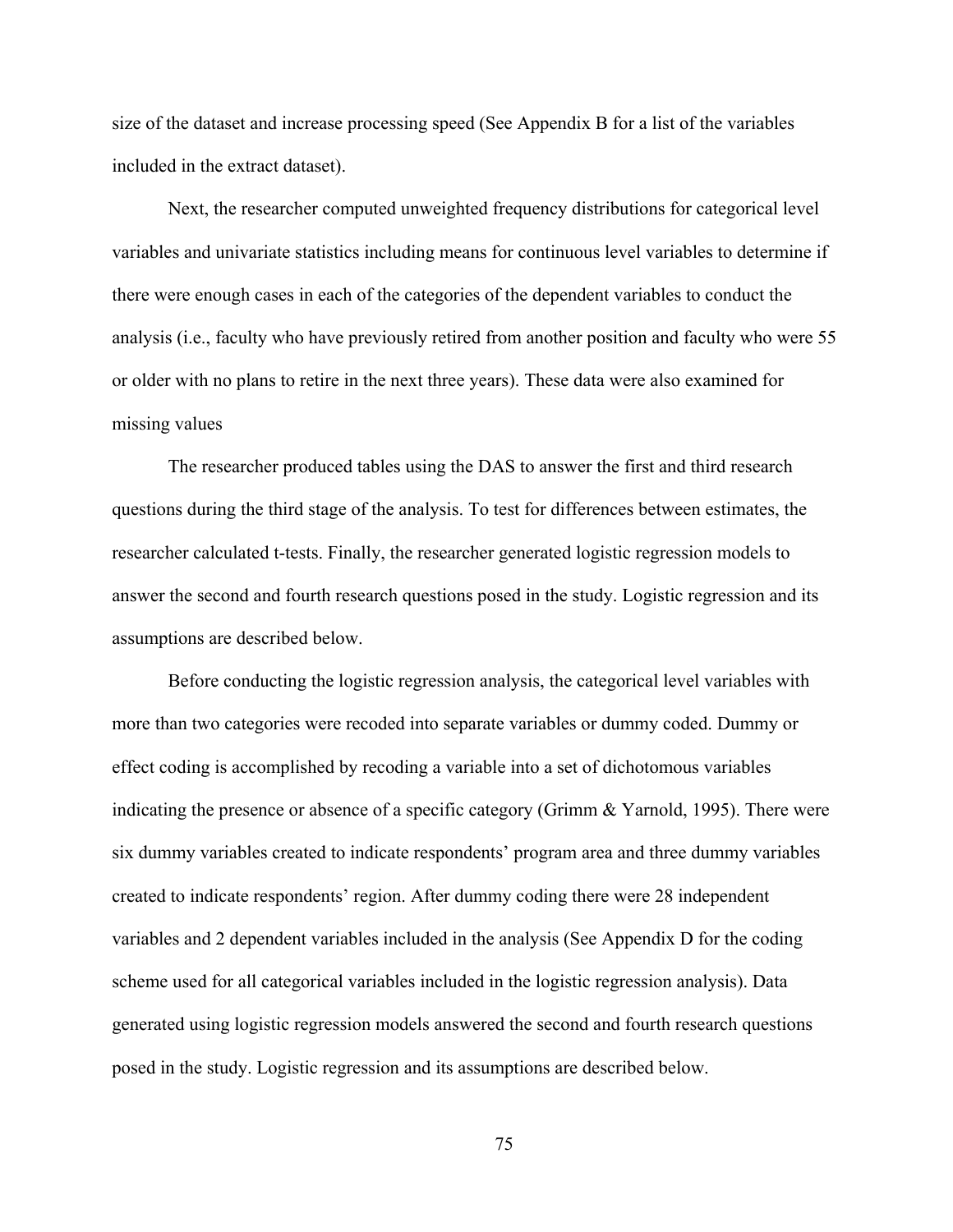size of the dataset and increase processing speed (See Appendix B for a list of the variables included in the extract dataset).

Next, the researcher computed unweighted frequency distributions for categorical level variables and univariate statistics including means for continuous level variables to determine if there were enough cases in each of the categories of the dependent variables to conduct the analysis (i.e., faculty who have previously retired from another position and faculty who were 55 or older with no plans to retire in the next three years). These data were also examined for missing values

The researcher produced tables using the DAS to answer the first and third research questions during the third stage of the analysis. To test for differences between estimates, the researcher calculated t-tests. Finally, the researcher generated logistic regression models to answer the second and fourth research questions posed in the study. Logistic regression and its assumptions are described below.

Before conducting the logistic regression analysis, the categorical level variables with more than two categories were recoded into separate variables or dummy coded. Dummy or effect coding is accomplished by recoding a variable into a set of dichotomous variables indicating the presence or absence of a specific category (Grimm & Yarnold, 1995). There were six dummy variables created to indicate respondents' program area and three dummy variables created to indicate respondents' region. After dummy coding there were 28 independent variables and 2 dependent variables included in the analysis (See Appendix D for the coding scheme used for all categorical variables included in the logistic regression analysis). Data generated using logistic regression models answered the second and fourth research questions posed in the study. Logistic regression and its assumptions are described below.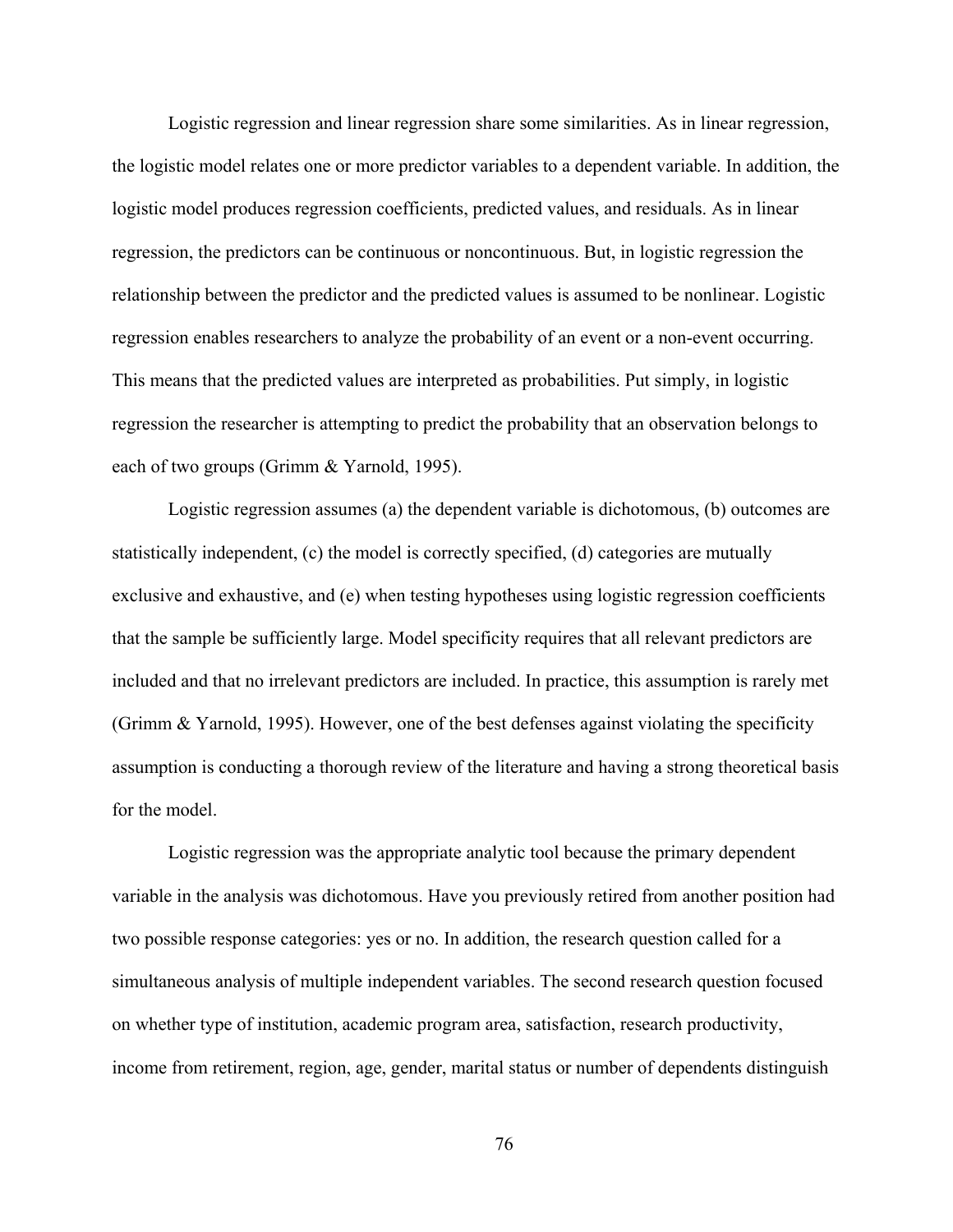Logistic regression and linear regression share some similarities. As in linear regression, the logistic model relates one or more predictor variables to a dependent variable. In addition, the logistic model produces regression coefficients, predicted values, and residuals. As in linear regression, the predictors can be continuous or noncontinuous. But, in logistic regression the relationship between the predictor and the predicted values is assumed to be nonlinear. Logistic regression enables researchers to analyze the probability of an event or a non-event occurring. This means that the predicted values are interpreted as probabilities. Put simply, in logistic regression the researcher is attempting to predict the probability that an observation belongs to each of two groups (Grimm & Yarnold, 1995).

Logistic regression assumes (a) the dependent variable is dichotomous, (b) outcomes are statistically independent, (c) the model is correctly specified, (d) categories are mutually exclusive and exhaustive, and (e) when testing hypotheses using logistic regression coefficients that the sample be sufficiently large. Model specificity requires that all relevant predictors are included and that no irrelevant predictors are included. In practice, this assumption is rarely met (Grimm & Yarnold, 1995). However, one of the best defenses against violating the specificity assumption is conducting a thorough review of the literature and having a strong theoretical basis for the model.

Logistic regression was the appropriate analytic tool because the primary dependent variable in the analysis was dichotomous. Have you previously retired from another position had two possible response categories: yes or no. In addition, the research question called for a simultaneous analysis of multiple independent variables. The second research question focused on whether type of institution, academic program area, satisfaction, research productivity, income from retirement, region, age, gender, marital status or number of dependents distinguish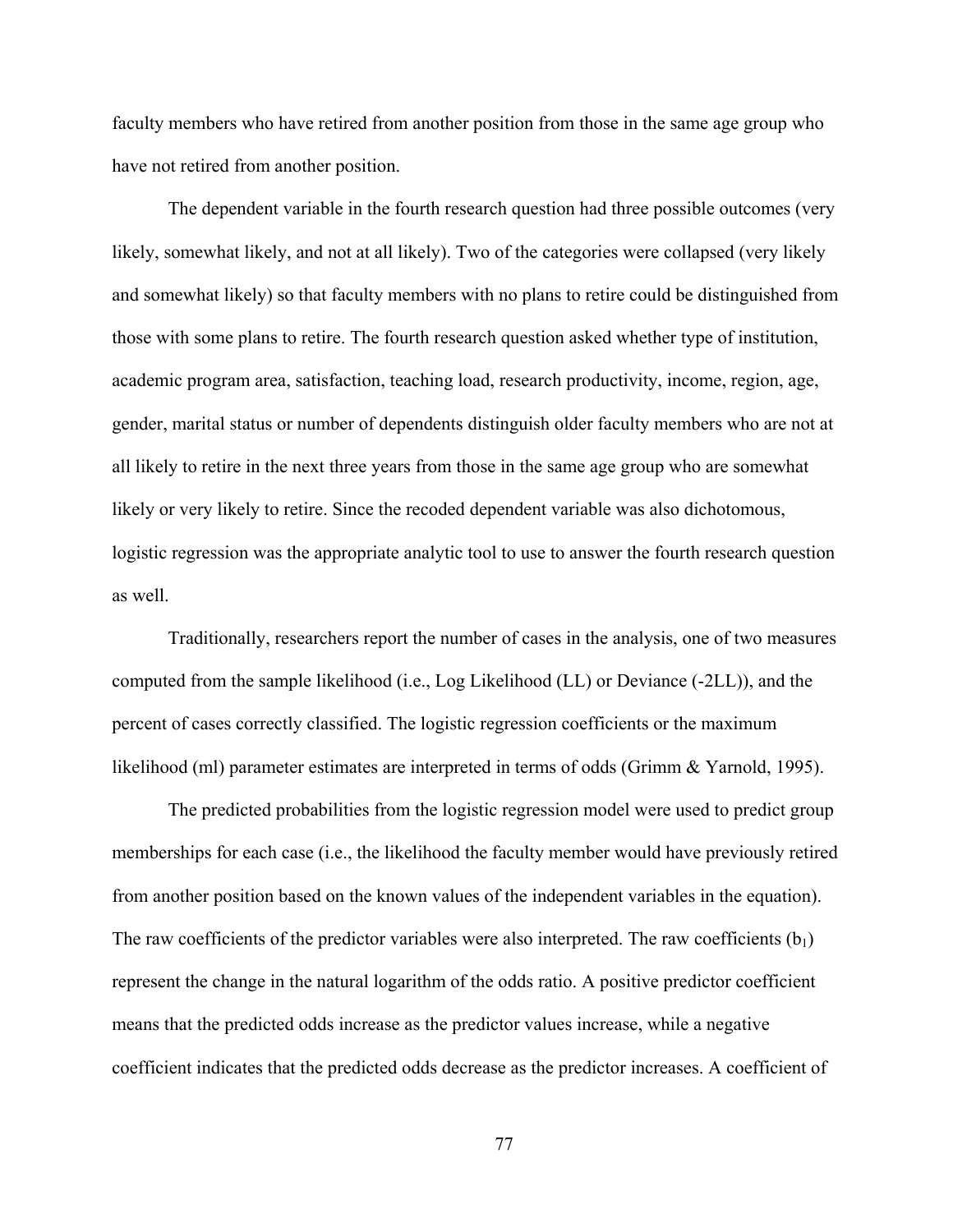faculty members who have retired from another position from those in the same age group who have not retired from another position.

The dependent variable in the fourth research question had three possible outcomes (very likely, somewhat likely, and not at all likely). Two of the categories were collapsed (very likely and somewhat likely) so that faculty members with no plans to retire could be distinguished from those with some plans to retire. The fourth research question asked whether type of institution, academic program area, satisfaction, teaching load, research productivity, income, region, age, gender, marital status or number of dependents distinguish older faculty members who are not at all likely to retire in the next three years from those in the same age group who are somewhat likely or very likely to retire. Since the recoded dependent variable was also dichotomous, logistic regression was the appropriate analytic tool to use to answer the fourth research question as well.

Traditionally, researchers report the number of cases in the analysis, one of two measures computed from the sample likelihood (i.e., Log Likelihood (LL) or Deviance (-2LL)), and the percent of cases correctly classified. The logistic regression coefficients or the maximum likelihood (ml) parameter estimates are interpreted in terms of odds (Grimm & Yarnold, 1995).

The predicted probabilities from the logistic regression model were used to predict group memberships for each case (i.e., the likelihood the faculty member would have previously retired from another position based on the known values of the independent variables in the equation). The raw coefficients of the predictor variables were also interpreted. The raw coefficients  $(b_1)$ represent the change in the natural logarithm of the odds ratio. A positive predictor coefficient means that the predicted odds increase as the predictor values increase, while a negative coefficient indicates that the predicted odds decrease as the predictor increases. A coefficient of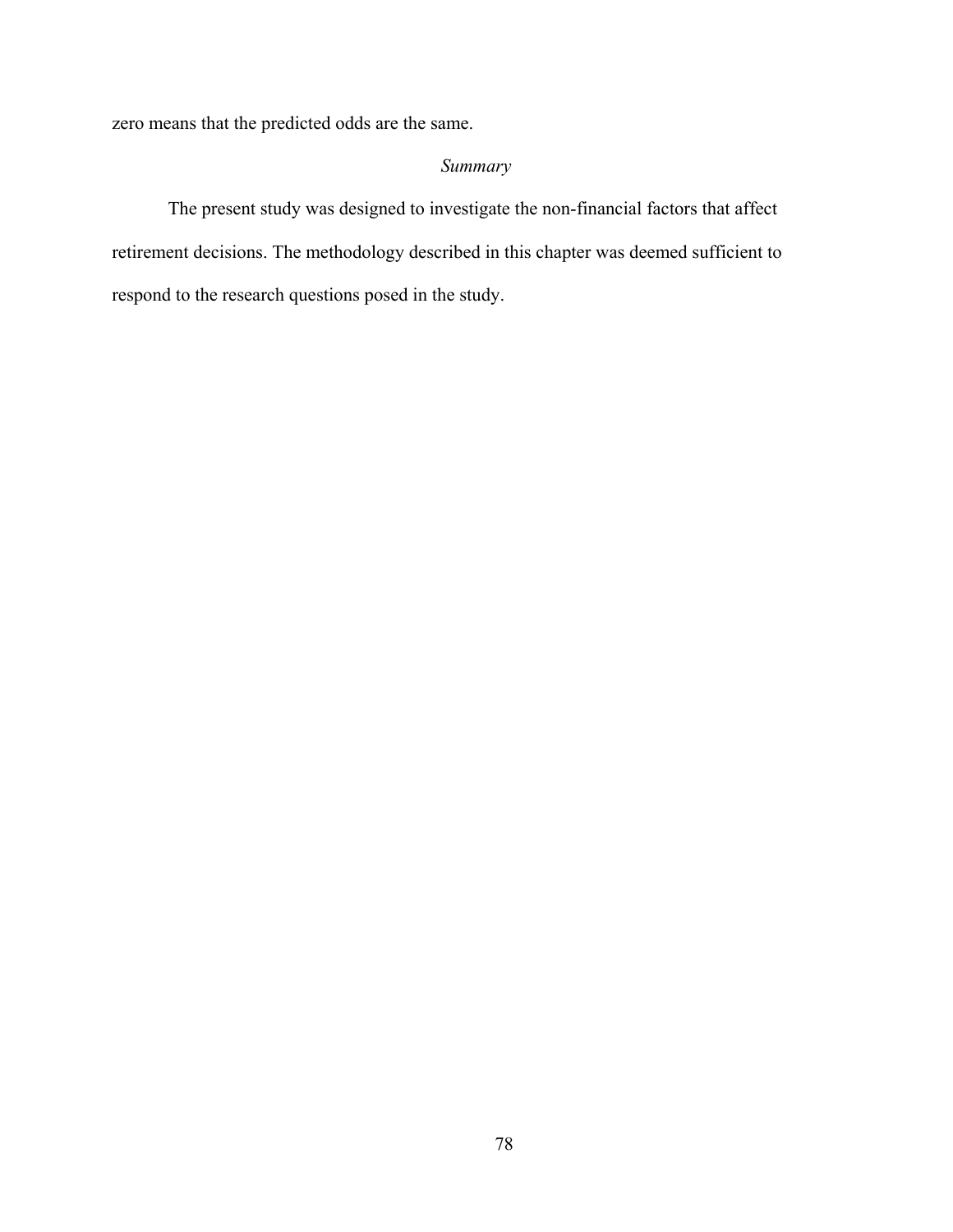zero means that the predicted odds are the same.

# *Summary*

The present study was designed to investigate the non-financial factors that affect retirement decisions. The methodology described in this chapter was deemed sufficient to respond to the research questions posed in the study.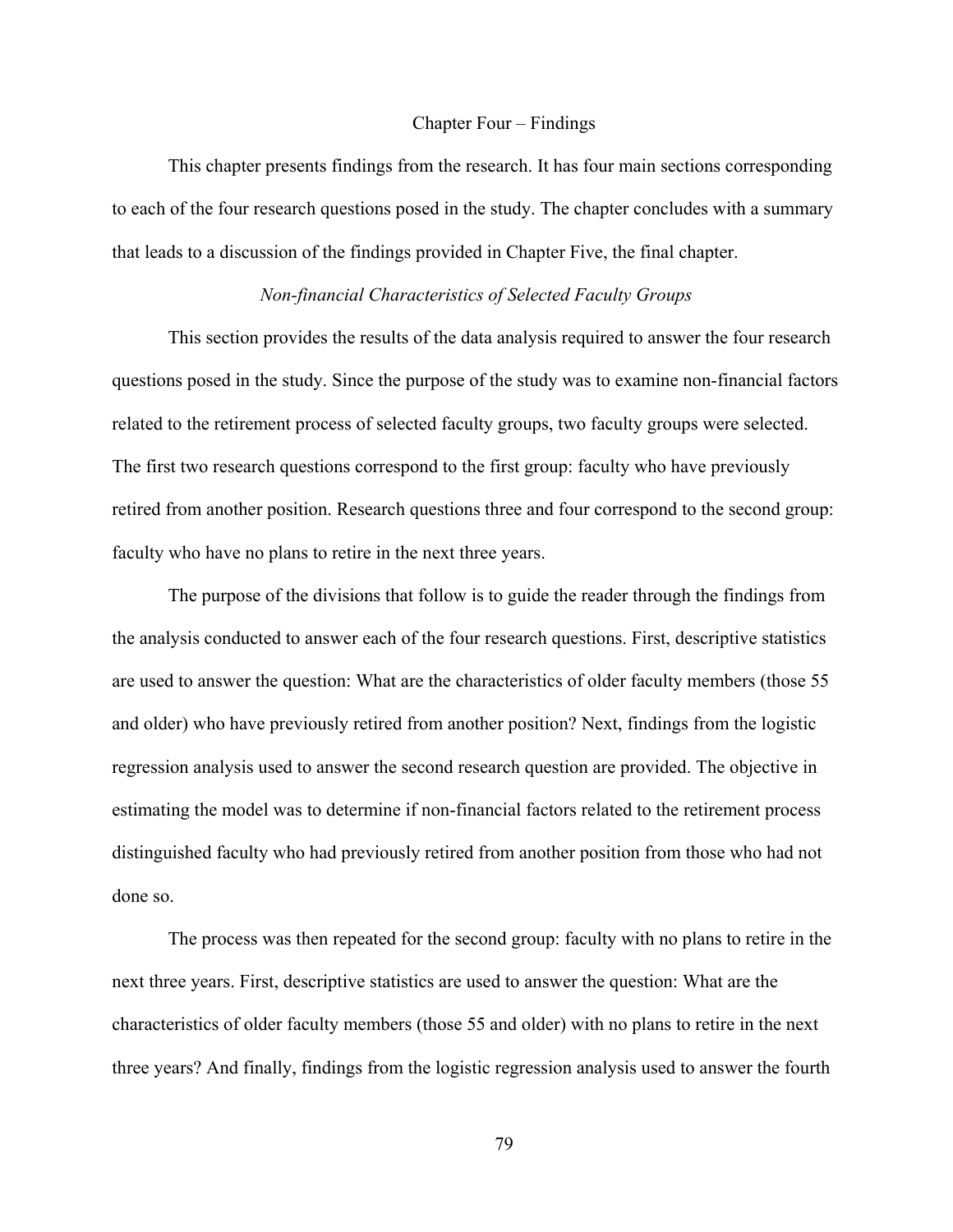#### Chapter Four – Findings

This chapter presents findings from the research. It has four main sections corresponding to each of the four research questions posed in the study. The chapter concludes with a summary that leads to a discussion of the findings provided in Chapter Five, the final chapter.

### *Non-financial Characteristics of Selected Faculty Groups*

This section provides the results of the data analysis required to answer the four research questions posed in the study. Since the purpose of the study was to examine non-financial factors related to the retirement process of selected faculty groups, two faculty groups were selected. The first two research questions correspond to the first group: faculty who have previously retired from another position. Research questions three and four correspond to the second group: faculty who have no plans to retire in the next three years.

The purpose of the divisions that follow is to guide the reader through the findings from the analysis conducted to answer each of the four research questions. First, descriptive statistics are used to answer the question: What are the characteristics of older faculty members (those 55 and older) who have previously retired from another position? Next, findings from the logistic regression analysis used to answer the second research question are provided. The objective in estimating the model was to determine if non-financial factors related to the retirement process distinguished faculty who had previously retired from another position from those who had not done so.

The process was then repeated for the second group: faculty with no plans to retire in the next three years. First, descriptive statistics are used to answer the question: What are the characteristics of older faculty members (those 55 and older) with no plans to retire in the next three years? And finally, findings from the logistic regression analysis used to answer the fourth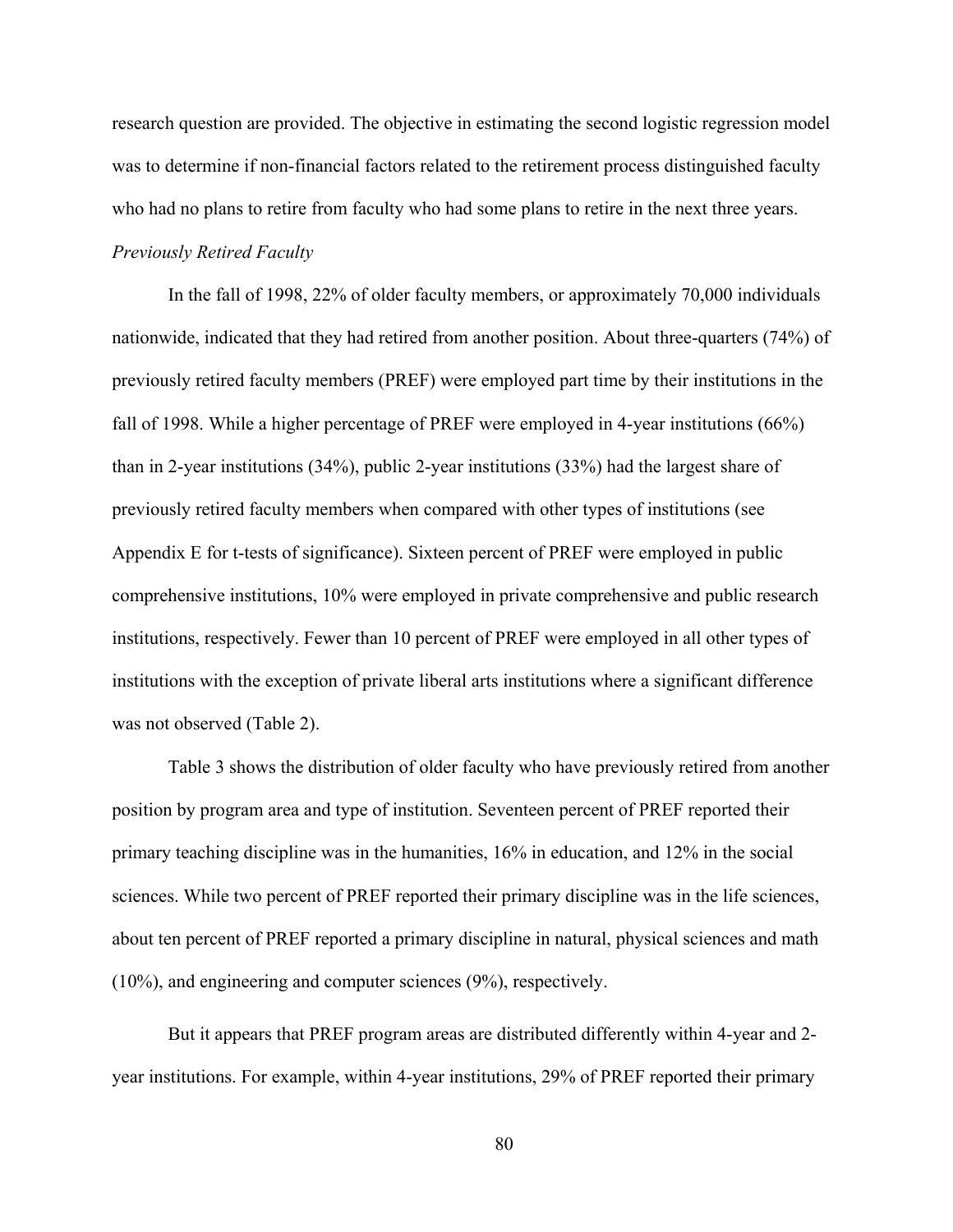research question are provided. The objective in estimating the second logistic regression model was to determine if non-financial factors related to the retirement process distinguished faculty who had no plans to retire from faculty who had some plans to retire in the next three years. *Previously Retired Faculty* 

In the fall of 1998, 22% of older faculty members, or approximately 70,000 individuals nationwide, indicated that they had retired from another position. About three-quarters (74%) of previously retired faculty members (PREF) were employed part time by their institutions in the fall of 1998. While a higher percentage of PREF were employed in 4-year institutions (66%) than in 2-year institutions (34%), public 2-year institutions (33%) had the largest share of previously retired faculty members when compared with other types of institutions (see Appendix E for t-tests of significance). Sixteen percent of PREF were employed in public comprehensive institutions, 10% were employed in private comprehensive and public research institutions, respectively. Fewer than 10 percent of PREF were employed in all other types of institutions with the exception of private liberal arts institutions where a significant difference was not observed (Table 2).

Table 3 shows the distribution of older faculty who have previously retired from another position by program area and type of institution. Seventeen percent of PREF reported their primary teaching discipline was in the humanities, 16% in education, and 12% in the social sciences. While two percent of PREF reported their primary discipline was in the life sciences, about ten percent of PREF reported a primary discipline in natural, physical sciences and math (10%), and engineering and computer sciences (9%), respectively.

But it appears that PREF program areas are distributed differently within 4-year and 2 year institutions. For example, within 4-year institutions, 29% of PREF reported their primary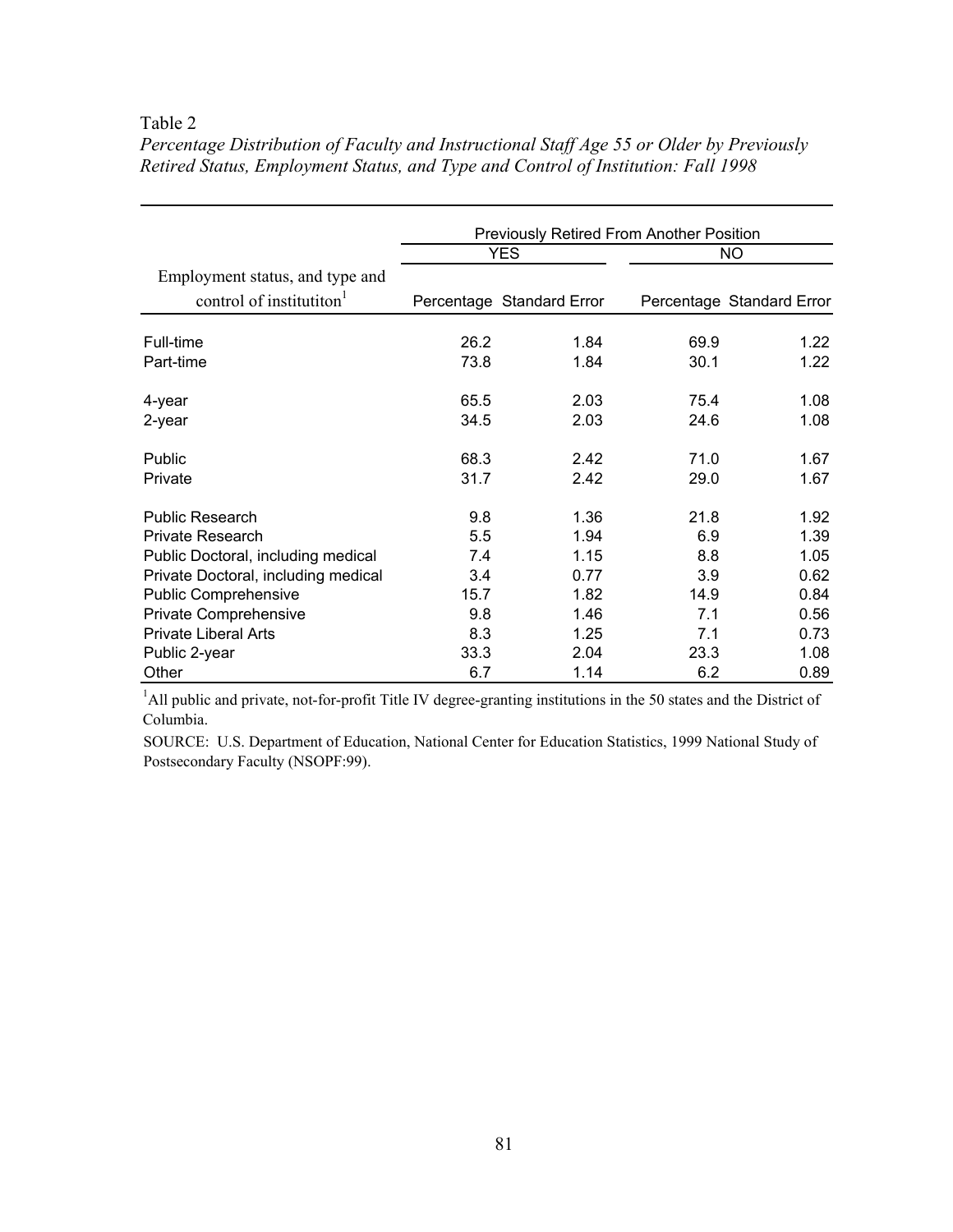# Table 2

|                                      | <b>Previously Retired From Another Position</b> |                           |      |                           |  |  |  |
|--------------------------------------|-------------------------------------------------|---------------------------|------|---------------------------|--|--|--|
|                                      |                                                 | <b>YES</b>                |      | <b>NO</b>                 |  |  |  |
| Employment status, and type and      |                                                 |                           |      |                           |  |  |  |
| control of institutiton <sup>1</sup> |                                                 | Percentage Standard Error |      | Percentage Standard Error |  |  |  |
| Full-time                            | 26.2                                            | 1.84                      | 69.9 | 1.22                      |  |  |  |
| Part-time                            | 73.8                                            | 1.84                      | 30.1 | 1.22                      |  |  |  |
| 4-year                               | 65.5                                            | 2.03                      | 75.4 | 1.08                      |  |  |  |
| 2-year                               | 34.5                                            | 2.03                      | 24.6 | 1.08                      |  |  |  |
| Public                               | 68.3                                            | 2.42                      | 71.0 | 1.67                      |  |  |  |
| Private                              | 31.7                                            | 2.42                      | 29.0 | 1.67                      |  |  |  |
| <b>Public Research</b>               | 9.8                                             | 1.36                      | 21.8 | 1.92                      |  |  |  |
| Private Research                     | 5.5                                             | 1.94                      | 6.9  | 1.39                      |  |  |  |
| Public Doctoral, including medical   | 7.4                                             | 1.15                      | 8.8  | 1.05                      |  |  |  |
| Private Doctoral, including medical  | 3.4                                             | 0.77                      | 3.9  | 0.62                      |  |  |  |
| <b>Public Comprehensive</b>          | 15.7                                            | 1.82                      | 14.9 | 0.84                      |  |  |  |
| Private Comprehensive                | 9.8                                             | 1.46                      | 7.1  | 0.56                      |  |  |  |
| <b>Private Liberal Arts</b>          | 8.3                                             | 1.25                      | 7.1  | 0.73                      |  |  |  |
| Public 2-year                        | 33.3                                            | 2.04                      | 23.3 | 1.08                      |  |  |  |
| Other                                | 6.7                                             | 1.14                      | 6.2  | 0.89                      |  |  |  |

*Percentage Distribution of Faculty and Instructional Staff Age 55 or Older by Previously Retired Status, Employment Status, and Type and Control of Institution: Fall 1998* 

<sup>1</sup>All public and private, not-for-profit Title IV degree-granting institutions in the 50 states and the District of Columbia.

SOURCE: U.S. Department of Education, National Center for Education Statistics, 1999 National Study of Postsecondary Faculty (NSOPF:99).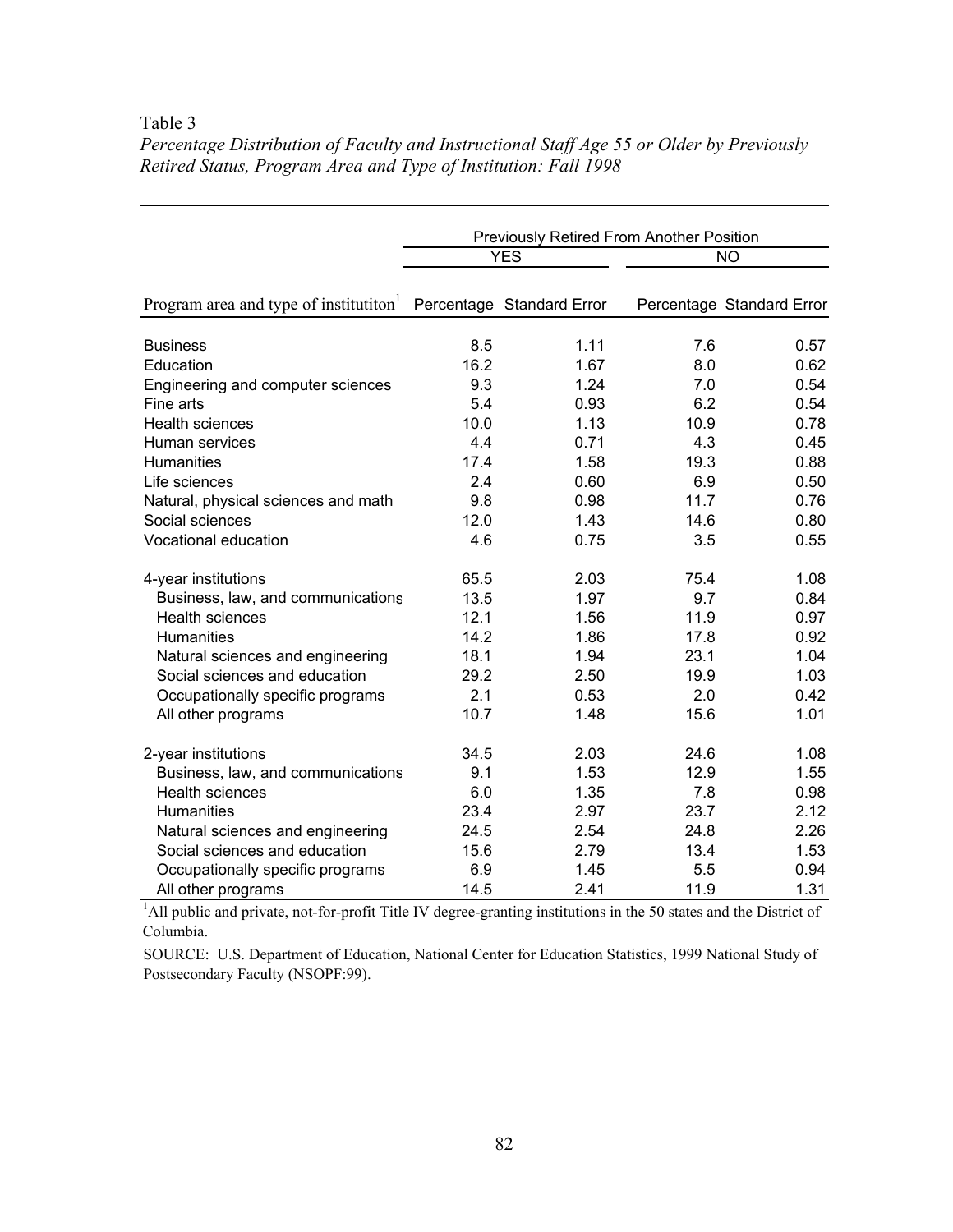### Table 3

|                                                   | <b>Previously Retired From Another Position</b> |                           |      |                           |  |  |
|---------------------------------------------------|-------------------------------------------------|---------------------------|------|---------------------------|--|--|
|                                                   |                                                 | <b>YES</b>                |      | NO                        |  |  |
| Program area and type of institution <sup>1</sup> |                                                 | Percentage Standard Error |      | Percentage Standard Error |  |  |
| <b>Business</b>                                   | 8.5                                             | 1.11                      | 7.6  | 0.57                      |  |  |
| Education                                         | 16.2                                            | 1.67                      | 8.0  | 0.62                      |  |  |
| Engineering and computer sciences                 | 9.3                                             | 1.24                      | 7.0  | 0.54                      |  |  |
| Fine arts                                         | 5.4                                             | 0.93                      | 6.2  | 0.54                      |  |  |
| <b>Health sciences</b>                            | 10.0                                            | 1.13                      | 10.9 | 0.78                      |  |  |
| Human services                                    | 4.4                                             | 0.71                      | 4.3  | 0.45                      |  |  |
| <b>Humanities</b>                                 | 17.4                                            | 1.58                      | 19.3 | 0.88                      |  |  |
| Life sciences                                     | 2.4                                             | 0.60                      | 6.9  | 0.50                      |  |  |
| Natural, physical sciences and math               | 9.8                                             | 0.98                      | 11.7 | 0.76                      |  |  |
| Social sciences                                   | 12.0                                            | 1.43                      | 14.6 | 0.80                      |  |  |
| Vocational education                              | 4.6                                             | 0.75                      | 3.5  | 0.55                      |  |  |
| 4-year institutions                               | 65.5                                            | 2.03                      | 75.4 | 1.08                      |  |  |
| Business, law, and communications                 | 13.5                                            | 1.97                      | 9.7  | 0.84                      |  |  |
| <b>Health sciences</b>                            | 12.1                                            | 1.56                      | 11.9 | 0.97                      |  |  |
| Humanities                                        | 14.2                                            | 1.86                      | 17.8 | 0.92                      |  |  |
| Natural sciences and engineering                  | 18.1                                            | 1.94                      | 23.1 | 1.04                      |  |  |
| Social sciences and education                     | 29.2                                            | 2.50                      | 19.9 | 1.03                      |  |  |
| Occupationally specific programs                  | 2.1                                             | 0.53                      | 2.0  | 0.42                      |  |  |
| All other programs                                | 10.7                                            | 1.48                      | 15.6 | 1.01                      |  |  |
| 2-year institutions                               | 34.5                                            | 2.03                      | 24.6 | 1.08                      |  |  |
| Business, law, and communications                 | 9.1                                             | 1.53                      | 12.9 | 1.55                      |  |  |
| <b>Health sciences</b>                            | 6.0                                             | 1.35                      | 7.8  | 0.98                      |  |  |
| <b>Humanities</b>                                 | 23.4                                            | 2.97                      | 23.7 | 2.12                      |  |  |
| Natural sciences and engineering                  | 24.5                                            | 2.54                      | 24.8 | 2.26                      |  |  |
| Social sciences and education                     | 15.6                                            | 2.79                      | 13.4 | 1.53                      |  |  |
| Occupationally specific programs                  | 6.9                                             | 1.45                      | 5.5  | 0.94                      |  |  |
| All other programs                                | 14.5                                            | 2.41                      | 11.9 | 1.31                      |  |  |

*Percentage Distribution of Faculty and Instructional Staff Age 55 or Older by Previously Retired Status, Program Area and Type of Institution: Fall 1998* 

<sup>1</sup>All public and private, not-for-profit Title IV degree-granting institutions in the 50 states and the District of Columbia.

SOURCE: U.S. Department of Education, National Center for Education Statistics, 1999 National Study of Postsecondary Faculty (NSOPF:99).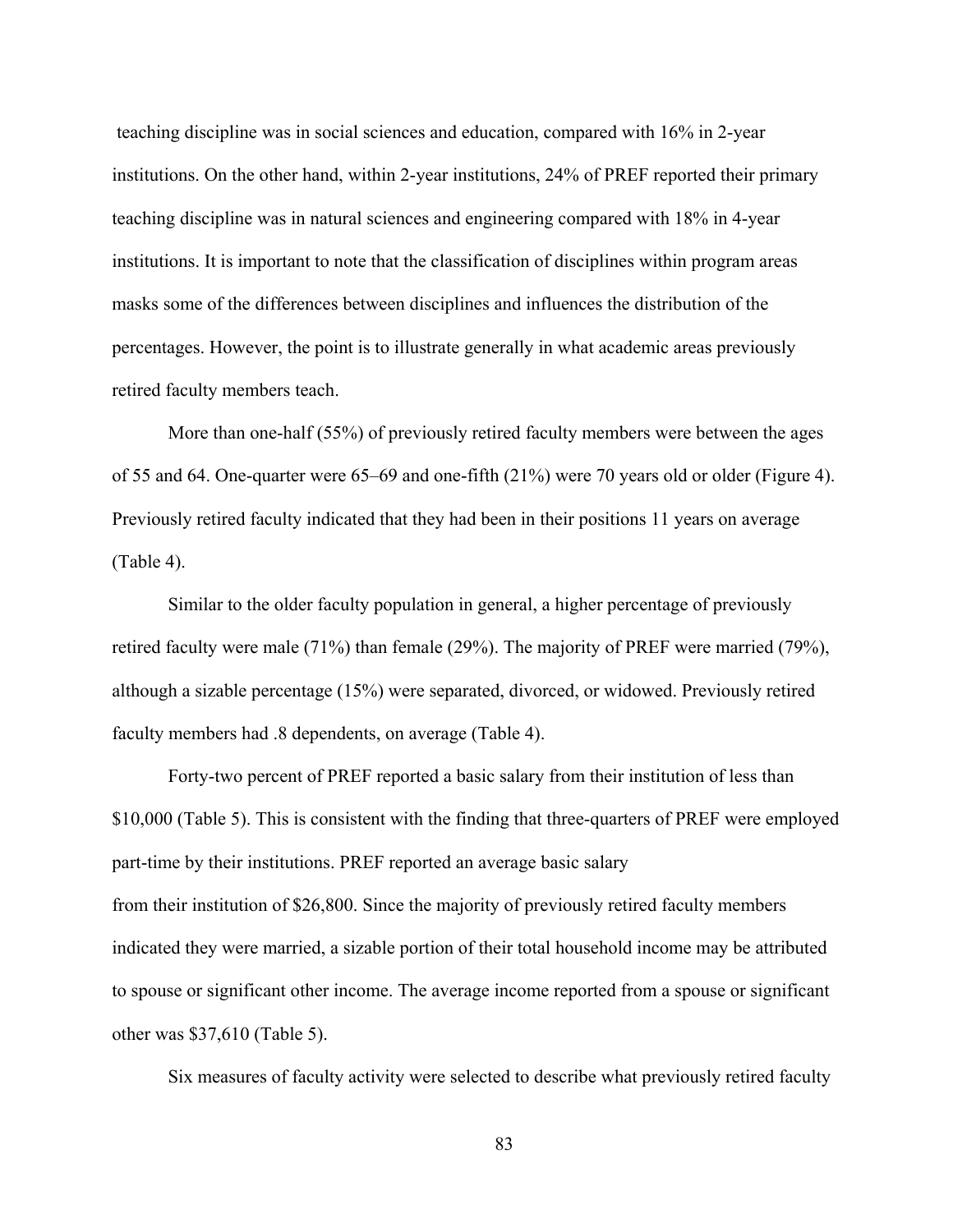teaching discipline was in social sciences and education, compared with 16% in 2-year institutions. On the other hand, within 2-year institutions, 24% of PREF reported their primary teaching discipline was in natural sciences and engineering compared with 18% in 4-year institutions. It is important to note that the classification of disciplines within program areas masks some of the differences between disciplines and influences the distribution of the percentages. However, the point is to illustrate generally in what academic areas previously retired faculty members teach.

More than one-half (55%) of previously retired faculty members were between the ages of 55 and 64. One-quarter were 65–69 and one-fifth (21%) were 70 years old or older (Figure 4). Previously retired faculty indicated that they had been in their positions 11 years on average (Table 4).

Similar to the older faculty population in general, a higher percentage of previously retired faculty were male (71%) than female (29%). The majority of PREF were married (79%), although a sizable percentage (15%) were separated, divorced, or widowed. Previously retired faculty members had .8 dependents, on average (Table 4).

Forty-two percent of PREF reported a basic salary from their institution of less than \$10,000 (Table 5). This is consistent with the finding that three-quarters of PREF were employed part-time by their institutions. PREF reported an average basic salary from their institution of \$26,800. Since the majority of previously retired faculty members indicated they were married, a sizable portion of their total household income may be attributed to spouse or significant other income. The average income reported from a spouse or significant other was \$37,610 (Table 5).

Six measures of faculty activity were selected to describe what previously retired faculty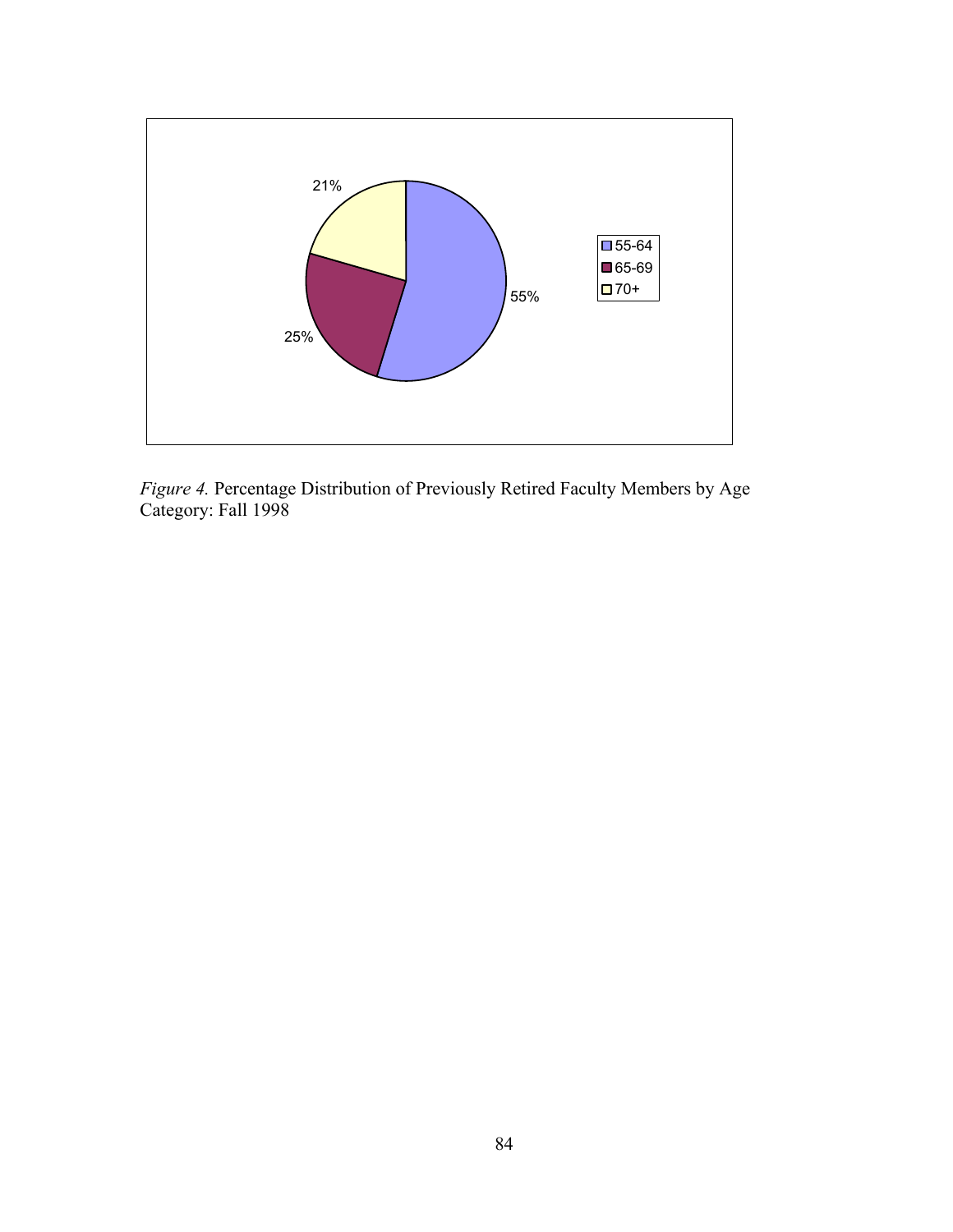

*Figure 4.* Percentage Distribution of Previously Retired Faculty Members by Age Category: Fall 1998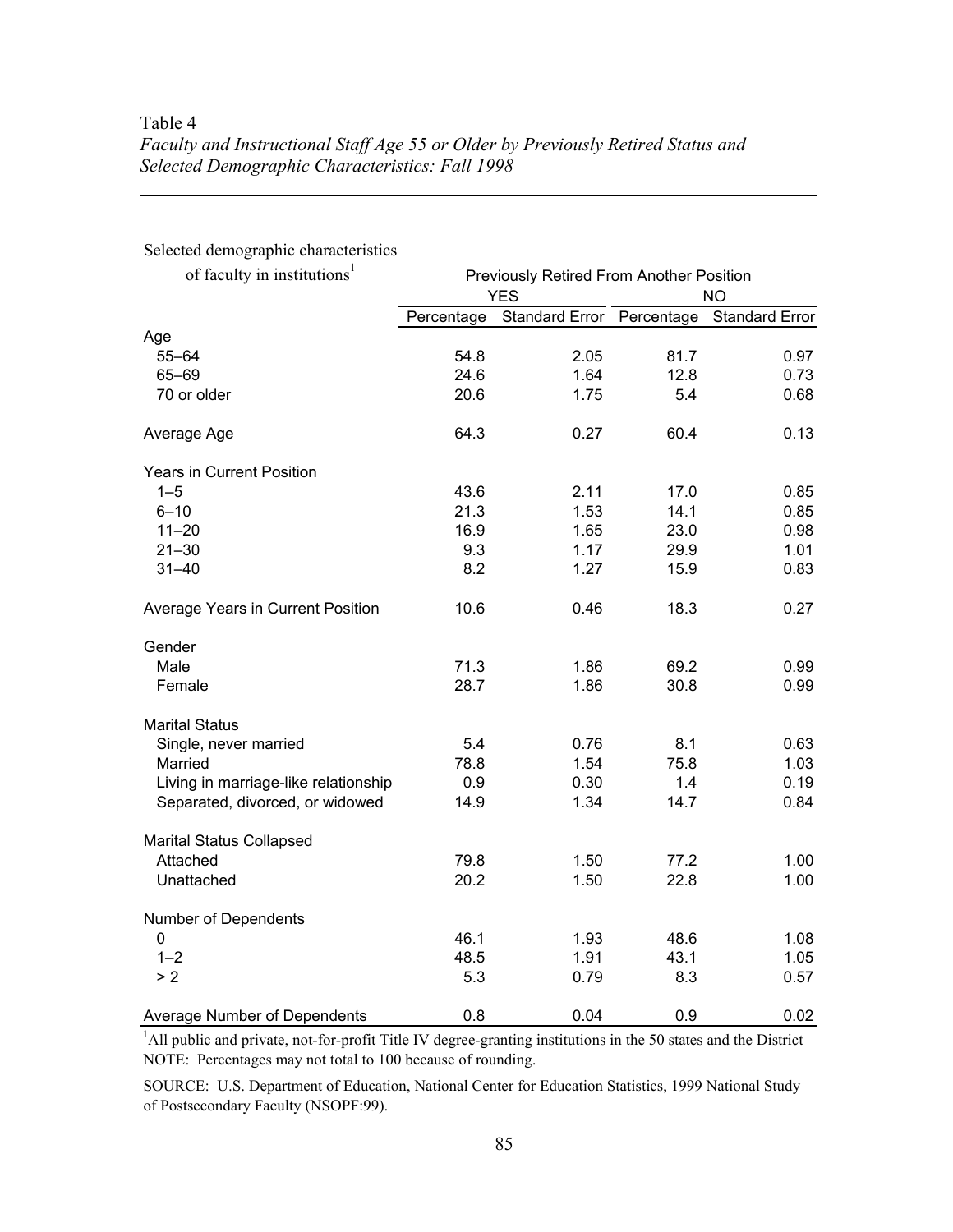# Table 4 *Faculty and Instructional Staff Age 55 or Older by Previously Retired Status and Selected Demographic Characteristics: Fall 1998*

| of faculty in institutions <sup>1</sup> | Previously Retired From Another Position |                           |           |                       |  |
|-----------------------------------------|------------------------------------------|---------------------------|-----------|-----------------------|--|
|                                         |                                          | <b>YES</b>                | <b>NO</b> |                       |  |
|                                         | Percentage                               | Standard Error Percentage |           | <b>Standard Error</b> |  |
| Age                                     |                                          |                           |           |                       |  |
| 55-64                                   | 54.8                                     | 2.05                      | 81.7      | 0.97                  |  |
| 65-69                                   | 24.6                                     | 1.64                      | 12.8      | 0.73                  |  |
| 70 or older                             | 20.6                                     | 1.75                      | 5.4       | 0.68                  |  |
| Average Age                             | 64.3                                     | 0.27                      | 60.4      | 0.13                  |  |
| <b>Years in Current Position</b>        |                                          |                           |           |                       |  |
| $1 - 5$                                 | 43.6                                     | 2.11                      | 17.0      | 0.85                  |  |
| $6 - 10$                                | 21.3                                     | 1.53                      | 14.1      | 0.85                  |  |
| $11 - 20$                               | 16.9                                     | 1.65                      | 23.0      | 0.98                  |  |
| $21 - 30$                               | 9.3                                      | 1.17                      | 29.9      | 1.01                  |  |
| $31 - 40$                               | 8.2                                      | 1.27                      | 15.9      | 0.83                  |  |
| Average Years in Current Position       | 10.6                                     | 0.46                      | 18.3      | 0.27                  |  |
| Gender                                  |                                          |                           |           |                       |  |
| Male                                    | 71.3                                     | 1.86                      | 69.2      | 0.99                  |  |
| Female                                  | 28.7                                     | 1.86                      | 30.8      | 0.99                  |  |
| <b>Marital Status</b>                   |                                          |                           |           |                       |  |
| Single, never married                   | 5.4                                      | 0.76                      | 8.1       | 0.63                  |  |
| Married                                 | 78.8                                     | 1.54                      | 75.8      | 1.03                  |  |
| Living in marriage-like relationship    | 0.9                                      | 0.30                      | 1.4       | 0.19                  |  |
| Separated, divorced, or widowed         | 14.9                                     | 1.34                      | 14.7      | 0.84                  |  |
| <b>Marital Status Collapsed</b>         |                                          |                           |           |                       |  |
| Attached                                | 79.8                                     | 1.50                      | 77.2      | 1.00                  |  |
| Unattached                              | 20.2                                     | 1.50                      | 22.8      | 1.00                  |  |
| Number of Dependents                    |                                          |                           |           |                       |  |
| $\mathbf 0$                             | 46.1                                     | 1.93                      | 48.6      | 1.08                  |  |
| $1 - 2$                                 | 48.5                                     | 1.91                      | 43.1      | 1.05                  |  |
| > 2                                     | 5.3                                      | 0.79                      | 8.3       | 0.57                  |  |
| Average Number of Dependents            | 0.8                                      | 0.04                      | 0.9       | 0.02                  |  |

Selected demographic characteristics

NOTE: Percentages may not total to 100 because of rounding. <sup>1</sup>All public and private, not-for-profit Title IV degree-granting institutions in the 50 states and the District

SOURCE: U.S. Department of Education, National Center for Education Statistics, 1999 National Study of Postsecondary Faculty (NSOPF:99).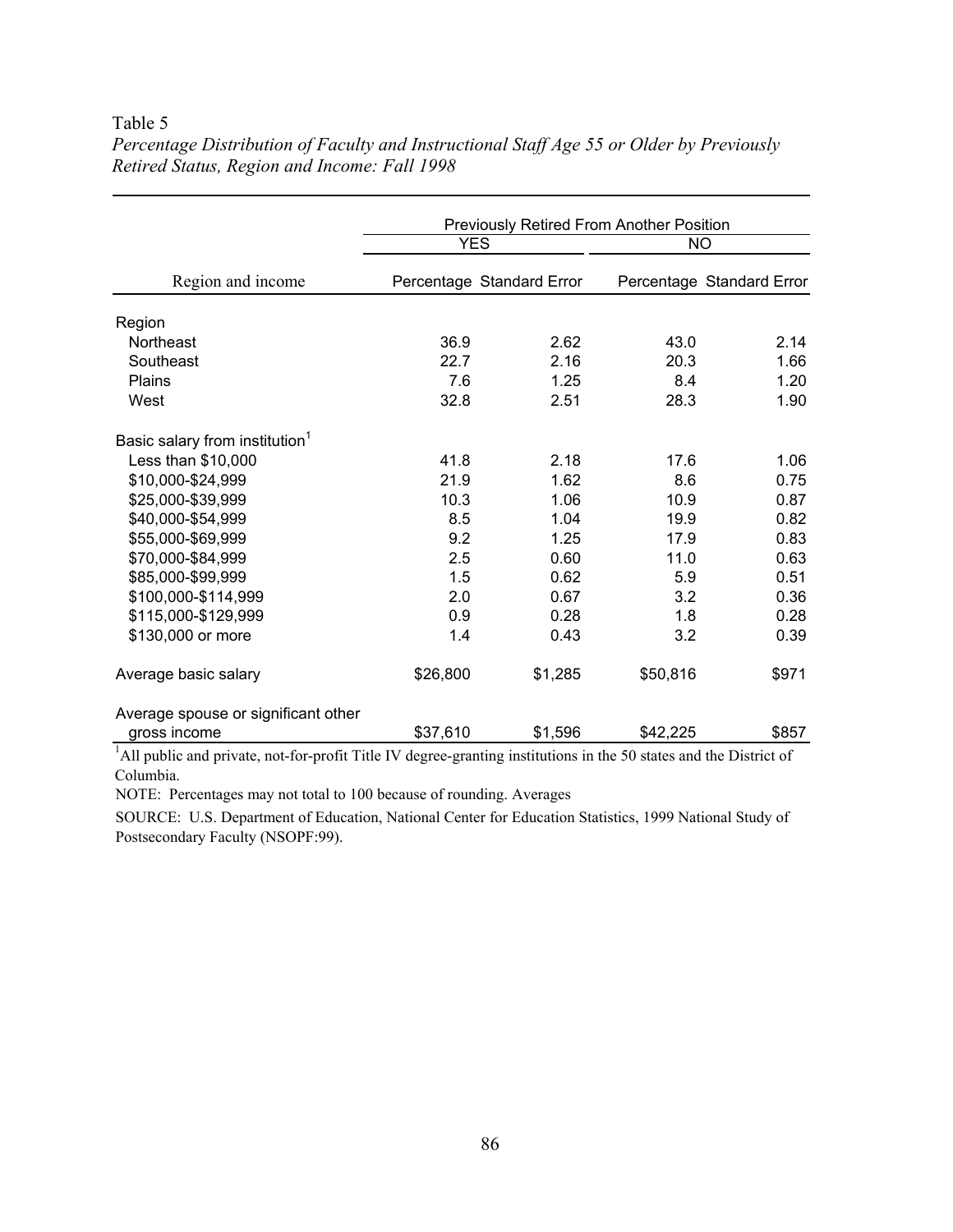### Table 5

|                                            | Previously Retired From Another Position |         |           |                           |  |
|--------------------------------------------|------------------------------------------|---------|-----------|---------------------------|--|
|                                            | <b>YES</b>                               |         | <b>NO</b> |                           |  |
| Region and income                          | Percentage Standard Error                |         |           | Percentage Standard Error |  |
| Region                                     |                                          |         |           |                           |  |
| Northeast                                  | 36.9                                     | 2.62    | 43.0      | 2.14                      |  |
| Southeast                                  | 22.7                                     | 2.16    | 20.3      | 1.66                      |  |
| Plains                                     | 7.6                                      | 1.25    | 8.4       | 1.20                      |  |
| West                                       | 32.8                                     | 2.51    | 28.3      | 1.90                      |  |
| Basic salary from institution <sup>1</sup> |                                          |         |           |                           |  |
| Less than \$10,000                         | 41.8                                     | 2.18    | 17.6      | 1.06                      |  |
| \$10,000-\$24,999                          | 21.9                                     | 1.62    | 8.6       | 0.75                      |  |
| \$25,000-\$39,999                          | 10.3                                     | 1.06    | 10.9      | 0.87                      |  |
| \$40,000-\$54,999                          | 8.5                                      | 1.04    | 19.9      | 0.82                      |  |
| \$55,000-\$69,999                          | 9.2                                      | 1.25    | 17.9      | 0.83                      |  |
| \$70,000-\$84,999                          | 2.5                                      | 0.60    | 11.0      | 0.63                      |  |
| \$85,000-\$99,999                          | 1.5                                      | 0.62    | 5.9       | 0.51                      |  |
| \$100,000-\$114,999                        | 2.0                                      | 0.67    | 3.2       | 0.36                      |  |
| \$115,000-\$129,999                        | 0.9                                      | 0.28    | 1.8       | 0.28                      |  |
| \$130,000 or more                          | 1.4                                      | 0.43    | 3.2       | 0.39                      |  |
| Average basic salary                       | \$26,800                                 | \$1,285 | \$50,816  | \$971                     |  |
| Average spouse or significant other        |                                          |         |           |                           |  |
| gross income                               | \$37,610                                 | \$1,596 | \$42,225  | \$857                     |  |

*Percentage Distribution of Faculty and Instructional Staff Age 55 or Older by Previously Retired Status, Region and Income: Fall 1998* 

<sup>1</sup>All public and private, not-for-profit Title IV degree-granting institutions in the 50 states and the District of Columbia.

NOTE: Percentages may not total to 100 because of rounding. Averages

SOURCE: U.S. Department of Education, National Center for Education Statistics, 1999 National Study of Postsecondary Faculty (NSOPF:99).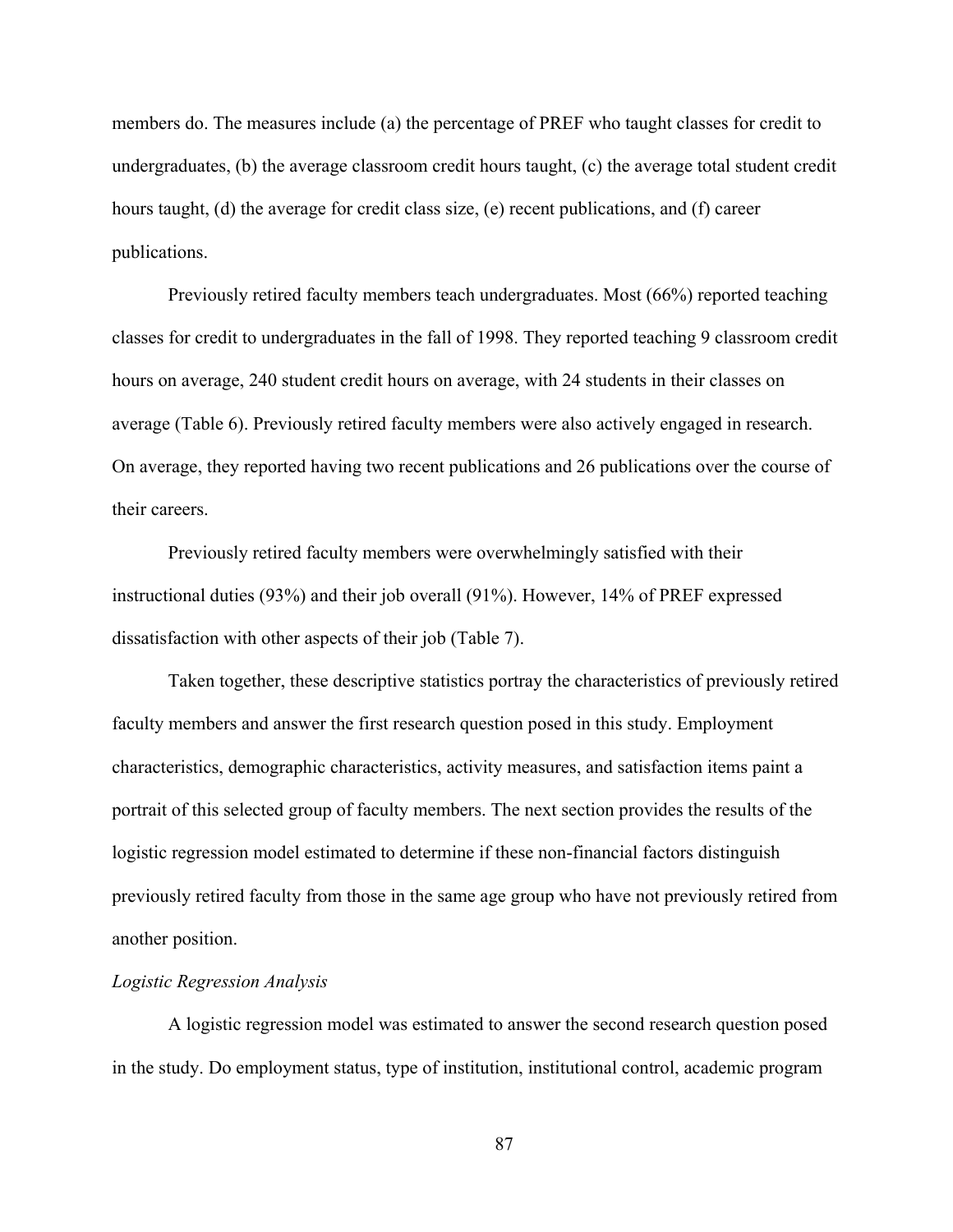members do. The measures include (a) the percentage of PREF who taught classes for credit to undergraduates, (b) the average classroom credit hours taught, (c) the average total student credit hours taught, (d) the average for credit class size, (e) recent publications, and (f) career publications.

Previously retired faculty members teach undergraduates. Most (66%) reported teaching classes for credit to undergraduates in the fall of 1998. They reported teaching 9 classroom credit hours on average, 240 student credit hours on average, with 24 students in their classes on average (Table 6). Previously retired faculty members were also actively engaged in research. On average, they reported having two recent publications and 26 publications over the course of their careers.

Previously retired faculty members were overwhelmingly satisfied with their instructional duties (93%) and their job overall (91%). However, 14% of PREF expressed dissatisfaction with other aspects of their job (Table 7).

Taken together, these descriptive statistics portray the characteristics of previously retired faculty members and answer the first research question posed in this study. Employment characteristics, demographic characteristics, activity measures, and satisfaction items paint a portrait of this selected group of faculty members. The next section provides the results of the logistic regression model estimated to determine if these non-financial factors distinguish previously retired faculty from those in the same age group who have not previously retired from another position.

### *Logistic Regression Analysis*

A logistic regression model was estimated to answer the second research question posed in the study. Do employment status, type of institution, institutional control, academic program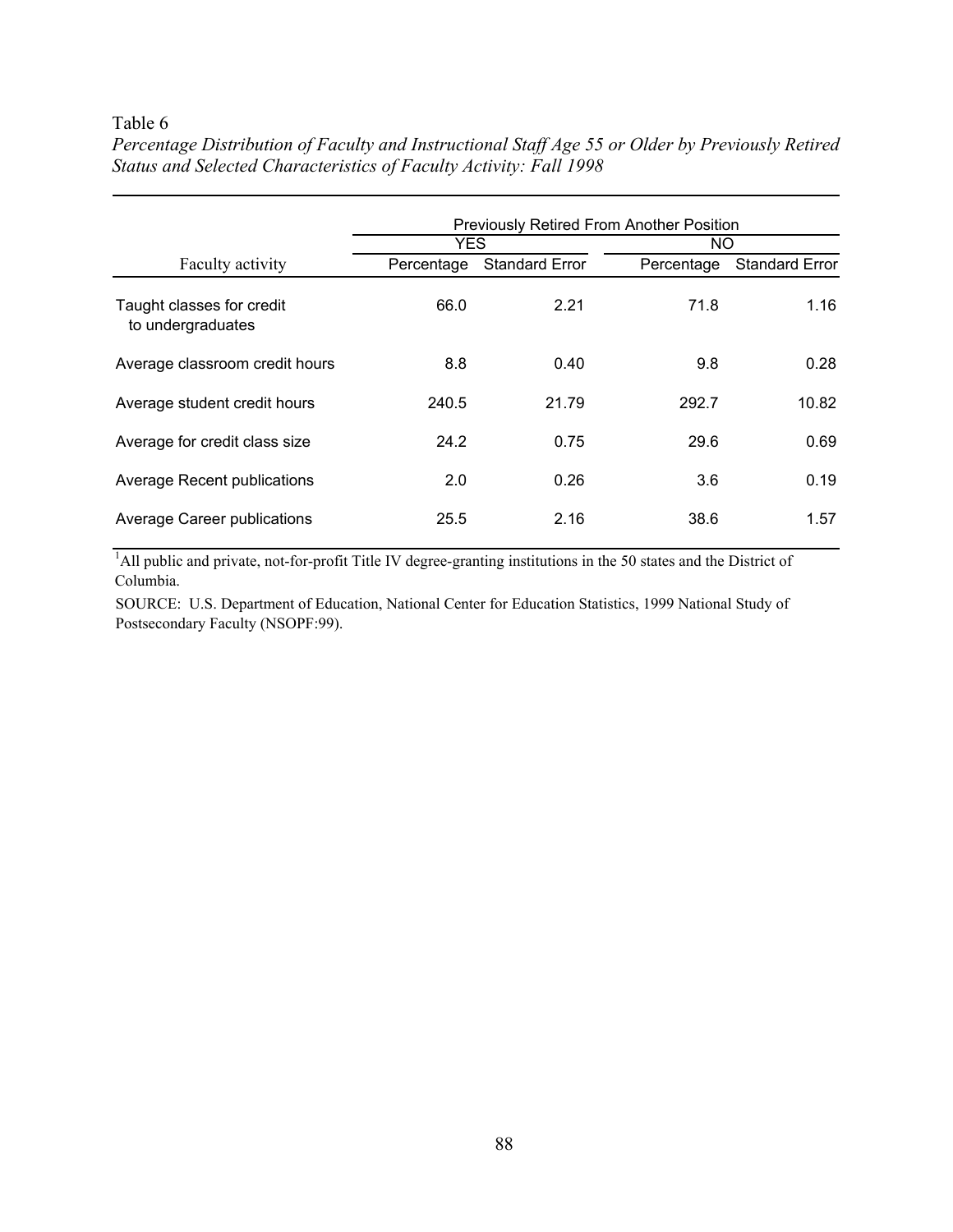### Table 6

|                                                | <b>Previously Retired From Another Position</b> |                       |            |                       |  |  |
|------------------------------------------------|-------------------------------------------------|-----------------------|------------|-----------------------|--|--|
|                                                | <b>YES</b>                                      |                       | NO.        |                       |  |  |
| Faculty activity                               | Percentage                                      | <b>Standard Error</b> | Percentage | <b>Standard Error</b> |  |  |
| Taught classes for credit<br>to undergraduates | 66.0                                            | 2.21                  | 71.8       | 1.16                  |  |  |
| Average classroom credit hours                 | 8.8                                             | 0.40                  | 9.8        | 0.28                  |  |  |
| Average student credit hours                   | 240.5                                           | 21.79                 | 292.7      | 10.82                 |  |  |
| Average for credit class size                  | 24.2                                            | 0.75                  | 29.6       | 0.69                  |  |  |
| Average Recent publications                    | 2.0                                             | 0.26                  | 3.6        | 0.19                  |  |  |
| Average Career publications                    | 25.5                                            | 2.16                  | 38.6       | 1.57                  |  |  |

*Percentage Distribution of Faculty and Instructional Staff Age 55 or Older by Previously Retired Status and Selected Characteristics of Faculty Activity: Fall 1998* 

<sup>1</sup>All public and private, not-for-profit Title IV degree-granting institutions in the 50 states and the District of Columbia.

SOURCE: U.S. Department of Education, National Center for Education Statistics, 1999 National Study of Postsecondary Faculty (NSOPF:99).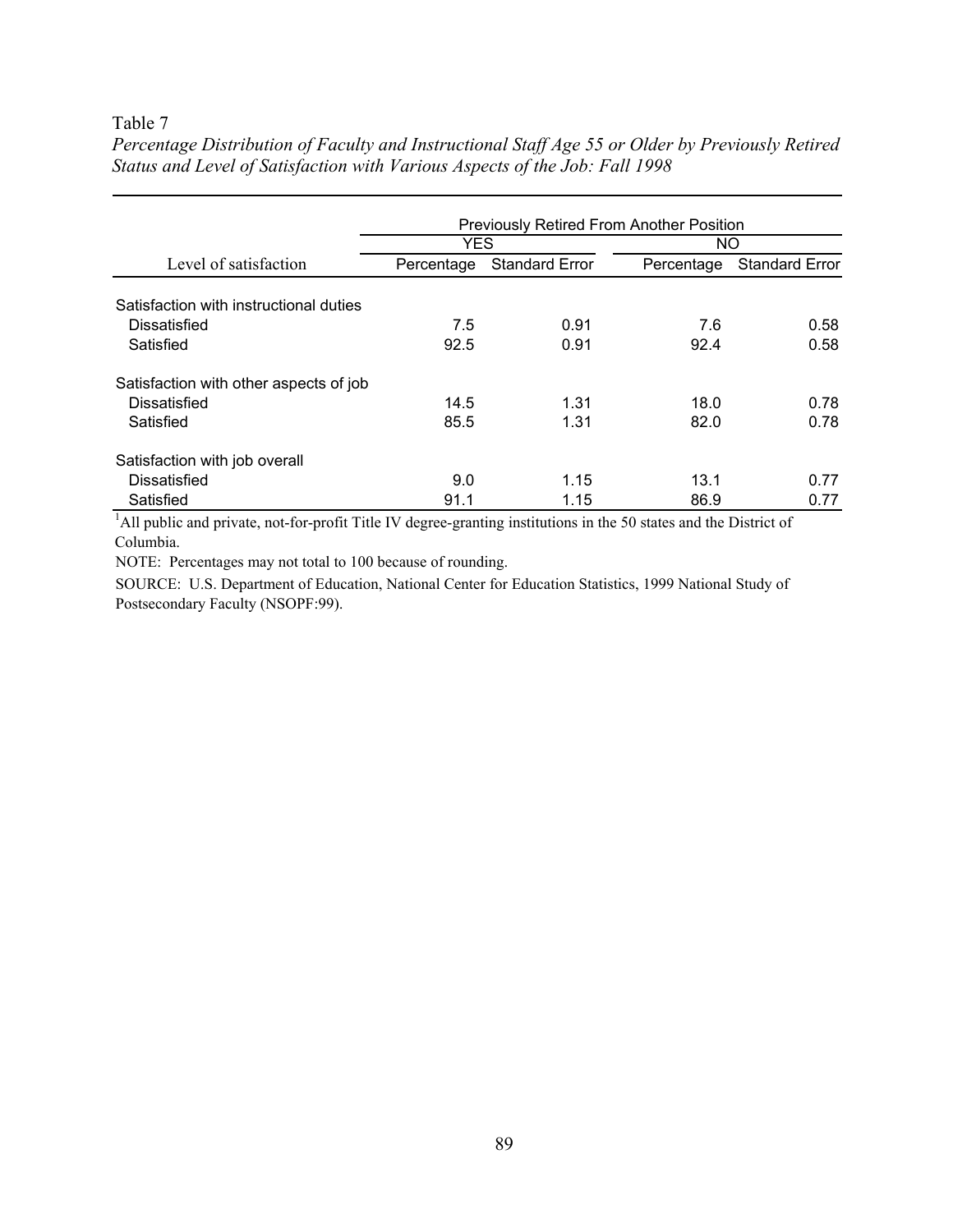### Table 7

|                                        | <b>Previously Retired From Another Position</b> |                       |            |                       |  |
|----------------------------------------|-------------------------------------------------|-----------------------|------------|-----------------------|--|
| Level of satisfaction                  | <b>YES</b>                                      |                       | NO.        |                       |  |
|                                        | Percentage                                      | <b>Standard Error</b> | Percentage | <b>Standard Error</b> |  |
| Satisfaction with instructional duties |                                                 |                       |            |                       |  |
| Dissatisfied                           | 7.5                                             | 0.91                  | 7.6        | 0.58                  |  |
| Satisfied                              | 92.5                                            | 0.91                  | 92.4       | 0.58                  |  |
| Satisfaction with other aspects of job |                                                 |                       |            |                       |  |
| Dissatisfied                           | 14.5                                            | 1.31                  | 18.0       | 0.78                  |  |
| Satisfied                              | 85.5                                            | 1.31                  | 82.0       | 0.78                  |  |
| Satisfaction with job overall          |                                                 |                       |            |                       |  |
| Dissatisfied                           | 9.0                                             | 1.15                  | 13.1       | 0.77                  |  |
| Satisfied                              | 91.1                                            | 1.15                  | 86.9       | 0.77                  |  |

*Percentage Distribution of Faculty and Instructional Staff Age 55 or Older by Previously Retired Status and Level of Satisfaction with Various Aspects of the Job: Fall 1998* 

<sup>1</sup>All public and private, not-for-profit Title IV degree-granting institutions in the 50 states and the District of Columbia.

NOTE: Percentages may not total to 100 because of rounding.

SOURCE: U.S. Department of Education, National Center for Education Statistics, 1999 National Study of Postsecondary Faculty (NSOPF:99).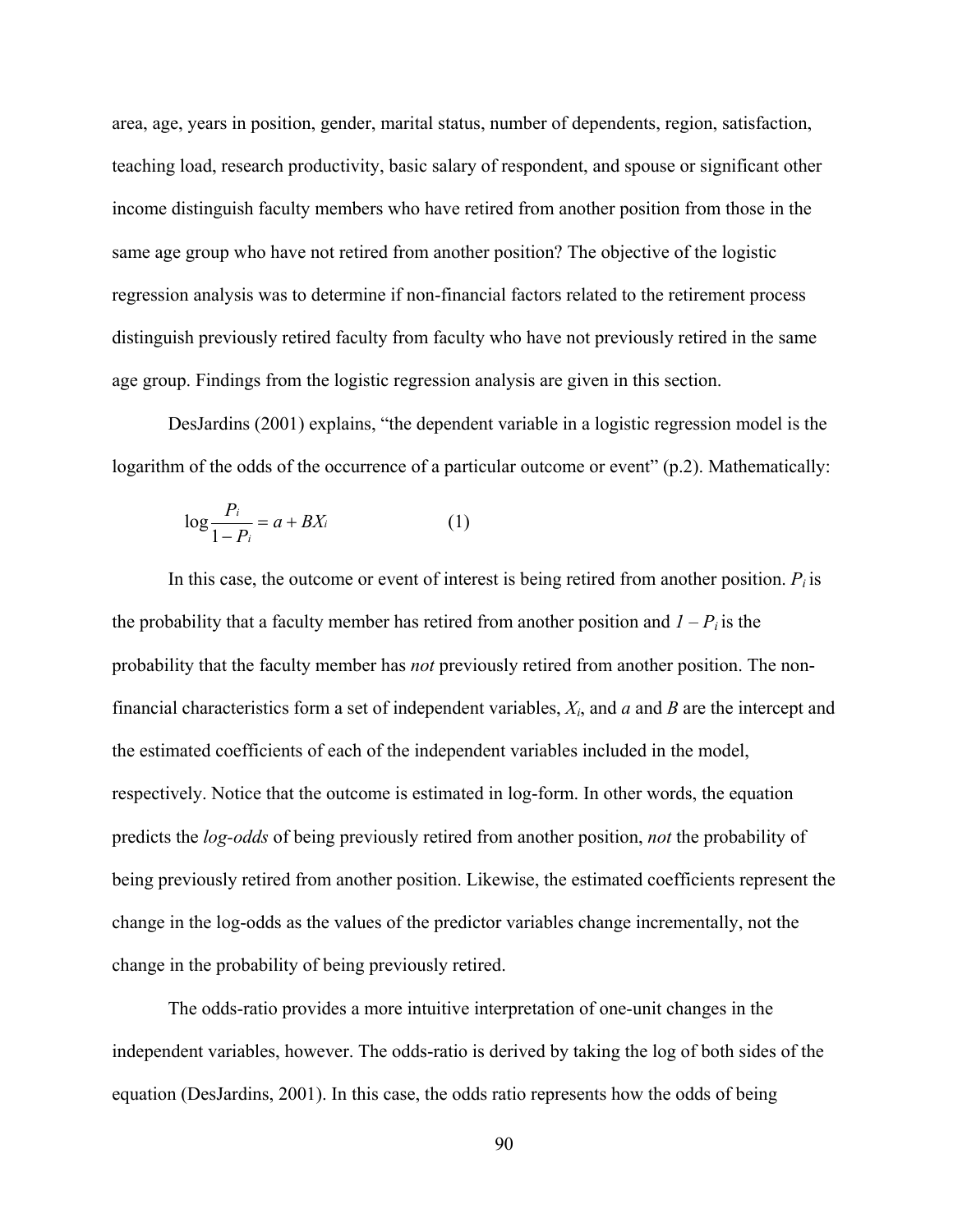area, age, years in position, gender, marital status, number of dependents, region, satisfaction, teaching load, research productivity, basic salary of respondent, and spouse or significant other income distinguish faculty members who have retired from another position from those in the same age group who have not retired from another position? The objective of the logistic regression analysis was to determine if non-financial factors related to the retirement process distinguish previously retired faculty from faculty who have not previously retired in the same age group. Findings from the logistic regression analysis are given in this section.

DesJardins (2001) explains, "the dependent variable in a logistic regression model is the logarithm of the odds of the occurrence of a particular outcome or event" (p.2). Mathematically:

$$
\log \frac{P_i}{1 - P_i} = a + BX_i \tag{1}
$$

In this case, the outcome or event of interest is being retired from another position.  $P_i$  is the probability that a faculty member has retired from another position and  $I - P_i$  is the probability that the faculty member has *not* previously retired from another position. The nonfinancial characteristics form a set of independent variables, *Xi*, and *a* and *B* are the intercept and the estimated coefficients of each of the independent variables included in the model, respectively. Notice that the outcome is estimated in log-form. In other words, the equation predicts the *log-odds* of being previously retired from another position, *not* the probability of being previously retired from another position. Likewise, the estimated coefficients represent the change in the log-odds as the values of the predictor variables change incrementally, not the change in the probability of being previously retired.

The odds-ratio provides a more intuitive interpretation of one-unit changes in the independent variables, however. The odds-ratio is derived by taking the log of both sides of the equation (DesJardins, 2001). In this case, the odds ratio represents how the odds of being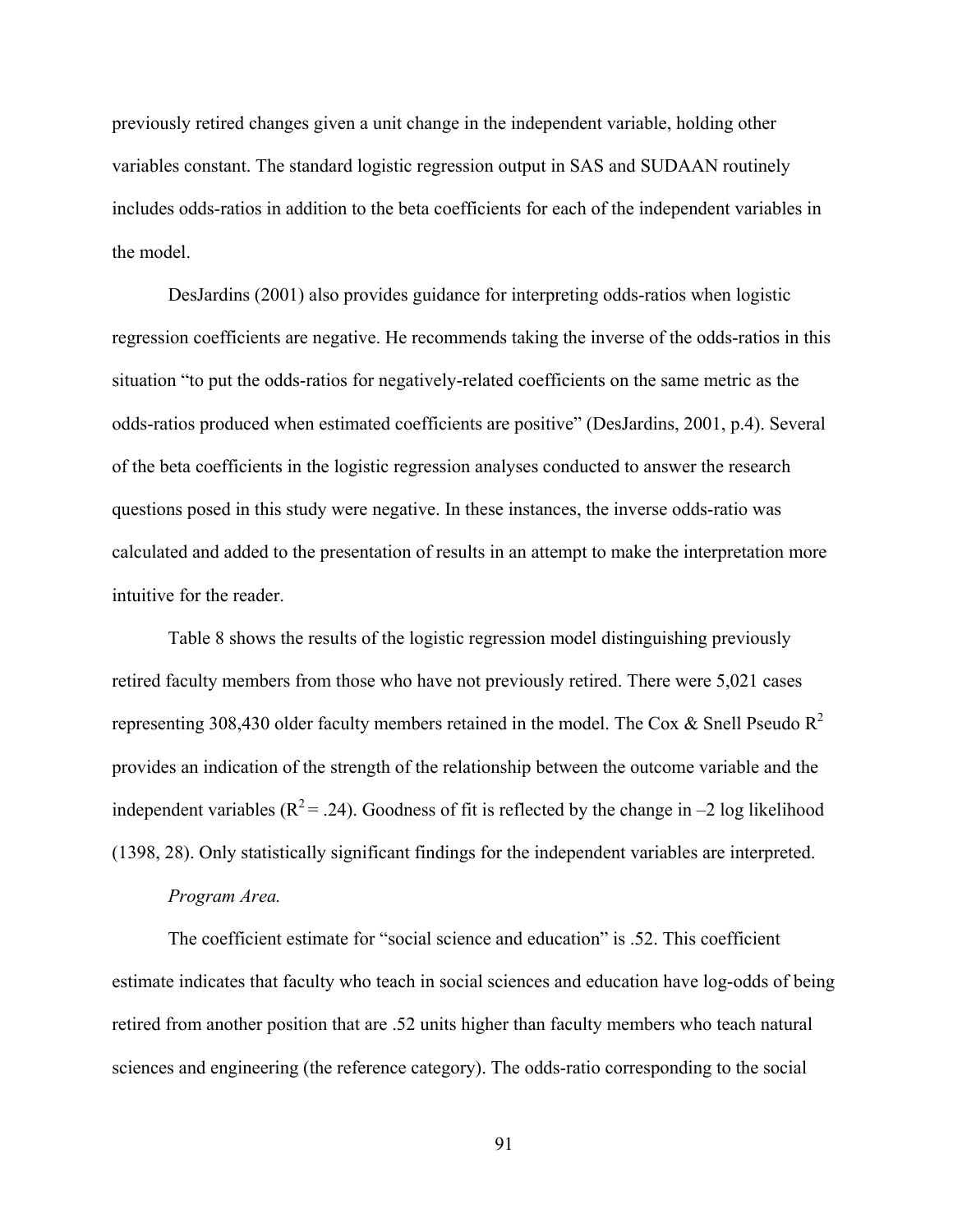previously retired changes given a unit change in the independent variable, holding other variables constant. The standard logistic regression output in SAS and SUDAAN routinely includes odds-ratios in addition to the beta coefficients for each of the independent variables in the model.

DesJardins (2001) also provides guidance for interpreting odds-ratios when logistic regression coefficients are negative. He recommends taking the inverse of the odds-ratios in this situation "to put the odds-ratios for negatively-related coefficients on the same metric as the odds-ratios produced when estimated coefficients are positive" (DesJardins, 2001, p.4). Several of the beta coefficients in the logistic regression analyses conducted to answer the research questions posed in this study were negative. In these instances, the inverse odds-ratio was calculated and added to the presentation of results in an attempt to make the interpretation more intuitive for the reader.

Table 8 shows the results of the logistic regression model distinguishing previously retired faculty members from those who have not previously retired. There were 5,021 cases representing 308,430 older faculty members retained in the model. The Cox & Snell Pseudo  $R^2$ provides an indication of the strength of the relationship between the outcome variable and the independent variables ( $R^2 = .24$ ). Goodness of fit is reflected by the change in –2 log likelihood (1398, 28). Only statistically significant findings for the independent variables are interpreted.

#### *Program Area.*

The coefficient estimate for "social science and education" is .52. This coefficient estimate indicates that faculty who teach in social sciences and education have log-odds of being retired from another position that are .52 units higher than faculty members who teach natural sciences and engineering (the reference category). The odds-ratio corresponding to the social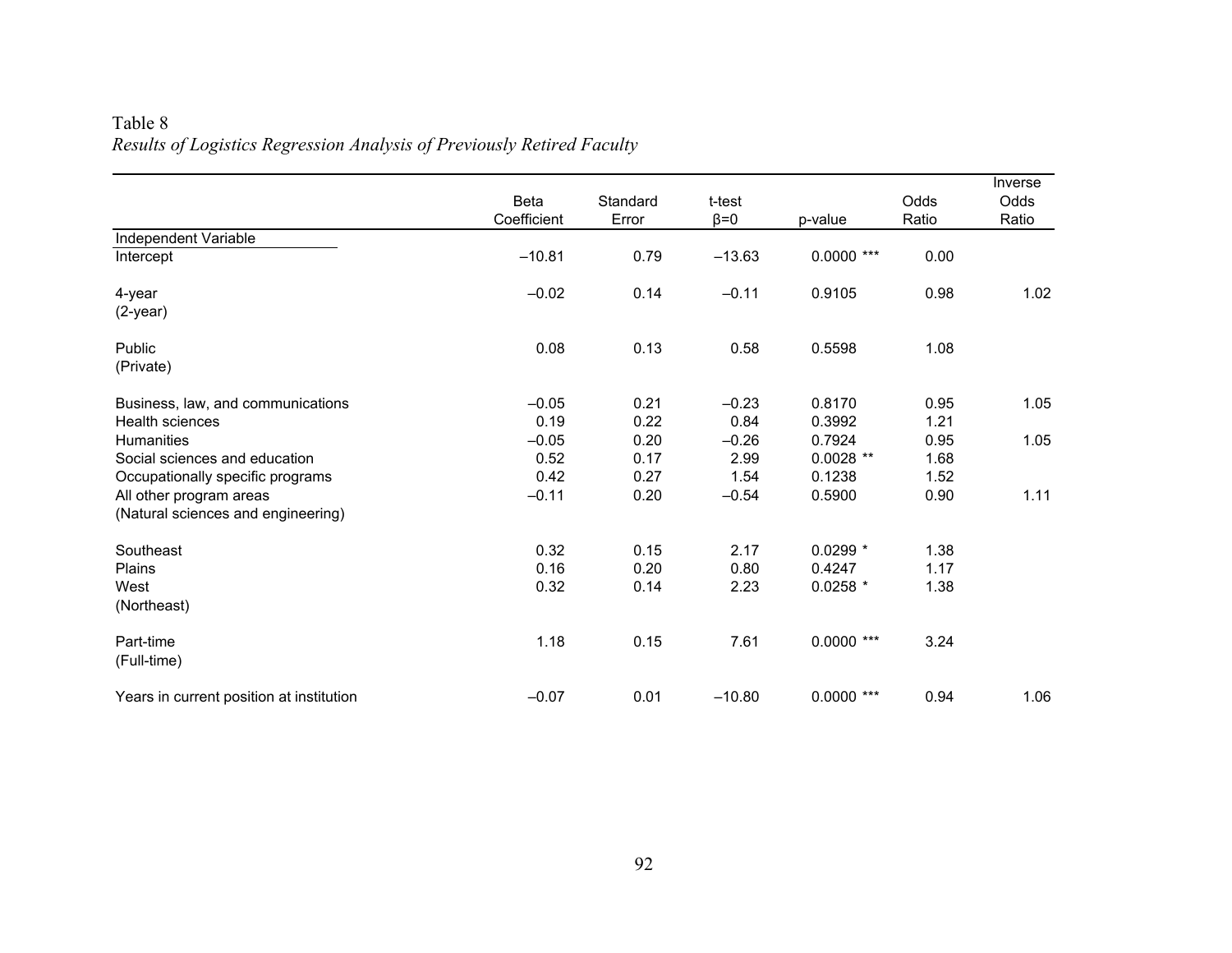|                                          | Beta<br>Coefficient | Standard<br>Error | t-test<br>$\beta = 0$ | p-value      | Odds<br>Ratio | Inverse<br>Odds<br>Ratio |
|------------------------------------------|---------------------|-------------------|-----------------------|--------------|---------------|--------------------------|
| Independent Variable                     |                     |                   |                       |              |               |                          |
| Intercept                                | $-10.81$            | 0.79              | $-13.63$              | $0.0000$ *** | 0.00          |                          |
| 4-year                                   | $-0.02$             | 0.14              | $-0.11$               | 0.9105       | 0.98          | 1.02                     |
| $(2-year)$                               |                     |                   |                       |              |               |                          |
| Public                                   | 0.08                | 0.13              | 0.58                  | 0.5598       | 1.08          |                          |
| (Private)                                |                     |                   |                       |              |               |                          |
| Business, law, and communications        | $-0.05$             | 0.21              | $-0.23$               | 0.8170       | 0.95          | 1.05                     |
| Health sciences                          | 0.19                | 0.22              | 0.84                  | 0.3992       | 1.21          |                          |
| <b>Humanities</b>                        | $-0.05$             | 0.20              | $-0.26$               | 0.7924       | 0.95          | 1.05                     |
| Social sciences and education            | 0.52                | 0.17              | 2.99                  | $0.0028$ **  | 1.68          |                          |
| Occupationally specific programs         | 0.42                | 0.27              | 1.54                  | 0.1238       | 1.52          |                          |
| All other program areas                  | $-0.11$             | 0.20              | $-0.54$               | 0.5900       | 0.90          | 1.11                     |
| (Natural sciences and engineering)       |                     |                   |                       |              |               |                          |
| Southeast                                | 0.32                | 0.15              | 2.17                  | $0.0299*$    | 1.38          |                          |
| Plains                                   | 0.16                | 0.20              | 0.80                  | 0.4247       | 1.17          |                          |
| West                                     | 0.32                | 0.14              | 2.23                  | $0.0258$ *   | 1.38          |                          |
| (Northeast)                              |                     |                   |                       |              |               |                          |
| Part-time                                | 1.18                | 0.15              | 7.61                  | $0.0000$ *** | 3.24          |                          |
| (Full-time)                              |                     |                   |                       |              |               |                          |
| Years in current position at institution | $-0.07$             | 0.01              | $-10.80$              | $0.0000$ *** | 0.94          | 1.06                     |

# Table 8 *Results of Logistics Regression Analysis of Previously Retired Faculty*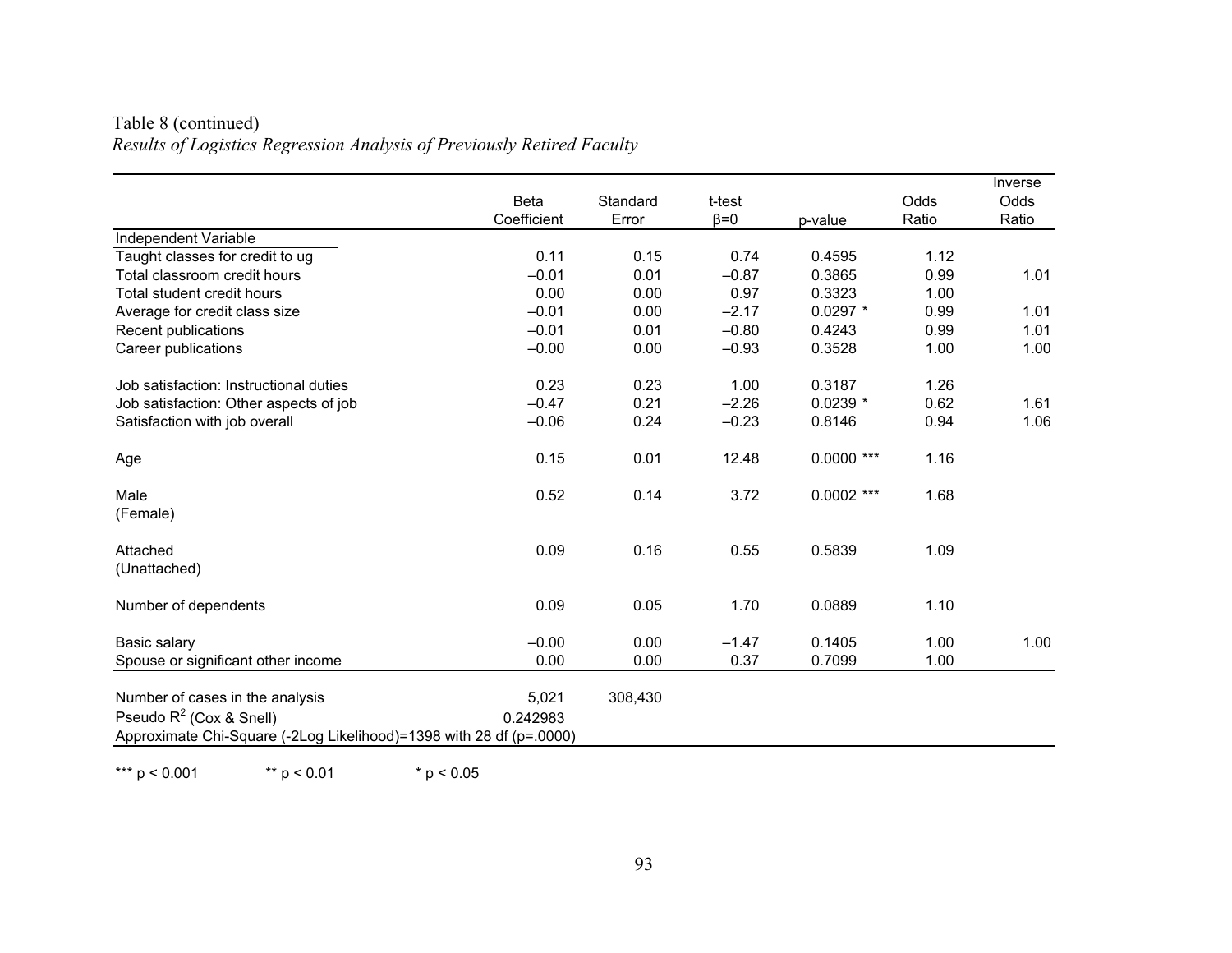| Table 8 (continued)                                                    |
|------------------------------------------------------------------------|
| Results of Logistics Regression Analysis of Previously Retired Faculty |

|                                                                                                                                      | <b>Beta</b><br>Coefficient | Standard<br>Error | t-test<br>$\beta = 0$ | p-value      | Odds<br>Ratio | Inverse<br>Odds<br>Ratio |
|--------------------------------------------------------------------------------------------------------------------------------------|----------------------------|-------------------|-----------------------|--------------|---------------|--------------------------|
| Independent Variable                                                                                                                 |                            |                   |                       |              |               |                          |
| Taught classes for credit to ug                                                                                                      | 0.11                       | 0.15              | 0.74                  | 0.4595       | 1.12          |                          |
| Total classroom credit hours                                                                                                         | $-0.01$                    | 0.01              | $-0.87$               | 0.3865       | 0.99          | 1.01                     |
| Total student credit hours                                                                                                           | 0.00                       | 0.00              | 0.97                  | 0.3323       | 1.00          |                          |
| Average for credit class size                                                                                                        | $-0.01$                    | 0.00              | $-2.17$               | $0.0297$ *   | 0.99          | 1.01                     |
| Recent publications                                                                                                                  | $-0.01$                    | 0.01              | $-0.80$               | 0.4243       | 0.99          | 1.01                     |
| Career publications                                                                                                                  | $-0.00$                    | 0.00              | $-0.93$               | 0.3528       | 1.00          | 1.00                     |
| Job satisfaction: Instructional duties                                                                                               | 0.23                       | 0.23              | 1.00                  | 0.3187       | 1.26          |                          |
| Job satisfaction: Other aspects of job                                                                                               | $-0.47$                    | 0.21              | $-2.26$               | $0.0239$ *   | 0.62          | 1.61                     |
| Satisfaction with job overall                                                                                                        | $-0.06$                    | 0.24              | $-0.23$               | 0.8146       | 0.94          | 1.06                     |
| Age                                                                                                                                  | 0.15                       | 0.01              | 12.48                 | $0.0000$ *** | 1.16          |                          |
| Male<br>(Female)                                                                                                                     | 0.52                       | 0.14              | 3.72                  | $0.0002$ *** | 1.68          |                          |
| Attached<br>(Unattached)                                                                                                             | 0.09                       | 0.16              | 0.55                  | 0.5839       | 1.09          |                          |
| Number of dependents                                                                                                                 | 0.09                       | 0.05              | 1.70                  | 0.0889       | 1.10          |                          |
| Basic salary                                                                                                                         | $-0.00$                    | 0.00              | $-1.47$               | 0.1405       | 1.00          | 1.00                     |
| Spouse or significant other income                                                                                                   | 0.00                       | 0.00              | 0.37                  | 0.7099       | 1.00          |                          |
| Number of cases in the analysis<br>Pseudo $R^2$ (Cox & Snell)<br>Approximate Chi-Square (-2Log Likelihood)=1398 with 28 df (p=.0000) | 5,021<br>0.242983          | 308,430           |                       |              |               |                          |

\*\*\* p < 0.001 \*\* p < 0.01 \* p < 0.05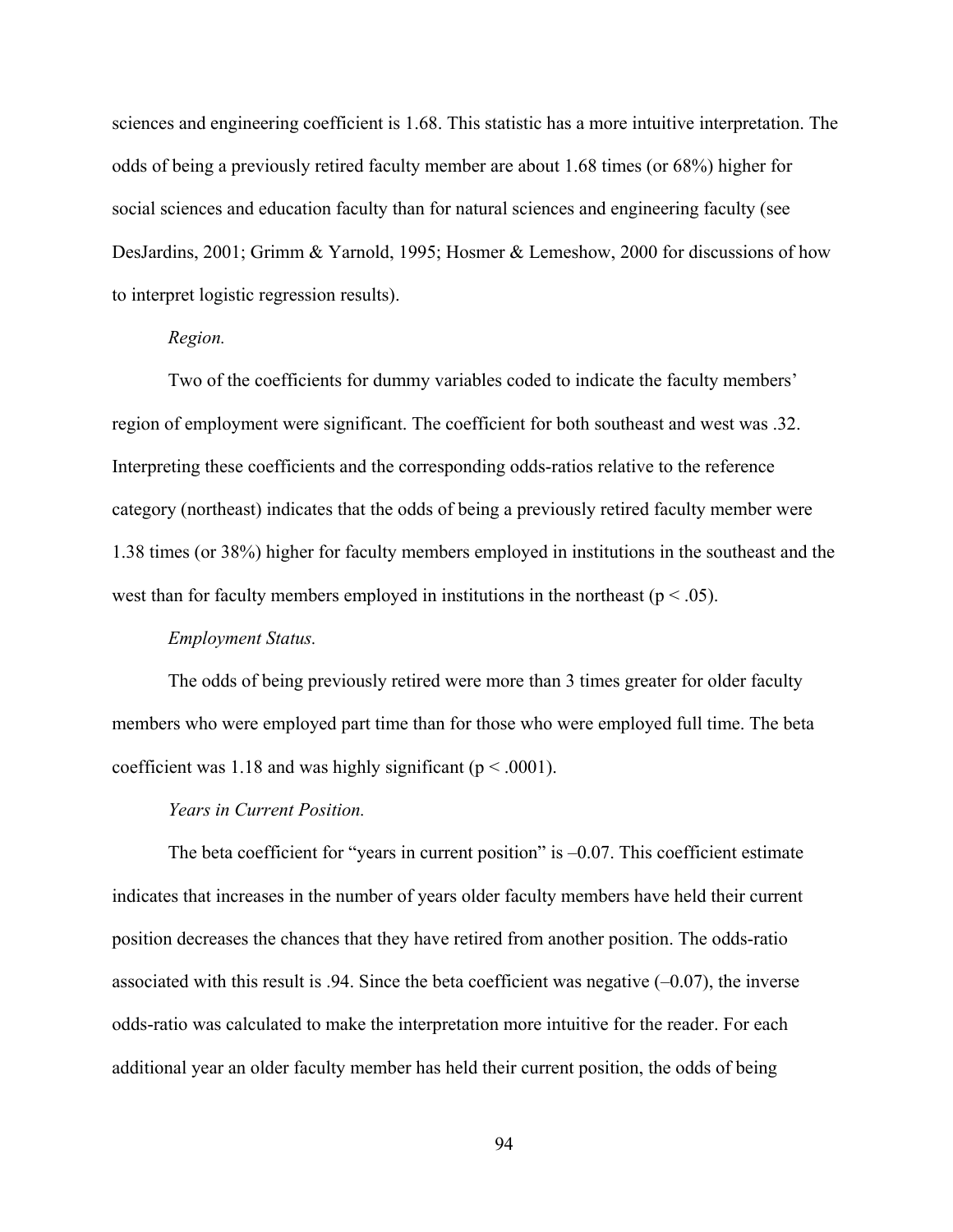sciences and engineering coefficient is 1.68. This statistic has a more intuitive interpretation. The odds of being a previously retired faculty member are about 1.68 times (or 68%) higher for social sciences and education faculty than for natural sciences and engineering faculty (see DesJardins, 2001; Grimm & Yarnold, 1995; Hosmer & Lemeshow, 2000 for discussions of how to interpret logistic regression results).

### *Region.*

Two of the coefficients for dummy variables coded to indicate the faculty members' region of employment were significant. The coefficient for both southeast and west was .32. Interpreting these coefficients and the corresponding odds-ratios relative to the reference category (northeast) indicates that the odds of being a previously retired faculty member were 1.38 times (or 38%) higher for faculty members employed in institutions in the southeast and the west than for faculty members employed in institutions in the northeast ( $p < .05$ ).

#### *Employment Status.*

The odds of being previously retired were more than 3 times greater for older faculty members who were employed part time than for those who were employed full time. The beta coefficient was 1.18 and was highly significant ( $p < .0001$ ).

#### *Years in Current Position.*

The beta coefficient for "years in current position" is  $-0.07$ . This coefficient estimate indicates that increases in the number of years older faculty members have held their current position decreases the chances that they have retired from another position. The odds-ratio associated with this result is .94. Since the beta coefficient was negative  $(-0.07)$ , the inverse odds-ratio was calculated to make the interpretation more intuitive for the reader. For each additional year an older faculty member has held their current position, the odds of being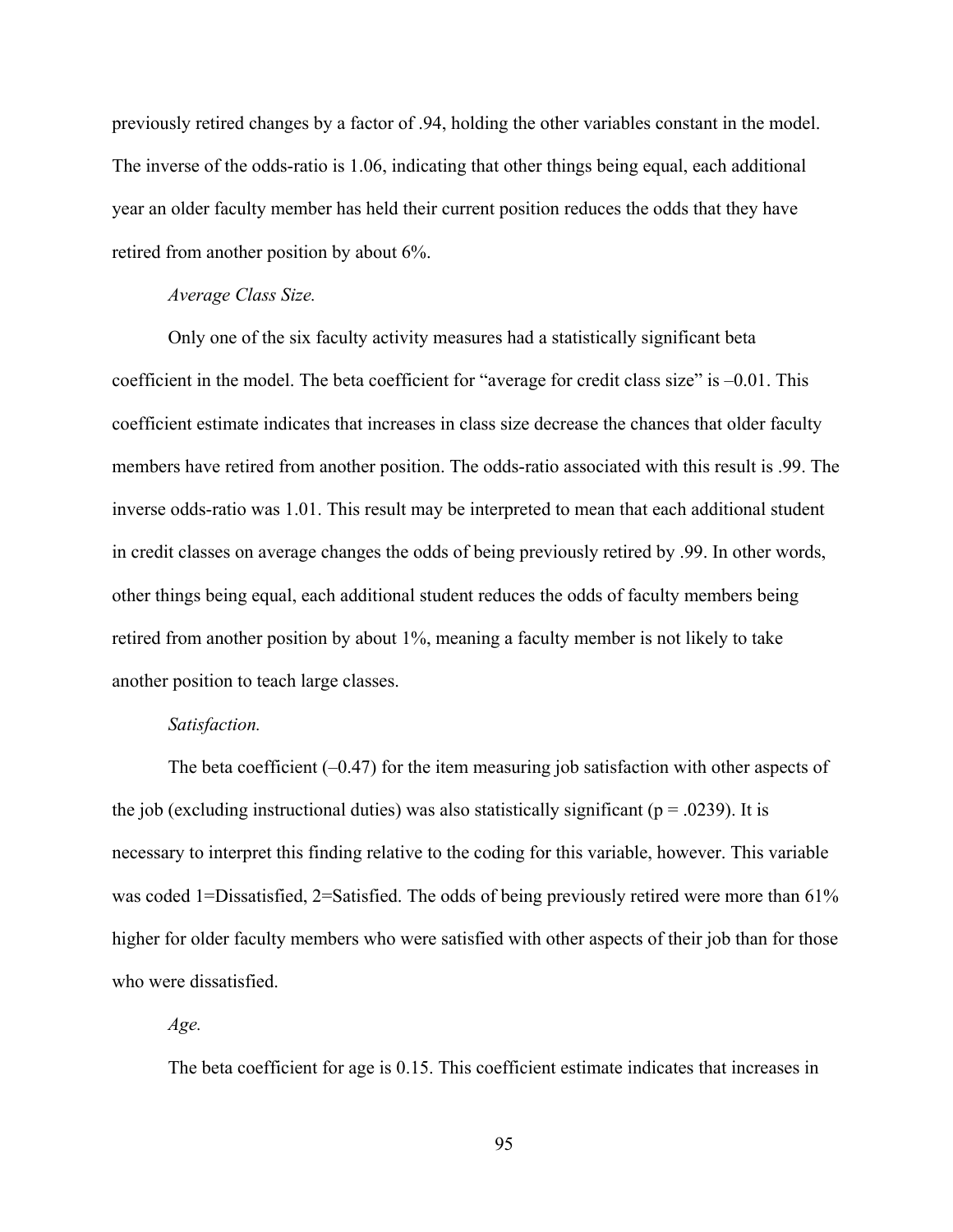previously retired changes by a factor of .94, holding the other variables constant in the model. The inverse of the odds-ratio is 1.06, indicating that other things being equal, each additional year an older faculty member has held their current position reduces the odds that they have retired from another position by about 6%.

#### *Average Class Size.*

Only one of the six faculty activity measures had a statistically significant beta coefficient in the model. The beta coefficient for "average for credit class size" is –0.01. This coefficient estimate indicates that increases in class size decrease the chances that older faculty members have retired from another position. The odds-ratio associated with this result is .99. The inverse odds-ratio was 1.01. This result may be interpreted to mean that each additional student in credit classes on average changes the odds of being previously retired by .99. In other words, other things being equal, each additional student reduces the odds of faculty members being retired from another position by about 1%, meaning a faculty member is not likely to take another position to teach large classes.

### *Satisfaction.*

The beta coefficient  $(-0.47)$  for the item measuring job satisfaction with other aspects of the job (excluding instructional duties) was also statistically significant ( $p = .0239$ ). It is necessary to interpret this finding relative to the coding for this variable, however. This variable was coded 1=Dissatisfied, 2=Satisfied. The odds of being previously retired were more than 61% higher for older faculty members who were satisfied with other aspects of their job than for those who were dissatisfied.

*Age.* 

The beta coefficient for age is 0.15. This coefficient estimate indicates that increases in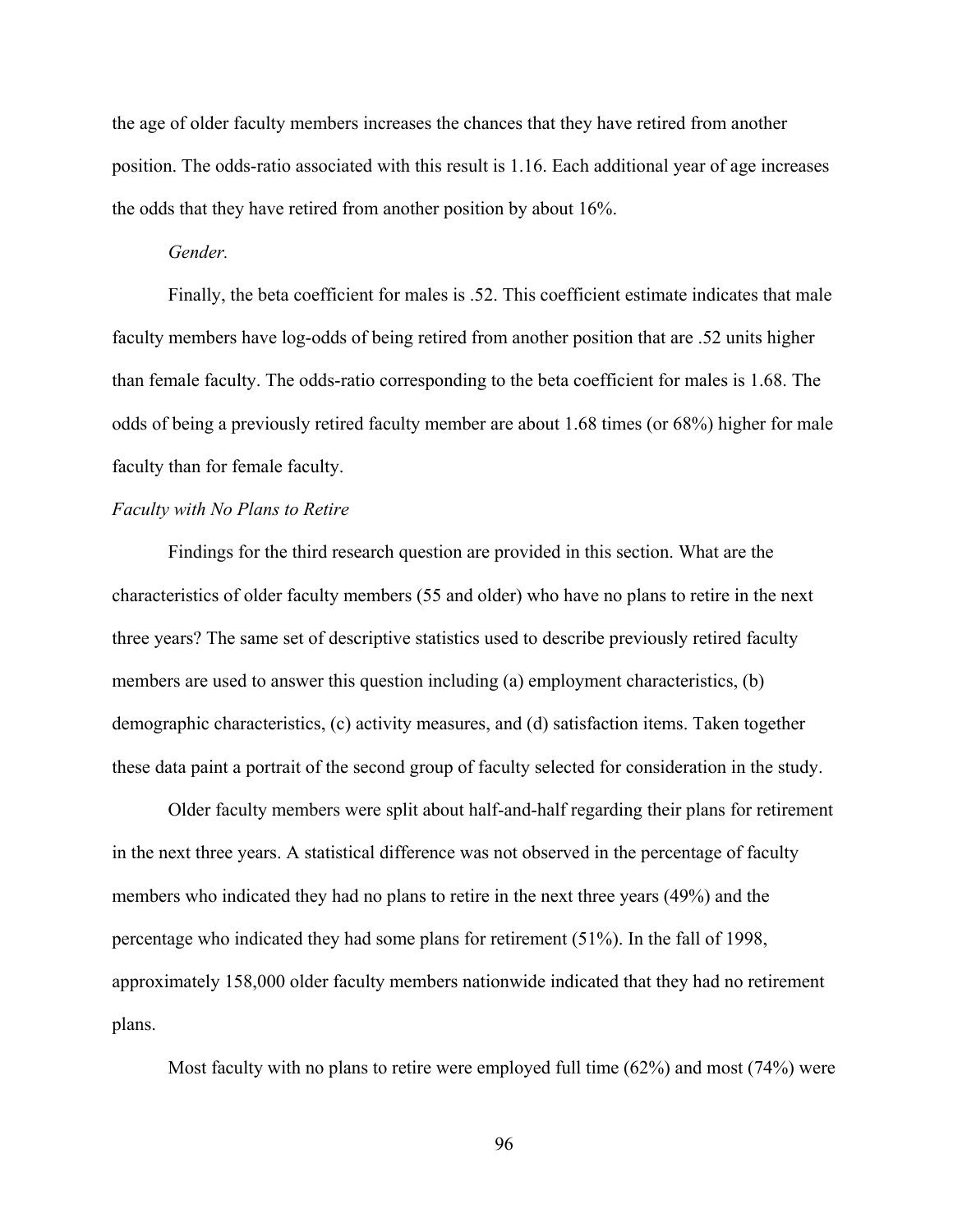the age of older faculty members increases the chances that they have retired from another position. The odds-ratio associated with this result is 1.16. Each additional year of age increases the odds that they have retired from another position by about 16%.

#### *Gender.*

Finally, the beta coefficient for males is .52. This coefficient estimate indicates that male faculty members have log-odds of being retired from another position that are .52 units higher than female faculty. The odds-ratio corresponding to the beta coefficient for males is 1.68. The odds of being a previously retired faculty member are about 1.68 times (or 68%) higher for male faculty than for female faculty.

## *Faculty with No Plans to Retire*

Findings for the third research question are provided in this section. What are the characteristics of older faculty members (55 and older) who have no plans to retire in the next three years? The same set of descriptive statistics used to describe previously retired faculty members are used to answer this question including (a) employment characteristics, (b) demographic characteristics, (c) activity measures, and (d) satisfaction items. Taken together these data paint a portrait of the second group of faculty selected for consideration in the study.

Older faculty members were split about half-and-half regarding their plans for retirement in the next three years. A statistical difference was not observed in the percentage of faculty members who indicated they had no plans to retire in the next three years (49%) and the percentage who indicated they had some plans for retirement (51%). In the fall of 1998, approximately 158,000 older faculty members nationwide indicated that they had no retirement plans.

Most faculty with no plans to retire were employed full time (62%) and most (74%) were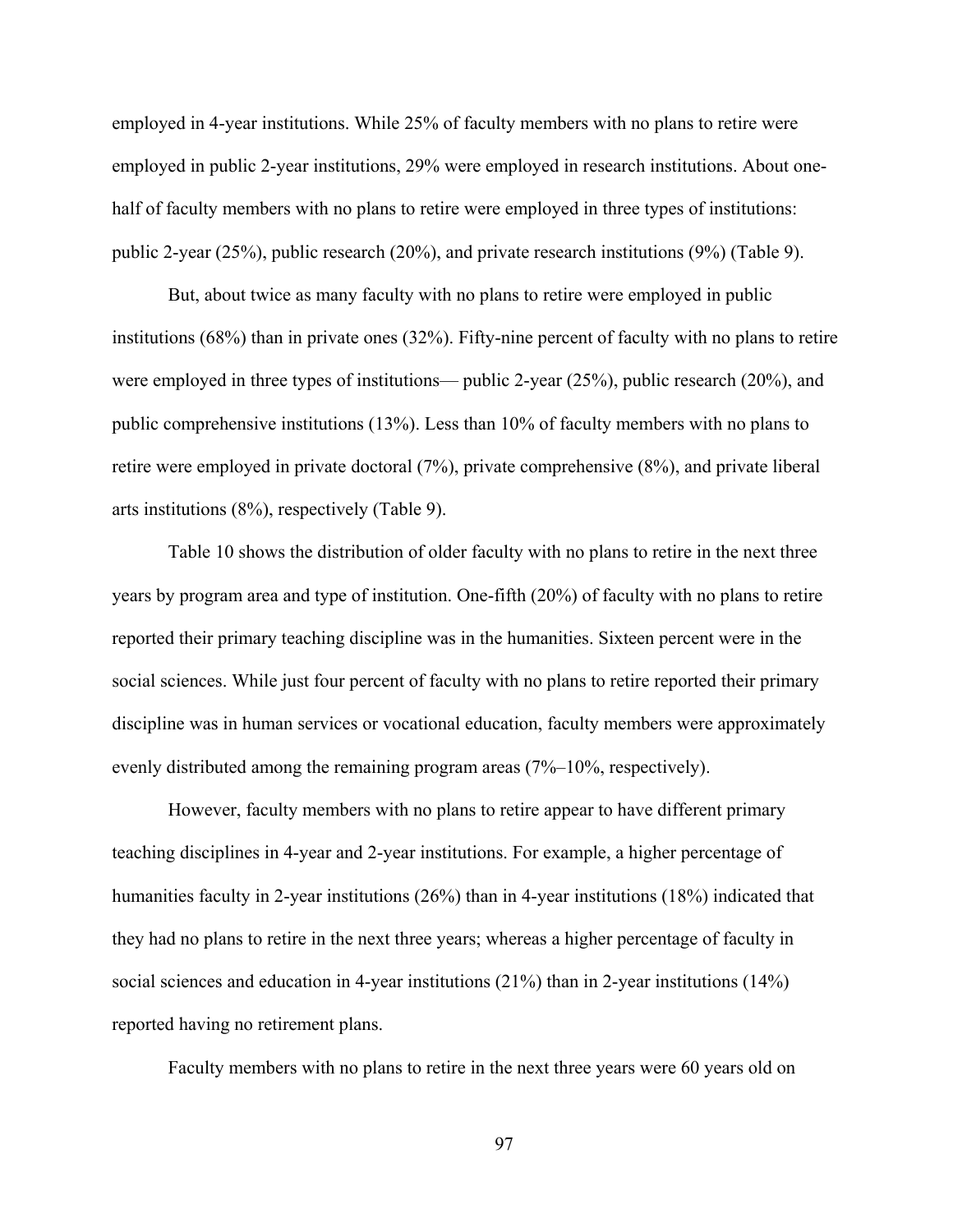employed in 4-year institutions. While 25% of faculty members with no plans to retire were employed in public 2-year institutions, 29% were employed in research institutions. About onehalf of faculty members with no plans to retire were employed in three types of institutions: public 2-year (25%), public research (20%), and private research institutions (9%) (Table 9).

But, about twice as many faculty with no plans to retire were employed in public institutions (68%) than in private ones (32%). Fifty-nine percent of faculty with no plans to retire were employed in three types of institutions— public 2-year (25%), public research (20%), and public comprehensive institutions (13%). Less than 10% of faculty members with no plans to retire were employed in private doctoral (7%), private comprehensive (8%), and private liberal arts institutions (8%), respectively (Table 9).

Table 10 shows the distribution of older faculty with no plans to retire in the next three years by program area and type of institution. One-fifth (20%) of faculty with no plans to retire reported their primary teaching discipline was in the humanities. Sixteen percent were in the social sciences. While just four percent of faculty with no plans to retire reported their primary discipline was in human services or vocational education, faculty members were approximately evenly distributed among the remaining program areas (7%–10%, respectively).

However, faculty members with no plans to retire appear to have different primary teaching disciplines in 4-year and 2-year institutions. For example, a higher percentage of humanities faculty in 2-year institutions (26%) than in 4-year institutions (18%) indicated that they had no plans to retire in the next three years; whereas a higher percentage of faculty in social sciences and education in 4-year institutions (21%) than in 2-year institutions (14%) reported having no retirement plans.

Faculty members with no plans to retire in the next three years were 60 years old on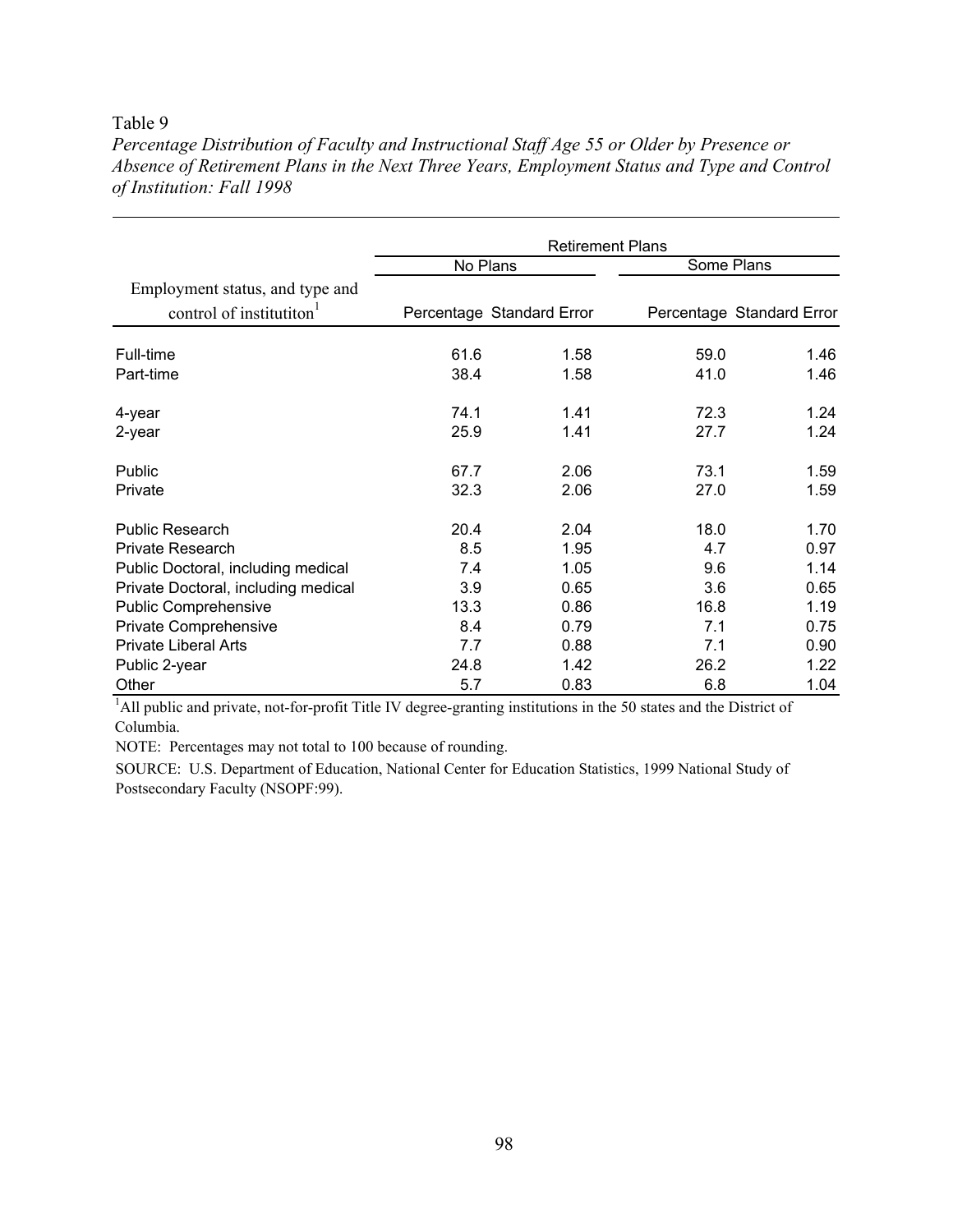#### Table 9

*Percentage Distribution of Faculty and Instructional Staff Age 55 or Older by Presence or Absence of Retirement Plans in the Next Three Years, Employment Status and Type and Control of Institution: Fall 1998* 

|                                     | <b>Retirement Plans</b> |                           |      |                           |  |  |
|-------------------------------------|-------------------------|---------------------------|------|---------------------------|--|--|
|                                     | No Plans                |                           |      | Some Plans                |  |  |
| Employment status, and type and     |                         |                           |      |                           |  |  |
| control of institution <sup>1</sup> |                         | Percentage Standard Error |      | Percentage Standard Error |  |  |
| Full-time                           | 61.6                    | 1.58                      | 59.0 | 1.46                      |  |  |
| Part-time                           | 38.4                    | 1.58                      | 41.0 | 1.46                      |  |  |
| 4-year                              | 74.1                    | 1.41                      | 72.3 | 1.24                      |  |  |
| 2-year                              | 25.9                    | 1.41                      | 27.7 | 1.24                      |  |  |
| Public                              | 67.7                    | 2.06                      | 73.1 | 1.59                      |  |  |
| Private                             | 32.3                    | 2.06                      | 27.0 | 1.59                      |  |  |
| <b>Public Research</b>              | 20.4                    | 2.04                      | 18.0 | 1.70                      |  |  |
| <b>Private Research</b>             | 8.5                     | 1.95                      | 4.7  | 0.97                      |  |  |
| Public Doctoral, including medical  | 7.4                     | 1.05                      | 9.6  | 1.14                      |  |  |
| Private Doctoral, including medical | 3.9                     | 0.65                      | 3.6  | 0.65                      |  |  |
| <b>Public Comprehensive</b>         | 13.3                    | 0.86                      | 16.8 | 1.19                      |  |  |
| Private Comprehensive               | 8.4                     | 0.79                      | 7.1  | 0.75                      |  |  |
| <b>Private Liberal Arts</b>         | 7.7                     | 0.88                      | 7.1  | 0.90                      |  |  |
| Public 2-year                       | 24.8                    | 1.42                      | 26.2 | 1.22                      |  |  |
| Other                               | 5.7                     | 0.83                      | 6.8  | 1.04                      |  |  |

<sup>1</sup>All public and private, not-for-profit Title IV degree-granting institutions in the 50 states and the District of Columbia.

NOTE: Percentages may not total to 100 because of rounding.

SOURCE: U.S. Department of Education, National Center for Education Statistics, 1999 National Study of Postsecondary Faculty (NSOPF:99).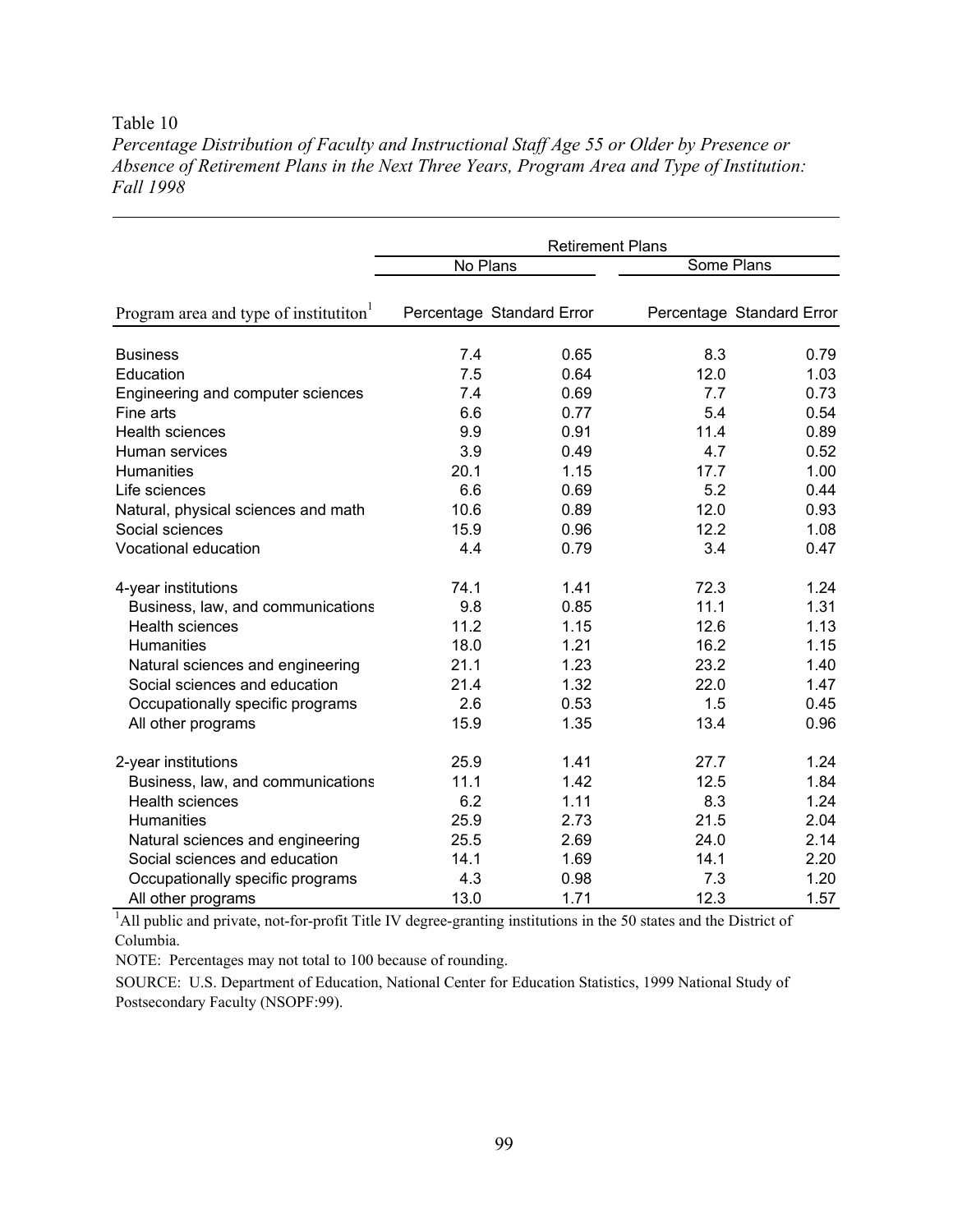#### Table 10

*Percentage Distribution of Faculty and Instructional Staff Age 55 or Older by Presence or Absence of Retirement Plans in the Next Three Years, Program Area and Type of Institution: Fall 1998* 

|                                                   | <b>Retirement Plans</b> |                           |      |                           |  |  |
|---------------------------------------------------|-------------------------|---------------------------|------|---------------------------|--|--|
|                                                   | No Plans                |                           |      | Some Plans                |  |  |
| Program area and type of institution <sup>1</sup> |                         | Percentage Standard Error |      | Percentage Standard Error |  |  |
| <b>Business</b>                                   | 7.4                     | 0.65                      | 8.3  | 0.79                      |  |  |
| Education                                         | 7.5                     | 0.64                      | 12.0 | 1.03                      |  |  |
| Engineering and computer sciences                 | 7.4                     | 0.69                      | 7.7  | 0.73                      |  |  |
| Fine arts                                         | 6.6                     | 0.77                      | 5.4  | 0.54                      |  |  |
| <b>Health sciences</b>                            | 9.9                     | 0.91                      | 11.4 | 0.89                      |  |  |
| Human services                                    | 3.9                     | 0.49                      | 4.7  | 0.52                      |  |  |
| <b>Humanities</b>                                 | 20.1                    | 1.15                      | 17.7 | 1.00                      |  |  |
| Life sciences                                     | 6.6                     | 0.69                      | 5.2  | 0.44                      |  |  |
| Natural, physical sciences and math               | 10.6                    | 0.89                      | 12.0 | 0.93                      |  |  |
| Social sciences                                   | 15.9                    | 0.96                      | 12.2 | 1.08                      |  |  |
| Vocational education                              | 4.4                     | 0.79                      | 3.4  | 0.47                      |  |  |
| 4-year institutions                               | 74.1                    | 1.41                      | 72.3 | 1.24                      |  |  |
| Business, law, and communications                 | 9.8                     | 0.85                      | 11.1 | 1.31                      |  |  |
| <b>Health sciences</b>                            | 11.2                    | 1.15                      | 12.6 | 1.13                      |  |  |
| <b>Humanities</b>                                 | 18.0                    | 1.21                      | 16.2 | 1.15                      |  |  |
| Natural sciences and engineering                  | 21.1                    | 1.23                      | 23.2 | 1.40                      |  |  |
| Social sciences and education                     | 21.4                    | 1.32                      | 22.0 | 1.47                      |  |  |
| Occupationally specific programs                  | 2.6                     | 0.53                      | 1.5  | 0.45                      |  |  |
| All other programs                                | 15.9                    | 1.35                      | 13.4 | 0.96                      |  |  |
| 2-year institutions                               | 25.9                    | 1.41                      | 27.7 | 1.24                      |  |  |
| Business, law, and communications                 | 11.1                    | 1.42                      | 12.5 | 1.84                      |  |  |
| <b>Health sciences</b>                            | 6.2                     | 1.11                      | 8.3  | 1.24                      |  |  |
| <b>Humanities</b>                                 | 25.9                    | 2.73                      | 21.5 | 2.04                      |  |  |
| Natural sciences and engineering                  | 25.5                    | 2.69                      | 24.0 | 2.14                      |  |  |
| Social sciences and education                     | 14.1                    | 1.69                      | 14.1 | 2.20                      |  |  |
| Occupationally specific programs                  | 4.3                     | 0.98                      | 7.3  | 1.20                      |  |  |
| All other programs                                | 13.0                    | 1.71                      | 12.3 | 1.57                      |  |  |

<sup>1</sup>All public and private, not-for-profit Title IV degree-granting institutions in the 50 states and the District of Columbia.

NOTE: Percentages may not total to 100 because of rounding.

SOURCE: U.S. Department of Education, National Center for Education Statistics, 1999 National Study of Postsecondary Faculty (NSOPF:99).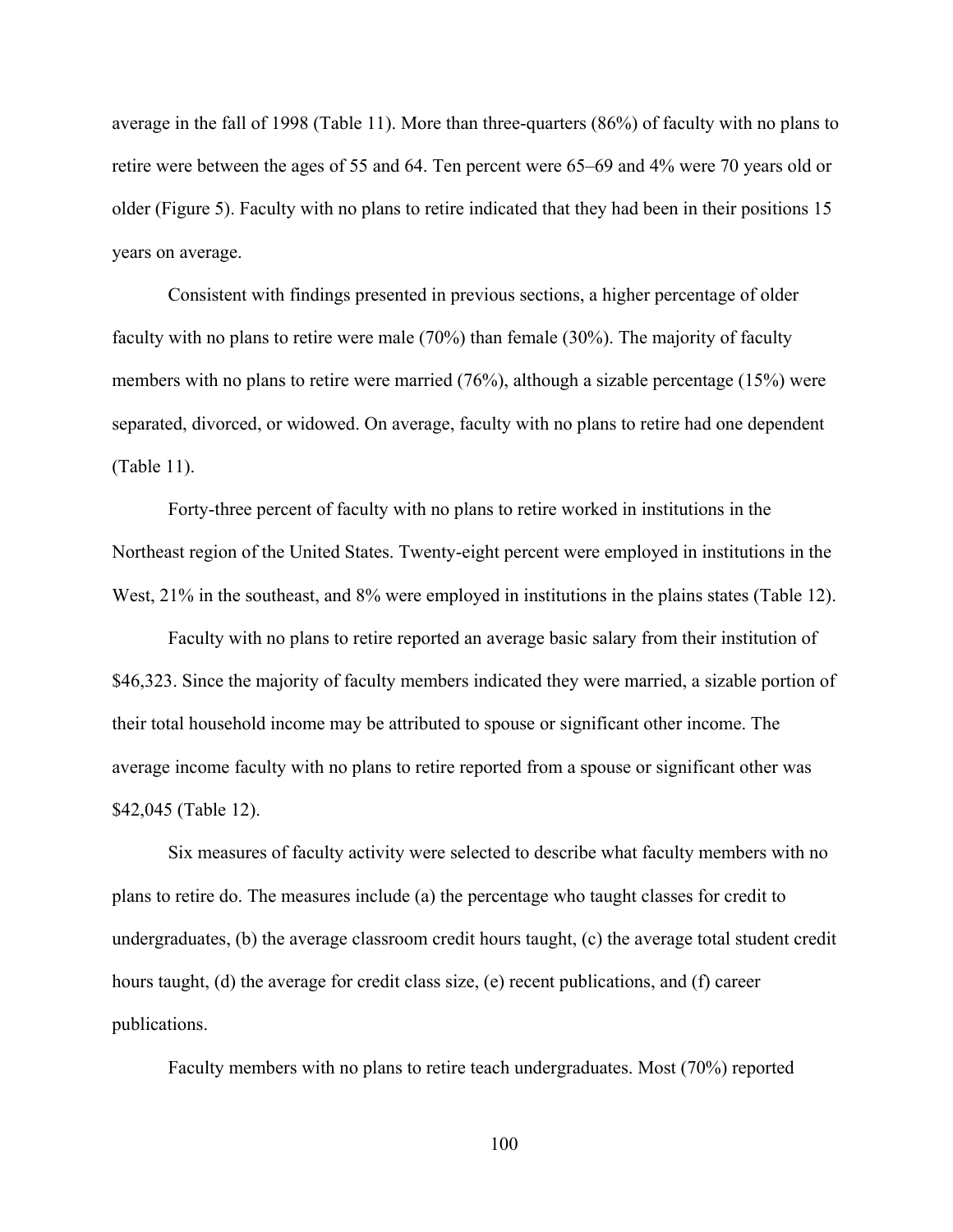average in the fall of 1998 (Table 11). More than three-quarters (86%) of faculty with no plans to retire were between the ages of 55 and 64. Ten percent were 65–69 and 4% were 70 years old or older (Figure 5). Faculty with no plans to retire indicated that they had been in their positions 15 years on average.

Consistent with findings presented in previous sections, a higher percentage of older faculty with no plans to retire were male (70%) than female (30%). The majority of faculty members with no plans to retire were married (76%), although a sizable percentage (15%) were separated, divorced, or widowed. On average, faculty with no plans to retire had one dependent (Table 11).

Forty-three percent of faculty with no plans to retire worked in institutions in the Northeast region of the United States. Twenty-eight percent were employed in institutions in the West, 21% in the southeast, and 8% were employed in institutions in the plains states (Table 12).

Faculty with no plans to retire reported an average basic salary from their institution of \$46,323. Since the majority of faculty members indicated they were married, a sizable portion of their total household income may be attributed to spouse or significant other income. The average income faculty with no plans to retire reported from a spouse or significant other was \$42,045 (Table 12).

Six measures of faculty activity were selected to describe what faculty members with no plans to retire do. The measures include (a) the percentage who taught classes for credit to undergraduates, (b) the average classroom credit hours taught, (c) the average total student credit hours taught, (d) the average for credit class size, (e) recent publications, and (f) career publications.

Faculty members with no plans to retire teach undergraduates. Most (70%) reported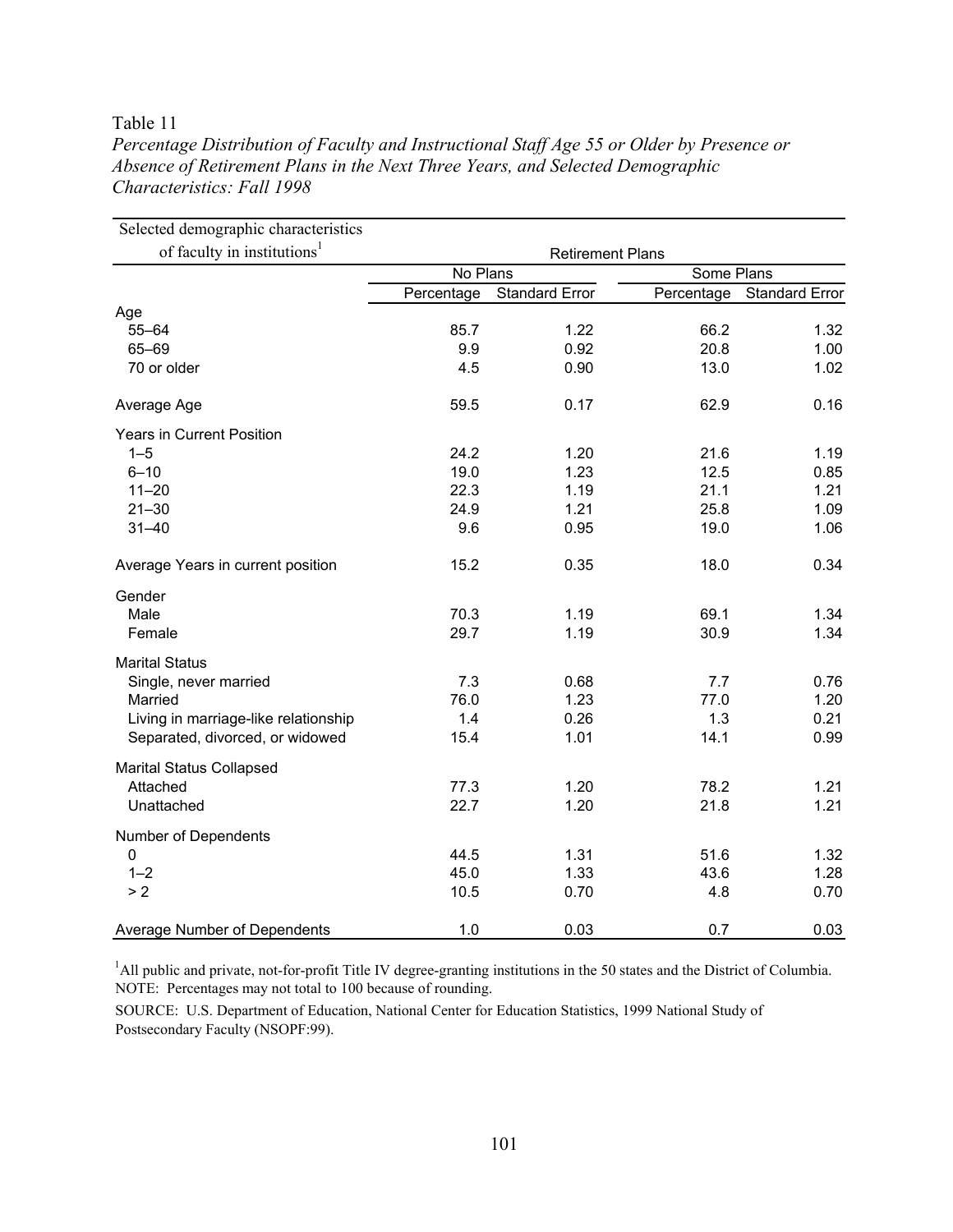## Table 11

| Selected demographic characteristics    |                         |                       |            |                       |  |  |
|-----------------------------------------|-------------------------|-----------------------|------------|-----------------------|--|--|
| of faculty in institutions <sup>1</sup> | <b>Retirement Plans</b> |                       |            |                       |  |  |
|                                         | No Plans                |                       |            | Some Plans            |  |  |
|                                         | Percentage              | <b>Standard Error</b> | Percentage | <b>Standard Error</b> |  |  |
| Age                                     |                         |                       |            |                       |  |  |
| $55 - 64$                               | 85.7                    | 1.22                  | 66.2       | 1.32                  |  |  |
| 65-69                                   | 9.9                     | 0.92                  | 20.8       | 1.00                  |  |  |
| 70 or older                             | 4.5                     | 0.90                  | 13.0       | 1.02                  |  |  |
| Average Age                             | 59.5                    | 0.17                  | 62.9       | 0.16                  |  |  |
| Years in Current Position               |                         |                       |            |                       |  |  |
| $1 - 5$                                 | 24.2                    | 1.20                  | 21.6       | 1.19                  |  |  |
| $6 - 10$                                | 19.0                    | 1.23                  | 12.5       | 0.85                  |  |  |
| $11 - 20$                               | 22.3                    | 1.19                  | 21.1       | 1.21                  |  |  |
| $21 - 30$                               | 24.9                    | 1.21                  | 25.8       | 1.09                  |  |  |
| $31 - 40$                               | 9.6                     | 0.95                  | 19.0       | 1.06                  |  |  |
| Average Years in current position       | 15.2                    | 0.35                  | 18.0       | 0.34                  |  |  |
| Gender                                  |                         |                       |            |                       |  |  |
| Male                                    | 70.3                    | 1.19                  | 69.1       | 1.34                  |  |  |
| Female                                  | 29.7                    | 1.19                  | 30.9       | 1.34                  |  |  |
| <b>Marital Status</b>                   |                         |                       |            |                       |  |  |
| Single, never married                   | 7.3                     | 0.68                  | 7.7        | 0.76                  |  |  |
| Married                                 | 76.0                    | 1.23                  | 77.0       | 1.20                  |  |  |
| Living in marriage-like relationship    | 1.4                     | 0.26                  | 1.3        | 0.21                  |  |  |
| Separated, divorced, or widowed         | 15.4                    | 1.01                  | 14.1       | 0.99                  |  |  |
| <b>Marital Status Collapsed</b>         |                         |                       |            |                       |  |  |
| Attached                                | 77.3                    | 1.20                  | 78.2       | 1.21                  |  |  |
| Unattached                              | 22.7                    | 1.20                  | 21.8       | 1.21                  |  |  |
| Number of Dependents                    |                         |                       |            |                       |  |  |
| $\pmb{0}$                               | 44.5                    | 1.31                  | 51.6       | 1.32                  |  |  |
| $1 - 2$                                 | 45.0                    | 1.33                  | 43.6       | 1.28                  |  |  |
| > 2                                     | 10.5                    | 0.70                  | 4.8        | 0.70                  |  |  |
| Average Number of Dependents            | 1.0                     | 0.03                  | 0.7        | 0.03                  |  |  |

*Percentage Distribution of Faculty and Instructional Staff Age 55 or Older by Presence or Absence of Retirement Plans in the Next Three Years, and Selected Demographic Characteristics: Fall 1998* 

<sup>1</sup>All public and private, not-for-profit Title IV degree-granting institutions in the 50 states and the District of Columbia. NOTE: Percentages may not total to 100 because of rounding.

SOURCE: U.S. Department of Education, National Center for Education Statistics, 1999 National Study of Postsecondary Faculty (NSOPF:99).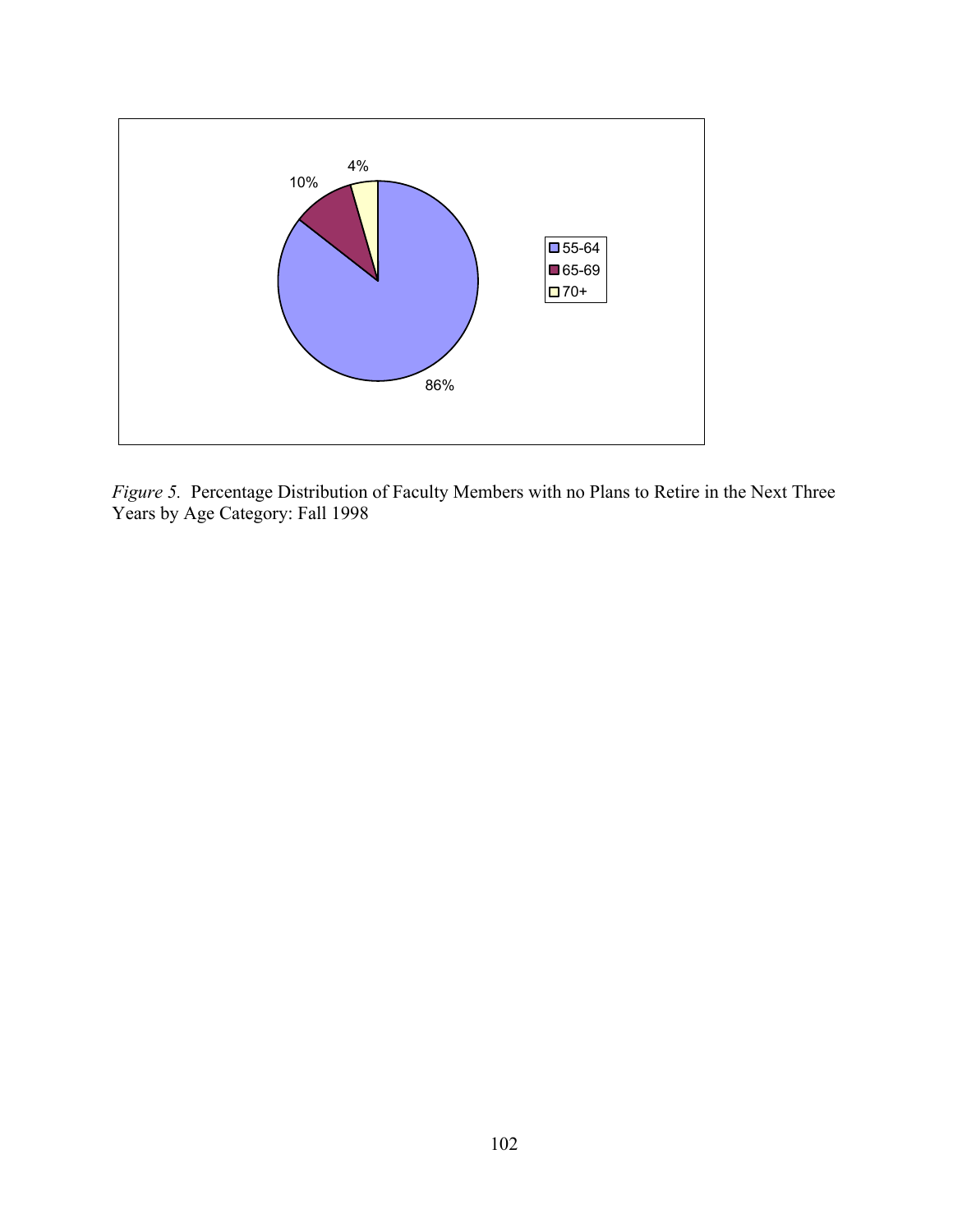

*Figure 5.*Percentage Distribution of Faculty Members with no Plans to Retire in the Next Three Years by Age Category: Fall 1998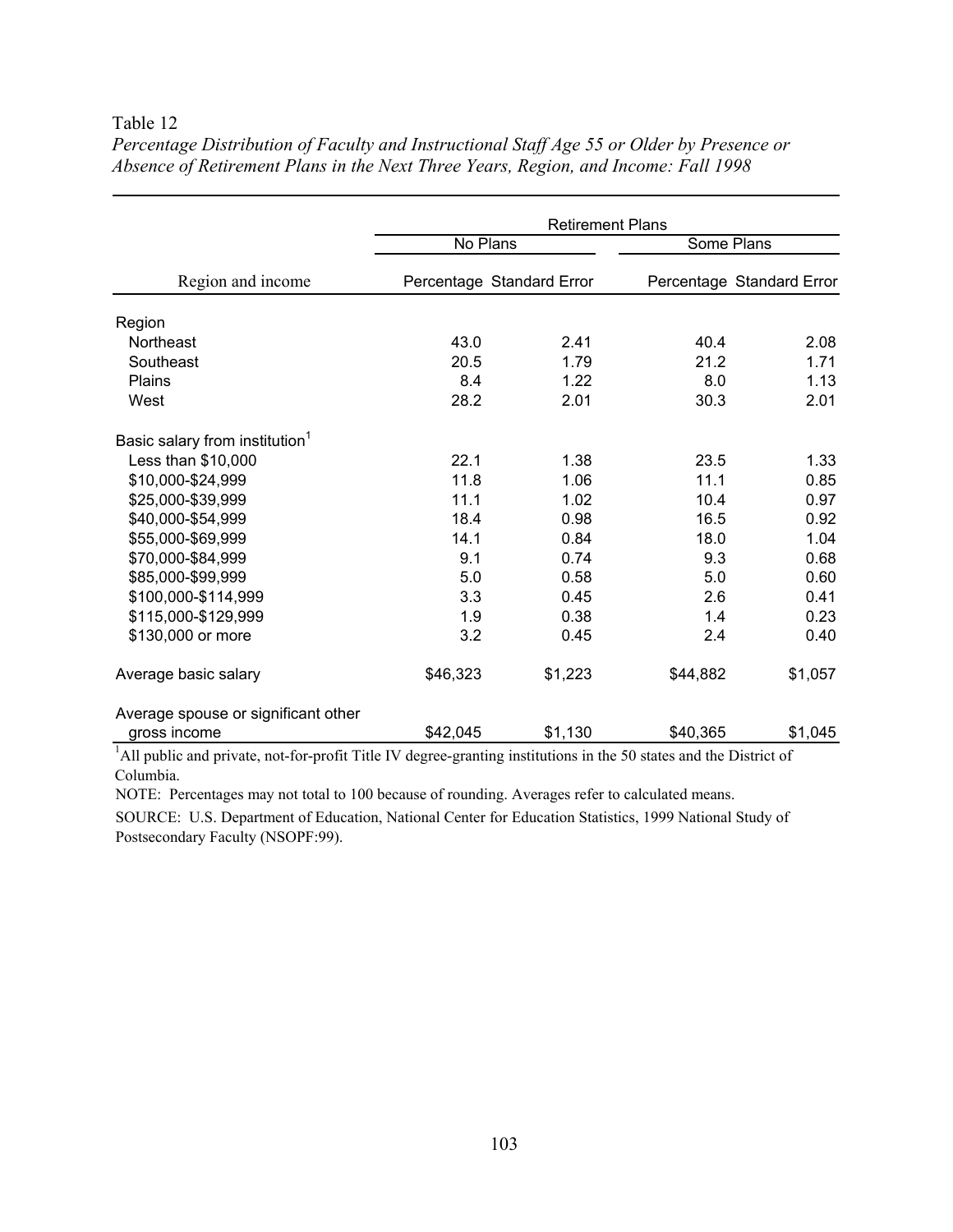## Table 12

|                                            | <b>Retirement Plans</b> |                           |          |                           |  |  |
|--------------------------------------------|-------------------------|---------------------------|----------|---------------------------|--|--|
|                                            | No Plans                |                           |          | Some Plans                |  |  |
| Region and income                          |                         | Percentage Standard Error |          | Percentage Standard Error |  |  |
| Region                                     |                         |                           |          |                           |  |  |
| Northeast                                  | 43.0                    | 2.41                      | 40.4     | 2.08                      |  |  |
| Southeast                                  | 20.5                    | 1.79                      | 21.2     | 1.71                      |  |  |
| Plains                                     | 8.4                     | 1.22                      | 8.0      | 1.13                      |  |  |
| West                                       | 28.2                    | 2.01                      | 30.3     | 2.01                      |  |  |
| Basic salary from institution <sup>1</sup> |                         |                           |          |                           |  |  |
| Less than \$10,000                         | 22.1                    | 1.38                      | 23.5     | 1.33                      |  |  |
| \$10,000-\$24,999                          | 11.8                    | 1.06                      | 11.1     | 0.85                      |  |  |
| \$25,000-\$39,999                          | 11.1                    | 1.02                      | 10.4     | 0.97                      |  |  |
| \$40,000-\$54,999                          | 18.4                    | 0.98                      | 16.5     | 0.92                      |  |  |
| \$55,000-\$69,999                          | 14.1                    | 0.84                      | 18.0     | 1.04                      |  |  |
| \$70,000-\$84,999                          | 9.1                     | 0.74                      | 9.3      | 0.68                      |  |  |
| \$85,000-\$99,999                          | 5.0                     | 0.58                      | 5.0      | 0.60                      |  |  |
| \$100,000-\$114,999                        | 3.3                     | 0.45                      | 2.6      | 0.41                      |  |  |
| \$115,000-\$129,999                        | 1.9                     | 0.38                      | 1.4      | 0.23                      |  |  |
| \$130,000 or more                          | 3.2                     | 0.45                      | 2.4      | 0.40                      |  |  |
| Average basic salary                       | \$46,323                | \$1,223                   | \$44,882 | \$1,057                   |  |  |
| Average spouse or significant other        |                         |                           |          |                           |  |  |
| gross income                               | \$42,045                | \$1,130                   | \$40,365 | \$1,045                   |  |  |

*Percentage Distribution of Faculty and Instructional Staff Age 55 or Older by Presence or Absence of Retirement Plans in the Next Three Years, Region, and Income: Fall 1998* 

<sup>1</sup>All public and private, not-for-profit Title IV degree-granting institutions in the 50 states and the District of Columbia.

NOTE: Percentages may not total to 100 because of rounding. Averages refer to calculated means.

SOURCE: U.S. Department of Education, National Center for Education Statistics, 1999 National Study of Postsecondary Faculty (NSOPF:99).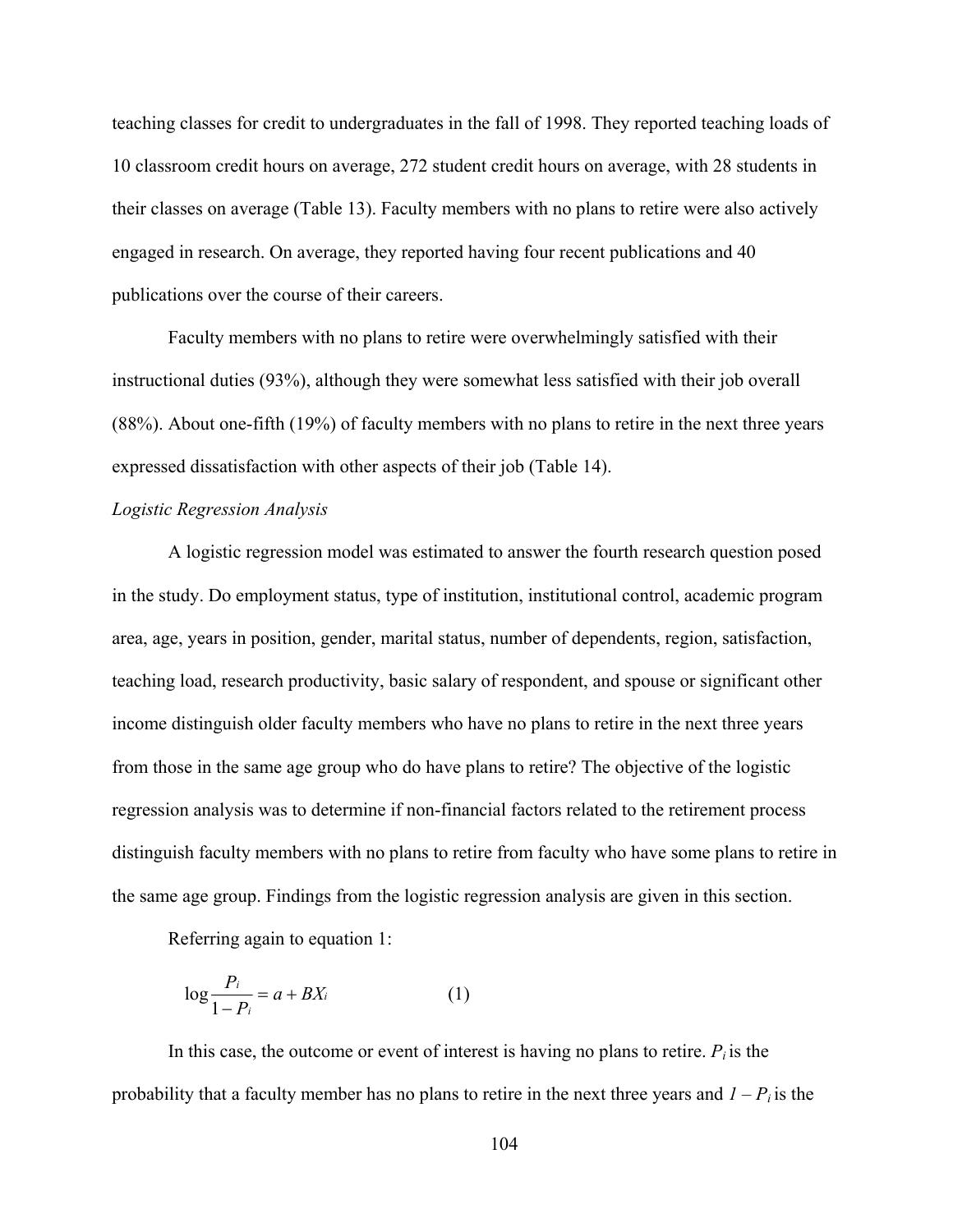teaching classes for credit to undergraduates in the fall of 1998. They reported teaching loads of 10 classroom credit hours on average, 272 student credit hours on average, with 28 students in their classes on average (Table 13). Faculty members with no plans to retire were also actively engaged in research. On average, they reported having four recent publications and 40 publications over the course of their careers.

Faculty members with no plans to retire were overwhelmingly satisfied with their instructional duties (93%), although they were somewhat less satisfied with their job overall (88%). About one-fifth (19%) of faculty members with no plans to retire in the next three years expressed dissatisfaction with other aspects of their job (Table 14).

## *Logistic Regression Analysis*

A logistic regression model was estimated to answer the fourth research question posed in the study. Do employment status, type of institution, institutional control, academic program area, age, years in position, gender, marital status, number of dependents, region, satisfaction, teaching load, research productivity, basic salary of respondent, and spouse or significant other income distinguish older faculty members who have no plans to retire in the next three years from those in the same age group who do have plans to retire? The objective of the logistic regression analysis was to determine if non-financial factors related to the retirement process distinguish faculty members with no plans to retire from faculty who have some plans to retire in the same age group. Findings from the logistic regression analysis are given in this section.

Referring again to equation 1:

$$
\log \frac{P_i}{1 - P_i} = a + BX_i \tag{1}
$$

In this case, the outcome or event of interest is having no plans to retire.  $P_i$  is the probability that a faculty member has no plans to retire in the next three years and  $I - P_i$  is the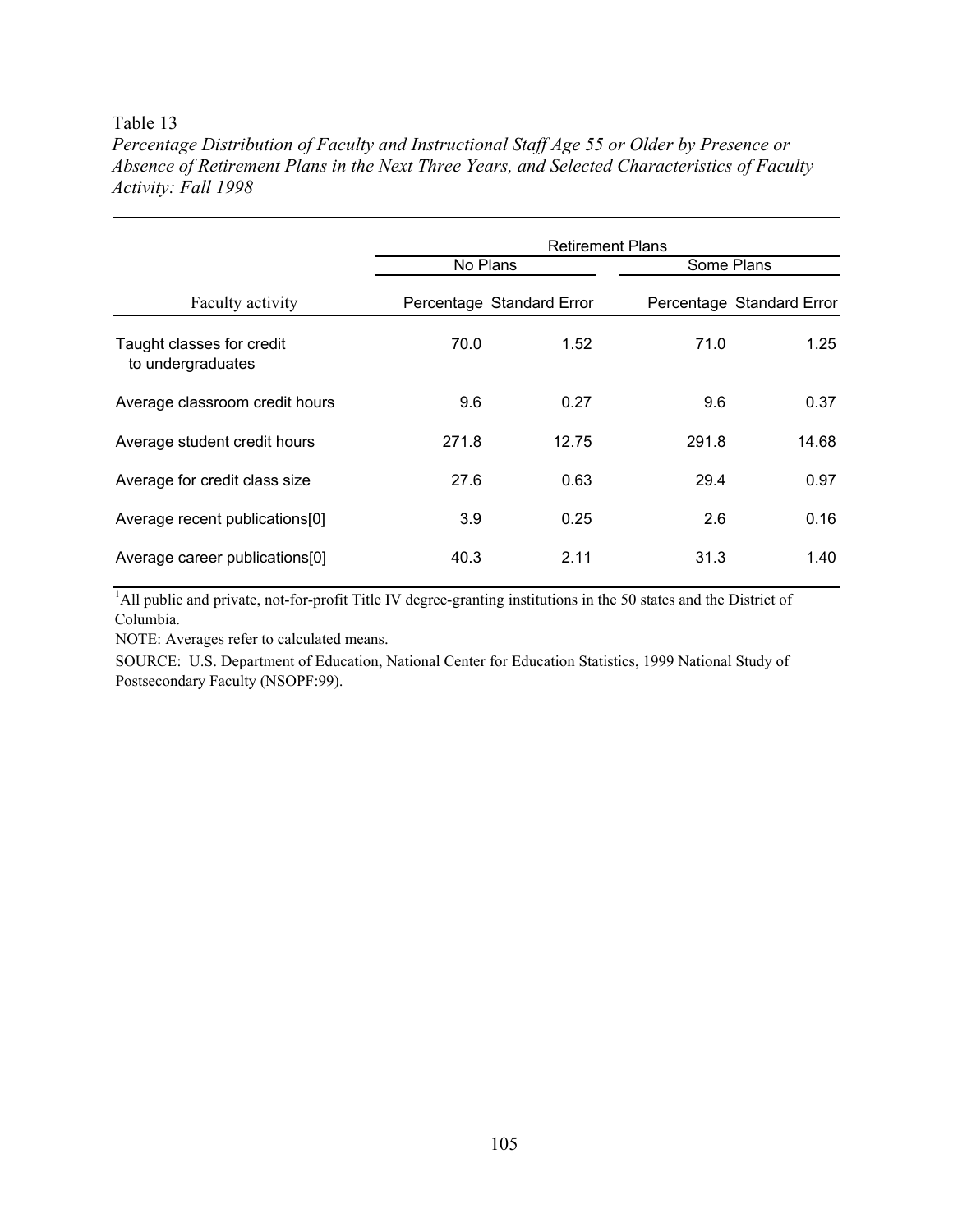## Table 13

*Percentage Distribution of Faculty and Instructional Staff Age 55 or Older by Presence or Absence of Retirement Plans in the Next Three Years, and Selected Characteristics of Faculty Activity: Fall 1998* 

|                                                | <b>Retirement Plans</b> |                           |            |                           |  |  |  |
|------------------------------------------------|-------------------------|---------------------------|------------|---------------------------|--|--|--|
|                                                | No Plans                |                           | Some Plans |                           |  |  |  |
| Faculty activity                               |                         | Percentage Standard Error |            | Percentage Standard Error |  |  |  |
| Taught classes for credit<br>to undergraduates | 70.0                    | 1.52                      | 71.0       | 1.25                      |  |  |  |
| Average classroom credit hours                 | 9.6                     | 0.27                      | 9.6        | 0.37                      |  |  |  |
| Average student credit hours                   | 271.8                   | 12.75                     | 291.8      | 14.68                     |  |  |  |
| Average for credit class size                  | 27.6                    | 0.63                      | 29.4       | 0.97                      |  |  |  |
| Average recent publications[0]                 | 3.9                     | 0.25                      | 2.6        | 0.16                      |  |  |  |
| Average career publications[0]                 | 40.3                    | 2.11                      | 31.3       | 1.40                      |  |  |  |

<sup>1</sup>All public and private, not-for-profit Title IV degree-granting institutions in the 50 states and the District of Columbia.

NOTE: Averages refer to calculated means.

SOURCE: U.S. Department of Education, National Center for Education Statistics, 1999 National Study of Postsecondary Faculty (NSOPF:99).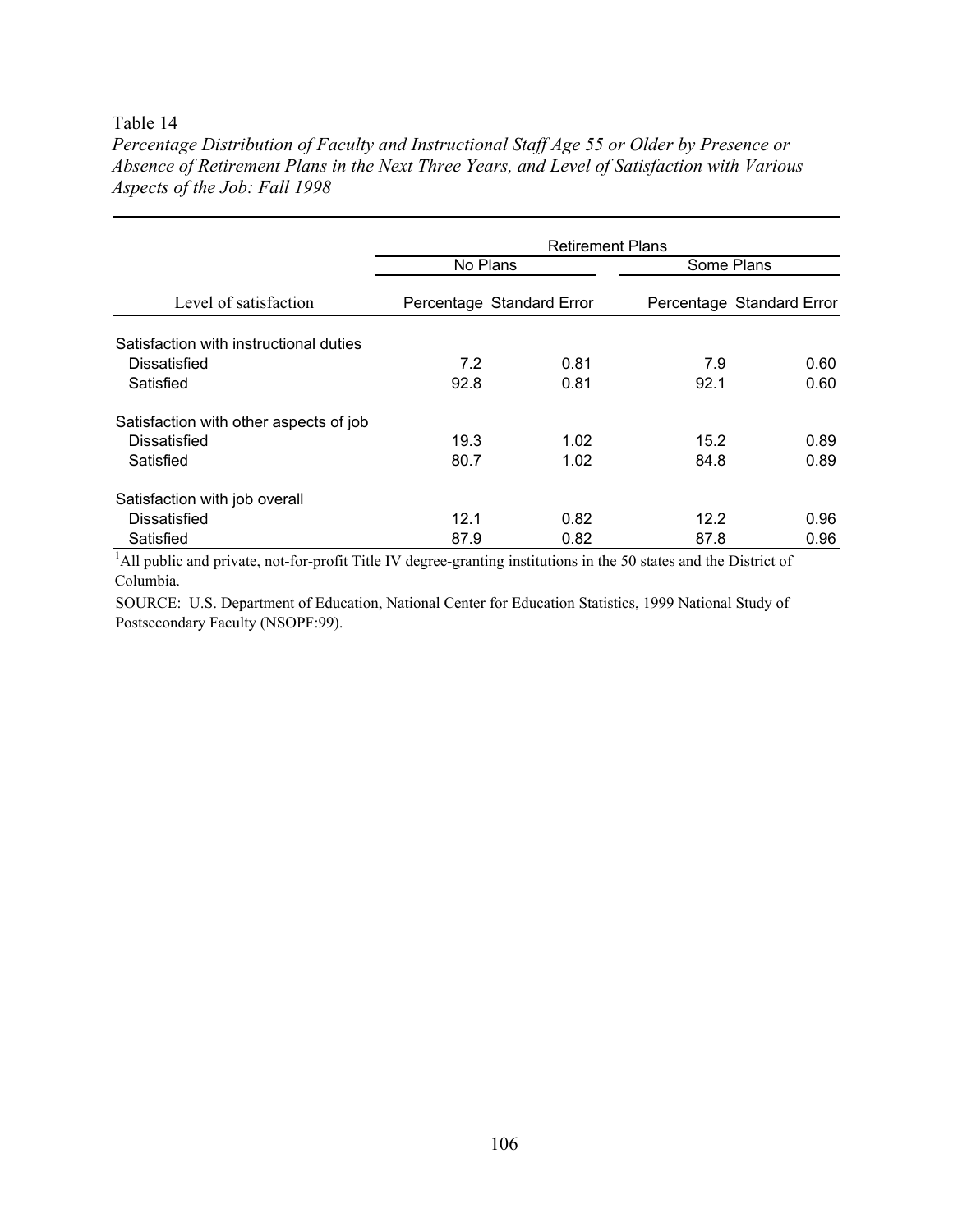## Table 14

*Percentage Distribution of Faculty and Instructional Staff Age 55 or Older by Presence or Absence of Retirement Plans in the Next Three Years, and Level of Satisfaction with Various Aspects of the Job: Fall 1998* 

|                                        | <b>Retirement Plans</b>   |      |            |                           |  |  |
|----------------------------------------|---------------------------|------|------------|---------------------------|--|--|
|                                        | No Plans                  |      | Some Plans |                           |  |  |
| Level of satisfaction                  | Percentage Standard Error |      |            | Percentage Standard Error |  |  |
| Satisfaction with instructional duties |                           |      |            |                           |  |  |
| Dissatisfied                           | 7.2                       | 0.81 | 7.9        | 0.60                      |  |  |
| Satisfied                              | 92.8                      | 0.81 | 92.1       | 0.60                      |  |  |
| Satisfaction with other aspects of job |                           |      |            |                           |  |  |
| Dissatisfied                           | 19.3                      | 1.02 | 15.2       | 0.89                      |  |  |
| Satisfied                              | 80.7                      | 1.02 | 84.8       | 0.89                      |  |  |
| Satisfaction with job overall          |                           |      |            |                           |  |  |
| Dissatisfied                           | 12.1                      | 0.82 | 12.2       | 0.96                      |  |  |
| Satisfied                              | 87.9                      | 0.82 | 87.8       | 0.96                      |  |  |

<sup>1</sup>All public and private, not-for-profit Title IV degree-granting institutions in the 50 states and the District of Columbia.

SOURCE: U.S. Department of Education, National Center for Education Statistics, 1999 National Study of Postsecondary Faculty (NSOPF:99).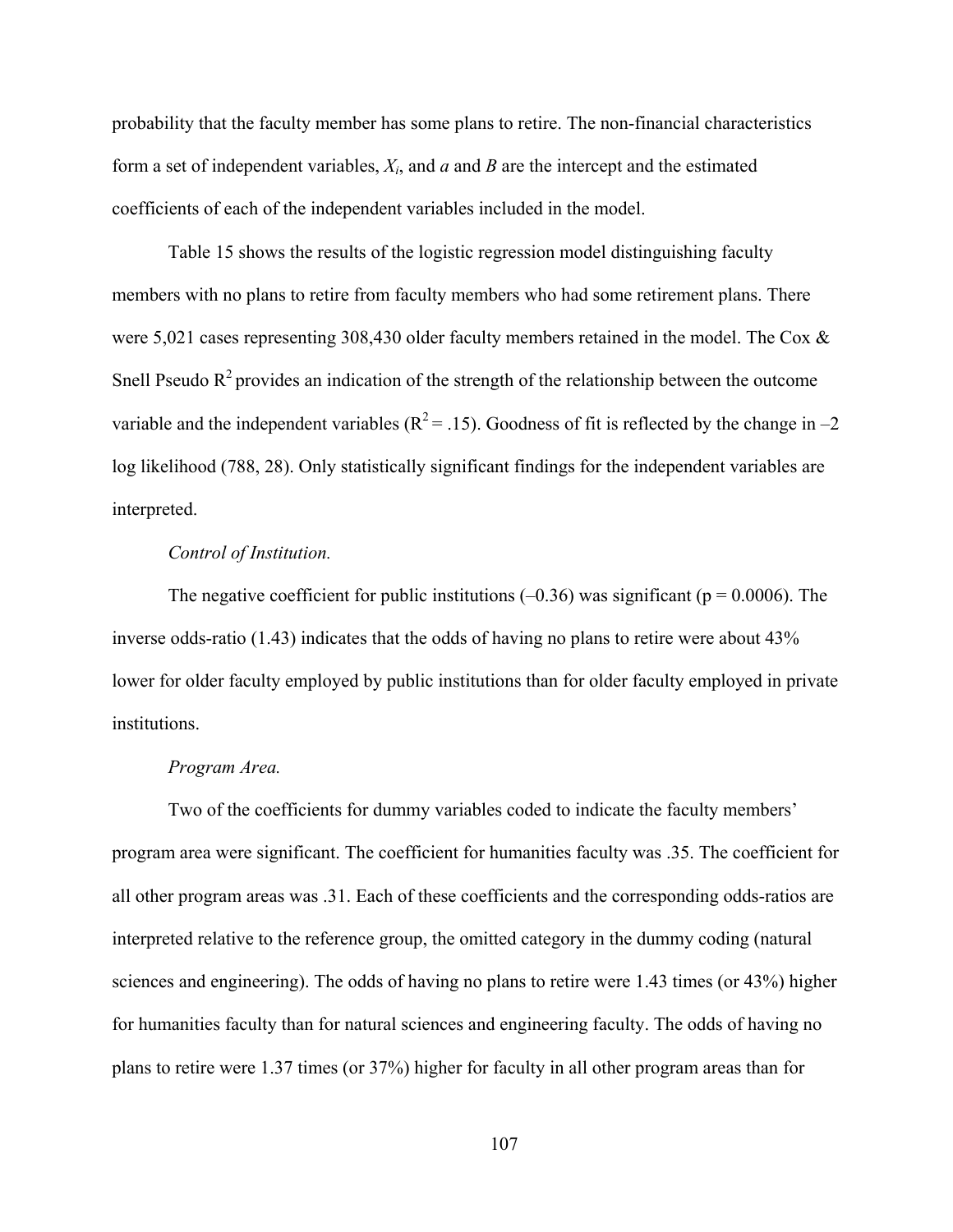probability that the faculty member has some plans to retire. The non-financial characteristics form a set of independent variables, *Xi*, and *a* and *B* are the intercept and the estimated coefficients of each of the independent variables included in the model.

Table 15 shows the results of the logistic regression model distinguishing faculty members with no plans to retire from faculty members who had some retirement plans. There were 5,021 cases representing 308,430 older faculty members retained in the model. The Cox & Snell Pseudo  $R^2$  provides an indication of the strength of the relationship between the outcome variable and the independent variables ( $R^2 = .15$ ). Goodness of fit is reflected by the change in –2 log likelihood (788, 28). Only statistically significant findings for the independent variables are interpreted.

## *Control of Institution.*

The negative coefficient for public institutions  $(-0.36)$  was significant ( $p = 0.0006$ ). The inverse odds-ratio (1.43) indicates that the odds of having no plans to retire were about 43% lower for older faculty employed by public institutions than for older faculty employed in private institutions.

#### *Program Area.*

Two of the coefficients for dummy variables coded to indicate the faculty members' program area were significant. The coefficient for humanities faculty was .35. The coefficient for all other program areas was .31. Each of these coefficients and the corresponding odds-ratios are interpreted relative to the reference group, the omitted category in the dummy coding (natural sciences and engineering). The odds of having no plans to retire were 1.43 times (or 43%) higher for humanities faculty than for natural sciences and engineering faculty. The odds of having no plans to retire were 1.37 times (or 37%) higher for faculty in all other program areas than for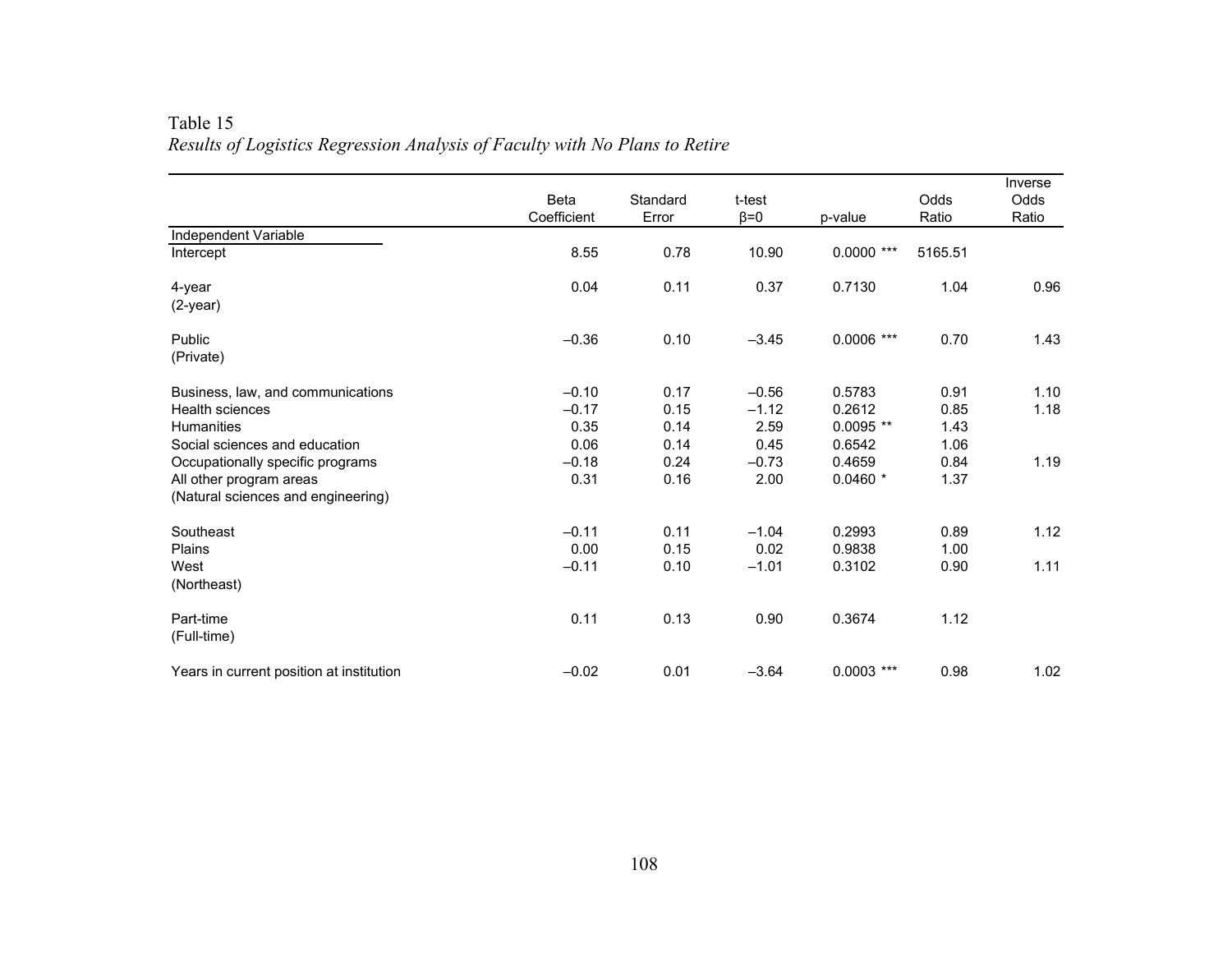| Table 15                                                                    |  |
|-----------------------------------------------------------------------------|--|
| Results of Logistics Regression Analysis of Faculty with No Plans to Retire |  |

|                                          | Beta<br>Coefficient | Standard<br>Error | t-test<br>$\beta = 0$ | p-value      | Odds<br>Ratio | Inverse<br>Odds<br>Ratio |
|------------------------------------------|---------------------|-------------------|-----------------------|--------------|---------------|--------------------------|
| Independent Variable                     |                     |                   |                       |              |               |                          |
| Intercept                                | 8.55                | 0.78              | 10.90                 | $0.0000$ *** | 5165.51       |                          |
| $4$ -year                                | 0.04                | 0.11              | 0.37                  | 0.7130       | 1.04          | 0.96                     |
| $(2-year)$                               |                     |                   |                       |              |               |                          |
| Public                                   | $-0.36$             | 0.10              | $-3.45$               | $0.0006$ *** | 0.70          | 1.43                     |
| (Private)                                |                     |                   |                       |              |               |                          |
| Business, law, and communications        | $-0.10$             | 0.17              | $-0.56$               | 0.5783       | 0.91          | 1.10                     |
| <b>Health sciences</b>                   | $-0.17$             | 0.15              | $-1.12$               | 0.2612       | 0.85          | 1.18                     |
| <b>Humanities</b>                        | 0.35                | 0.14              | 2.59                  | $0.0095**$   | 1.43          |                          |
| Social sciences and education            | 0.06                | 0.14              | 0.45                  | 0.6542       | 1.06          |                          |
| Occupationally specific programs         | $-0.18$             | 0.24              | $-0.73$               | 0.4659       | 0.84          | 1.19                     |
| All other program areas                  | 0.31                | 0.16              | 2.00                  | $0.0460*$    | 1.37          |                          |
| (Natural sciences and engineering)       |                     |                   |                       |              |               |                          |
| Southeast                                | $-0.11$             | 0.11              | $-1.04$               | 0.2993       | 0.89          | 1.12                     |
| <b>Plains</b>                            | 0.00                | 0.15              | 0.02                  | 0.9838       | 1.00          |                          |
| West                                     | $-0.11$             | 0.10              | $-1.01$               | 0.3102       | 0.90          | 1.11                     |
| (Northeast)                              |                     |                   |                       |              |               |                          |
| Part-time                                | 0.11                | 0.13              | 0.90                  | 0.3674       | 1.12          |                          |
| (Full-time)                              |                     |                   |                       |              |               |                          |
| Years in current position at institution | $-0.02$             | 0.01              | $-3.64$               | $0.0003$ *** | 0.98          | 1.02                     |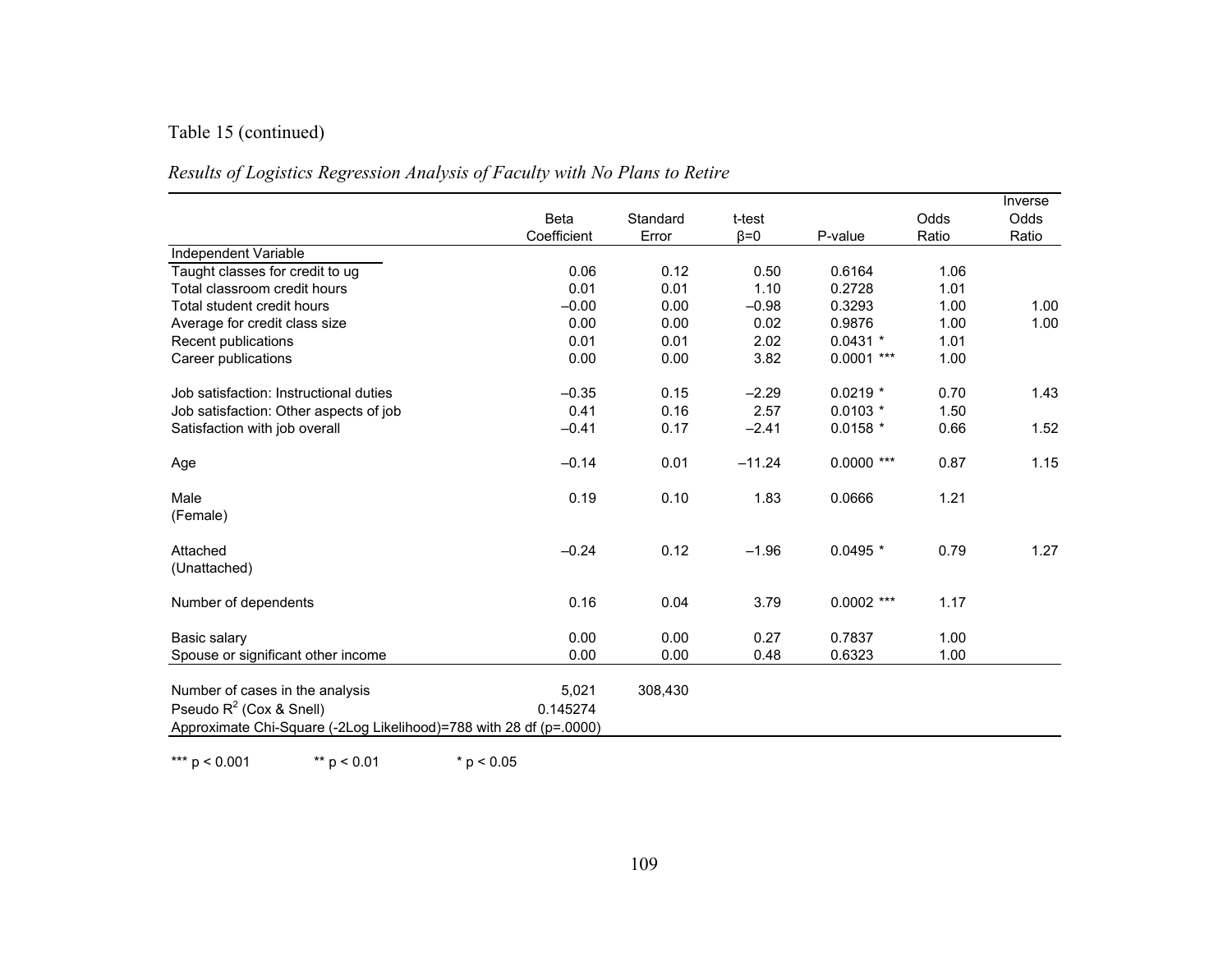# Table 15 (continued)

| Results of Logistics Regression Analysis of Faculty with No Plans to Retire |  |  |
|-----------------------------------------------------------------------------|--|--|
|-----------------------------------------------------------------------------|--|--|

|                                                                    | <b>Beta</b><br>Coefficient | Standard<br>Error | t-test<br>$\beta = 0$ | P-value      | Odds<br>Ratio | Inverse<br><b>Odds</b><br>Ratio |
|--------------------------------------------------------------------|----------------------------|-------------------|-----------------------|--------------|---------------|---------------------------------|
| Independent Variable                                               |                            |                   |                       |              |               |                                 |
| Taught classes for credit to ug                                    | 0.06                       | 0.12              | 0.50                  | 0.6164       | 1.06          |                                 |
| Total classroom credit hours                                       | 0.01                       | 0.01              | 1.10                  | 0.2728       | 1.01          |                                 |
| Total student credit hours                                         | $-0.00$                    | 0.00              | $-0.98$               | 0.3293       | 1.00          | 1.00                            |
| Average for credit class size                                      | 0.00                       | 0.00              | 0.02                  | 0.9876       | 1.00          | 1.00                            |
| Recent publications                                                | 0.01                       | 0.01              | 2.02                  | $0.0431$ *   | 1.01          |                                 |
| Career publications                                                | 0.00                       | 0.00              | 3.82                  | $0.0001$ *** | 1.00          |                                 |
| Job satisfaction: Instructional duties                             | $-0.35$                    | 0.15              | $-2.29$               | $0.0219$ *   | 0.70          | 1.43                            |
| Job satisfaction: Other aspects of job                             | 0.41                       | 0.16              | 2.57                  | $0.0103 *$   | 1.50          |                                 |
| Satisfaction with job overall                                      | $-0.41$                    | 0.17              | $-2.41$               | $0.0158$ *   | 0.66          | 1.52                            |
| Age                                                                | $-0.14$                    | 0.01              | $-11.24$              | $0.0000$ *** | 0.87          | 1.15                            |
| Male<br>(Female)                                                   | 0.19                       | 0.10              | 1.83                  | 0.0666       | 1.21          |                                 |
| Attached<br>(Unattached)                                           | $-0.24$                    | 0.12              | $-1.96$               | $0.0495*$    | 0.79          | 1.27                            |
| Number of dependents                                               | 0.16                       | 0.04              | 3.79                  | $0.0002$ *** | 1.17          |                                 |
| Basic salary                                                       | 0.00                       | 0.00              | 0.27                  | 0.7837       | 1.00          |                                 |
| Spouse or significant other income                                 | 0.00                       | 0.00              | 0.48                  | 0.6323       | 1.00          |                                 |
| Number of cases in the analysis                                    | 5,021                      | 308,430           |                       |              |               |                                 |
| Pseudo $R^2$ (Cox & Snell)                                         | 0.145274                   |                   |                       |              |               |                                 |
| Approximate Chi-Square (-2Log Likelihood)=788 with 28 df (p=.0000) |                            |                   |                       |              |               |                                 |
|                                                                    |                            |                   |                       |              |               |                                 |

\*\*\* p < 0.001 \*\* p < 0.01 \* p < 0.05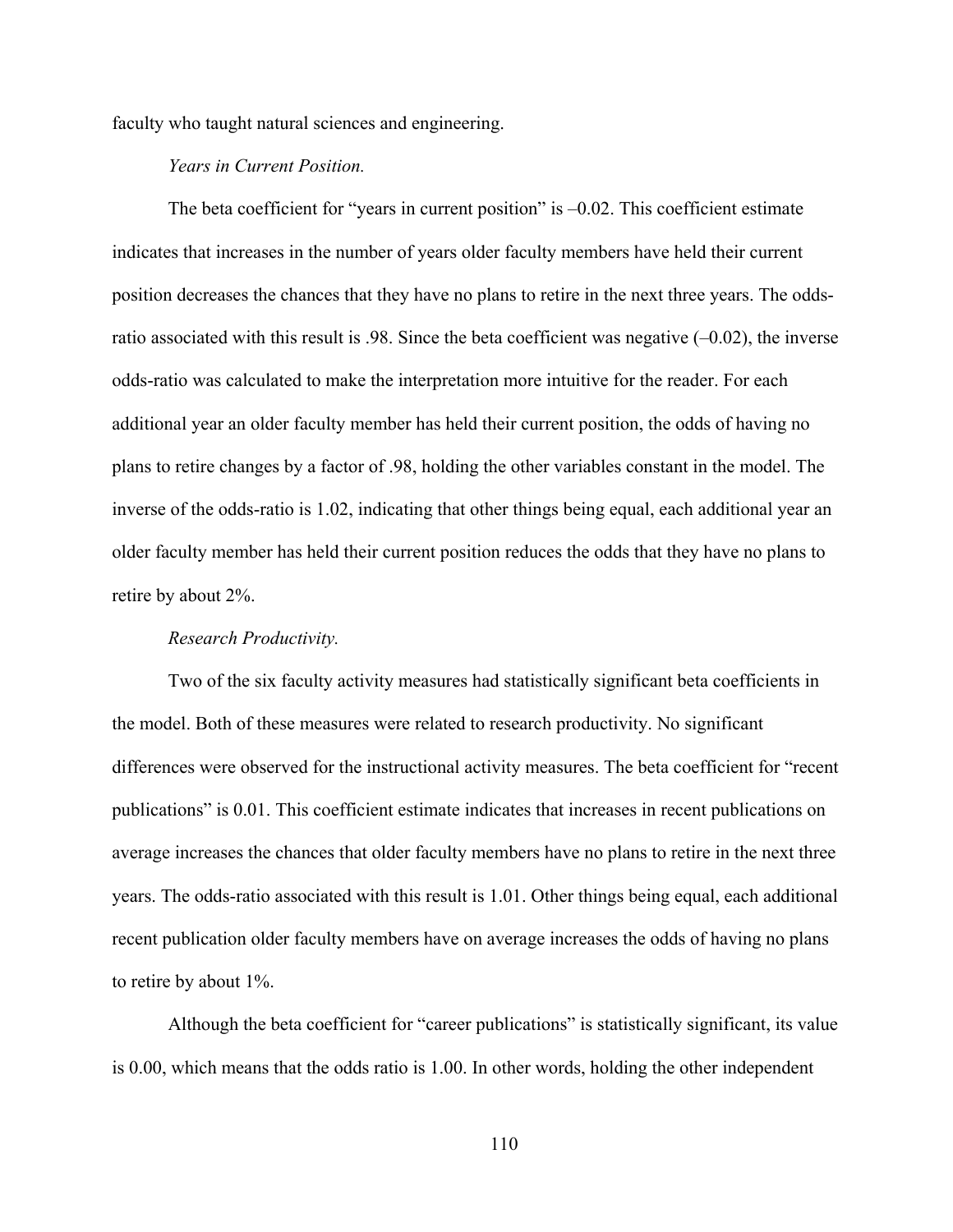faculty who taught natural sciences and engineering.

## *Years in Current Position.*

The beta coefficient for "years in current position" is –0.02. This coefficient estimate indicates that increases in the number of years older faculty members have held their current position decreases the chances that they have no plans to retire in the next three years. The oddsratio associated with this result is .98. Since the beta coefficient was negative  $(-0.02)$ , the inverse odds-ratio was calculated to make the interpretation more intuitive for the reader. For each additional year an older faculty member has held their current position, the odds of having no plans to retire changes by a factor of .98, holding the other variables constant in the model. The inverse of the odds-ratio is 1.02, indicating that other things being equal, each additional year an older faculty member has held their current position reduces the odds that they have no plans to retire by about 2%.

## *Research Productivity.*

Two of the six faculty activity measures had statistically significant beta coefficients in the model. Both of these measures were related to research productivity. No significant differences were observed for the instructional activity measures. The beta coefficient for "recent publications" is 0.01. This coefficient estimate indicates that increases in recent publications on average increases the chances that older faculty members have no plans to retire in the next three years. The odds-ratio associated with this result is 1.01. Other things being equal, each additional recent publication older faculty members have on average increases the odds of having no plans to retire by about 1%.

Although the beta coefficient for "career publications" is statistically significant, its value is 0.00, which means that the odds ratio is 1.00. In other words, holding the other independent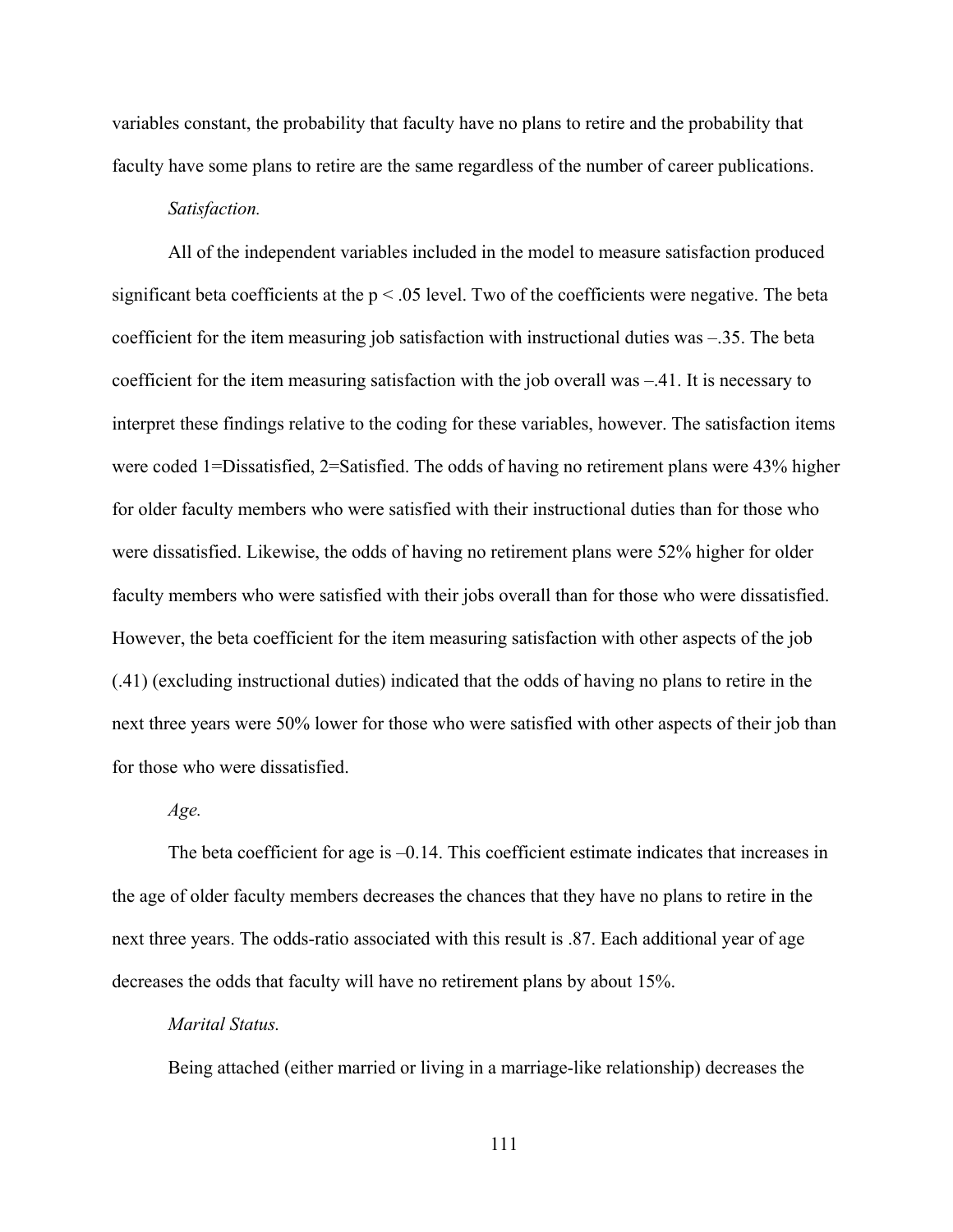variables constant, the probability that faculty have no plans to retire and the probability that faculty have some plans to retire are the same regardless of the number of career publications.

#### *Satisfaction.*

All of the independent variables included in the model to measure satisfaction produced significant beta coefficients at the  $p < .05$  level. Two of the coefficients were negative. The beta coefficient for the item measuring job satisfaction with instructional duties was –.35. The beta coefficient for the item measuring satisfaction with the job overall was –.41. It is necessary to interpret these findings relative to the coding for these variables, however. The satisfaction items were coded 1=Dissatisfied, 2=Satisfied. The odds of having no retirement plans were 43% higher for older faculty members who were satisfied with their instructional duties than for those who were dissatisfied. Likewise, the odds of having no retirement plans were 52% higher for older faculty members who were satisfied with their jobs overall than for those who were dissatisfied. However, the beta coefficient for the item measuring satisfaction with other aspects of the job (.41) (excluding instructional duties) indicated that the odds of having no plans to retire in the next three years were 50% lower for those who were satisfied with other aspects of their job than for those who were dissatisfied.

#### *Age.*

The beta coefficient for age is –0.14. This coefficient estimate indicates that increases in the age of older faculty members decreases the chances that they have no plans to retire in the next three years. The odds-ratio associated with this result is .87. Each additional year of age decreases the odds that faculty will have no retirement plans by about 15%.

## *Marital Status.*

Being attached (either married or living in a marriage-like relationship) decreases the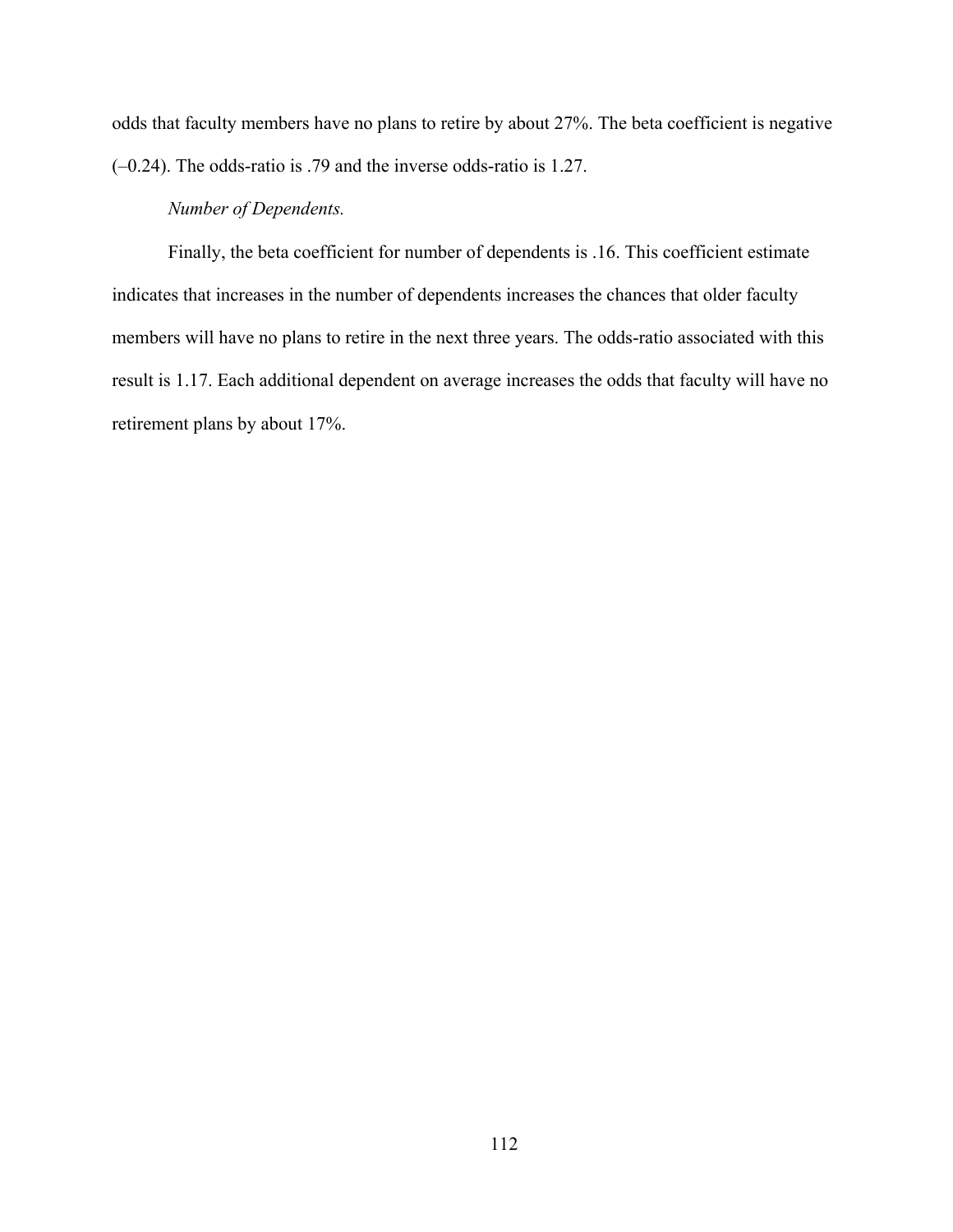odds that faculty members have no plans to retire by about 27%. The beta coefficient is negative (–0.24). The odds-ratio is .79 and the inverse odds-ratio is 1.27.

## *Number of Dependents.*

Finally, the beta coefficient for number of dependents is .16. This coefficient estimate indicates that increases in the number of dependents increases the chances that older faculty members will have no plans to retire in the next three years. The odds-ratio associated with this result is 1.17. Each additional dependent on average increases the odds that faculty will have no retirement plans by about 17%.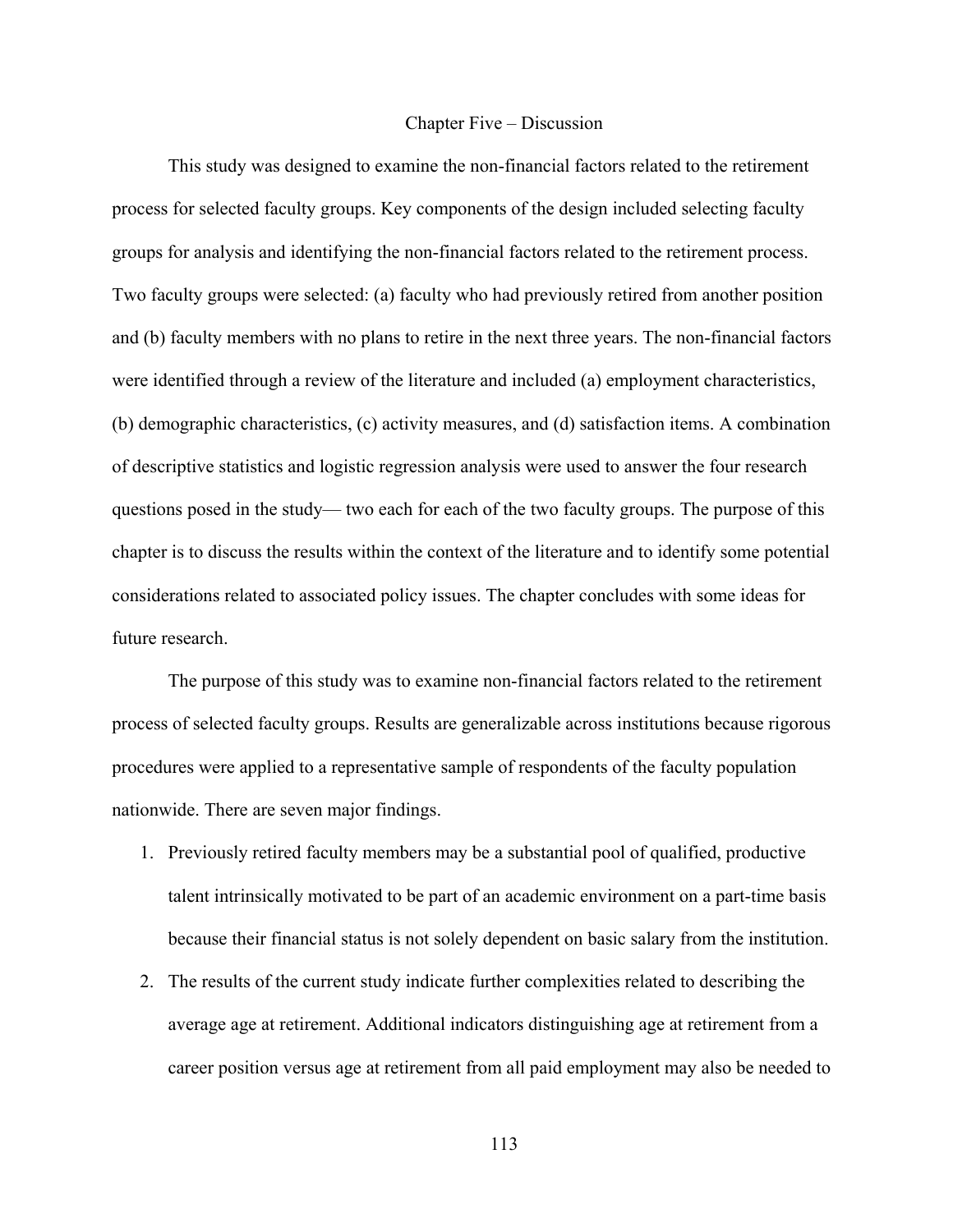#### Chapter Five – Discussion

This study was designed to examine the non-financial factors related to the retirement process for selected faculty groups. Key components of the design included selecting faculty groups for analysis and identifying the non-financial factors related to the retirement process. Two faculty groups were selected: (a) faculty who had previously retired from another position and (b) faculty members with no plans to retire in the next three years. The non-financial factors were identified through a review of the literature and included (a) employment characteristics, (b) demographic characteristics, (c) activity measures, and (d) satisfaction items. A combination of descriptive statistics and logistic regression analysis were used to answer the four research questions posed in the study— two each for each of the two faculty groups. The purpose of this chapter is to discuss the results within the context of the literature and to identify some potential considerations related to associated policy issues. The chapter concludes with some ideas for future research.

The purpose of this study was to examine non-financial factors related to the retirement process of selected faculty groups. Results are generalizable across institutions because rigorous procedures were applied to a representative sample of respondents of the faculty population nationwide. There are seven major findings.

- 1. Previously retired faculty members may be a substantial pool of qualified, productive talent intrinsically motivated to be part of an academic environment on a part-time basis because their financial status is not solely dependent on basic salary from the institution.
- 2. The results of the current study indicate further complexities related to describing the average age at retirement. Additional indicators distinguishing age at retirement from a career position versus age at retirement from all paid employment may also be needed to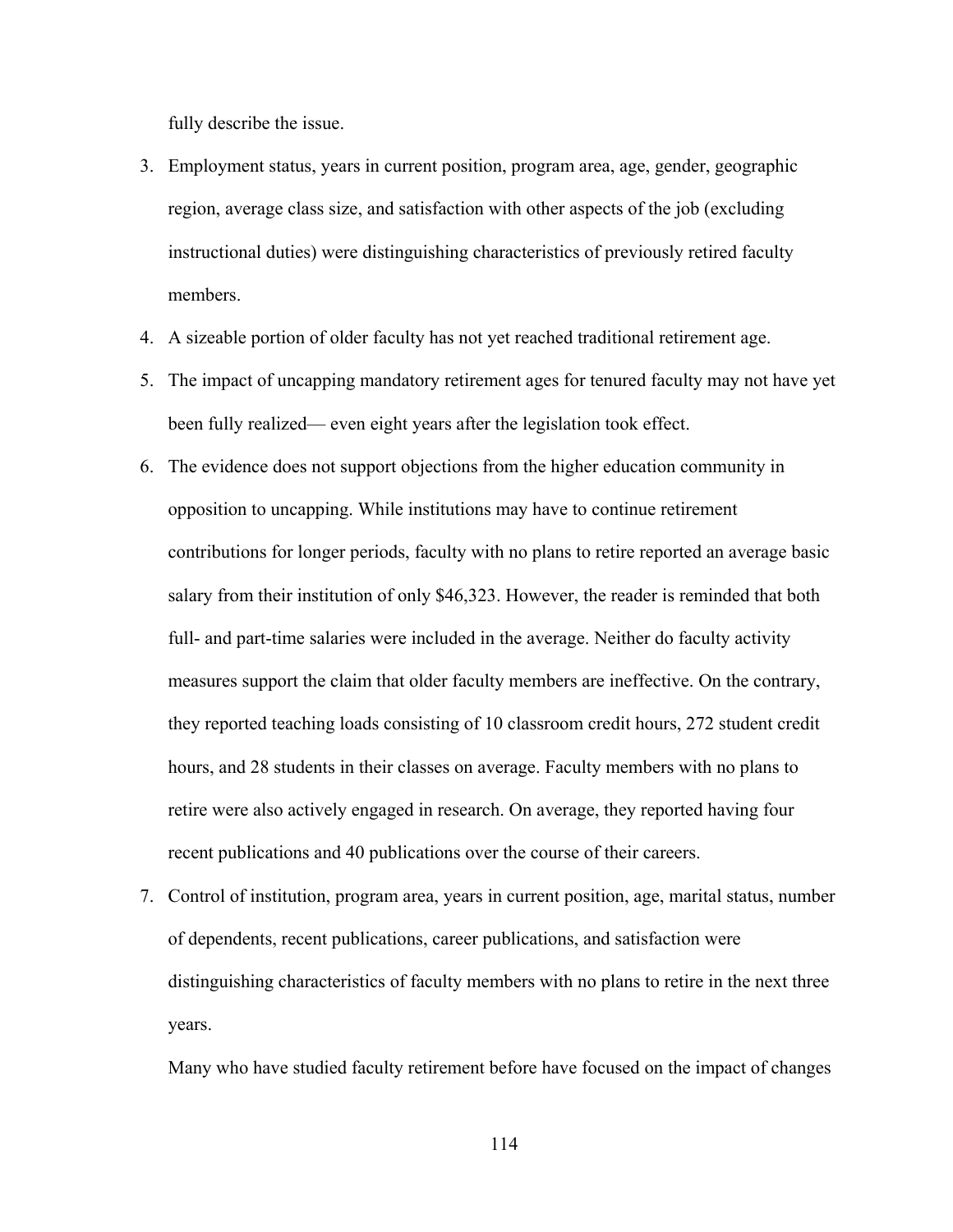fully describe the issue.

- 3. Employment status, years in current position, program area, age, gender, geographic region, average class size, and satisfaction with other aspects of the job (excluding instructional duties) were distinguishing characteristics of previously retired faculty members.
- 4. A sizeable portion of older faculty has not yet reached traditional retirement age.
- 5. The impact of uncapping mandatory retirement ages for tenured faculty may not have yet been fully realized— even eight years after the legislation took effect.
- 6. The evidence does not support objections from the higher education community in opposition to uncapping. While institutions may have to continue retirement contributions for longer periods, faculty with no plans to retire reported an average basic salary from their institution of only \$46,323. However, the reader is reminded that both full- and part-time salaries were included in the average. Neither do faculty activity measures support the claim that older faculty members are ineffective. On the contrary, they reported teaching loads consisting of 10 classroom credit hours, 272 student credit hours, and 28 students in their classes on average. Faculty members with no plans to retire were also actively engaged in research. On average, they reported having four recent publications and 40 publications over the course of their careers.
- 7. Control of institution, program area, years in current position, age, marital status, number of dependents, recent publications, career publications, and satisfaction were distinguishing characteristics of faculty members with no plans to retire in the next three years.

Many who have studied faculty retirement before have focused on the impact of changes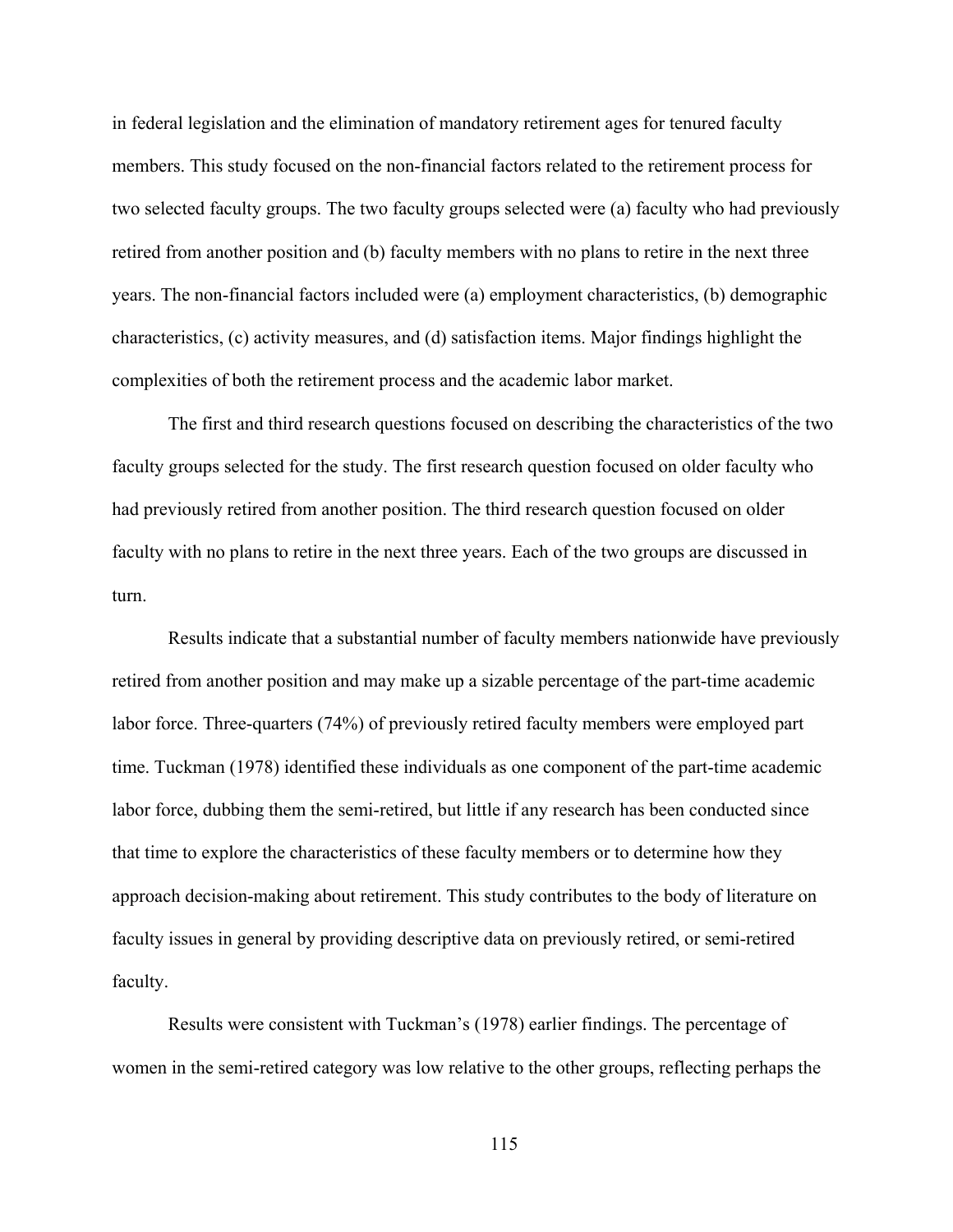in federal legislation and the elimination of mandatory retirement ages for tenured faculty members. This study focused on the non-financial factors related to the retirement process for two selected faculty groups. The two faculty groups selected were (a) faculty who had previously retired from another position and (b) faculty members with no plans to retire in the next three years. The non-financial factors included were (a) employment characteristics, (b) demographic characteristics, (c) activity measures, and (d) satisfaction items. Major findings highlight the complexities of both the retirement process and the academic labor market.

The first and third research questions focused on describing the characteristics of the two faculty groups selected for the study. The first research question focused on older faculty who had previously retired from another position. The third research question focused on older faculty with no plans to retire in the next three years. Each of the two groups are discussed in turn.

Results indicate that a substantial number of faculty members nationwide have previously retired from another position and may make up a sizable percentage of the part-time academic labor force. Three-quarters (74%) of previously retired faculty members were employed part time. Tuckman (1978) identified these individuals as one component of the part-time academic labor force, dubbing them the semi-retired, but little if any research has been conducted since that time to explore the characteristics of these faculty members or to determine how they approach decision-making about retirement. This study contributes to the body of literature on faculty issues in general by providing descriptive data on previously retired, or semi-retired faculty.

Results were consistent with Tuckman's (1978) earlier findings. The percentage of women in the semi-retired category was low relative to the other groups, reflecting perhaps the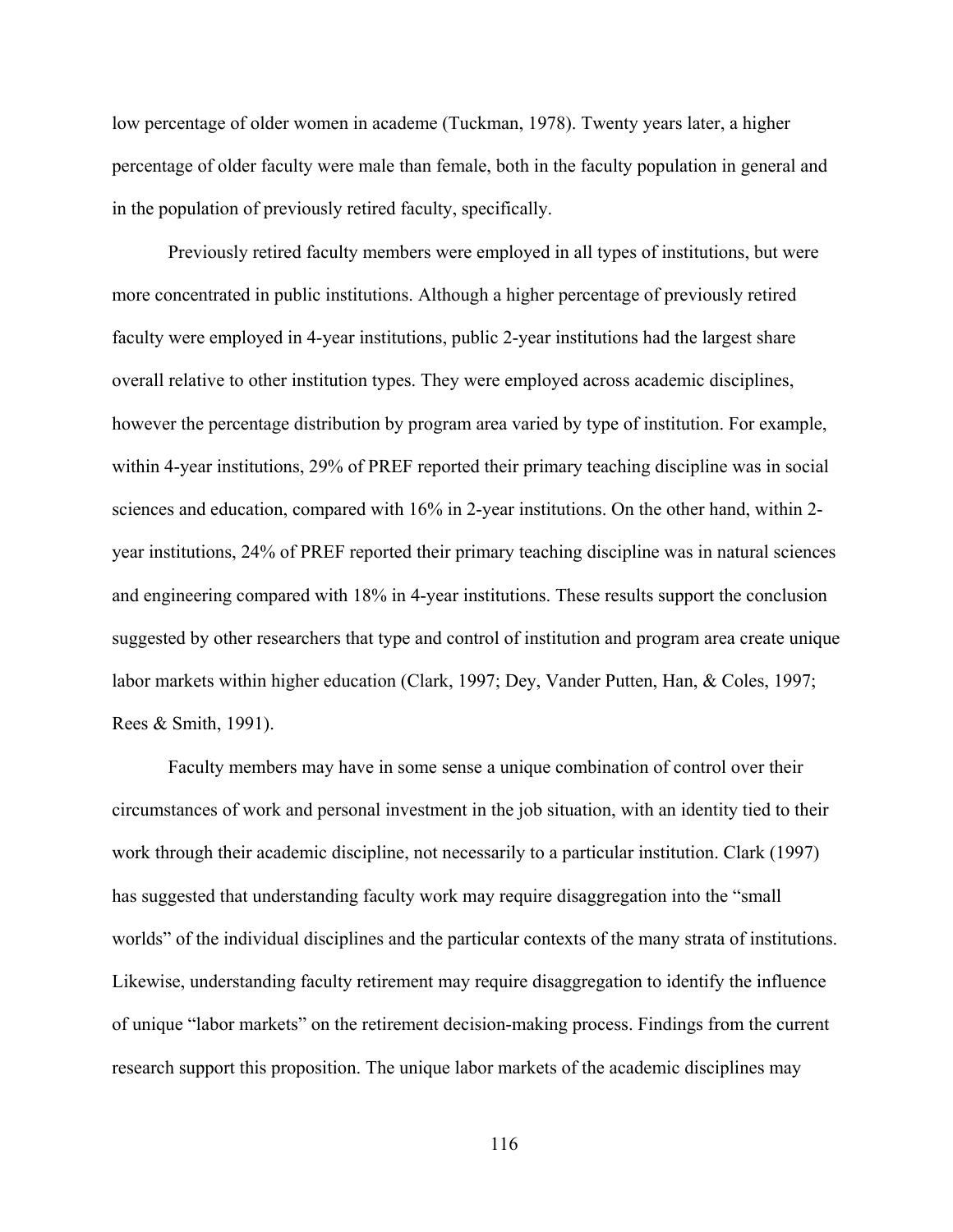low percentage of older women in academe (Tuckman, 1978). Twenty years later, a higher percentage of older faculty were male than female, both in the faculty population in general and in the population of previously retired faculty, specifically.

Previously retired faculty members were employed in all types of institutions, but were more concentrated in public institutions. Although a higher percentage of previously retired faculty were employed in 4-year institutions, public 2-year institutions had the largest share overall relative to other institution types. They were employed across academic disciplines, however the percentage distribution by program area varied by type of institution. For example, within 4-year institutions, 29% of PREF reported their primary teaching discipline was in social sciences and education, compared with 16% in 2-year institutions. On the other hand, within 2 year institutions, 24% of PREF reported their primary teaching discipline was in natural sciences and engineering compared with 18% in 4-year institutions. These results support the conclusion suggested by other researchers that type and control of institution and program area create unique labor markets within higher education (Clark, 1997; Dey, Vander Putten, Han, & Coles, 1997; Rees & Smith, 1991).

Faculty members may have in some sense a unique combination of control over their circumstances of work and personal investment in the job situation, with an identity tied to their work through their academic discipline, not necessarily to a particular institution. Clark (1997) has suggested that understanding faculty work may require disaggregation into the "small worlds" of the individual disciplines and the particular contexts of the many strata of institutions. Likewise, understanding faculty retirement may require disaggregation to identify the influence of unique "labor markets" on the retirement decision-making process. Findings from the current research support this proposition. The unique labor markets of the academic disciplines may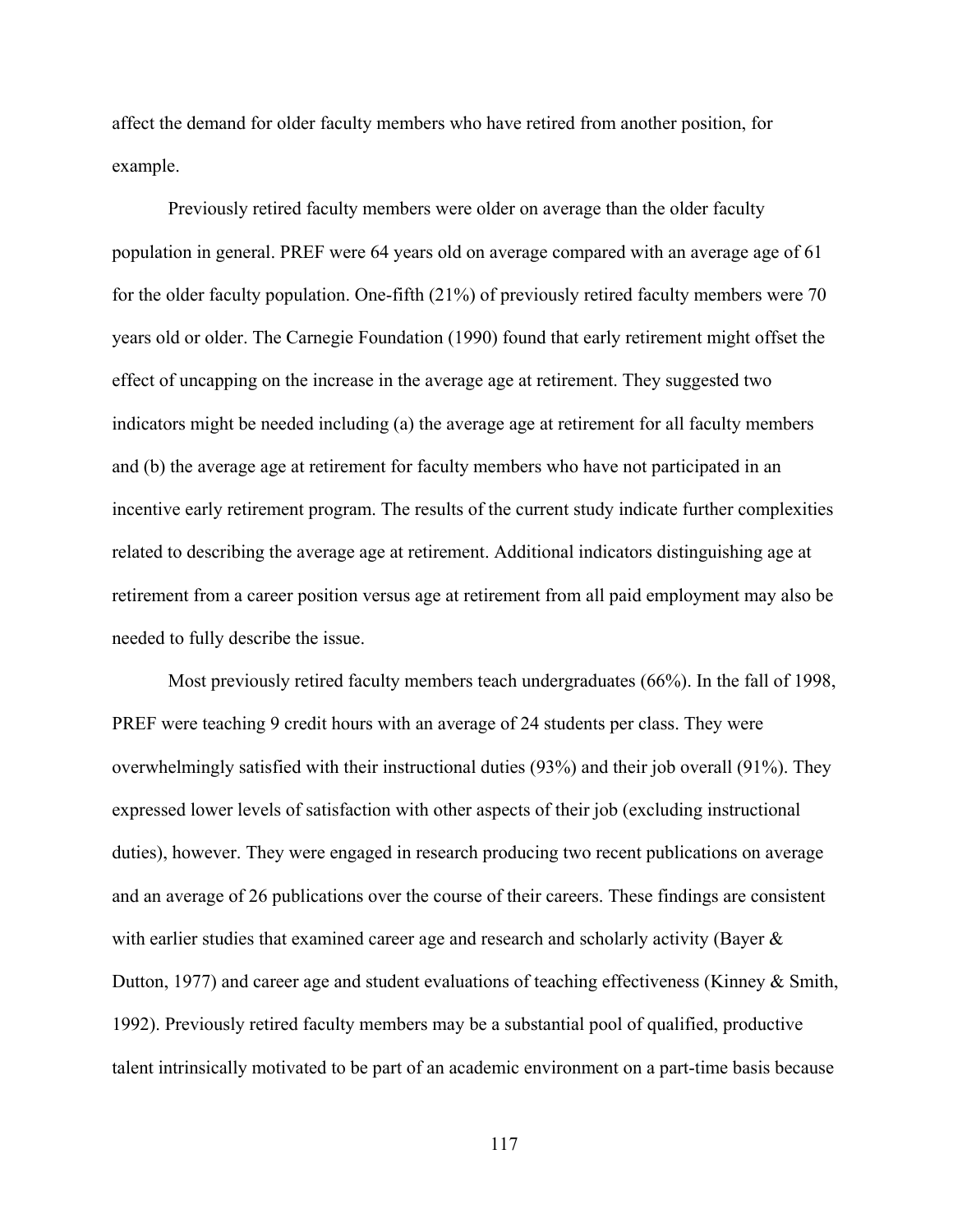affect the demand for older faculty members who have retired from another position, for example.

Previously retired faculty members were older on average than the older faculty population in general. PREF were 64 years old on average compared with an average age of 61 for the older faculty population. One-fifth (21%) of previously retired faculty members were 70 years old or older. The Carnegie Foundation (1990) found that early retirement might offset the effect of uncapping on the increase in the average age at retirement. They suggested two indicators might be needed including (a) the average age at retirement for all faculty members and (b) the average age at retirement for faculty members who have not participated in an incentive early retirement program. The results of the current study indicate further complexities related to describing the average age at retirement. Additional indicators distinguishing age at retirement from a career position versus age at retirement from all paid employment may also be needed to fully describe the issue.

Most previously retired faculty members teach undergraduates (66%). In the fall of 1998, PREF were teaching 9 credit hours with an average of 24 students per class. They were overwhelmingly satisfied with their instructional duties (93%) and their job overall (91%). They expressed lower levels of satisfaction with other aspects of their job (excluding instructional duties), however. They were engaged in research producing two recent publications on average and an average of 26 publications over the course of their careers. These findings are consistent with earlier studies that examined career age and research and scholarly activity (Bayer & Dutton, 1977) and career age and student evaluations of teaching effectiveness (Kinney & Smith, 1992). Previously retired faculty members may be a substantial pool of qualified, productive talent intrinsically motivated to be part of an academic environment on a part-time basis because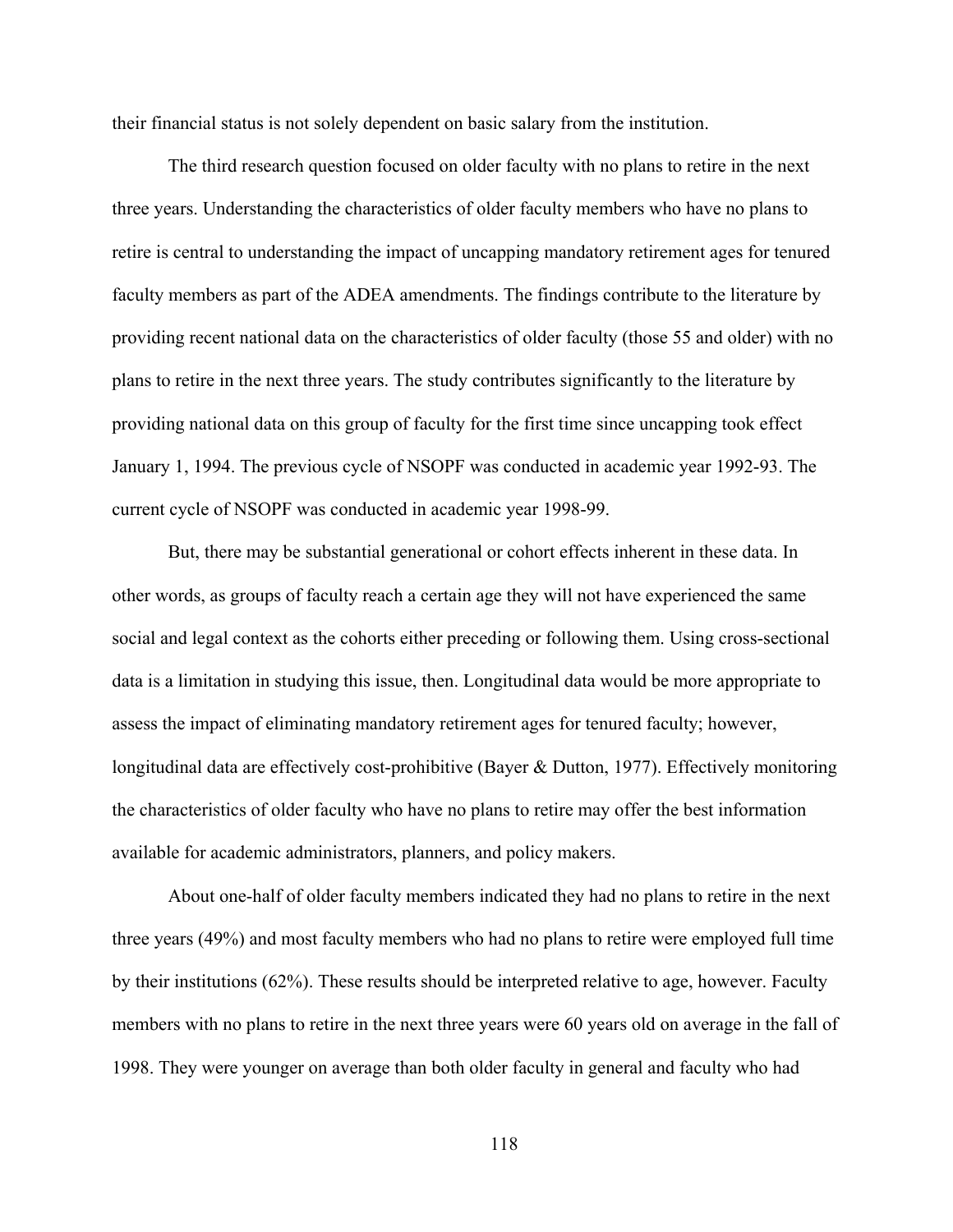their financial status is not solely dependent on basic salary from the institution.

The third research question focused on older faculty with no plans to retire in the next three years. Understanding the characteristics of older faculty members who have no plans to retire is central to understanding the impact of uncapping mandatory retirement ages for tenured faculty members as part of the ADEA amendments. The findings contribute to the literature by providing recent national data on the characteristics of older faculty (those 55 and older) with no plans to retire in the next three years. The study contributes significantly to the literature by providing national data on this group of faculty for the first time since uncapping took effect January 1, 1994. The previous cycle of NSOPF was conducted in academic year 1992-93. The current cycle of NSOPF was conducted in academic year 1998-99.

But, there may be substantial generational or cohort effects inherent in these data. In other words, as groups of faculty reach a certain age they will not have experienced the same social and legal context as the cohorts either preceding or following them. Using cross-sectional data is a limitation in studying this issue, then. Longitudinal data would be more appropriate to assess the impact of eliminating mandatory retirement ages for tenured faculty; however, longitudinal data are effectively cost-prohibitive (Bayer & Dutton, 1977). Effectively monitoring the characteristics of older faculty who have no plans to retire may offer the best information available for academic administrators, planners, and policy makers.

About one-half of older faculty members indicated they had no plans to retire in the next three years (49%) and most faculty members who had no plans to retire were employed full time by their institutions (62%). These results should be interpreted relative to age, however. Faculty members with no plans to retire in the next three years were 60 years old on average in the fall of 1998. They were younger on average than both older faculty in general and faculty who had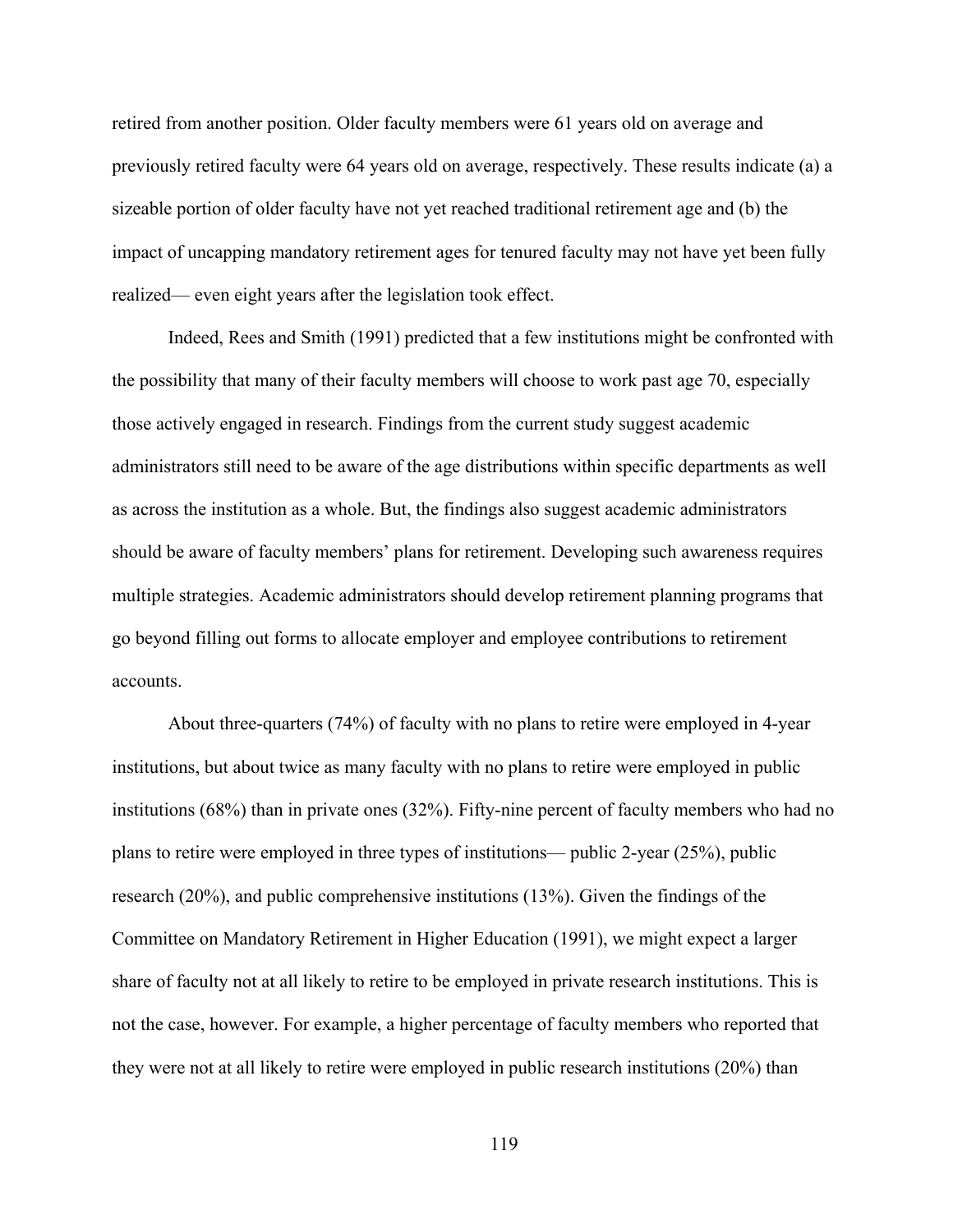retired from another position. Older faculty members were 61 years old on average and previously retired faculty were 64 years old on average, respectively. These results indicate (a) a sizeable portion of older faculty have not yet reached traditional retirement age and (b) the impact of uncapping mandatory retirement ages for tenured faculty may not have yet been fully realized— even eight years after the legislation took effect.

Indeed, Rees and Smith (1991) predicted that a few institutions might be confronted with the possibility that many of their faculty members will choose to work past age 70, especially those actively engaged in research. Findings from the current study suggest academic administrators still need to be aware of the age distributions within specific departments as well as across the institution as a whole. But, the findings also suggest academic administrators should be aware of faculty members' plans for retirement. Developing such awareness requires multiple strategies. Academic administrators should develop retirement planning programs that go beyond filling out forms to allocate employer and employee contributions to retirement accounts.

About three-quarters (74%) of faculty with no plans to retire were employed in 4-year institutions, but about twice as many faculty with no plans to retire were employed in public institutions (68%) than in private ones (32%). Fifty-nine percent of faculty members who had no plans to retire were employed in three types of institutions— public 2-year (25%), public research (20%), and public comprehensive institutions (13%). Given the findings of the Committee on Mandatory Retirement in Higher Education (1991), we might expect a larger share of faculty not at all likely to retire to be employed in private research institutions. This is not the case, however. For example, a higher percentage of faculty members who reported that they were not at all likely to retire were employed in public research institutions (20%) than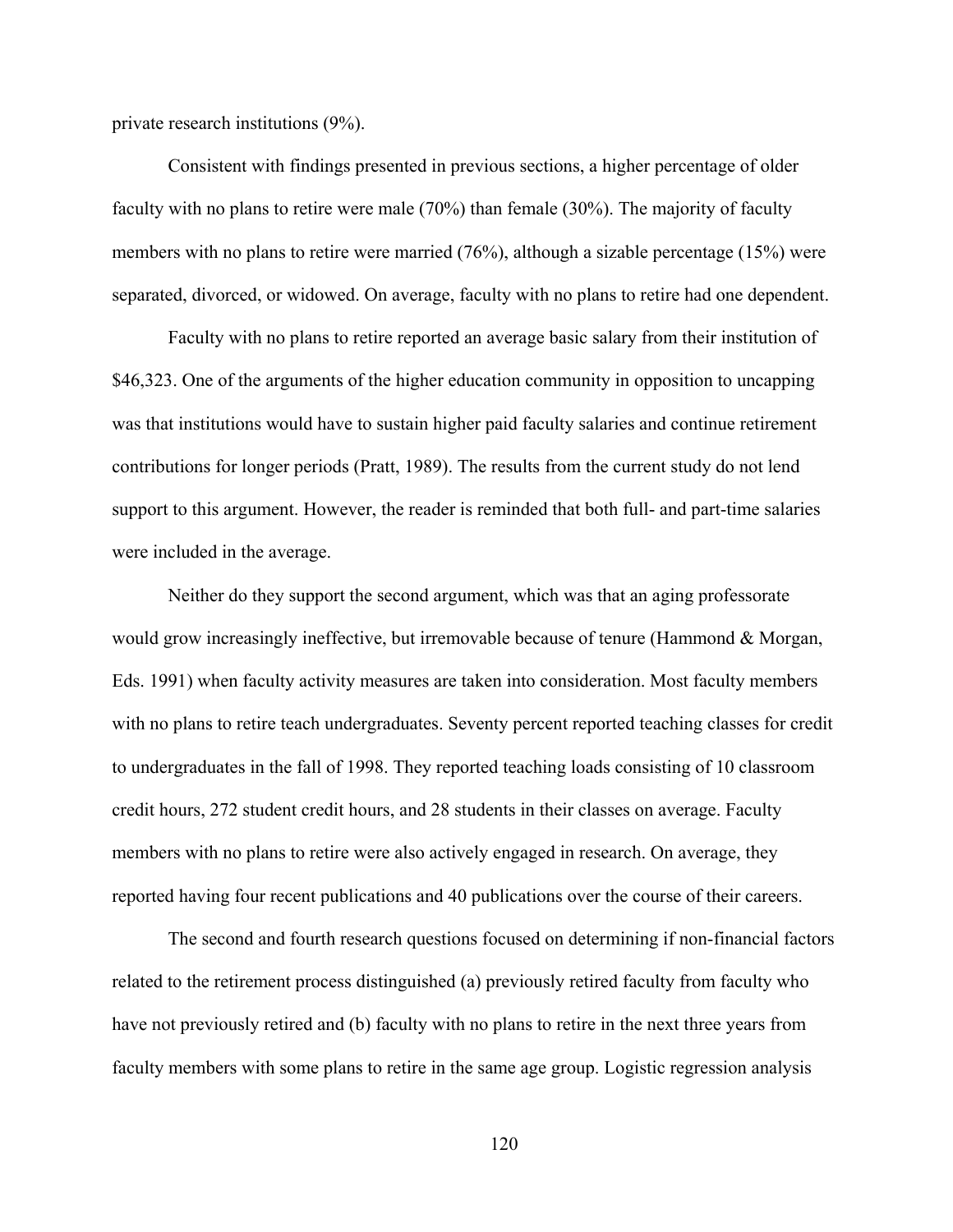private research institutions (9%).

Consistent with findings presented in previous sections, a higher percentage of older faculty with no plans to retire were male (70%) than female (30%). The majority of faculty members with no plans to retire were married (76%), although a sizable percentage (15%) were separated, divorced, or widowed. On average, faculty with no plans to retire had one dependent.

Faculty with no plans to retire reported an average basic salary from their institution of \$46,323. One of the arguments of the higher education community in opposition to uncapping was that institutions would have to sustain higher paid faculty salaries and continue retirement contributions for longer periods (Pratt, 1989). The results from the current study do not lend support to this argument. However, the reader is reminded that both full- and part-time salaries were included in the average.

Neither do they support the second argument, which was that an aging professorate would grow increasingly ineffective, but irremovable because of tenure (Hammond & Morgan, Eds. 1991) when faculty activity measures are taken into consideration. Most faculty members with no plans to retire teach undergraduates. Seventy percent reported teaching classes for credit to undergraduates in the fall of 1998. They reported teaching loads consisting of 10 classroom credit hours, 272 student credit hours, and 28 students in their classes on average. Faculty members with no plans to retire were also actively engaged in research. On average, they reported having four recent publications and 40 publications over the course of their careers.

The second and fourth research questions focused on determining if non-financial factors related to the retirement process distinguished (a) previously retired faculty from faculty who have not previously retired and (b) faculty with no plans to retire in the next three years from faculty members with some plans to retire in the same age group. Logistic regression analysis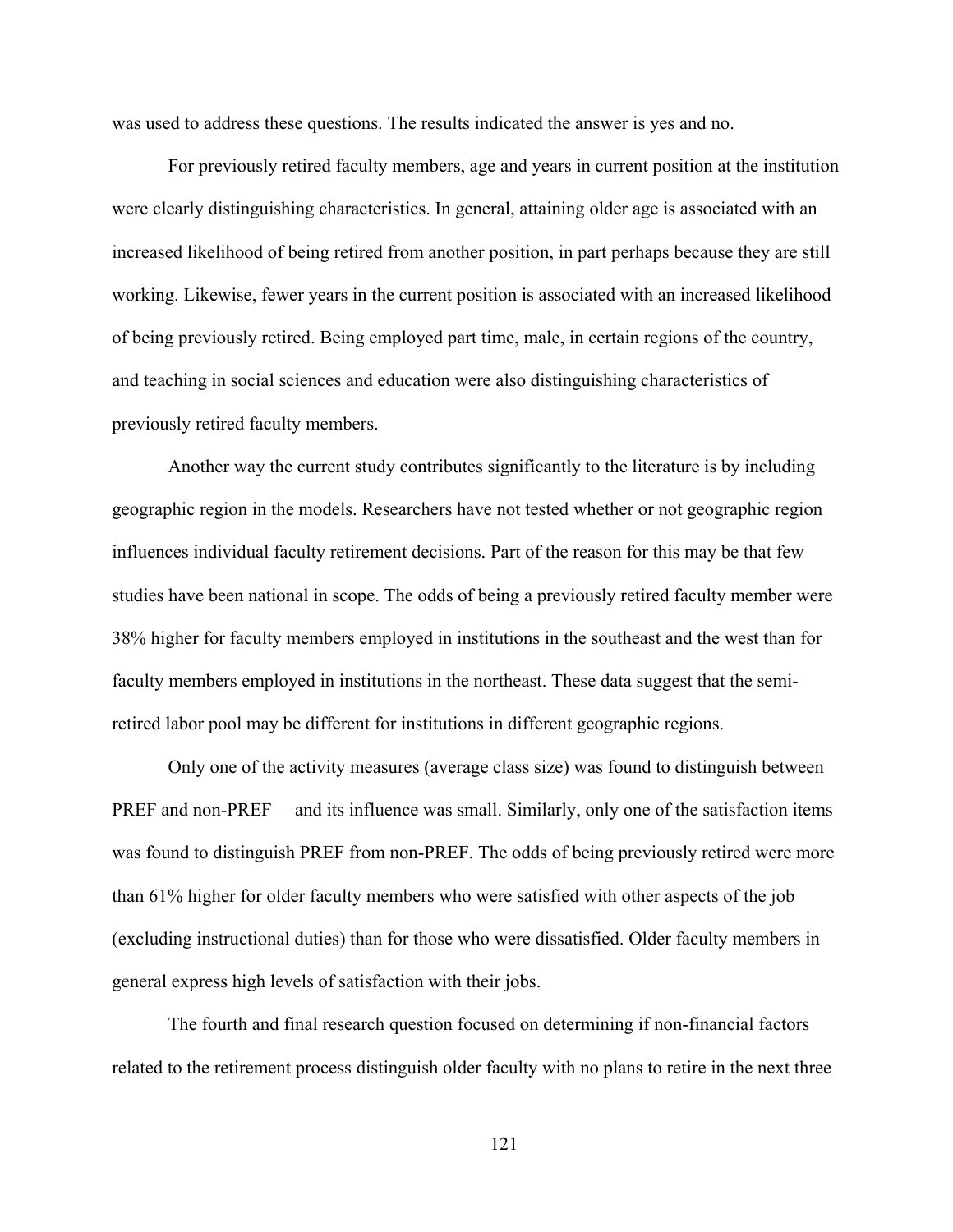was used to address these questions. The results indicated the answer is yes and no.

For previously retired faculty members, age and years in current position at the institution were clearly distinguishing characteristics. In general, attaining older age is associated with an increased likelihood of being retired from another position, in part perhaps because they are still working. Likewise, fewer years in the current position is associated with an increased likelihood of being previously retired. Being employed part time, male, in certain regions of the country, and teaching in social sciences and education were also distinguishing characteristics of previously retired faculty members.

Another way the current study contributes significantly to the literature is by including geographic region in the models. Researchers have not tested whether or not geographic region influences individual faculty retirement decisions. Part of the reason for this may be that few studies have been national in scope. The odds of being a previously retired faculty member were 38% higher for faculty members employed in institutions in the southeast and the west than for faculty members employed in institutions in the northeast. These data suggest that the semiretired labor pool may be different for institutions in different geographic regions.

Only one of the activity measures (average class size) was found to distinguish between PREF and non-PREF— and its influence was small. Similarly, only one of the satisfaction items was found to distinguish PREF from non-PREF. The odds of being previously retired were more than 61% higher for older faculty members who were satisfied with other aspects of the job (excluding instructional duties) than for those who were dissatisfied. Older faculty members in general express high levels of satisfaction with their jobs.

The fourth and final research question focused on determining if non-financial factors related to the retirement process distinguish older faculty with no plans to retire in the next three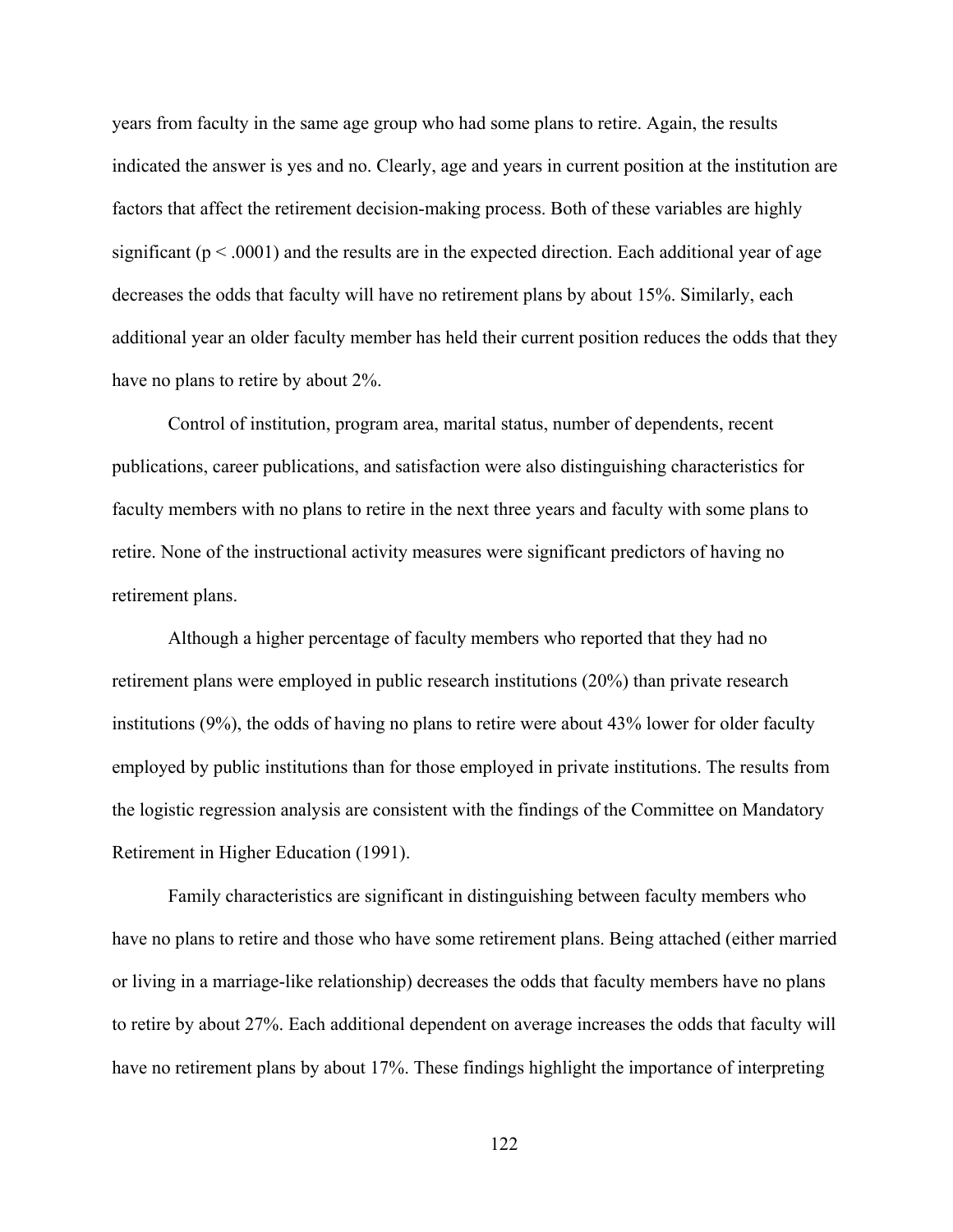years from faculty in the same age group who had some plans to retire. Again, the results indicated the answer is yes and no. Clearly, age and years in current position at the institution are factors that affect the retirement decision-making process. Both of these variables are highly significant ( $p < .0001$ ) and the results are in the expected direction. Each additional year of age decreases the odds that faculty will have no retirement plans by about 15%. Similarly, each additional year an older faculty member has held their current position reduces the odds that they have no plans to retire by about 2%.

Control of institution, program area, marital status, number of dependents, recent publications, career publications, and satisfaction were also distinguishing characteristics for faculty members with no plans to retire in the next three years and faculty with some plans to retire. None of the instructional activity measures were significant predictors of having no retirement plans.

Although a higher percentage of faculty members who reported that they had no retirement plans were employed in public research institutions (20%) than private research institutions (9%), the odds of having no plans to retire were about 43% lower for older faculty employed by public institutions than for those employed in private institutions. The results from the logistic regression analysis are consistent with the findings of the Committee on Mandatory Retirement in Higher Education (1991).

Family characteristics are significant in distinguishing between faculty members who have no plans to retire and those who have some retirement plans. Being attached (either married or living in a marriage-like relationship) decreases the odds that faculty members have no plans to retire by about 27%. Each additional dependent on average increases the odds that faculty will have no retirement plans by about 17%. These findings highlight the importance of interpreting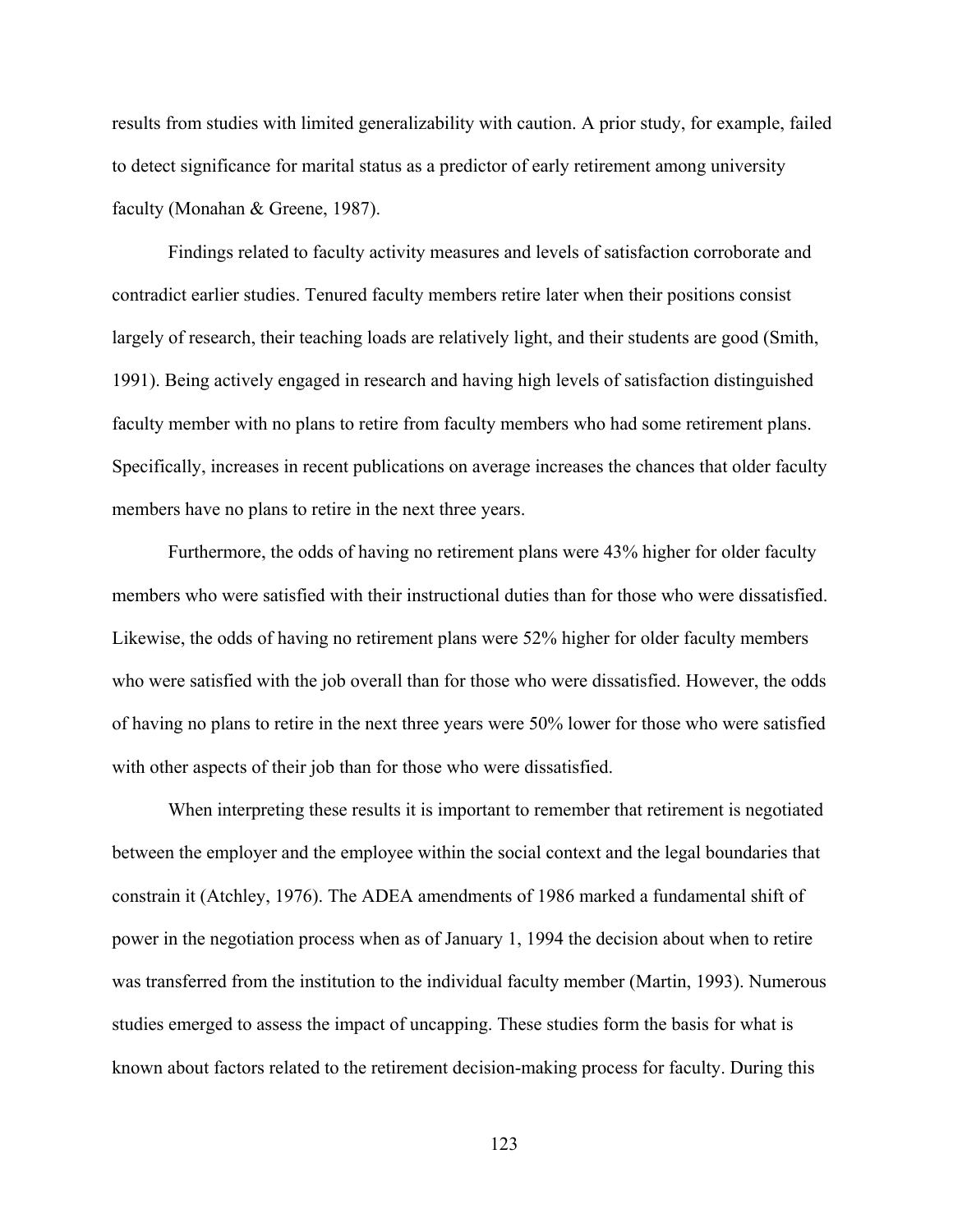results from studies with limited generalizability with caution. A prior study, for example, failed to detect significance for marital status as a predictor of early retirement among university faculty (Monahan & Greene, 1987).

Findings related to faculty activity measures and levels of satisfaction corroborate and contradict earlier studies. Tenured faculty members retire later when their positions consist largely of research, their teaching loads are relatively light, and their students are good (Smith, 1991). Being actively engaged in research and having high levels of satisfaction distinguished faculty member with no plans to retire from faculty members who had some retirement plans. Specifically, increases in recent publications on average increases the chances that older faculty members have no plans to retire in the next three years.

Furthermore, the odds of having no retirement plans were 43% higher for older faculty members who were satisfied with their instructional duties than for those who were dissatisfied. Likewise, the odds of having no retirement plans were 52% higher for older faculty members who were satisfied with the job overall than for those who were dissatisfied. However, the odds of having no plans to retire in the next three years were 50% lower for those who were satisfied with other aspects of their job than for those who were dissatisfied.

When interpreting these results it is important to remember that retirement is negotiated between the employer and the employee within the social context and the legal boundaries that constrain it (Atchley, 1976). The ADEA amendments of 1986 marked a fundamental shift of power in the negotiation process when as of January 1, 1994 the decision about when to retire was transferred from the institution to the individual faculty member (Martin, 1993). Numerous studies emerged to assess the impact of uncapping. These studies form the basis for what is known about factors related to the retirement decision-making process for faculty. During this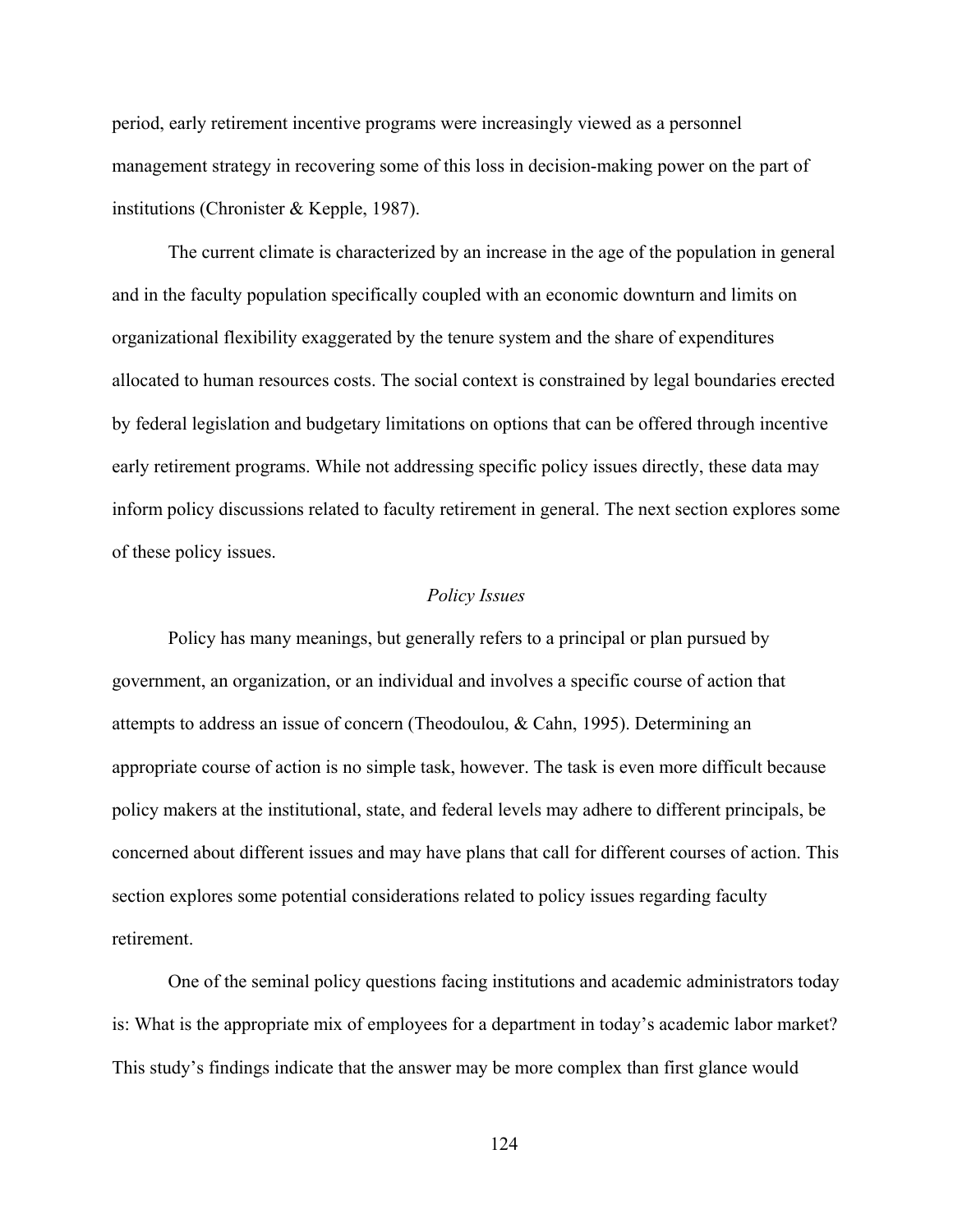period, early retirement incentive programs were increasingly viewed as a personnel management strategy in recovering some of this loss in decision-making power on the part of institutions (Chronister & Kepple, 1987).

The current climate is characterized by an increase in the age of the population in general and in the faculty population specifically coupled with an economic downturn and limits on organizational flexibility exaggerated by the tenure system and the share of expenditures allocated to human resources costs. The social context is constrained by legal boundaries erected by federal legislation and budgetary limitations on options that can be offered through incentive early retirement programs. While not addressing specific policy issues directly, these data may inform policy discussions related to faculty retirement in general. The next section explores some of these policy issues.

#### *Policy Issues*

Policy has many meanings, but generally refers to a principal or plan pursued by government, an organization, or an individual and involves a specific course of action that attempts to address an issue of concern (Theodoulou, & Cahn, 1995). Determining an appropriate course of action is no simple task, however. The task is even more difficult because policy makers at the institutional, state, and federal levels may adhere to different principals, be concerned about different issues and may have plans that call for different courses of action. This section explores some potential considerations related to policy issues regarding faculty retirement.

One of the seminal policy questions facing institutions and academic administrators today is: What is the appropriate mix of employees for a department in today's academic labor market? This study's findings indicate that the answer may be more complex than first glance would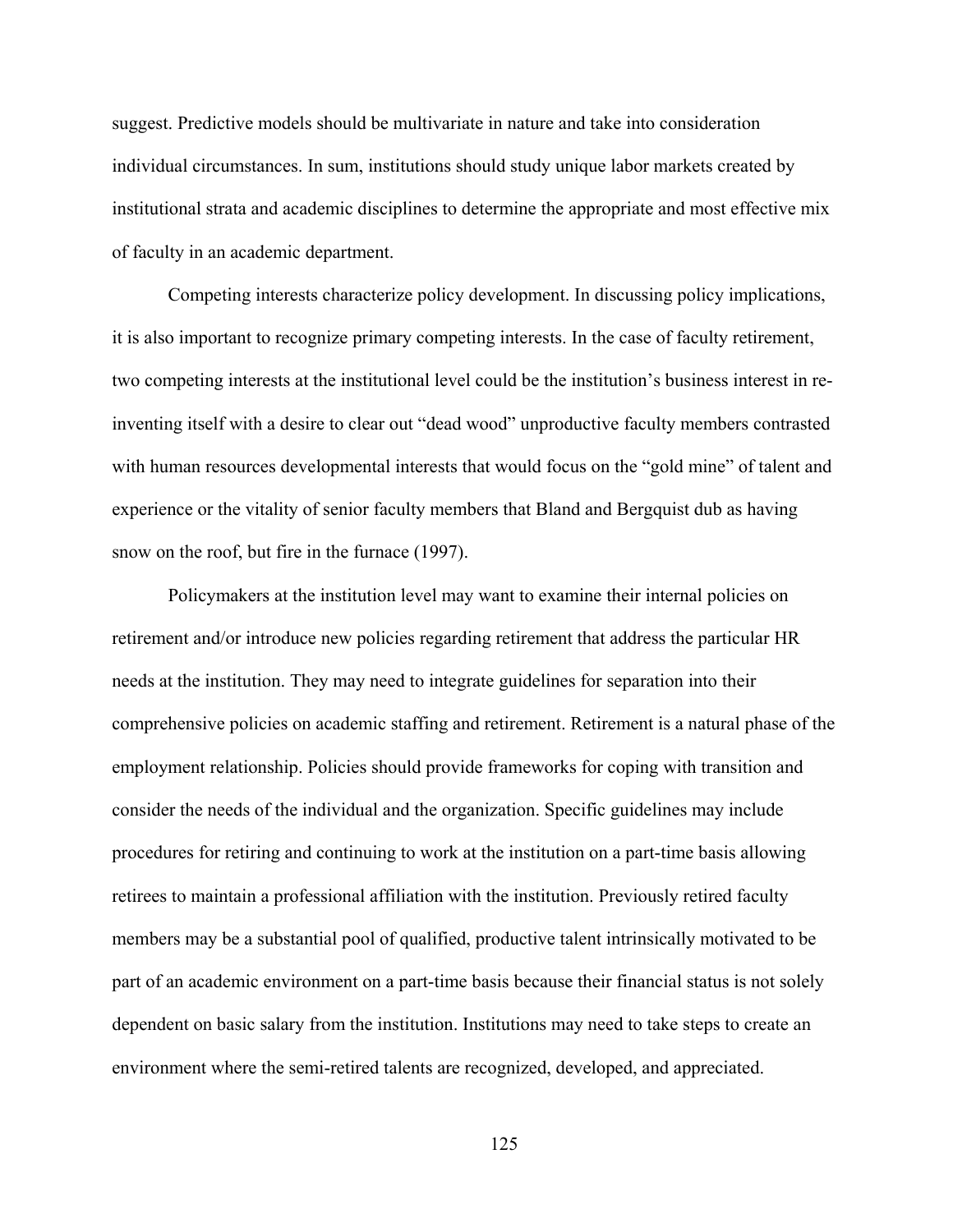suggest. Predictive models should be multivariate in nature and take into consideration individual circumstances. In sum, institutions should study unique labor markets created by institutional strata and academic disciplines to determine the appropriate and most effective mix of faculty in an academic department.

Competing interests characterize policy development. In discussing policy implications, it is also important to recognize primary competing interests. In the case of faculty retirement, two competing interests at the institutional level could be the institution's business interest in reinventing itself with a desire to clear out "dead wood" unproductive faculty members contrasted with human resources developmental interests that would focus on the "gold mine" of talent and experience or the vitality of senior faculty members that Bland and Bergquist dub as having snow on the roof, but fire in the furnace (1997).

Policymakers at the institution level may want to examine their internal policies on retirement and/or introduce new policies regarding retirement that address the particular HR needs at the institution. They may need to integrate guidelines for separation into their comprehensive policies on academic staffing and retirement. Retirement is a natural phase of the employment relationship. Policies should provide frameworks for coping with transition and consider the needs of the individual and the organization. Specific guidelines may include procedures for retiring and continuing to work at the institution on a part-time basis allowing retirees to maintain a professional affiliation with the institution. Previously retired faculty members may be a substantial pool of qualified, productive talent intrinsically motivated to be part of an academic environment on a part-time basis because their financial status is not solely dependent on basic salary from the institution. Institutions may need to take steps to create an environment where the semi-retired talents are recognized, developed, and appreciated.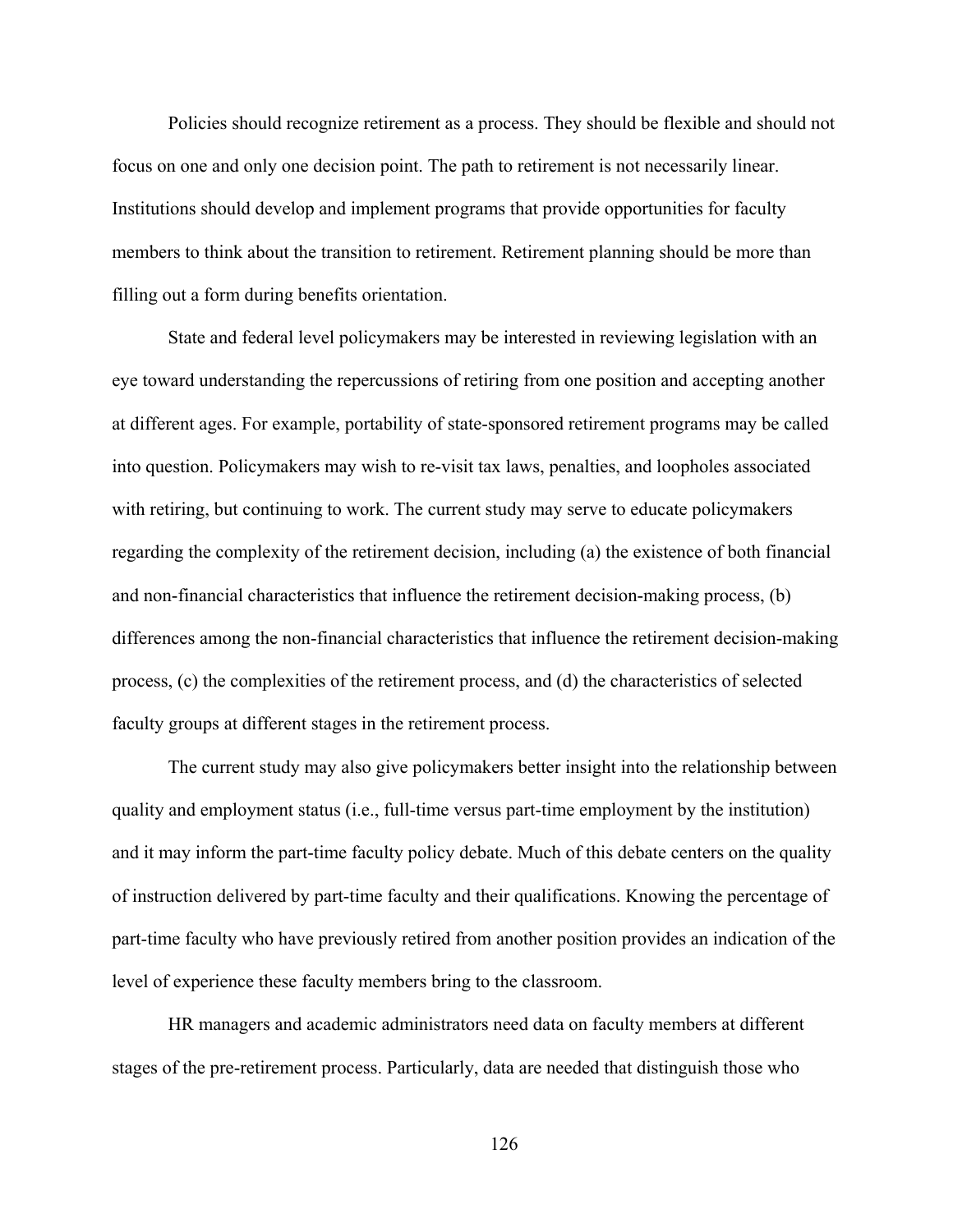Policies should recognize retirement as a process. They should be flexible and should not focus on one and only one decision point. The path to retirement is not necessarily linear. Institutions should develop and implement programs that provide opportunities for faculty members to think about the transition to retirement. Retirement planning should be more than filling out a form during benefits orientation.

State and federal level policymakers may be interested in reviewing legislation with an eye toward understanding the repercussions of retiring from one position and accepting another at different ages. For example, portability of state-sponsored retirement programs may be called into question. Policymakers may wish to re-visit tax laws, penalties, and loopholes associated with retiring, but continuing to work. The current study may serve to educate policymakers regarding the complexity of the retirement decision, including (a) the existence of both financial and non-financial characteristics that influence the retirement decision-making process, (b) differences among the non-financial characteristics that influence the retirement decision-making process, (c) the complexities of the retirement process, and (d) the characteristics of selected faculty groups at different stages in the retirement process.

The current study may also give policymakers better insight into the relationship between quality and employment status (i.e., full-time versus part-time employment by the institution) and it may inform the part-time faculty policy debate. Much of this debate centers on the quality of instruction delivered by part-time faculty and their qualifications. Knowing the percentage of part-time faculty who have previously retired from another position provides an indication of the level of experience these faculty members bring to the classroom.

HR managers and academic administrators need data on faculty members at different stages of the pre-retirement process. Particularly, data are needed that distinguish those who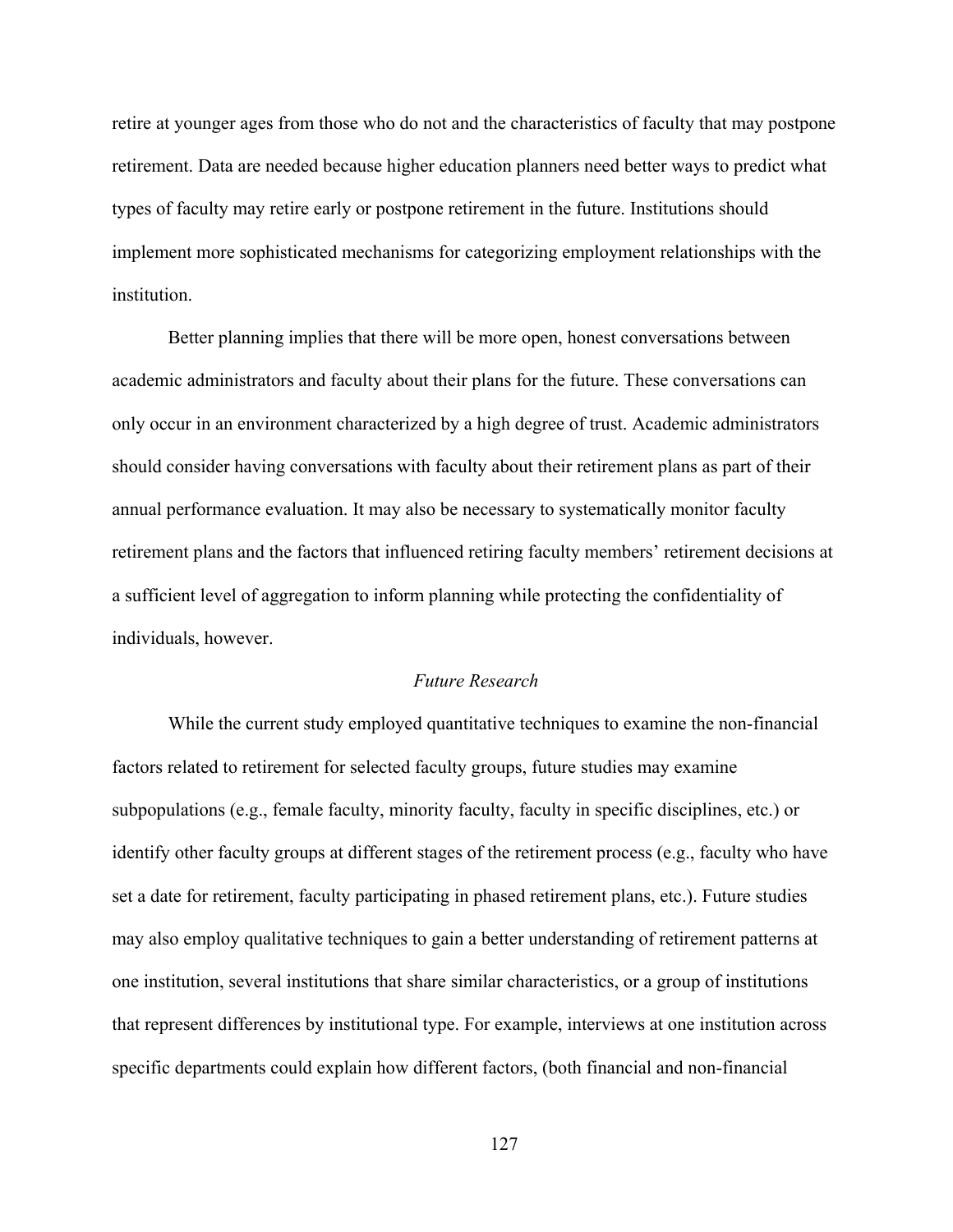retire at younger ages from those who do not and the characteristics of faculty that may postpone retirement. Data are needed because higher education planners need better ways to predict what types of faculty may retire early or postpone retirement in the future. Institutions should implement more sophisticated mechanisms for categorizing employment relationships with the **institution** 

Better planning implies that there will be more open, honest conversations between academic administrators and faculty about their plans for the future. These conversations can only occur in an environment characterized by a high degree of trust. Academic administrators should consider having conversations with faculty about their retirement plans as part of their annual performance evaluation. It may also be necessary to systematically monitor faculty retirement plans and the factors that influenced retiring faculty members' retirement decisions at a sufficient level of aggregation to inform planning while protecting the confidentiality of individuals, however.

## *Future Research*

While the current study employed quantitative techniques to examine the non-financial factors related to retirement for selected faculty groups, future studies may examine subpopulations (e.g., female faculty, minority faculty, faculty in specific disciplines, etc.) or identify other faculty groups at different stages of the retirement process (e.g., faculty who have set a date for retirement, faculty participating in phased retirement plans, etc.). Future studies may also employ qualitative techniques to gain a better understanding of retirement patterns at one institution, several institutions that share similar characteristics, or a group of institutions that represent differences by institutional type. For example, interviews at one institution across specific departments could explain how different factors, (both financial and non-financial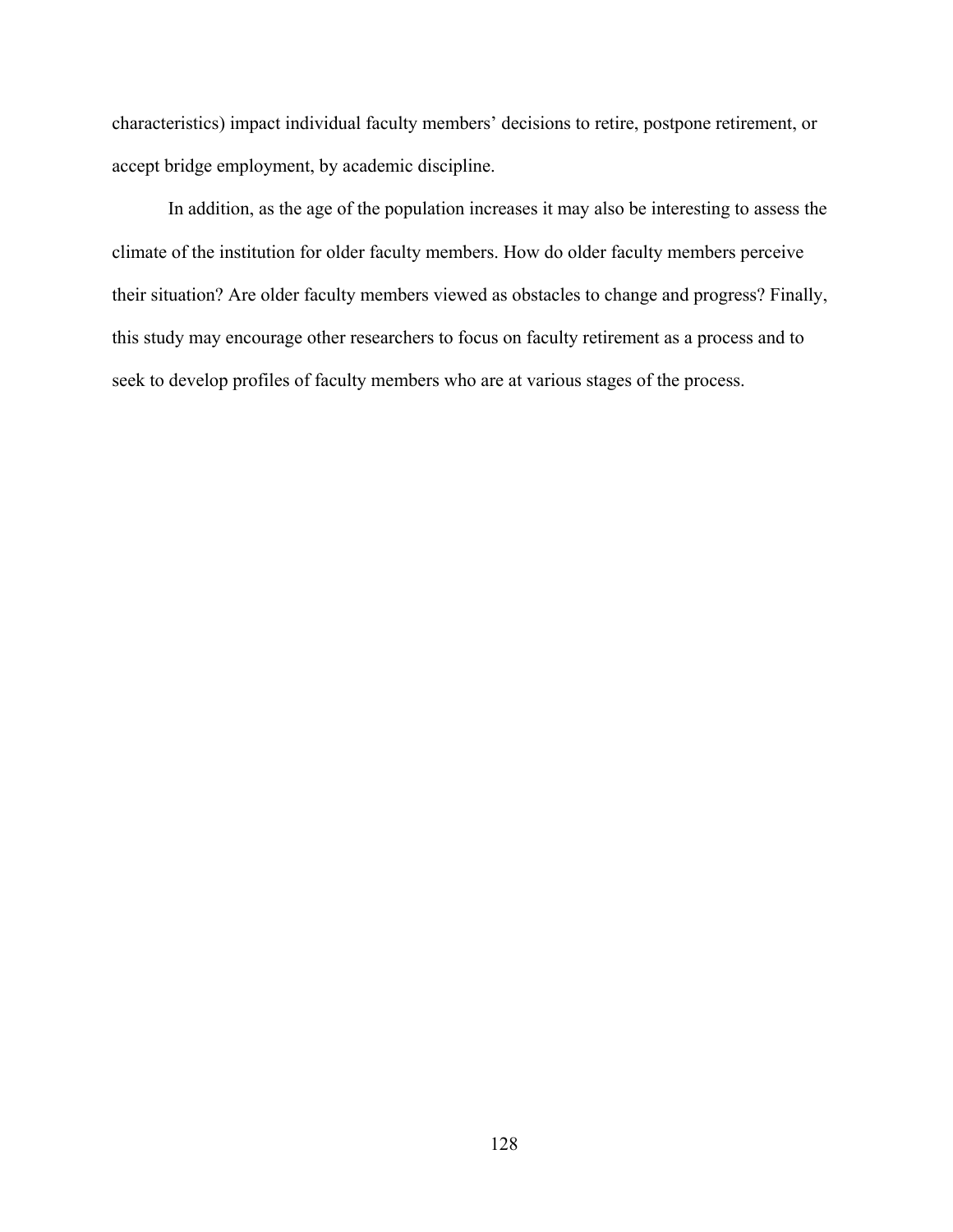characteristics) impact individual faculty members' decisions to retire, postpone retirement, or accept bridge employment, by academic discipline.

In addition, as the age of the population increases it may also be interesting to assess the climate of the institution for older faculty members. How do older faculty members perceive their situation? Are older faculty members viewed as obstacles to change and progress? Finally, this study may encourage other researchers to focus on faculty retirement as a process and to seek to develop profiles of faculty members who are at various stages of the process.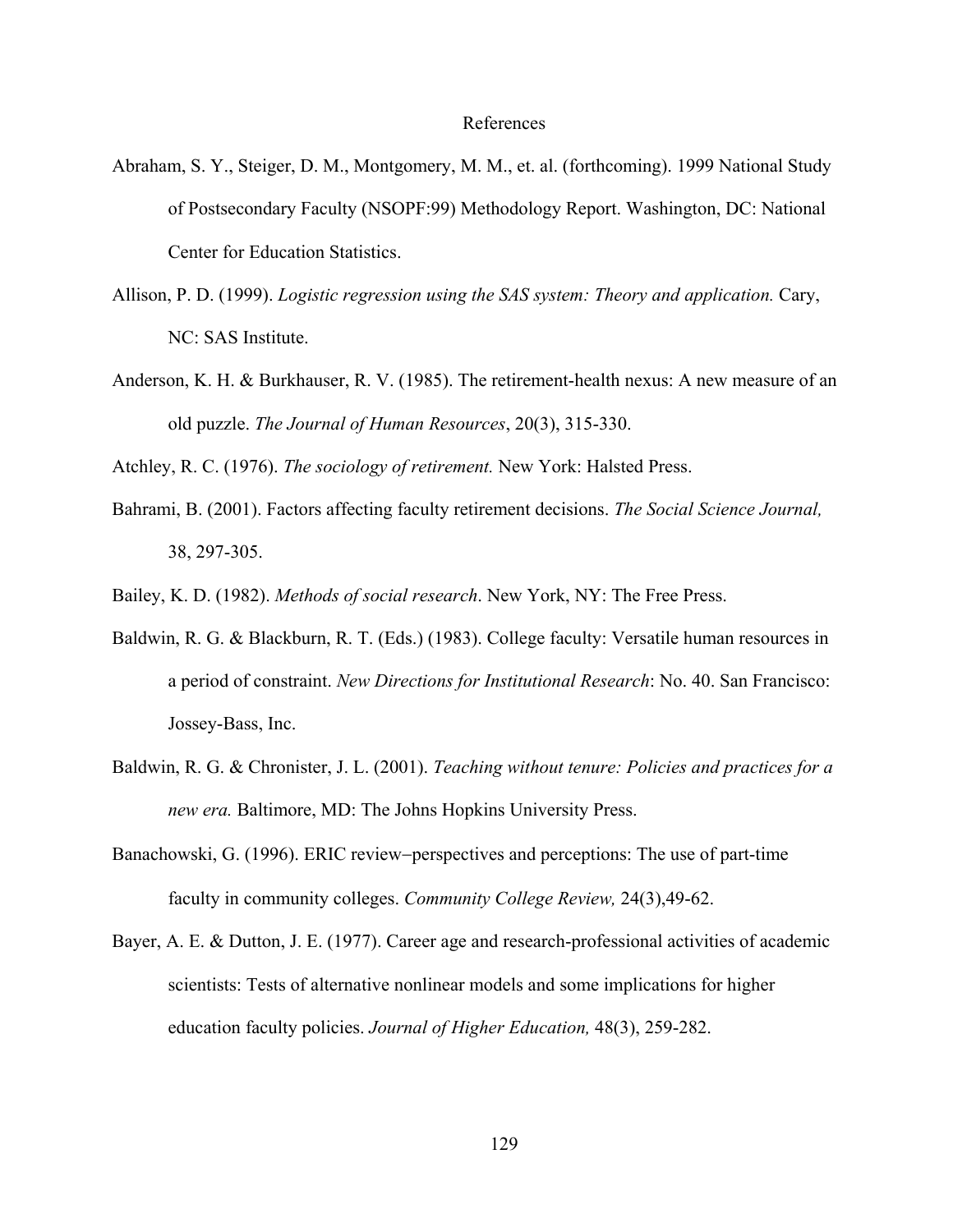#### References

- Abraham, S. Y., Steiger, D. M., Montgomery, M. M., et. al. (forthcoming). 1999 National Study of Postsecondary Faculty (NSOPF:99) Methodology Report. Washington, DC: National Center for Education Statistics.
- Allison, P. D. (1999). *Logistic regression using the SAS system: Theory and application.* Cary, NC: SAS Institute.
- Anderson, K. H. & Burkhauser, R. V. (1985). The retirement-health nexus: A new measure of an old puzzle. *The Journal of Human Resources*, 20(3), 315-330.
- Atchley, R. C. (1976). *The sociology of retirement.* New York: Halsted Press.
- Bahrami, B. (2001). Factors affecting faculty retirement decisions. *The Social Science Journal,*  38, 297-305.
- Bailey, K. D. (1982). *Methods of social research*. New York, NY: The Free Press.
- Baldwin, R. G. & Blackburn, R. T. (Eds.) (1983). College faculty: Versatile human resources in a period of constraint. *New Directions for Institutional Research*: No. 40. San Francisco: Jossey-Bass, Inc.
- Baldwin, R. G. & Chronister, J. L. (2001). *Teaching without tenure: Policies and practices for a new era.* Baltimore, MD: The Johns Hopkins University Press.
- Banachowski, G. (1996). ERIC review−perspectives and perceptions: The use of part-time faculty in community colleges. *Community College Review,* 24(3),49-62.
- Bayer, A. E. & Dutton, J. E. (1977). Career age and research-professional activities of academic scientists: Tests of alternative nonlinear models and some implications for higher education faculty policies. *Journal of Higher Education,* 48(3), 259-282.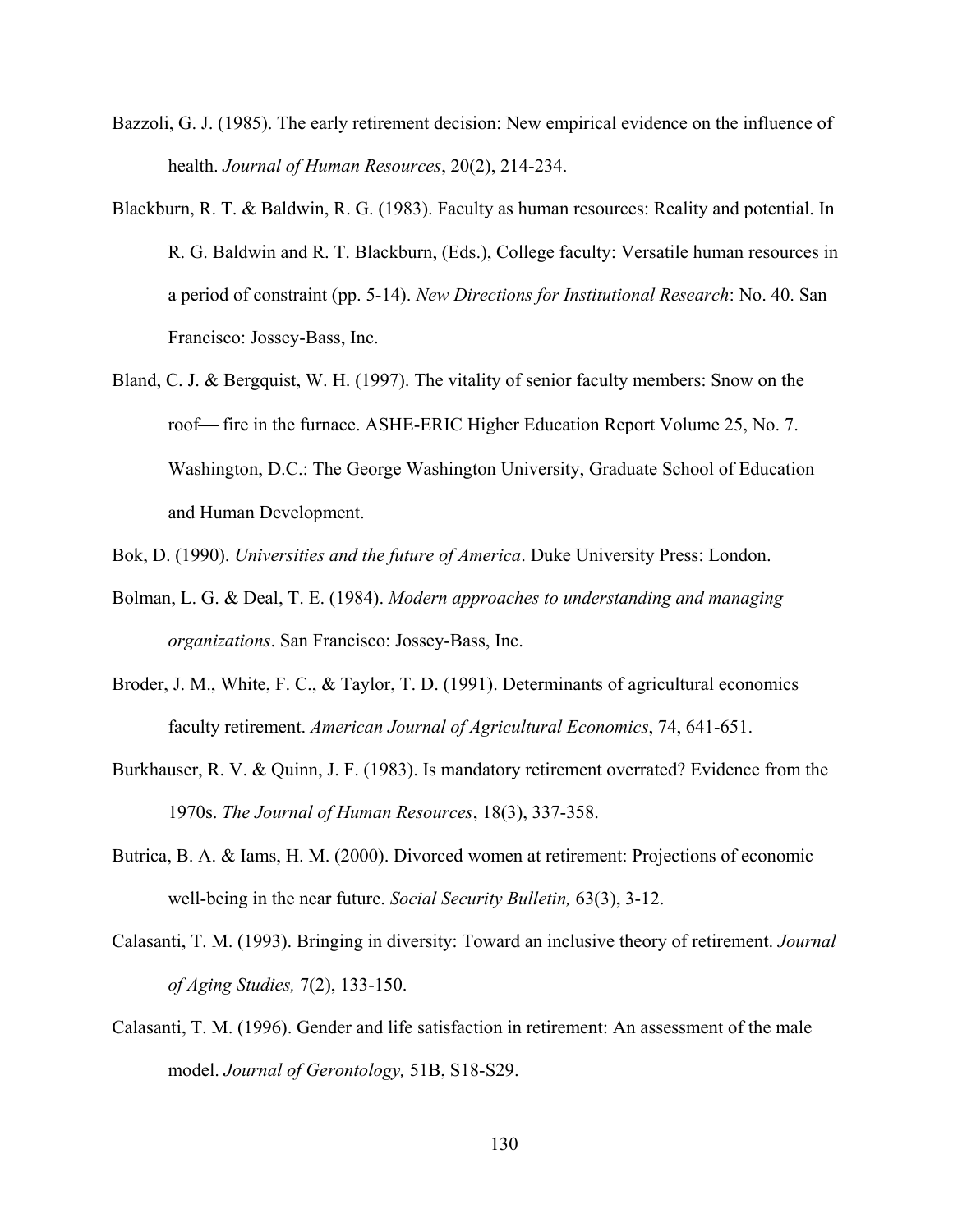- Bazzoli, G. J. (1985). The early retirement decision: New empirical evidence on the influence of health. *Journal of Human Resources*, 20(2), 214-234.
- Blackburn, R. T. & Baldwin, R. G. (1983). Faculty as human resources: Reality and potential. In R. G. Baldwin and R. T. Blackburn, (Eds.), College faculty: Versatile human resources in a period of constraint (pp. 5-14). *New Directions for Institutional Research*: No. 40. San Francisco: Jossey-Bass, Inc.
- Bland, C. J. & Bergquist, W. H. (1997). The vitality of senior faculty members: Snow on the roof— fire in the furnace. ASHE-ERIC Higher Education Report Volume 25, No. 7. Washington, D.C.: The George Washington University, Graduate School of Education and Human Development.

Bok, D. (1990). *Universities and the future of America*. Duke University Press: London.

- Bolman, L. G. & Deal, T. E. (1984). *Modern approaches to understanding and managing organizations*. San Francisco: Jossey-Bass, Inc.
- Broder, J. M., White, F. C., & Taylor, T. D. (1991). Determinants of agricultural economics faculty retirement. *American Journal of Agricultural Economics*, 74, 641-651.
- Burkhauser, R. V. & Quinn, J. F. (1983). Is mandatory retirement overrated? Evidence from the 1970s. *The Journal of Human Resources*, 18(3), 337-358.
- Butrica, B. A. & Iams, H. M. (2000). Divorced women at retirement: Projections of economic well-being in the near future. *Social Security Bulletin,* 63(3), 3-12.
- Calasanti, T. M. (1993). Bringing in diversity: Toward an inclusive theory of retirement. *Journal of Aging Studies,* 7(2), 133-150.
- Calasanti, T. M. (1996). Gender and life satisfaction in retirement: An assessment of the male model. *Journal of Gerontology,* 51B, S18-S29.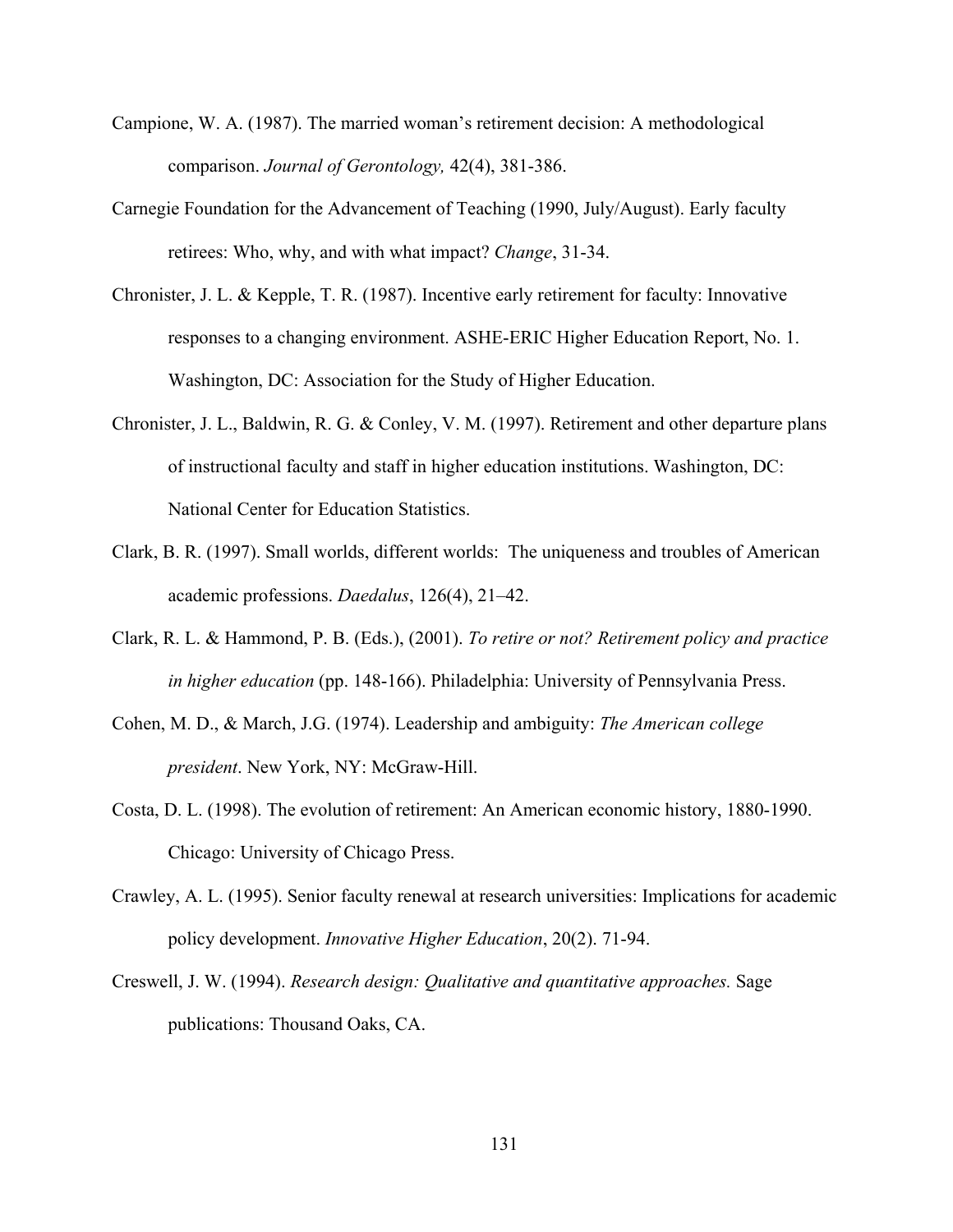- Campione, W. A. (1987). The married woman's retirement decision: A methodological comparison. *Journal of Gerontology,* 42(4), 381-386.
- Carnegie Foundation for the Advancement of Teaching (1990, July/August). Early faculty retirees: Who, why, and with what impact? *Change*, 31-34.
- Chronister, J. L. & Kepple, T. R. (1987). Incentive early retirement for faculty: Innovative responses to a changing environment. ASHE-ERIC Higher Education Report, No. 1. Washington, DC: Association for the Study of Higher Education.
- Chronister, J. L., Baldwin, R. G. & Conley, V. M. (1997). Retirement and other departure plans of instructional faculty and staff in higher education institutions. Washington, DC: National Center for Education Statistics.
- Clark, B. R. (1997). Small worlds, different worlds: The uniqueness and troubles of American academic professions. *Daedalus*, 126(4), 21–42.
- Clark, R. L. & Hammond, P. B. (Eds.), (2001). *To retire or not? Retirement policy and practice in higher education* (pp. 148-166). Philadelphia: University of Pennsylvania Press.
- Cohen, M. D., & March, J.G. (1974). Leadership and ambiguity: *The American college president*. New York, NY: McGraw-Hill.
- Costa, D. L. (1998). The evolution of retirement: An American economic history, 1880-1990. Chicago: University of Chicago Press.
- Crawley, A. L. (1995). Senior faculty renewal at research universities: Implications for academic policy development. *Innovative Higher Education*, 20(2). 71-94.
- Creswell, J. W. (1994). *Research design: Qualitative and quantitative approaches.* Sage publications: Thousand Oaks, CA.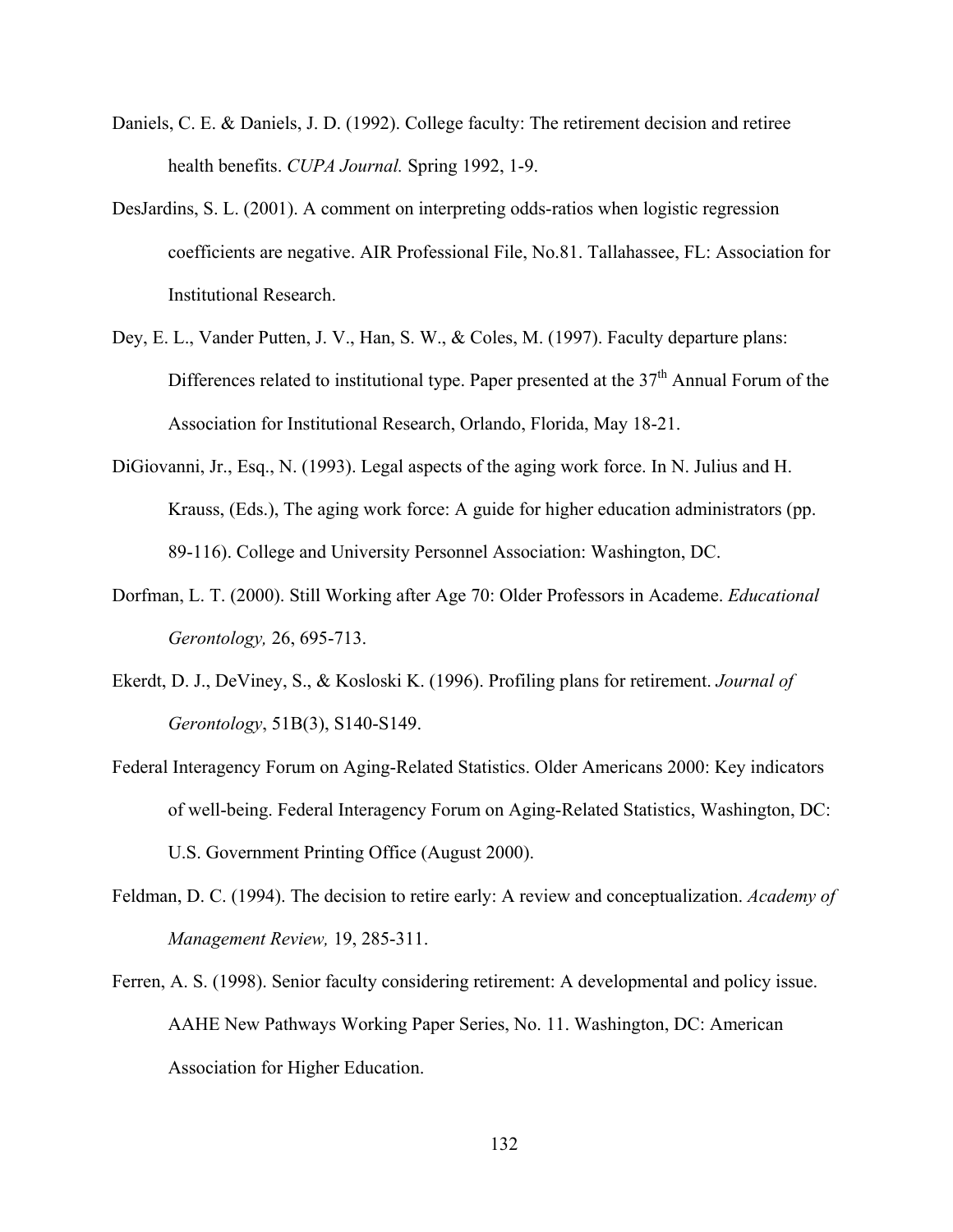- Daniels, C. E. & Daniels, J. D. (1992). College faculty: The retirement decision and retiree health benefits. *CUPA Journal.* Spring 1992, 1-9.
- DesJardins, S. L. (2001). A comment on interpreting odds-ratios when logistic regression coefficients are negative. AIR Professional File, No.81. Tallahassee, FL: Association for Institutional Research.
- Dey, E. L., Vander Putten, J. V., Han, S. W., & Coles, M. (1997). Faculty departure plans: Differences related to institutional type. Paper presented at the  $37<sup>th</sup>$  Annual Forum of the Association for Institutional Research, Orlando, Florida, May 18-21.
- DiGiovanni, Jr., Esq., N. (1993). Legal aspects of the aging work force. In N. Julius and H. Krauss, (Eds.), The aging work force: A guide for higher education administrators (pp. 89-116). College and University Personnel Association: Washington, DC.
- Dorfman, L. T. (2000). Still Working after Age 70: Older Professors in Academe. *Educational Gerontology,* 26, 695-713.
- Ekerdt, D. J., DeViney, S., & Kosloski K. (1996). Profiling plans for retirement. *Journal of Gerontology*, 51B(3), S140-S149.
- Federal Interagency Forum on Aging-Related Statistics. Older Americans 2000: Key indicators of well-being. Federal Interagency Forum on Aging-Related Statistics, Washington, DC: U.S. Government Printing Office (August 2000).
- Feldman, D. C. (1994). The decision to retire early: A review and conceptualization. *Academy of Management Review,* 19, 285-311.
- Ferren, A. S. (1998). Senior faculty considering retirement: A developmental and policy issue. AAHE New Pathways Working Paper Series, No. 11. Washington, DC: American Association for Higher Education.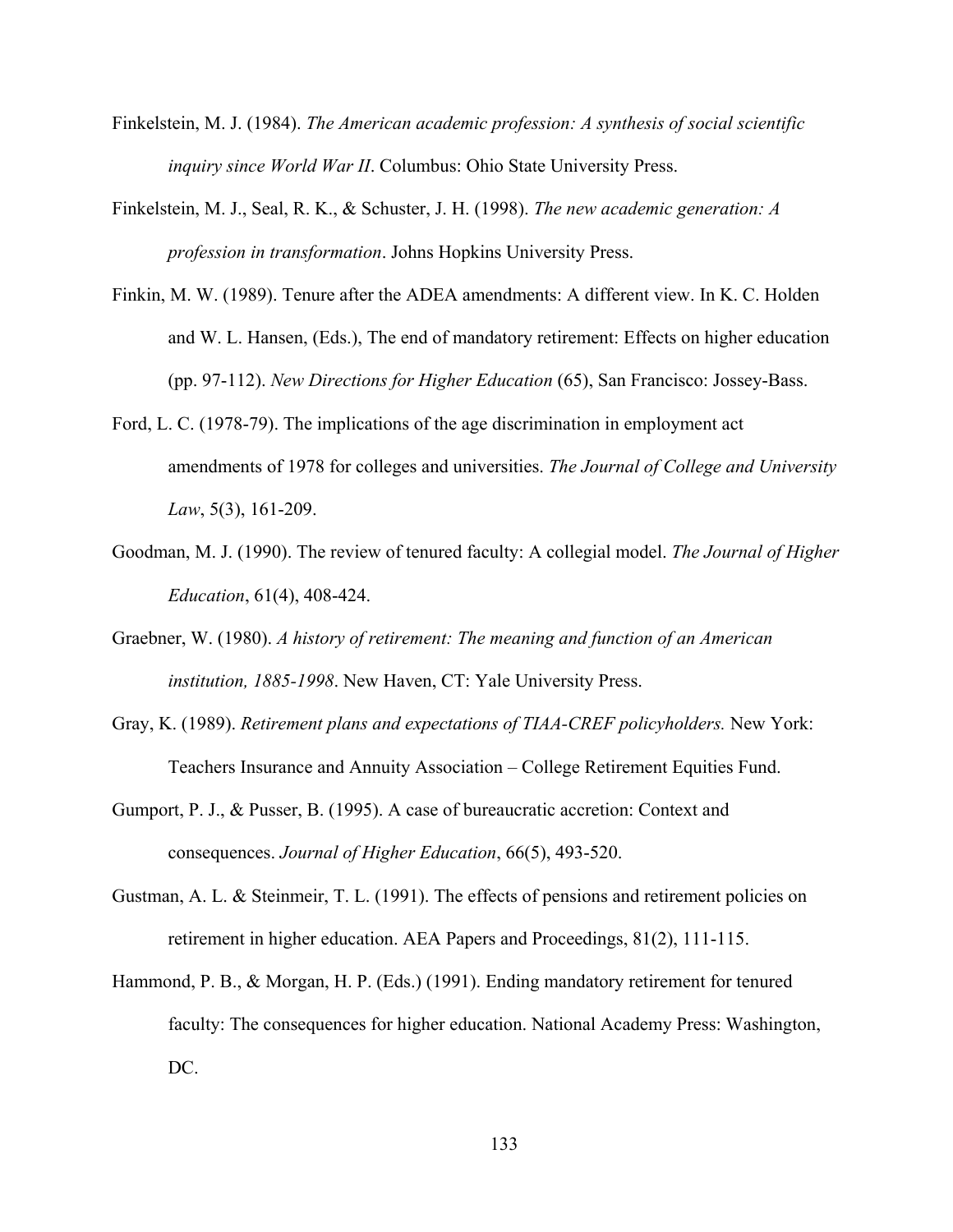- Finkelstein, M. J. (1984). *The American academic profession: A synthesis of social scientific inquiry since World War II*. Columbus: Ohio State University Press.
- Finkelstein, M. J., Seal, R. K., & Schuster, J. H. (1998). *The new academic generation: A profession in transformation*. Johns Hopkins University Press.
- Finkin, M. W. (1989). Tenure after the ADEA amendments: A different view. In K. C. Holden and W. L. Hansen, (Eds.), The end of mandatory retirement: Effects on higher education (pp. 97-112). *New Directions for Higher Education* (65), San Francisco: Jossey-Bass.
- Ford, L. C. (1978-79). The implications of the age discrimination in employment act amendments of 1978 for colleges and universities. *The Journal of College and University Law*, 5(3), 161-209.
- Goodman, M. J. (1990). The review of tenured faculty: A collegial model. *The Journal of Higher Education*, 61(4), 408-424.
- Graebner, W. (1980). *A history of retirement: The meaning and function of an American institution, 1885-1998*. New Haven, CT: Yale University Press.
- Gray, K. (1989). *Retirement plans and expectations of TIAA-CREF policyholders.* New York: Teachers Insurance and Annuity Association – College Retirement Equities Fund.
- Gumport, P. J., & Pusser, B. (1995). A case of bureaucratic accretion: Context and consequences. *Journal of Higher Education*, 66(5), 493-520.
- Gustman, A. L. & Steinmeir, T. L. (1991). The effects of pensions and retirement policies on retirement in higher education. AEA Papers and Proceedings, 81(2), 111-115.
- Hammond, P. B., & Morgan, H. P. (Eds.) (1991). Ending mandatory retirement for tenured faculty: The consequences for higher education. National Academy Press: Washington, DC.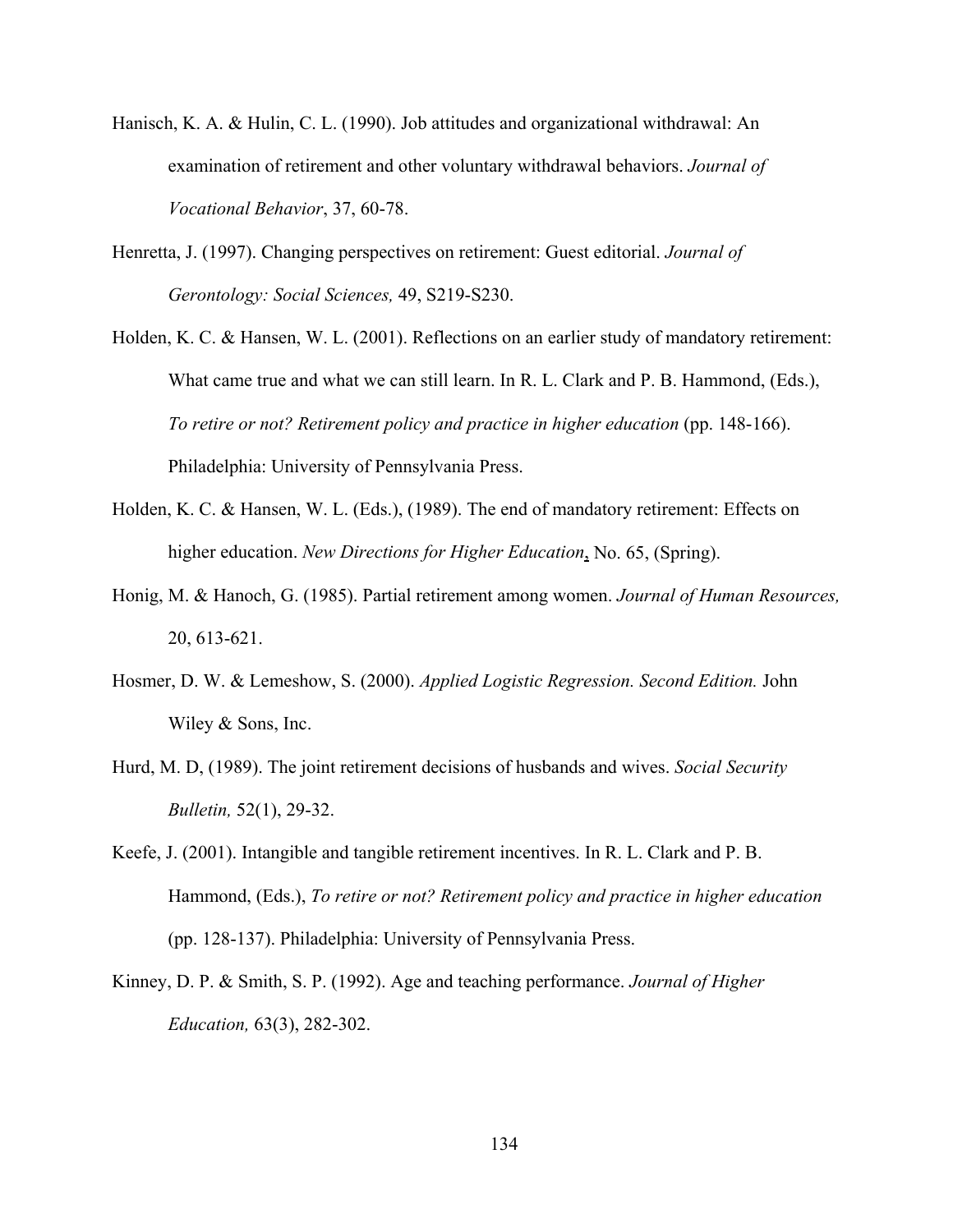- Hanisch, K. A. & Hulin, C. L. (1990). Job attitudes and organizational withdrawal: An examination of retirement and other voluntary withdrawal behaviors. *Journal of Vocational Behavior*, 37, 60-78.
- Henretta, J. (1997). Changing perspectives on retirement: Guest editorial. *Journal of Gerontology: Social Sciences,* 49, S219-S230.
- Holden, K. C. & Hansen, W. L. (2001). Reflections on an earlier study of mandatory retirement: What came true and what we can still learn. In R. L. Clark and P. B. Hammond, (Eds.), *To retire or not? Retirement policy and practice in higher education* (pp. 148-166). Philadelphia: University of Pennsylvania Press.
- Holden, K. C. & Hansen, W. L. (Eds.), (1989). The end of mandatory retirement: Effects on higher education. *New Directions for Higher Education*, No. 65, (Spring).
- Honig, M. & Hanoch, G. (1985). Partial retirement among women. *Journal of Human Resources,*  20, 613-621.
- Hosmer, D. W. & Lemeshow, S. (2000). *Applied Logistic Regression. Second Edition.* John Wiley & Sons, Inc.
- Hurd, M. D, (1989). The joint retirement decisions of husbands and wives. *Social Security Bulletin,* 52(1), 29-32.
- Keefe, J. (2001). Intangible and tangible retirement incentives. In R. L. Clark and P. B. Hammond, (Eds.), *To retire or not? Retirement policy and practice in higher education* (pp. 128-137). Philadelphia: University of Pennsylvania Press.
- Kinney, D. P. & Smith, S. P. (1992). Age and teaching performance. *Journal of Higher Education,* 63(3), 282-302.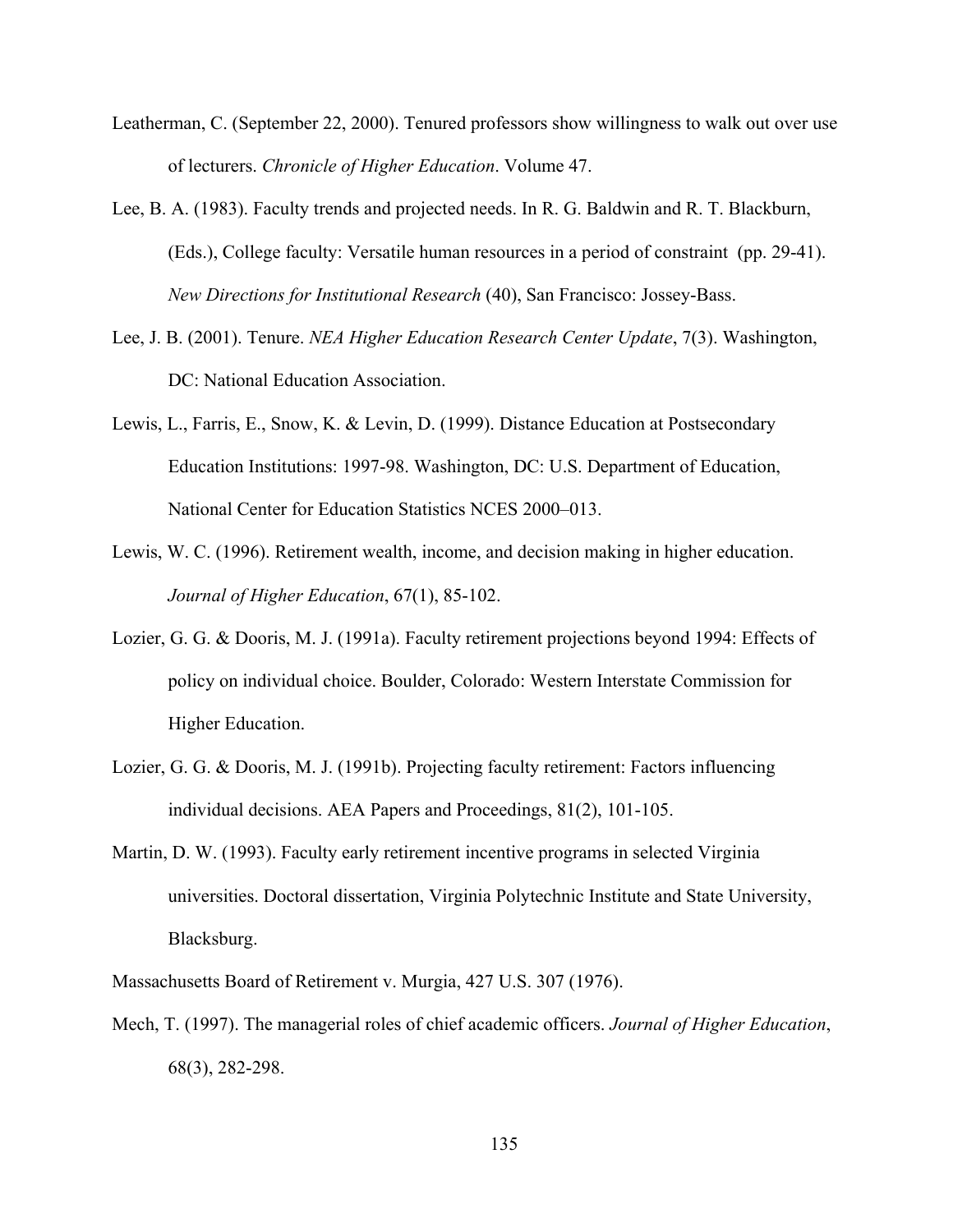- Leatherman, C. (September 22, 2000). Tenured professors show willingness to walk out over use of lecturers. *Chronicle of Higher Education*. Volume 47.
- Lee, B. A. (1983). Faculty trends and projected needs. In R. G. Baldwin and R. T. Blackburn, (Eds.), College faculty: Versatile human resources in a period of constraint (pp. 29-41). *New Directions for Institutional Research* (40), San Francisco: Jossey-Bass.
- Lee, J. B. (2001). Tenure. *NEA Higher Education Research Center Update*, 7(3). Washington, DC: National Education Association.
- Lewis, L., Farris, E., Snow, K. & Levin, D. (1999). Distance Education at Postsecondary Education Institutions: 1997-98. Washington, DC: U.S. Department of Education, National Center for Education Statistics NCES 2000–013.
- Lewis, W. C. (1996). Retirement wealth, income, and decision making in higher education. *Journal of Higher Education*, 67(1), 85-102.
- Lozier, G. G. & Dooris, M. J. (1991a). Faculty retirement projections beyond 1994: Effects of policy on individual choice. Boulder, Colorado: Western Interstate Commission for Higher Education.
- Lozier, G. G. & Dooris, M. J. (1991b). Projecting faculty retirement: Factors influencing individual decisions. AEA Papers and Proceedings, 81(2), 101-105.
- Martin, D. W. (1993). Faculty early retirement incentive programs in selected Virginia universities. Doctoral dissertation, Virginia Polytechnic Institute and State University, Blacksburg.
- Massachusetts Board of Retirement v. Murgia, 427 U.S. 307 (1976).
- Mech, T. (1997). The managerial roles of chief academic officers. *Journal of Higher Education*, 68(3), 282-298.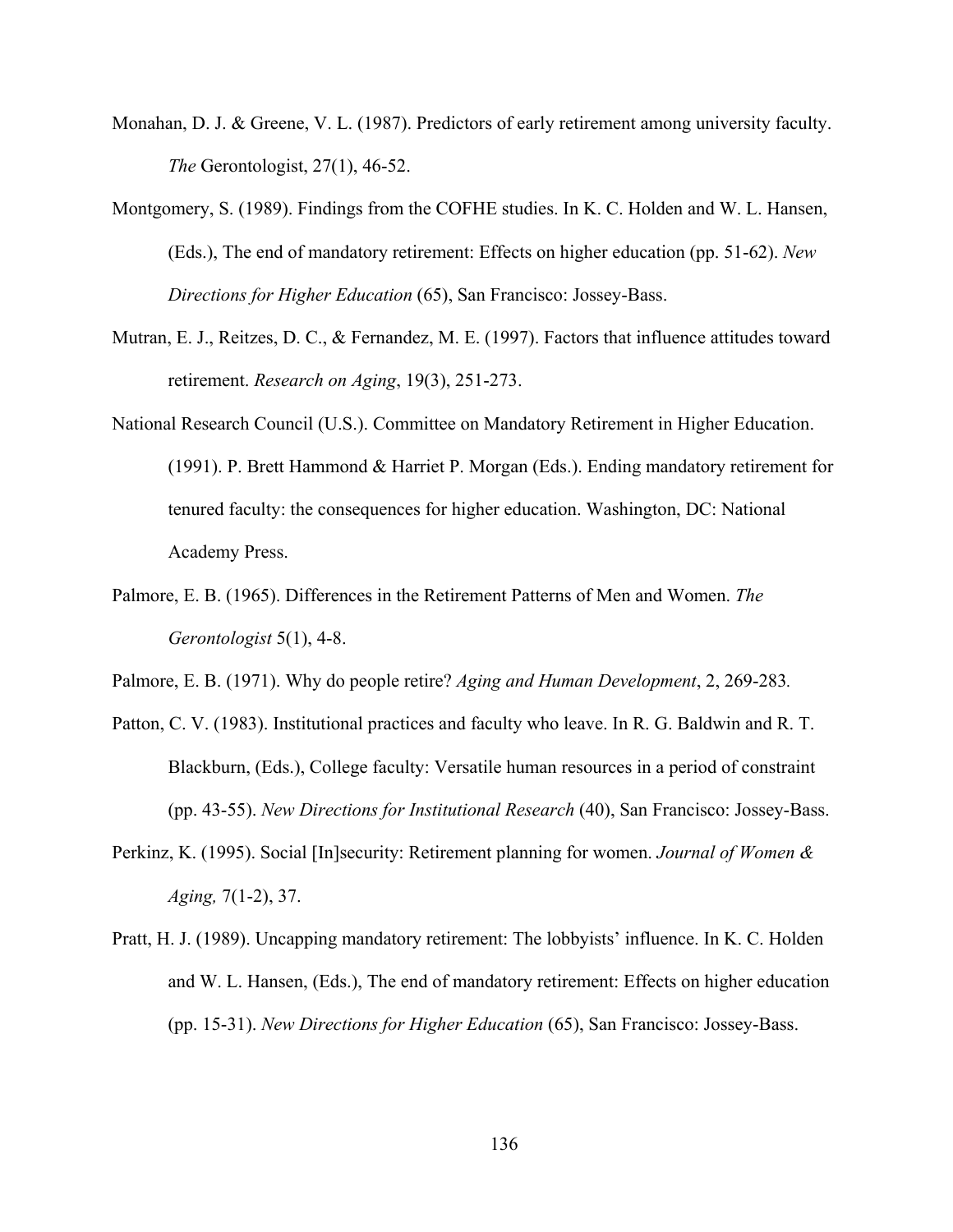- Monahan, D. J. & Greene, V. L. (1987). Predictors of early retirement among university faculty. *The* Gerontologist, 27(1), 46-52.
- Montgomery, S. (1989). Findings from the COFHE studies. In K. C. Holden and W. L. Hansen, (Eds.), The end of mandatory retirement: Effects on higher education (pp. 51-62). *New Directions for Higher Education* (65), San Francisco: Jossey-Bass.
- Mutran, E. J., Reitzes, D. C., & Fernandez, M. E. (1997). Factors that influence attitudes toward retirement. *Research on Aging*, 19(3), 251-273.
- National Research Council (U.S.). Committee on Mandatory Retirement in Higher Education. (1991). P. Brett Hammond & Harriet P. Morgan (Eds.). Ending mandatory retirement for tenured faculty: the consequences for higher education. Washington, DC: National Academy Press.
- Palmore, E. B. (1965). Differences in the Retirement Patterns of Men and Women. *The Gerontologist* 5(1), 4-8.

Palmore, E. B. (1971). Why do people retire? *Aging and Human Development*, 2, 269-283*.*

- Patton, C. V. (1983). Institutional practices and faculty who leave. In R. G. Baldwin and R. T. Blackburn, (Eds.), College faculty: Versatile human resources in a period of constraint (pp. 43-55). *New Directions for Institutional Research* (40), San Francisco: Jossey-Bass.
- Perkinz, K. (1995). Social [In]security: Retirement planning for women. *Journal of Women & Aging,* 7(1-2), 37.
- Pratt, H. J. (1989). Uncapping mandatory retirement: The lobbyists' influence. In K. C. Holden and W. L. Hansen, (Eds.), The end of mandatory retirement: Effects on higher education (pp. 15-31). *New Directions for Higher Education* (65), San Francisco: Jossey-Bass.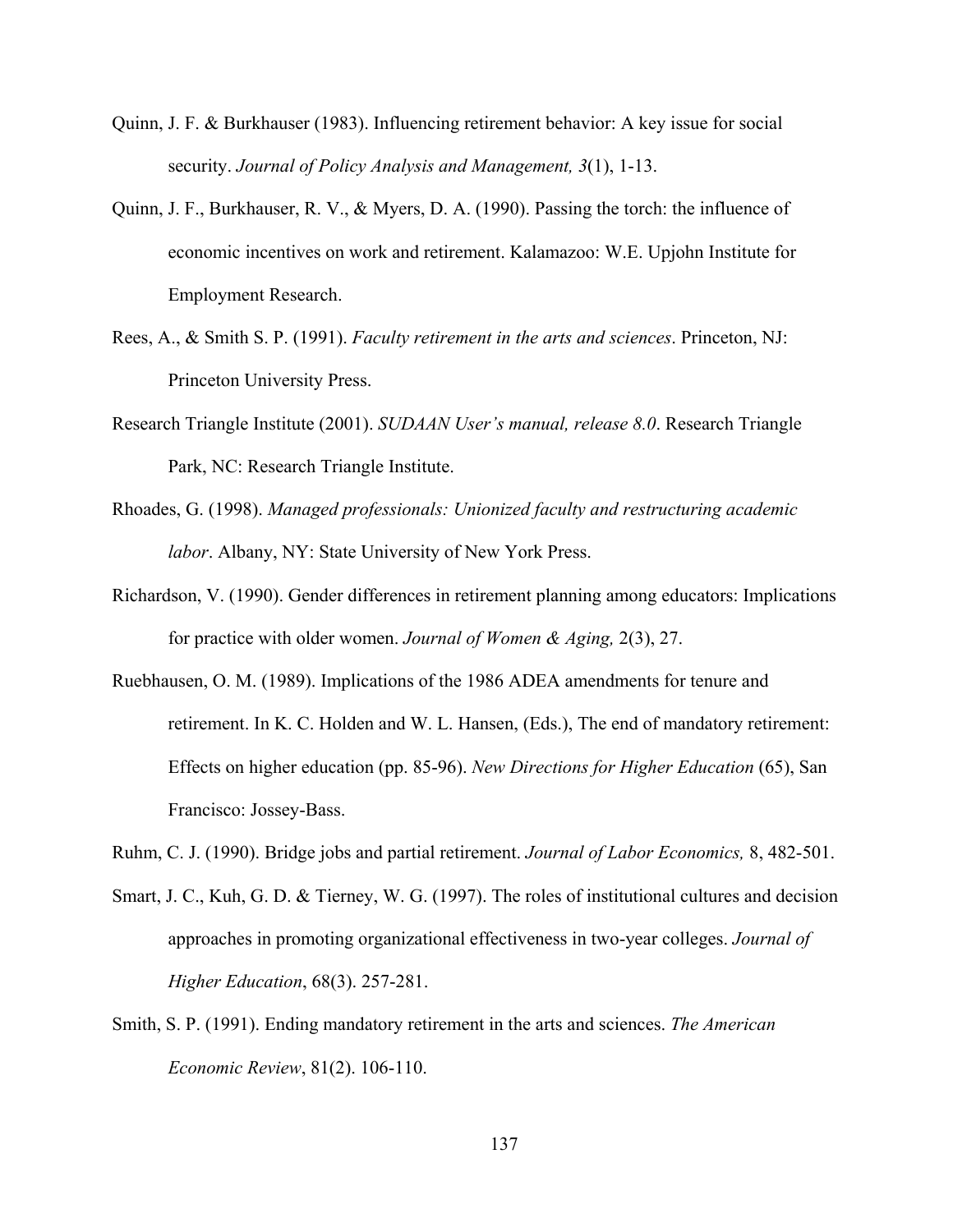- Quinn, J. F. & Burkhauser (1983). Influencing retirement behavior: A key issue for social security. *Journal of Policy Analysis and Management, 3*(1), 1-13.
- Quinn, J. F., Burkhauser, R. V., & Myers, D. A. (1990). Passing the torch: the influence of economic incentives on work and retirement. Kalamazoo: W.E. Upjohn Institute for Employment Research.
- Rees, A., & Smith S. P. (1991). *Faculty retirement in the arts and sciences*. Princeton, NJ: Princeton University Press.
- Research Triangle Institute (2001). *SUDAAN User's manual, release 8.0*. Research Triangle Park, NC: Research Triangle Institute.
- Rhoades, G. (1998). *Managed professionals: Unionized faculty and restructuring academic labor*. Albany, NY: State University of New York Press.
- Richardson, V. (1990). Gender differences in retirement planning among educators: Implications for practice with older women. *Journal of Women & Aging,* 2(3), 27.
- Ruebhausen, O. M. (1989). Implications of the 1986 ADEA amendments for tenure and retirement. In K. C. Holden and W. L. Hansen, (Eds.), The end of mandatory retirement: Effects on higher education (pp. 85-96). *New Directions for Higher Education* (65), San Francisco: Jossey-Bass.
- Ruhm, C. J. (1990). Bridge jobs and partial retirement. *Journal of Labor Economics,* 8, 482-501.
- Smart, J. C., Kuh, G. D. & Tierney, W. G. (1997). The roles of institutional cultures and decision approaches in promoting organizational effectiveness in two-year colleges. *Journal of Higher Education*, 68(3). 257-281.
- Smith, S. P. (1991). Ending mandatory retirement in the arts and sciences. *The American Economic Review*, 81(2). 106-110.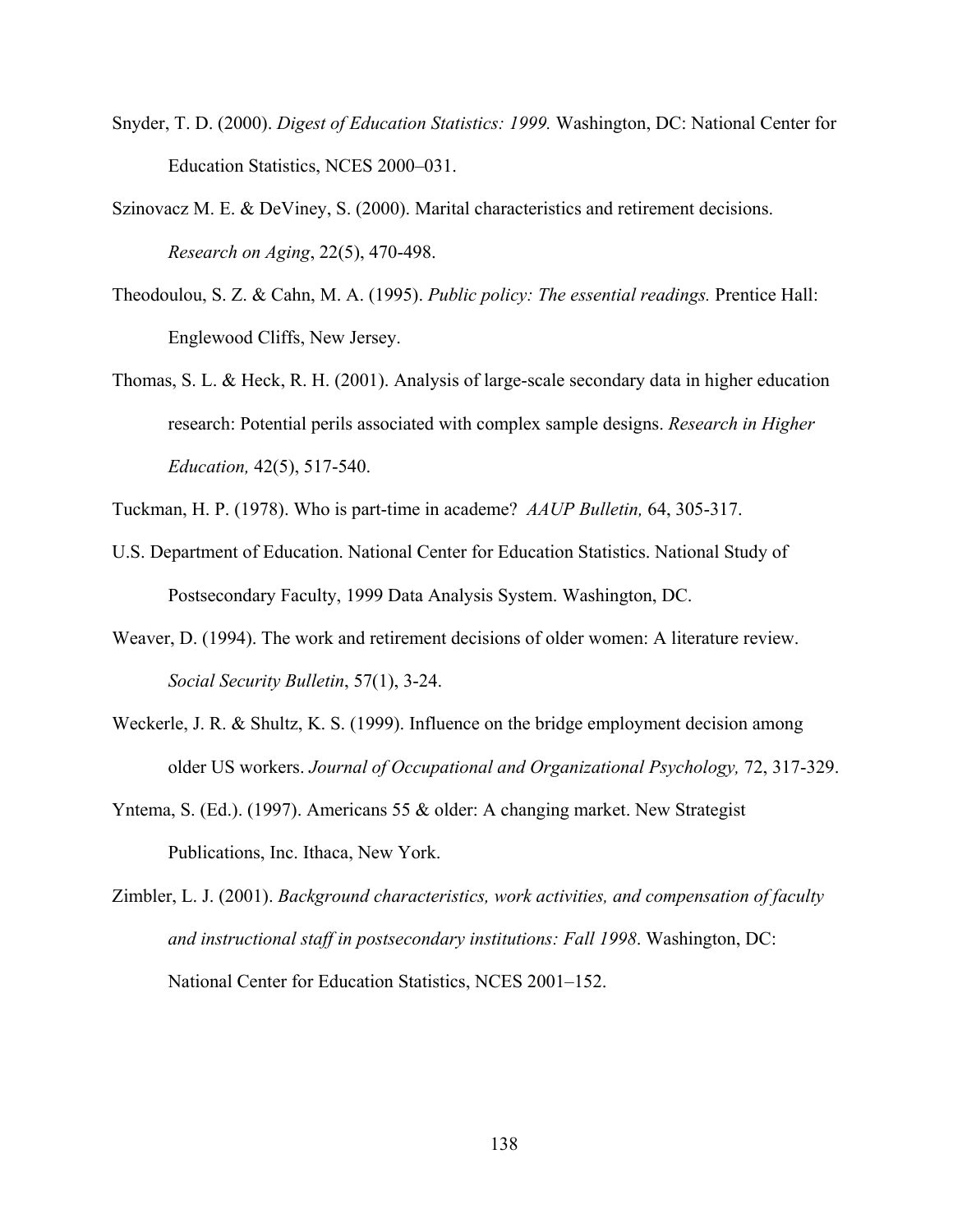- Snyder, T. D. (2000). *Digest of Education Statistics: 1999.* Washington, DC: National Center for Education Statistics, NCES 2000–031.
- Szinovacz M. E. & DeViney, S. (2000). Marital characteristics and retirement decisions. *Research on Aging*, 22(5), 470-498.
- Theodoulou, S. Z. & Cahn, M. A. (1995). *Public policy: The essential readings.* Prentice Hall: Englewood Cliffs, New Jersey.
- Thomas, S. L. & Heck, R. H. (2001). Analysis of large-scale secondary data in higher education research: Potential perils associated with complex sample designs. *Research in Higher Education,* 42(5), 517-540.
- Tuckman, H. P. (1978). Who is part-time in academe? *AAUP Bulletin,* 64, 305-317.
- U.S. Department of Education. National Center for Education Statistics. National Study of Postsecondary Faculty, 1999 Data Analysis System. Washington, DC.
- Weaver, D. (1994). The work and retirement decisions of older women: A literature review. *Social Security Bulletin*, 57(1), 3-24.
- Weckerle, J. R. & Shultz, K. S. (1999). Influence on the bridge employment decision among older US workers. *Journal of Occupational and Organizational Psychology,* 72, 317-329.
- Yntema, S. (Ed.). (1997). Americans 55 & older: A changing market. New Strategist Publications, Inc. Ithaca, New York.
- Zimbler, L. J. (2001). *Background characteristics, work activities, and compensation of faculty and instructional staff in postsecondary institutions: Fall 1998*. Washington, DC: National Center for Education Statistics, NCES 2001–152.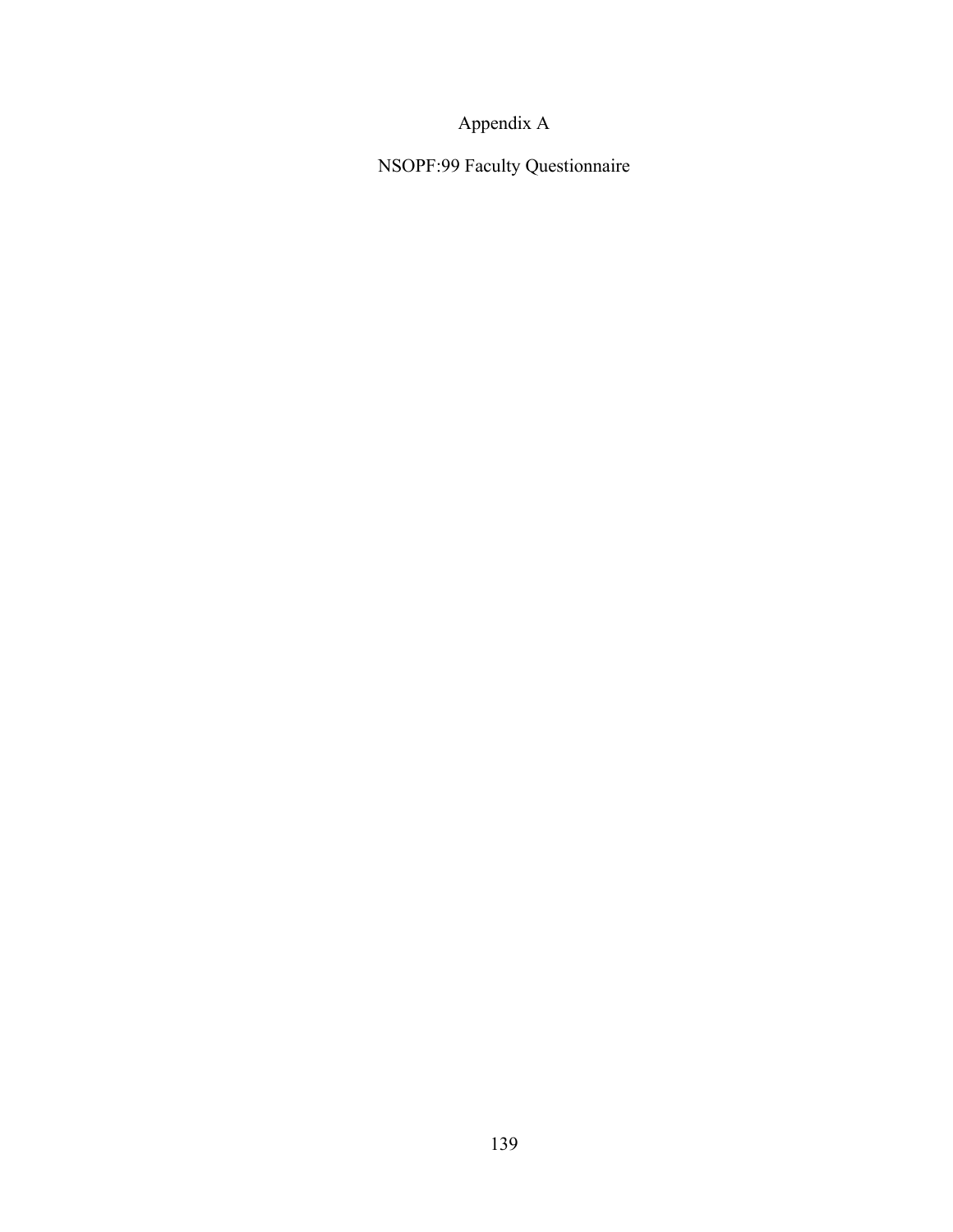# Appendix A

NSOPF:99 Faculty Questionnaire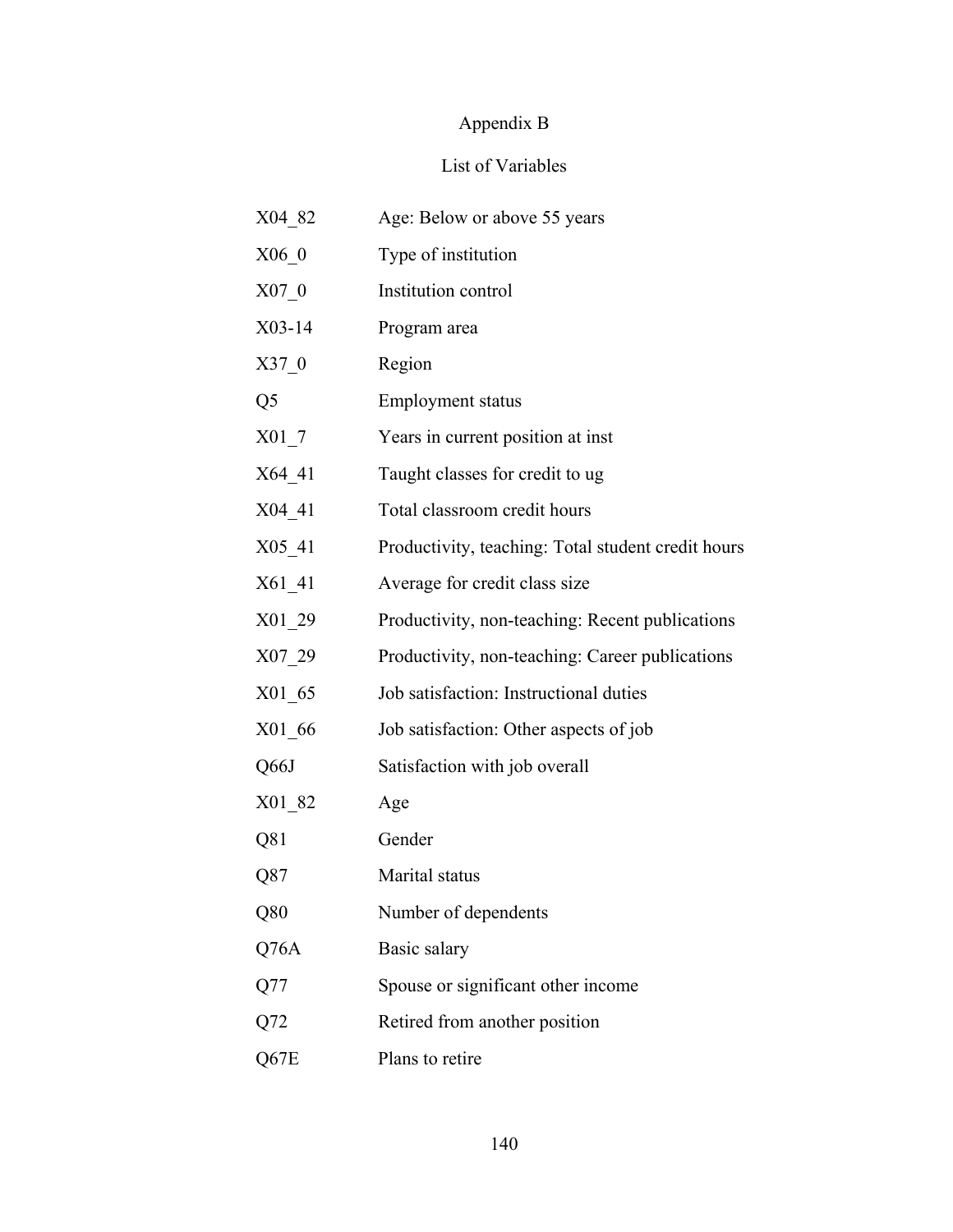# Appendix B

### List of Variables

| X04 82             | Age: Below or above 55 years                       |
|--------------------|----------------------------------------------------|
| $X06_0$            | Type of institution                                |
| $X07_0$            | Institution control                                |
| $X03-14$           | Program area                                       |
| $X37_0$            | Region                                             |
| Q <sub>5</sub>     | <b>Employment status</b>                           |
| $X01$ <sup>7</sup> | Years in current position at inst                  |
| $X64$ <sup>1</sup> | Taught classes for credit to ug                    |
| X04 41             | Total classroom credit hours                       |
| $X05_41$           | Productivity, teaching: Total student credit hours |
| X61 41             | Average for credit class size                      |
| $X01_29$           | Productivity, non-teaching: Recent publications    |
| $X07_29$           | Productivity, non-teaching: Career publications    |
| $X01_65$           | Job satisfaction: Instructional duties             |
| $X01_66$           | Job satisfaction: Other aspects of job             |
| Q66J               | Satisfaction with job overall                      |
| $X01_82$           | Age                                                |
| Q81                | Gender                                             |
| Q87                | Marital status                                     |
| Q80                | Number of dependents                               |
| Q76A               | Basic salary                                       |
| Q77                | Spouse or significant other income                 |
| Q <sub>72</sub>    | Retired from another position                      |
| Q67E               | Plans to retire                                    |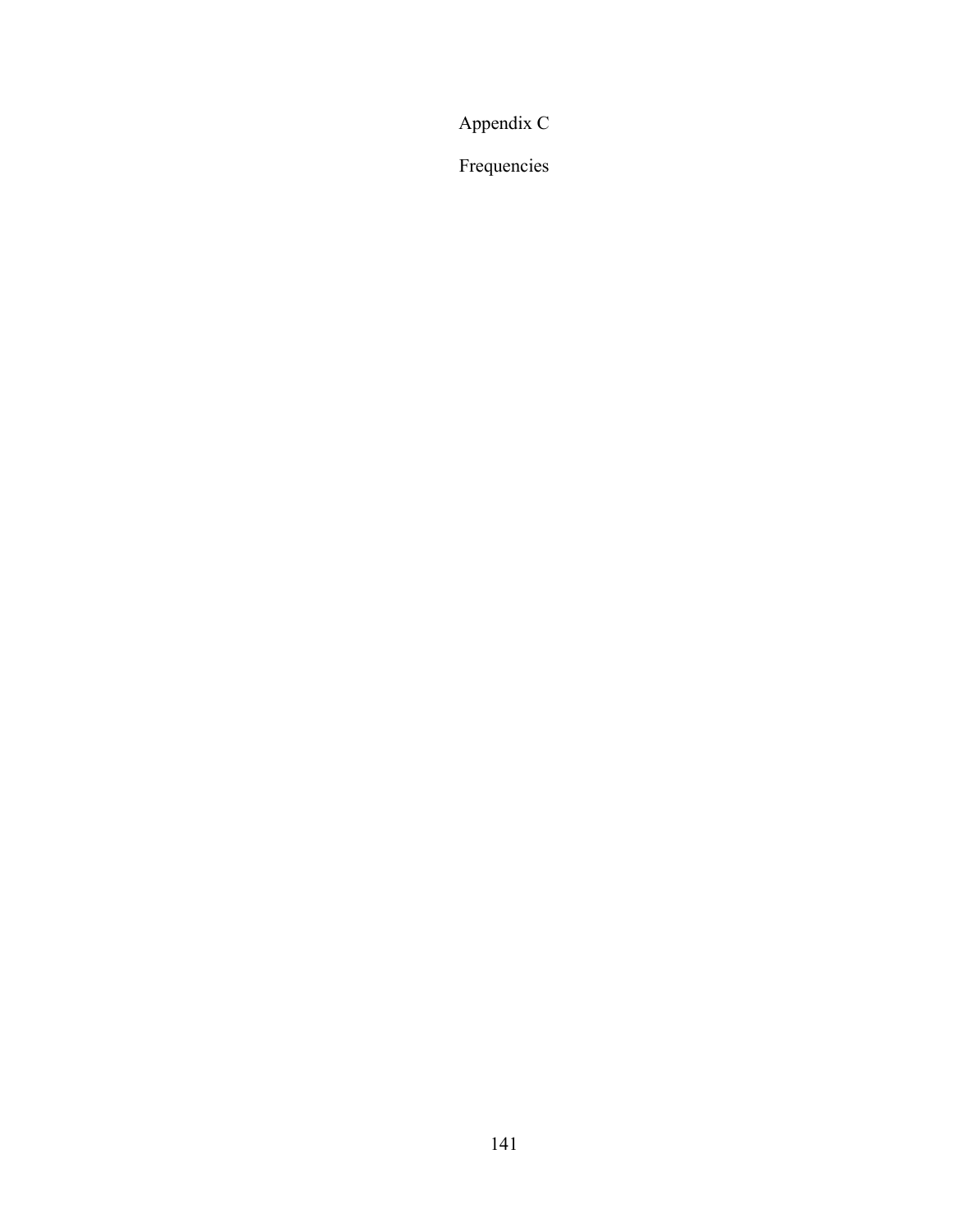Appendix C

Frequencies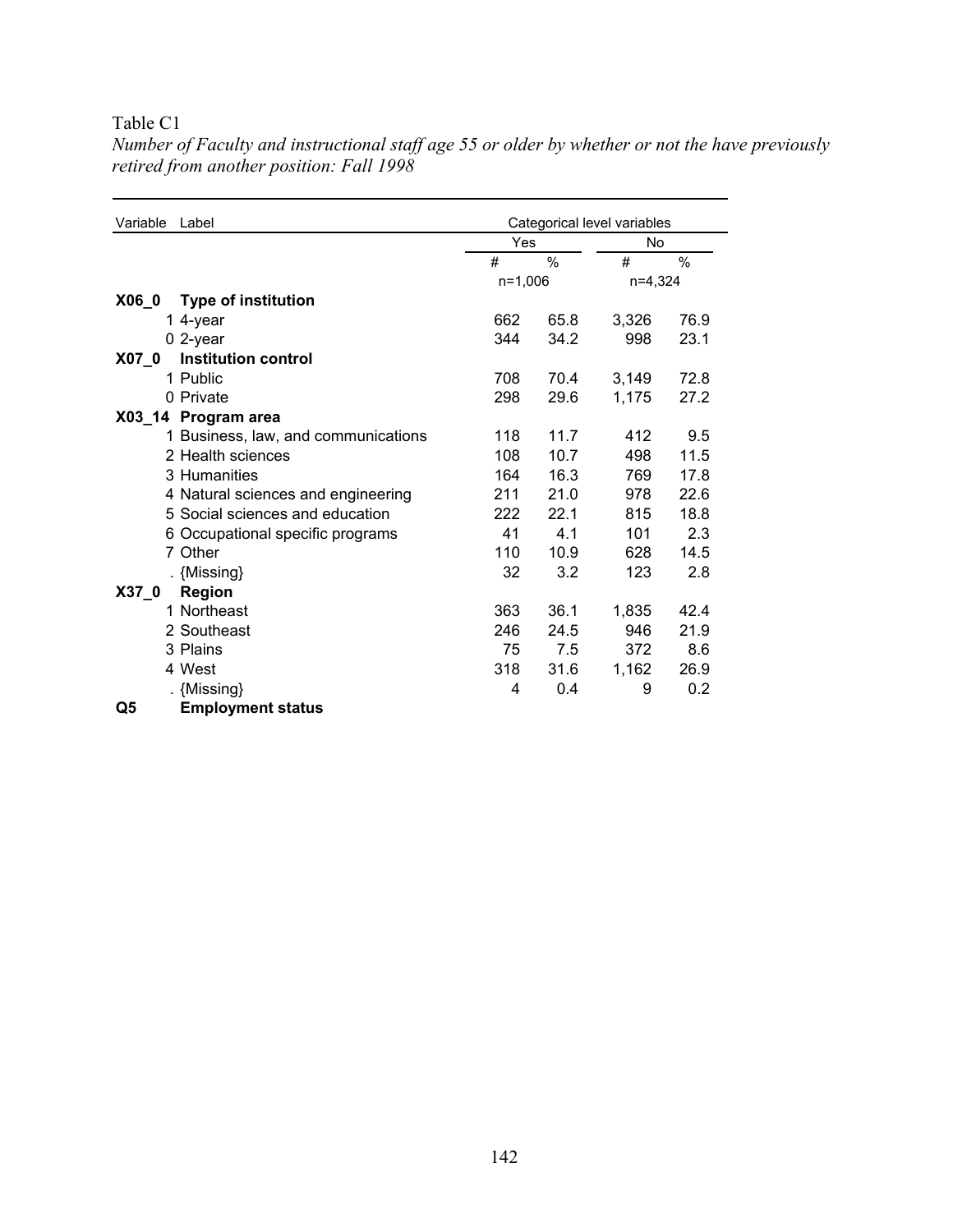| Variable | Label                               | Categorical level variables |      |         |               |
|----------|-------------------------------------|-----------------------------|------|---------|---------------|
|          |                                     | Yes                         |      | No      |               |
|          |                                     | #                           | $\%$ | #       | $\frac{0}{0}$ |
|          |                                     | $n=1,006$                   |      | n=4,324 |               |
| X06 0    | <b>Type of institution</b>          |                             |      |         |               |
|          | 1 4-year                            | 662                         | 65.8 | 3,326   | 76.9          |
|          | $0$ 2-year                          | 344                         | 34.2 | 998     | 23.1          |
| X07 0    | <b>Institution control</b>          |                             |      |         |               |
|          | 1 Public                            | 708                         | 70.4 | 3,149   | 72.8          |
|          | 0 Private                           | 298                         | 29.6 | 1,175   | 27.2          |
|          | X03_14 Program area                 |                             |      |         |               |
|          | 1 Business, law, and communications | 118                         | 11.7 | 412     | 9.5           |
|          | 2 Health sciences                   | 108                         | 10.7 | 498     | 11.5          |
|          | 3 Humanities                        | 164                         | 16.3 | 769     | 17.8          |
|          | 4 Natural sciences and engineering  | 211                         | 21.0 | 978     | 22.6          |
|          | 5 Social sciences and education     | 222                         | 22.1 | 815     | 18.8          |
|          | 6 Occupational specific programs    | 41                          | 4.1  | 101     | 2.3           |
|          | 7 Other                             | 110                         | 10.9 | 628     | 14.5          |
|          | . {Missing}                         | 32                          | 3.2  | 123     | 2.8           |
| $X37_0$  | <b>Region</b>                       |                             |      |         |               |
|          | 1 Northeast                         | 363                         | 36.1 | 1,835   | 42.4          |
|          | 2 Southeast                         | 246                         | 24.5 | 946     | 21.9          |
|          | 3 Plains                            | 75                          | 7.5  | 372     | 8.6           |
|          | 4 West                              | 318                         | 31.6 | 1,162   | 26.9          |
|          | . {Missing}                         | 4                           | 0.4  | 9       | 0.2           |
| Q5       | <b>Employment status</b>            |                             |      |         |               |

*Number of Faculty and instructional staff age 55 or older by whether or not the have previously retired from another position: Fall 1998*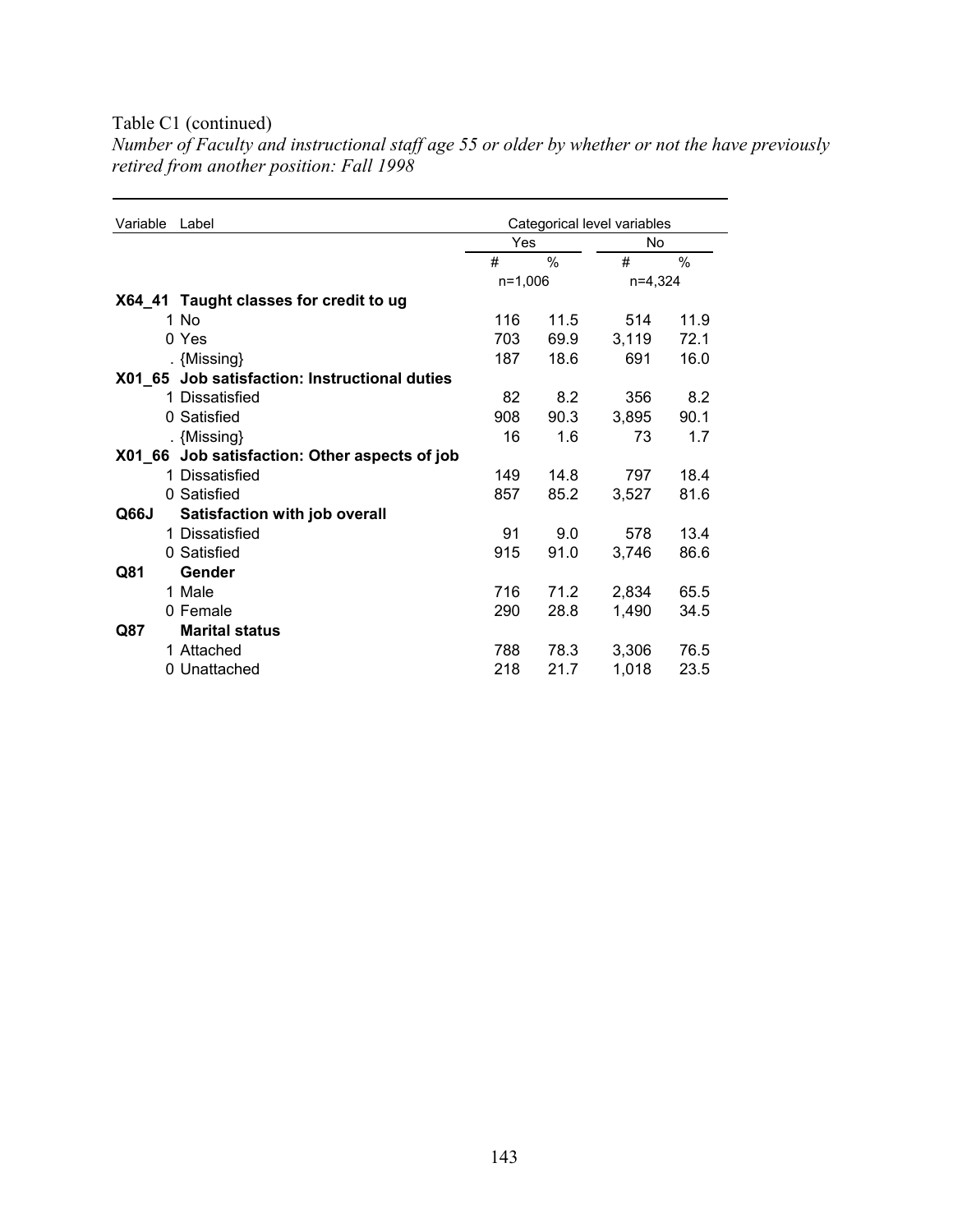### Table C1 (continued)

*Number of Faculty and instructional staff age 55 or older by whether or not the have previously retired from another position: Fall 1998* 

| Variable | Label                                         | Categorical level variables |      |           |               |
|----------|-----------------------------------------------|-----------------------------|------|-----------|---------------|
|          |                                               | Yes                         |      | No        |               |
|          |                                               | #                           | $\%$ | #         | $\frac{0}{0}$ |
|          |                                               | $n=1,006$                   |      | $n=4,324$ |               |
|          | X64_41 Taught classes for credit to ug        |                             |      |           |               |
|          | 1 No                                          | 116                         | 11.5 | 514       | 11.9          |
|          | 0 Yes                                         | 703                         | 69.9 | 3,119     | 72.1          |
|          | . {Missing}                                   | 187                         | 18.6 | 691       | 16.0          |
|          | X01_65 Job satisfaction: Instructional duties |                             |      |           |               |
|          | 1 Dissatisfied                                | 82                          | 8.2  | 356       | 8.2           |
|          | 0 Satisfied                                   | 908                         | 90.3 | 3,895     | 90.1          |
|          | . {Missing}                                   | 16                          | 1.6  | 73        | 1.7           |
|          | X01_66 Job satisfaction: Other aspects of job |                             |      |           |               |
|          | 1 Dissatisfied                                | 149                         | 14.8 | 797       | 18.4          |
|          | 0 Satisfied                                   | 857                         | 85.2 | 3,527     | 81.6          |
| Q66J     | Satisfaction with job overall                 |                             |      |           |               |
|          | 1 Dissatisfied                                | 91                          | 9.0  | 578       | 13.4          |
|          | 0 Satisfied                                   | 915                         | 91.0 | 3,746     | 86.6          |
| Q81      | Gender                                        |                             |      |           |               |
|          | 1 Male                                        | 716                         | 71.2 | 2,834     | 65.5          |
|          | 0 Female                                      | 290                         | 28.8 | 1,490     | 34.5          |
| Q87      | <b>Marital status</b>                         |                             |      |           |               |
|          | 1 Attached                                    | 788                         | 78.3 | 3,306     | 76.5          |
|          | 0 Unattached                                  | 218                         | 21.7 | 1,018     | 23.5          |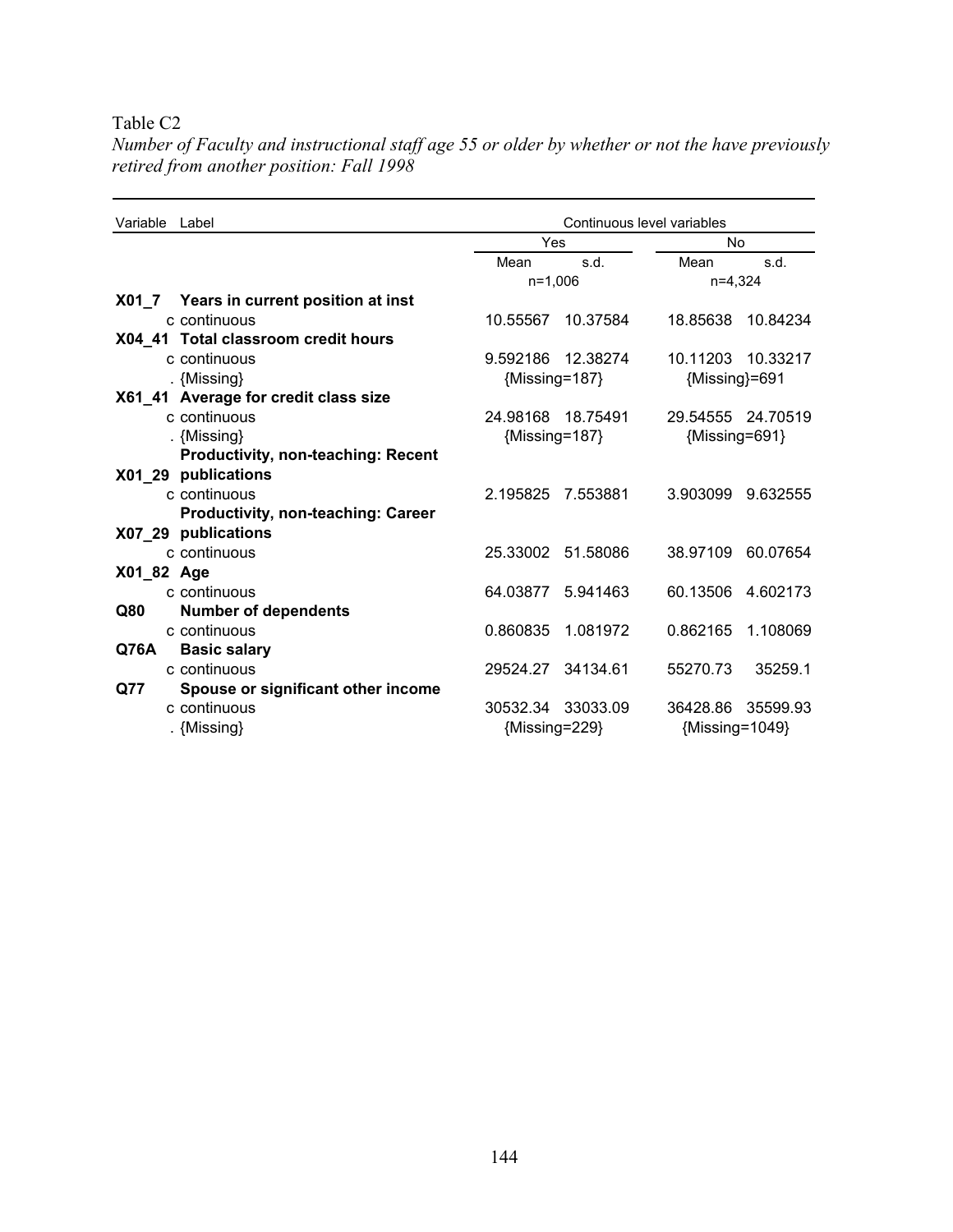| Variable Label                            | Continuous level variables |                   |                |                   |
|-------------------------------------------|----------------------------|-------------------|----------------|-------------------|
|                                           | Yes                        |                   | No             |                   |
|                                           | Mean                       | s.d.              | Mean           | s.d.              |
|                                           | $n=1,006$                  |                   | $n=4,324$      |                   |
| X01_7 Years in current position at inst   |                            |                   |                |                   |
| c continuous                              |                            | 10.55567 10.37584 |                | 18.85638 10.84234 |
| X04_41 Total classroom credit hours       |                            |                   |                |                   |
| c continuous                              |                            | 9.592186 12.38274 |                | 10.11203 10.33217 |
| . {Missing}                               | ${Missing=187}$            |                   | {Missing}=691  |                   |
| X61_41 Average for credit class size      |                            |                   |                |                   |
| c continuous                              |                            | 24.98168 18.75491 |                | 29.54555 24.70519 |
| . {Missing}                               | ${Missing=187}$            |                   | {Missing=691}  |                   |
| <b>Productivity, non-teaching: Recent</b> |                            |                   |                |                   |
| X01_29 publications                       |                            |                   |                |                   |
| c continuous                              | 2.195825                   | 7.553881          | 3.903099       | 9.632555          |
| <b>Productivity, non-teaching: Career</b> |                            |                   |                |                   |
| X07_29 publications                       |                            |                   |                |                   |
| c continuous                              |                            | 25.33002 51.58086 |                | 38.97109 60.07654 |
| X01_82 Age                                |                            |                   |                |                   |
| c continuous                              | 64.03877                   | 5.941463          | 60.13506       | 4.602173          |
| <b>Number of dependents</b><br>Q80        |                            |                   |                |                   |
| c continuous                              | 0.860835                   | 1.081972          | 0.862165       | 1.108069          |
| Q76A<br><b>Basic salary</b>               |                            |                   |                |                   |
| c continuous                              |                            | 29524.27 34134.61 | 55270.73       | 35259.1           |
| Spouse or significant other income<br>Q77 |                            |                   |                |                   |
| c continuous                              |                            | 30532.34 33033.09 |                | 36428.86 35599.93 |
| . {Missing}                               | {Missing=229}              |                   | {Missing=1049} |                   |

*Number of Faculty and instructional staff age 55 or older by whether or not the have previously retired from another position: Fall 1998*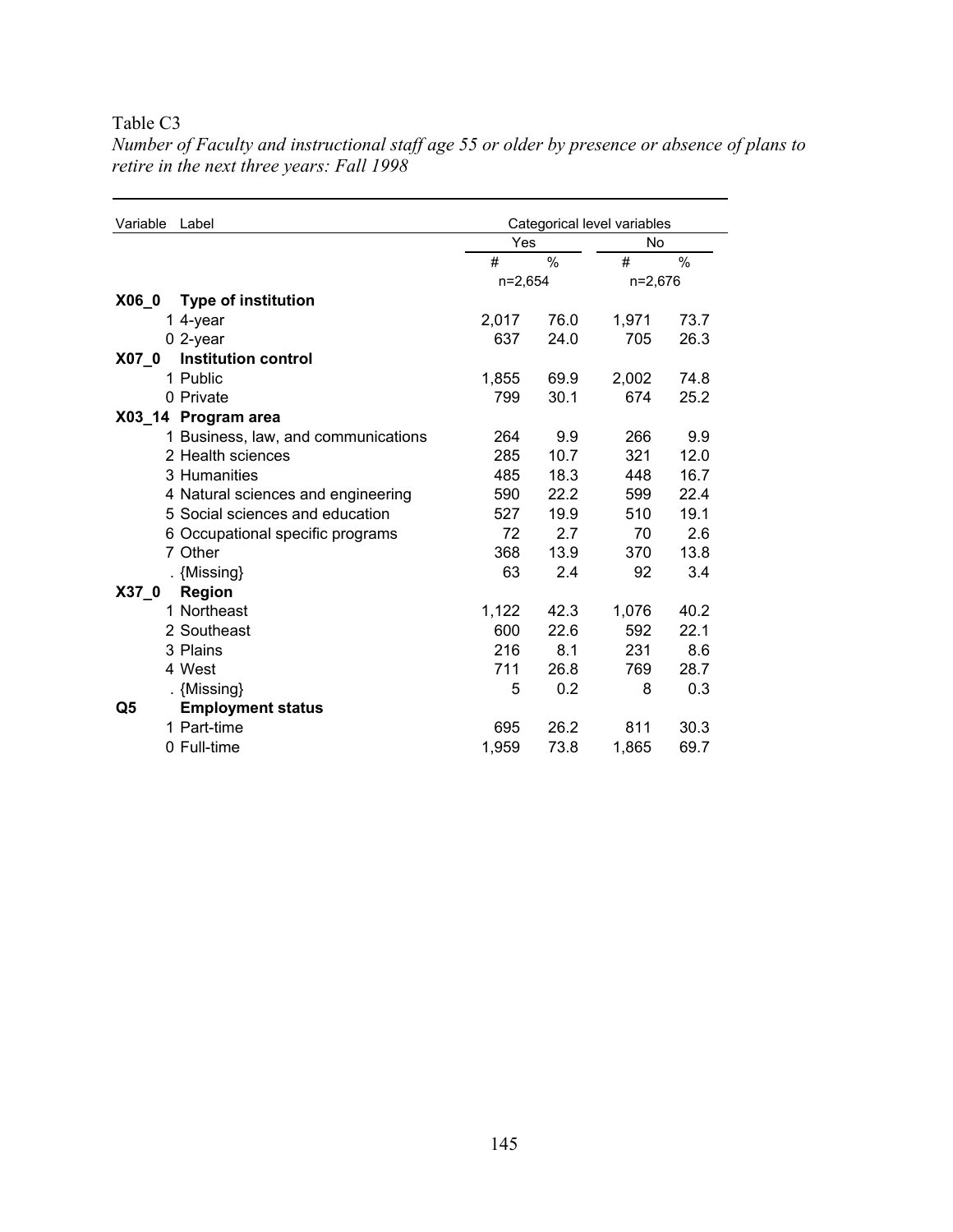| Variable<br>Label                     |           | Categorical level variables |           |      |  |
|---------------------------------------|-----------|-----------------------------|-----------|------|--|
|                                       | Yes       |                             | <b>No</b> |      |  |
|                                       | #         | $\frac{0}{0}$               | #         | $\%$ |  |
|                                       | $n=2,654$ |                             | $n=2,676$ |      |  |
| $X06_0$<br><b>Type of institution</b> |           |                             |           |      |  |
| 1 4-year                              | 2,017     | 76.0                        | 1,971     | 73.7 |  |
| $0$ 2-year                            | 637       | 24.0                        | 705       | 26.3 |  |
| <b>Institution control</b><br>$X07_0$ |           |                             |           |      |  |
| 1 Public                              | 1,855     | 69.9                        | 2,002     | 74.8 |  |
| 0 Private                             | 799       | 30.1                        | 674       | 25.2 |  |
| X03_14 Program area                   |           |                             |           |      |  |
| 1 Business, law, and communications   | 264       | 9.9                         | 266       | 9.9  |  |
| 2 Health sciences                     | 285       | 10.7                        | 321       | 12.0 |  |
| 3 Humanities                          | 485       | 18.3                        | 448       | 16.7 |  |
| 4 Natural sciences and engineering    | 590       | 22.2                        | 599       | 22.4 |  |
| 5 Social sciences and education       | 527       | 19.9                        | 510       | 19.1 |  |
| 6 Occupational specific programs      | 72        | 2.7                         | 70        | 2.6  |  |
| 7 Other                               | 368       | 13.9                        | 370       | 13.8 |  |
| . {Missing}                           | 63        | 2.4                         | 92        | 3.4  |  |
| <b>Region</b><br>X37 0                |           |                             |           |      |  |
| 1 Northeast                           | 1,122     | 42.3                        | 1,076     | 40.2 |  |
| 2 Southeast                           | 600       | 22.6                        | 592       | 22.1 |  |
| 3 Plains                              | 216       | 8.1                         | 231       | 8.6  |  |
| 4 West                                | 711       | 26.8                        | 769       | 28.7 |  |
| . {Missing}                           | 5         | 0.2                         | 8         | 0.3  |  |
| <b>Employment status</b><br>Q5        |           |                             |           |      |  |
| 1 Part-time                           | 695       | 26.2                        | 811       | 30.3 |  |
| 0 Full-time                           | 1,959     | 73.8                        | 1,865     | 69.7 |  |

*Number of Faculty and instructional staff age 55 or older by presence or absence of plans to retire in the next three years: Fall 1998*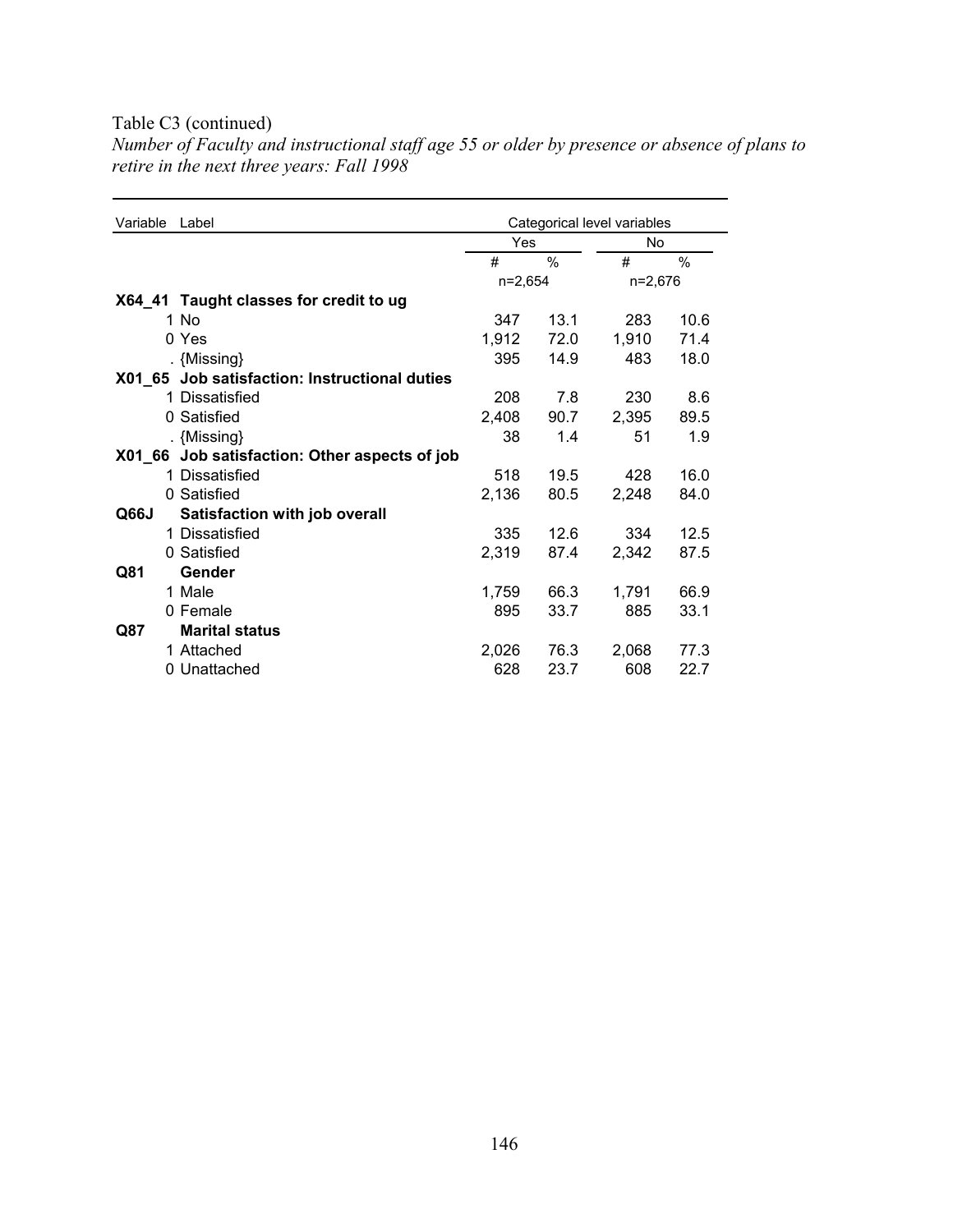### Table C3 (continued)

*Number of Faculty and instructional staff age 55 or older by presence or absence of plans to retire in the next three years: Fall 1998* 

| Variable | Label                                         | Categorical level variables |      |         |      |
|----------|-----------------------------------------------|-----------------------------|------|---------|------|
|          |                                               | Yes                         |      | No      |      |
|          |                                               | #                           | $\%$ | #       | %    |
|          |                                               | $n=2,654$                   |      | n=2,676 |      |
|          | X64_41 Taught classes for credit to ug        |                             |      |         |      |
|          | 1 No                                          | 347                         | 13.1 | 283     | 10.6 |
|          | 0 Yes                                         | 1,912                       | 72.0 | 1,910   | 71.4 |
|          | . {Missing}                                   | 395                         | 14.9 | 483     | 18.0 |
|          | X01_65 Job satisfaction: Instructional duties |                             |      |         |      |
|          | 1 Dissatisfied                                | 208                         | 7.8  | 230     | 8.6  |
|          | 0 Satisfied                                   | 2,408                       | 90.7 | 2,395   | 89.5 |
|          | . {Missing}                                   | 38                          | 1.4  | 51      | 1.9  |
|          | X01_66 Job satisfaction: Other aspects of job |                             |      |         |      |
|          | 1 Dissatisfied                                | 518                         | 19.5 | 428     | 16.0 |
|          | 0 Satisfied                                   | 2,136                       | 80.5 | 2,248   | 84.0 |
| Q66J     | Satisfaction with job overall                 |                             |      |         |      |
|          | 1 Dissatisfied                                | 335                         | 12.6 | 334     | 12.5 |
|          | 0 Satisfied                                   | 2,319                       | 87.4 | 2,342   | 87.5 |
| Q81      | Gender                                        |                             |      |         |      |
|          | 1 Male                                        | 1,759                       | 66.3 | 1,791   | 66.9 |
|          | 0 Female                                      | 895                         | 33.7 | 885     | 33.1 |
| Q87      | <b>Marital status</b>                         |                             |      |         |      |
|          | 1 Attached                                    | 2,026                       | 76.3 | 2,068   | 77.3 |
|          | 0 Unattached                                  | 628                         | 23.7 | 608     | 22.7 |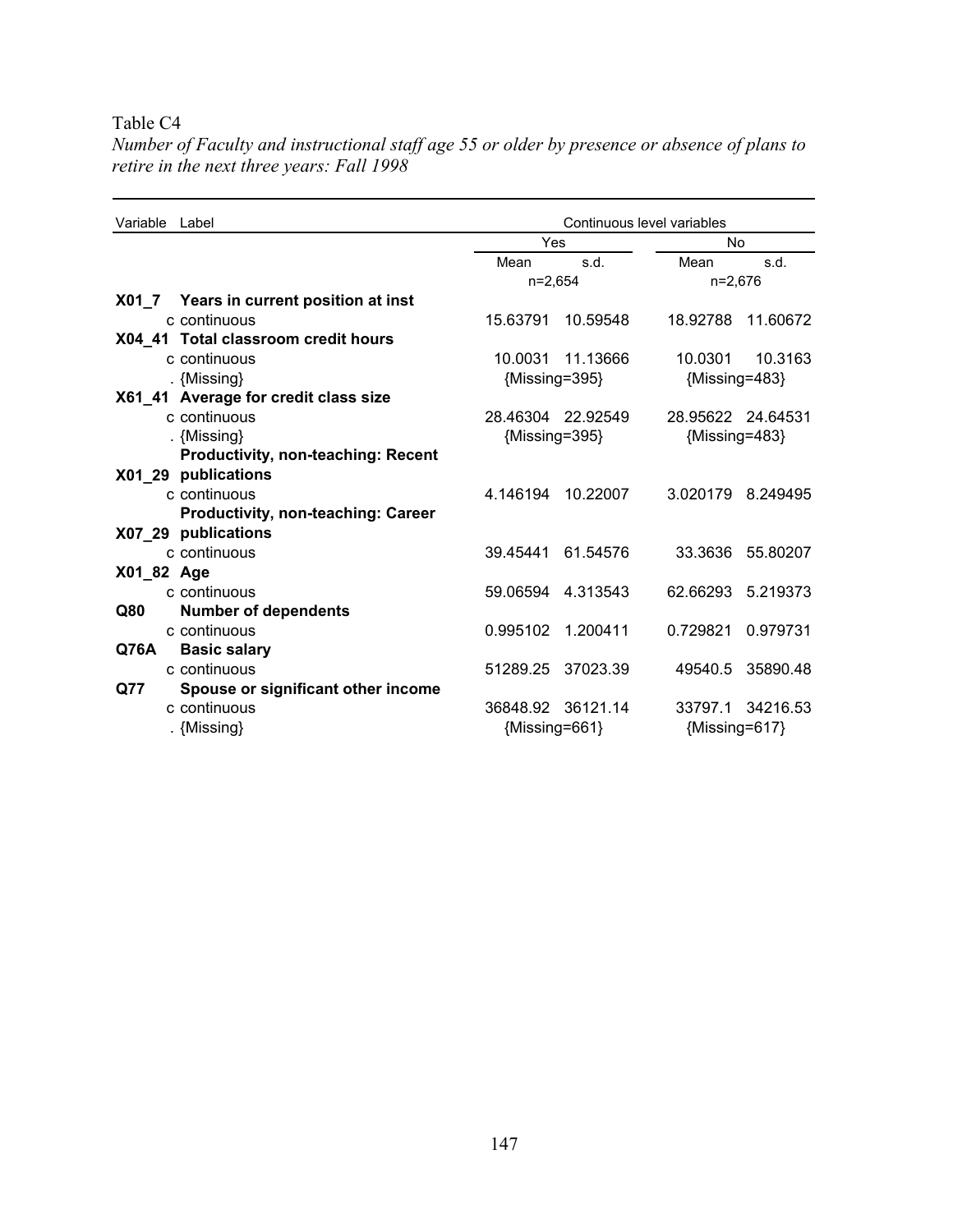| Variable Label                            | Continuous level variables |                   |                   |          |
|-------------------------------------------|----------------------------|-------------------|-------------------|----------|
|                                           | Yes                        |                   | No                |          |
|                                           | Mean                       | s.d.              | Mean              | s.d.     |
|                                           | $n=2,654$                  |                   | $n=2,676$         |          |
| X01_7 Years in current position at inst   |                            |                   |                   |          |
| c continuous                              | 15.63791                   | 10.59548          | 18.92788          | 11.60672 |
| X04_41 Total classroom credit hours       |                            |                   |                   |          |
| c continuous                              | 10.0031                    | 11.13666          | 10.0301           | 10.3163  |
| . {Missing}                               | {Missing=395}              |                   | {Missing=483}     |          |
| X61_41 Average for credit class size      |                            |                   |                   |          |
| c continuous                              |                            | 28.46304 22.92549 | 28.95622 24.64531 |          |
| . {Missing}                               | ${Missing=395}$            |                   | {Missing=483}     |          |
| <b>Productivity, non-teaching: Recent</b> |                            |                   |                   |          |
| X01_29 publications                       |                            |                   |                   |          |
| c continuous                              | 4.146194                   | 10.22007          | 3.020179          | 8.249495 |
| <b>Productivity, non-teaching: Career</b> |                            |                   |                   |          |
| X07 29 publications                       |                            |                   |                   |          |
| c continuous                              | 39.45441                   | 61.54576          | 33.3636           | 55.80207 |
| X01_82 Age                                |                            |                   |                   |          |
| c continuous                              |                            | 59.06594 4.313543 | 62.66293          | 5.219373 |
| <b>Number of dependents</b><br>Q80        |                            |                   |                   |          |
| c continuous                              | 0.995102                   | 1.200411          | 0.729821          | 0.979731 |
| Q76A<br><b>Basic salary</b>               |                            |                   |                   |          |
| c continuous                              | 51289.25                   | 37023.39          | 49540.5           | 35890.48 |
| Spouse or significant other income<br>Q77 |                            |                   |                   |          |
| c continuous                              |                            | 36848.92 36121.14 | 33797.1           | 34216.53 |
| . {Missing}                               | ${Missing=661}$            |                   | ${Missing=617}$   |          |

*Number of Faculty and instructional staff age 55 or older by presence or absence of plans to retire in the next three years: Fall 1998*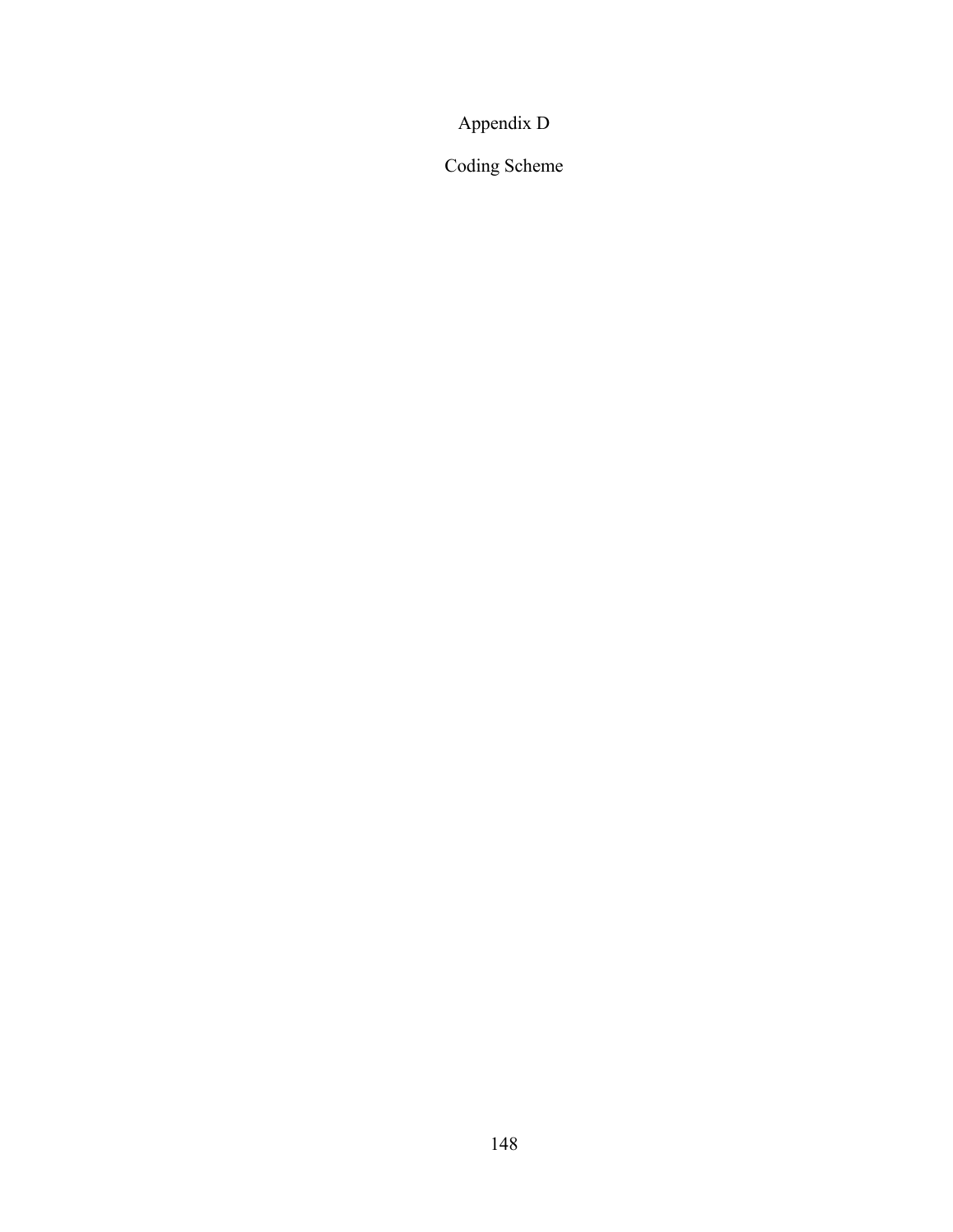# Appendix D

Coding Scheme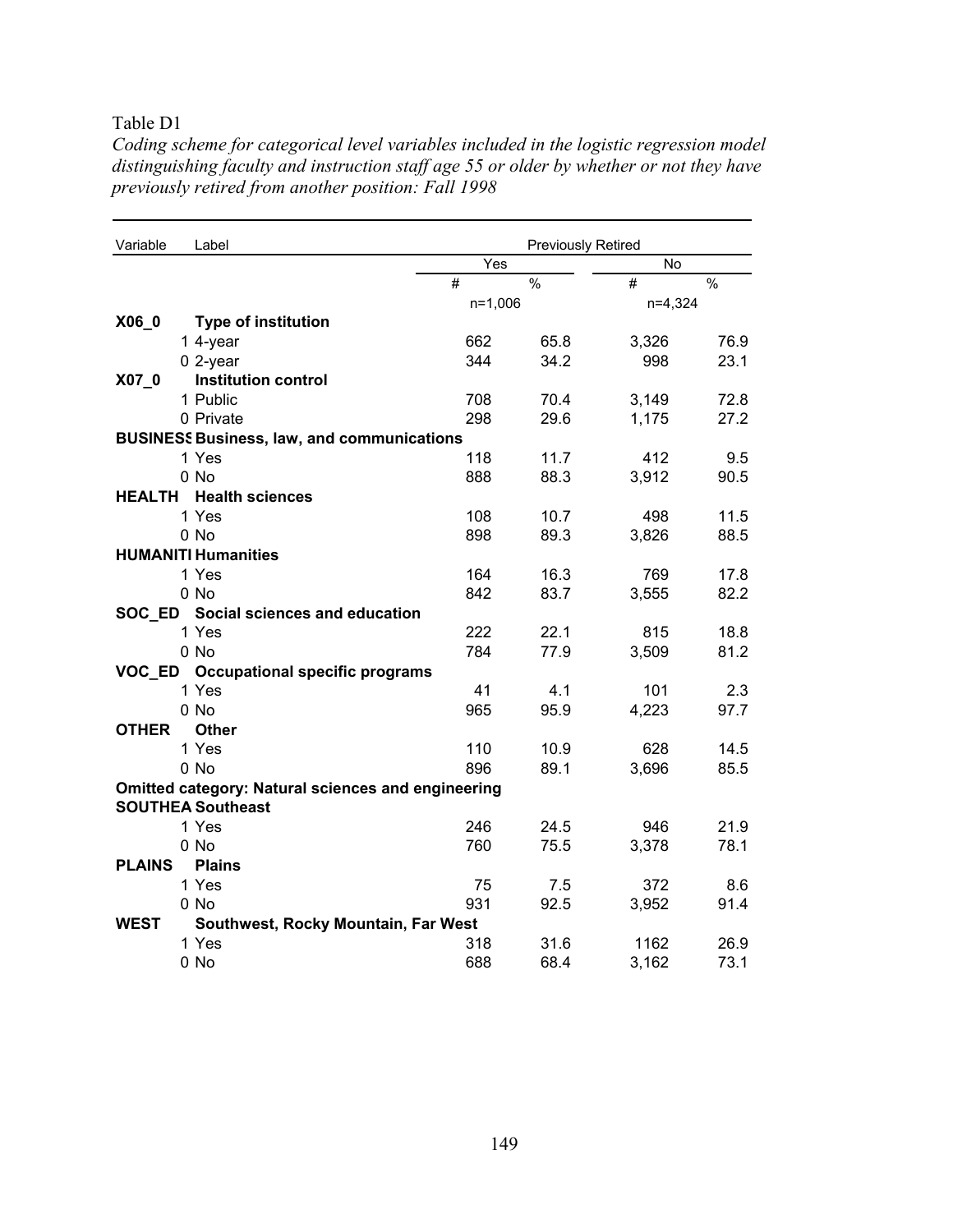Table D1

| Table DT                                                                                 |
|------------------------------------------------------------------------------------------|
| Coding scheme for categorical level variables included in the logistic regression model  |
| distinguishing faculty and instruction staff age 55 or older by whether or not they have |
| previously retired from another position: Fall 1998                                      |

| Variable                 | Label                                                     |           | <b>Previously Retired</b> |           |               |  |
|--------------------------|-----------------------------------------------------------|-----------|---------------------------|-----------|---------------|--|
|                          |                                                           | Yes       |                           | No        |               |  |
|                          |                                                           | #         | $\frac{0}{0}$             | #         | $\frac{0}{0}$ |  |
|                          |                                                           | $n=1,006$ |                           | $n=4,324$ |               |  |
| X06_0                    | <b>Type of institution</b>                                |           |                           |           |               |  |
|                          | 1 4-year                                                  | 662       | 65.8                      | 3,326     | 76.9          |  |
|                          | $0$ 2-year                                                | 344       | 34.2                      | 998       | 23.1          |  |
| $X07_0$                  | <b>Institution control</b>                                |           |                           |           |               |  |
|                          | 1 Public                                                  | 708       | 70.4                      | 3,149     | 72.8          |  |
|                          | 0 Private                                                 | 298       | 29.6                      | 1,175     | 27.2          |  |
|                          | <b>BUSINESS Business, law, and communications</b>         |           |                           |           |               |  |
|                          | 1 Yes                                                     | 118       | 11.7                      | 412       | 9.5           |  |
|                          | $0$ No                                                    | 888       | 88.3                      | 3,912     | 90.5          |  |
| <b>HEALTH</b>            | <b>Health sciences</b>                                    |           |                           |           |               |  |
|                          | 1 Yes                                                     | 108       | 10.7                      | 498       | 11.5          |  |
|                          | 0 No                                                      | 898       | 89.3                      | 3,826     | 88.5          |  |
|                          | <b>HUMANITI Humanities</b>                                |           |                           |           |               |  |
|                          | 1 Yes                                                     | 164       | 16.3                      | 769       | 17.8          |  |
|                          | 0 No                                                      | 842       | 83.7                      | 3,555     | 82.2          |  |
|                          | SOC ED Social sciences and education                      |           |                           |           |               |  |
|                          | 1 Yes                                                     | 222       | 22.1                      | 815       | 18.8          |  |
|                          | 0 No                                                      | 784       | 77.9                      | 3,509     | 81.2          |  |
|                          | VOC_ED Occupational specific programs                     |           |                           |           |               |  |
|                          | 1 Yes                                                     | 41        | 4.1                       | 101       | 2.3           |  |
|                          | 0 No                                                      | 965       | 95.9                      | 4,223     | 97.7          |  |
| <b>OTHER</b>             | <b>Other</b>                                              |           |                           |           |               |  |
|                          | 1 Yes                                                     | 110       | 10.9                      | 628       | 14.5          |  |
|                          | 0 No                                                      | 896       | 89.1                      | 3,696     | 85.5          |  |
|                          | <b>Omitted category: Natural sciences and engineering</b> |           |                           |           |               |  |
| <b>SOUTHEA Southeast</b> |                                                           |           |                           |           |               |  |
|                          | 1 Yes                                                     | 246       | 24.5                      | 946       | 21.9          |  |
|                          | 0 No                                                      | 760       | 75.5                      | 3,378     | 78.1          |  |
| <b>PLAINS</b>            | <b>Plains</b>                                             |           |                           |           |               |  |
|                          | 1 Yes                                                     | 75        | 7.5                       | 372       | 8.6           |  |
|                          | 0 No                                                      | 931       | 92.5                      | 3,952     | 91.4          |  |
| <b>WEST</b>              | Southwest, Rocky Mountain, Far West                       |           |                           |           |               |  |
|                          | 1 Yes                                                     | 318       | 31.6                      | 1162      | 26.9          |  |
|                          | 0 No                                                      | 688       | 68.4                      | 3,162     | 73.1          |  |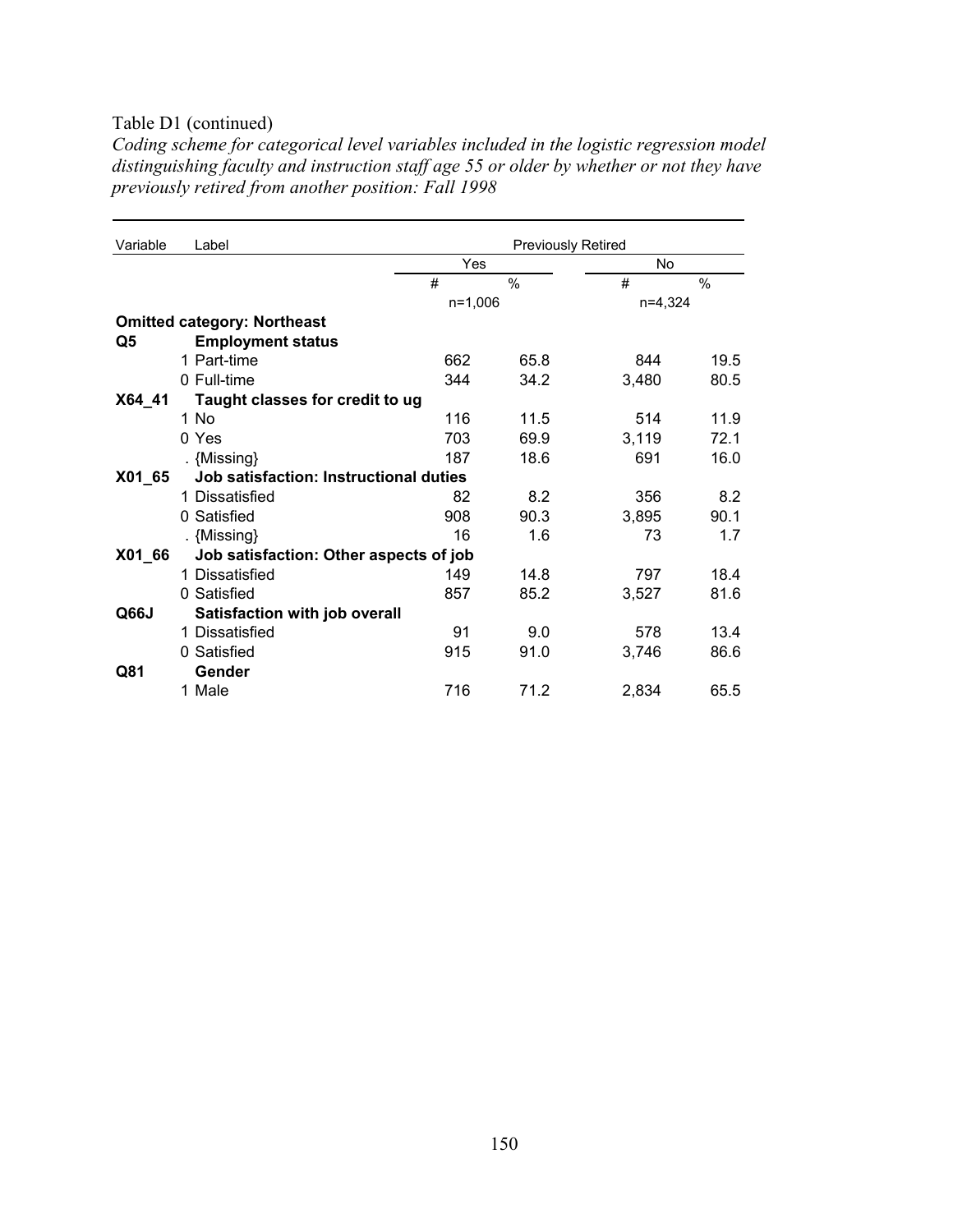#### Table D1 (continued)

| Variable | Label                                  | <b>Previously Retired</b> |               |           |      |
|----------|----------------------------------------|---------------------------|---------------|-----------|------|
|          |                                        |                           | Yes           | No        |      |
|          |                                        | #                         | $\frac{0}{0}$ | #         | $\%$ |
|          |                                        |                           | $n=1,006$     | $n=4.324$ |      |
|          | <b>Omitted category: Northeast</b>     |                           |               |           |      |
| Q5       | <b>Employment status</b>               |                           |               |           |      |
|          | 1 Part-time                            | 662                       | 65.8          | 844       | 19.5 |
|          | 0 Full-time                            | 344                       | 34.2          | 3,480     | 80.5 |
| X64_41   | Taught classes for credit to ug        |                           |               |           |      |
|          | 1 No                                   | 116                       | 11.5          | 514       | 11.9 |
|          | 0 Yes                                  | 703                       | 69.9          | 3,119     | 72.1 |
|          | . {Missing}                            | 187                       | 18.6          | 691       | 16.0 |
| X01_65   | Job satisfaction: Instructional duties |                           |               |           |      |
|          | 1 Dissatisfied                         | 82                        | 8.2           | 356       | 8.2  |
|          | 0 Satisfied                            | 908                       | 90.3          | 3,895     | 90.1 |
|          | . {Missing}                            | 16                        | 1.6           | 73        | 1.7  |
| X01_66   | Job satisfaction: Other aspects of job |                           |               |           |      |
|          | 1 Dissatisfied                         | 149                       | 14.8          | 797       | 18.4 |
|          | 0 Satisfied                            | 857                       | 85.2          | 3,527     | 81.6 |
| Q66J     | Satisfaction with job overall          |                           |               |           |      |
|          | 1 Dissatisfied                         | 91                        | 9.0           | 578       | 13.4 |
|          | 0 Satisfied                            | 915                       | 91.0          | 3.746     | 86.6 |
| Q81      | Gender                                 |                           |               |           |      |
|          | 1 Male                                 | 716                       | 71.2          | 2,834     | 65.5 |

*Coding scheme for categorical level variables included in the logistic regression model distinguishing faculty and instruction staff age 55 or older by whether or not they have previously retired from another position: Fall 1998*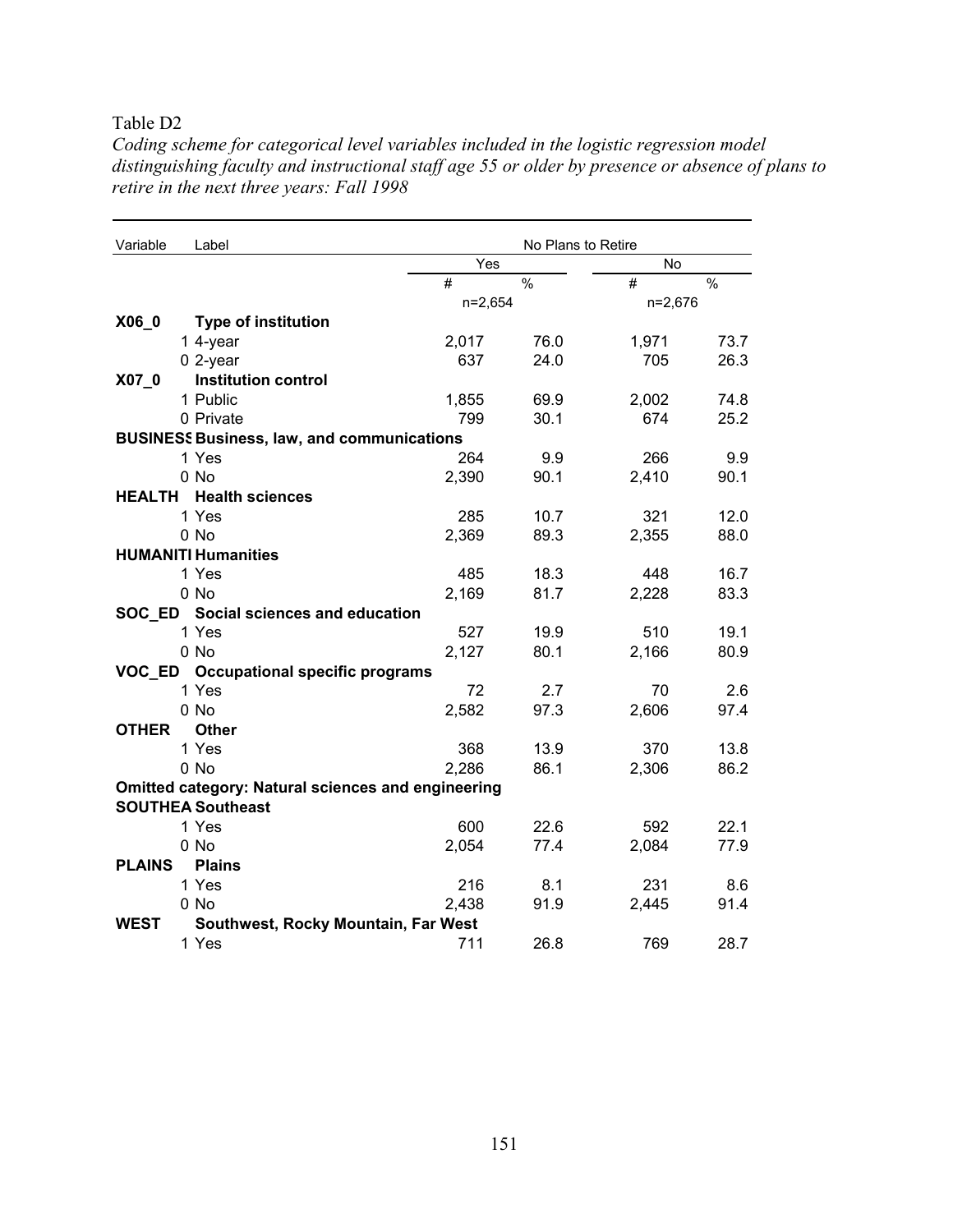Table D2

| Variable      | Label                                                     |           | No Plans to Retire |         |               |
|---------------|-----------------------------------------------------------|-----------|--------------------|---------|---------------|
|               |                                                           | Yes       |                    | No      |               |
|               |                                                           | #         | $\frac{0}{0}$      | #       | $\frac{0}{0}$ |
|               |                                                           | $n=2,654$ |                    | n=2,676 |               |
| X06_0         | Type of institution                                       |           |                    |         |               |
|               | 1 4-year                                                  | 2,017     | 76.0               | 1,971   | 73.7          |
|               | $0$ 2-year                                                | 637       | 24.0               | 705     | 26.3          |
| $X07_0$       | <b>Institution control</b>                                |           |                    |         |               |
|               | 1 Public                                                  | 1,855     | 69.9               | 2,002   | 74.8          |
|               | 0 Private                                                 | 799       | 30.1               | 674     | 25.2          |
|               | <b>BUSINESS Business, law, and communications</b>         |           |                    |         |               |
|               | 1 Yes                                                     | 264       | 9.9                | 266     | 9.9           |
|               | 0 No                                                      | 2,390     | 90.1               | 2,410   | 90.1          |
|               | <b>HEALTH</b> Health sciences                             |           |                    |         |               |
|               | 1 Yes                                                     | 285       | 10.7               | 321     | 12.0          |
|               | 0 No                                                      | 2,369     | 89.3               | 2,355   | 88.0          |
|               | <b>HUMANITI Humanities</b>                                |           |                    |         |               |
|               | 1 Yes                                                     | 485       | 18.3               | 448     | 16.7          |
|               | 0 No                                                      | 2,169     | 81.7               | 2,228   | 83.3          |
|               | SOC_ED Social sciences and education                      |           |                    |         |               |
|               | 1 Yes                                                     | 527       | 19.9               | 510     | 19.1          |
|               | 0 No                                                      | 2,127     | 80.1               | 2,166   | 80.9          |
|               | VOC_ED Occupational specific programs                     |           |                    |         |               |
|               | 1 Yes                                                     | 72        | 2.7                | 70      | 2.6           |
|               | 0 No                                                      | 2,582     | 97.3               | 2,606   | 97.4          |
| <b>OTHER</b>  | <b>Other</b>                                              |           |                    |         |               |
|               | 1 Yes                                                     | 368       | 13.9               | 370     | 13.8          |
|               | 0 No                                                      | 2,286     | 86.1               | 2,306   | 86.2          |
|               | <b>Omitted category: Natural sciences and engineering</b> |           |                    |         |               |
|               | <b>SOUTHEA Southeast</b>                                  |           |                    |         |               |
|               | 1 Yes                                                     | 600       | 22.6               | 592     | 22.1          |
|               | $0$ No                                                    | 2,054     | 77.4               | 2,084   | 77.9          |
| <b>PLAINS</b> | <b>Plains</b>                                             |           |                    |         |               |
|               | 1 Yes                                                     | 216       | 8.1                | 231     | 8.6           |
|               | 0 No                                                      | 2,438     | 91.9               | 2,445   | 91.4          |
| <b>WEST</b>   | Southwest, Rocky Mountain, Far West                       |           |                    |         |               |
|               | 1 Yes                                                     | 711       | 26.8               | 769     | 28.7          |

*Coding scheme for categorical level variables included in the logistic regression model distinguishing faculty and instructional staff age 55 or older by presence or absence of plans to retire in the next three years: Fall 1998*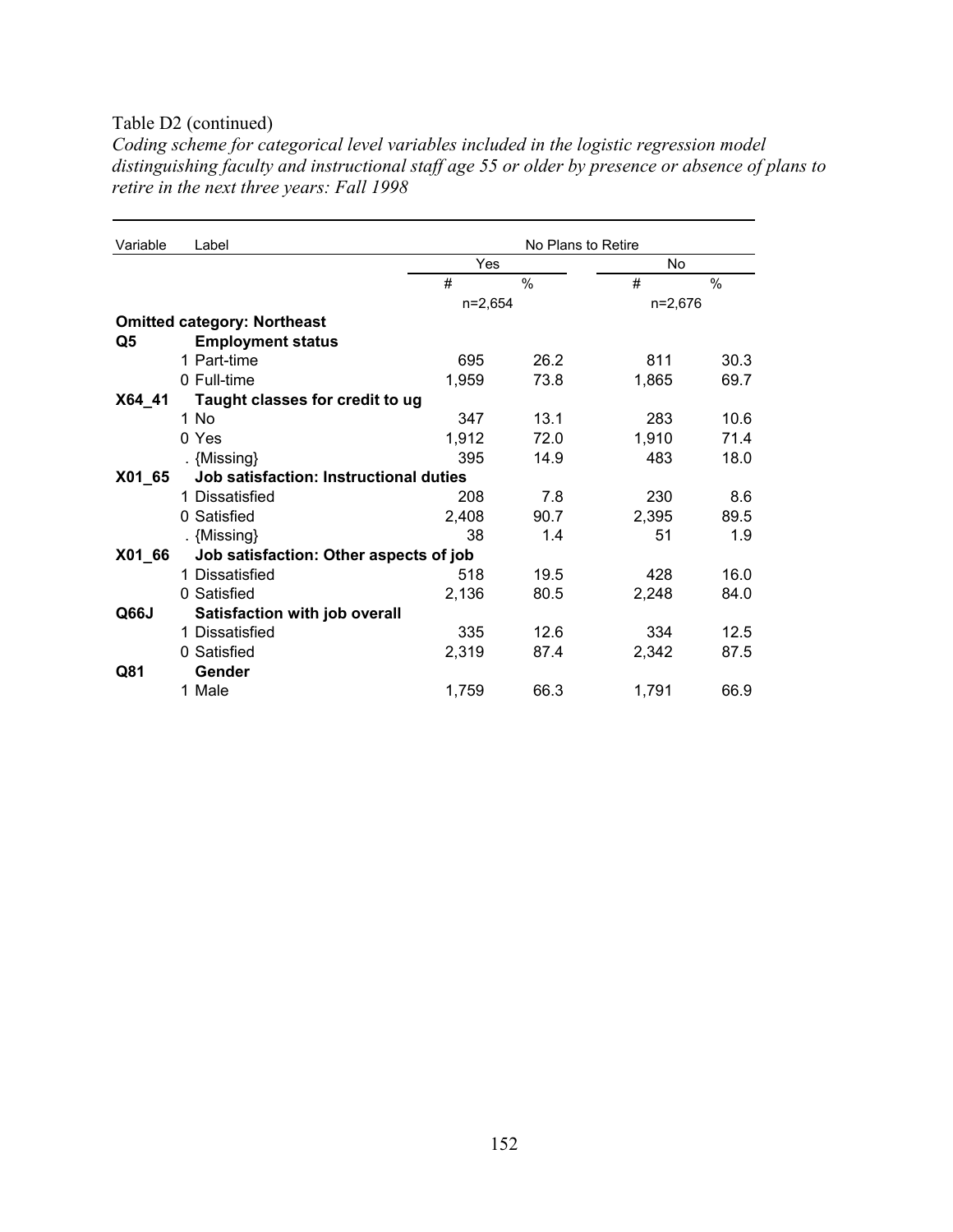#### Table D2 (continued)

*Coding scheme for categorical level variables included in the logistic regression model distinguishing faculty and instructional staff age 55 or older by presence or absence of plans to retire in the next three years: Fall 1998* 

| Variable | Label                                  | No Plans to Retire |               |           |               |
|----------|----------------------------------------|--------------------|---------------|-----------|---------------|
|          |                                        | Yes                |               | <b>No</b> |               |
|          |                                        | #                  | $\frac{0}{0}$ | #         | $\frac{0}{0}$ |
|          |                                        | $n=2,654$          |               | n=2,676   |               |
|          | <b>Omitted category: Northeast</b>     |                    |               |           |               |
| Q5       | <b>Employment status</b>               |                    |               |           |               |
|          | 1 Part-time                            | 695                | 26.2          | 811       | 30.3          |
|          | 0 Full-time                            | 1,959              | 73.8          | 1,865     | 69.7          |
| X64 41   | Taught classes for credit to ug        |                    |               |           |               |
|          | 1 No                                   | 347                | 13.1          | 283       | 10.6          |
|          | 0 Yes                                  | 1,912              | 72.0          | 1,910     | 71.4          |
|          | . {Missing}                            | 395                | 14.9          | 483       | 18.0          |
| X01_65   | Job satisfaction: Instructional duties |                    |               |           |               |
|          | 1 Dissatisfied                         | 208                | 7.8           | 230       | 8.6           |
|          | 0 Satisfied                            | 2,408              | 90.7          | 2,395     | 89.5          |
|          | . {Missing}                            | 38                 | 1.4           | 51        | 1.9           |
| X01_66   | Job satisfaction: Other aspects of job |                    |               |           |               |
|          | 1 Dissatisfied                         | 518                | 19.5          | 428       | 16.0          |
|          | 0 Satisfied                            | 2,136              | 80.5          | 2,248     | 84.0          |
| Q66J     | Satisfaction with job overall          |                    |               |           |               |
|          | 1 Dissatisfied                         | 335                | 12.6          | 334       | 12.5          |
|          | 0 Satisfied                            | 2,319              | 87.4          | 2,342     | 87.5          |
| Q81      | Gender                                 |                    |               |           |               |
|          | 1 Male                                 | 1,759              | 66.3          | 1,791     | 66.9          |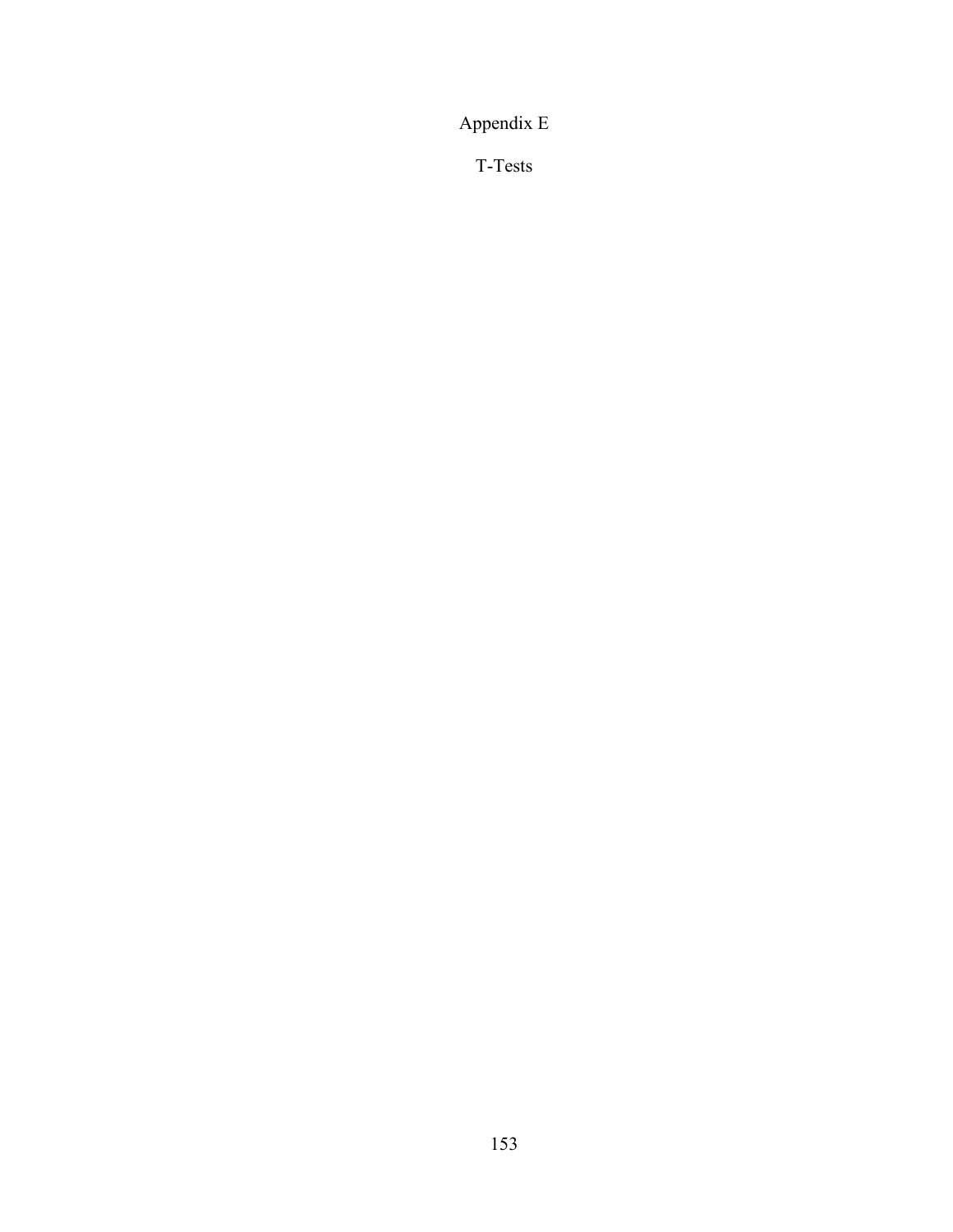Appendix E

T-Tests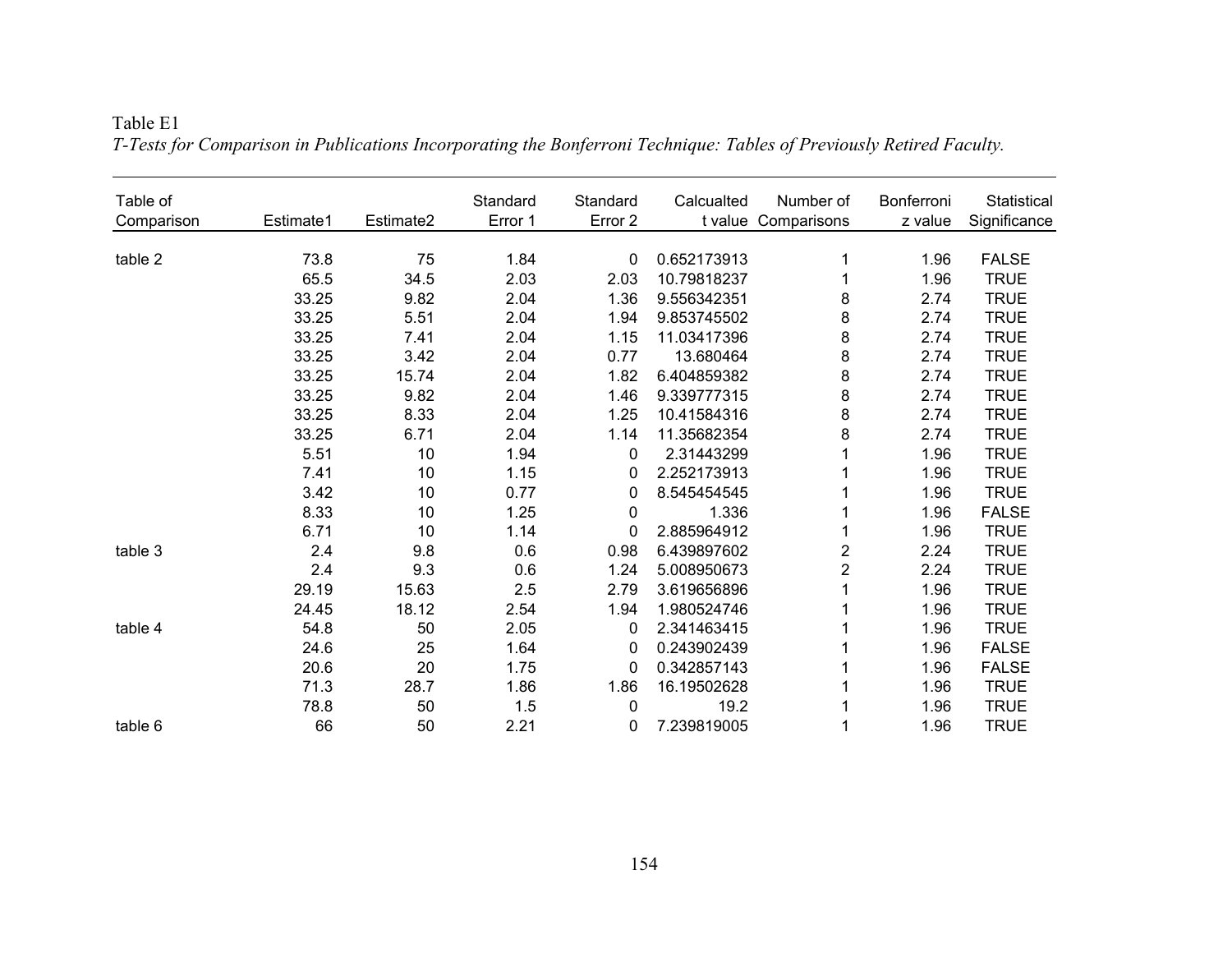| Table of<br>Comparison | Estimate1 | Estimate2 | Standard<br>Error 1 | Standard<br>Error 2 | Calcualted  | Number of<br>t value Comparisons | Bonferroni<br>z value | Statistical<br>Significance |
|------------------------|-----------|-----------|---------------------|---------------------|-------------|----------------------------------|-----------------------|-----------------------------|
|                        |           |           |                     |                     |             |                                  |                       |                             |
| table 2                | 73.8      | 75        | 1.84                | 0                   | 0.652173913 | 1                                | 1.96                  | <b>FALSE</b>                |
|                        | 65.5      | 34.5      | 2.03                | 2.03                | 10.79818237 | 1                                | 1.96                  | <b>TRUE</b>                 |
|                        | 33.25     | 9.82      | 2.04                | 1.36                | 9.556342351 | 8                                | 2.74                  | <b>TRUE</b>                 |
|                        | 33.25     | 5.51      | 2.04                | 1.94                | 9.853745502 | 8                                | 2.74                  | <b>TRUE</b>                 |
|                        | 33.25     | 7.41      | 2.04                | 1.15                | 11.03417396 | 8                                | 2.74                  | <b>TRUE</b>                 |
|                        | 33.25     | 3.42      | 2.04                | 0.77                | 13.680464   | 8                                | 2.74                  | <b>TRUE</b>                 |
|                        | 33.25     | 15.74     | 2.04                | 1.82                | 6.404859382 | 8                                | 2.74                  | <b>TRUE</b>                 |
|                        | 33.25     | 9.82      | 2.04                | 1.46                | 9.339777315 | 8                                | 2.74                  | <b>TRUE</b>                 |
|                        | 33.25     | 8.33      | 2.04                | 1.25                | 10.41584316 | 8                                | 2.74                  | <b>TRUE</b>                 |
|                        | 33.25     | 6.71      | 2.04                | 1.14                | 11.35682354 | 8                                | 2.74                  | <b>TRUE</b>                 |
|                        | 5.51      | 10        | 1.94                | 0                   | 2.31443299  | 1                                | 1.96                  | <b>TRUE</b>                 |
|                        | 7.41      | 10        | 1.15                | 0                   | 2.252173913 | 1                                | 1.96                  | <b>TRUE</b>                 |
|                        | 3.42      | 10        | 0.77                | 0                   | 8.545454545 | 1                                | 1.96                  | <b>TRUE</b>                 |
|                        | 8.33      | 10        | 1.25                | 0                   | 1.336       | 1                                | 1.96                  | <b>FALSE</b>                |
|                        | 6.71      | 10        | 1.14                | 0                   | 2.885964912 | 1                                | 1.96                  | <b>TRUE</b>                 |
| table 3                | 2.4       | 9.8       | 0.6                 | 0.98                | 6.439897602 | $\overline{\mathbf{c}}$          | 2.24                  | <b>TRUE</b>                 |
|                        | 2.4       | 9.3       | 0.6                 | 1.24                | 5.008950673 | $\overline{2}$                   | 2.24                  | <b>TRUE</b>                 |
|                        | 29.19     | 15.63     | 2.5                 | 2.79                | 3.619656896 | $\mathbf 1$                      | 1.96                  | <b>TRUE</b>                 |
|                        | 24.45     | 18.12     | 2.54                | 1.94                | 1.980524746 | 1                                | 1.96                  | <b>TRUE</b>                 |
| table 4                | 54.8      | 50        | 2.05                | 0                   | 2.341463415 | 1                                | 1.96                  | <b>TRUE</b>                 |
|                        | 24.6      | 25        | 1.64                | 0                   | 0.243902439 | 1                                | 1.96                  | <b>FALSE</b>                |
|                        | 20.6      | 20        | 1.75                | 0                   | 0.342857143 | 1                                | 1.96                  | <b>FALSE</b>                |
|                        | 71.3      | 28.7      | 1.86                | 1.86                | 16.19502628 | 1                                | 1.96                  | <b>TRUE</b>                 |
|                        | 78.8      | 50        | 1.5                 | $\mathbf 0$         | 19.2        | 1                                | 1.96                  | <b>TRUE</b>                 |
| table 6                | 66        | 50        | 2.21                | 0                   | 7.239819005 | 1                                | 1.96                  | <b>TRUE</b>                 |

Table E1 *T-Tests for Comparison in Publications Incorporating the Bonferroni Technique: Tables of Previously Retired Faculty.*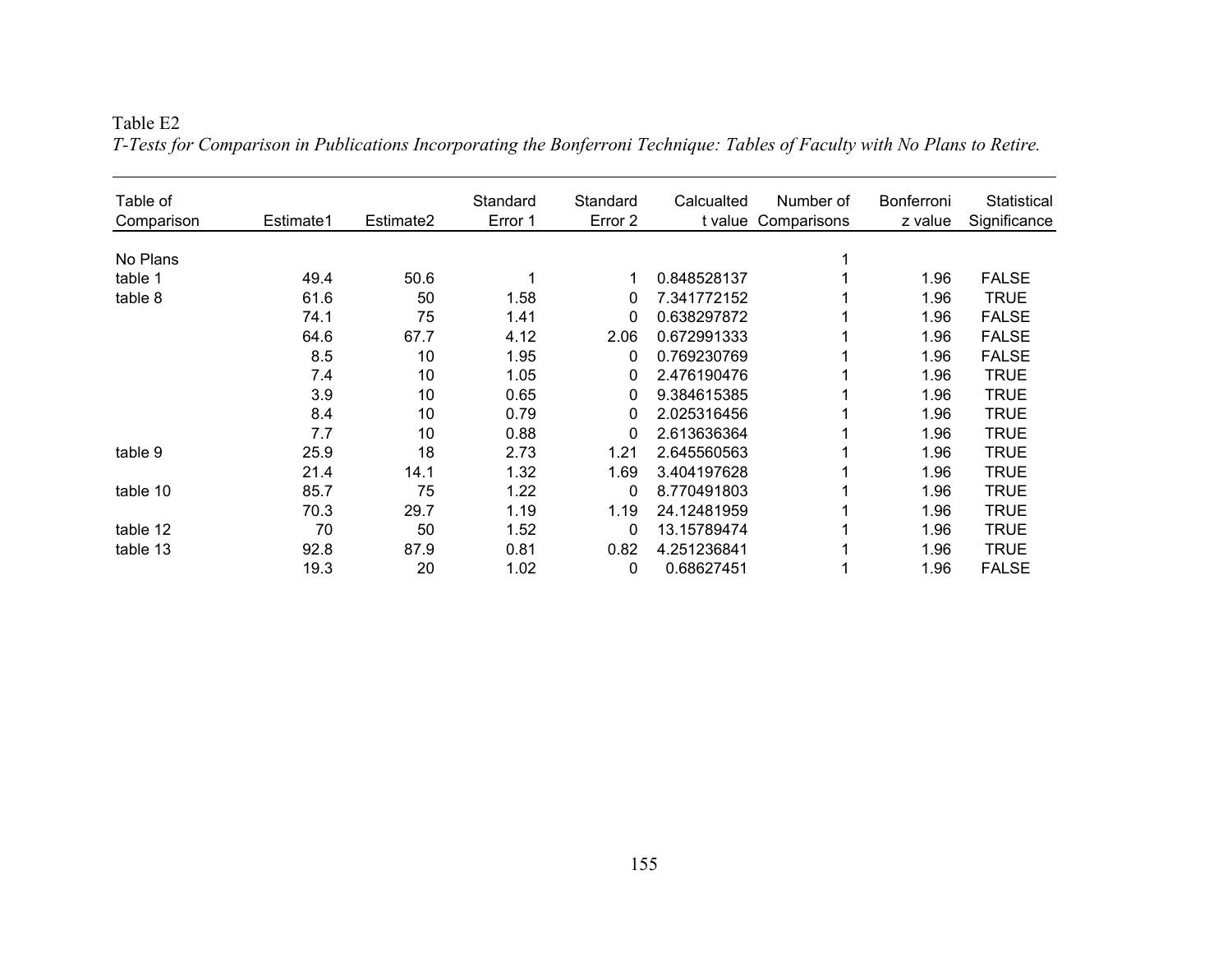#### Table E2

| Table of   |           |           | Standard | Standard | Calcualted  | Number of   | <b>Bonferroni</b> | Statistical  |
|------------|-----------|-----------|----------|----------|-------------|-------------|-------------------|--------------|
| Comparison | Estimate1 | Estimate2 | Error 1  | Error 2  | t value     | Comparisons | z value           | Significance |
| No Plans   |           |           |          |          |             |             |                   |              |
| table 1    | 49.4      | 50.6      |          | 1        | 0.848528137 |             | 1.96              | <b>FALSE</b> |
| table 8    | 61.6      | 50        | 1.58     | 0        | 7.341772152 |             | 1.96              | <b>TRUE</b>  |
|            | 74.1      | 75        | 1.41     | 0        | 0.638297872 |             | 1.96              | <b>FALSE</b> |
|            | 64.6      | 67.7      | 4.12     | 2.06     | 0.672991333 |             | 1.96              | <b>FALSE</b> |
|            | 8.5       | 10        | 1.95     | 0        | 0.769230769 |             | 1.96              | <b>FALSE</b> |
|            | 7.4       | 10        | 1.05     | 0        | 2.476190476 |             | 1.96              | <b>TRUE</b>  |
|            | 3.9       | 10        | 0.65     | 0        | 9.384615385 |             | 1.96              | <b>TRUE</b>  |
|            | 8.4       | 10        | 0.79     | 0        | 2.025316456 |             | 1.96              | <b>TRUE</b>  |
|            | 7.7       | 10        | 0.88     | 0        | 2.613636364 |             | 1.96              | <b>TRUE</b>  |
| table 9    | 25.9      | 18        | 2.73     | 1.21     | 2.645560563 |             | 1.96              | TRUE         |
|            | 21.4      | 14.1      | 1.32     | 1.69     | 3.404197628 |             | 1.96              | <b>TRUE</b>  |
| table 10   | 85.7      | 75        | 1.22     | 0        | 8.770491803 |             | 1.96              | <b>TRUE</b>  |
|            | 70.3      | 29.7      | 1.19     | 1.19     | 24.12481959 |             | 1.96              | TRUE         |
| table 12   | 70        | 50        | 1.52     | 0        | 13.15789474 |             | 1.96              | TRUE         |
| table 13   | 92.8      | 87.9      | 0.81     | 0.82     | 4.251236841 |             | 1.96              | <b>TRUE</b>  |
|            | 19.3      | 20        | 1.02     | 0        | 0.68627451  |             | 1.96              | <b>FALSE</b> |

*T-Tests for Comparison in Publications Incorporating the Bonferroni Technique: Tables of Faculty with No Plans to Retire.*